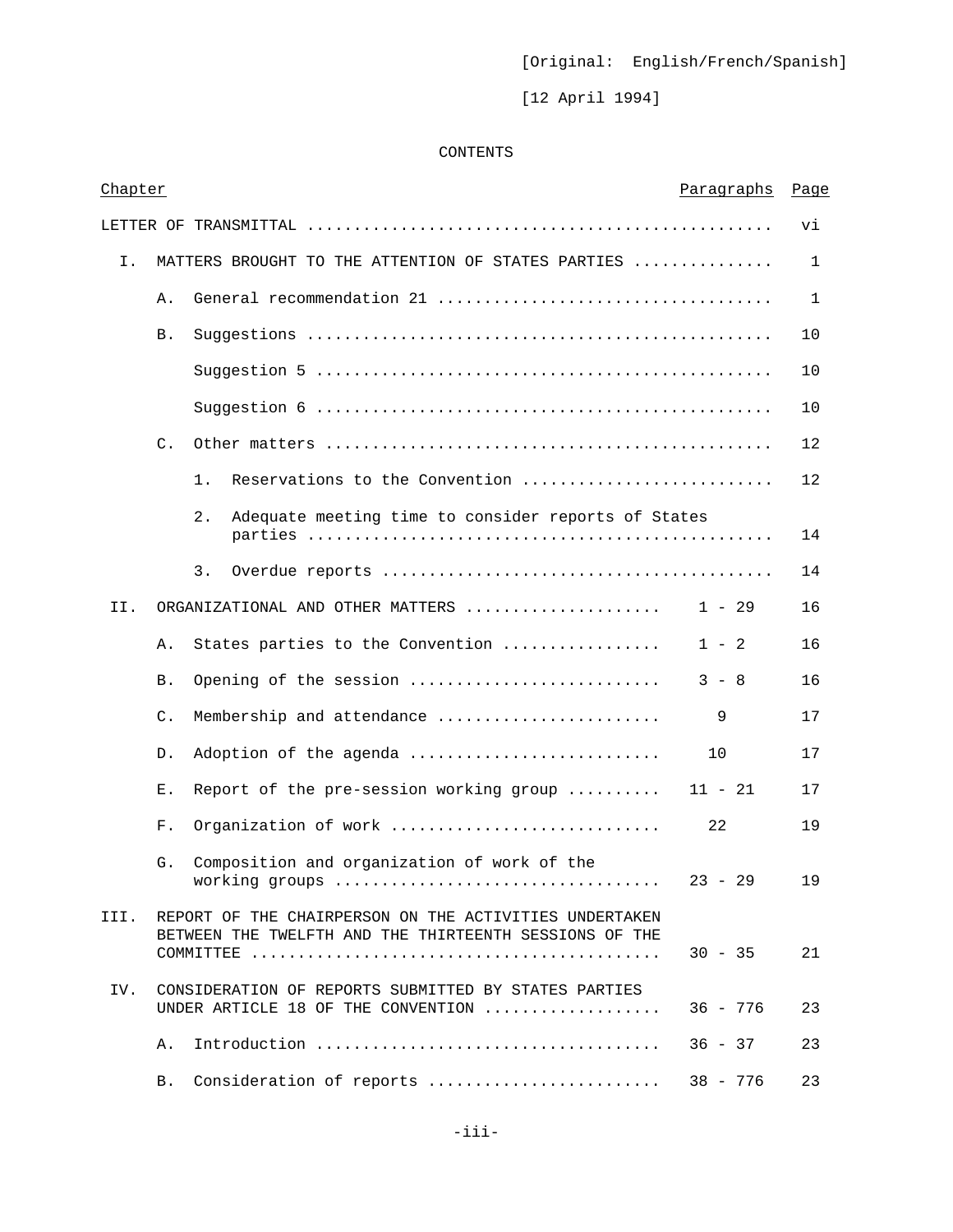[12 April 1994]

# CONTENTS

| Chapter |                                              |                                                                                                                  | Paragraphs | Page        |  |
|---------|----------------------------------------------|------------------------------------------------------------------------------------------------------------------|------------|-------------|--|
|         |                                              |                                                                                                                  |            | vi          |  |
| Ι.      |                                              | MATTERS BROUGHT TO THE ATTENTION OF STATES PARTIES                                                               |            | 1           |  |
|         | Α.                                           |                                                                                                                  |            | $\mathbf 1$ |  |
|         | Β.                                           |                                                                                                                  |            | 10          |  |
|         |                                              |                                                                                                                  |            | 10          |  |
|         |                                              |                                                                                                                  |            | 10          |  |
|         | C.                                           |                                                                                                                  |            | 12          |  |
|         |                                              | 1.<br>Reservations to the Convention                                                                             |            | 12          |  |
|         |                                              | Adequate meeting time to consider reports of States<br>2.                                                        |            | 14          |  |
|         |                                              | 3.                                                                                                               |            | 14          |  |
| II.     | ORGANIZATIONAL AND OTHER MATTERS<br>$1 - 29$ |                                                                                                                  |            |             |  |
|         | Α.                                           | States parties to the Convention                                                                                 | $1 - 2$    | 16          |  |
|         | Β.                                           | Opening of the session                                                                                           | $3 - 8$    | 16          |  |
|         | $\mathsf{C}$ .                               | Membership and attendance                                                                                        | 9          | 17          |  |
|         | $D$ .                                        | Adoption of the agenda                                                                                           | 10         | 17          |  |
|         | Ε.                                           | Report of the pre-session working group                                                                          | $11 - 21$  | 17          |  |
|         | F.                                           | Organization of work                                                                                             | 22         | 19          |  |
|         | G.                                           | Composition and organization of work of the<br>working groups                                                    | $23 - 29$  | 19          |  |
| III.    |                                              | REPORT OF THE CHAIRPERSON ON THE ACTIVITIES UNDERTAKEN<br>BETWEEN THE TWELFTH AND THE THIRTEENTH SESSIONS OF THE | $30 - 35$  | 21          |  |
| IV.     |                                              | CONSIDERATION OF REPORTS SUBMITTED BY STATES PARTIES<br>UNDER ARTICLE 18 OF THE CONVENTION                       | $36 - 776$ | 23          |  |
|         | Α.                                           |                                                                                                                  | $36 - 37$  | 23          |  |
|         | Β.                                           | Consideration of reports                                                                                         | $38 - 776$ | 23          |  |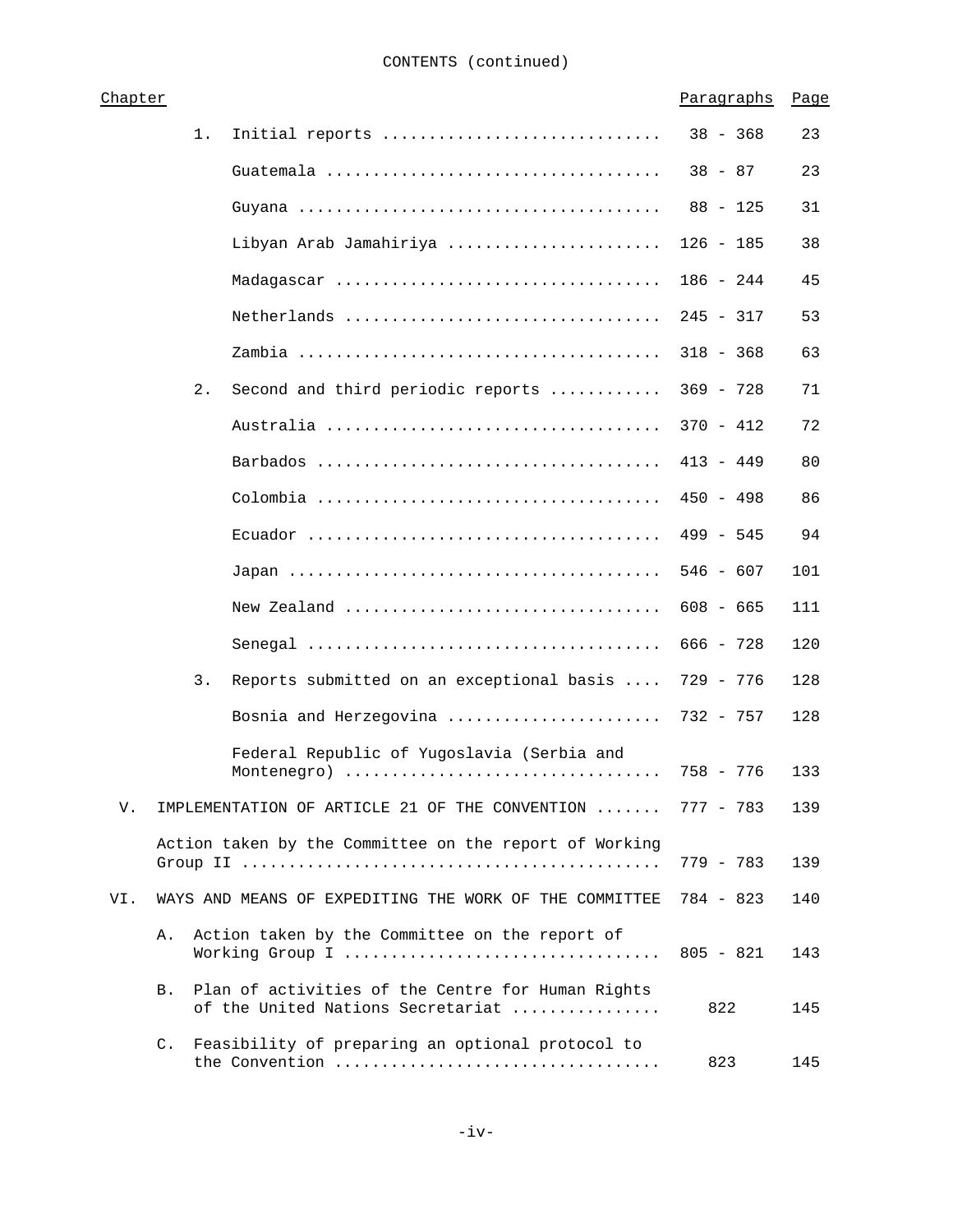| Chapter |                |                                                                                        | Paragraphs  | Page |
|---------|----------------|----------------------------------------------------------------------------------------|-------------|------|
|         | $1$ .          | Initial reports                                                                        | $38 - 368$  | 23   |
|         |                |                                                                                        | $38 - 87$   | 23   |
|         |                |                                                                                        | $88 - 125$  | 31   |
|         |                | Libyan Arab Jamahiriya                                                                 | $126 - 185$ | 38   |
|         |                |                                                                                        | $186 - 244$ | 45   |
|         |                | Netherlands                                                                            | $245 - 317$ | 53   |
|         |                |                                                                                        | $318 - 368$ | 63   |
|         | $2$ .          | Second and third periodic reports                                                      | $369 - 728$ | 71   |
|         |                |                                                                                        | $370 - 412$ | 72   |
|         |                |                                                                                        | $413 - 449$ | 80   |
|         |                |                                                                                        | $450 - 498$ | 86   |
|         |                |                                                                                        | $499 - 545$ | 94   |
|         |                |                                                                                        | $546 - 607$ | 101  |
|         |                | New Zealand                                                                            | $608 - 665$ | 111  |
|         |                |                                                                                        | $666 - 728$ | 120  |
|         | 3.             | Reports submitted on an exceptional basis                                              | 729 - 776   | 128  |
|         |                | Bosnia and Herzegovina                                                                 | 732 - 757   | 128  |
|         |                | Federal Republic of Yugoslavia (Serbia and<br>Montenegro)                              | 758 - 776   | 133  |
| V.      |                | IMPLEMENTATION OF ARTICLE 21 OF THE CONVENTION                                         | $777 - 783$ | 139  |
|         |                | Action taken by the Committee on the report of Working                                 | $779 - 783$ | 139  |
| VI.     |                | WAYS AND MEANS OF EXPEDITING THE WORK OF THE COMMITTEE                                 | 784 - 823   | 140  |
|         | Α.             | Action taken by the Committee on the report of<br>Working Group I                      | $805 - 821$ | 143  |
|         | B.             | Plan of activities of the Centre for Human Rights<br>of the United Nations Secretariat | 822         | 145  |
|         | $\mathsf{C}$ . | Feasibility of preparing an optional protocol to<br>the Convention                     | 823         | 145  |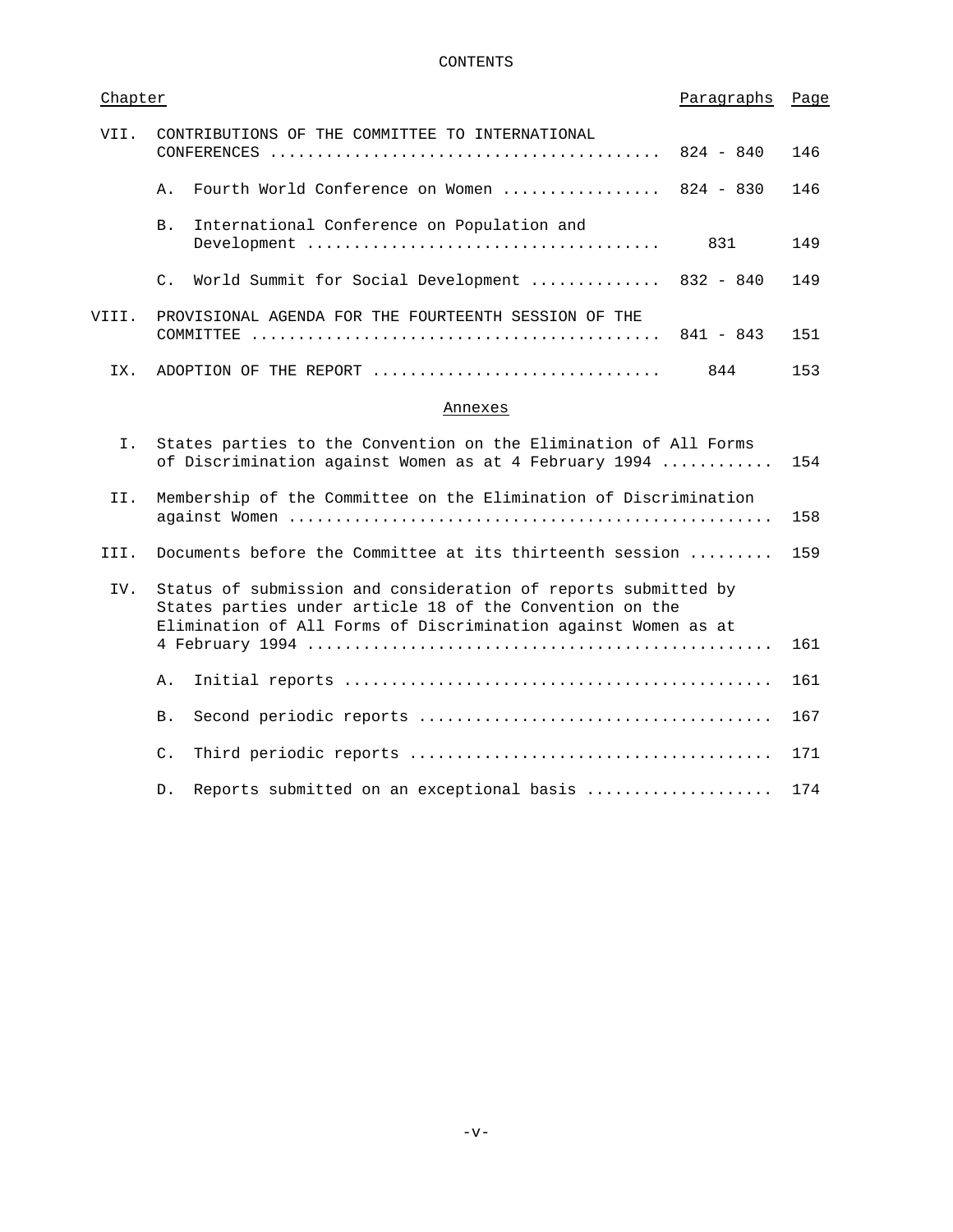| Chapter | Paragraphs                                                                                                                                                                                   | Page        |     |  |  |
|---------|----------------------------------------------------------------------------------------------------------------------------------------------------------------------------------------------|-------------|-----|--|--|
| VII.    | CONTRIBUTIONS OF THE COMMITTEE TO INTERNATIONAL                                                                                                                                              | $824 - 840$ | 146 |  |  |
|         | Fourth World Conference on Women  824 - 830<br>Α.                                                                                                                                            |             | 146 |  |  |
|         | International Conference on Population and<br><b>B</b> .<br>Development $\dots\dots\dots\dots\dots\dots\dots\dots\dots\dots\dots\dots\dots\dots$                                             | 831         | 149 |  |  |
|         | $\mathsf{C}$ .<br>World Summit for Social Development  832 - 840                                                                                                                             |             | 149 |  |  |
| VIII.   | PROVISIONAL AGENDA FOR THE FOURTEENTH SESSION OF THE<br>COMMITTEE $\dots\dots\dots\dots\dots\dots\dots\dots\dots\dots\dots\dots\dots\dots\dots\dots$                                         | $841 - 843$ | 151 |  |  |
| IX.     | ADOPTION OF THE REPORT                                                                                                                                                                       | 844         | 153 |  |  |
|         | Annexes                                                                                                                                                                                      |             |     |  |  |
| Ι.      | States parties to the Convention on the Elimination of All Forms<br>of Discrimination against Women as at 4 February 1994                                                                    |             |     |  |  |
| II.     | Membership of the Committee on the Elimination of Discrimination                                                                                                                             |             |     |  |  |
| III.    | Documents before the Committee at its thirteenth session                                                                                                                                     |             |     |  |  |
| IV.     | Status of submission and consideration of reports submitted by<br>States parties under article 18 of the Convention on the<br>Elimination of All Forms of Discrimination against Women as at |             |     |  |  |
|         |                                                                                                                                                                                              |             | 161 |  |  |
|         | Α.                                                                                                                                                                                           |             | 161 |  |  |
|         | B.                                                                                                                                                                                           |             | 167 |  |  |
|         | $\mathsf{C}$ .                                                                                                                                                                               |             | 171 |  |  |
|         |                                                                                                                                                                                              |             |     |  |  |

D. Reports submitted on an exceptional basis ..................... 174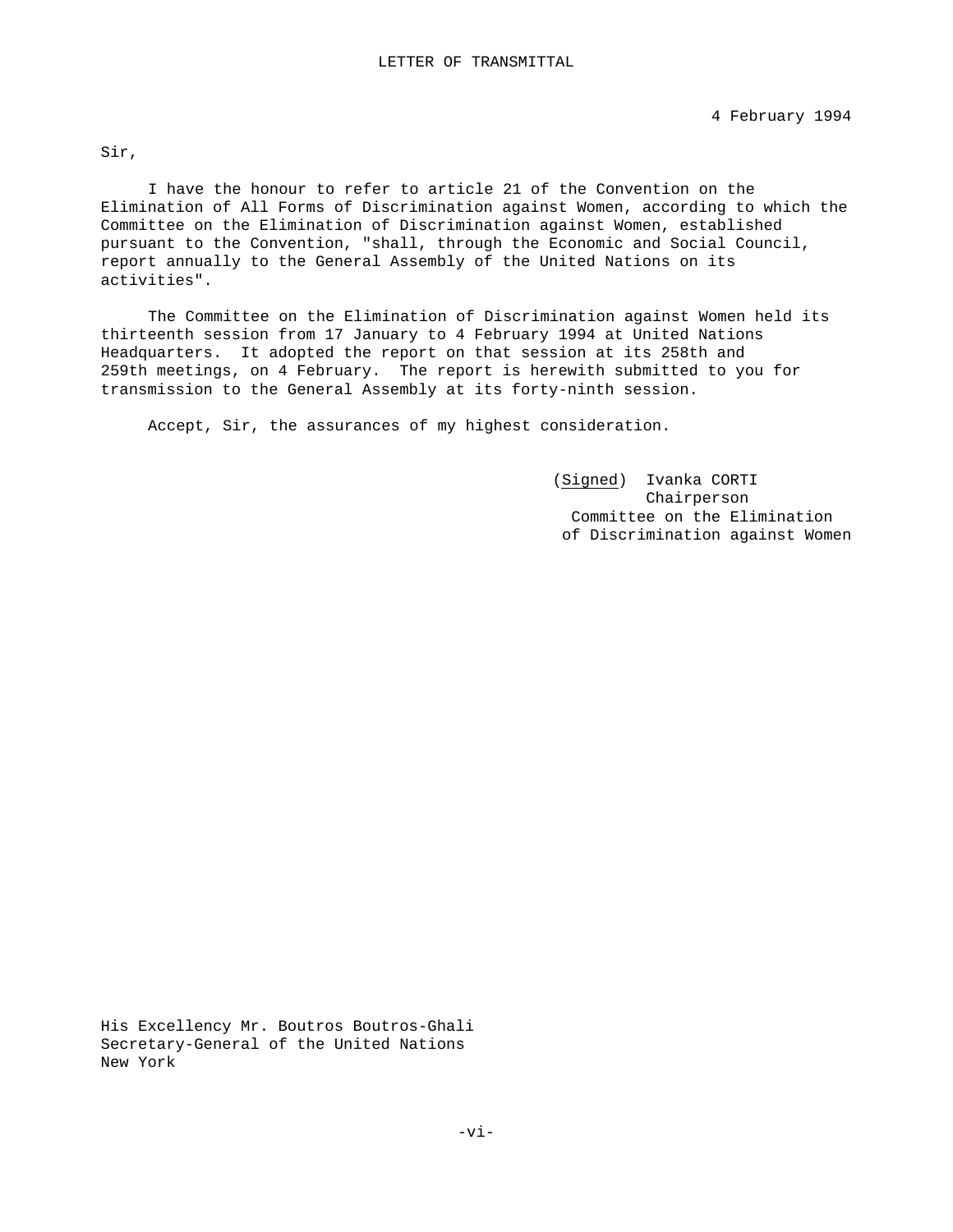Sir,

I have the honour to refer to article 21 of the Convention on the Elimination of All Forms of Discrimination against Women, according to which the Committee on the Elimination of Discrimination against Women, established pursuant to the Convention, "shall, through the Economic and Social Council, report annually to the General Assembly of the United Nations on its activities".

The Committee on the Elimination of Discrimination against Women held its thirteenth session from 17 January to 4 February 1994 at United Nations Headquarters. It adopted the report on that session at its 258th and 259th meetings, on 4 February. The report is herewith submitted to you for transmission to the General Assembly at its forty-ninth session.

Accept, Sir, the assurances of my highest consideration.

(Signed) Ivanka CORTI Chairperson Committee on the Elimination of Discrimination against Women

His Excellency Mr. Boutros Boutros-Ghali Secretary-General of the United Nations New York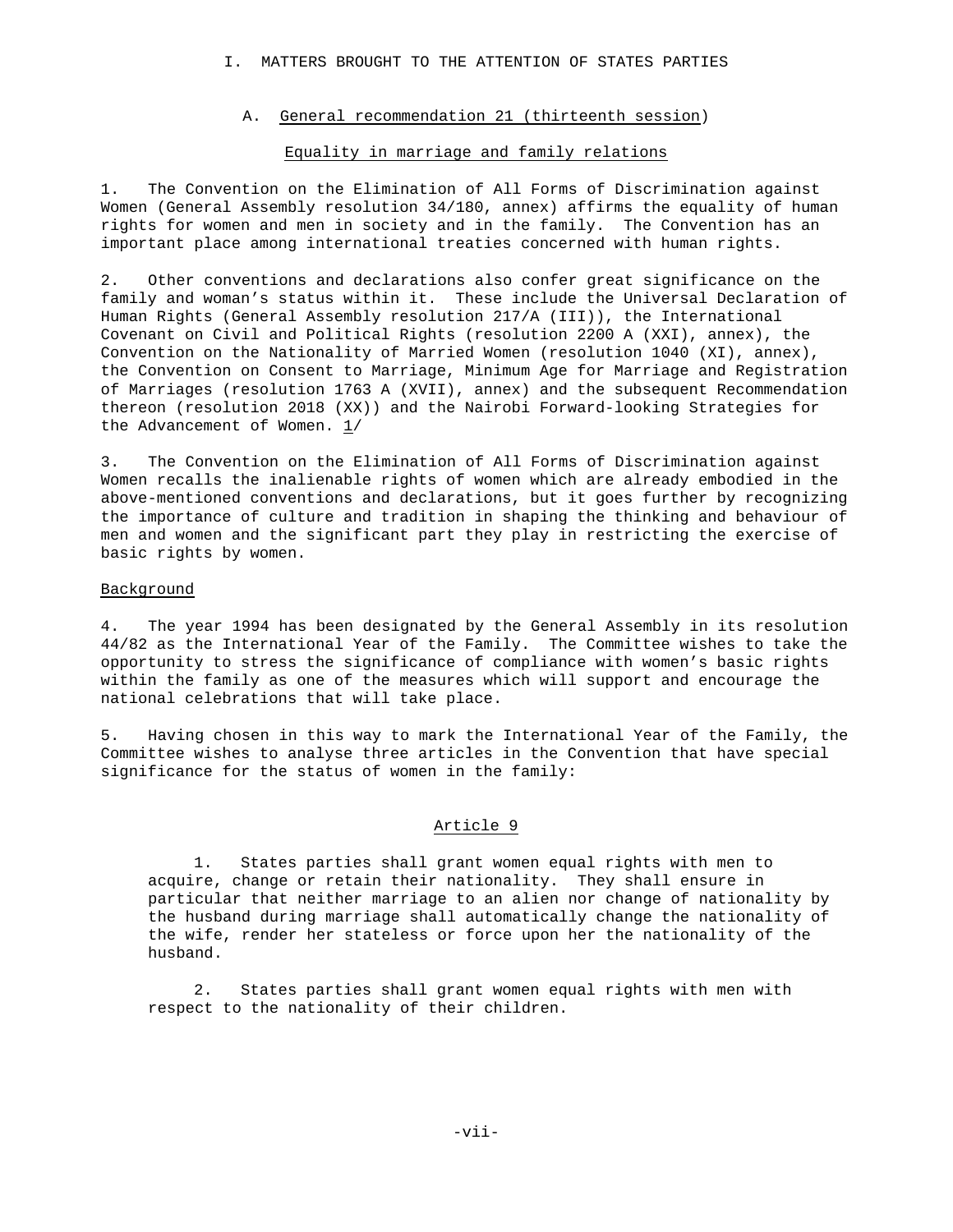### I. MATTERS BROUGHT TO THE ATTENTION OF STATES PARTIES

### A. General recommendation 21 (thirteenth session)

## Equality in marriage and family relations

1. The Convention on the Elimination of All Forms of Discrimination against Women (General Assembly resolution 34/180, annex) affirms the equality of human rights for women and men in society and in the family. The Convention has an important place among international treaties concerned with human rights.

2. Other conventions and declarations also confer great significance on the family and woman's status within it. These include the Universal Declaration of Human Rights (General Assembly resolution 217/A (III)), the International Covenant on Civil and Political Rights (resolution 2200 A (XXI), annex), the Convention on the Nationality of Married Women (resolution 1040 (XI), annex), the Convention on Consent to Marriage, Minimum Age for Marriage and Registration of Marriages (resolution 1763 A (XVII), annex) and the subsequent Recommendation thereon (resolution 2018 (XX)) and the Nairobi Forward-looking Strategies for the Advancement of Women. 1/

3. The Convention on the Elimination of All Forms of Discrimination against Women recalls the inalienable rights of women which are already embodied in the above-mentioned conventions and declarations, but it goes further by recognizing the importance of culture and tradition in shaping the thinking and behaviour of men and women and the significant part they play in restricting the exercise of basic rights by women.

#### **Background**

4. The year 1994 has been designated by the General Assembly in its resolution 44/82 as the International Year of the Family. The Committee wishes to take the opportunity to stress the significance of compliance with women's basic rights within the family as one of the measures which will support and encourage the national celebrations that will take place.

5. Having chosen in this way to mark the International Year of the Family, the Committee wishes to analyse three articles in the Convention that have special significance for the status of women in the family:

# Article 9

1. States parties shall grant women equal rights with men to acquire, change or retain their nationality. They shall ensure in particular that neither marriage to an alien nor change of nationality by the husband during marriage shall automatically change the nationality of the wife, render her stateless or force upon her the nationality of the husband.

2. States parties shall grant women equal rights with men with respect to the nationality of their children.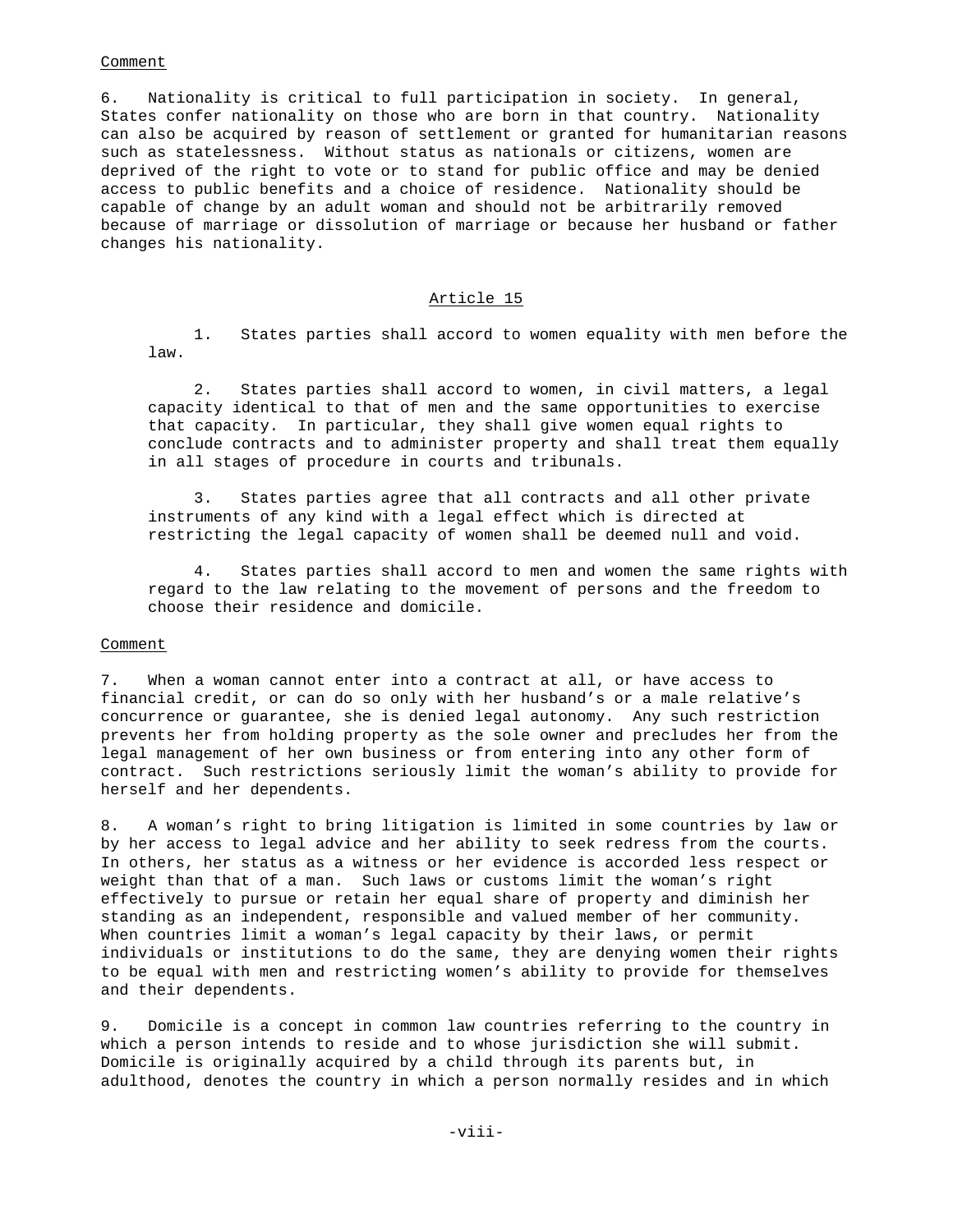#### Comment

6. Nationality is critical to full participation in society. In general, States confer nationality on those who are born in that country. Nationality can also be acquired by reason of settlement or granted for humanitarian reasons such as statelessness. Without status as nationals or citizens, women are deprived of the right to vote or to stand for public office and may be denied access to public benefits and a choice of residence. Nationality should be capable of change by an adult woman and should not be arbitrarily removed because of marriage or dissolution of marriage or because her husband or father changes his nationality.

### Article 15

1. States parties shall accord to women equality with men before the law.

2. States parties shall accord to women, in civil matters, a legal capacity identical to that of men and the same opportunities to exercise that capacity. In particular, they shall give women equal rights to conclude contracts and to administer property and shall treat them equally in all stages of procedure in courts and tribunals.

3. States parties agree that all contracts and all other private instruments of any kind with a legal effect which is directed at restricting the legal capacity of women shall be deemed null and void.

4. States parties shall accord to men and women the same rights with regard to the law relating to the movement of persons and the freedom to choose their residence and domicile.

#### Comment

7. When a woman cannot enter into a contract at all, or have access to financial credit, or can do so only with her husband's or a male relative's concurrence or guarantee, she is denied legal autonomy. Any such restriction prevents her from holding property as the sole owner and precludes her from the legal management of her own business or from entering into any other form of contract. Such restrictions seriously limit the woman's ability to provide for herself and her dependents.

8. A woman's right to bring litigation is limited in some countries by law or by her access to legal advice and her ability to seek redress from the courts. In others, her status as a witness or her evidence is accorded less respect or weight than that of a man. Such laws or customs limit the woman's right effectively to pursue or retain her equal share of property and diminish her standing as an independent, responsible and valued member of her community. When countries limit a woman's legal capacity by their laws, or permit individuals or institutions to do the same, they are denying women their rights to be equal with men and restricting women's ability to provide for themselves and their dependents.

9. Domicile is a concept in common law countries referring to the country in which a person intends to reside and to whose jurisdiction she will submit. Domicile is originally acquired by a child through its parents but, in adulthood, denotes the country in which a person normally resides and in which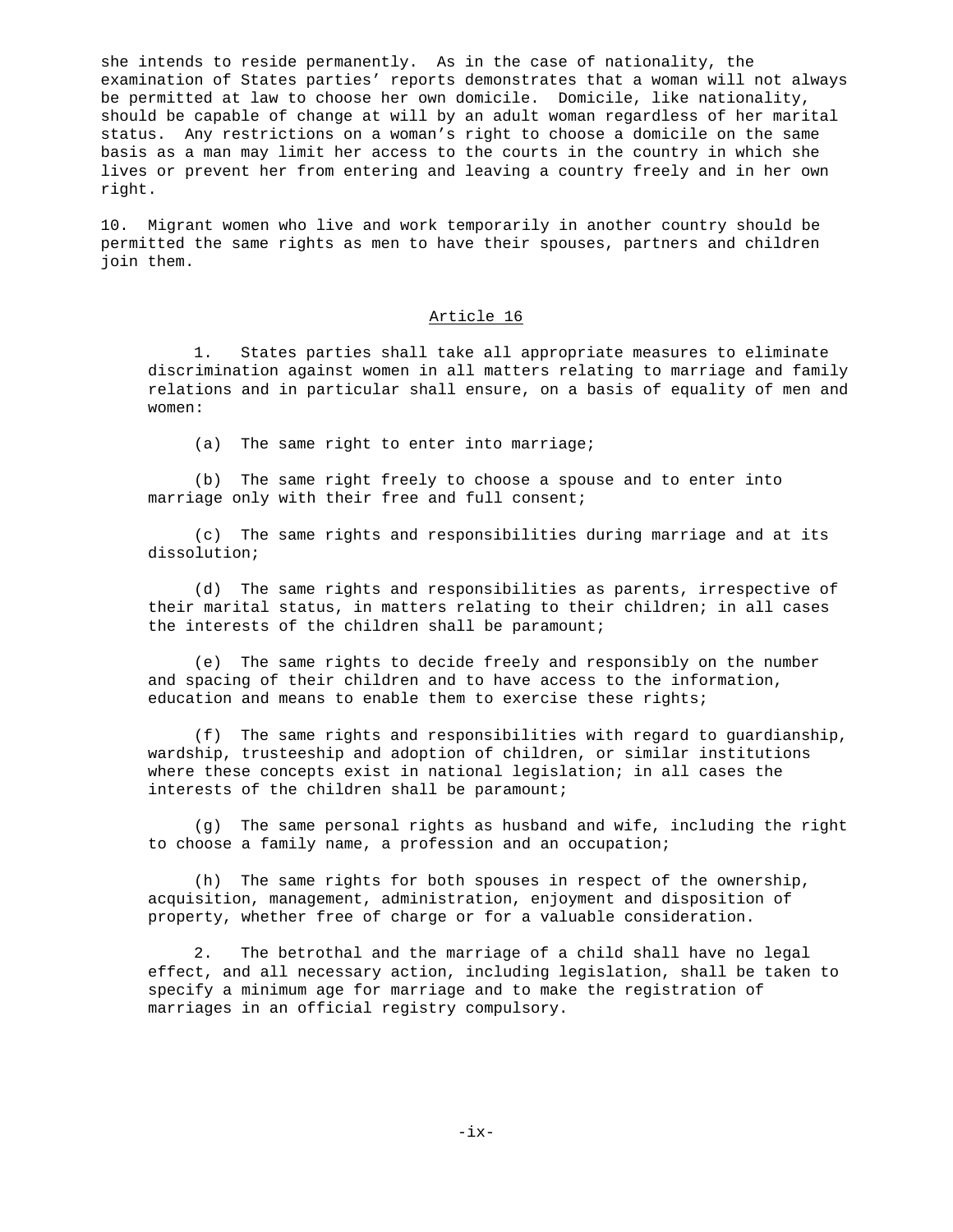she intends to reside permanently. As in the case of nationality, the examination of States parties' reports demonstrates that a woman will not always be permitted at law to choose her own domicile. Domicile, like nationality, should be capable of change at will by an adult woman regardless of her marital status. Any restrictions on a woman's right to choose a domicile on the same basis as a man may limit her access to the courts in the country in which she lives or prevent her from entering and leaving a country freely and in her own right.

10. Migrant women who live and work temporarily in another country should be permitted the same rights as men to have their spouses, partners and children join them.

# Article 16

1. States parties shall take all appropriate measures to eliminate discrimination against women in all matters relating to marriage and family relations and in particular shall ensure, on a basis of equality of men and women:

(a) The same right to enter into marriage;

(b) The same right freely to choose a spouse and to enter into marriage only with their free and full consent;

(c) The same rights and responsibilities during marriage and at its dissolution;

(d) The same rights and responsibilities as parents, irrespective of their marital status, in matters relating to their children; in all cases the interests of the children shall be paramount;

(e) The same rights to decide freely and responsibly on the number and spacing of their children and to have access to the information, education and means to enable them to exercise these rights;

(f) The same rights and responsibilities with regard to guardianship, wardship, trusteeship and adoption of children, or similar institutions where these concepts exist in national legislation; in all cases the interests of the children shall be paramount;

(g) The same personal rights as husband and wife, including the right to choose a family name, a profession and an occupation;

(h) The same rights for both spouses in respect of the ownership, acquisition, management, administration, enjoyment and disposition of property, whether free of charge or for a valuable consideration.

2. The betrothal and the marriage of a child shall have no legal effect, and all necessary action, including legislation, shall be taken to specify a minimum age for marriage and to make the registration of marriages in an official registry compulsory.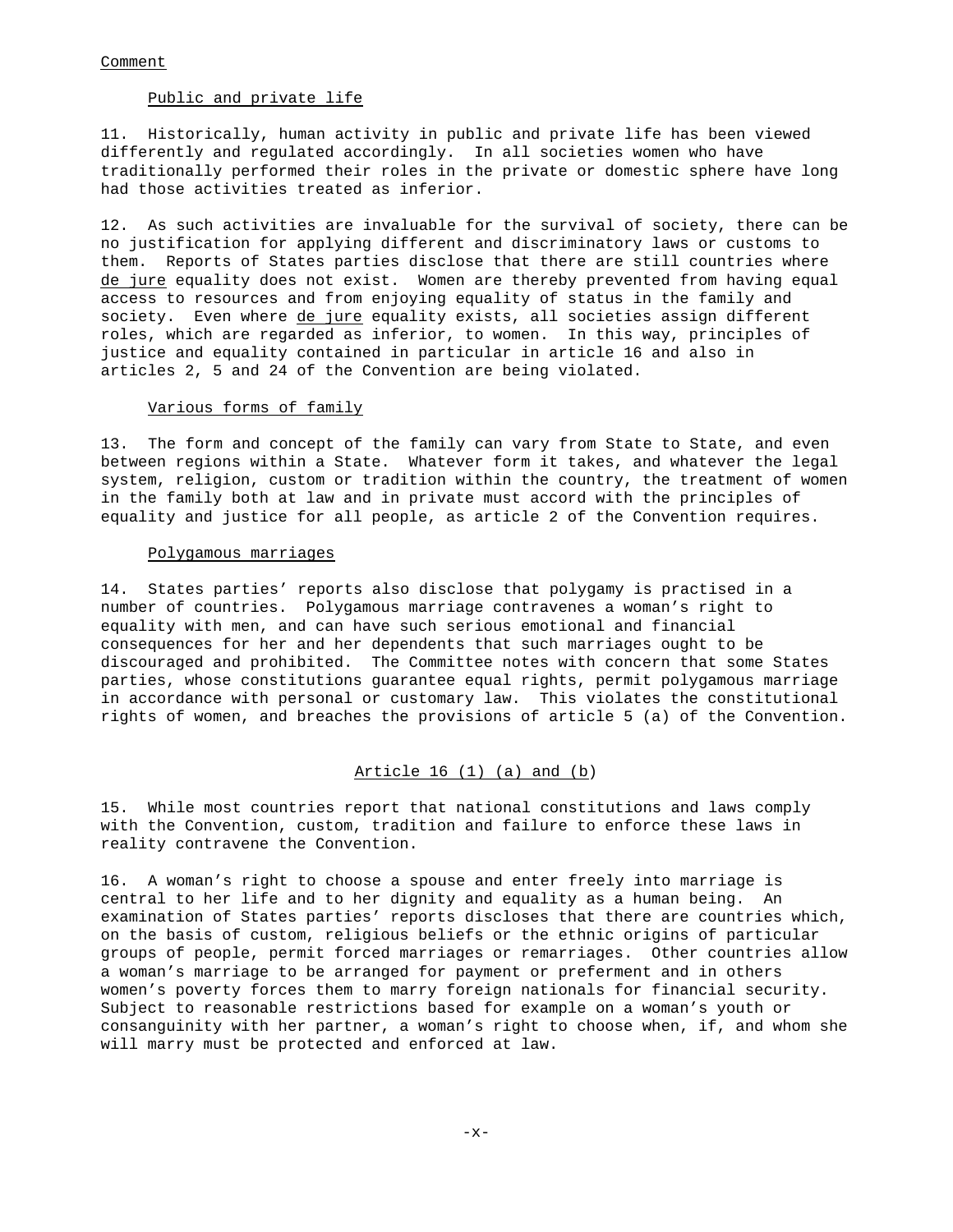### Public and private life

11. Historically, human activity in public and private life has been viewed differently and regulated accordingly. In all societies women who have traditionally performed their roles in the private or domestic sphere have long had those activities treated as inferior.

12. As such activities are invaluable for the survival of society, there can be no justification for applying different and discriminatory laws or customs to them. Reports of States parties disclose that there are still countries where de jure equality does not exist. Women are thereby prevented from having equal access to resources and from enjoying equality of status in the family and society. Even where de jure equality exists, all societies assign different roles, which are regarded as inferior, to women. In this way, principles of justice and equality contained in particular in article 16 and also in articles 2, 5 and 24 of the Convention are being violated.

### Various forms of family

13. The form and concept of the family can vary from State to State, and even between regions within a State. Whatever form it takes, and whatever the legal system, religion, custom or tradition within the country, the treatment of women in the family both at law and in private must accord with the principles of equality and justice for all people, as article 2 of the Convention requires.

### Polygamous marriages

14. States parties' reports also disclose that polygamy is practised in a number of countries. Polygamous marriage contravenes a woman's right to equality with men, and can have such serious emotional and financial consequences for her and her dependents that such marriages ought to be discouraged and prohibited. The Committee notes with concern that some States parties, whose constitutions guarantee equal rights, permit polygamous marriage in accordance with personal or customary law. This violates the constitutional rights of women, and breaches the provisions of article 5 (a) of the Convention.

### Article 16 (1) (a) and (b)

15. While most countries report that national constitutions and laws comply with the Convention, custom, tradition and failure to enforce these laws in reality contravene the Convention.

16. A woman's right to choose a spouse and enter freely into marriage is central to her life and to her dignity and equality as a human being. An examination of States parties' reports discloses that there are countries which, on the basis of custom, religious beliefs or the ethnic origins of particular groups of people, permit forced marriages or remarriages. Other countries allow a woman's marriage to be arranged for payment or preferment and in others women's poverty forces them to marry foreign nationals for financial security. Subject to reasonable restrictions based for example on a woman's youth or consanguinity with her partner, a woman's right to choose when, if, and whom she will marry must be protected and enforced at law.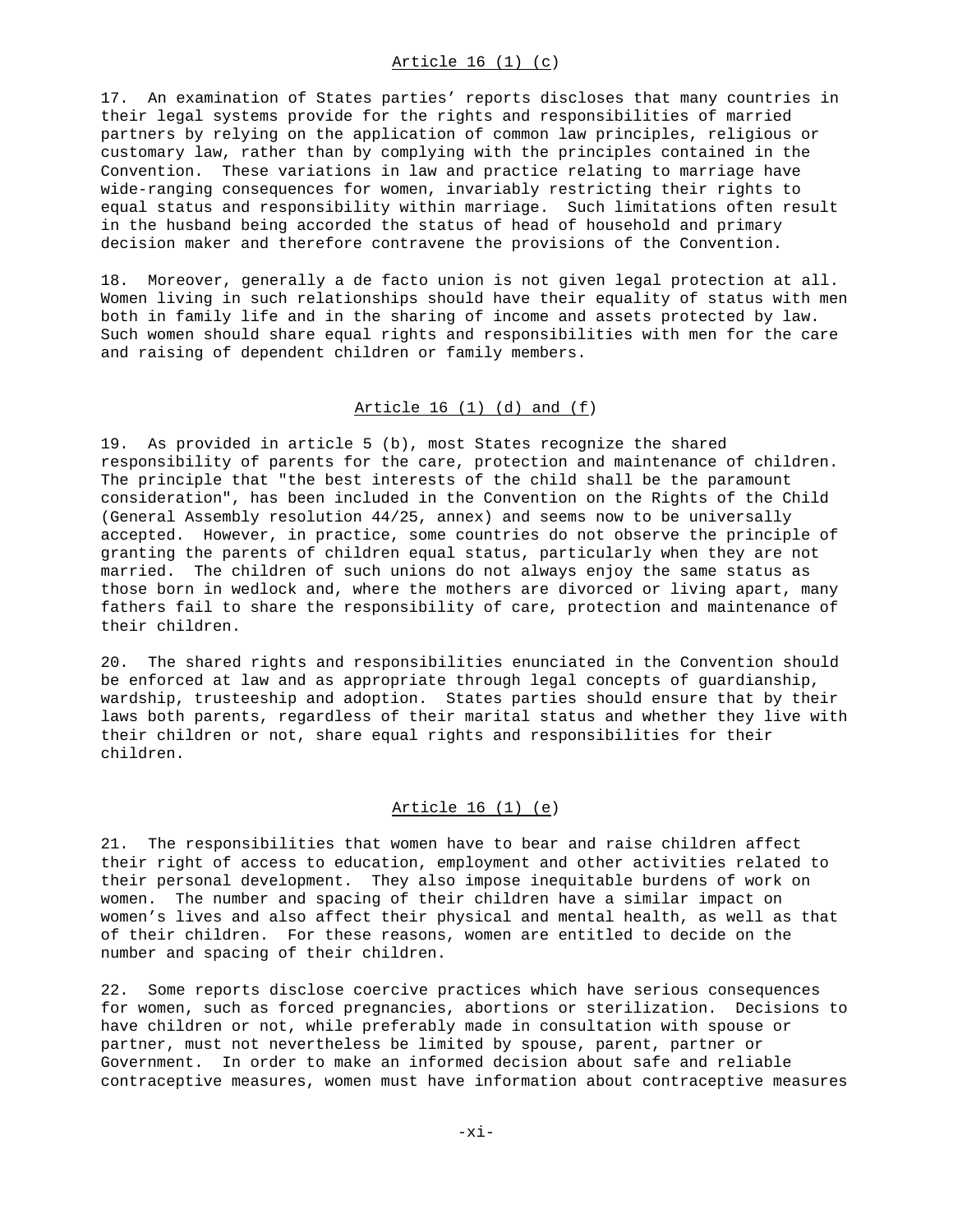# Article 16 (1) (c)

17. An examination of States parties' reports discloses that many countries in their legal systems provide for the rights and responsibilities of married partners by relying on the application of common law principles, religious or customary law, rather than by complying with the principles contained in the Convention. These variations in law and practice relating to marriage have wide-ranging consequences for women, invariably restricting their rights to equal status and responsibility within marriage. Such limitations often result in the husband being accorded the status of head of household and primary decision maker and therefore contravene the provisions of the Convention.

18. Moreover, generally a de facto union is not given legal protection at all. Women living in such relationships should have their equality of status with men both in family life and in the sharing of income and assets protected by law. Such women should share equal rights and responsibilities with men for the care and raising of dependent children or family members.

## Article  $16 (1) (d)$  and  $(f)$

19. As provided in article 5 (b), most States recognize the shared responsibility of parents for the care, protection and maintenance of children. The principle that "the best interests of the child shall be the paramount consideration", has been included in the Convention on the Rights of the Child (General Assembly resolution 44/25, annex) and seems now to be universally accepted. However, in practice, some countries do not observe the principle of granting the parents of children equal status, particularly when they are not married. The children of such unions do not always enjoy the same status as those born in wedlock and, where the mothers are divorced or living apart, many fathers fail to share the responsibility of care, protection and maintenance of their children.

20. The shared rights and responsibilities enunciated in the Convention should be enforced at law and as appropriate through legal concepts of guardianship, wardship, trusteeship and adoption. States parties should ensure that by their laws both parents, regardless of their marital status and whether they live with their children or not, share equal rights and responsibilities for their children.

### Article 16 (1) (e)

21. The responsibilities that women have to bear and raise children affect their right of access to education, employment and other activities related to their personal development. They also impose inequitable burdens of work on women. The number and spacing of their children have a similar impact on women's lives and also affect their physical and mental health, as well as that of their children. For these reasons, women are entitled to decide on the number and spacing of their children.

22. Some reports disclose coercive practices which have serious consequences for women, such as forced pregnancies, abortions or sterilization. Decisions to have children or not, while preferably made in consultation with spouse or partner, must not nevertheless be limited by spouse, parent, partner or Government. In order to make an informed decision about safe and reliable contraceptive measures, women must have information about contraceptive measures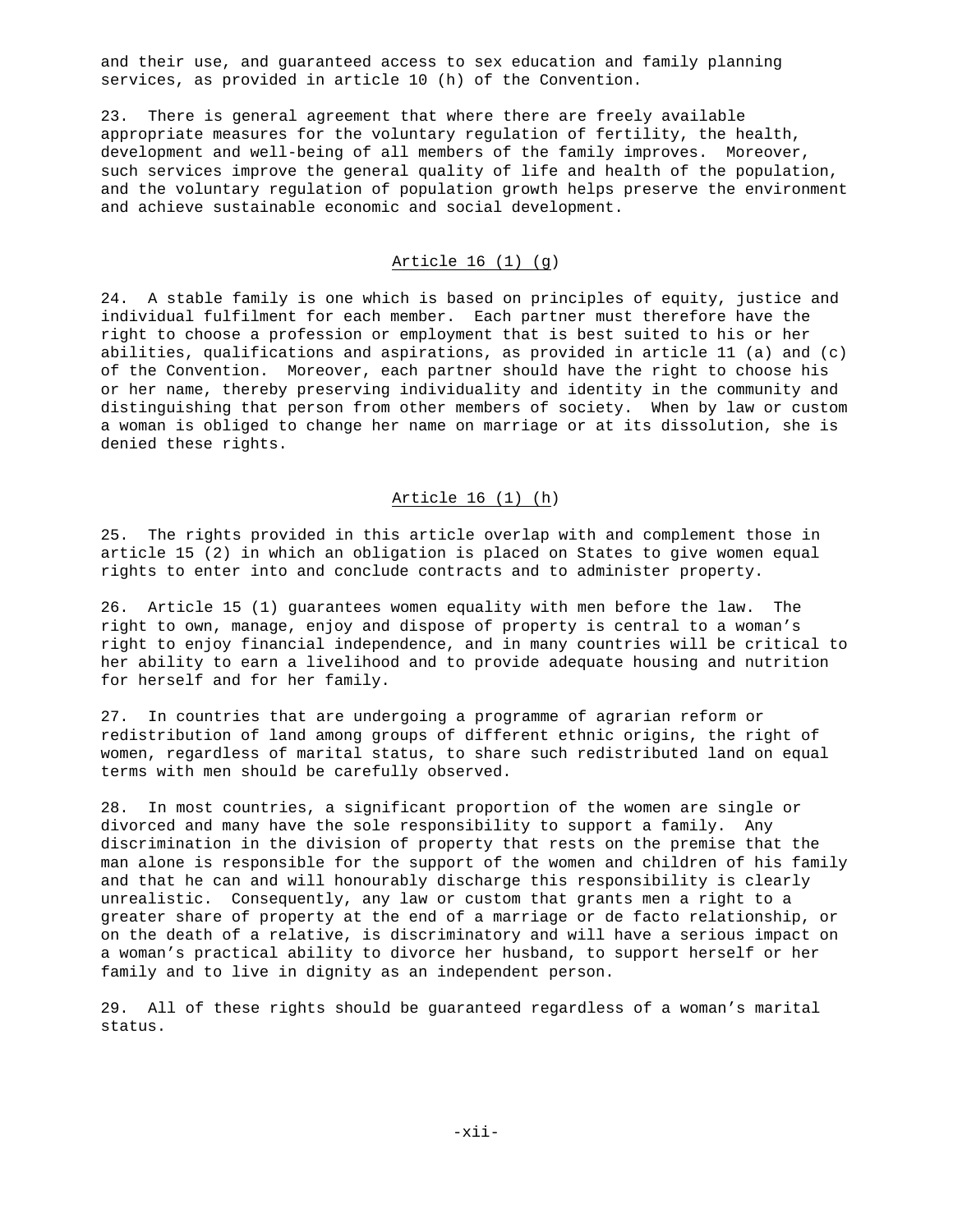and their use, and guaranteed access to sex education and family planning services, as provided in article 10 (h) of the Convention.

23. There is general agreement that where there are freely available appropriate measures for the voluntary regulation of fertility, the health, development and well-being of all members of the family improves. Moreover, such services improve the general quality of life and health of the population, and the voluntary regulation of population growth helps preserve the environment and achieve sustainable economic and social development.

# Article 16 (1) (g)

24. A stable family is one which is based on principles of equity, justice and individual fulfilment for each member. Each partner must therefore have the right to choose a profession or employment that is best suited to his or her abilities, qualifications and aspirations, as provided in article 11 (a) and (c) of the Convention. Moreover, each partner should have the right to choose his or her name, thereby preserving individuality and identity in the community and distinguishing that person from other members of society. When by law or custom a woman is obliged to change her name on marriage or at its dissolution, she is denied these rights.

# Article 16 (1) (h)

25. The rights provided in this article overlap with and complement those in article 15 (2) in which an obligation is placed on States to give women equal rights to enter into and conclude contracts and to administer property.

26. Article 15 (1) guarantees women equality with men before the law. The right to own, manage, enjoy and dispose of property is central to a woman's right to enjoy financial independence, and in many countries will be critical to her ability to earn a livelihood and to provide adequate housing and nutrition for herself and for her family.

27. In countries that are undergoing a programme of agrarian reform or redistribution of land among groups of different ethnic origins, the right of women, regardless of marital status, to share such redistributed land on equal terms with men should be carefully observed.

28. In most countries, a significant proportion of the women are single or divorced and many have the sole responsibility to support a family. Any discrimination in the division of property that rests on the premise that the man alone is responsible for the support of the women and children of his family and that he can and will honourably discharge this responsibility is clearly unrealistic. Consequently, any law or custom that grants men a right to a greater share of property at the end of a marriage or de facto relationship, or on the death of a relative, is discriminatory and will have a serious impact on a woman's practical ability to divorce her husband, to support herself or her family and to live in dignity as an independent person.

29. All of these rights should be guaranteed regardless of a woman's marital status.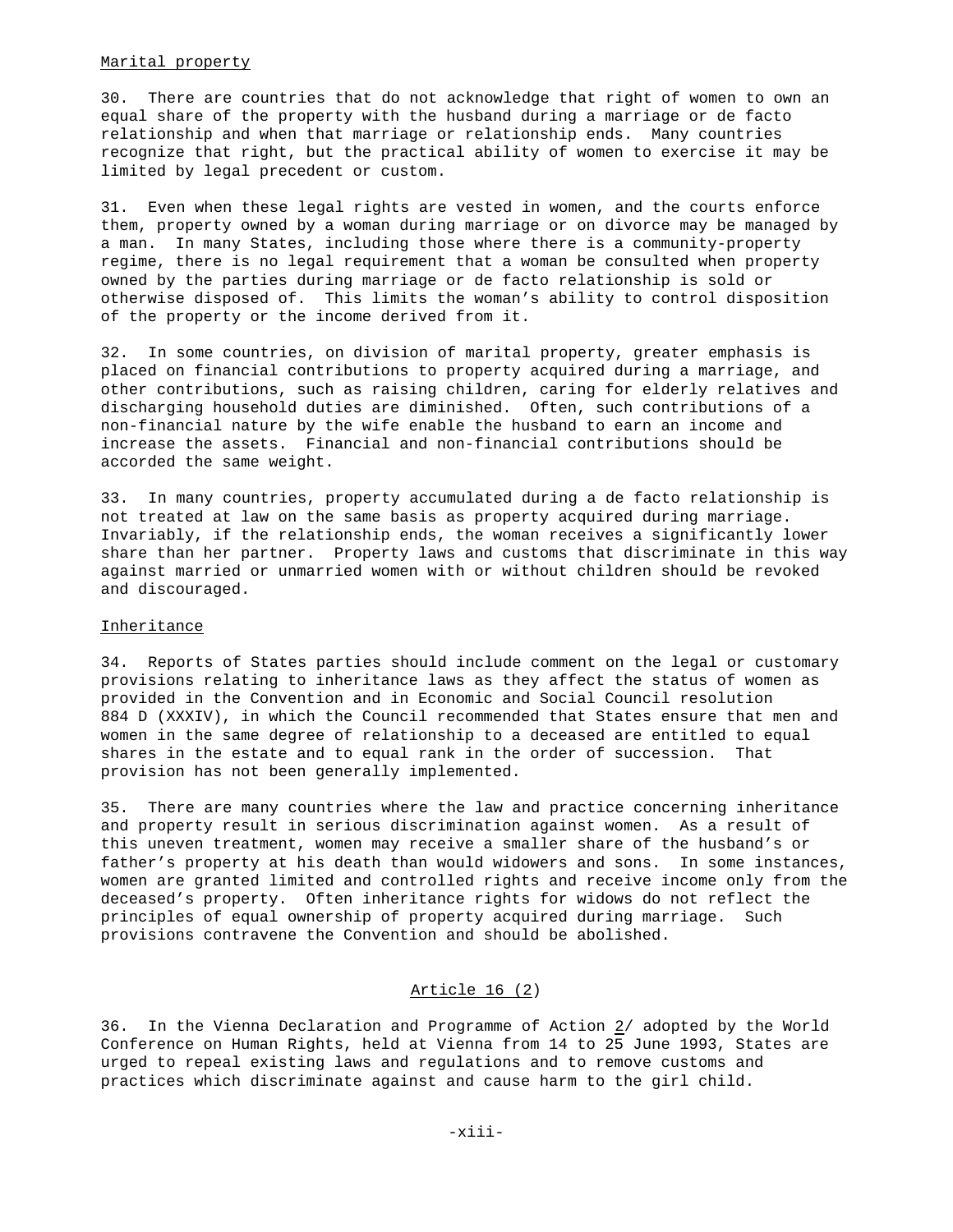### Marital property

30. There are countries that do not acknowledge that right of women to own an equal share of the property with the husband during a marriage or de facto relationship and when that marriage or relationship ends. Many countries recognize that right, but the practical ability of women to exercise it may be limited by legal precedent or custom.

31. Even when these legal rights are vested in women, and the courts enforce them, property owned by a woman during marriage or on divorce may be managed by a man. In many States, including those where there is a community-property regime, there is no legal requirement that a woman be consulted when property owned by the parties during marriage or de facto relationship is sold or otherwise disposed of. This limits the woman's ability to control disposition of the property or the income derived from it.

32. In some countries, on division of marital property, greater emphasis is placed on financial contributions to property acquired during a marriage, and other contributions, such as raising children, caring for elderly relatives and discharging household duties are diminished. Often, such contributions of a non-financial nature by the wife enable the husband to earn an income and increase the assets. Financial and non-financial contributions should be accorded the same weight.

33. In many countries, property accumulated during a de facto relationship is not treated at law on the same basis as property acquired during marriage. Invariably, if the relationship ends, the woman receives a significantly lower share than her partner. Property laws and customs that discriminate in this way against married or unmarried women with or without children should be revoked and discouraged.

### **Inheritance**

34. Reports of States parties should include comment on the legal or customary provisions relating to inheritance laws as they affect the status of women as provided in the Convention and in Economic and Social Council resolution 884 D (XXXIV), in which the Council recommended that States ensure that men and women in the same degree of relationship to a deceased are entitled to equal shares in the estate and to equal rank in the order of succession. That provision has not been generally implemented.

35. There are many countries where the law and practice concerning inheritance and property result in serious discrimination against women. As a result of this uneven treatment, women may receive a smaller share of the husband's or father's property at his death than would widowers and sons. In some instances, women are granted limited and controlled rights and receive income only from the deceased's property. Often inheritance rights for widows do not reflect the principles of equal ownership of property acquired during marriage. Such provisions contravene the Convention and should be abolished.

## Article 16 (2)

36. In the Vienna Declaration and Programme of Action  $2/$  adopted by the World Conference on Human Rights, held at Vienna from 14 to 25 June 1993, States are urged to repeal existing laws and regulations and to remove customs and practices which discriminate against and cause harm to the girl child.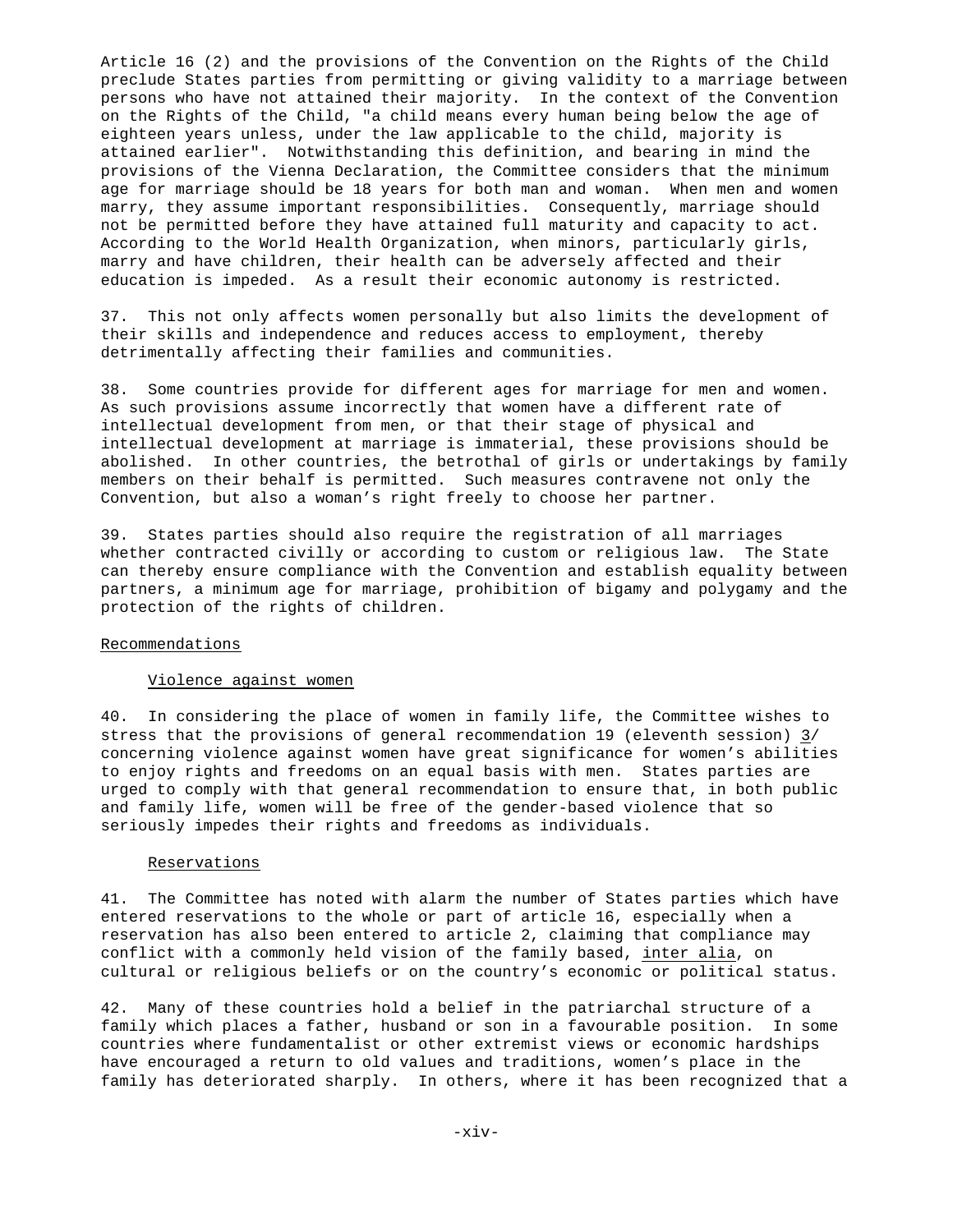Article 16 (2) and the provisions of the Convention on the Rights of the Child preclude States parties from permitting or giving validity to a marriage between persons who have not attained their majority. In the context of the Convention on the Rights of the Child, "a child means every human being below the age of eighteen years unless, under the law applicable to the child, majority is attained earlier". Notwithstanding this definition, and bearing in mind the provisions of the Vienna Declaration, the Committee considers that the minimum age for marriage should be 18 years for both man and woman. When men and women marry, they assume important responsibilities. Consequently, marriage should not be permitted before they have attained full maturity and capacity to act. According to the World Health Organization, when minors, particularly girls, marry and have children, their health can be adversely affected and their education is impeded. As a result their economic autonomy is restricted.

37. This not only affects women personally but also limits the development of their skills and independence and reduces access to employment, thereby detrimentally affecting their families and communities.

38. Some countries provide for different ages for marriage for men and women. As such provisions assume incorrectly that women have a different rate of intellectual development from men, or that their stage of physical and intellectual development at marriage is immaterial, these provisions should be abolished. In other countries, the betrothal of girls or undertakings by family members on their behalf is permitted. Such measures contravene not only the Convention, but also a woman's right freely to choose her partner.

39. States parties should also require the registration of all marriages whether contracted civilly or according to custom or religious law. The State can thereby ensure compliance with the Convention and establish equality between partners, a minimum age for marriage, prohibition of bigamy and polygamy and the protection of the rights of children.

### Recommendations

#### Violence against women

40. In considering the place of women in family life, the Committee wishes to stress that the provisions of general recommendation 19 (eleventh session)  $3/$ concerning violence against women have great significance for women's abilities to enjoy rights and freedoms on an equal basis with men. States parties are urged to comply with that general recommendation to ensure that, in both public and family life, women will be free of the gender-based violence that so seriously impedes their rights and freedoms as individuals.

## **Reservations**

41. The Committee has noted with alarm the number of States parties which have entered reservations to the whole or part of article 16, especially when a reservation has also been entered to article 2, claiming that compliance may conflict with a commonly held vision of the family based, inter alia, on cultural or religious beliefs or on the country's economic or political status.

42. Many of these countries hold a belief in the patriarchal structure of a family which places a father, husband or son in a favourable position. In some countries where fundamentalist or other extremist views or economic hardships have encouraged a return to old values and traditions, women's place in the family has deteriorated sharply. In others, where it has been recognized that a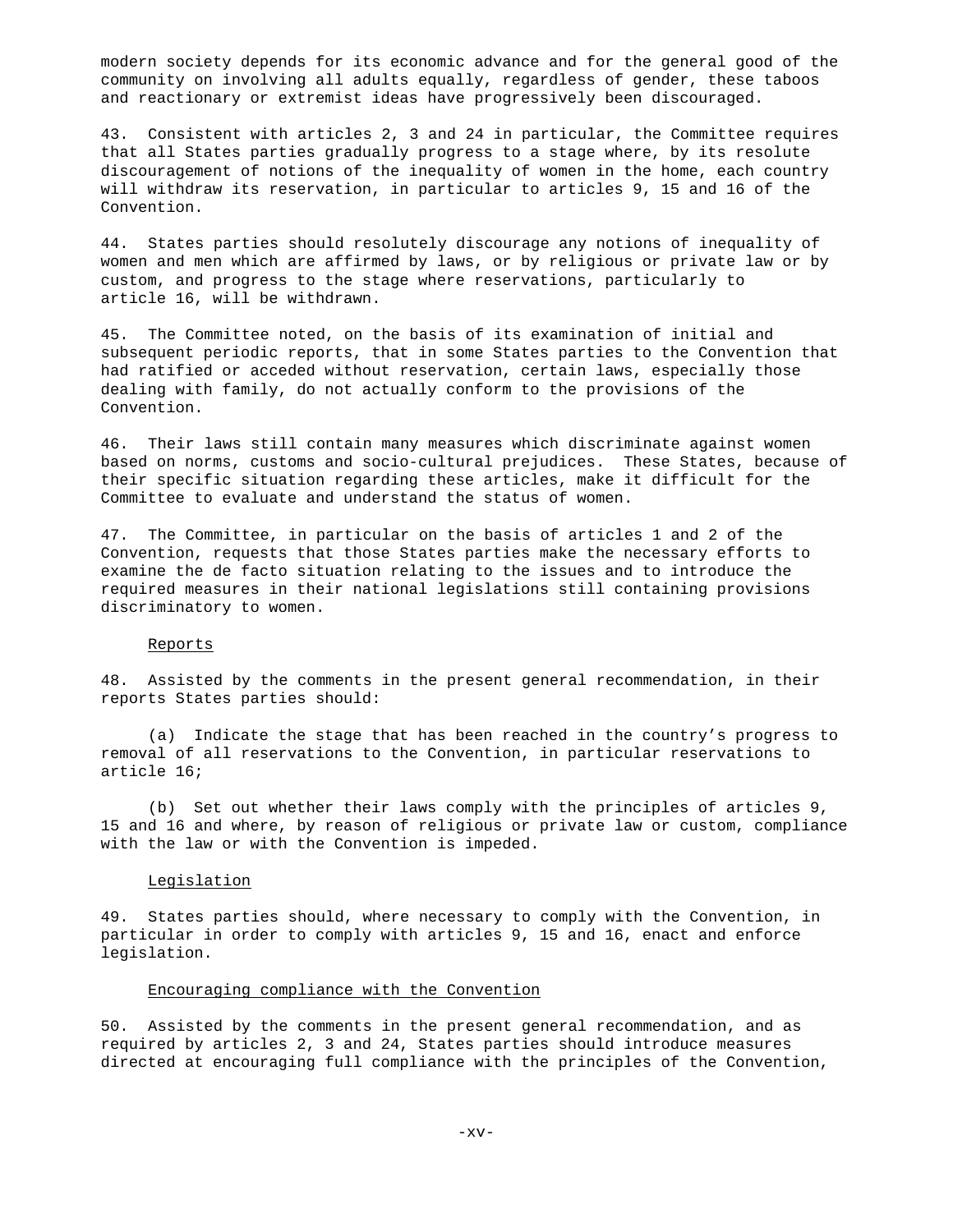modern society depends for its economic advance and for the general good of the community on involving all adults equally, regardless of gender, these taboos and reactionary or extremist ideas have progressively been discouraged.

43. Consistent with articles 2, 3 and 24 in particular, the Committee requires that all States parties gradually progress to a stage where, by its resolute discouragement of notions of the inequality of women in the home, each country will withdraw its reservation, in particular to articles 9, 15 and 16 of the Convention.

44. States parties should resolutely discourage any notions of inequality of women and men which are affirmed by laws, or by religious or private law or by custom, and progress to the stage where reservations, particularly to article 16, will be withdrawn.

45. The Committee noted, on the basis of its examination of initial and subsequent periodic reports, that in some States parties to the Convention that had ratified or acceded without reservation, certain laws, especially those dealing with family, do not actually conform to the provisions of the Convention.

46. Their laws still contain many measures which discriminate against women based on norms, customs and socio-cultural prejudices. These States, because of their specific situation regarding these articles, make it difficult for the Committee to evaluate and understand the status of women.

47. The Committee, in particular on the basis of articles 1 and 2 of the Convention, requests that those States parties make the necessary efforts to examine the de facto situation relating to the issues and to introduce the required measures in their national legislations still containing provisions discriminatory to women.

#### Reports

48. Assisted by the comments in the present general recommendation, in their reports States parties should:

(a) Indicate the stage that has been reached in the country's progress to removal of all reservations to the Convention, in particular reservations to article 16;

(b) Set out whether their laws comply with the principles of articles 9, 15 and 16 and where, by reason of religious or private law or custom, compliance with the law or with the Convention is impeded.

### **Legislation**

49. States parties should, where necessary to comply with the Convention, in particular in order to comply with articles 9, 15 and 16, enact and enforce legislation.

## Encouraging compliance with the Convention

50. Assisted by the comments in the present general recommendation, and as required by articles 2, 3 and 24, States parties should introduce measures directed at encouraging full compliance with the principles of the Convention,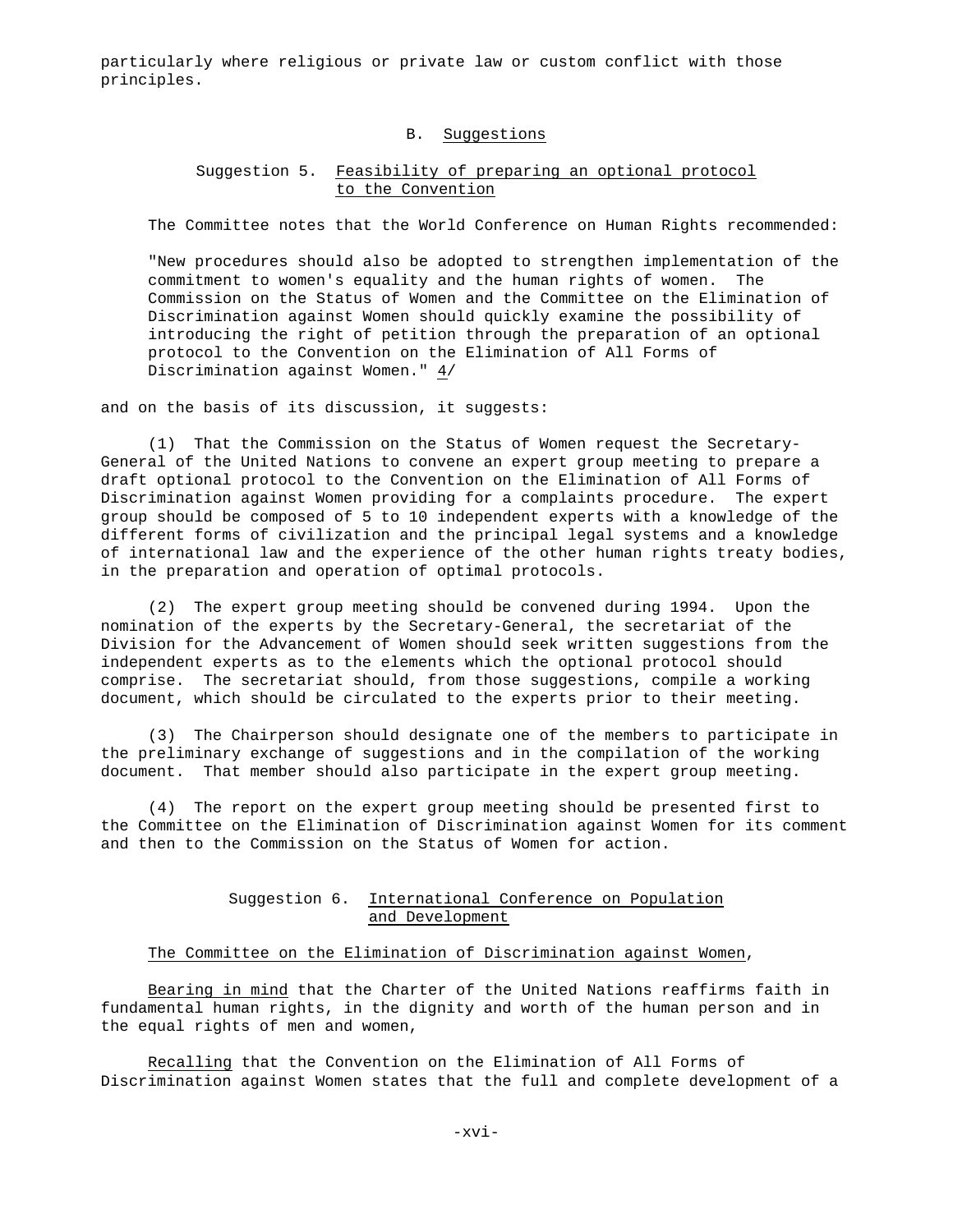particularly where religious or private law or custom conflict with those principles.

### B. Suggestions

# Suggestion 5. Feasibility of preparing an optional protocol to the Convention

The Committee notes that the World Conference on Human Rights recommended:

"New procedures should also be adopted to strengthen implementation of the commitment to women's equality and the human rights of women. The Commission on the Status of Women and the Committee on the Elimination of Discrimination against Women should quickly examine the possibility of introducing the right of petition through the preparation of an optional protocol to the Convention on the Elimination of All Forms of Discrimination against Women." 4/

and on the basis of its discussion, it suggests:

(1) That the Commission on the Status of Women request the Secretary-General of the United Nations to convene an expert group meeting to prepare a draft optional protocol to the Convention on the Elimination of All Forms of Discrimination against Women providing for a complaints procedure. The expert group should be composed of 5 to 10 independent experts with a knowledge of the different forms of civilization and the principal legal systems and a knowledge of international law and the experience of the other human rights treaty bodies, in the preparation and operation of optimal protocols.

(2) The expert group meeting should be convened during 1994. Upon the nomination of the experts by the Secretary-General, the secretariat of the Division for the Advancement of Women should seek written suggestions from the independent experts as to the elements which the optional protocol should comprise. The secretariat should, from those suggestions, compile a working document, which should be circulated to the experts prior to their meeting.

(3) The Chairperson should designate one of the members to participate in the preliminary exchange of suggestions and in the compilation of the working document. That member should also participate in the expert group meeting.

(4) The report on the expert group meeting should be presented first to the Committee on the Elimination of Discrimination against Women for its comment and then to the Commission on the Status of Women for action.

# Suggestion 6. International Conference on Population and Development

### The Committee on the Elimination of Discrimination against Women,

Bearing in mind that the Charter of the United Nations reaffirms faith in fundamental human rights, in the dignity and worth of the human person and in the equal rights of men and women,

Recalling that the Convention on the Elimination of All Forms of Discrimination against Women states that the full and complete development of a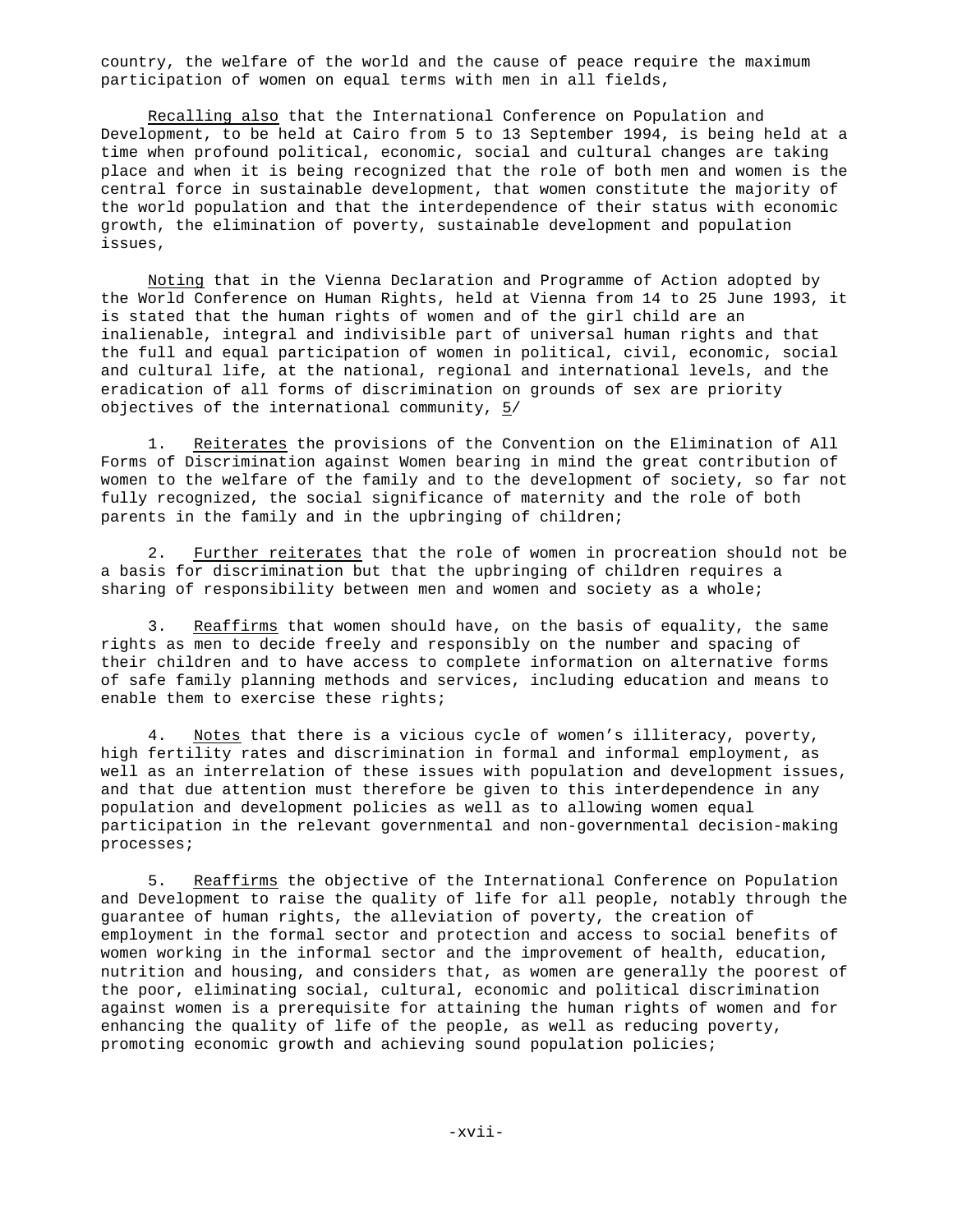country, the welfare of the world and the cause of peace require the maximum participation of women on equal terms with men in all fields,

Recalling also that the International Conference on Population and Development, to be held at Cairo from 5 to 13 September 1994, is being held at a time when profound political, economic, social and cultural changes are taking place and when it is being recognized that the role of both men and women is the central force in sustainable development, that women constitute the majority of the world population and that the interdependence of their status with economic growth, the elimination of poverty, sustainable development and population issues,

Noting that in the Vienna Declaration and Programme of Action adopted by the World Conference on Human Rights, held at Vienna from 14 to 25 June 1993, it is stated that the human rights of women and of the girl child are an inalienable, integral and indivisible part of universal human rights and that the full and equal participation of women in political, civil, economic, social and cultural life, at the national, regional and international levels, and the eradication of all forms of discrimination on grounds of sex are priority objectives of the international community,  $5/$ 

1. Reiterates the provisions of the Convention on the Elimination of All Forms of Discrimination against Women bearing in mind the great contribution of women to the welfare of the family and to the development of society, so far not fully recognized, the social significance of maternity and the role of both parents in the family and in the upbringing of children;

2. Further reiterates that the role of women in procreation should not be a basis for discrimination but that the upbringing of children requires a sharing of responsibility between men and women and society as a whole;

3. Reaffirms that women should have, on the basis of equality, the same rights as men to decide freely and responsibly on the number and spacing of their children and to have access to complete information on alternative forms of safe family planning methods and services, including education and means to enable them to exercise these rights;

4. Notes that there is a vicious cycle of women's illiteracy, poverty, high fertility rates and discrimination in formal and informal employment, as well as an interrelation of these issues with population and development issues, and that due attention must therefore be given to this interdependence in any population and development policies as well as to allowing women equal participation in the relevant governmental and non-governmental decision-making processes;

5. Reaffirms the objective of the International Conference on Population and Development to raise the quality of life for all people, notably through the guarantee of human rights, the alleviation of poverty, the creation of employment in the formal sector and protection and access to social benefits of women working in the informal sector and the improvement of health, education, nutrition and housing, and considers that, as women are generally the poorest of the poor, eliminating social, cultural, economic and political discrimination against women is a prerequisite for attaining the human rights of women and for enhancing the quality of life of the people, as well as reducing poverty, promoting economic growth and achieving sound population policies;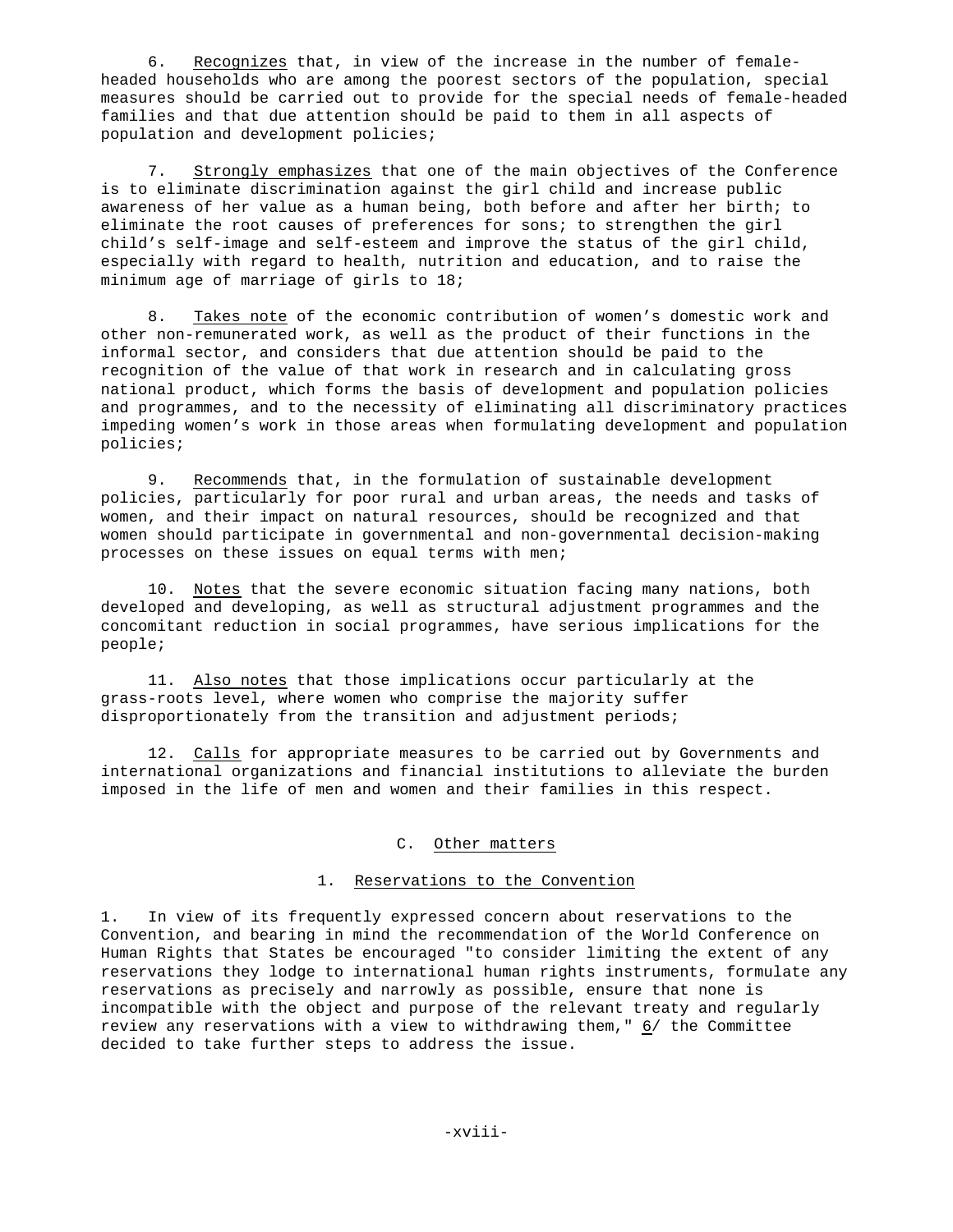6. Recognizes that, in view of the increase in the number of femaleheaded households who are among the poorest sectors of the population, special measures should be carried out to provide for the special needs of female-headed families and that due attention should be paid to them in all aspects of population and development policies;

7. Strongly emphasizes that one of the main objectives of the Conference is to eliminate discrimination against the girl child and increase public awareness of her value as a human being, both before and after her birth; to eliminate the root causes of preferences for sons; to strengthen the girl child's self-image and self-esteem and improve the status of the girl child, especially with regard to health, nutrition and education, and to raise the minimum age of marriage of girls to 18;

8. Takes note of the economic contribution of women's domestic work and other non-remunerated work, as well as the product of their functions in the informal sector, and considers that due attention should be paid to the recognition of the value of that work in research and in calculating gross national product, which forms the basis of development and population policies and programmes, and to the necessity of eliminating all discriminatory practices impeding women's work in those areas when formulating development and population policies;

9. Recommends that, in the formulation of sustainable development policies, particularly for poor rural and urban areas, the needs and tasks of women, and their impact on natural resources, should be recognized and that women should participate in governmental and non-governmental decision-making processes on these issues on equal terms with men;

10. Notes that the severe economic situation facing many nations, both developed and developing, as well as structural adjustment programmes and the concomitant reduction in social programmes, have serious implications for the people;

11. Also notes that those implications occur particularly at the grass-roots level, where women who comprise the majority suffer disproportionately from the transition and adjustment periods;

12. Calls for appropriate measures to be carried out by Governments and international organizations and financial institutions to alleviate the burden imposed in the life of men and women and their families in this respect.

# C. Other matters

## 1. Reservations to the Convention

1. In view of its frequently expressed concern about reservations to the Convention, and bearing in mind the recommendation of the World Conference on Human Rights that States be encouraged "to consider limiting the extent of any reservations they lodge to international human rights instruments, formulate any reservations as precisely and narrowly as possible, ensure that none is incompatible with the object and purpose of the relevant treaty and regularly review any reservations with a view to withdrawing them,"  $6/$  the Committee decided to take further steps to address the issue.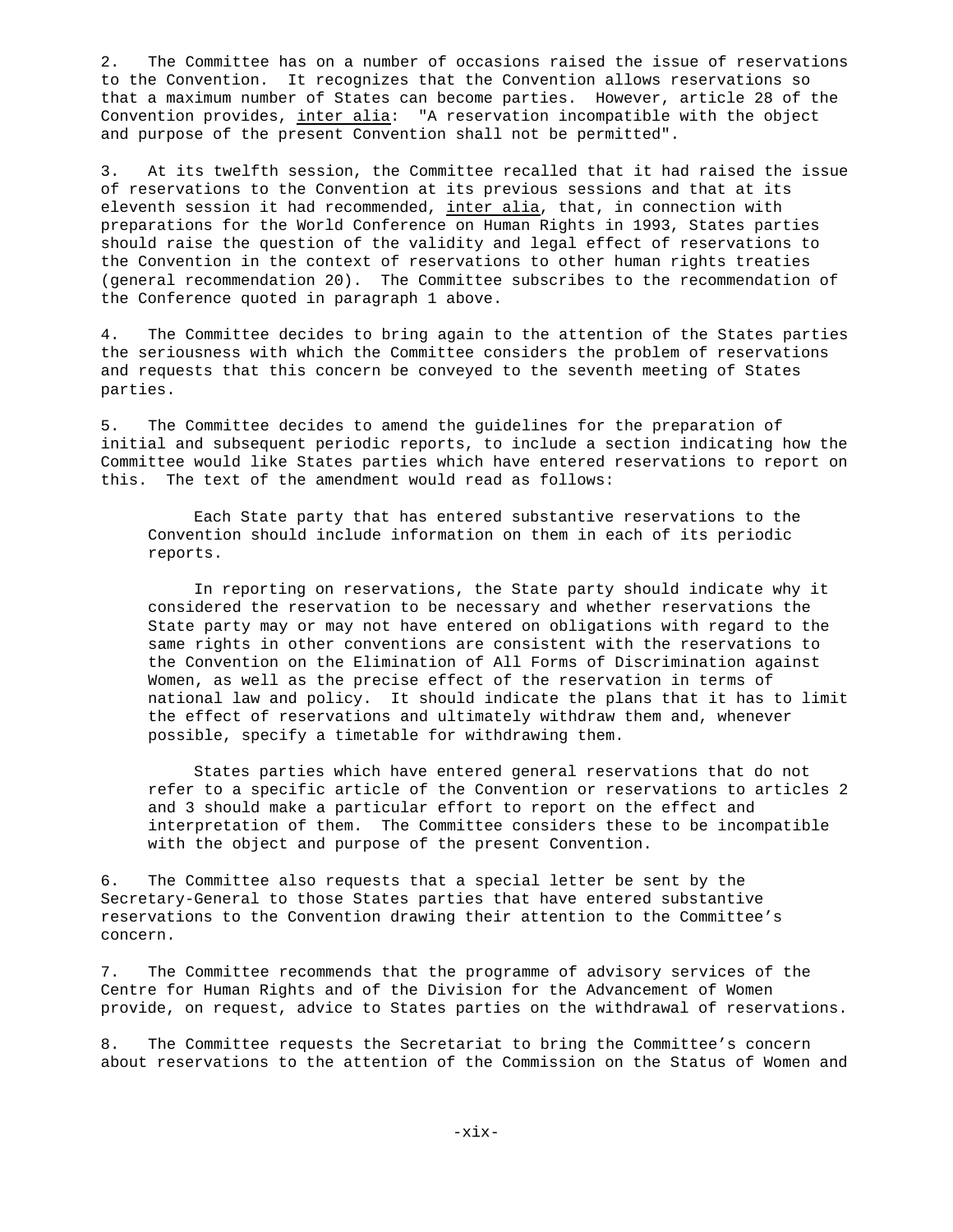2. The Committee has on a number of occasions raised the issue of reservations to the Convention. It recognizes that the Convention allows reservations so that a maximum number of States can become parties. However, article 28 of the Convention provides, inter alia: "A reservation incompatible with the object and purpose of the present Convention shall not be permitted".

3. At its twelfth session, the Committee recalled that it had raised the issue of reservations to the Convention at its previous sessions and that at its eleventh session it had recommended, inter alia, that, in connection with preparations for the World Conference on Human Rights in 1993, States parties should raise the question of the validity and legal effect of reservations to the Convention in the context of reservations to other human rights treaties (general recommendation 20). The Committee subscribes to the recommendation of the Conference quoted in paragraph 1 above.

4. The Committee decides to bring again to the attention of the States parties the seriousness with which the Committee considers the problem of reservations and requests that this concern be conveyed to the seventh meeting of States parties.

5. The Committee decides to amend the guidelines for the preparation of initial and subsequent periodic reports, to include a section indicating how the Committee would like States parties which have entered reservations to report on this. The text of the amendment would read as follows:

Each State party that has entered substantive reservations to the Convention should include information on them in each of its periodic reports.

In reporting on reservations, the State party should indicate why it considered the reservation to be necessary and whether reservations the State party may or may not have entered on obligations with regard to the same rights in other conventions are consistent with the reservations to the Convention on the Elimination of All Forms of Discrimination against Women, as well as the precise effect of the reservation in terms of national law and policy. It should indicate the plans that it has to limit the effect of reservations and ultimately withdraw them and, whenever possible, specify a timetable for withdrawing them.

States parties which have entered general reservations that do not refer to a specific article of the Convention or reservations to articles 2 and 3 should make a particular effort to report on the effect and interpretation of them. The Committee considers these to be incompatible with the object and purpose of the present Convention.

6. The Committee also requests that a special letter be sent by the Secretary-General to those States parties that have entered substantive reservations to the Convention drawing their attention to the Committee's concern.

7. The Committee recommends that the programme of advisory services of the Centre for Human Rights and of the Division for the Advancement of Women provide, on request, advice to States parties on the withdrawal of reservations.

8. The Committee requests the Secretariat to bring the Committee's concern about reservations to the attention of the Commission on the Status of Women and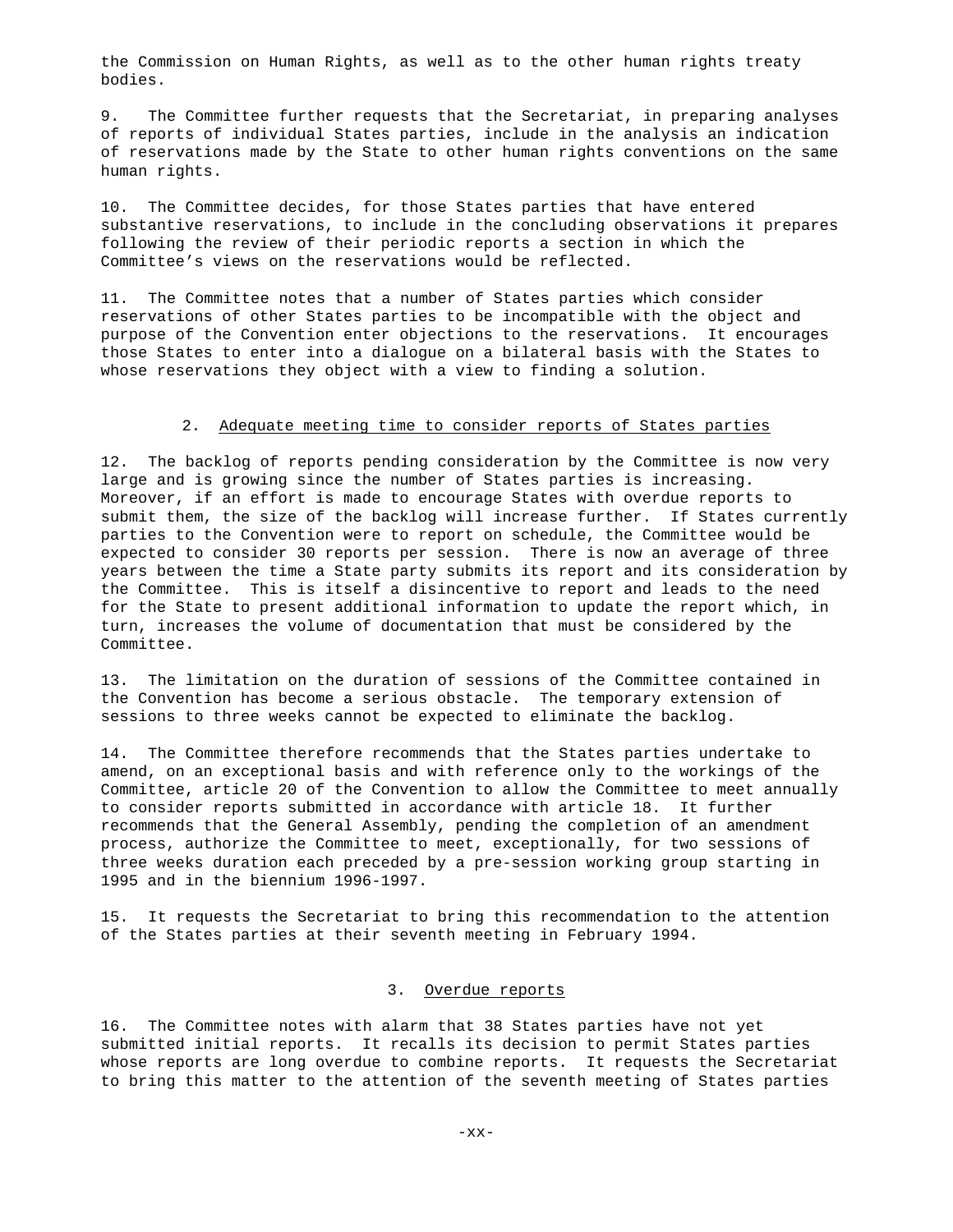the Commission on Human Rights, as well as to the other human rights treaty bodies.

9. The Committee further requests that the Secretariat, in preparing analyses of reports of individual States parties, include in the analysis an indication of reservations made by the State to other human rights conventions on the same human rights.

10. The Committee decides, for those States parties that have entered substantive reservations, to include in the concluding observations it prepares following the review of their periodic reports a section in which the Committee's views on the reservations would be reflected.

11. The Committee notes that a number of States parties which consider reservations of other States parties to be incompatible with the object and purpose of the Convention enter objections to the reservations. It encourages those States to enter into a dialogue on a bilateral basis with the States to whose reservations they object with a view to finding a solution.

### 2. Adequate meeting time to consider reports of States parties

12. The backlog of reports pending consideration by the Committee is now very large and is growing since the number of States parties is increasing. Moreover, if an effort is made to encourage States with overdue reports to submit them, the size of the backlog will increase further. If States currently parties to the Convention were to report on schedule, the Committee would be expected to consider 30 reports per session. There is now an average of three years between the time a State party submits its report and its consideration by the Committee. This is itself a disincentive to report and leads to the need for the State to present additional information to update the report which, in turn, increases the volume of documentation that must be considered by the Committee.

13. The limitation on the duration of sessions of the Committee contained in the Convention has become a serious obstacle. The temporary extension of sessions to three weeks cannot be expected to eliminate the backlog.

14. The Committee therefore recommends that the States parties undertake to amend, on an exceptional basis and with reference only to the workings of the Committee, article 20 of the Convention to allow the Committee to meet annually to consider reports submitted in accordance with article 18. It further recommends that the General Assembly, pending the completion of an amendment process, authorize the Committee to meet, exceptionally, for two sessions of three weeks duration each preceded by a pre-session working group starting in 1995 and in the biennium 1996-1997.

15. It requests the Secretariat to bring this recommendation to the attention of the States parties at their seventh meeting in February 1994.

## 3. Overdue reports

16. The Committee notes with alarm that 38 States parties have not yet submitted initial reports. It recalls its decision to permit States parties whose reports are long overdue to combine reports. It requests the Secretariat to bring this matter to the attention of the seventh meeting of States parties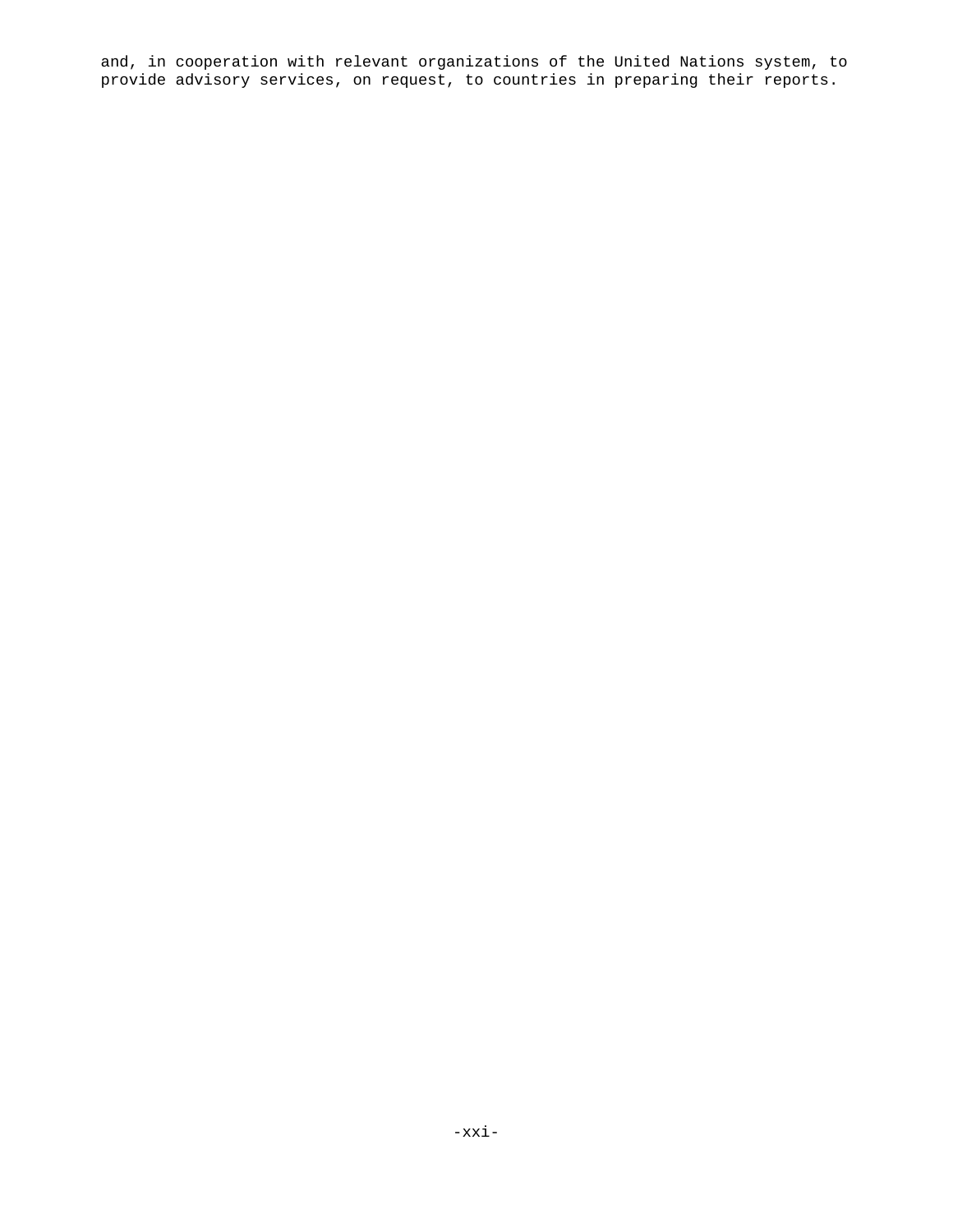and, in cooperation with relevant organizations of the United Nations system, to provide advisory services, on request, to countries in preparing their reports.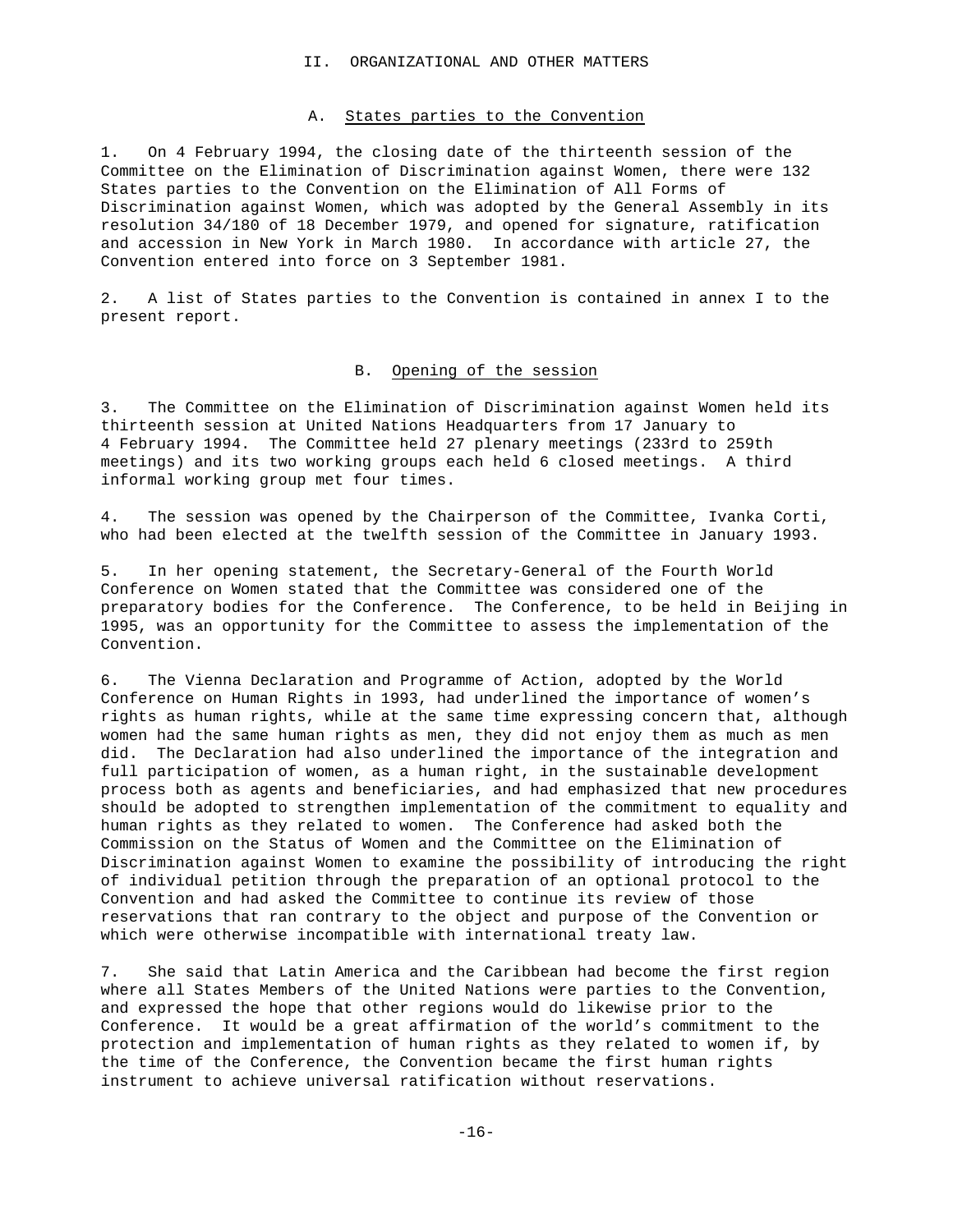#### II. ORGANIZATIONAL AND OTHER MATTERS

### A. States parties to the Convention

1. On 4 February 1994, the closing date of the thirteenth session of the Committee on the Elimination of Discrimination against Women, there were 132 States parties to the Convention on the Elimination of All Forms of Discrimination against Women, which was adopted by the General Assembly in its resolution 34/180 of 18 December 1979, and opened for signature, ratification and accession in New York in March 1980. In accordance with article 27, the Convention entered into force on 3 September 1981.

2. A list of States parties to the Convention is contained in annex I to the present report.

## B. Opening of the session

3. The Committee on the Elimination of Discrimination against Women held its thirteenth session at United Nations Headquarters from 17 January to 4 February 1994. The Committee held 27 plenary meetings (233rd to 259th meetings) and its two working groups each held 6 closed meetings. A third informal working group met four times.

4. The session was opened by the Chairperson of the Committee, Ivanka Corti, who had been elected at the twelfth session of the Committee in January 1993.

5. In her opening statement, the Secretary-General of the Fourth World Conference on Women stated that the Committee was considered one of the preparatory bodies for the Conference. The Conference, to be held in Beijing in 1995, was an opportunity for the Committee to assess the implementation of the Convention.

6. The Vienna Declaration and Programme of Action, adopted by the World Conference on Human Rights in 1993, had underlined the importance of women's rights as human rights, while at the same time expressing concern that, although women had the same human rights as men, they did not enjoy them as much as men did. The Declaration had also underlined the importance of the integration and full participation of women, as a human right, in the sustainable development process both as agents and beneficiaries, and had emphasized that new procedures should be adopted to strengthen implementation of the commitment to equality and human rights as they related to women. The Conference had asked both the Commission on the Status of Women and the Committee on the Elimination of Discrimination against Women to examine the possibility of introducing the right of individual petition through the preparation of an optional protocol to the Convention and had asked the Committee to continue its review of those reservations that ran contrary to the object and purpose of the Convention or which were otherwise incompatible with international treaty law.

7. She said that Latin America and the Caribbean had become the first region where all States Members of the United Nations were parties to the Convention, and expressed the hope that other regions would do likewise prior to the Conference. It would be a great affirmation of the world's commitment to the protection and implementation of human rights as they related to women if, by the time of the Conference, the Convention became the first human rights instrument to achieve universal ratification without reservations.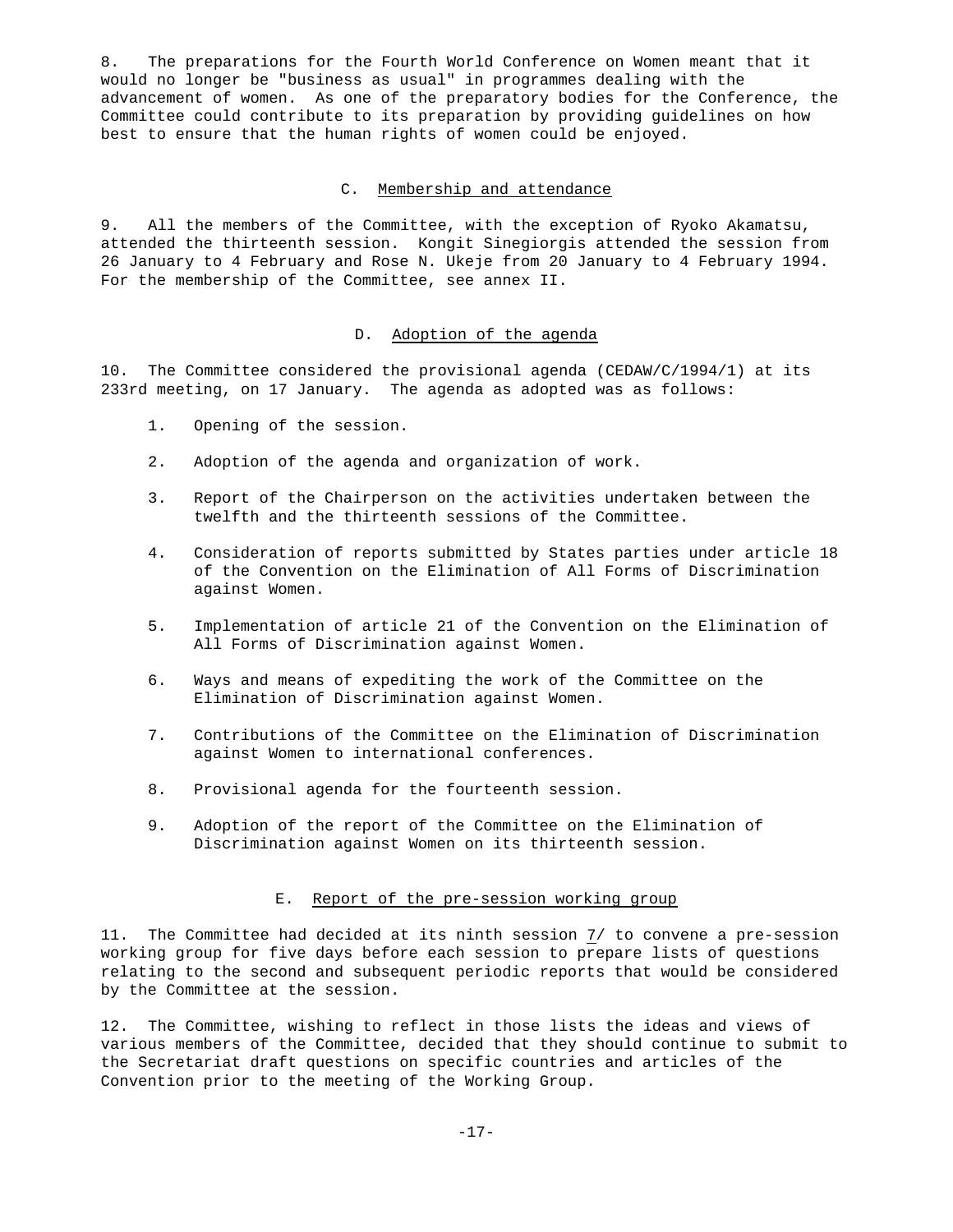8. The preparations for the Fourth World Conference on Women meant that it would no longer be "business as usual" in programmes dealing with the advancement of women. As one of the preparatory bodies for the Conference, the Committee could contribute to its preparation by providing guidelines on how best to ensure that the human rights of women could be enjoyed.

## C. Membership and attendance

9. All the members of the Committee, with the exception of Ryoko Akamatsu, attended the thirteenth session. Kongit Sinegiorgis attended the session from 26 January to 4 February and Rose N. Ukeje from 20 January to 4 February 1994. For the membership of the Committee, see annex II.

# D. Adoption of the agenda

10. The Committee considered the provisional agenda (CEDAW/C/1994/1) at its 233rd meeting, on 17 January. The agenda as adopted was as follows:

- 1. Opening of the session.
- 2. Adoption of the agenda and organization of work.
- 3. Report of the Chairperson on the activities undertaken between the twelfth and the thirteenth sessions of the Committee.
- 4. Consideration of reports submitted by States parties under article 18 of the Convention on the Elimination of All Forms of Discrimination against Women.
- 5. Implementation of article 21 of the Convention on the Elimination of All Forms of Discrimination against Women.
- 6. Ways and means of expediting the work of the Committee on the Elimination of Discrimination against Women.
- 7. Contributions of the Committee on the Elimination of Discrimination against Women to international conferences.
- 8. Provisional agenda for the fourteenth session.
- 9. Adoption of the report of the Committee on the Elimination of Discrimination against Women on its thirteenth session.

## E. Report of the pre-session working group

11. The Committee had decided at its ninth session  $1/$  to convene a pre-session working group for five days before each session to prepare lists of questions relating to the second and subsequent periodic reports that would be considered by the Committee at the session.

12. The Committee, wishing to reflect in those lists the ideas and views of various members of the Committee, decided that they should continue to submit to the Secretariat draft questions on specific countries and articles of the Convention prior to the meeting of the Working Group.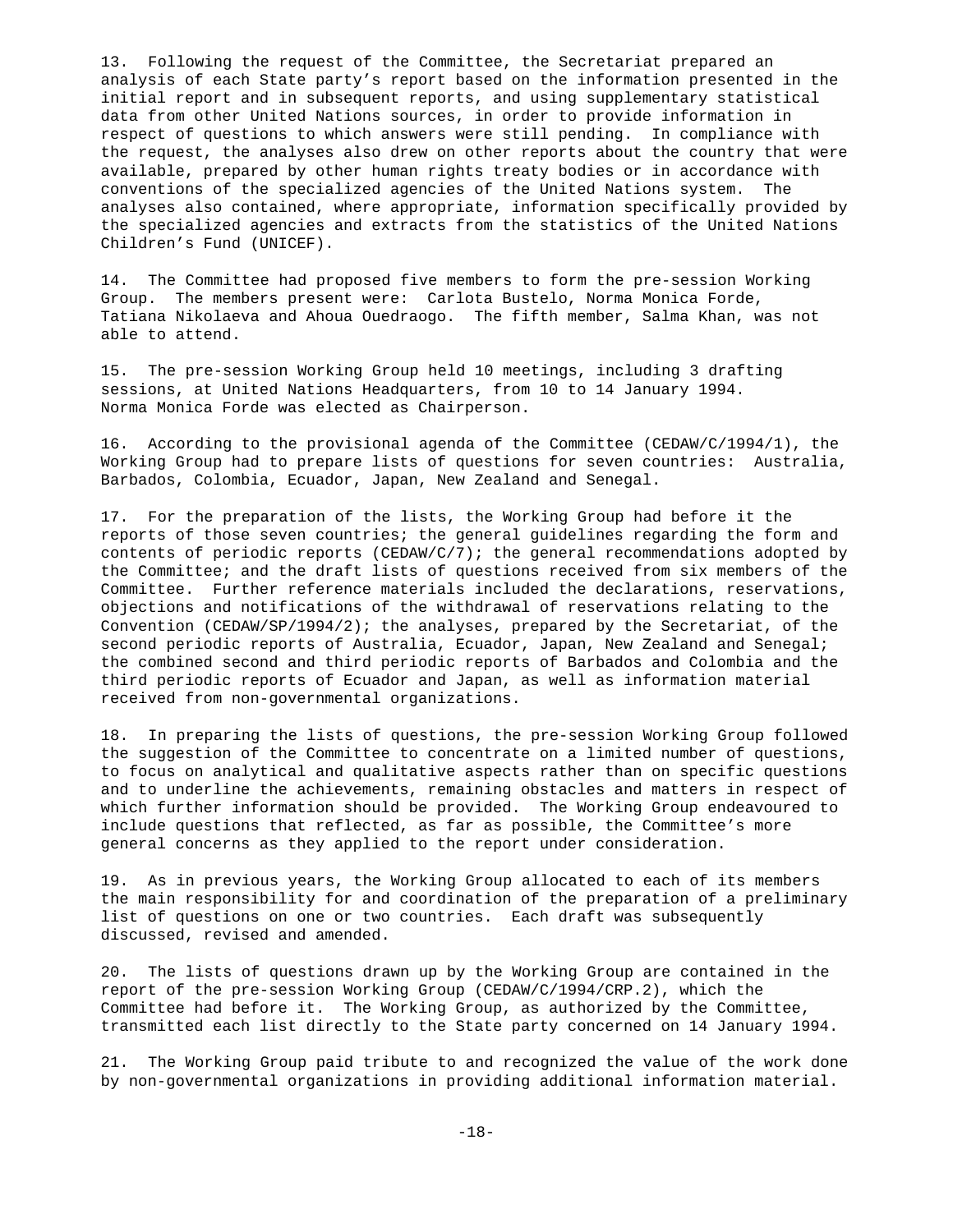13. Following the request of the Committee, the Secretariat prepared an analysis of each State party's report based on the information presented in the initial report and in subsequent reports, and using supplementary statistical data from other United Nations sources, in order to provide information in respect of questions to which answers were still pending. In compliance with the request, the analyses also drew on other reports about the country that were available, prepared by other human rights treaty bodies or in accordance with conventions of the specialized agencies of the United Nations system. The analyses also contained, where appropriate, information specifically provided by the specialized agencies and extracts from the statistics of the United Nations Children's Fund (UNICEF).

14. The Committee had proposed five members to form the pre-session Working Group. The members present were: Carlota Bustelo, Norma Monica Forde, Tatiana Nikolaeva and Ahoua Ouedraogo. The fifth member, Salma Khan, was not able to attend.

15. The pre-session Working Group held 10 meetings, including 3 drafting sessions, at United Nations Headquarters, from 10 to 14 January 1994. Norma Monica Forde was elected as Chairperson.

16. According to the provisional agenda of the Committee (CEDAW/C/1994/1), the Working Group had to prepare lists of questions for seven countries: Australia, Barbados, Colombia, Ecuador, Japan, New Zealand and Senegal.

17. For the preparation of the lists, the Working Group had before it the reports of those seven countries; the general guidelines regarding the form and contents of periodic reports (CEDAW/C/7); the general recommendations adopted by the Committee; and the draft lists of questions received from six members of the Committee. Further reference materials included the declarations, reservations, objections and notifications of the withdrawal of reservations relating to the Convention (CEDAW/SP/1994/2); the analyses, prepared by the Secretariat, of the second periodic reports of Australia, Ecuador, Japan, New Zealand and Senegal; the combined second and third periodic reports of Barbados and Colombia and the third periodic reports of Ecuador and Japan, as well as information material received from non-governmental organizations.

18. In preparing the lists of questions, the pre-session Working Group followed the suggestion of the Committee to concentrate on a limited number of questions, to focus on analytical and qualitative aspects rather than on specific questions and to underline the achievements, remaining obstacles and matters in respect of which further information should be provided. The Working Group endeavoured to include questions that reflected, as far as possible, the Committee's more general concerns as they applied to the report under consideration.

19. As in previous years, the Working Group allocated to each of its members the main responsibility for and coordination of the preparation of a preliminary list of questions on one or two countries. Each draft was subsequently discussed, revised and amended.

20. The lists of questions drawn up by the Working Group are contained in the report of the pre-session Working Group (CEDAW/C/1994/CRP.2), which the Committee had before it. The Working Group, as authorized by the Committee, transmitted each list directly to the State party concerned on 14 January 1994.

21. The Working Group paid tribute to and recognized the value of the work done by non-governmental organizations in providing additional information material.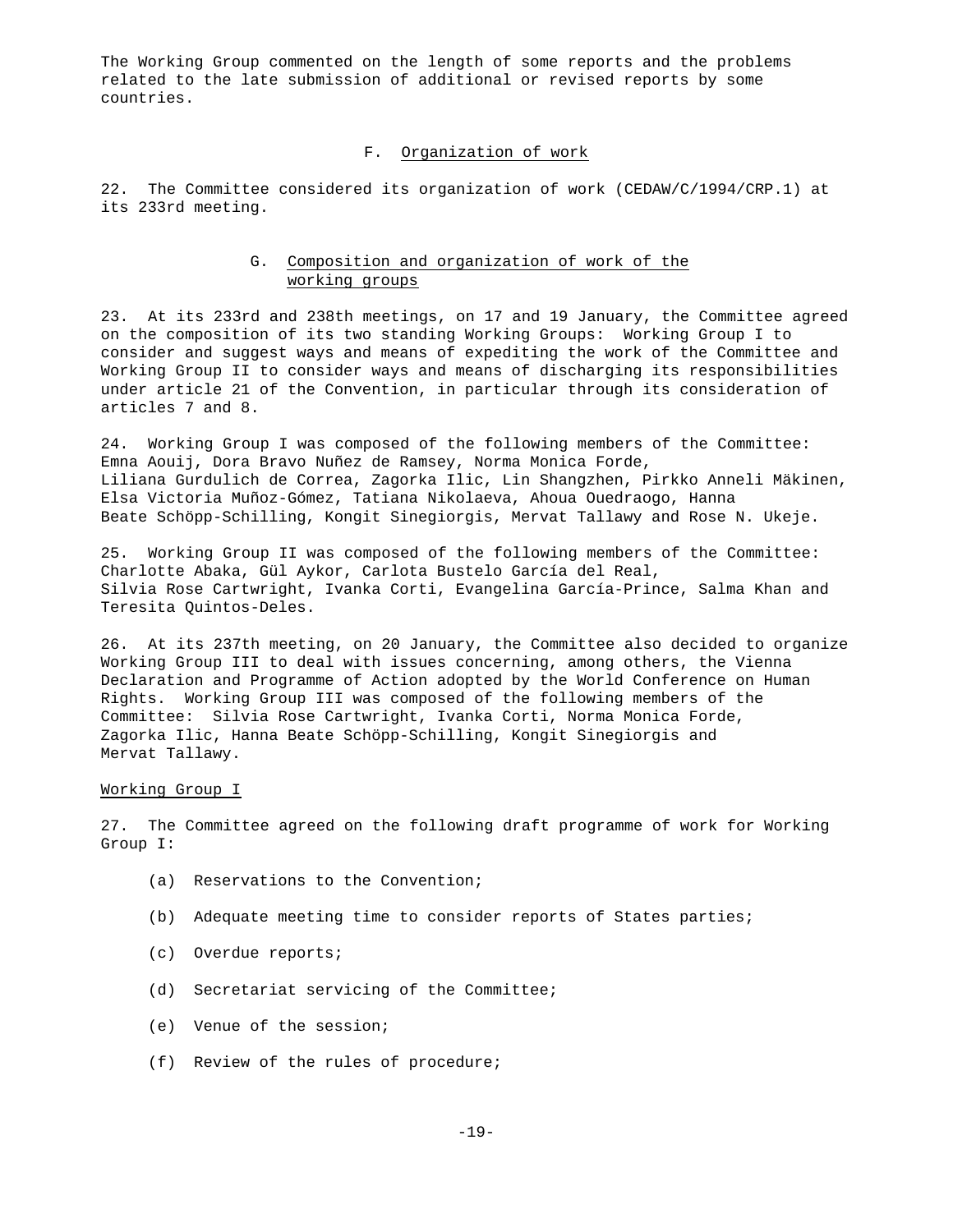The Working Group commented on the length of some reports and the problems related to the late submission of additional or revised reports by some countries.

# F. Organization of work

22. The Committee considered its organization of work (CEDAW/C/1994/CRP.1) at its 233rd meeting.

### G. Composition and organization of work of the working groups

23. At its 233rd and 238th meetings, on 17 and 19 January, the Committee agreed on the composition of its two standing Working Groups: Working Group I to consider and suggest ways and means of expediting the work of the Committee and Working Group II to consider ways and means of discharging its responsibilities under article 21 of the Convention, in particular through its consideration of articles 7 and 8.

24. Working Group I was composed of the following members of the Committee: Emna Aouij, Dora Bravo Nuñez de Ramsey, Norma Monica Forde, Liliana Gurdulich de Correa, Zagorka Ilic, Lin Shangzhen, Pirkko Anneli Mäkinen, Elsa Victoria Muñoz-Gómez, Tatiana Nikolaeva, Ahoua Ouedraogo, Hanna Beate Schöpp-Schilling, Kongit Sinegiorgis, Mervat Tallawy and Rose N. Ukeje.

25. Working Group II was composed of the following members of the Committee: Charlotte Abaka, Gül Aykor, Carlota Bustelo García del Real, Silvia Rose Cartwright, Ivanka Corti, Evangelina García-Prince, Salma Khan and Teresita Quintos-Deles.

26. At its 237th meeting, on 20 January, the Committee also decided to organize Working Group III to deal with issues concerning, among others, the Vienna Declaration and Programme of Action adopted by the World Conference on Human Rights. Working Group III was composed of the following members of the Committee: Silvia Rose Cartwright, Ivanka Corti, Norma Monica Forde, Zagorka Ilic, Hanna Beate Schöpp-Schilling, Kongit Sinegiorgis and Mervat Tallawy.

#### Working Group I

27. The Committee agreed on the following draft programme of work for Working Group I:

- (a) Reservations to the Convention;
- (b) Adequate meeting time to consider reports of States parties;
- (c) Overdue reports;
- (d) Secretariat servicing of the Committee;
- (e) Venue of the session;
- (f) Review of the rules of procedure;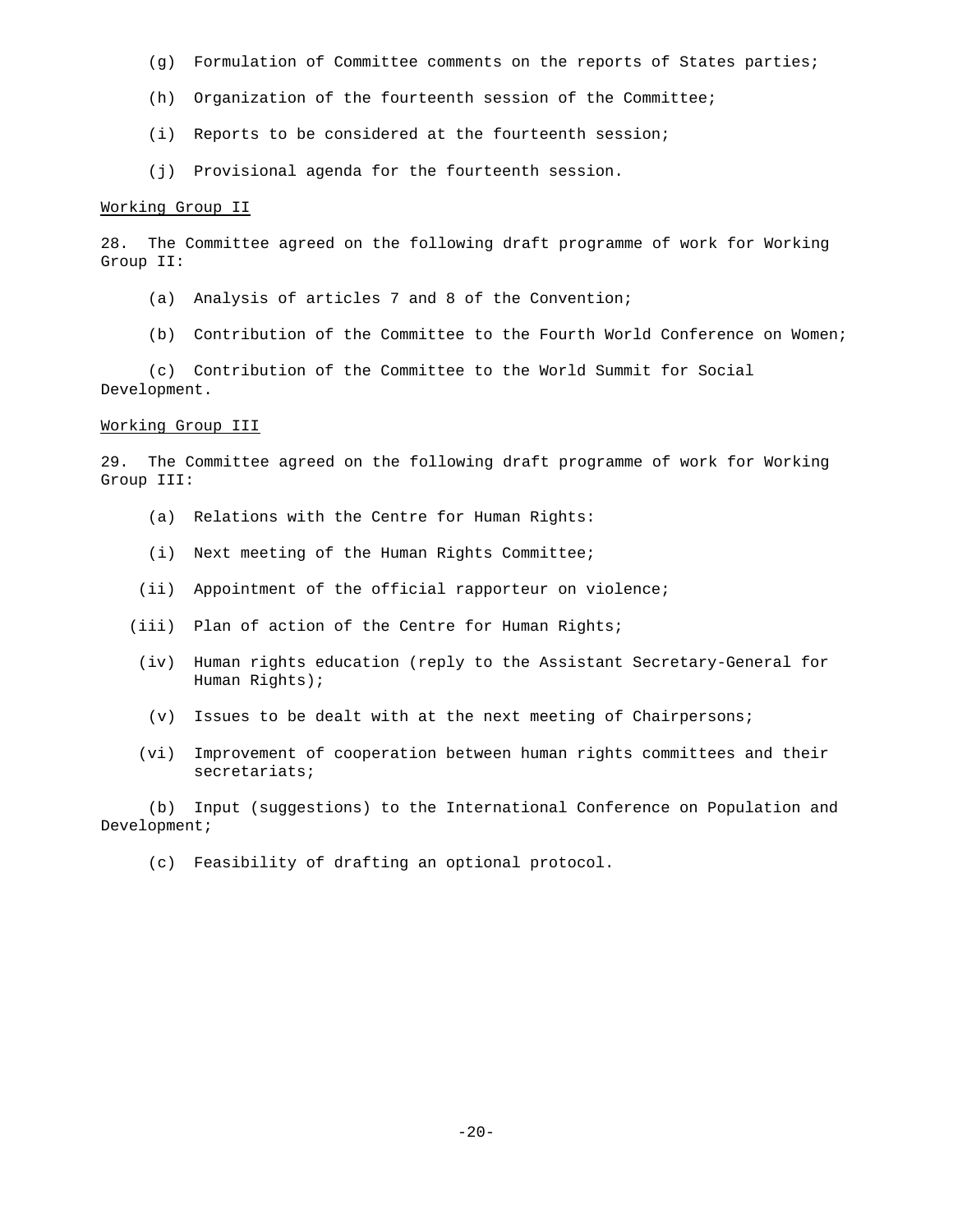- (g) Formulation of Committee comments on the reports of States parties;
- (h) Organization of the fourteenth session of the Committee;
- (i) Reports to be considered at the fourteenth session;
- (j) Provisional agenda for the fourteenth session.

#### Working Group II

28. The Committee agreed on the following draft programme of work for Working Group II:

- (a) Analysis of articles 7 and 8 of the Convention;
- (b) Contribution of the Committee to the Fourth World Conference on Women;

(c) Contribution of the Committee to the World Summit for Social Development.

#### Working Group III

29. The Committee agreed on the following draft programme of work for Working Group III:

- (a) Relations with the Centre for Human Rights:
- (i) Next meeting of the Human Rights Committee;
- (ii) Appointment of the official rapporteur on violence;
- (iii) Plan of action of the Centre for Human Rights;
- (iv) Human rights education (reply to the Assistant Secretary-General for Human Rights);
- (v) Issues to be dealt with at the next meeting of Chairpersons;
- (vi) Improvement of cooperation between human rights committees and their secretariats;

(b) Input (suggestions) to the International Conference on Population and Development;

(c) Feasibility of drafting an optional protocol.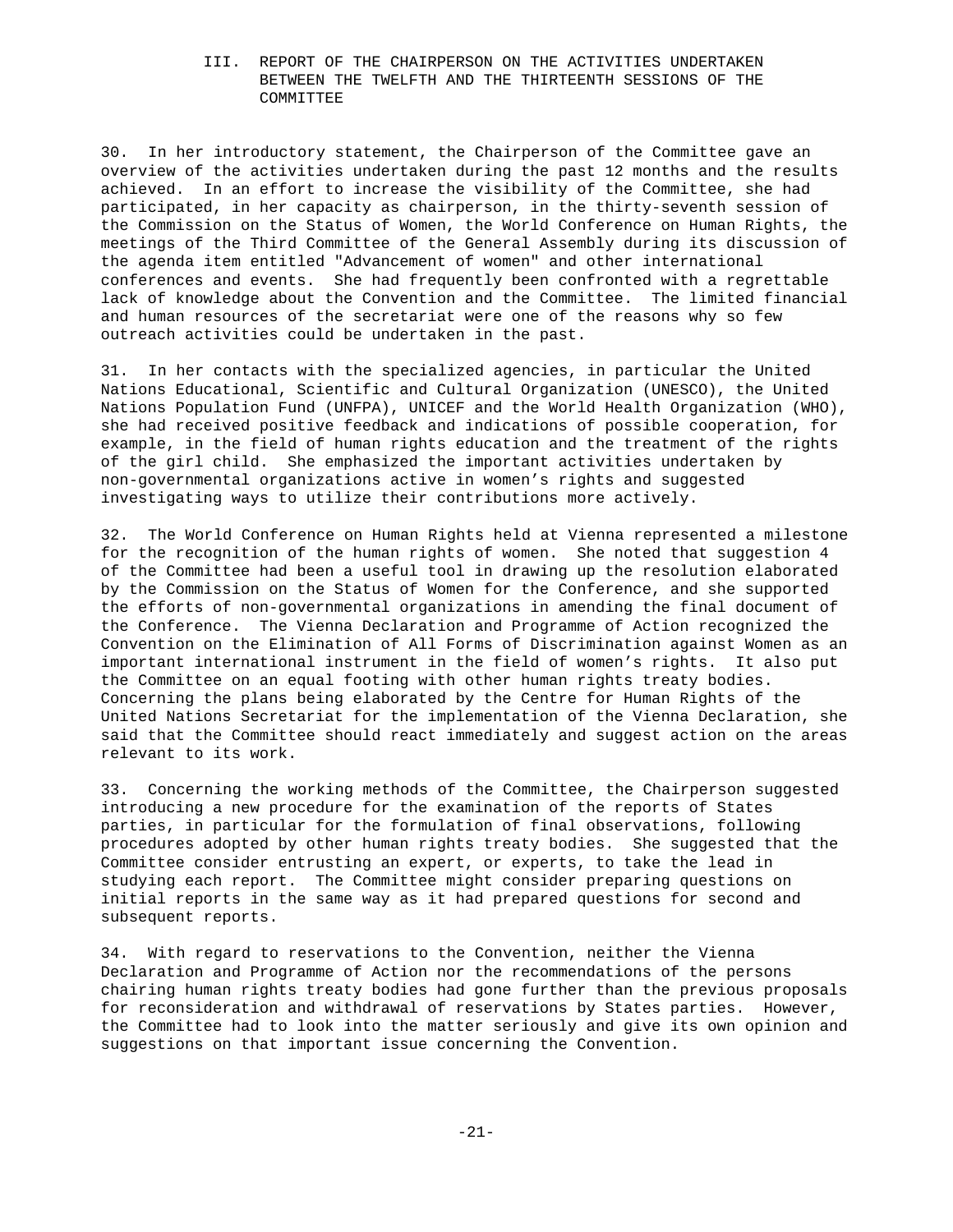## III. REPORT OF THE CHAIRPERSON ON THE ACTIVITIES UNDERTAKEN BETWEEN THE TWELFTH AND THE THIRTEENTH SESSIONS OF THE COMMITTEE

30. In her introductory statement, the Chairperson of the Committee gave an overview of the activities undertaken during the past 12 months and the results achieved. In an effort to increase the visibility of the Committee, she had participated, in her capacity as chairperson, in the thirty-seventh session of the Commission on the Status of Women, the World Conference on Human Rights, the meetings of the Third Committee of the General Assembly during its discussion of the agenda item entitled "Advancement of women" and other international conferences and events. She had frequently been confronted with a regrettable lack of knowledge about the Convention and the Committee. The limited financial and human resources of the secretariat were one of the reasons why so few outreach activities could be undertaken in the past.

31. In her contacts with the specialized agencies, in particular the United Nations Educational, Scientific and Cultural Organization (UNESCO), the United Nations Population Fund (UNFPA), UNICEF and the World Health Organization (WHO), she had received positive feedback and indications of possible cooperation, for example, in the field of human rights education and the treatment of the rights of the girl child. She emphasized the important activities undertaken by non-governmental organizations active in women's rights and suggested investigating ways to utilize their contributions more actively.

32. The World Conference on Human Rights held at Vienna represented a milestone for the recognition of the human rights of women. She noted that suggestion 4 of the Committee had been a useful tool in drawing up the resolution elaborated by the Commission on the Status of Women for the Conference, and she supported the efforts of non-governmental organizations in amending the final document of the Conference. The Vienna Declaration and Programme of Action recognized the Convention on the Elimination of All Forms of Discrimination against Women as an important international instrument in the field of women's rights. It also put the Committee on an equal footing with other human rights treaty bodies. Concerning the plans being elaborated by the Centre for Human Rights of the United Nations Secretariat for the implementation of the Vienna Declaration, she said that the Committee should react immediately and suggest action on the areas relevant to its work.

33. Concerning the working methods of the Committee, the Chairperson suggested introducing a new procedure for the examination of the reports of States parties, in particular for the formulation of final observations, following procedures adopted by other human rights treaty bodies. She suggested that the Committee consider entrusting an expert, or experts, to take the lead in studying each report. The Committee might consider preparing questions on initial reports in the same way as it had prepared questions for second and subsequent reports.

34. With regard to reservations to the Convention, neither the Vienna Declaration and Programme of Action nor the recommendations of the persons chairing human rights treaty bodies had gone further than the previous proposals for reconsideration and withdrawal of reservations by States parties. However, the Committee had to look into the matter seriously and give its own opinion and suggestions on that important issue concerning the Convention.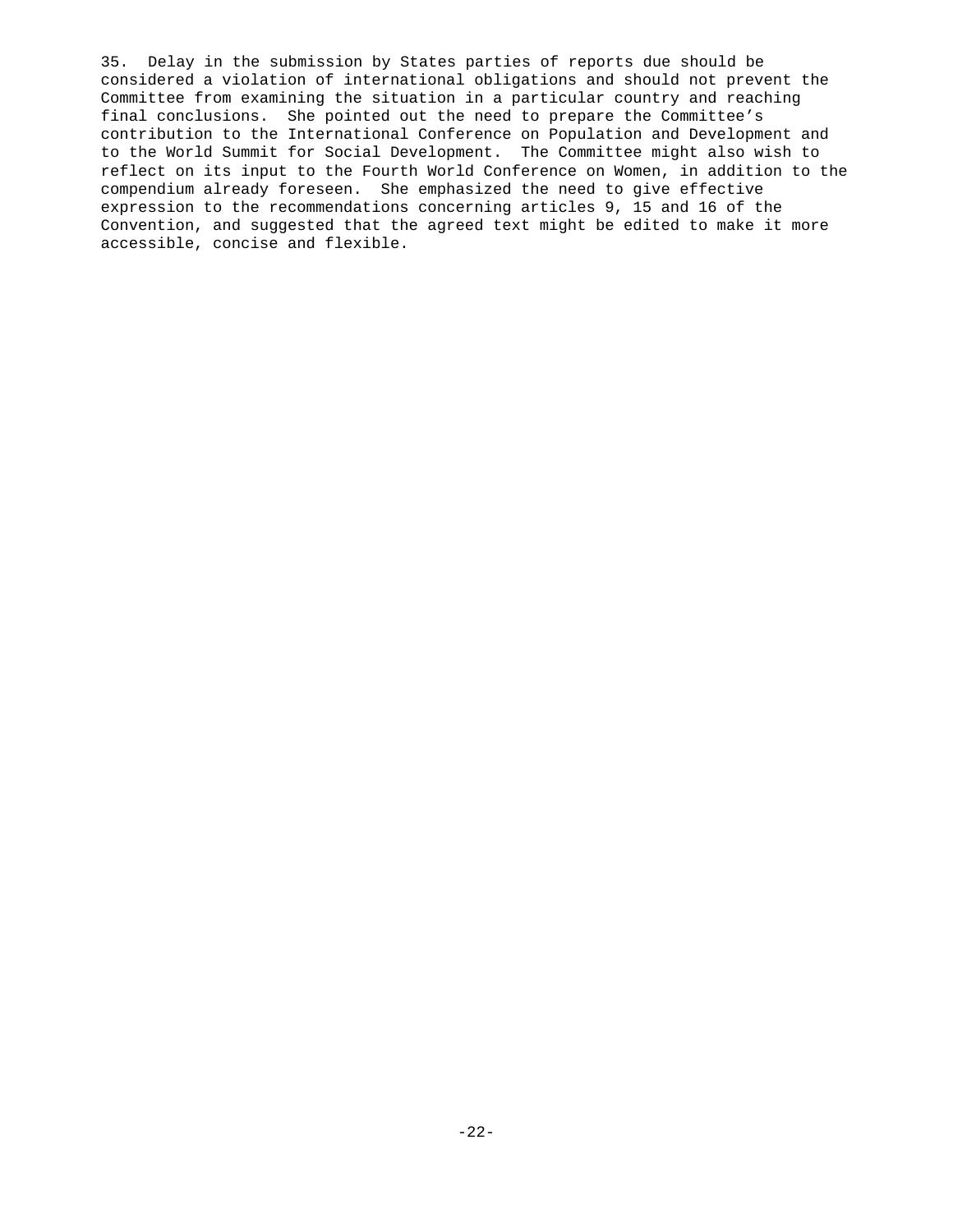35. Delay in the submission by States parties of reports due should be considered a violation of international obligations and should not prevent the Committee from examining the situation in a particular country and reaching final conclusions. She pointed out the need to prepare the Committee's contribution to the International Conference on Population and Development and to the World Summit for Social Development. The Committee might also wish to reflect on its input to the Fourth World Conference on Women, in addition to the compendium already foreseen. She emphasized the need to give effective expression to the recommendations concerning articles 9, 15 and 16 of the Convention, and suggested that the agreed text might be edited to make it more accessible, concise and flexible.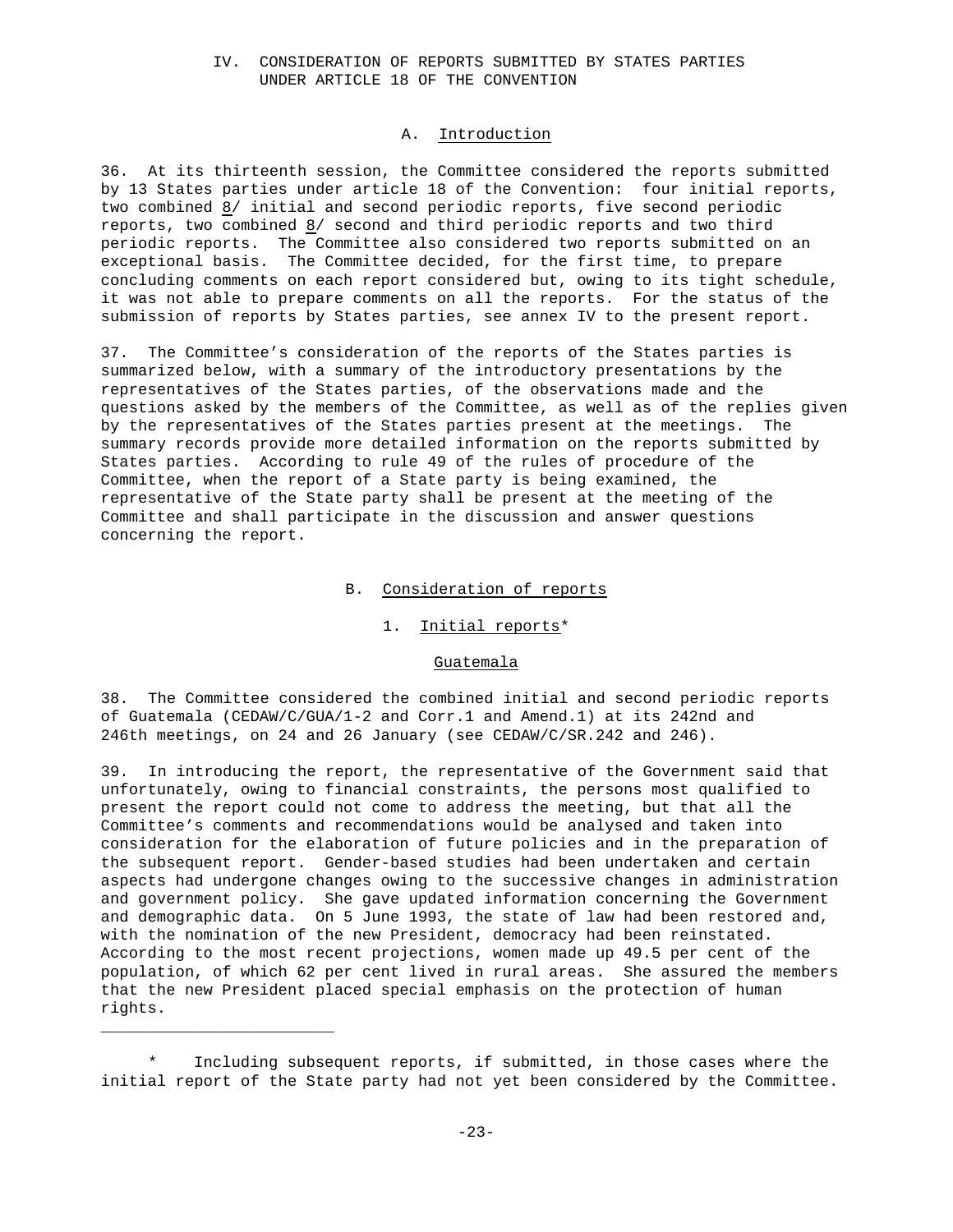# IV. CONSIDERATION OF REPORTS SUBMITTED BY STATES PARTIES UNDER ARTICLE 18 OF THE CONVENTION

### A. Introduction

36. At its thirteenth session, the Committee considered the reports submitted by 13 States parties under article 18 of the Convention: four initial reports, two combined 8/ initial and second periodic reports, five second periodic reports, two combined 8/ second and third periodic reports and two third periodic reports. The Committee also considered two reports submitted on an exceptional basis. The Committee decided, for the first time, to prepare concluding comments on each report considered but, owing to its tight schedule, it was not able to prepare comments on all the reports. For the status of the submission of reports by States parties, see annex IV to the present report.

37. The Committee's consideration of the reports of the States parties is summarized below, with a summary of the introductory presentations by the representatives of the States parties, of the observations made and the questions asked by the members of the Committee, as well as of the replies given by the representatives of the States parties present at the meetings. The summary records provide more detailed information on the reports submitted by States parties. According to rule 49 of the rules of procedure of the Committee, when the report of a State party is being examined, the representative of the State party shall be present at the meeting of the Committee and shall participate in the discussion and answer questions concerning the report.

### B. Consideration of reports

# 1. Initial reports\*

## Guatemala

38. The Committee considered the combined initial and second periodic reports of Guatemala (CEDAW/C/GUA/1-2 and Corr.1 and Amend.1) at its 242nd and 246th meetings, on 24 and 26 January (see CEDAW/C/SR.242 and 246).

39. In introducing the report, the representative of the Government said that unfortunately, owing to financial constraints, the persons most qualified to present the report could not come to address the meeting, but that all the Committee's comments and recommendations would be analysed and taken into consideration for the elaboration of future policies and in the preparation of the subsequent report. Gender-based studies had been undertaken and certain aspects had undergone changes owing to the successive changes in administration and government policy. She gave updated information concerning the Government and demographic data. On 5 June 1993, the state of law had been restored and, with the nomination of the new President, democracy had been reinstated. According to the most recent projections, women made up 49.5 per cent of the population, of which 62 per cent lived in rural areas. She assured the members that the new President placed special emphasis on the protection of human rights.

\_\_\_\_\_\_\_\_\_\_\_\_\_\_\_\_\_\_\_\_\_\_\_\_\_

<sup>\*</sup> Including subsequent reports, if submitted, in those cases where the initial report of the State party had not yet been considered by the Committee.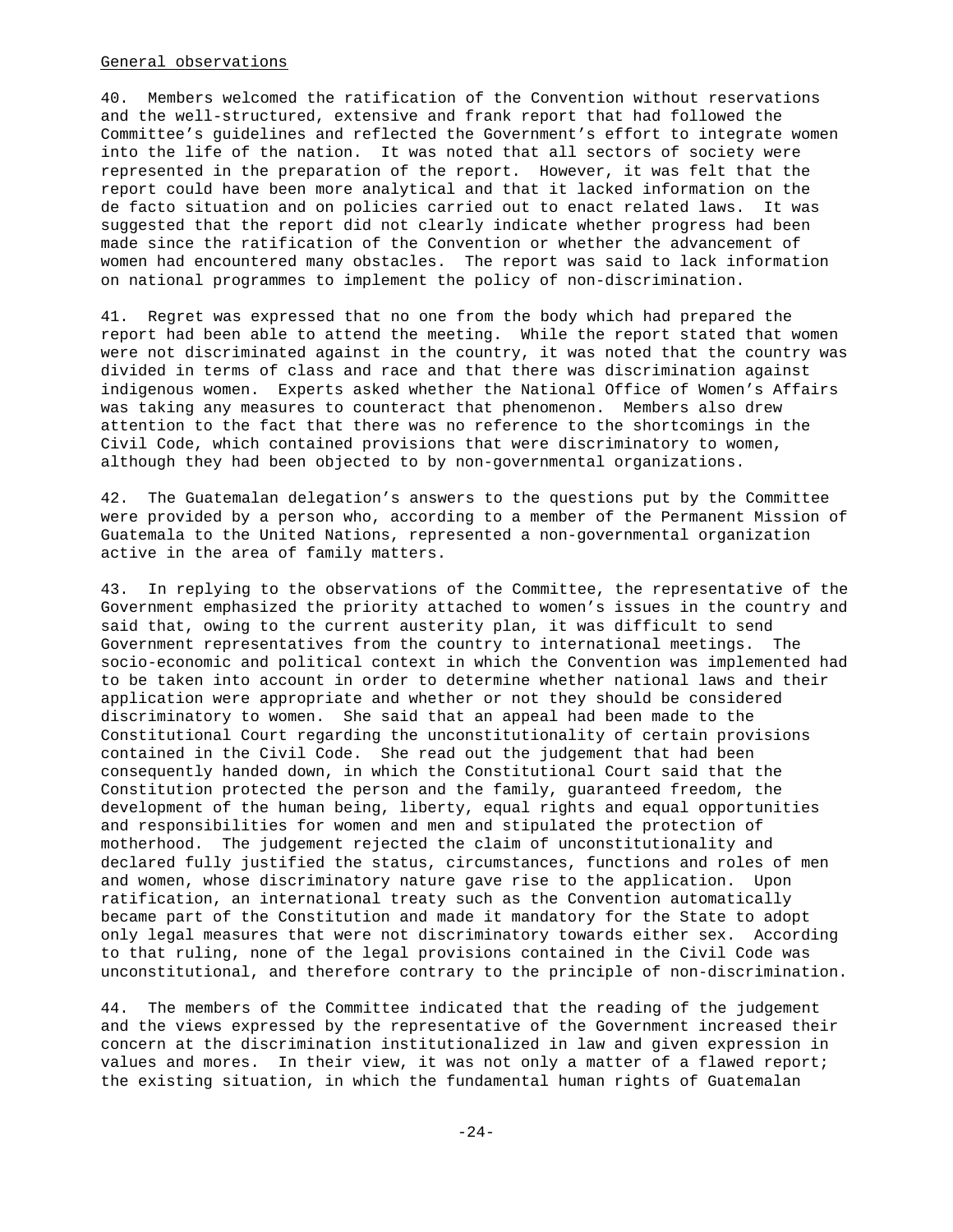### General observations

40. Members welcomed the ratification of the Convention without reservations and the well-structured, extensive and frank report that had followed the Committee's guidelines and reflected the Government's effort to integrate women into the life of the nation. It was noted that all sectors of society were represented in the preparation of the report. However, it was felt that the report could have been more analytical and that it lacked information on the de facto situation and on policies carried out to enact related laws. It was suggested that the report did not clearly indicate whether progress had been made since the ratification of the Convention or whether the advancement of women had encountered many obstacles. The report was said to lack information on national programmes to implement the policy of non-discrimination.

41. Regret was expressed that no one from the body which had prepared the report had been able to attend the meeting. While the report stated that women were not discriminated against in the country, it was noted that the country was divided in terms of class and race and that there was discrimination against indigenous women. Experts asked whether the National Office of Women's Affairs was taking any measures to counteract that phenomenon. Members also drew attention to the fact that there was no reference to the shortcomings in the Civil Code, which contained provisions that were discriminatory to women, although they had been objected to by non-governmental organizations.

42. The Guatemalan delegation's answers to the questions put by the Committee were provided by a person who, according to a member of the Permanent Mission of Guatemala to the United Nations, represented a non-governmental organization active in the area of family matters.

43. In replying to the observations of the Committee, the representative of the Government emphasized the priority attached to women's issues in the country and said that, owing to the current austerity plan, it was difficult to send Government representatives from the country to international meetings. The socio-economic and political context in which the Convention was implemented had to be taken into account in order to determine whether national laws and their application were appropriate and whether or not they should be considered discriminatory to women. She said that an appeal had been made to the Constitutional Court regarding the unconstitutionality of certain provisions contained in the Civil Code. She read out the judgement that had been consequently handed down, in which the Constitutional Court said that the Constitution protected the person and the family, guaranteed freedom, the development of the human being, liberty, equal rights and equal opportunities and responsibilities for women and men and stipulated the protection of motherhood. The judgement rejected the claim of unconstitutionality and declared fully justified the status, circumstances, functions and roles of men and women, whose discriminatory nature gave rise to the application. Upon ratification, an international treaty such as the Convention automatically became part of the Constitution and made it mandatory for the State to adopt only legal measures that were not discriminatory towards either sex. According to that ruling, none of the legal provisions contained in the Civil Code was unconstitutional, and therefore contrary to the principle of non-discrimination.

44. The members of the Committee indicated that the reading of the judgement and the views expressed by the representative of the Government increased their concern at the discrimination institutionalized in law and given expression in values and mores. In their view, it was not only a matter of a flawed report; the existing situation, in which the fundamental human rights of Guatemalan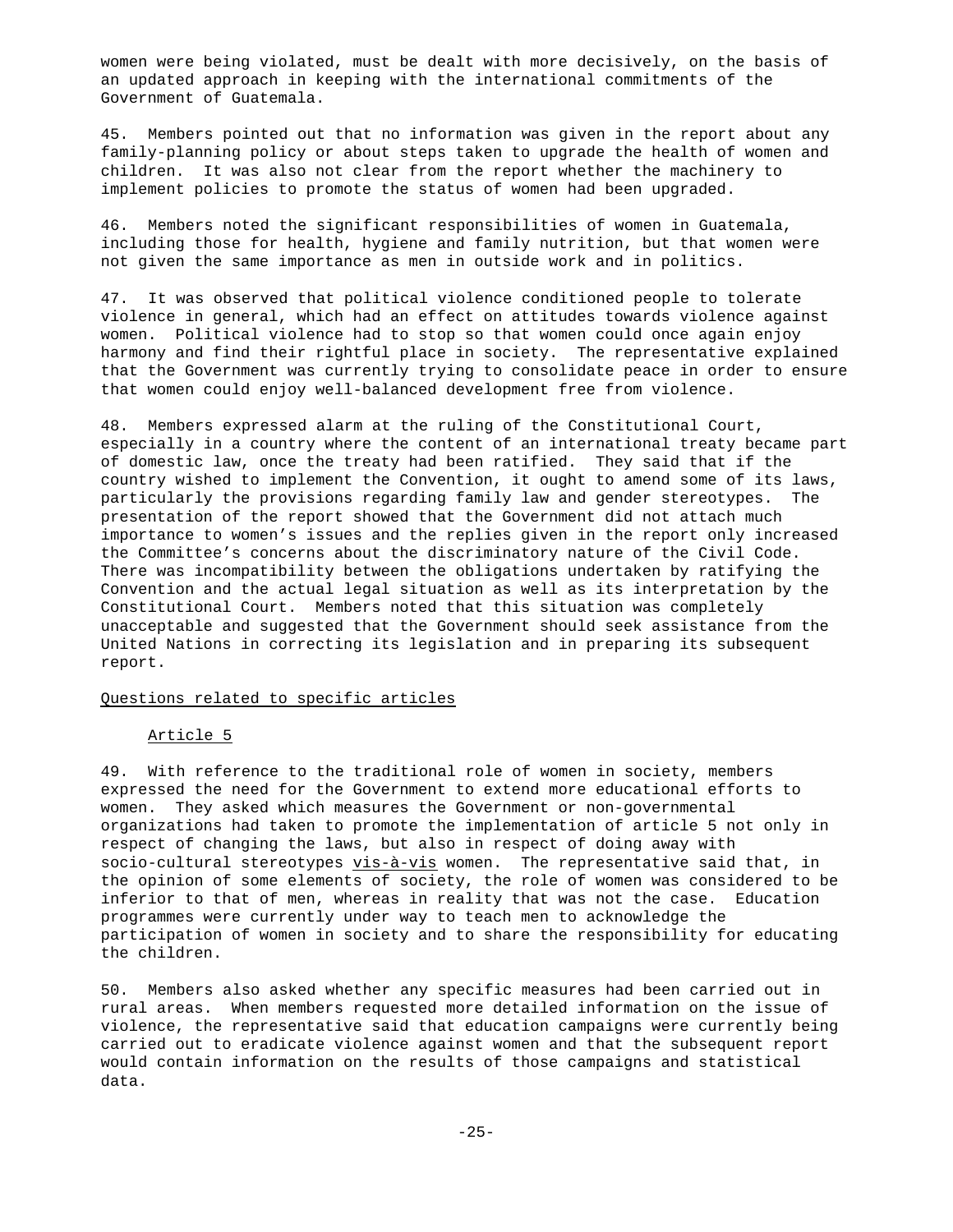women were being violated, must be dealt with more decisively, on the basis of an updated approach in keeping with the international commitments of the Government of Guatemala.

45. Members pointed out that no information was given in the report about any family-planning policy or about steps taken to upgrade the health of women and children. It was also not clear from the report whether the machinery to implement policies to promote the status of women had been upgraded.

46. Members noted the significant responsibilities of women in Guatemala, including those for health, hygiene and family nutrition, but that women were not given the same importance as men in outside work and in politics.

47. It was observed that political violence conditioned people to tolerate violence in general, which had an effect on attitudes towards violence against women. Political violence had to stop so that women could once again enjoy harmony and find their rightful place in society. The representative explained that the Government was currently trying to consolidate peace in order to ensure that women could enjoy well-balanced development free from violence.

48. Members expressed alarm at the ruling of the Constitutional Court, especially in a country where the content of an international treaty became part of domestic law, once the treaty had been ratified. They said that if the country wished to implement the Convention, it ought to amend some of its laws, particularly the provisions regarding family law and gender stereotypes. The presentation of the report showed that the Government did not attach much importance to women's issues and the replies given in the report only increased the Committee's concerns about the discriminatory nature of the Civil Code. There was incompatibility between the obligations undertaken by ratifying the Convention and the actual legal situation as well as its interpretation by the Constitutional Court. Members noted that this situation was completely unacceptable and suggested that the Government should seek assistance from the United Nations in correcting its legislation and in preparing its subsequent report.

### Questions related to specific articles

## Article 5

49. With reference to the traditional role of women in society, members expressed the need for the Government to extend more educational efforts to women. They asked which measures the Government or non-governmental organizations had taken to promote the implementation of article 5 not only in respect of changing the laws, but also in respect of doing away with socio-cultural stereotypes vis-à-vis women. The representative said that, in the opinion of some elements of society, the role of women was considered to be inferior to that of men, whereas in reality that was not the case. Education programmes were currently under way to teach men to acknowledge the participation of women in society and to share the responsibility for educating the children.

50. Members also asked whether any specific measures had been carried out in rural areas. When members requested more detailed information on the issue of violence, the representative said that education campaigns were currently being carried out to eradicate violence against women and that the subsequent report would contain information on the results of those campaigns and statistical data.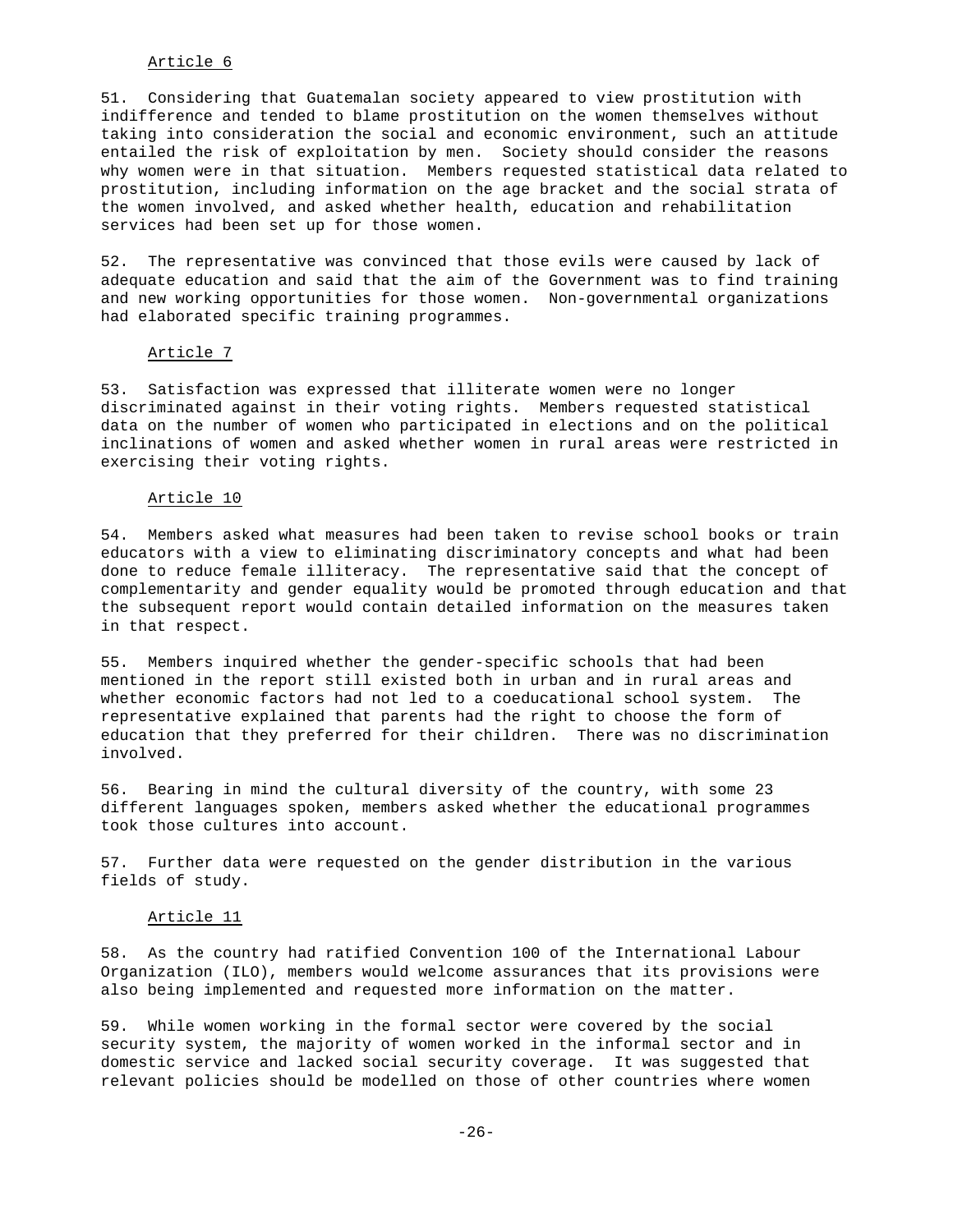# Article 6

51. Considering that Guatemalan society appeared to view prostitution with indifference and tended to blame prostitution on the women themselves without taking into consideration the social and economic environment, such an attitude entailed the risk of exploitation by men. Society should consider the reasons why women were in that situation. Members requested statistical data related to prostitution, including information on the age bracket and the social strata of the women involved, and asked whether health, education and rehabilitation services had been set up for those women.

52. The representative was convinced that those evils were caused by lack of adequate education and said that the aim of the Government was to find training and new working opportunities for those women. Non-governmental organizations had elaborated specific training programmes.

### Article 7

53. Satisfaction was expressed that illiterate women were no longer discriminated against in their voting rights. Members requested statistical data on the number of women who participated in elections and on the political inclinations of women and asked whether women in rural areas were restricted in exercising their voting rights.

#### Article 10

54. Members asked what measures had been taken to revise school books or train educators with a view to eliminating discriminatory concepts and what had been done to reduce female illiteracy. The representative said that the concept of complementarity and gender equality would be promoted through education and that the subsequent report would contain detailed information on the measures taken in that respect.

55. Members inquired whether the gender-specific schools that had been mentioned in the report still existed both in urban and in rural areas and whether economic factors had not led to a coeducational school system. The representative explained that parents had the right to choose the form of education that they preferred for their children. There was no discrimination involved.

56. Bearing in mind the cultural diversity of the country, with some 23 different languages spoken, members asked whether the educational programmes took those cultures into account.

57. Further data were requested on the gender distribution in the various fields of study.

## Article 11

58. As the country had ratified Convention 100 of the International Labour Organization (ILO), members would welcome assurances that its provisions were also being implemented and requested more information on the matter.

59. While women working in the formal sector were covered by the social security system, the majority of women worked in the informal sector and in domestic service and lacked social security coverage. It was suggested that relevant policies should be modelled on those of other countries where women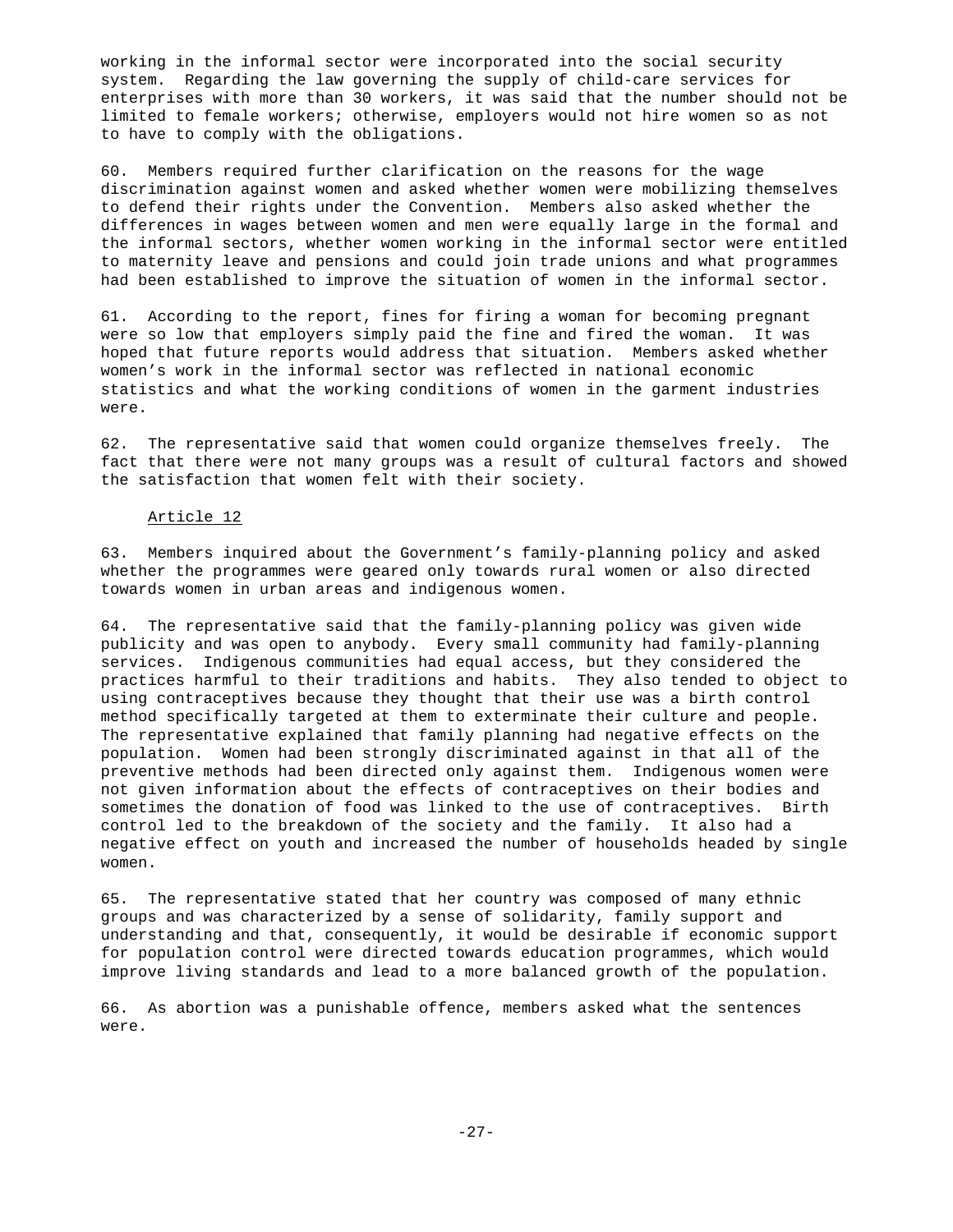working in the informal sector were incorporated into the social security system. Regarding the law governing the supply of child-care services for enterprises with more than 30 workers, it was said that the number should not be limited to female workers; otherwise, employers would not hire women so as not to have to comply with the obligations.

60. Members required further clarification on the reasons for the wage discrimination against women and asked whether women were mobilizing themselves to defend their rights under the Convention. Members also asked whether the differences in wages between women and men were equally large in the formal and the informal sectors, whether women working in the informal sector were entitled to maternity leave and pensions and could join trade unions and what programmes had been established to improve the situation of women in the informal sector.

61. According to the report, fines for firing a woman for becoming pregnant were so low that employers simply paid the fine and fired the woman. It was hoped that future reports would address that situation. Members asked whether women's work in the informal sector was reflected in national economic statistics and what the working conditions of women in the garment industries were.

62. The representative said that women could organize themselves freely. The fact that there were not many groups was a result of cultural factors and showed the satisfaction that women felt with their society.

### Article 12

63. Members inquired about the Government's family-planning policy and asked whether the programmes were geared only towards rural women or also directed towards women in urban areas and indigenous women.

64. The representative said that the family-planning policy was given wide publicity and was open to anybody. Every small community had family-planning services. Indigenous communities had equal access, but they considered the practices harmful to their traditions and habits. They also tended to object to using contraceptives because they thought that their use was a birth control method specifically targeted at them to exterminate their culture and people. The representative explained that family planning had negative effects on the population. Women had been strongly discriminated against in that all of the preventive methods had been directed only against them. Indigenous women were not given information about the effects of contraceptives on their bodies and sometimes the donation of food was linked to the use of contraceptives. Birth control led to the breakdown of the society and the family. It also had a negative effect on youth and increased the number of households headed by single women.

65. The representative stated that her country was composed of many ethnic groups and was characterized by a sense of solidarity, family support and understanding and that, consequently, it would be desirable if economic support for population control were directed towards education programmes, which would improve living standards and lead to a more balanced growth of the population.

66. As abortion was a punishable offence, members asked what the sentences were.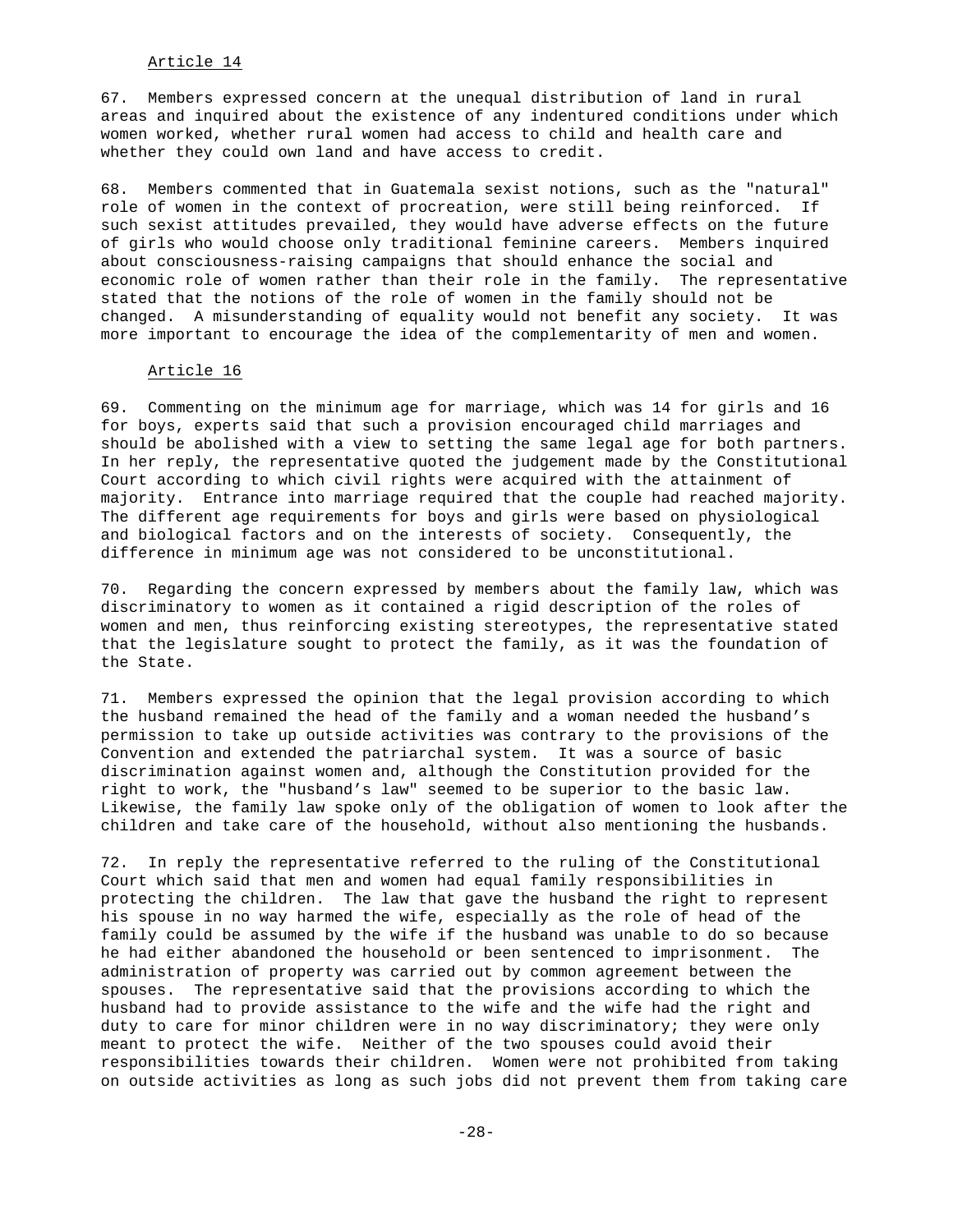# Article 14

67. Members expressed concern at the unequal distribution of land in rural areas and inquired about the existence of any indentured conditions under which women worked, whether rural women had access to child and health care and whether they could own land and have access to credit.

68. Members commented that in Guatemala sexist notions, such as the "natural" role of women in the context of procreation, were still being reinforced. If such sexist attitudes prevailed, they would have adverse effects on the future of girls who would choose only traditional feminine careers. Members inquired about consciousness-raising campaigns that should enhance the social and economic role of women rather than their role in the family. The representative stated that the notions of the role of women in the family should not be changed. A misunderstanding of equality would not benefit any society. It was more important to encourage the idea of the complementarity of men and women.

## Article 16

69. Commenting on the minimum age for marriage, which was 14 for girls and 16 for boys, experts said that such a provision encouraged child marriages and should be abolished with a view to setting the same legal age for both partners. In her reply, the representative quoted the judgement made by the Constitutional Court according to which civil rights were acquired with the attainment of majority. Entrance into marriage required that the couple had reached majority. The different age requirements for boys and girls were based on physiological and biological factors and on the interests of society. Consequently, the difference in minimum age was not considered to be unconstitutional.

70. Regarding the concern expressed by members about the family law, which was discriminatory to women as it contained a rigid description of the roles of women and men, thus reinforcing existing stereotypes, the representative stated that the legislature sought to protect the family, as it was the foundation of the State.

71. Members expressed the opinion that the legal provision according to which the husband remained the head of the family and a woman needed the husband's permission to take up outside activities was contrary to the provisions of the Convention and extended the patriarchal system. It was a source of basic discrimination against women and, although the Constitution provided for the right to work, the "husband's law" seemed to be superior to the basic law. Likewise, the family law spoke only of the obligation of women to look after the children and take care of the household, without also mentioning the husbands.

72. In reply the representative referred to the ruling of the Constitutional Court which said that men and women had equal family responsibilities in protecting the children. The law that gave the husband the right to represent his spouse in no way harmed the wife, especially as the role of head of the family could be assumed by the wife if the husband was unable to do so because he had either abandoned the household or been sentenced to imprisonment. The administration of property was carried out by common agreement between the spouses. The representative said that the provisions according to which the husband had to provide assistance to the wife and the wife had the right and duty to care for minor children were in no way discriminatory; they were only meant to protect the wife. Neither of the two spouses could avoid their responsibilities towards their children. Women were not prohibited from taking on outside activities as long as such jobs did not prevent them from taking care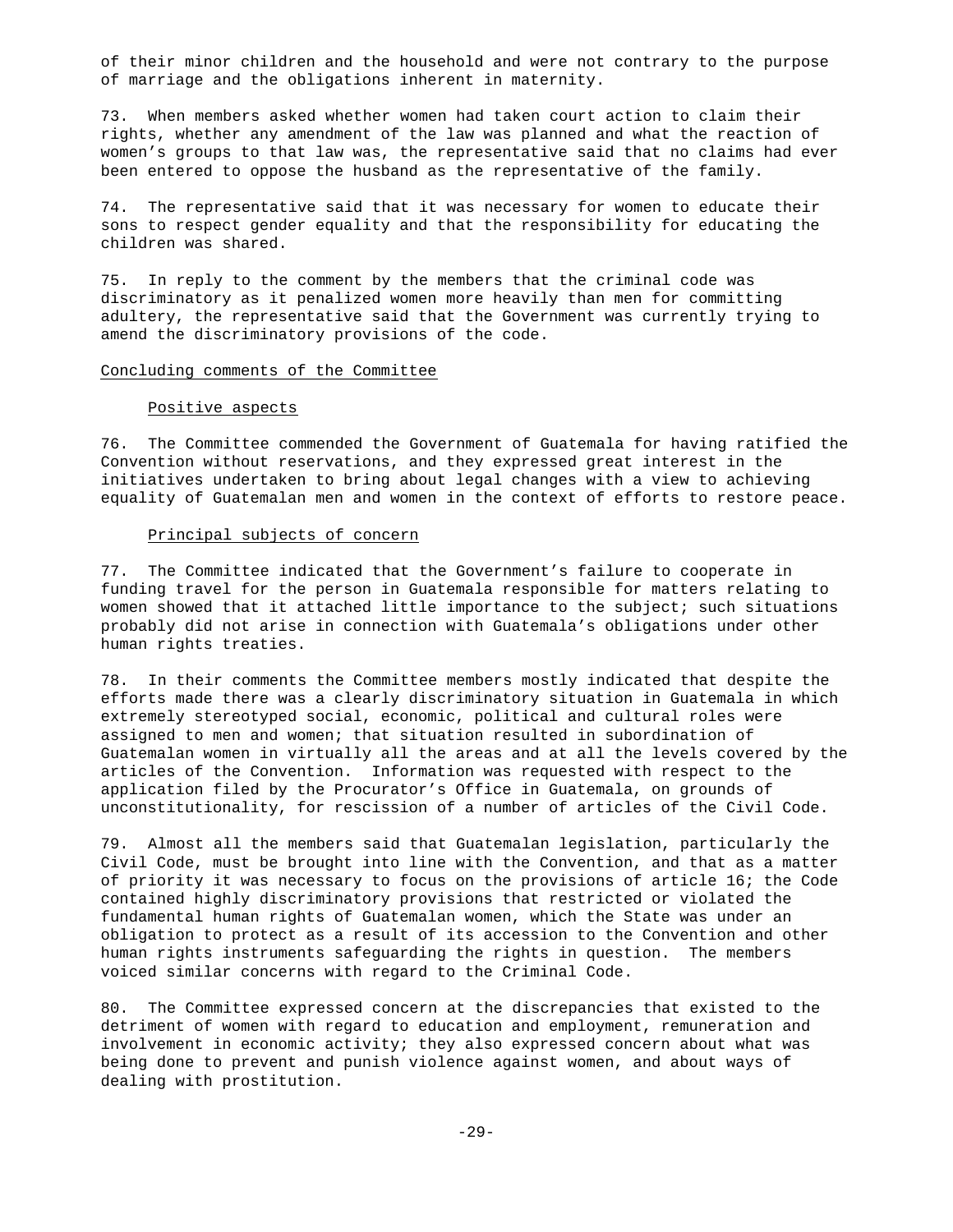of their minor children and the household and were not contrary to the purpose of marriage and the obligations inherent in maternity.

73. When members asked whether women had taken court action to claim their rights, whether any amendment of the law was planned and what the reaction of women's groups to that law was, the representative said that no claims had ever been entered to oppose the husband as the representative of the family.

74. The representative said that it was necessary for women to educate their sons to respect gender equality and that the responsibility for educating the children was shared.

75. In reply to the comment by the members that the criminal code was discriminatory as it penalized women more heavily than men for committing adultery, the representative said that the Government was currently trying to amend the discriminatory provisions of the code.

### Concluding comments of the Committee

#### Positive aspects

76. The Committee commended the Government of Guatemala for having ratified the Convention without reservations, and they expressed great interest in the initiatives undertaken to bring about legal changes with a view to achieving equality of Guatemalan men and women in the context of efforts to restore peace.

#### Principal subjects of concern

77. The Committee indicated that the Government's failure to cooperate in funding travel for the person in Guatemala responsible for matters relating to women showed that it attached little importance to the subject; such situations probably did not arise in connection with Guatemala's obligations under other human rights treaties.

78. In their comments the Committee members mostly indicated that despite the efforts made there was a clearly discriminatory situation in Guatemala in which extremely stereotyped social, economic, political and cultural roles were assigned to men and women; that situation resulted in subordination of Guatemalan women in virtually all the areas and at all the levels covered by the articles of the Convention. Information was requested with respect to the application filed by the Procurator's Office in Guatemala, on grounds of unconstitutionality, for rescission of a number of articles of the Civil Code.

79. Almost all the members said that Guatemalan legislation, particularly the Civil Code, must be brought into line with the Convention, and that as a matter of priority it was necessary to focus on the provisions of article 16; the Code contained highly discriminatory provisions that restricted or violated the fundamental human rights of Guatemalan women, which the State was under an obligation to protect as a result of its accession to the Convention and other human rights instruments safeguarding the rights in question. The members voiced similar concerns with regard to the Criminal Code.

80. The Committee expressed concern at the discrepancies that existed to the detriment of women with regard to education and employment, remuneration and involvement in economic activity; they also expressed concern about what was being done to prevent and punish violence against women, and about ways of dealing with prostitution.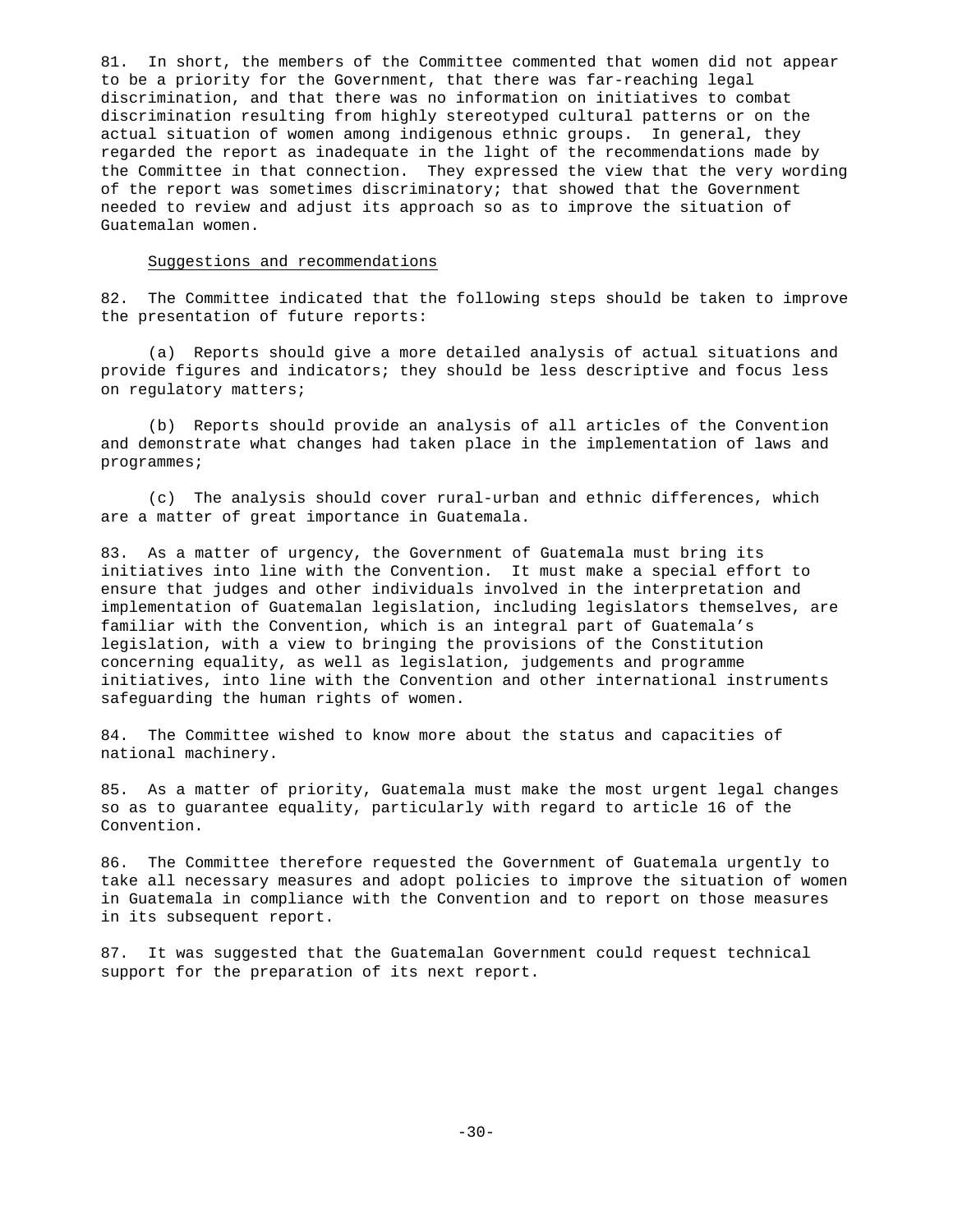81. In short, the members of the Committee commented that women did not appear to be a priority for the Government, that there was far-reaching legal discrimination, and that there was no information on initiatives to combat discrimination resulting from highly stereotyped cultural patterns or on the actual situation of women among indigenous ethnic groups. In general, they regarded the report as inadequate in the light of the recommendations made by the Committee in that connection. They expressed the view that the very wording of the report was sometimes discriminatory; that showed that the Government needed to review and adjust its approach so as to improve the situation of Guatemalan women.

#### Suggestions and recommendations

82. The Committee indicated that the following steps should be taken to improve the presentation of future reports:

(a) Reports should give a more detailed analysis of actual situations and provide figures and indicators; they should be less descriptive and focus less on regulatory matters;

(b) Reports should provide an analysis of all articles of the Convention and demonstrate what changes had taken place in the implementation of laws and programmes;

(c) The analysis should cover rural-urban and ethnic differences, which are a matter of great importance in Guatemala.

83. As a matter of urgency, the Government of Guatemala must bring its initiatives into line with the Convention. It must make a special effort to ensure that judges and other individuals involved in the interpretation and implementation of Guatemalan legislation, including legislators themselves, are familiar with the Convention, which is an integral part of Guatemala's legislation, with a view to bringing the provisions of the Constitution concerning equality, as well as legislation, judgements and programme initiatives, into line with the Convention and other international instruments safeguarding the human rights of women.

84. The Committee wished to know more about the status and capacities of national machinery.

85. As a matter of priority, Guatemala must make the most urgent legal changes so as to guarantee equality, particularly with regard to article 16 of the Convention.

86. The Committee therefore requested the Government of Guatemala urgently to take all necessary measures and adopt policies to improve the situation of women in Guatemala in compliance with the Convention and to report on those measures in its subsequent report.

87. It was suggested that the Guatemalan Government could request technical support for the preparation of its next report.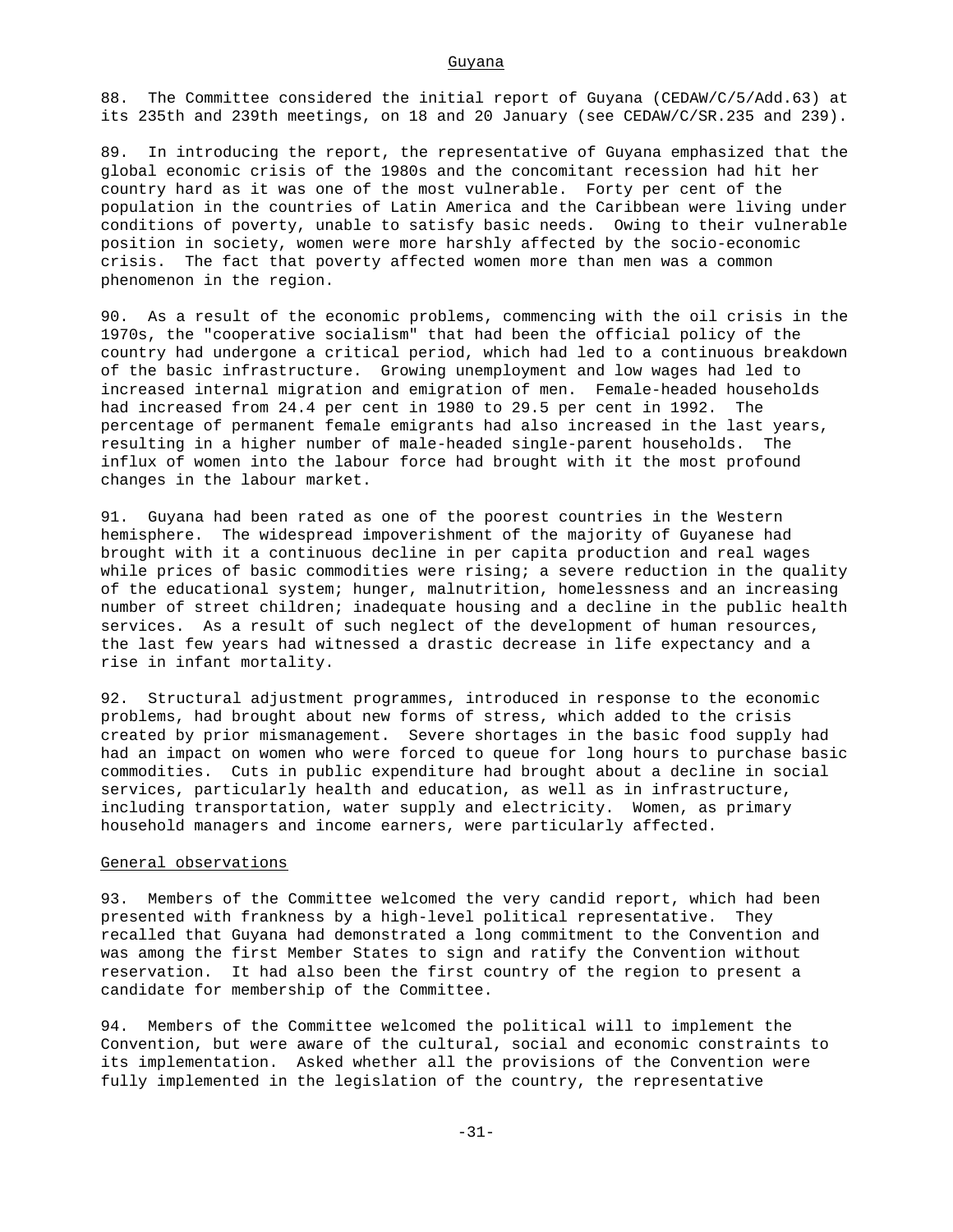#### Guyana

88. The Committee considered the initial report of Guyana (CEDAW/C/5/Add.63) at its 235th and 239th meetings, on 18 and 20 January (see CEDAW/C/SR.235 and 239).

89. In introducing the report, the representative of Guyana emphasized that the global economic crisis of the 1980s and the concomitant recession had hit her country hard as it was one of the most vulnerable. Forty per cent of the population in the countries of Latin America and the Caribbean were living under conditions of poverty, unable to satisfy basic needs. Owing to their vulnerable position in society, women were more harshly affected by the socio-economic crisis. The fact that poverty affected women more than men was a common phenomenon in the region.

90. As a result of the economic problems, commencing with the oil crisis in the 1970s, the "cooperative socialism" that had been the official policy of the country had undergone a critical period, which had led to a continuous breakdown of the basic infrastructure. Growing unemployment and low wages had led to increased internal migration and emigration of men. Female-headed households had increased from 24.4 per cent in 1980 to 29.5 per cent in 1992. The percentage of permanent female emigrants had also increased in the last years, resulting in a higher number of male-headed single-parent households. The influx of women into the labour force had brought with it the most profound changes in the labour market.

91. Guyana had been rated as one of the poorest countries in the Western hemisphere. The widespread impoverishment of the majority of Guyanese had brought with it a continuous decline in per capita production and real wages while prices of basic commodities were rising; a severe reduction in the quality of the educational system; hunger, malnutrition, homelessness and an increasing number of street children; inadequate housing and a decline in the public health services. As a result of such neglect of the development of human resources, the last few years had witnessed a drastic decrease in life expectancy and a rise in infant mortality.

92. Structural adjustment programmes, introduced in response to the economic problems, had brought about new forms of stress, which added to the crisis created by prior mismanagement. Severe shortages in the basic food supply had had an impact on women who were forced to queue for long hours to purchase basic commodities. Cuts in public expenditure had brought about a decline in social services, particularly health and education, as well as in infrastructure, including transportation, water supply and electricity. Women, as primary household managers and income earners, were particularly affected.

## General observations

93. Members of the Committee welcomed the very candid report, which had been presented with frankness by a high-level political representative. They recalled that Guyana had demonstrated a long commitment to the Convention and was among the first Member States to sign and ratify the Convention without reservation. It had also been the first country of the region to present a candidate for membership of the Committee.

94. Members of the Committee welcomed the political will to implement the Convention, but were aware of the cultural, social and economic constraints to its implementation. Asked whether all the provisions of the Convention were fully implemented in the legislation of the country, the representative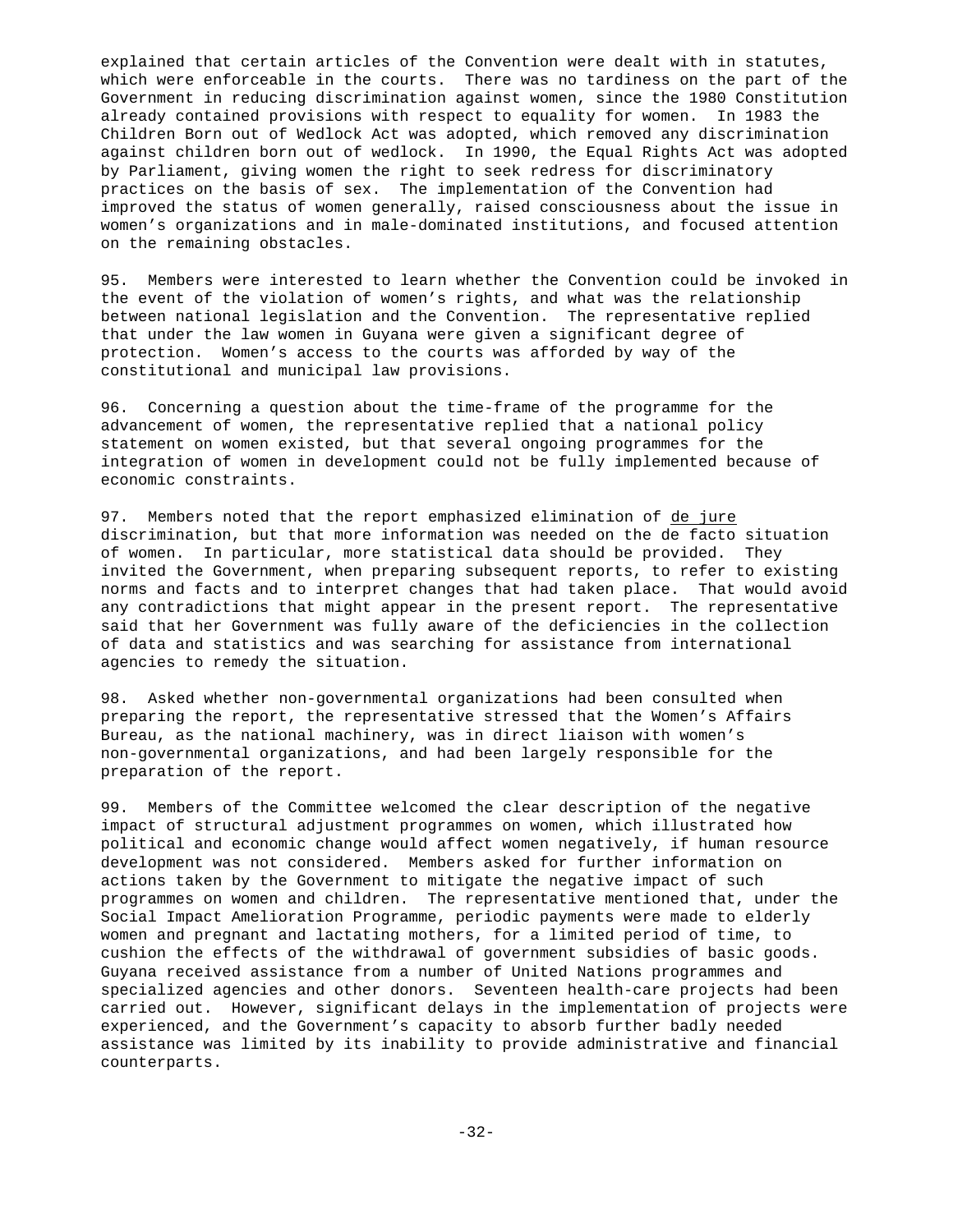explained that certain articles of the Convention were dealt with in statutes, which were enforceable in the courts. There was no tardiness on the part of the Government in reducing discrimination against women, since the 1980 Constitution already contained provisions with respect to equality for women. In 1983 the Children Born out of Wedlock Act was adopted, which removed any discrimination against children born out of wedlock. In 1990, the Equal Rights Act was adopted by Parliament, giving women the right to seek redress for discriminatory practices on the basis of sex. The implementation of the Convention had improved the status of women generally, raised consciousness about the issue in women's organizations and in male-dominated institutions, and focused attention on the remaining obstacles.

95. Members were interested to learn whether the Convention could be invoked in the event of the violation of women's rights, and what was the relationship between national legislation and the Convention. The representative replied that under the law women in Guyana were given a significant degree of protection. Women's access to the courts was afforded by way of the constitutional and municipal law provisions.

96. Concerning a question about the time-frame of the programme for the advancement of women, the representative replied that a national policy statement on women existed, but that several ongoing programmes for the integration of women in development could not be fully implemented because of economic constraints.

97. Members noted that the report emphasized elimination of de jure discrimination, but that more information was needed on the de facto situation of women. In particular, more statistical data should be provided. They invited the Government, when preparing subsequent reports, to refer to existing norms and facts and to interpret changes that had taken place. That would avoid any contradictions that might appear in the present report. The representative said that her Government was fully aware of the deficiencies in the collection of data and statistics and was searching for assistance from international agencies to remedy the situation.

98. Asked whether non-governmental organizations had been consulted when preparing the report, the representative stressed that the Women's Affairs Bureau, as the national machinery, was in direct liaison with women's non-governmental organizations, and had been largely responsible for the preparation of the report.

99. Members of the Committee welcomed the clear description of the negative impact of structural adjustment programmes on women, which illustrated how political and economic change would affect women negatively, if human resource development was not considered. Members asked for further information on actions taken by the Government to mitigate the negative impact of such programmes on women and children. The representative mentioned that, under the Social Impact Amelioration Programme, periodic payments were made to elderly women and pregnant and lactating mothers, for a limited period of time, to cushion the effects of the withdrawal of government subsidies of basic goods. Guyana received assistance from a number of United Nations programmes and specialized agencies and other donors. Seventeen health-care projects had been carried out. However, significant delays in the implementation of projects were experienced, and the Government's capacity to absorb further badly needed assistance was limited by its inability to provide administrative and financial counterparts.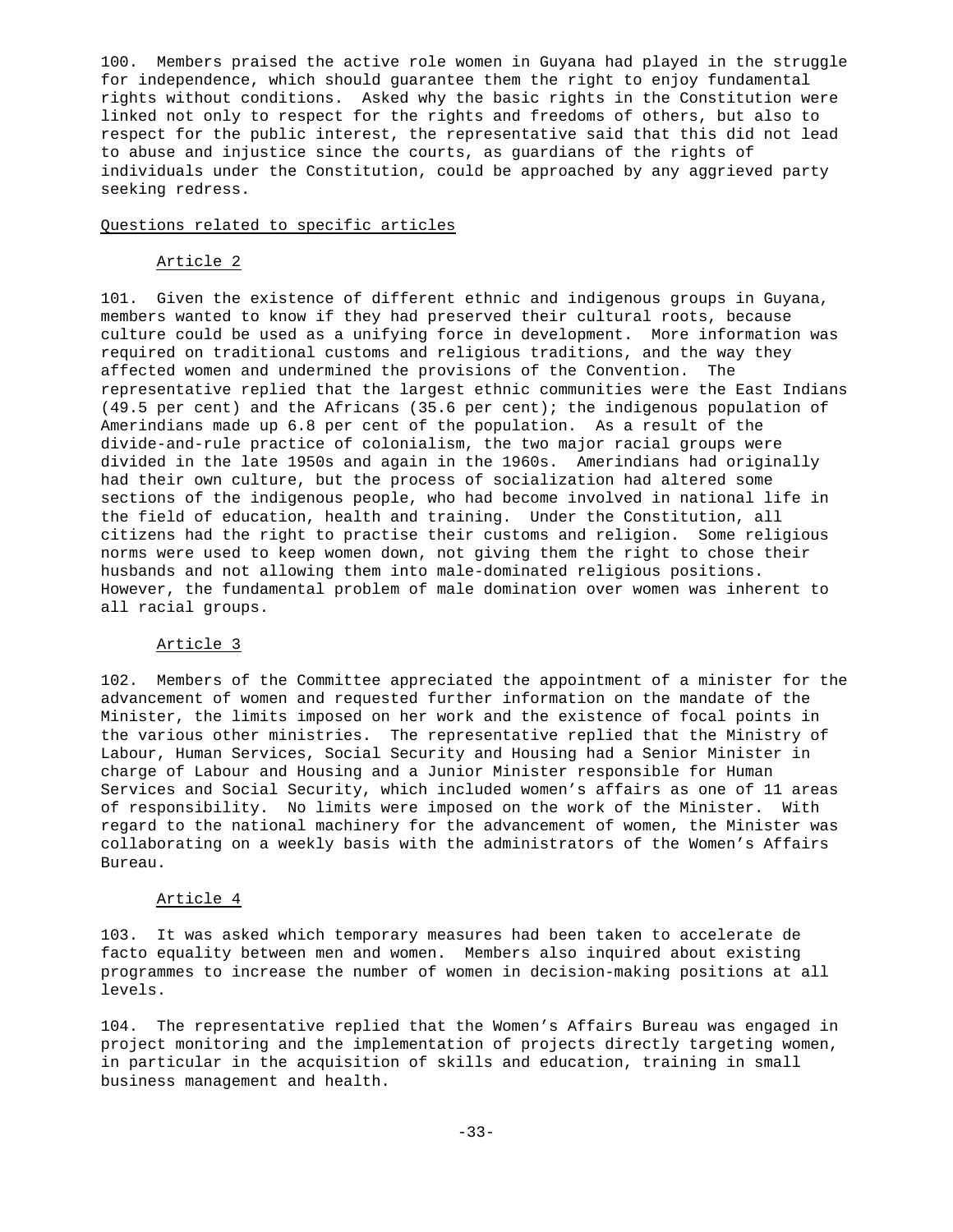100. Members praised the active role women in Guyana had played in the struggle for independence, which should guarantee them the right to enjoy fundamental rights without conditions. Asked why the basic rights in the Constitution were linked not only to respect for the rights and freedoms of others, but also to respect for the public interest, the representative said that this did not lead to abuse and injustice since the courts, as guardians of the rights of individuals under the Constitution, could be approached by any aggrieved party seeking redress.

### Questions related to specific articles

### Article 2

101. Given the existence of different ethnic and indigenous groups in Guyana, members wanted to know if they had preserved their cultural roots, because culture could be used as a unifying force in development. More information was required on traditional customs and religious traditions, and the way they affected women and undermined the provisions of the Convention. The representative replied that the largest ethnic communities were the East Indians (49.5 per cent) and the Africans (35.6 per cent); the indigenous population of Amerindians made up 6.8 per cent of the population. As a result of the divide-and-rule practice of colonialism, the two major racial groups were divided in the late 1950s and again in the 1960s. Amerindians had originally had their own culture, but the process of socialization had altered some sections of the indigenous people, who had become involved in national life in the field of education, health and training. Under the Constitution, all citizens had the right to practise their customs and religion. Some religious norms were used to keep women down, not giving them the right to chose their husbands and not allowing them into male-dominated religious positions. However, the fundamental problem of male domination over women was inherent to all racial groups.

### Article 3

102. Members of the Committee appreciated the appointment of a minister for the advancement of women and requested further information on the mandate of the Minister, the limits imposed on her work and the existence of focal points in the various other ministries. The representative replied that the Ministry of Labour, Human Services, Social Security and Housing had a Senior Minister in charge of Labour and Housing and a Junior Minister responsible for Human Services and Social Security, which included women's affairs as one of 11 areas of responsibility. No limits were imposed on the work of the Minister. With regard to the national machinery for the advancement of women, the Minister was collaborating on a weekly basis with the administrators of the Women's Affairs Bureau.

# Article 4

103. It was asked which temporary measures had been taken to accelerate de facto equality between men and women. Members also inquired about existing programmes to increase the number of women in decision-making positions at all levels.

104. The representative replied that the Women's Affairs Bureau was engaged in project monitoring and the implementation of projects directly targeting women, in particular in the acquisition of skills and education, training in small business management and health.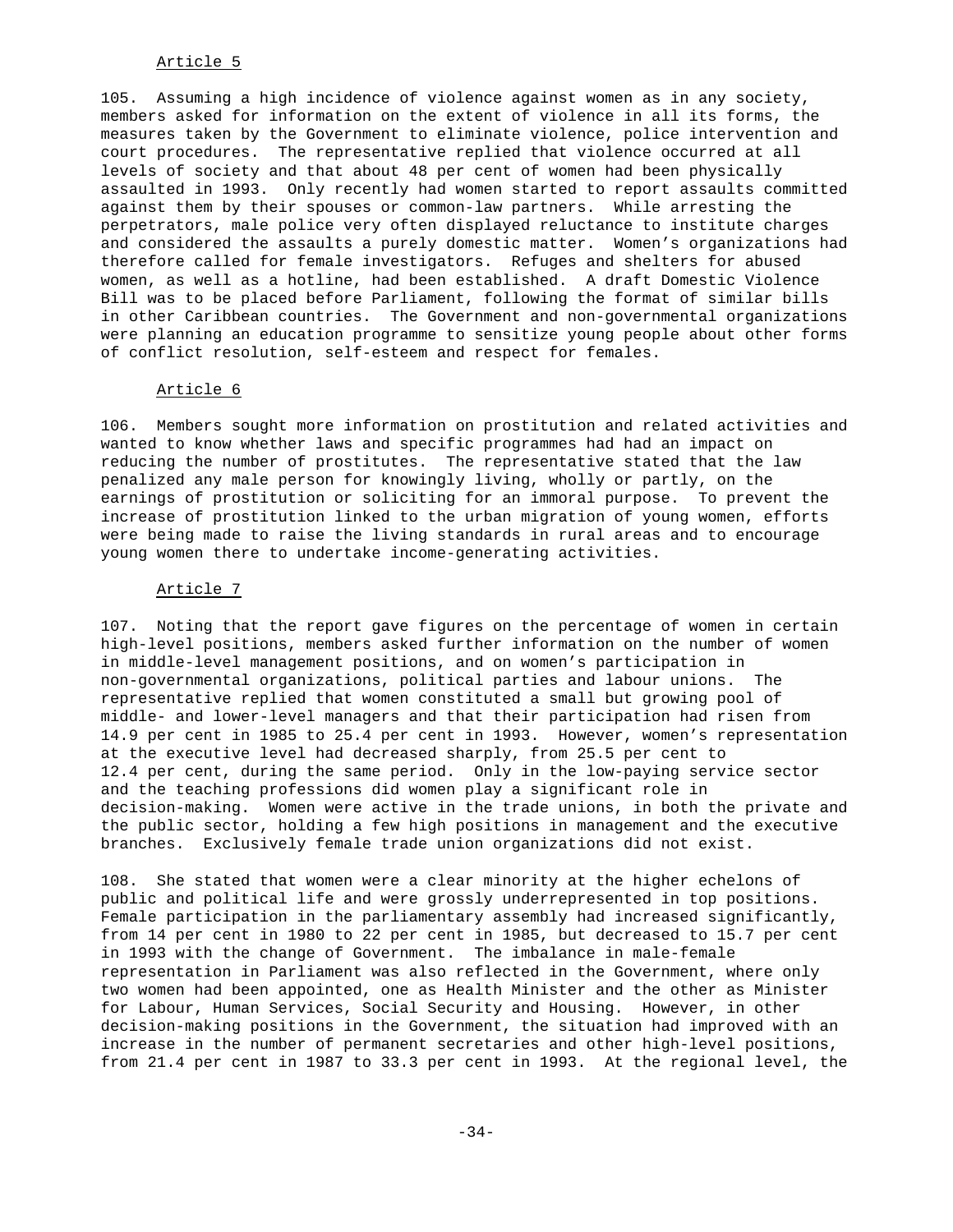### Article 5

105. Assuming a high incidence of violence against women as in any society, members asked for information on the extent of violence in all its forms, the measures taken by the Government to eliminate violence, police intervention and court procedures. The representative replied that violence occurred at all levels of society and that about 48 per cent of women had been physically assaulted in 1993. Only recently had women started to report assaults committed against them by their spouses or common-law partners. While arresting the perpetrators, male police very often displayed reluctance to institute charges and considered the assaults a purely domestic matter. Women's organizations had therefore called for female investigators. Refuges and shelters for abused women, as well as a hotline, had been established. A draft Domestic Violence Bill was to be placed before Parliament, following the format of similar bills in other Caribbean countries. The Government and non-governmental organizations were planning an education programme to sensitize young people about other forms of conflict resolution, self-esteem and respect for females.

### Article 6

106. Members sought more information on prostitution and related activities and wanted to know whether laws and specific programmes had had an impact on reducing the number of prostitutes. The representative stated that the law penalized any male person for knowingly living, wholly or partly, on the earnings of prostitution or soliciting for an immoral purpose. To prevent the increase of prostitution linked to the urban migration of young women, efforts were being made to raise the living standards in rural areas and to encourage young women there to undertake income-generating activities.

# Article 7

107. Noting that the report gave figures on the percentage of women in certain high-level positions, members asked further information on the number of women in middle-level management positions, and on women's participation in non-governmental organizations, political parties and labour unions. The representative replied that women constituted a small but growing pool of middle- and lower-level managers and that their participation had risen from 14.9 per cent in 1985 to 25.4 per cent in 1993. However, women's representation at the executive level had decreased sharply, from 25.5 per cent to 12.4 per cent, during the same period. Only in the low-paying service sector and the teaching professions did women play a significant role in decision-making. Women were active in the trade unions, in both the private and the public sector, holding a few high positions in management and the executive branches. Exclusively female trade union organizations did not exist.

108. She stated that women were a clear minority at the higher echelons of public and political life and were grossly underrepresented in top positions. Female participation in the parliamentary assembly had increased significantly, from 14 per cent in 1980 to 22 per cent in 1985, but decreased to 15.7 per cent in 1993 with the change of Government. The imbalance in male-female representation in Parliament was also reflected in the Government, where only two women had been appointed, one as Health Minister and the other as Minister for Labour, Human Services, Social Security and Housing. However, in other decision-making positions in the Government, the situation had improved with an increase in the number of permanent secretaries and other high-level positions, from 21.4 per cent in 1987 to 33.3 per cent in 1993. At the regional level, the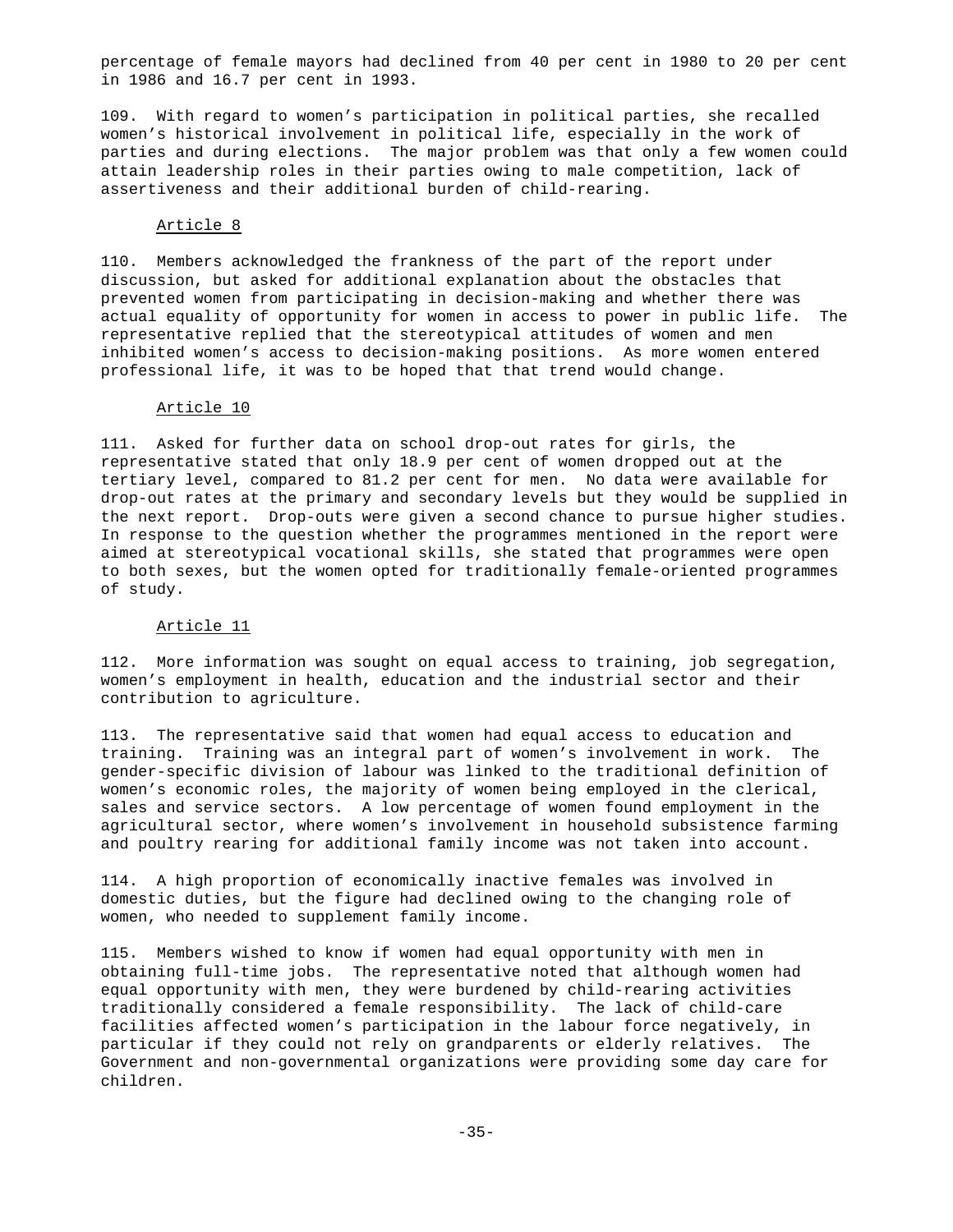percentage of female mayors had declined from 40 per cent in 1980 to 20 per cent in 1986 and 16.7 per cent in 1993.

109. With regard to women's participation in political parties, she recalled women's historical involvement in political life, especially in the work of parties and during elections. The major problem was that only a few women could attain leadership roles in their parties owing to male competition, lack of assertiveness and their additional burden of child-rearing.

### Article 8

110. Members acknowledged the frankness of the part of the report under discussion, but asked for additional explanation about the obstacles that prevented women from participating in decision-making and whether there was actual equality of opportunity for women in access to power in public life. The representative replied that the stereotypical attitudes of women and men inhibited women's access to decision-making positions. As more women entered professional life, it was to be hoped that that trend would change.

### Article 10

111. Asked for further data on school drop-out rates for girls, the representative stated that only 18.9 per cent of women dropped out at the tertiary level, compared to 81.2 per cent for men. No data were available for drop-out rates at the primary and secondary levels but they would be supplied in the next report. Drop-outs were given a second chance to pursue higher studies. In response to the question whether the programmes mentioned in the report were aimed at stereotypical vocational skills, she stated that programmes were open to both sexes, but the women opted for traditionally female-oriented programmes of study.

# Article 11

112. More information was sought on equal access to training, job segregation, women's employment in health, education and the industrial sector and their contribution to agriculture.

113. The representative said that women had equal access to education and training. Training was an integral part of women's involvement in work. The gender-specific division of labour was linked to the traditional definition of women's economic roles, the majority of women being employed in the clerical, sales and service sectors. A low percentage of women found employment in the agricultural sector, where women's involvement in household subsistence farming and poultry rearing for additional family income was not taken into account.

114. A high proportion of economically inactive females was involved in domestic duties, but the figure had declined owing to the changing role of women, who needed to supplement family income.

115. Members wished to know if women had equal opportunity with men in obtaining full-time jobs. The representative noted that although women had equal opportunity with men, they were burdened by child-rearing activities traditionally considered a female responsibility. The lack of child-care facilities affected women's participation in the labour force negatively, in particular if they could not rely on grandparents or elderly relatives. The Government and non-governmental organizations were providing some day care for children.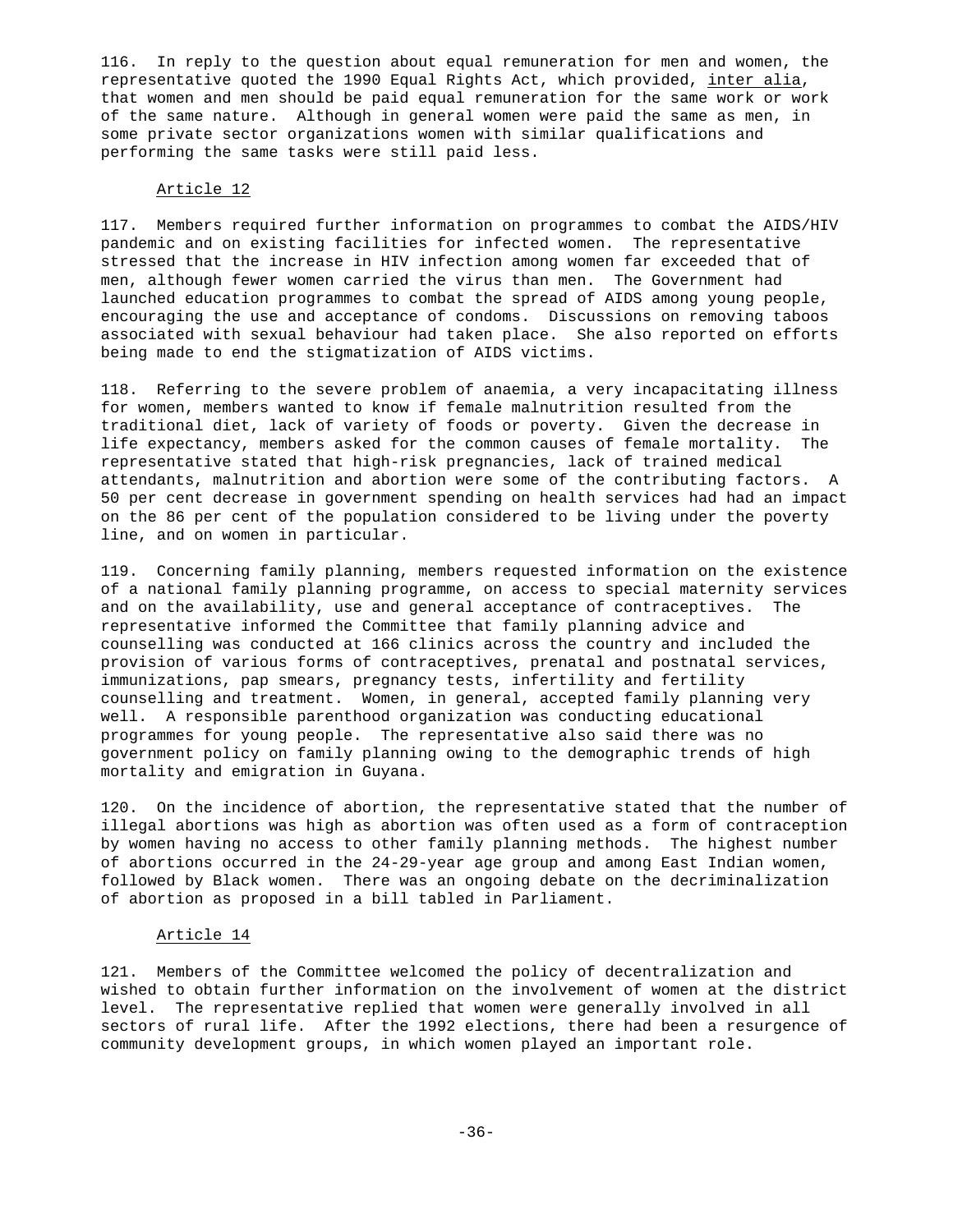116. In reply to the question about equal remuneration for men and women, the representative quoted the 1990 Equal Rights Act, which provided, inter alia, that women and men should be paid equal remuneration for the same work or work of the same nature. Although in general women were paid the same as men, in some private sector organizations women with similar qualifications and performing the same tasks were still paid less.

# Article 12

117. Members required further information on programmes to combat the AIDS/HIV pandemic and on existing facilities for infected women. The representative stressed that the increase in HIV infection among women far exceeded that of men, although fewer women carried the virus than men. The Government had launched education programmes to combat the spread of AIDS among young people, encouraging the use and acceptance of condoms. Discussions on removing taboos associated with sexual behaviour had taken place. She also reported on efforts being made to end the stigmatization of AIDS victims.

118. Referring to the severe problem of anaemia, a very incapacitating illness for women, members wanted to know if female malnutrition resulted from the traditional diet, lack of variety of foods or poverty. Given the decrease in life expectancy, members asked for the common causes of female mortality. The representative stated that high-risk pregnancies, lack of trained medical attendants, malnutrition and abortion were some of the contributing factors. A 50 per cent decrease in government spending on health services had had an impact on the 86 per cent of the population considered to be living under the poverty line, and on women in particular.

119. Concerning family planning, members requested information on the existence of a national family planning programme, on access to special maternity services and on the availability, use and general acceptance of contraceptives. The representative informed the Committee that family planning advice and counselling was conducted at 166 clinics across the country and included the provision of various forms of contraceptives, prenatal and postnatal services, immunizations, pap smears, pregnancy tests, infertility and fertility counselling and treatment. Women, in general, accepted family planning very well. A responsible parenthood organization was conducting educational programmes for young people. The representative also said there was no government policy on family planning owing to the demographic trends of high mortality and emigration in Guyana.

120. On the incidence of abortion, the representative stated that the number of illegal abortions was high as abortion was often used as a form of contraception by women having no access to other family planning methods. The highest number of abortions occurred in the 24-29-year age group and among East Indian women, followed by Black women. There was an ongoing debate on the decriminalization of abortion as proposed in a bill tabled in Parliament.

### Article 14

121. Members of the Committee welcomed the policy of decentralization and wished to obtain further information on the involvement of women at the district level. The representative replied that women were generally involved in all sectors of rural life. After the 1992 elections, there had been a resurgence of community development groups, in which women played an important role.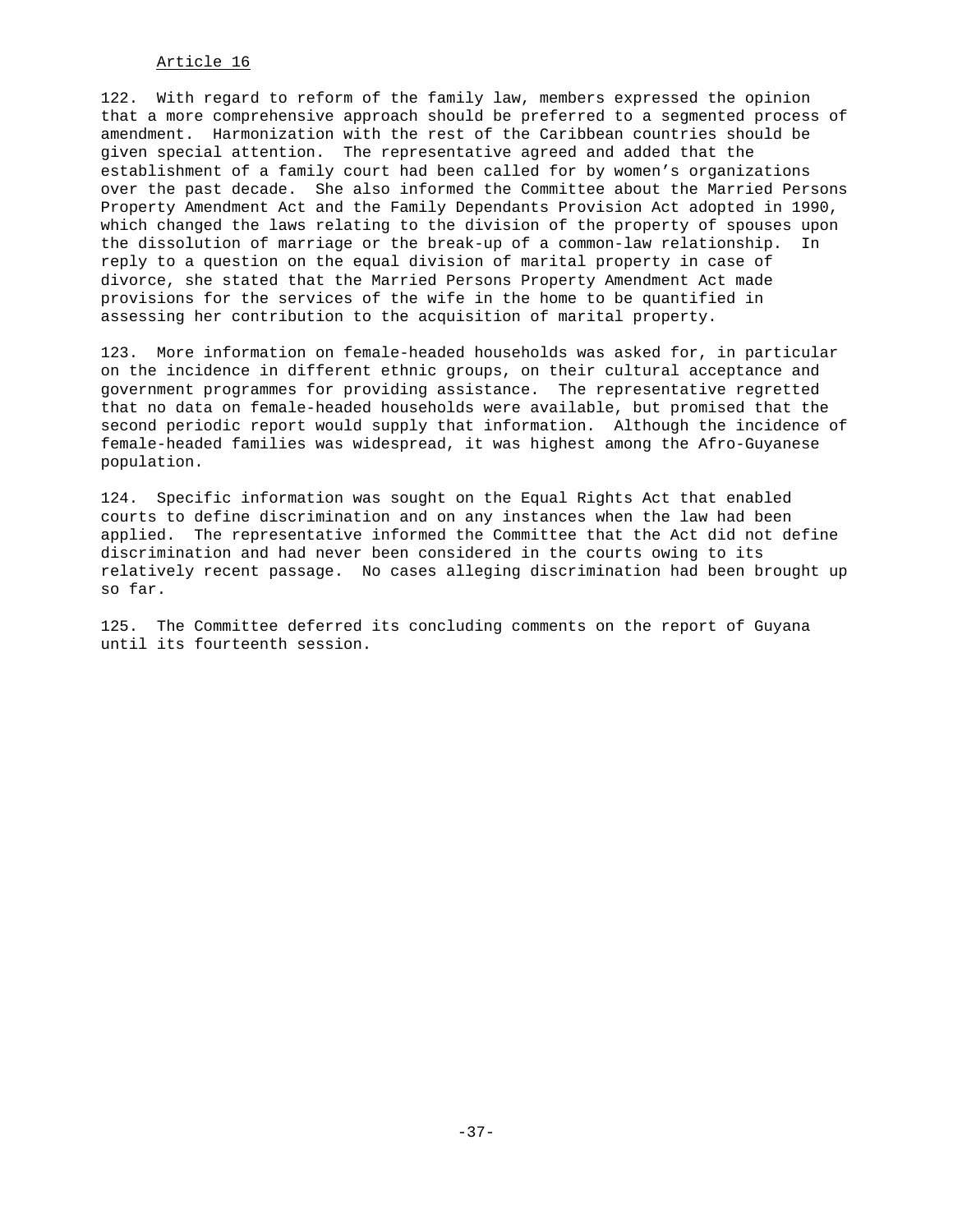# Article 16

122. With regard to reform of the family law, members expressed the opinion that a more comprehensive approach should be preferred to a segmented process of amendment. Harmonization with the rest of the Caribbean countries should be given special attention. The representative agreed and added that the establishment of a family court had been called for by women's organizations over the past decade. She also informed the Committee about the Married Persons Property Amendment Act and the Family Dependants Provision Act adopted in 1990, which changed the laws relating to the division of the property of spouses upon the dissolution of marriage or the break-up of a common-law relationship. In reply to a question on the equal division of marital property in case of divorce, she stated that the Married Persons Property Amendment Act made provisions for the services of the wife in the home to be quantified in assessing her contribution to the acquisition of marital property.

123. More information on female-headed households was asked for, in particular on the incidence in different ethnic groups, on their cultural acceptance and government programmes for providing assistance. The representative regretted that no data on female-headed households were available, but promised that the second periodic report would supply that information. Although the incidence of female-headed families was widespread, it was highest among the Afro-Guyanese population.

124. Specific information was sought on the Equal Rights Act that enabled courts to define discrimination and on any instances when the law had been applied. The representative informed the Committee that the Act did not define discrimination and had never been considered in the courts owing to its relatively recent passage. No cases alleging discrimination had been brought up so far.

125. The Committee deferred its concluding comments on the report of Guyana until its fourteenth session.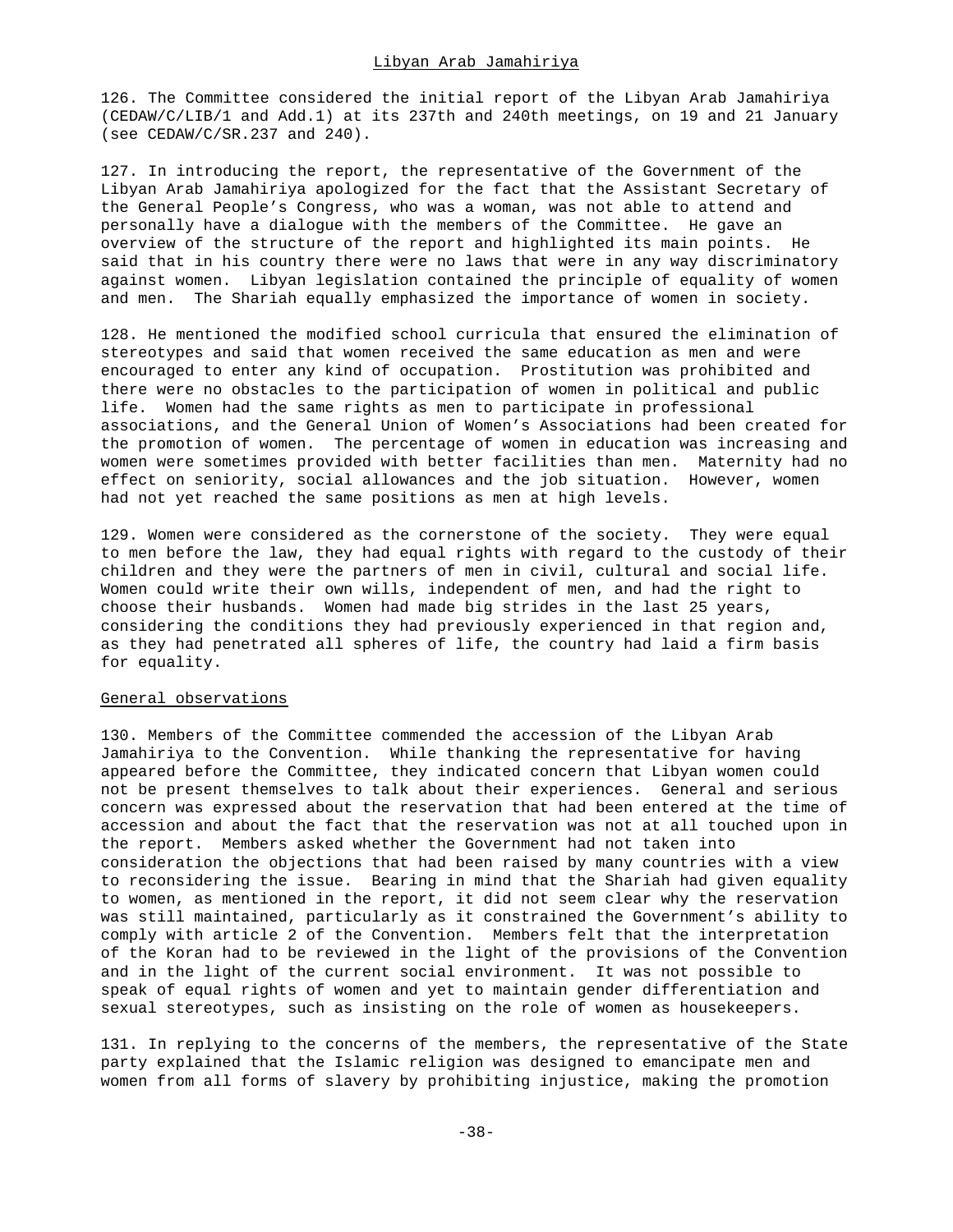126. The Committee considered the initial report of the Libyan Arab Jamahiriya (CEDAW/C/LIB/1 and Add.1) at its 237th and 240th meetings, on 19 and 21 January (see CEDAW/C/SR.237 and 240).

127. In introducing the report, the representative of the Government of the Libyan Arab Jamahiriya apologized for the fact that the Assistant Secretary of the General People's Congress, who was a woman, was not able to attend and personally have a dialogue with the members of the Committee. He gave an overview of the structure of the report and highlighted its main points. He said that in his country there were no laws that were in any way discriminatory against women. Libyan legislation contained the principle of equality of women and men. The Shariah equally emphasized the importance of women in society.

128. He mentioned the modified school curricula that ensured the elimination of stereotypes and said that women received the same education as men and were encouraged to enter any kind of occupation. Prostitution was prohibited and there were no obstacles to the participation of women in political and public life. Women had the same rights as men to participate in professional associations, and the General Union of Women's Associations had been created for the promotion of women. The percentage of women in education was increasing and women were sometimes provided with better facilities than men. Maternity had no effect on seniority, social allowances and the job situation. However, women had not yet reached the same positions as men at high levels.

129. Women were considered as the cornerstone of the society. They were equal to men before the law, they had equal rights with regard to the custody of their children and they were the partners of men in civil, cultural and social life. Women could write their own wills, independent of men, and had the right to choose their husbands. Women had made big strides in the last 25 years, considering the conditions they had previously experienced in that region and, as they had penetrated all spheres of life, the country had laid a firm basis for equality.

# General observations

130. Members of the Committee commended the accession of the Libyan Arab Jamahiriya to the Convention. While thanking the representative for having appeared before the Committee, they indicated concern that Libyan women could not be present themselves to talk about their experiences. General and serious concern was expressed about the reservation that had been entered at the time of accession and about the fact that the reservation was not at all touched upon in the report. Members asked whether the Government had not taken into consideration the objections that had been raised by many countries with a view to reconsidering the issue. Bearing in mind that the Shariah had given equality to women, as mentioned in the report, it did not seem clear why the reservation was still maintained, particularly as it constrained the Government's ability to comply with article 2 of the Convention. Members felt that the interpretation of the Koran had to be reviewed in the light of the provisions of the Convention and in the light of the current social environment. It was not possible to speak of equal rights of women and yet to maintain gender differentiation and sexual stereotypes, such as insisting on the role of women as housekeepers.

131. In replying to the concerns of the members, the representative of the State party explained that the Islamic religion was designed to emancipate men and women from all forms of slavery by prohibiting injustice, making the promotion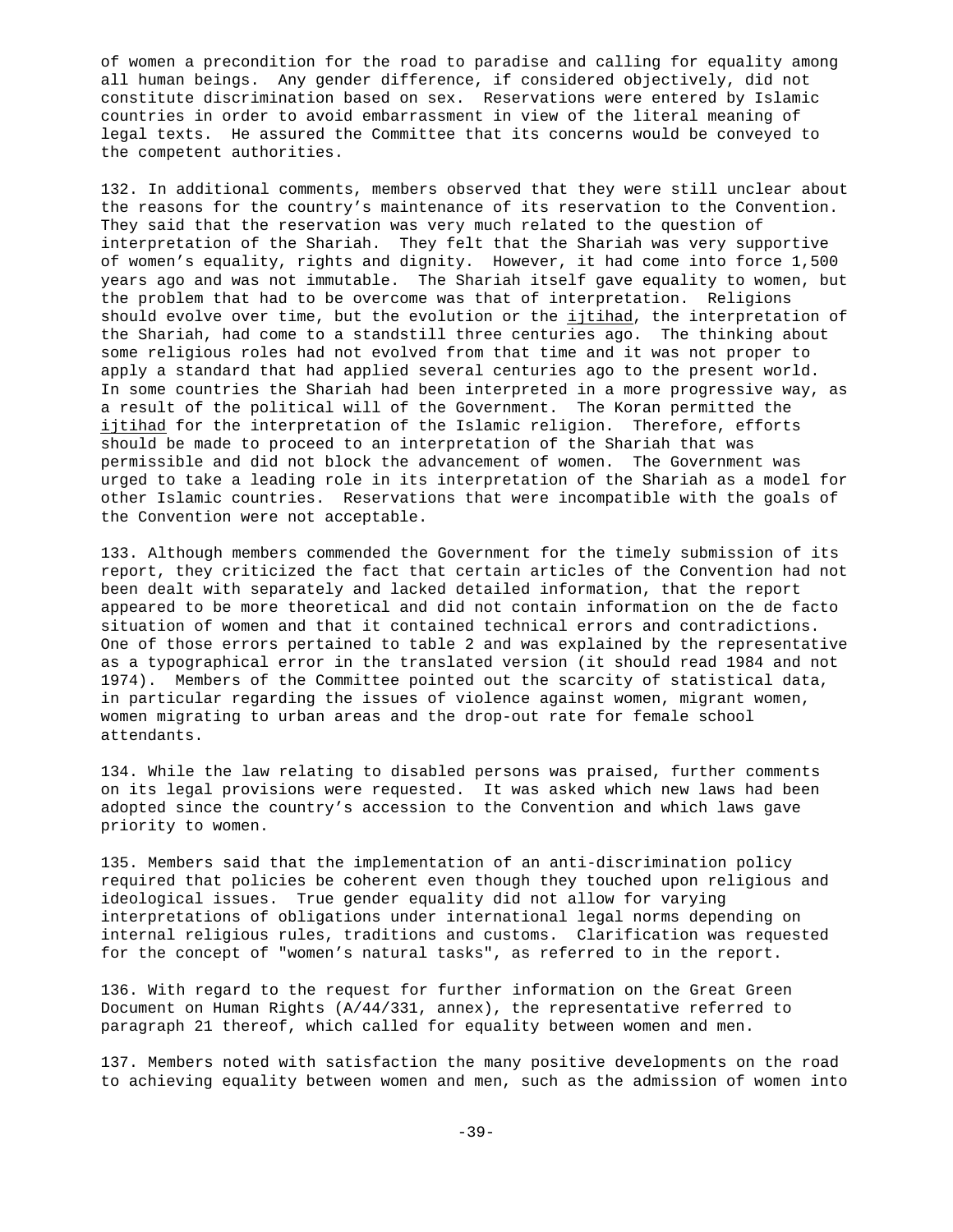of women a precondition for the road to paradise and calling for equality among all human beings. Any gender difference, if considered objectively, did not constitute discrimination based on sex. Reservations were entered by Islamic countries in order to avoid embarrassment in view of the literal meaning of legal texts. He assured the Committee that its concerns would be conveyed to the competent authorities.

132. In additional comments, members observed that they were still unclear about the reasons for the country's maintenance of its reservation to the Convention. They said that the reservation was very much related to the question of interpretation of the Shariah. They felt that the Shariah was very supportive of women's equality, rights and dignity. However, it had come into force 1,500 years ago and was not immutable. The Shariah itself gave equality to women, but the problem that had to be overcome was that of interpretation. Religions should evolve over time, but the evolution or the *ijtihad*, the interpretation of the Shariah, had come to a standstill three centuries ago. The thinking about some religious roles had not evolved from that time and it was not proper to apply a standard that had applied several centuries ago to the present world. In some countries the Shariah had been interpreted in a more progressive way, as a result of the political will of the Government. The Koran permitted the ijtihad for the interpretation of the Islamic religion. Therefore, efforts should be made to proceed to an interpretation of the Shariah that was permissible and did not block the advancement of women. The Government was urged to take a leading role in its interpretation of the Shariah as a model for other Islamic countries. Reservations that were incompatible with the goals of the Convention were not acceptable.

133. Although members commended the Government for the timely submission of its report, they criticized the fact that certain articles of the Convention had not been dealt with separately and lacked detailed information, that the report appeared to be more theoretical and did not contain information on the de facto situation of women and that it contained technical errors and contradictions. One of those errors pertained to table 2 and was explained by the representative as a typographical error in the translated version (it should read 1984 and not 1974). Members of the Committee pointed out the scarcity of statistical data, in particular regarding the issues of violence against women, migrant women, women migrating to urban areas and the drop-out rate for female school attendants.

134. While the law relating to disabled persons was praised, further comments on its legal provisions were requested. It was asked which new laws had been adopted since the country's accession to the Convention and which laws gave priority to women.

135. Members said that the implementation of an anti-discrimination policy required that policies be coherent even though they touched upon religious and ideological issues. True gender equality did not allow for varying interpretations of obligations under international legal norms depending on internal religious rules, traditions and customs. Clarification was requested for the concept of "women's natural tasks", as referred to in the report.

136. With regard to the request for further information on the Great Green Document on Human Rights (A/44/331, annex), the representative referred to paragraph 21 thereof, which called for equality between women and men.

137. Members noted with satisfaction the many positive developments on the road to achieving equality between women and men, such as the admission of women into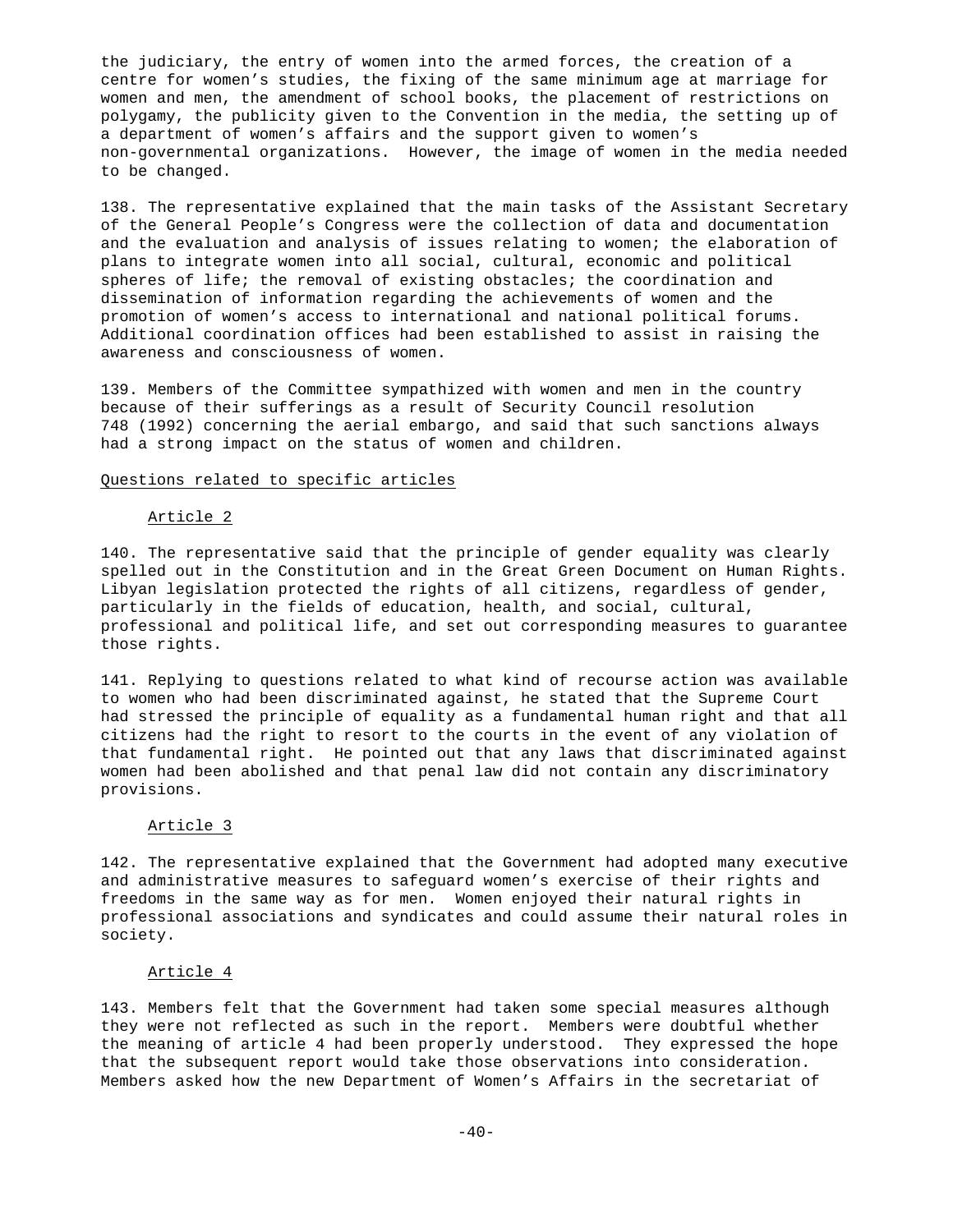the judiciary, the entry of women into the armed forces, the creation of a centre for women's studies, the fixing of the same minimum age at marriage for women and men, the amendment of school books, the placement of restrictions on polygamy, the publicity given to the Convention in the media, the setting up of a department of women's affairs and the support given to women's non-governmental organizations. However, the image of women in the media needed to be changed.

138. The representative explained that the main tasks of the Assistant Secretary of the General People's Congress were the collection of data and documentation and the evaluation and analysis of issues relating to women; the elaboration of plans to integrate women into all social, cultural, economic and political spheres of life; the removal of existing obstacles; the coordination and dissemination of information regarding the achievements of women and the promotion of women's access to international and national political forums. Additional coordination offices had been established to assist in raising the awareness and consciousness of women.

139. Members of the Committee sympathized with women and men in the country because of their sufferings as a result of Security Council resolution 748 (1992) concerning the aerial embargo, and said that such sanctions always had a strong impact on the status of women and children.

# Questions related to specific articles

### Article 2

140. The representative said that the principle of gender equality was clearly spelled out in the Constitution and in the Great Green Document on Human Rights. Libyan legislation protected the rights of all citizens, regardless of gender, particularly in the fields of education, health, and social, cultural, professional and political life, and set out corresponding measures to guarantee those rights.

141. Replying to questions related to what kind of recourse action was available to women who had been discriminated against, he stated that the Supreme Court had stressed the principle of equality as a fundamental human right and that all citizens had the right to resort to the courts in the event of any violation of that fundamental right. He pointed out that any laws that discriminated against women had been abolished and that penal law did not contain any discriminatory provisions.

### Article 3

142. The representative explained that the Government had adopted many executive and administrative measures to safeguard women's exercise of their rights and freedoms in the same way as for men. Women enjoyed their natural rights in professional associations and syndicates and could assume their natural roles in society.

### Article 4

143. Members felt that the Government had taken some special measures although they were not reflected as such in the report. Members were doubtful whether the meaning of article 4 had been properly understood. They expressed the hope that the subsequent report would take those observations into consideration. Members asked how the new Department of Women's Affairs in the secretariat of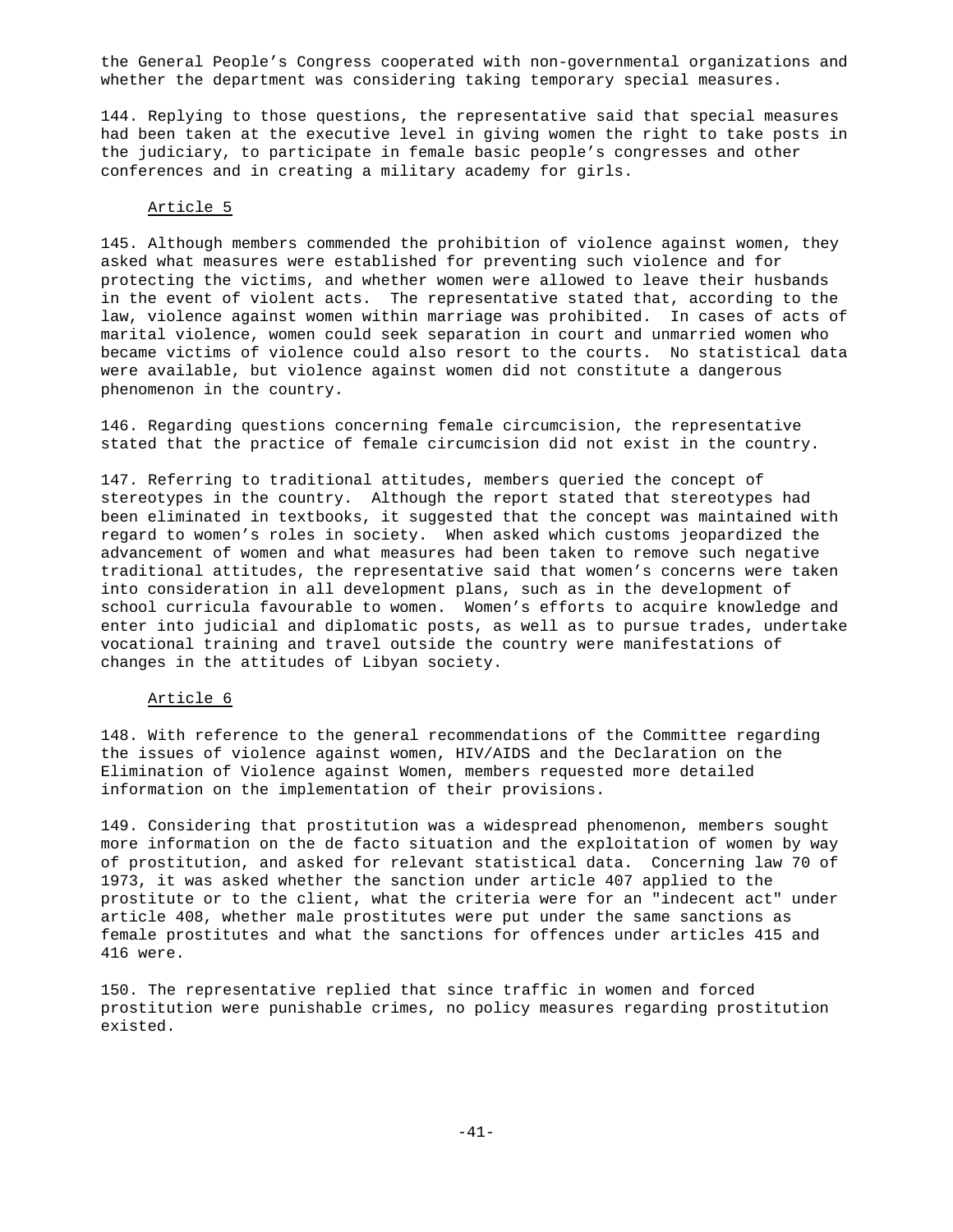the General People's Congress cooperated with non-governmental organizations and whether the department was considering taking temporary special measures.

144. Replying to those questions, the representative said that special measures had been taken at the executive level in giving women the right to take posts in the judiciary, to participate in female basic people's congresses and other conferences and in creating a military academy for girls.

# Article 5

145. Although members commended the prohibition of violence against women, they asked what measures were established for preventing such violence and for protecting the victims, and whether women were allowed to leave their husbands in the event of violent acts. The representative stated that, according to the law, violence against women within marriage was prohibited. In cases of acts of marital violence, women could seek separation in court and unmarried women who became victims of violence could also resort to the courts. No statistical data were available, but violence against women did not constitute a dangerous phenomenon in the country.

146. Regarding questions concerning female circumcision, the representative stated that the practice of female circumcision did not exist in the country.

147. Referring to traditional attitudes, members queried the concept of stereotypes in the country. Although the report stated that stereotypes had been eliminated in textbooks, it suggested that the concept was maintained with regard to women's roles in society. When asked which customs jeopardized the advancement of women and what measures had been taken to remove such negative traditional attitudes, the representative said that women's concerns were taken into consideration in all development plans, such as in the development of school curricula favourable to women. Women's efforts to acquire knowledge and enter into judicial and diplomatic posts, as well as to pursue trades, undertake vocational training and travel outside the country were manifestations of changes in the attitudes of Libyan society.

# Article 6

148. With reference to the general recommendations of the Committee regarding the issues of violence against women, HIV/AIDS and the Declaration on the Elimination of Violence against Women, members requested more detailed information on the implementation of their provisions.

149. Considering that prostitution was a widespread phenomenon, members sought more information on the de facto situation and the exploitation of women by way of prostitution, and asked for relevant statistical data. Concerning law 70 of 1973, it was asked whether the sanction under article 407 applied to the prostitute or to the client, what the criteria were for an "indecent act" under article 408, whether male prostitutes were put under the same sanctions as female prostitutes and what the sanctions for offences under articles 415 and 416 were.

150. The representative replied that since traffic in women and forced prostitution were punishable crimes, no policy measures regarding prostitution existed.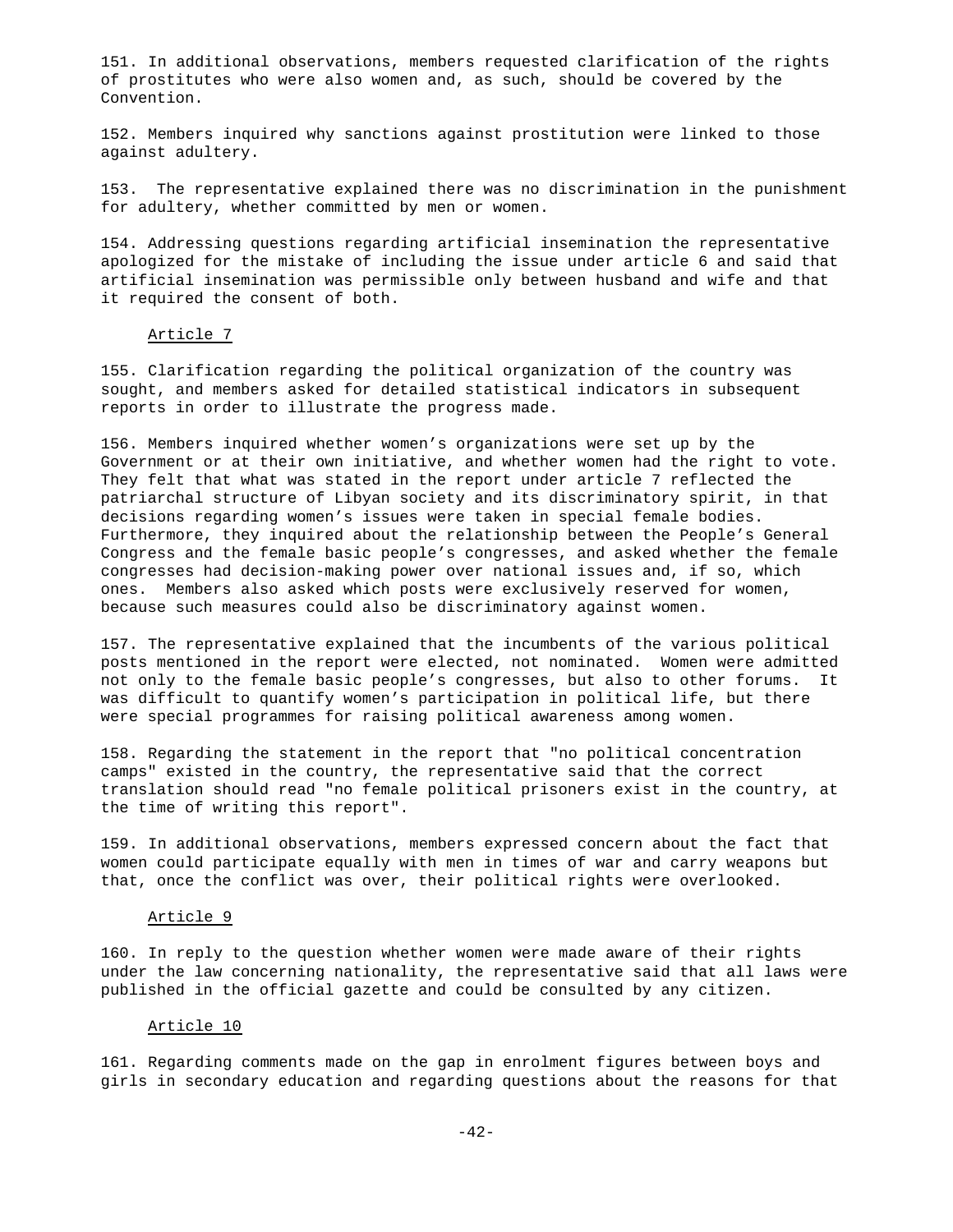151. In additional observations, members requested clarification of the rights of prostitutes who were also women and, as such, should be covered by the Convention.

152. Members inquired why sanctions against prostitution were linked to those against adultery.

153. The representative explained there was no discrimination in the punishment for adultery, whether committed by men or women.

154. Addressing questions regarding artificial insemination the representative apologized for the mistake of including the issue under article 6 and said that artificial insemination was permissible only between husband and wife and that it required the consent of both.

# Article 7

155. Clarification regarding the political organization of the country was sought, and members asked for detailed statistical indicators in subsequent reports in order to illustrate the progress made.

156. Members inquired whether women's organizations were set up by the Government or at their own initiative, and whether women had the right to vote. They felt that what was stated in the report under article 7 reflected the patriarchal structure of Libyan society and its discriminatory spirit, in that decisions regarding women's issues were taken in special female bodies. Furthermore, they inquired about the relationship between the People's General Congress and the female basic people's congresses, and asked whether the female congresses had decision-making power over national issues and, if so, which ones. Members also asked which posts were exclusively reserved for women, because such measures could also be discriminatory against women.

157. The representative explained that the incumbents of the various political posts mentioned in the report were elected, not nominated. Women were admitted not only to the female basic people's congresses, but also to other forums. It was difficult to quantify women's participation in political life, but there were special programmes for raising political awareness among women.

158. Regarding the statement in the report that "no political concentration camps" existed in the country, the representative said that the correct translation should read "no female political prisoners exist in the country, at the time of writing this report".

159. In additional observations, members expressed concern about the fact that women could participate equally with men in times of war and carry weapons but that, once the conflict was over, their political rights were overlooked.

# Article 9

160. In reply to the question whether women were made aware of their rights under the law concerning nationality, the representative said that all laws were published in the official gazette and could be consulted by any citizen.

# Article 10

161. Regarding comments made on the gap in enrolment figures between boys and girls in secondary education and regarding questions about the reasons for that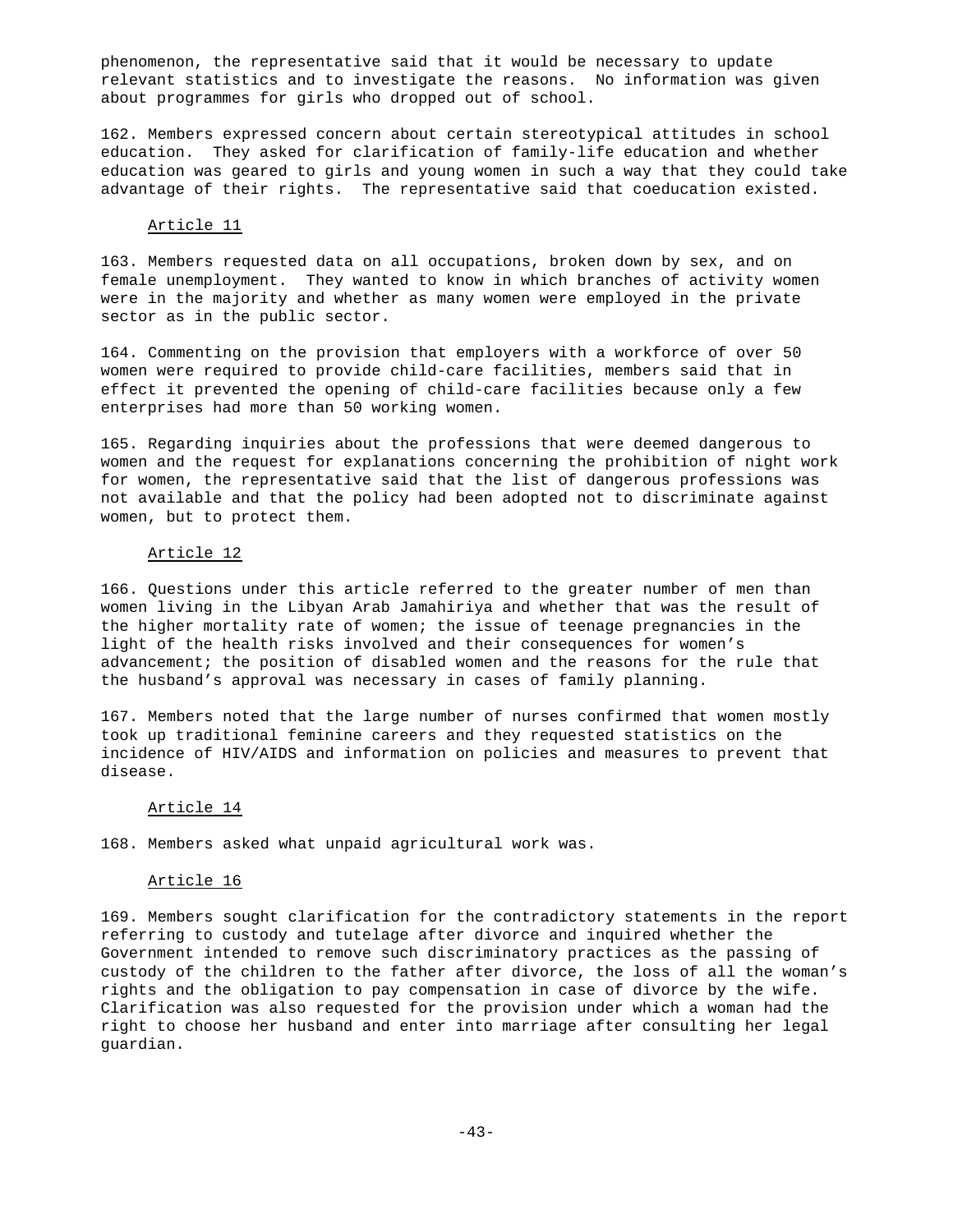phenomenon, the representative said that it would be necessary to update relevant statistics and to investigate the reasons. No information was given about programmes for girls who dropped out of school.

162. Members expressed concern about certain stereotypical attitudes in school education. They asked for clarification of family-life education and whether education was geared to girls and young women in such a way that they could take advantage of their rights. The representative said that coeducation existed.

#### Article 11

163. Members requested data on all occupations, broken down by sex, and on female unemployment. They wanted to know in which branches of activity women were in the majority and whether as many women were employed in the private sector as in the public sector.

164. Commenting on the provision that employers with a workforce of over 50 women were required to provide child-care facilities, members said that in effect it prevented the opening of child-care facilities because only a few enterprises had more than 50 working women.

165. Regarding inquiries about the professions that were deemed dangerous to women and the request for explanations concerning the prohibition of night work for women, the representative said that the list of dangerous professions was not available and that the policy had been adopted not to discriminate against women, but to protect them.

#### Article 12

166. Questions under this article referred to the greater number of men than women living in the Libyan Arab Jamahiriya and whether that was the result of the higher mortality rate of women; the issue of teenage pregnancies in the light of the health risks involved and their consequences for women's advancement; the position of disabled women and the reasons for the rule that the husband's approval was necessary in cases of family planning.

167. Members noted that the large number of nurses confirmed that women mostly took up traditional feminine careers and they requested statistics on the incidence of HIV/AIDS and information on policies and measures to prevent that disease.

### Article 14

168. Members asked what unpaid agricultural work was.

### Article 16

169. Members sought clarification for the contradictory statements in the report referring to custody and tutelage after divorce and inquired whether the Government intended to remove such discriminatory practices as the passing of custody of the children to the father after divorce, the loss of all the woman's rights and the obligation to pay compensation in case of divorce by the wife. Clarification was also requested for the provision under which a woman had the right to choose her husband and enter into marriage after consulting her legal guardian.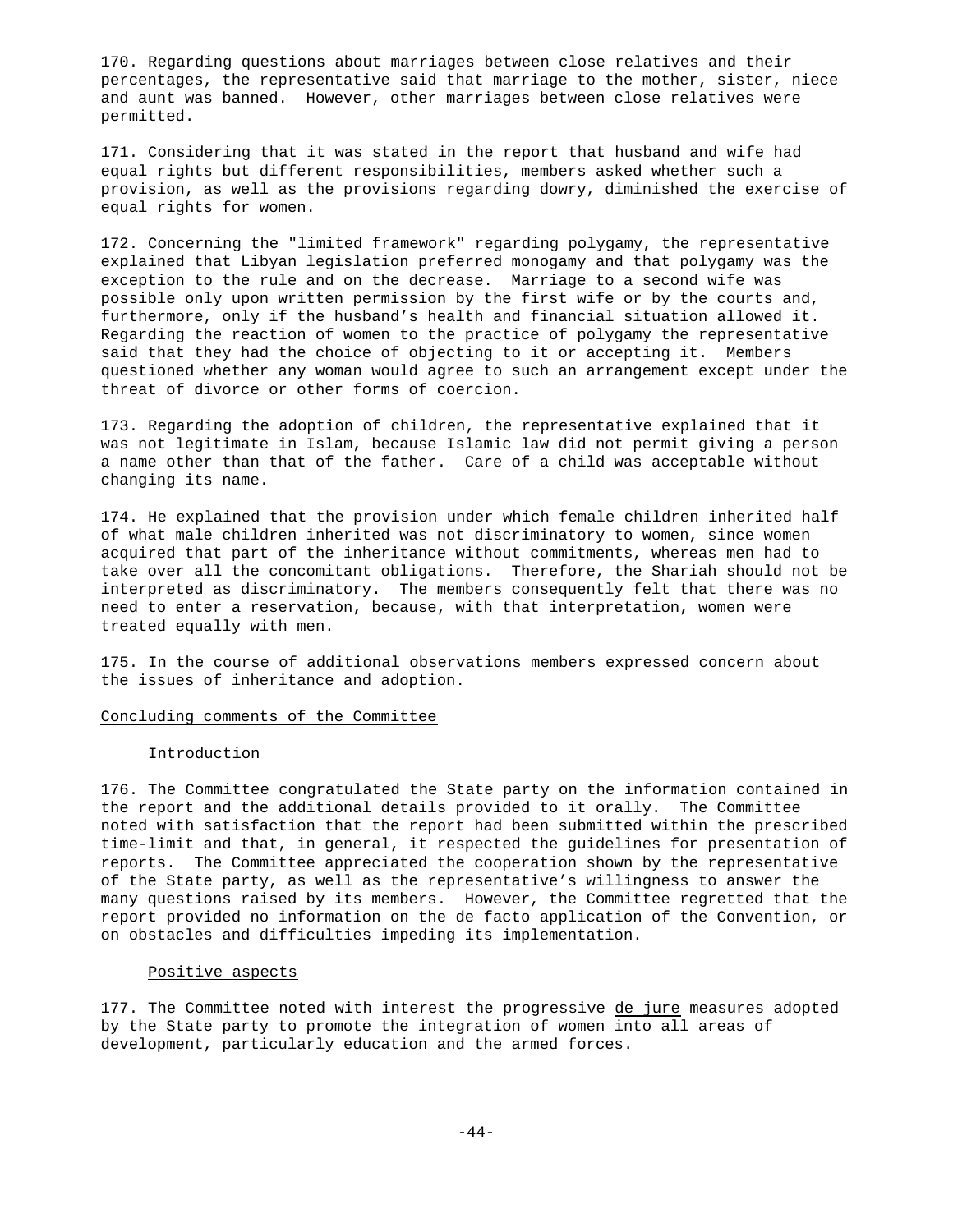170. Regarding questions about marriages between close relatives and their percentages, the representative said that marriage to the mother, sister, niece and aunt was banned. However, other marriages between close relatives were permitted.

171. Considering that it was stated in the report that husband and wife had equal rights but different responsibilities, members asked whether such a provision, as well as the provisions regarding dowry, diminished the exercise of equal rights for women.

172. Concerning the "limited framework" regarding polygamy, the representative explained that Libyan legislation preferred monogamy and that polygamy was the exception to the rule and on the decrease. Marriage to a second wife was possible only upon written permission by the first wife or by the courts and, furthermore, only if the husband's health and financial situation allowed it. Regarding the reaction of women to the practice of polygamy the representative said that they had the choice of objecting to it or accepting it. Members questioned whether any woman would agree to such an arrangement except under the threat of divorce or other forms of coercion.

173. Regarding the adoption of children, the representative explained that it was not legitimate in Islam, because Islamic law did not permit giving a person a name other than that of the father. Care of a child was acceptable without changing its name.

174. He explained that the provision under which female children inherited half of what male children inherited was not discriminatory to women, since women acquired that part of the inheritance without commitments, whereas men had to take over all the concomitant obligations. Therefore, the Shariah should not be interpreted as discriminatory. The members consequently felt that there was no need to enter a reservation, because, with that interpretation, women were treated equally with men.

175. In the course of additional observations members expressed concern about the issues of inheritance and adoption.

# Concluding comments of the Committee

#### Introduction

176. The Committee congratulated the State party on the information contained in the report and the additional details provided to it orally. The Committee noted with satisfaction that the report had been submitted within the prescribed time-limit and that, in general, it respected the guidelines for presentation of reports. The Committee appreciated the cooperation shown by the representative of the State party, as well as the representative's willingness to answer the many questions raised by its members. However, the Committee regretted that the report provided no information on the de facto application of the Convention, or on obstacles and difficulties impeding its implementation.

#### Positive aspects

177. The Committee noted with interest the progressive de jure measures adopted by the State party to promote the integration of women into all areas of development, particularly education and the armed forces.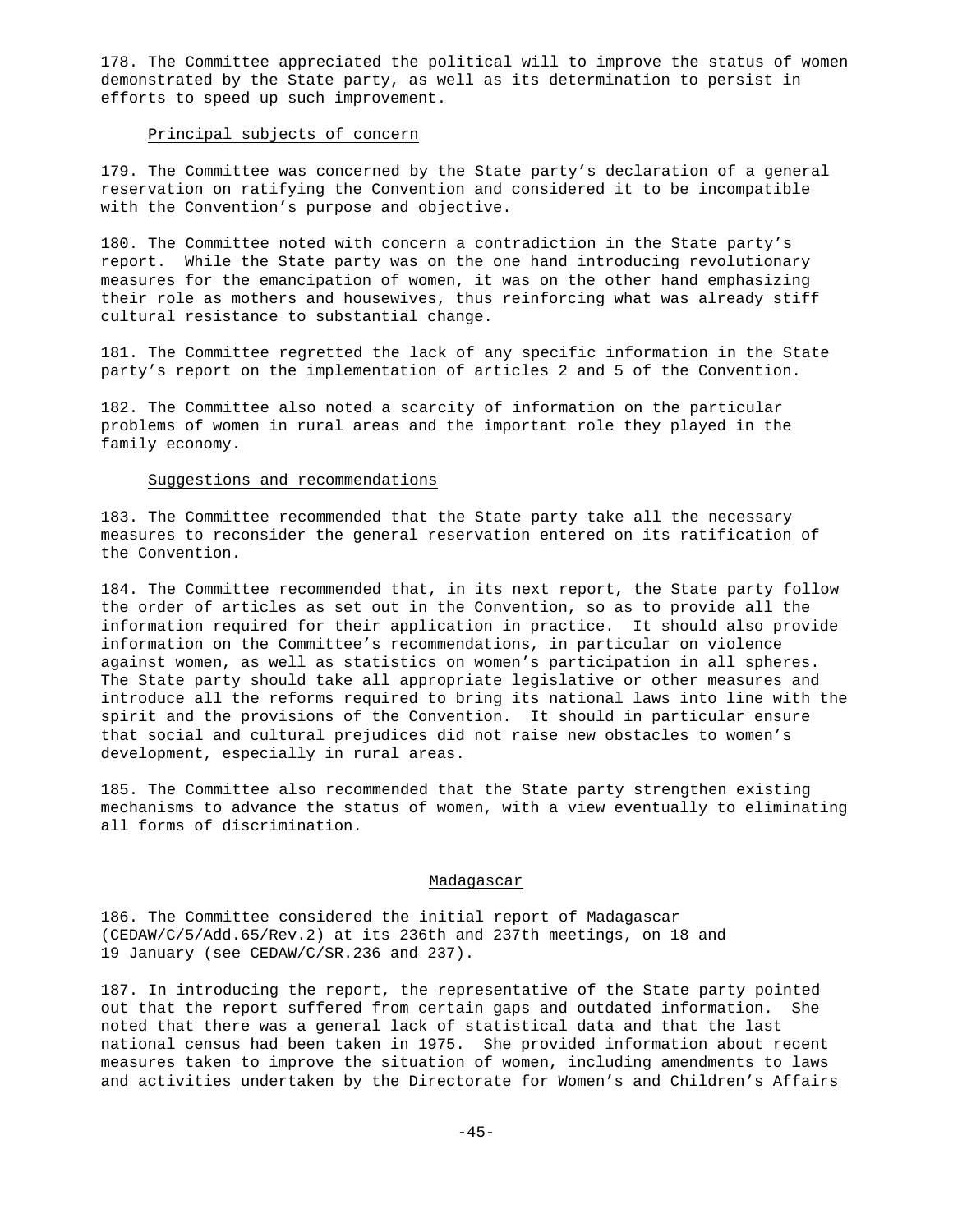178. The Committee appreciated the political will to improve the status of women demonstrated by the State party, as well as its determination to persist in efforts to speed up such improvement.

### Principal subjects of concern

179. The Committee was concerned by the State party's declaration of a general reservation on ratifying the Convention and considered it to be incompatible with the Convention's purpose and objective.

180. The Committee noted with concern a contradiction in the State party's report. While the State party was on the one hand introducing revolutionary measures for the emancipation of women, it was on the other hand emphasizing their role as mothers and housewives, thus reinforcing what was already stiff cultural resistance to substantial change.

181. The Committee regretted the lack of any specific information in the State party's report on the implementation of articles 2 and 5 of the Convention.

182. The Committee also noted a scarcity of information on the particular problems of women in rural areas and the important role they played in the family economy.

### Suggestions and recommendations

183. The Committee recommended that the State party take all the necessary measures to reconsider the general reservation entered on its ratification of the Convention.

184. The Committee recommended that, in its next report, the State party follow the order of articles as set out in the Convention, so as to provide all the information required for their application in practice. It should also provide information on the Committee's recommendations, in particular on violence against women, as well as statistics on women's participation in all spheres. The State party should take all appropriate legislative or other measures and introduce all the reforms required to bring its national laws into line with the spirit and the provisions of the Convention. It should in particular ensure that social and cultural prejudices did not raise new obstacles to women's development, especially in rural areas.

185. The Committee also recommended that the State party strengthen existing mechanisms to advance the status of women, with a view eventually to eliminating all forms of discrimination.

#### Madagascar

186. The Committee considered the initial report of Madagascar (CEDAW/C/5/Add.65/Rev.2) at its 236th and 237th meetings, on 18 and 19 January (see CEDAW/C/SR.236 and 237).

187. In introducing the report, the representative of the State party pointed out that the report suffered from certain gaps and outdated information. She noted that there was a general lack of statistical data and that the last national census had been taken in 1975. She provided information about recent measures taken to improve the situation of women, including amendments to laws and activities undertaken by the Directorate for Women's and Children's Affairs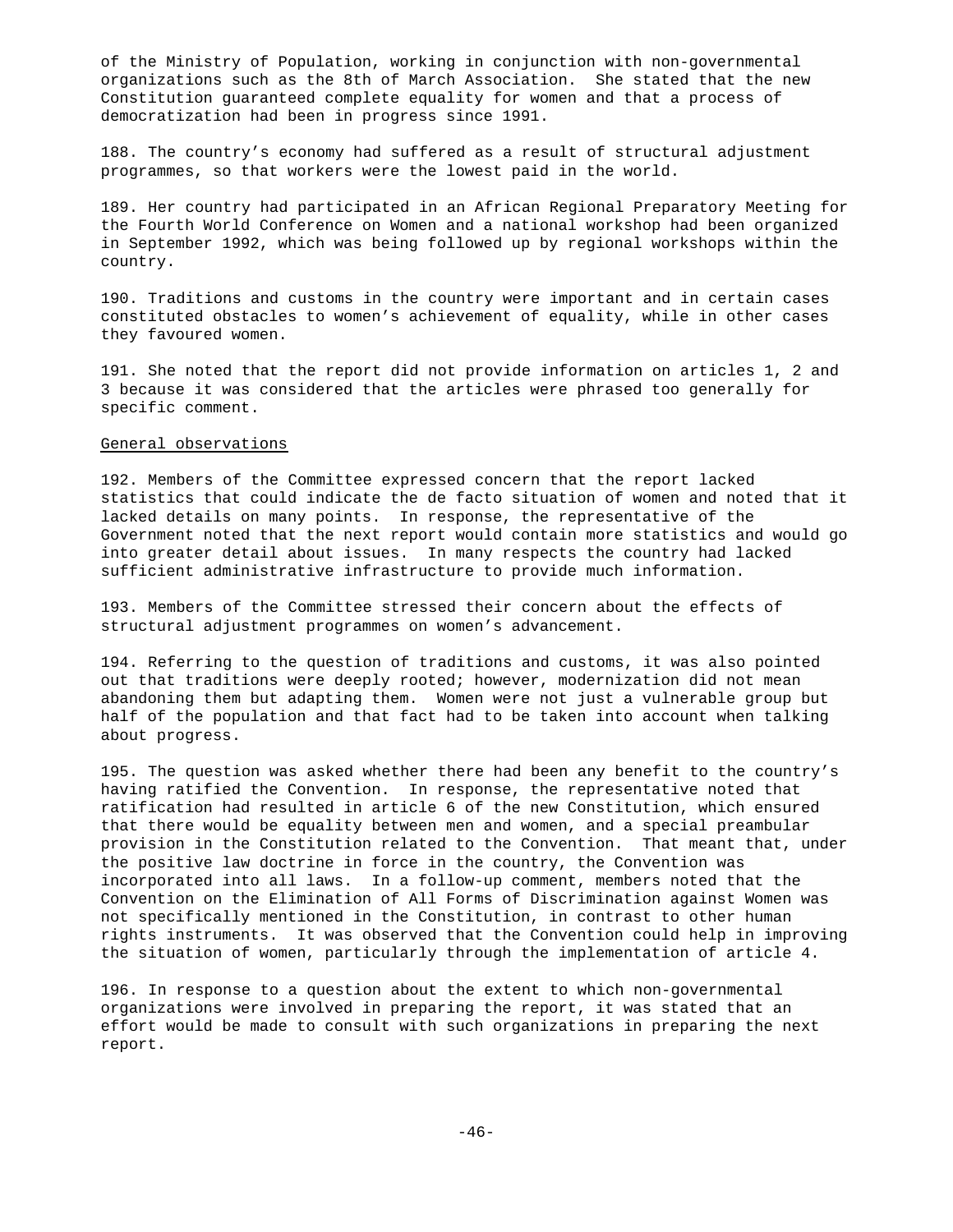of the Ministry of Population, working in conjunction with non-governmental organizations such as the 8th of March Association. She stated that the new Constitution guaranteed complete equality for women and that a process of democratization had been in progress since 1991.

188. The country's economy had suffered as a result of structural adjustment programmes, so that workers were the lowest paid in the world.

189. Her country had participated in an African Regional Preparatory Meeting for the Fourth World Conference on Women and a national workshop had been organized in September 1992, which was being followed up by regional workshops within the country.

190. Traditions and customs in the country were important and in certain cases constituted obstacles to women's achievement of equality, while in other cases they favoured women.

191. She noted that the report did not provide information on articles 1, 2 and 3 because it was considered that the articles were phrased too generally for specific comment.

### General observations

192. Members of the Committee expressed concern that the report lacked statistics that could indicate the de facto situation of women and noted that it lacked details on many points. In response, the representative of the Government noted that the next report would contain more statistics and would go into greater detail about issues. In many respects the country had lacked sufficient administrative infrastructure to provide much information.

193. Members of the Committee stressed their concern about the effects of structural adjustment programmes on women's advancement.

194. Referring to the question of traditions and customs, it was also pointed out that traditions were deeply rooted; however, modernization did not mean abandoning them but adapting them. Women were not just a vulnerable group but half of the population and that fact had to be taken into account when talking about progress.

195. The question was asked whether there had been any benefit to the country's having ratified the Convention. In response, the representative noted that ratification had resulted in article 6 of the new Constitution, which ensured that there would be equality between men and women, and a special preambular provision in the Constitution related to the Convention. That meant that, under the positive law doctrine in force in the country, the Convention was incorporated into all laws. In a follow-up comment, members noted that the Convention on the Elimination of All Forms of Discrimination against Women was not specifically mentioned in the Constitution, in contrast to other human rights instruments. It was observed that the Convention could help in improving the situation of women, particularly through the implementation of article 4.

196. In response to a question about the extent to which non-governmental organizations were involved in preparing the report, it was stated that an effort would be made to consult with such organizations in preparing the next report.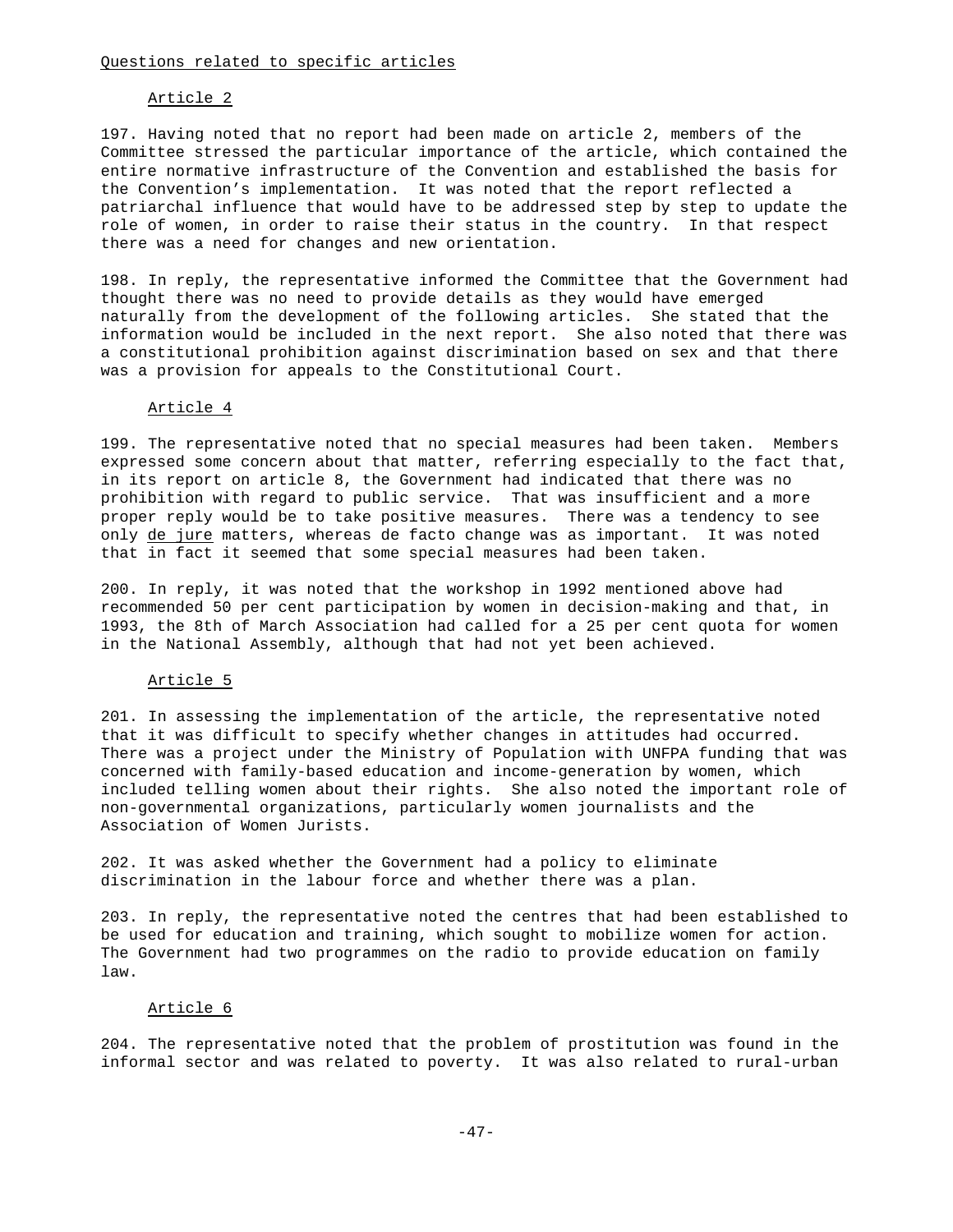### Article 2

197. Having noted that no report had been made on article 2, members of the Committee stressed the particular importance of the article, which contained the entire normative infrastructure of the Convention and established the basis for the Convention's implementation. It was noted that the report reflected a patriarchal influence that would have to be addressed step by step to update the role of women, in order to raise their status in the country. In that respect there was a need for changes and new orientation.

198. In reply, the representative informed the Committee that the Government had thought there was no need to provide details as they would have emerged naturally from the development of the following articles. She stated that the information would be included in the next report. She also noted that there was a constitutional prohibition against discrimination based on sex and that there was a provision for appeals to the Constitutional Court.

### Article 4

199. The representative noted that no special measures had been taken. Members expressed some concern about that matter, referring especially to the fact that, in its report on article 8, the Government had indicated that there was no prohibition with regard to public service. That was insufficient and a more proper reply would be to take positive measures. There was a tendency to see only de jure matters, whereas de facto change was as important. It was noted that in fact it seemed that some special measures had been taken.

200. In reply, it was noted that the workshop in 1992 mentioned above had recommended 50 per cent participation by women in decision-making and that, in 1993, the 8th of March Association had called for a 25 per cent quota for women in the National Assembly, although that had not yet been achieved.

#### Article 5

201. In assessing the implementation of the article, the representative noted that it was difficult to specify whether changes in attitudes had occurred. There was a project under the Ministry of Population with UNFPA funding that was concerned with family-based education and income-generation by women, which included telling women about their rights. She also noted the important role of non-governmental organizations, particularly women journalists and the Association of Women Jurists.

202. It was asked whether the Government had a policy to eliminate discrimination in the labour force and whether there was a plan.

203. In reply, the representative noted the centres that had been established to be used for education and training, which sought to mobilize women for action. The Government had two programmes on the radio to provide education on family law.

### Article 6

204. The representative noted that the problem of prostitution was found in the informal sector and was related to poverty. It was also related to rural-urban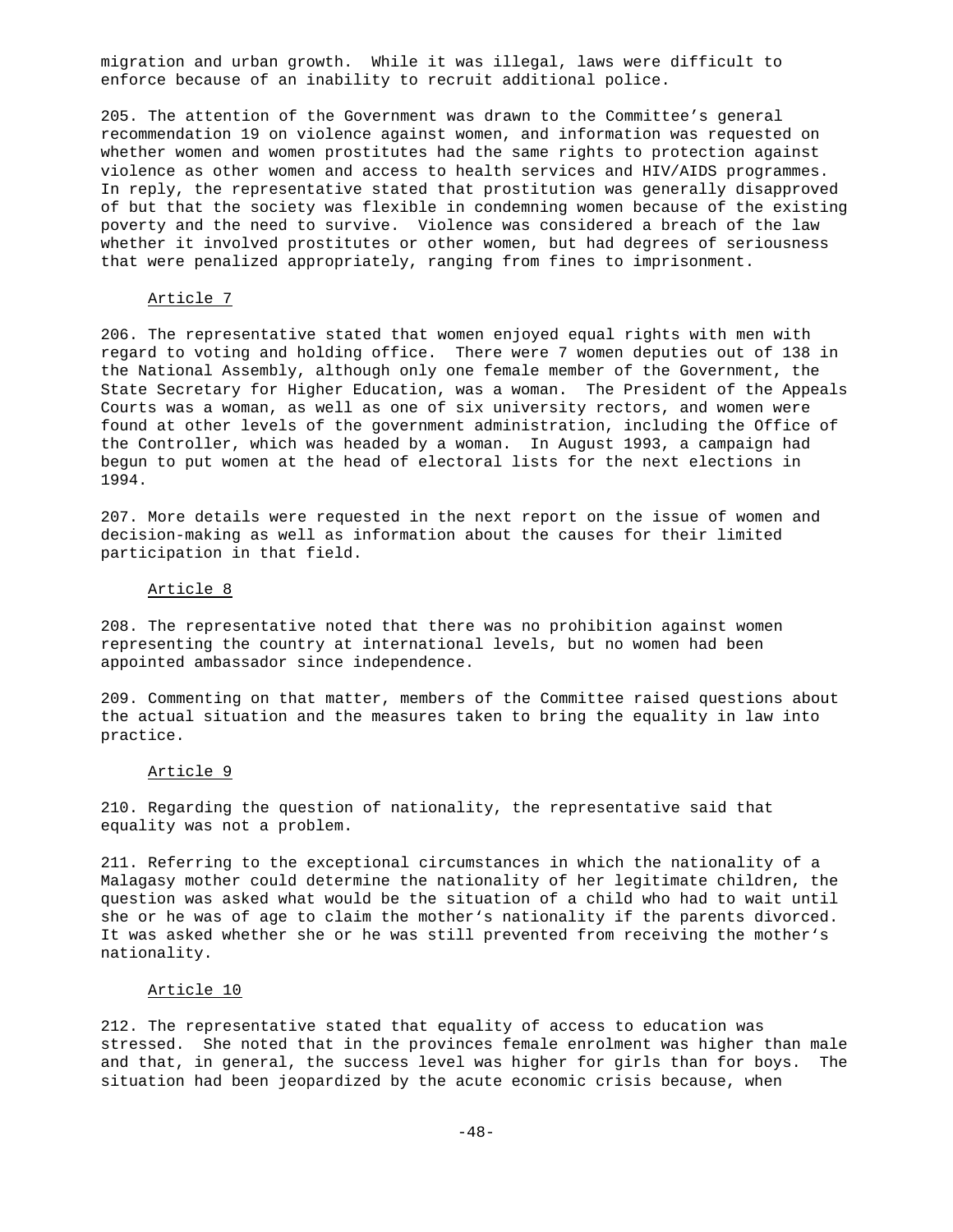migration and urban growth. While it was illegal, laws were difficult to enforce because of an inability to recruit additional police.

205. The attention of the Government was drawn to the Committee's general recommendation 19 on violence against women, and information was requested on whether women and women prostitutes had the same rights to protection against violence as other women and access to health services and HIV/AIDS programmes. In reply, the representative stated that prostitution was generally disapproved of but that the society was flexible in condemning women because of the existing poverty and the need to survive. Violence was considered a breach of the law whether it involved prostitutes or other women, but had degrees of seriousness that were penalized appropriately, ranging from fines to imprisonment.

#### Article 7

206. The representative stated that women enjoyed equal rights with men with regard to voting and holding office. There were 7 women deputies out of 138 in the National Assembly, although only one female member of the Government, the State Secretary for Higher Education, was a woman. The President of the Appeals Courts was a woman, as well as one of six university rectors, and women were found at other levels of the government administration, including the Office of the Controller, which was headed by a woman. In August 1993, a campaign had begun to put women at the head of electoral lists for the next elections in 1994.

207. More details were requested in the next report on the issue of women and decision-making as well as information about the causes for their limited participation in that field.

#### Article 8

208. The representative noted that there was no prohibition against women representing the country at international levels, but no women had been appointed ambassador since independence.

209. Commenting on that matter, members of the Committee raised questions about the actual situation and the measures taken to bring the equality in law into practice.

### Article 9

210. Regarding the question of nationality, the representative said that equality was not a problem.

211. Referring to the exceptional circumstances in which the nationality of a Malagasy mother could determine the nationality of her legitimate children, the question was asked what would be the situation of a child who had to wait until she or he was of age to claim the mother's nationality if the parents divorced. It was asked whether she or he was still prevented from receiving the mother's nationality.

# Article 10

212. The representative stated that equality of access to education was stressed. She noted that in the provinces female enrolment was higher than male and that, in general, the success level was higher for girls than for boys. The situation had been jeopardized by the acute economic crisis because, when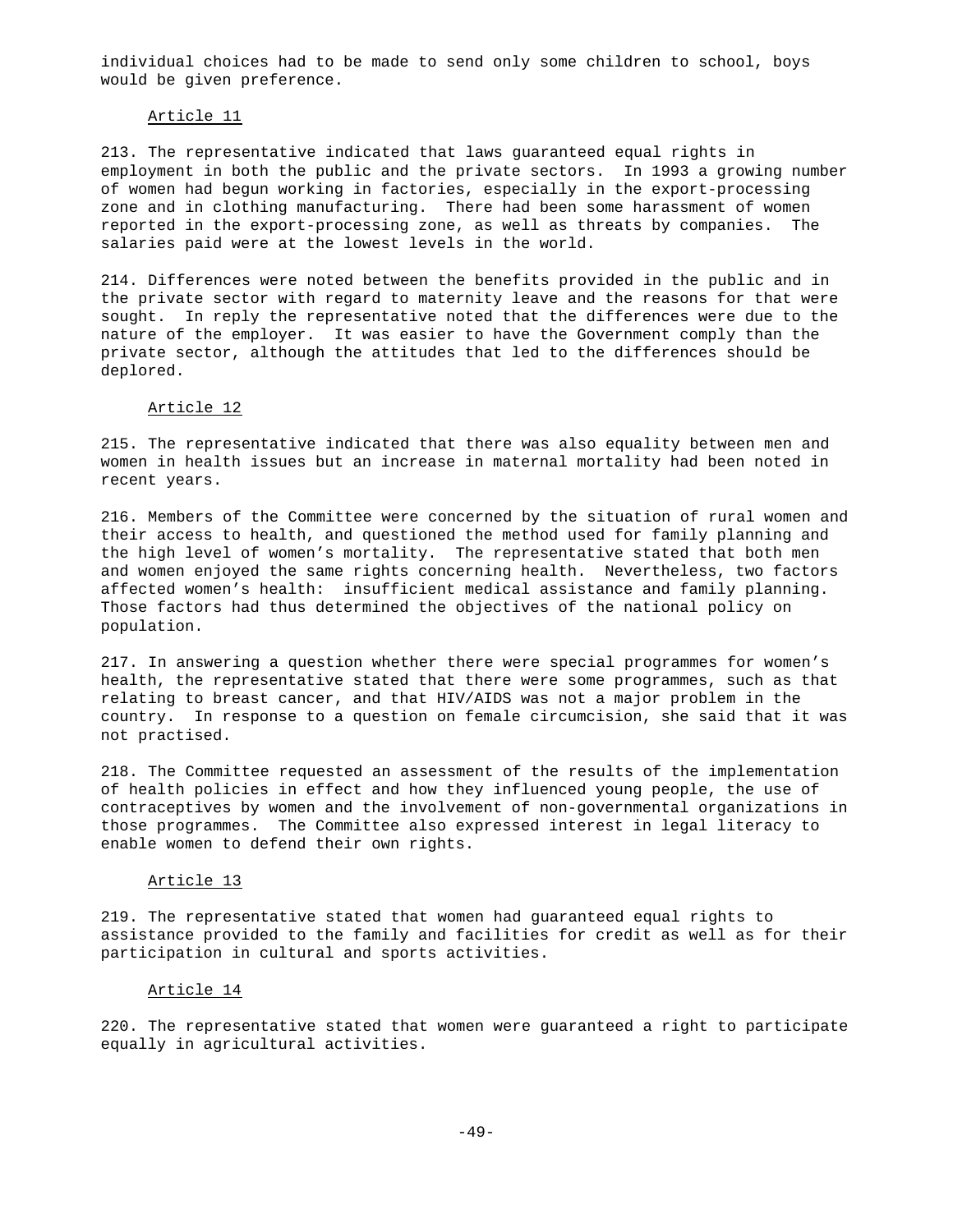individual choices had to be made to send only some children to school, boys would be given preference.

### Article 11

213. The representative indicated that laws guaranteed equal rights in employment in both the public and the private sectors. In 1993 a growing number of women had begun working in factories, especially in the export-processing zone and in clothing manufacturing. There had been some harassment of women reported in the export-processing zone, as well as threats by companies. The salaries paid were at the lowest levels in the world.

214. Differences were noted between the benefits provided in the public and in the private sector with regard to maternity leave and the reasons for that were sought. In reply the representative noted that the differences were due to the nature of the employer. It was easier to have the Government comply than the private sector, although the attitudes that led to the differences should be deplored.

### Article 12

215. The representative indicated that there was also equality between men and women in health issues but an increase in maternal mortality had been noted in recent years.

216. Members of the Committee were concerned by the situation of rural women and their access to health, and questioned the method used for family planning and the high level of women's mortality. The representative stated that both men and women enjoyed the same rights concerning health. Nevertheless, two factors affected women's health: insufficient medical assistance and family planning. Those factors had thus determined the objectives of the national policy on population.

217. In answering a question whether there were special programmes for women's health, the representative stated that there were some programmes, such as that relating to breast cancer, and that HIV/AIDS was not a major problem in the country. In response to a question on female circumcision, she said that it was not practised.

218. The Committee requested an assessment of the results of the implementation of health policies in effect and how they influenced young people, the use of contraceptives by women and the involvement of non-governmental organizations in those programmes. The Committee also expressed interest in legal literacy to enable women to defend their own rights.

### Article 13

219. The representative stated that women had guaranteed equal rights to assistance provided to the family and facilities for credit as well as for their participation in cultural and sports activities.

# Article 14

220. The representative stated that women were guaranteed a right to participate equally in agricultural activities.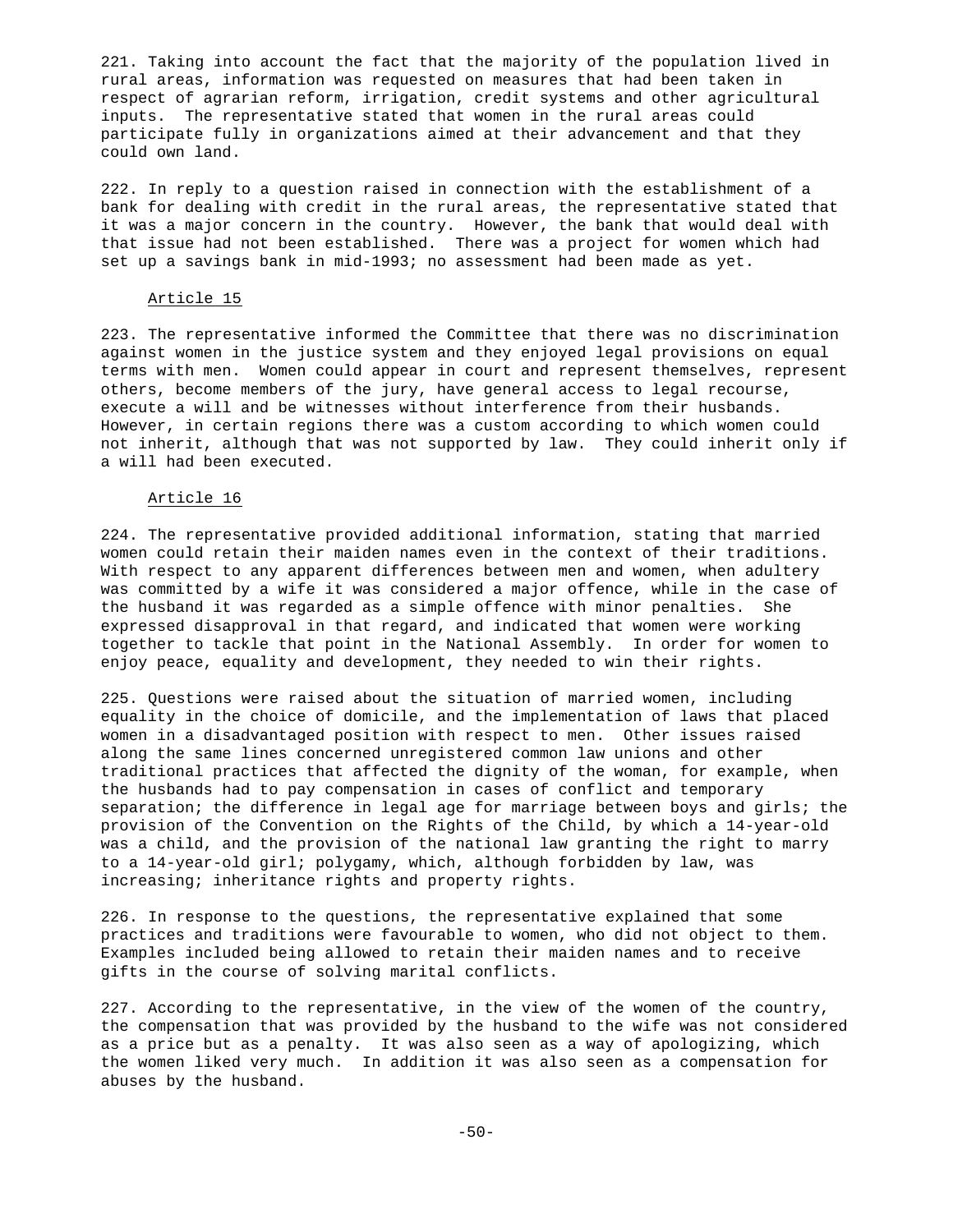221. Taking into account the fact that the majority of the population lived in rural areas, information was requested on measures that had been taken in respect of agrarian reform, irrigation, credit systems and other agricultural inputs. The representative stated that women in the rural areas could participate fully in organizations aimed at their advancement and that they could own land.

222. In reply to a question raised in connection with the establishment of a bank for dealing with credit in the rural areas, the representative stated that it was a major concern in the country. However, the bank that would deal with that issue had not been established. There was a project for women which had set up a savings bank in mid-1993; no assessment had been made as yet.

#### Article 15

223. The representative informed the Committee that there was no discrimination against women in the justice system and they enjoyed legal provisions on equal terms with men. Women could appear in court and represent themselves, represent others, become members of the jury, have general access to legal recourse, execute a will and be witnesses without interference from their husbands. However, in certain regions there was a custom according to which women could not inherit, although that was not supported by law. They could inherit only if a will had been executed.

#### Article 16

224. The representative provided additional information, stating that married women could retain their maiden names even in the context of their traditions. With respect to any apparent differences between men and women, when adultery was committed by a wife it was considered a major offence, while in the case of the husband it was regarded as a simple offence with minor penalties. She expressed disapproval in that regard, and indicated that women were working together to tackle that point in the National Assembly. In order for women to enjoy peace, equality and development, they needed to win their rights.

225. Questions were raised about the situation of married women, including equality in the choice of domicile, and the implementation of laws that placed women in a disadvantaged position with respect to men. Other issues raised along the same lines concerned unregistered common law unions and other traditional practices that affected the dignity of the woman, for example, when the husbands had to pay compensation in cases of conflict and temporary separation; the difference in legal age for marriage between boys and girls; the provision of the Convention on the Rights of the Child, by which a 14-year-old was a child, and the provision of the national law granting the right to marry to a 14-year-old girl; polygamy, which, although forbidden by law, was increasing; inheritance rights and property rights.

226. In response to the questions, the representative explained that some practices and traditions were favourable to women, who did not object to them. Examples included being allowed to retain their maiden names and to receive gifts in the course of solving marital conflicts.

227. According to the representative, in the view of the women of the country, the compensation that was provided by the husband to the wife was not considered as a price but as a penalty. It was also seen as a way of apologizing, which the women liked very much. In addition it was also seen as a compensation for abuses by the husband.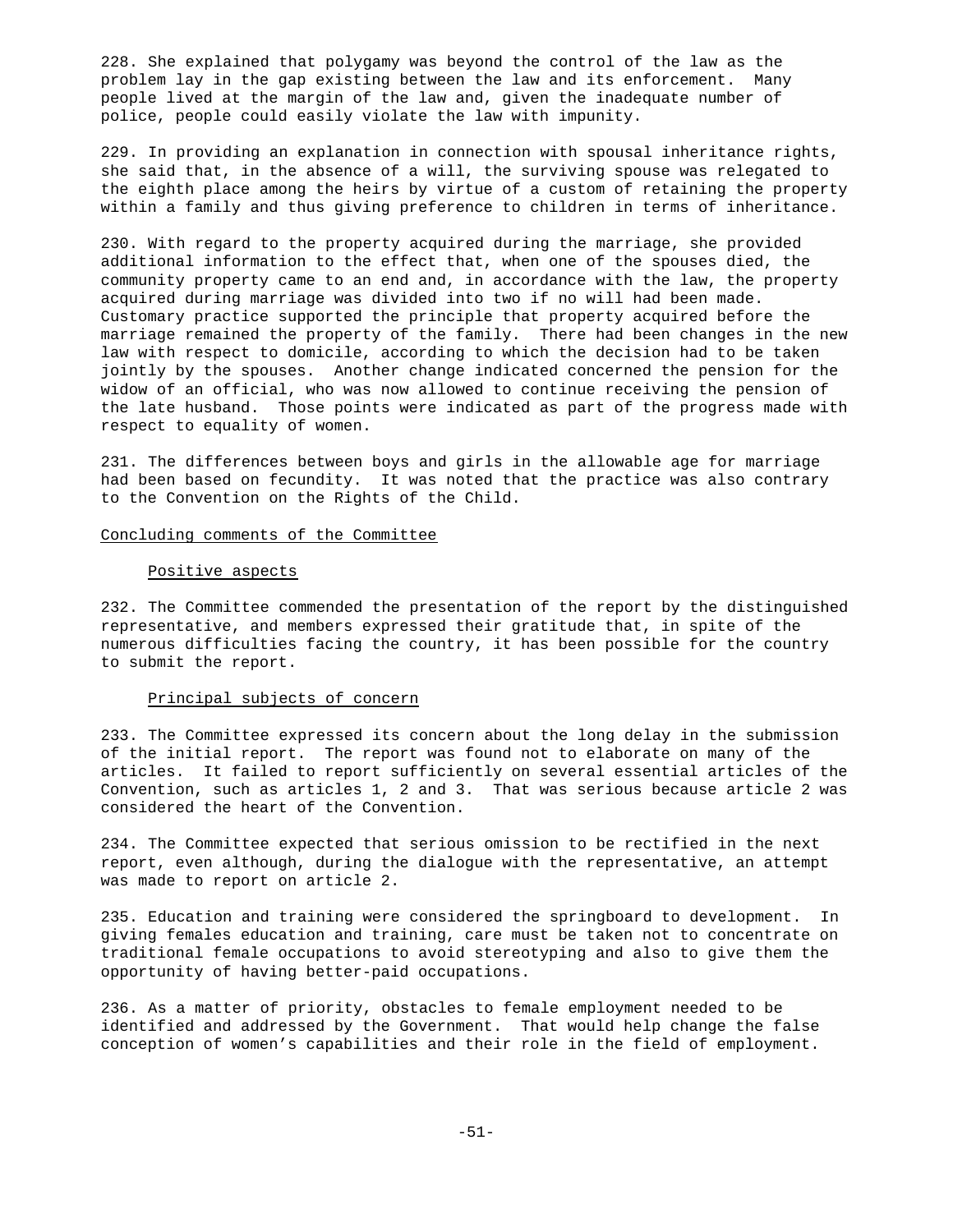228. She explained that polygamy was beyond the control of the law as the problem lay in the gap existing between the law and its enforcement. Many people lived at the margin of the law and, given the inadequate number of police, people could easily violate the law with impunity.

229. In providing an explanation in connection with spousal inheritance rights, she said that, in the absence of a will, the surviving spouse was relegated to the eighth place among the heirs by virtue of a custom of retaining the property within a family and thus giving preference to children in terms of inheritance.

230. With regard to the property acquired during the marriage, she provided additional information to the effect that, when one of the spouses died, the community property came to an end and, in accordance with the law, the property acquired during marriage was divided into two if no will had been made. Customary practice supported the principle that property acquired before the marriage remained the property of the family. There had been changes in the new law with respect to domicile, according to which the decision had to be taken jointly by the spouses. Another change indicated concerned the pension for the widow of an official, who was now allowed to continue receiving the pension of the late husband. Those points were indicated as part of the progress made with respect to equality of women.

231. The differences between boys and girls in the allowable age for marriage had been based on fecundity. It was noted that the practice was also contrary to the Convention on the Rights of the Child.

# Concluding comments of the Committee

### Positive aspects

232. The Committee commended the presentation of the report by the distinguished representative, and members expressed their gratitude that, in spite of the numerous difficulties facing the country, it has been possible for the country to submit the report.

#### Principal subjects of concern

233. The Committee expressed its concern about the long delay in the submission of the initial report. The report was found not to elaborate on many of the articles. It failed to report sufficiently on several essential articles of the Convention, such as articles 1, 2 and 3. That was serious because article 2 was considered the heart of the Convention.

234. The Committee expected that serious omission to be rectified in the next report, even although, during the dialogue with the representative, an attempt was made to report on article 2.

235. Education and training were considered the springboard to development. In giving females education and training, care must be taken not to concentrate on traditional female occupations to avoid stereotyping and also to give them the opportunity of having better-paid occupations.

236. As a matter of priority, obstacles to female employment needed to be identified and addressed by the Government. That would help change the false conception of women's capabilities and their role in the field of employment.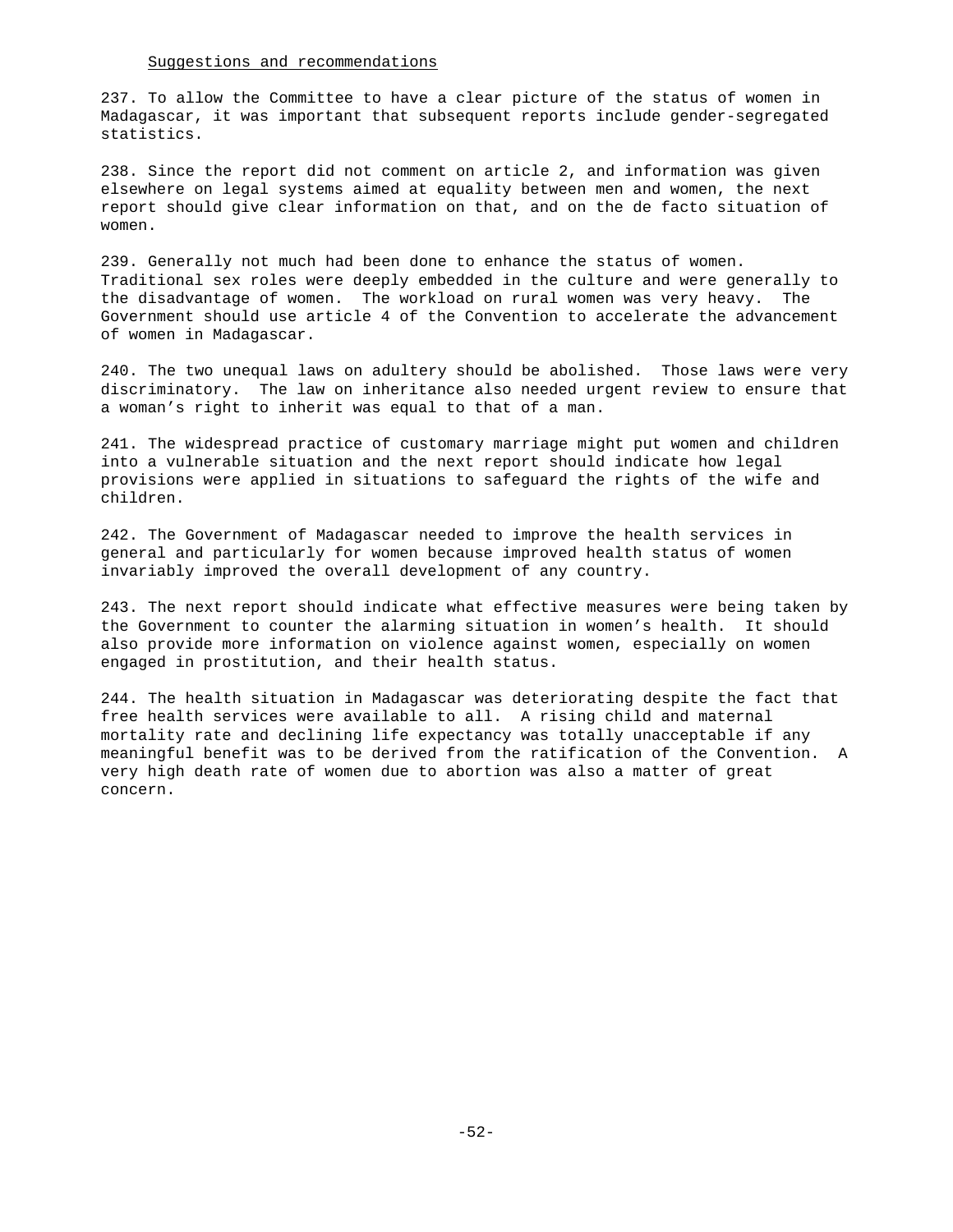### Suggestions and recommendations

237. To allow the Committee to have a clear picture of the status of women in Madagascar, it was important that subsequent reports include gender-segregated statistics.

238. Since the report did not comment on article 2, and information was given elsewhere on legal systems aimed at equality between men and women, the next report should give clear information on that, and on the de facto situation of women.

239. Generally not much had been done to enhance the status of women. Traditional sex roles were deeply embedded in the culture and were generally to the disadvantage of women. The workload on rural women was very heavy. The Government should use article 4 of the Convention to accelerate the advancement of women in Madagascar.

240. The two unequal laws on adultery should be abolished. Those laws were very discriminatory. The law on inheritance also needed urgent review to ensure that a woman's right to inherit was equal to that of a man.

241. The widespread practice of customary marriage might put women and children into a vulnerable situation and the next report should indicate how legal provisions were applied in situations to safeguard the rights of the wife and children.

242. The Government of Madagascar needed to improve the health services in general and particularly for women because improved health status of women invariably improved the overall development of any country.

243. The next report should indicate what effective measures were being taken by the Government to counter the alarming situation in women's health. It should also provide more information on violence against women, especially on women engaged in prostitution, and their health status.

244. The health situation in Madagascar was deteriorating despite the fact that free health services were available to all. A rising child and maternal mortality rate and declining life expectancy was totally unacceptable if any meaningful benefit was to be derived from the ratification of the Convention. A very high death rate of women due to abortion was also a matter of great concern.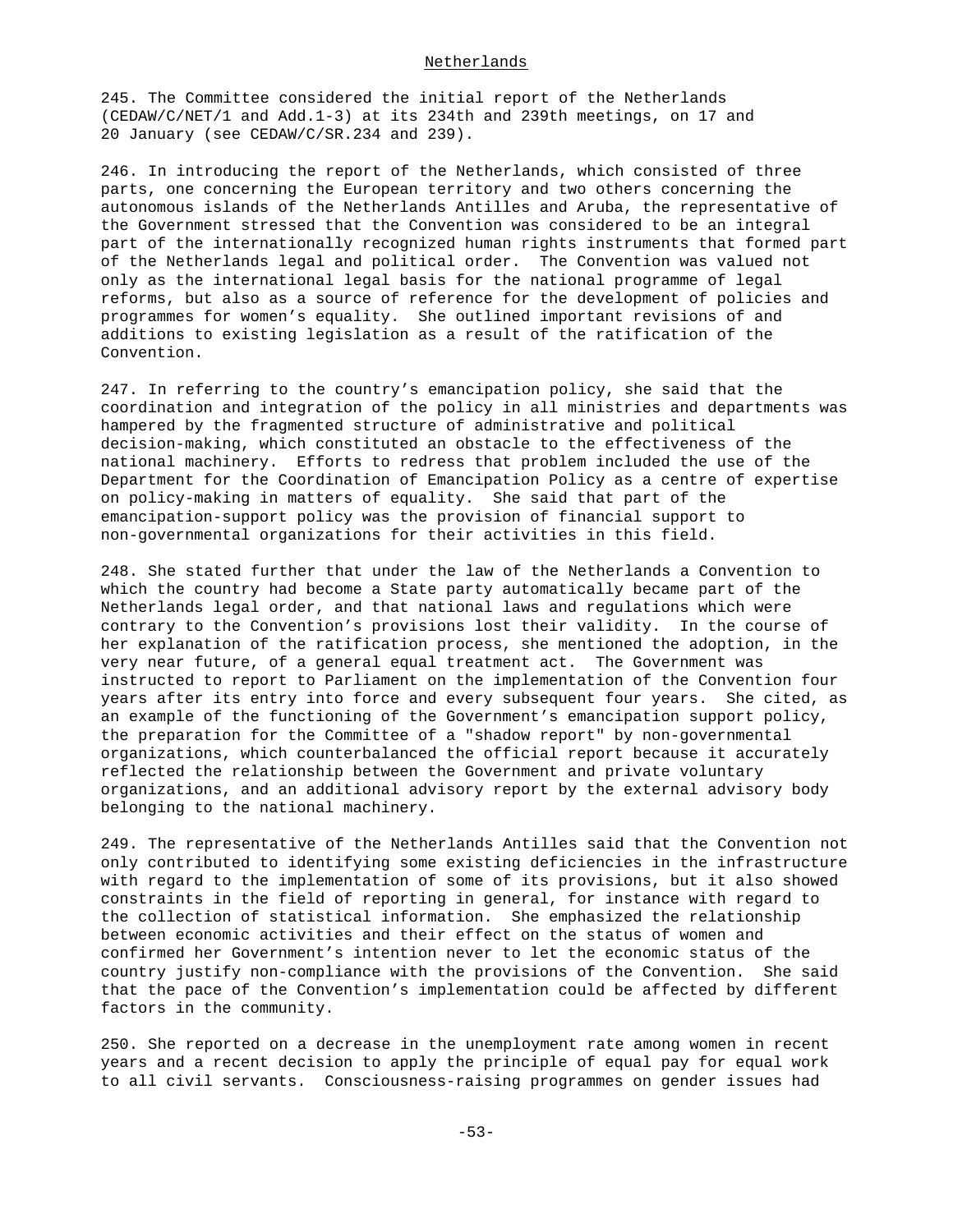245. The Committee considered the initial report of the Netherlands (CEDAW/C/NET/1 and Add.1-3) at its 234th and 239th meetings, on 17 and 20 January (see CEDAW/C/SR.234 and 239).

246. In introducing the report of the Netherlands, which consisted of three parts, one concerning the European territory and two others concerning the autonomous islands of the Netherlands Antilles and Aruba, the representative of the Government stressed that the Convention was considered to be an integral part of the internationally recognized human rights instruments that formed part of the Netherlands legal and political order. The Convention was valued not only as the international legal basis for the national programme of legal reforms, but also as a source of reference for the development of policies and programmes for women's equality. She outlined important revisions of and additions to existing legislation as a result of the ratification of the Convention.

247. In referring to the country's emancipation policy, she said that the coordination and integration of the policy in all ministries and departments was hampered by the fragmented structure of administrative and political decision-making, which constituted an obstacle to the effectiveness of the national machinery. Efforts to redress that problem included the use of the Department for the Coordination of Emancipation Policy as a centre of expertise on policy-making in matters of equality. She said that part of the emancipation-support policy was the provision of financial support to non-governmental organizations for their activities in this field.

248. She stated further that under the law of the Netherlands a Convention to which the country had become a State party automatically became part of the Netherlands legal order, and that national laws and regulations which were contrary to the Convention's provisions lost their validity. In the course of her explanation of the ratification process, she mentioned the adoption, in the very near future, of a general equal treatment act. The Government was instructed to report to Parliament on the implementation of the Convention four years after its entry into force and every subsequent four years. She cited, as an example of the functioning of the Government's emancipation support policy, the preparation for the Committee of a "shadow report" by non-governmental organizations, which counterbalanced the official report because it accurately reflected the relationship between the Government and private voluntary organizations, and an additional advisory report by the external advisory body belonging to the national machinery.

249. The representative of the Netherlands Antilles said that the Convention not only contributed to identifying some existing deficiencies in the infrastructure with regard to the implementation of some of its provisions, but it also showed constraints in the field of reporting in general, for instance with regard to the collection of statistical information. She emphasized the relationship between economic activities and their effect on the status of women and confirmed her Government's intention never to let the economic status of the country justify non-compliance with the provisions of the Convention. She said that the pace of the Convention's implementation could be affected by different factors in the community.

250. She reported on a decrease in the unemployment rate among women in recent years and a recent decision to apply the principle of equal pay for equal work to all civil servants. Consciousness-raising programmes on gender issues had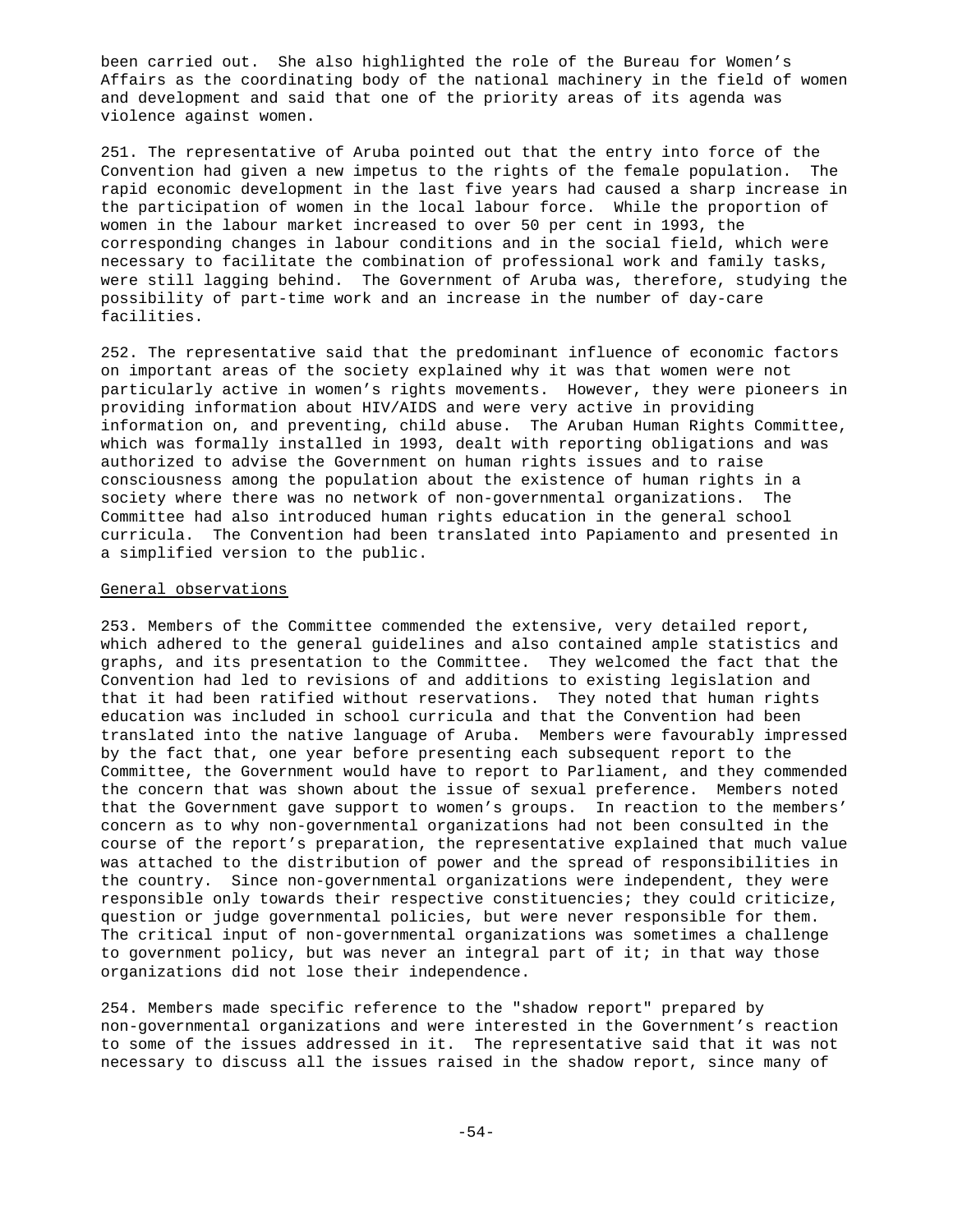been carried out. She also highlighted the role of the Bureau for Women's Affairs as the coordinating body of the national machinery in the field of women and development and said that one of the priority areas of its agenda was violence against women.

251. The representative of Aruba pointed out that the entry into force of the Convention had given a new impetus to the rights of the female population. The rapid economic development in the last five years had caused a sharp increase in the participation of women in the local labour force. While the proportion of women in the labour market increased to over 50 per cent in 1993, the corresponding changes in labour conditions and in the social field, which were necessary to facilitate the combination of professional work and family tasks, were still lagging behind. The Government of Aruba was, therefore, studying the possibility of part-time work and an increase in the number of day-care facilities.

252. The representative said that the predominant influence of economic factors on important areas of the society explained why it was that women were not particularly active in women's rights movements. However, they were pioneers in providing information about HIV/AIDS and were very active in providing information on, and preventing, child abuse. The Aruban Human Rights Committee, which was formally installed in 1993, dealt with reporting obligations and was authorized to advise the Government on human rights issues and to raise consciousness among the population about the existence of human rights in a society where there was no network of non-governmental organizations. The Committee had also introduced human rights education in the general school curricula. The Convention had been translated into Papiamento and presented in a simplified version to the public.

### General observations

253. Members of the Committee commended the extensive, very detailed report, which adhered to the general guidelines and also contained ample statistics and graphs, and its presentation to the Committee. They welcomed the fact that the Convention had led to revisions of and additions to existing legislation and that it had been ratified without reservations. They noted that human rights education was included in school curricula and that the Convention had been translated into the native language of Aruba. Members were favourably impressed by the fact that, one year before presenting each subsequent report to the Committee, the Government would have to report to Parliament, and they commended the concern that was shown about the issue of sexual preference. Members noted that the Government gave support to women's groups. In reaction to the members' concern as to why non-governmental organizations had not been consulted in the course of the report's preparation, the representative explained that much value was attached to the distribution of power and the spread of responsibilities in the country. Since non-governmental organizations were independent, they were responsible only towards their respective constituencies; they could criticize, question or judge governmental policies, but were never responsible for them. The critical input of non-governmental organizations was sometimes a challenge to government policy, but was never an integral part of it; in that way those organizations did not lose their independence.

254. Members made specific reference to the "shadow report" prepared by non-governmental organizations and were interested in the Government's reaction to some of the issues addressed in it. The representative said that it was not necessary to discuss all the issues raised in the shadow report, since many of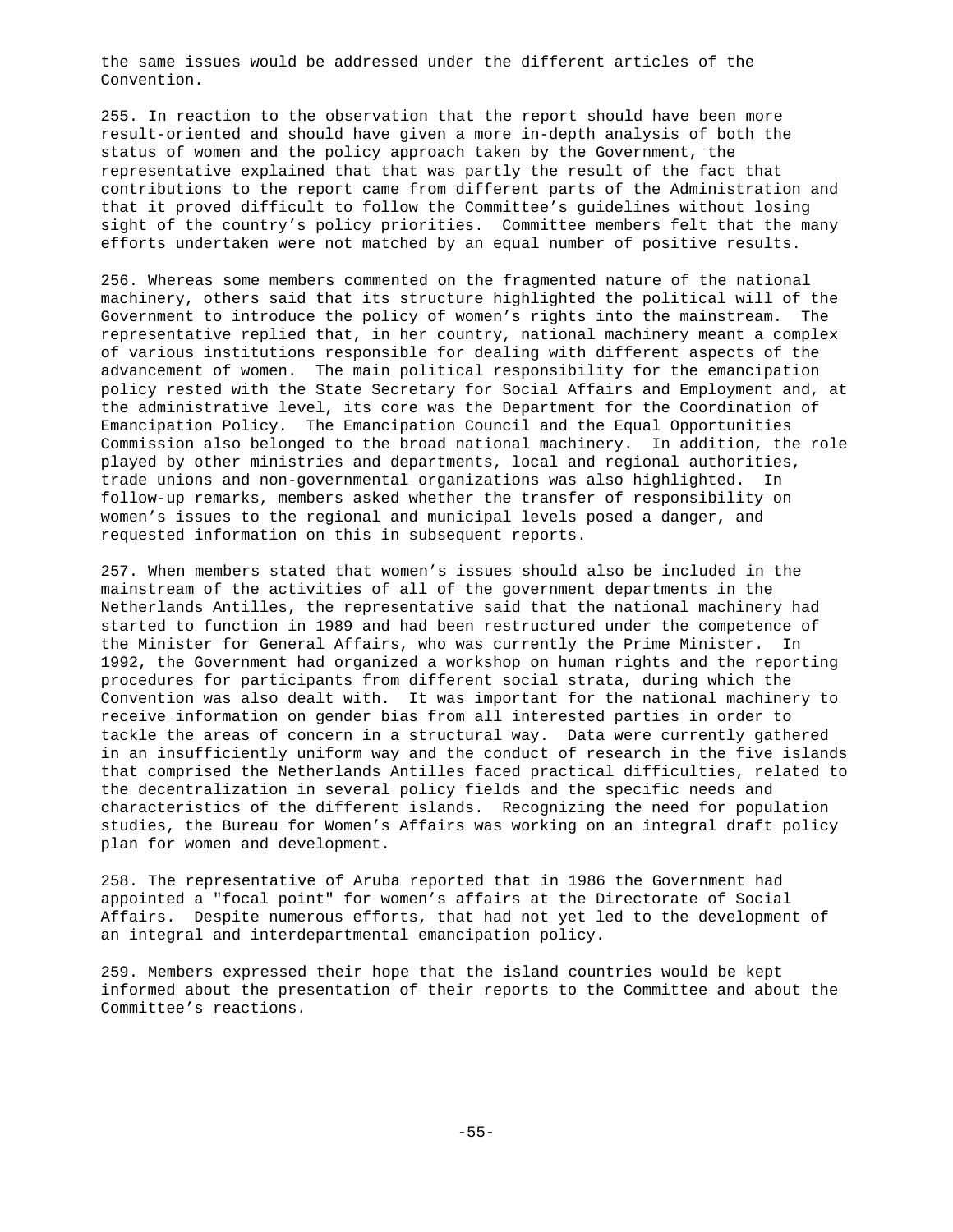the same issues would be addressed under the different articles of the Convention.

255. In reaction to the observation that the report should have been more result-oriented and should have given a more in-depth analysis of both the status of women and the policy approach taken by the Government, the representative explained that that was partly the result of the fact that contributions to the report came from different parts of the Administration and that it proved difficult to follow the Committee's guidelines without losing sight of the country's policy priorities. Committee members felt that the many efforts undertaken were not matched by an equal number of positive results.

256. Whereas some members commented on the fragmented nature of the national machinery, others said that its structure highlighted the political will of the Government to introduce the policy of women's rights into the mainstream. The representative replied that, in her country, national machinery meant a complex of various institutions responsible for dealing with different aspects of the advancement of women. The main political responsibility for the emancipation policy rested with the State Secretary for Social Affairs and Employment and, at the administrative level, its core was the Department for the Coordination of Emancipation Policy. The Emancipation Council and the Equal Opportunities Commission also belonged to the broad national machinery. In addition, the role played by other ministries and departments, local and regional authorities, trade unions and non-governmental organizations was also highlighted. In follow-up remarks, members asked whether the transfer of responsibility on women's issues to the regional and municipal levels posed a danger, and requested information on this in subsequent reports.

257. When members stated that women's issues should also be included in the mainstream of the activities of all of the government departments in the Netherlands Antilles, the representative said that the national machinery had started to function in 1989 and had been restructured under the competence of the Minister for General Affairs, who was currently the Prime Minister. In 1992, the Government had organized a workshop on human rights and the reporting procedures for participants from different social strata, during which the Convention was also dealt with. It was important for the national machinery to receive information on gender bias from all interested parties in order to tackle the areas of concern in a structural way. Data were currently gathered in an insufficiently uniform way and the conduct of research in the five islands that comprised the Netherlands Antilles faced practical difficulties, related to the decentralization in several policy fields and the specific needs and characteristics of the different islands. Recognizing the need for population studies, the Bureau for Women's Affairs was working on an integral draft policy plan for women and development.

258. The representative of Aruba reported that in 1986 the Government had appointed a "focal point" for women's affairs at the Directorate of Social Affairs. Despite numerous efforts, that had not yet led to the development of an integral and interdepartmental emancipation policy.

259. Members expressed their hope that the island countries would be kept informed about the presentation of their reports to the Committee and about the Committee's reactions.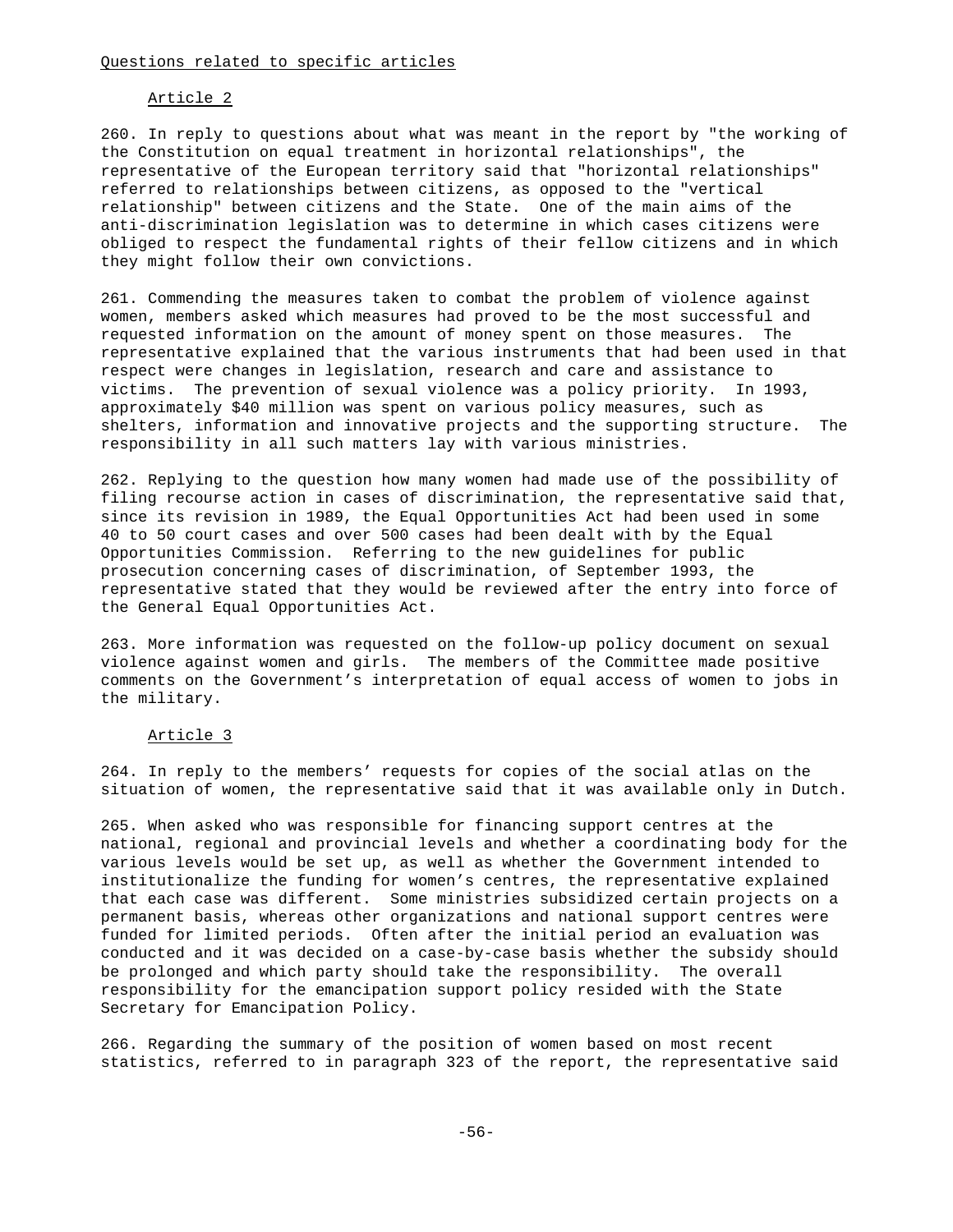### Article 2

260. In reply to questions about what was meant in the report by "the working of the Constitution on equal treatment in horizontal relationships", the representative of the European territory said that "horizontal relationships" referred to relationships between citizens, as opposed to the "vertical relationship" between citizens and the State. One of the main aims of the anti-discrimination legislation was to determine in which cases citizens were obliged to respect the fundamental rights of their fellow citizens and in which they might follow their own convictions.

261. Commending the measures taken to combat the problem of violence against women, members asked which measures had proved to be the most successful and requested information on the amount of money spent on those measures. The representative explained that the various instruments that had been used in that respect were changes in legislation, research and care and assistance to victims. The prevention of sexual violence was a policy priority. In 1993, approximately \$40 million was spent on various policy measures, such as shelters, information and innovative projects and the supporting structure. The responsibility in all such matters lay with various ministries.

262. Replying to the question how many women had made use of the possibility of filing recourse action in cases of discrimination, the representative said that, since its revision in 1989, the Equal Opportunities Act had been used in some 40 to 50 court cases and over 500 cases had been dealt with by the Equal Opportunities Commission. Referring to the new guidelines for public prosecution concerning cases of discrimination, of September 1993, the representative stated that they would be reviewed after the entry into force of the General Equal Opportunities Act.

263. More information was requested on the follow-up policy document on sexual violence against women and girls. The members of the Committee made positive comments on the Government's interpretation of equal access of women to jobs in the military.

# Article 3

264. In reply to the members' requests for copies of the social atlas on the situation of women, the representative said that it was available only in Dutch.

265. When asked who was responsible for financing support centres at the national, regional and provincial levels and whether a coordinating body for the various levels would be set up, as well as whether the Government intended to institutionalize the funding for women's centres, the representative explained that each case was different. Some ministries subsidized certain projects on a permanent basis, whereas other organizations and national support centres were funded for limited periods. Often after the initial period an evaluation was conducted and it was decided on a case-by-case basis whether the subsidy should be prolonged and which party should take the responsibility. The overall responsibility for the emancipation support policy resided with the State Secretary for Emancipation Policy.

266. Regarding the summary of the position of women based on most recent statistics, referred to in paragraph 323 of the report, the representative said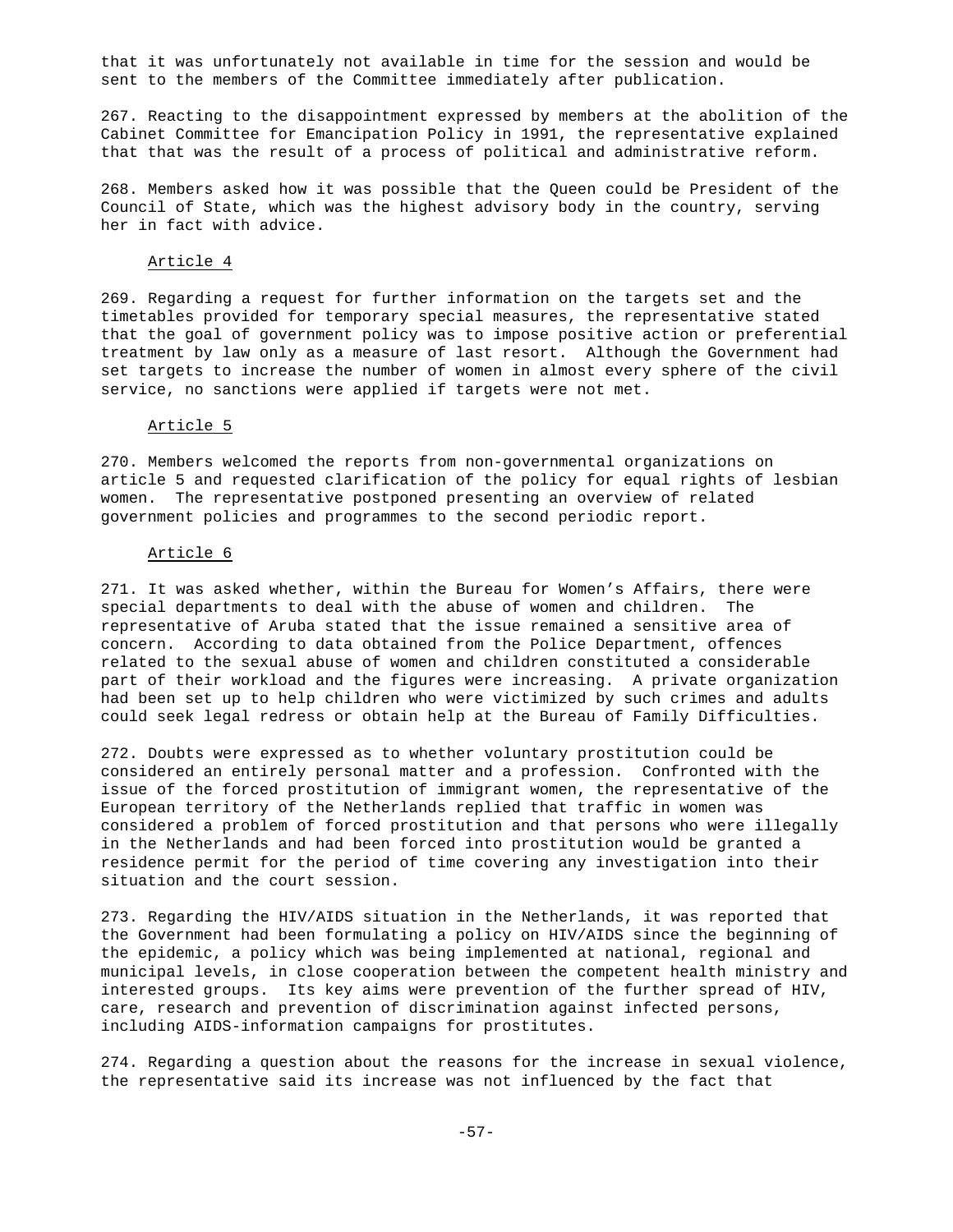that it was unfortunately not available in time for the session and would be sent to the members of the Committee immediately after publication.

267. Reacting to the disappointment expressed by members at the abolition of the Cabinet Committee for Emancipation Policy in 1991, the representative explained that that was the result of a process of political and administrative reform.

268. Members asked how it was possible that the Queen could be President of the Council of State, which was the highest advisory body in the country, serving her in fact with advice.

### Article 4

269. Regarding a request for further information on the targets set and the timetables provided for temporary special measures, the representative stated that the goal of government policy was to impose positive action or preferential treatment by law only as a measure of last resort. Although the Government had set targets to increase the number of women in almost every sphere of the civil service, no sanctions were applied if targets were not met.

# Article 5

270. Members welcomed the reports from non-governmental organizations on article 5 and requested clarification of the policy for equal rights of lesbian women. The representative postponed presenting an overview of related government policies and programmes to the second periodic report.

#### Article 6

271. It was asked whether, within the Bureau for Women's Affairs, there were special departments to deal with the abuse of women and children. The representative of Aruba stated that the issue remained a sensitive area of concern. According to data obtained from the Police Department, offences related to the sexual abuse of women and children constituted a considerable part of their workload and the figures were increasing. A private organization had been set up to help children who were victimized by such crimes and adults could seek legal redress or obtain help at the Bureau of Family Difficulties.

272. Doubts were expressed as to whether voluntary prostitution could be considered an entirely personal matter and a profession. Confronted with the issue of the forced prostitution of immigrant women, the representative of the European territory of the Netherlands replied that traffic in women was considered a problem of forced prostitution and that persons who were illegally in the Netherlands and had been forced into prostitution would be granted a residence permit for the period of time covering any investigation into their situation and the court session.

273. Regarding the HIV/AIDS situation in the Netherlands, it was reported that the Government had been formulating a policy on HIV/AIDS since the beginning of the epidemic, a policy which was being implemented at national, regional and municipal levels, in close cooperation between the competent health ministry and interested groups. Its key aims were prevention of the further spread of HIV, care, research and prevention of discrimination against infected persons, including AIDS-information campaigns for prostitutes.

274. Regarding a question about the reasons for the increase in sexual violence, the representative said its increase was not influenced by the fact that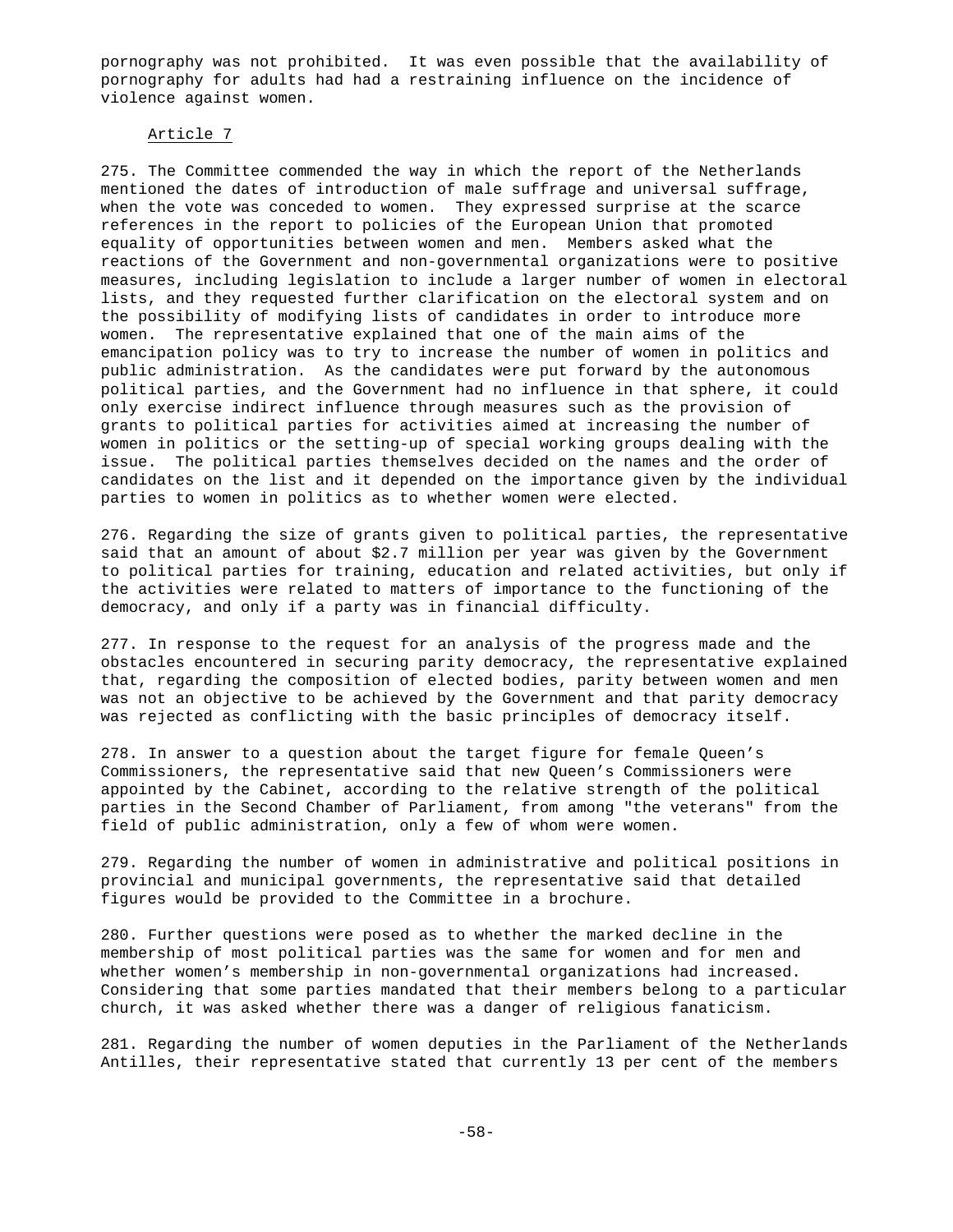pornography was not prohibited. It was even possible that the availability of pornography for adults had had a restraining influence on the incidence of violence against women.

### Article 7

275. The Committee commended the way in which the report of the Netherlands mentioned the dates of introduction of male suffrage and universal suffrage, when the vote was conceded to women. They expressed surprise at the scarce references in the report to policies of the European Union that promoted equality of opportunities between women and men. Members asked what the reactions of the Government and non-governmental organizations were to positive measures, including legislation to include a larger number of women in electoral lists, and they requested further clarification on the electoral system and on the possibility of modifying lists of candidates in order to introduce more women. The representative explained that one of the main aims of the emancipation policy was to try to increase the number of women in politics and public administration. As the candidates were put forward by the autonomous political parties, and the Government had no influence in that sphere, it could only exercise indirect influence through measures such as the provision of grants to political parties for activities aimed at increasing the number of women in politics or the setting-up of special working groups dealing with the issue. The political parties themselves decided on the names and the order of candidates on the list and it depended on the importance given by the individual parties to women in politics as to whether women were elected.

276. Regarding the size of grants given to political parties, the representative said that an amount of about \$2.7 million per year was given by the Government to political parties for training, education and related activities, but only if the activities were related to matters of importance to the functioning of the democracy, and only if a party was in financial difficulty.

277. In response to the request for an analysis of the progress made and the obstacles encountered in securing parity democracy, the representative explained that, regarding the composition of elected bodies, parity between women and men was not an objective to be achieved by the Government and that parity democracy was rejected as conflicting with the basic principles of democracy itself.

278. In answer to a question about the target figure for female Queen's Commissioners, the representative said that new Queen's Commissioners were appointed by the Cabinet, according to the relative strength of the political parties in the Second Chamber of Parliament, from among "the veterans" from the field of public administration, only a few of whom were women.

279. Regarding the number of women in administrative and political positions in provincial and municipal governments, the representative said that detailed figures would be provided to the Committee in a brochure.

280. Further questions were posed as to whether the marked decline in the membership of most political parties was the same for women and for men and whether women's membership in non-governmental organizations had increased. Considering that some parties mandated that their members belong to a particular church, it was asked whether there was a danger of religious fanaticism.

281. Regarding the number of women deputies in the Parliament of the Netherlands Antilles, their representative stated that currently 13 per cent of the members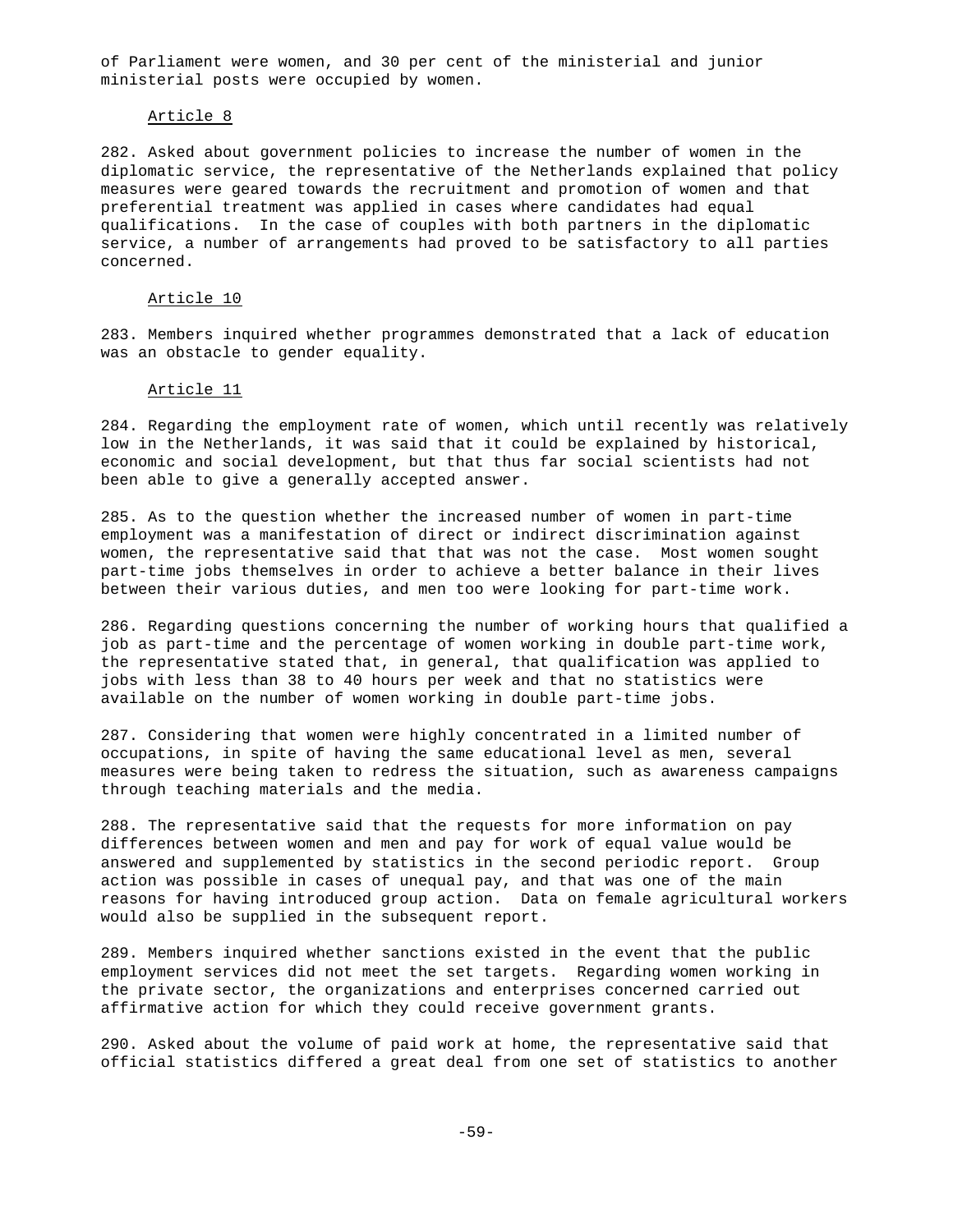of Parliament were women, and 30 per cent of the ministerial and junior ministerial posts were occupied by women.

### Article 8

282. Asked about government policies to increase the number of women in the diplomatic service, the representative of the Netherlands explained that policy measures were geared towards the recruitment and promotion of women and that preferential treatment was applied in cases where candidates had equal qualifications. In the case of couples with both partners in the diplomatic service, a number of arrangements had proved to be satisfactory to all parties concerned.

### Article 10

283. Members inquired whether programmes demonstrated that a lack of education was an obstacle to gender equality.

### Article 11

284. Regarding the employment rate of women, which until recently was relatively low in the Netherlands, it was said that it could be explained by historical, economic and social development, but that thus far social scientists had not been able to give a generally accepted answer.

285. As to the question whether the increased number of women in part-time employment was a manifestation of direct or indirect discrimination against women, the representative said that that was not the case. Most women sought part-time jobs themselves in order to achieve a better balance in their lives between their various duties, and men too were looking for part-time work.

286. Regarding questions concerning the number of working hours that qualified a job as part-time and the percentage of women working in double part-time work, the representative stated that, in general, that qualification was applied to jobs with less than 38 to 40 hours per week and that no statistics were available on the number of women working in double part-time jobs.

287. Considering that women were highly concentrated in a limited number of occupations, in spite of having the same educational level as men, several measures were being taken to redress the situation, such as awareness campaigns through teaching materials and the media.

288. The representative said that the requests for more information on pay differences between women and men and pay for work of equal value would be answered and supplemented by statistics in the second periodic report. Group action was possible in cases of unequal pay, and that was one of the main reasons for having introduced group action. Data on female agricultural workers would also be supplied in the subsequent report.

289. Members inquired whether sanctions existed in the event that the public employment services did not meet the set targets. Regarding women working in the private sector, the organizations and enterprises concerned carried out affirmative action for which they could receive government grants.

290. Asked about the volume of paid work at home, the representative said that official statistics differed a great deal from one set of statistics to another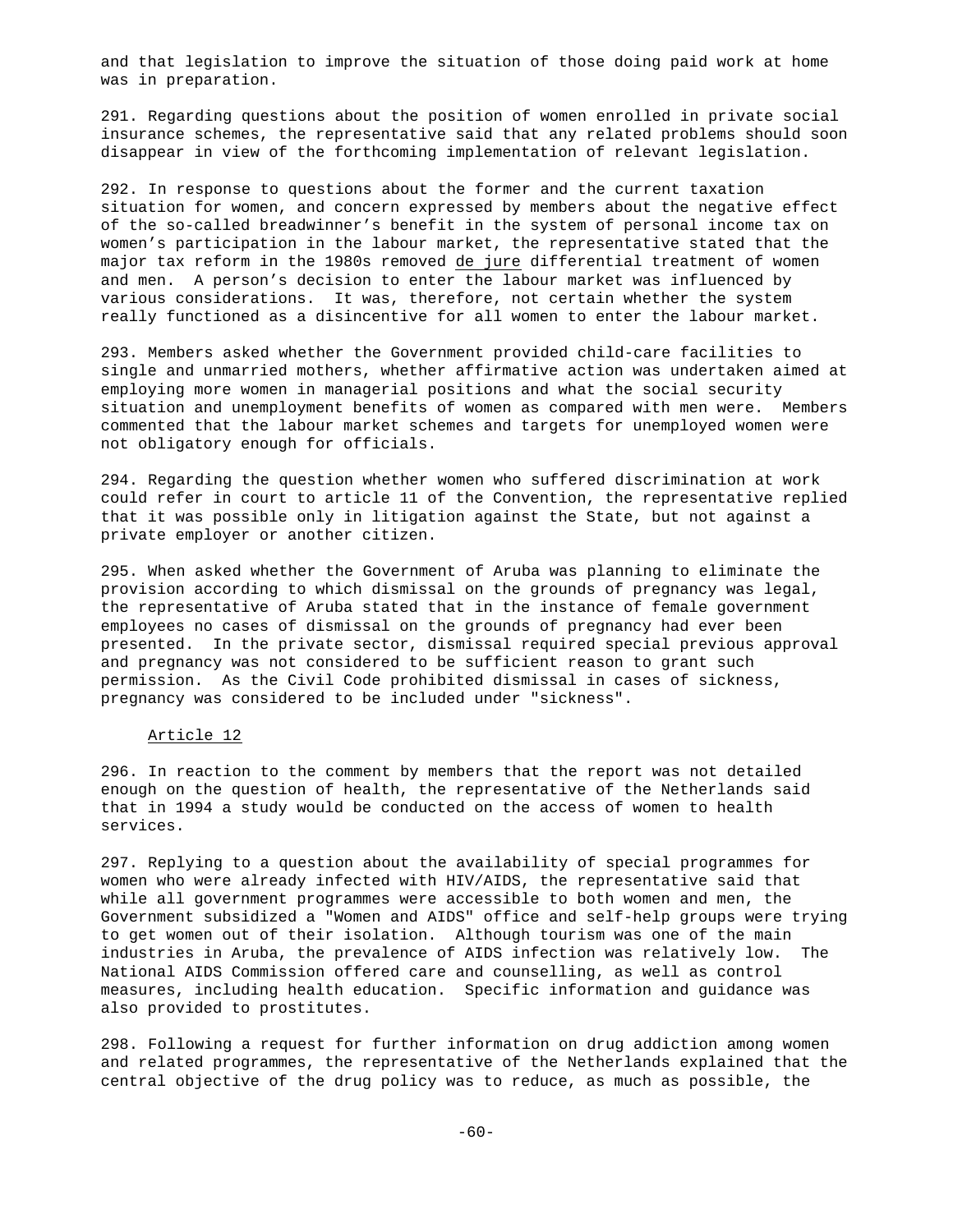and that legislation to improve the situation of those doing paid work at home was in preparation.

291. Regarding questions about the position of women enrolled in private social insurance schemes, the representative said that any related problems should soon disappear in view of the forthcoming implementation of relevant legislation.

292. In response to questions about the former and the current taxation situation for women, and concern expressed by members about the negative effect of the so-called breadwinner's benefit in the system of personal income tax on women's participation in the labour market, the representative stated that the major tax reform in the 1980s removed de jure differential treatment of women and men. A person's decision to enter the labour market was influenced by various considerations. It was, therefore, not certain whether the system really functioned as a disincentive for all women to enter the labour market.

293. Members asked whether the Government provided child-care facilities to single and unmarried mothers, whether affirmative action was undertaken aimed at employing more women in managerial positions and what the social security situation and unemployment benefits of women as compared with men were. Members commented that the labour market schemes and targets for unemployed women were not obligatory enough for officials.

294. Regarding the question whether women who suffered discrimination at work could refer in court to article 11 of the Convention, the representative replied that it was possible only in litigation against the State, but not against a private employer or another citizen.

295. When asked whether the Government of Aruba was planning to eliminate the provision according to which dismissal on the grounds of pregnancy was legal, the representative of Aruba stated that in the instance of female government employees no cases of dismissal on the grounds of pregnancy had ever been presented. In the private sector, dismissal required special previous approval and pregnancy was not considered to be sufficient reason to grant such permission. As the Civil Code prohibited dismissal in cases of sickness, pregnancy was considered to be included under "sickness".

# Article 12

296. In reaction to the comment by members that the report was not detailed enough on the question of health, the representative of the Netherlands said that in 1994 a study would be conducted on the access of women to health services.

297. Replying to a question about the availability of special programmes for women who were already infected with HIV/AIDS, the representative said that while all government programmes were accessible to both women and men, the Government subsidized a "Women and AIDS" office and self-help groups were trying to get women out of their isolation. Although tourism was one of the main industries in Aruba, the prevalence of AIDS infection was relatively low. The National AIDS Commission offered care and counselling, as well as control measures, including health education. Specific information and guidance was also provided to prostitutes.

298. Following a request for further information on drug addiction among women and related programmes, the representative of the Netherlands explained that the central objective of the drug policy was to reduce, as much as possible, the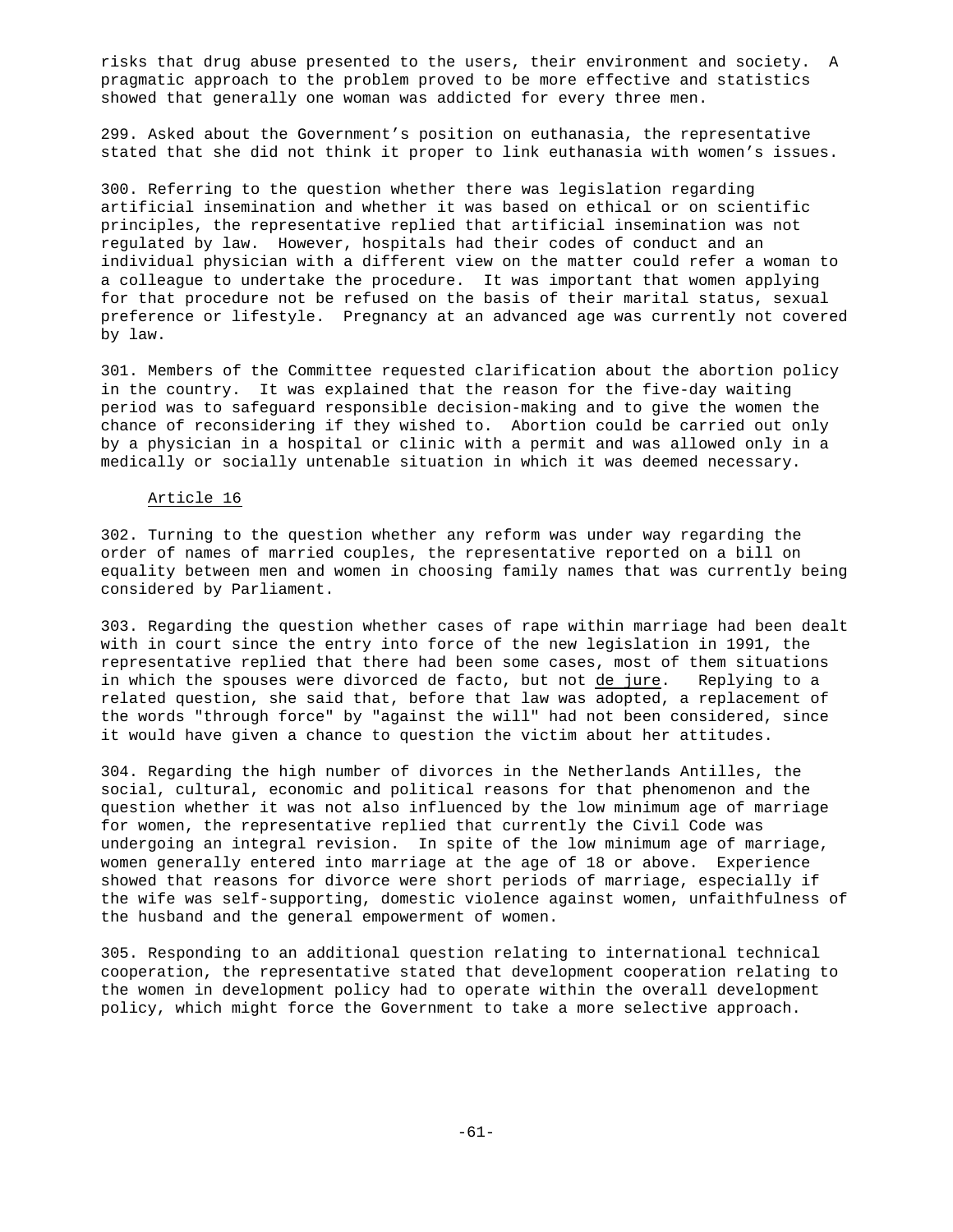risks that drug abuse presented to the users, their environment and society. A pragmatic approach to the problem proved to be more effective and statistics showed that generally one woman was addicted for every three men.

299. Asked about the Government's position on euthanasia, the representative stated that she did not think it proper to link euthanasia with women's issues.

300. Referring to the question whether there was legislation regarding artificial insemination and whether it was based on ethical or on scientific principles, the representative replied that artificial insemination was not regulated by law. However, hospitals had their codes of conduct and an individual physician with a different view on the matter could refer a woman to a colleague to undertake the procedure. It was important that women applying for that procedure not be refused on the basis of their marital status, sexual preference or lifestyle. Pregnancy at an advanced age was currently not covered by law.

301. Members of the Committee requested clarification about the abortion policy in the country. It was explained that the reason for the five-day waiting period was to safeguard responsible decision-making and to give the women the chance of reconsidering if they wished to. Abortion could be carried out only by a physician in a hospital or clinic with a permit and was allowed only in a medically or socially untenable situation in which it was deemed necessary.

#### Article 16

302. Turning to the question whether any reform was under way regarding the order of names of married couples, the representative reported on a bill on equality between men and women in choosing family names that was currently being considered by Parliament.

303. Regarding the question whether cases of rape within marriage had been dealt with in court since the entry into force of the new legislation in 1991, the representative replied that there had been some cases, most of them situations<br>in which the spouses were divorced de facto, but not <u>de jure</u>. Replying to a in which the spouses were divorced de facto, but not <u>de jure</u>. related question, she said that, before that law was adopted, a replacement of the words "through force" by "against the will" had not been considered, since it would have given a chance to question the victim about her attitudes.

304. Regarding the high number of divorces in the Netherlands Antilles, the social, cultural, economic and political reasons for that phenomenon and the question whether it was not also influenced by the low minimum age of marriage for women, the representative replied that currently the Civil Code was undergoing an integral revision. In spite of the low minimum age of marriage, women generally entered into marriage at the age of 18 or above. Experience showed that reasons for divorce were short periods of marriage, especially if the wife was self-supporting, domestic violence against women, unfaithfulness of the husband and the general empowerment of women.

305. Responding to an additional question relating to international technical cooperation, the representative stated that development cooperation relating to the women in development policy had to operate within the overall development policy, which might force the Government to take a more selective approach.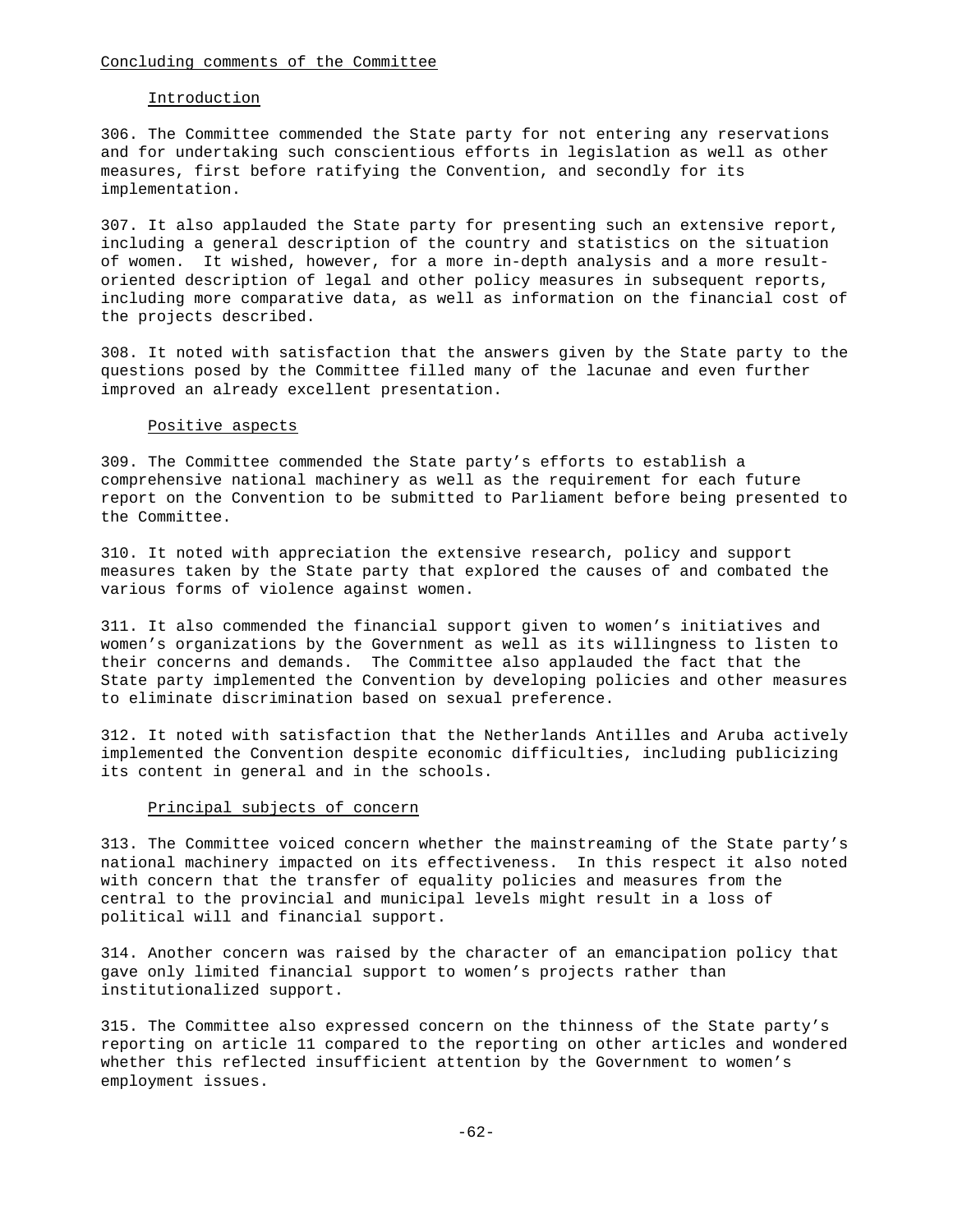#### Introduction

306. The Committee commended the State party for not entering any reservations and for undertaking such conscientious efforts in legislation as well as other measures, first before ratifying the Convention, and secondly for its implementation.

307. It also applauded the State party for presenting such an extensive report, including a general description of the country and statistics on the situation of women. It wished, however, for a more in-depth analysis and a more resultoriented description of legal and other policy measures in subsequent reports, including more comparative data, as well as information on the financial cost of the projects described.

308. It noted with satisfaction that the answers given by the State party to the questions posed by the Committee filled many of the lacunae and even further improved an already excellent presentation.

#### Positive aspects

309. The Committee commended the State party's efforts to establish a comprehensive national machinery as well as the requirement for each future report on the Convention to be submitted to Parliament before being presented to the Committee.

310. It noted with appreciation the extensive research, policy and support measures taken by the State party that explored the causes of and combated the various forms of violence against women.

311. It also commended the financial support given to women's initiatives and women's organizations by the Government as well as its willingness to listen to their concerns and demands. The Committee also applauded the fact that the State party implemented the Convention by developing policies and other measures to eliminate discrimination based on sexual preference.

312. It noted with satisfaction that the Netherlands Antilles and Aruba actively implemented the Convention despite economic difficulties, including publicizing its content in general and in the schools.

#### Principal subjects of concern

313. The Committee voiced concern whether the mainstreaming of the State party's national machinery impacted on its effectiveness. In this respect it also noted with concern that the transfer of equality policies and measures from the central to the provincial and municipal levels might result in a loss of political will and financial support.

314. Another concern was raised by the character of an emancipation policy that gave only limited financial support to women's projects rather than institutionalized support.

315. The Committee also expressed concern on the thinness of the State party's reporting on article 11 compared to the reporting on other articles and wondered whether this reflected insufficient attention by the Government to women's employment issues.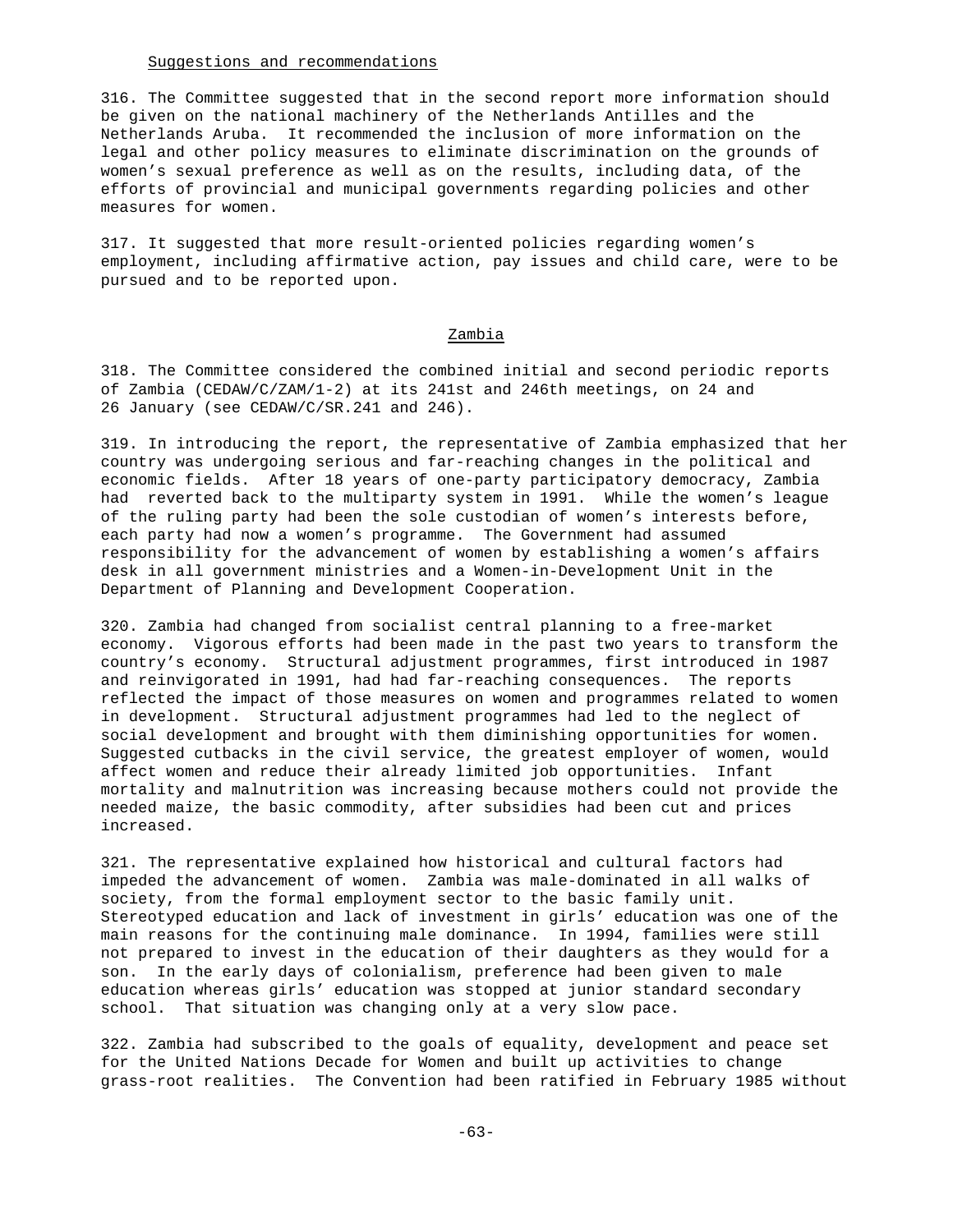### Suggestions and recommendations

316. The Committee suggested that in the second report more information should be given on the national machinery of the Netherlands Antilles and the Netherlands Aruba. It recommended the inclusion of more information on the legal and other policy measures to eliminate discrimination on the grounds of women's sexual preference as well as on the results, including data, of the efforts of provincial and municipal governments regarding policies and other measures for women.

317. It suggested that more result-oriented policies regarding women's employment, including affirmative action, pay issues and child care, were to be pursued and to be reported upon.

# Zambia

318. The Committee considered the combined initial and second periodic reports of Zambia (CEDAW/C/ZAM/1-2) at its 241st and 246th meetings, on 24 and 26 January (see CEDAW/C/SR.241 and 246).

319. In introducing the report, the representative of Zambia emphasized that her country was undergoing serious and far-reaching changes in the political and economic fields. After 18 years of one-party participatory democracy, Zambia had reverted back to the multiparty system in 1991. While the women's league of the ruling party had been the sole custodian of women's interests before, each party had now a women's programme. The Government had assumed responsibility for the advancement of women by establishing a women's affairs desk in all government ministries and a Women-in-Development Unit in the Department of Planning and Development Cooperation.

320. Zambia had changed from socialist central planning to a free-market economy. Vigorous efforts had been made in the past two years to transform the country's economy. Structural adjustment programmes, first introduced in 1987 and reinvigorated in 1991, had had far-reaching consequences. The reports reflected the impact of those measures on women and programmes related to women in development. Structural adjustment programmes had led to the neglect of social development and brought with them diminishing opportunities for women. Suggested cutbacks in the civil service, the greatest employer of women, would affect women and reduce their already limited job opportunities. Infant mortality and malnutrition was increasing because mothers could not provide the needed maize, the basic commodity, after subsidies had been cut and prices increased.

321. The representative explained how historical and cultural factors had impeded the advancement of women. Zambia was male-dominated in all walks of society, from the formal employment sector to the basic family unit. Stereotyped education and lack of investment in girls' education was one of the main reasons for the continuing male dominance. In 1994, families were still not prepared to invest in the education of their daughters as they would for a son. In the early days of colonialism, preference had been given to male education whereas girls' education was stopped at junior standard secondary school. That situation was changing only at a very slow pace.

322. Zambia had subscribed to the goals of equality, development and peace set for the United Nations Decade for Women and built up activities to change grass-root realities. The Convention had been ratified in February 1985 without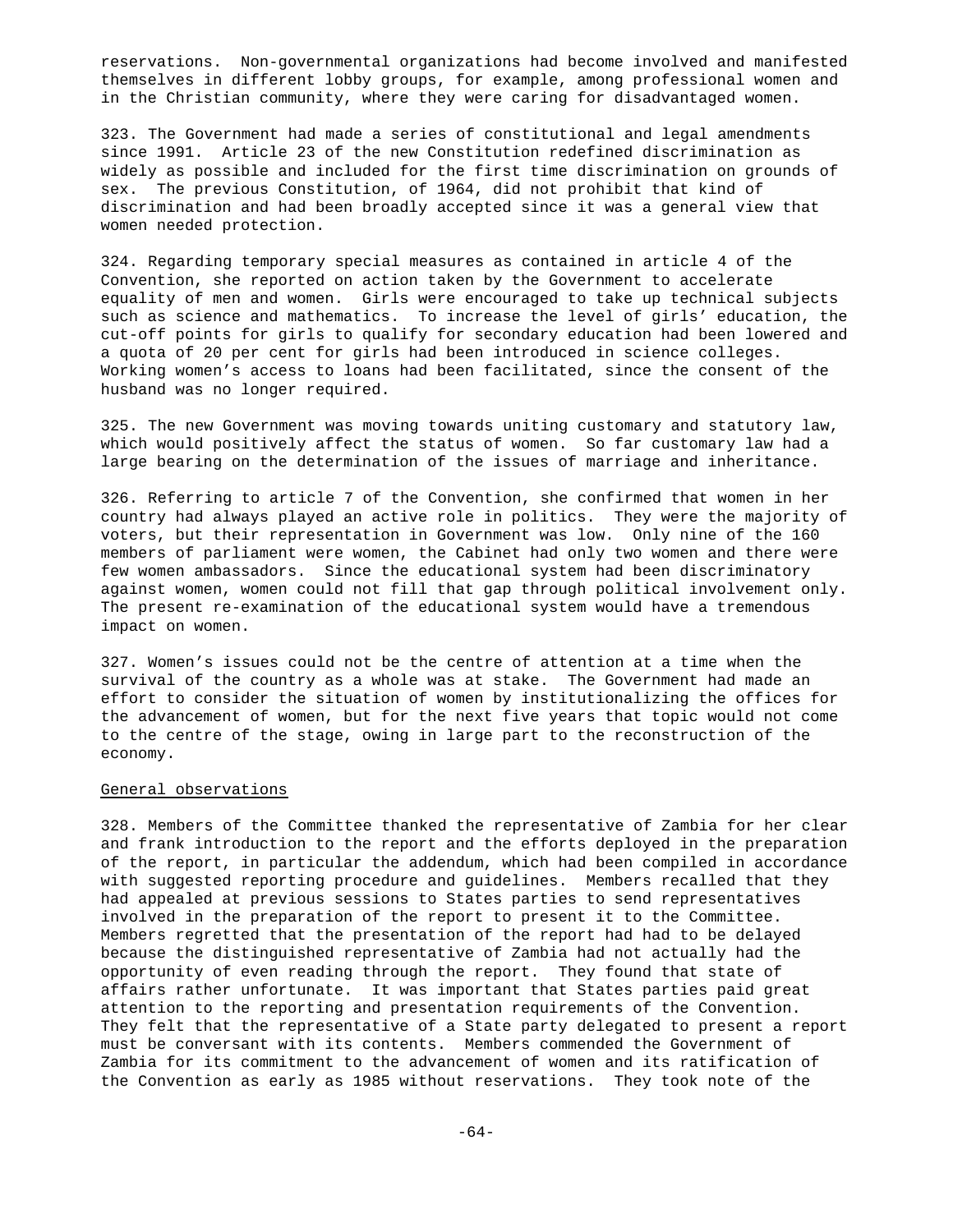reservations. Non-governmental organizations had become involved and manifested themselves in different lobby groups, for example, among professional women and in the Christian community, where they were caring for disadvantaged women.

323. The Government had made a series of constitutional and legal amendments since 1991. Article 23 of the new Constitution redefined discrimination as widely as possible and included for the first time discrimination on grounds of sex. The previous Constitution, of 1964, did not prohibit that kind of discrimination and had been broadly accepted since it was a general view that women needed protection.

324. Regarding temporary special measures as contained in article 4 of the Convention, she reported on action taken by the Government to accelerate equality of men and women. Girls were encouraged to take up technical subjects such as science and mathematics. To increase the level of girls' education, the cut-off points for girls to qualify for secondary education had been lowered and a quota of 20 per cent for girls had been introduced in science colleges. Working women's access to loans had been facilitated, since the consent of the husband was no longer required.

325. The new Government was moving towards uniting customary and statutory law, which would positively affect the status of women. So far customary law had a large bearing on the determination of the issues of marriage and inheritance.

326. Referring to article 7 of the Convention, she confirmed that women in her country had always played an active role in politics. They were the majority of voters, but their representation in Government was low. Only nine of the 160 members of parliament were women, the Cabinet had only two women and there were few women ambassadors. Since the educational system had been discriminatory against women, women could not fill that gap through political involvement only. The present re-examination of the educational system would have a tremendous impact on women.

327. Women's issues could not be the centre of attention at a time when the survival of the country as a whole was at stake. The Government had made an effort to consider the situation of women by institutionalizing the offices for the advancement of women, but for the next five years that topic would not come to the centre of the stage, owing in large part to the reconstruction of the economy.

### General observations

328. Members of the Committee thanked the representative of Zambia for her clear and frank introduction to the report and the efforts deployed in the preparation of the report, in particular the addendum, which had been compiled in accordance with suggested reporting procedure and guidelines. Members recalled that they had appealed at previous sessions to States parties to send representatives involved in the preparation of the report to present it to the Committee. Members regretted that the presentation of the report had had to be delayed because the distinguished representative of Zambia had not actually had the opportunity of even reading through the report. They found that state of affairs rather unfortunate. It was important that States parties paid great attention to the reporting and presentation requirements of the Convention. They felt that the representative of a State party delegated to present a report must be conversant with its contents. Members commended the Government of Zambia for its commitment to the advancement of women and its ratification of the Convention as early as 1985 without reservations. They took note of the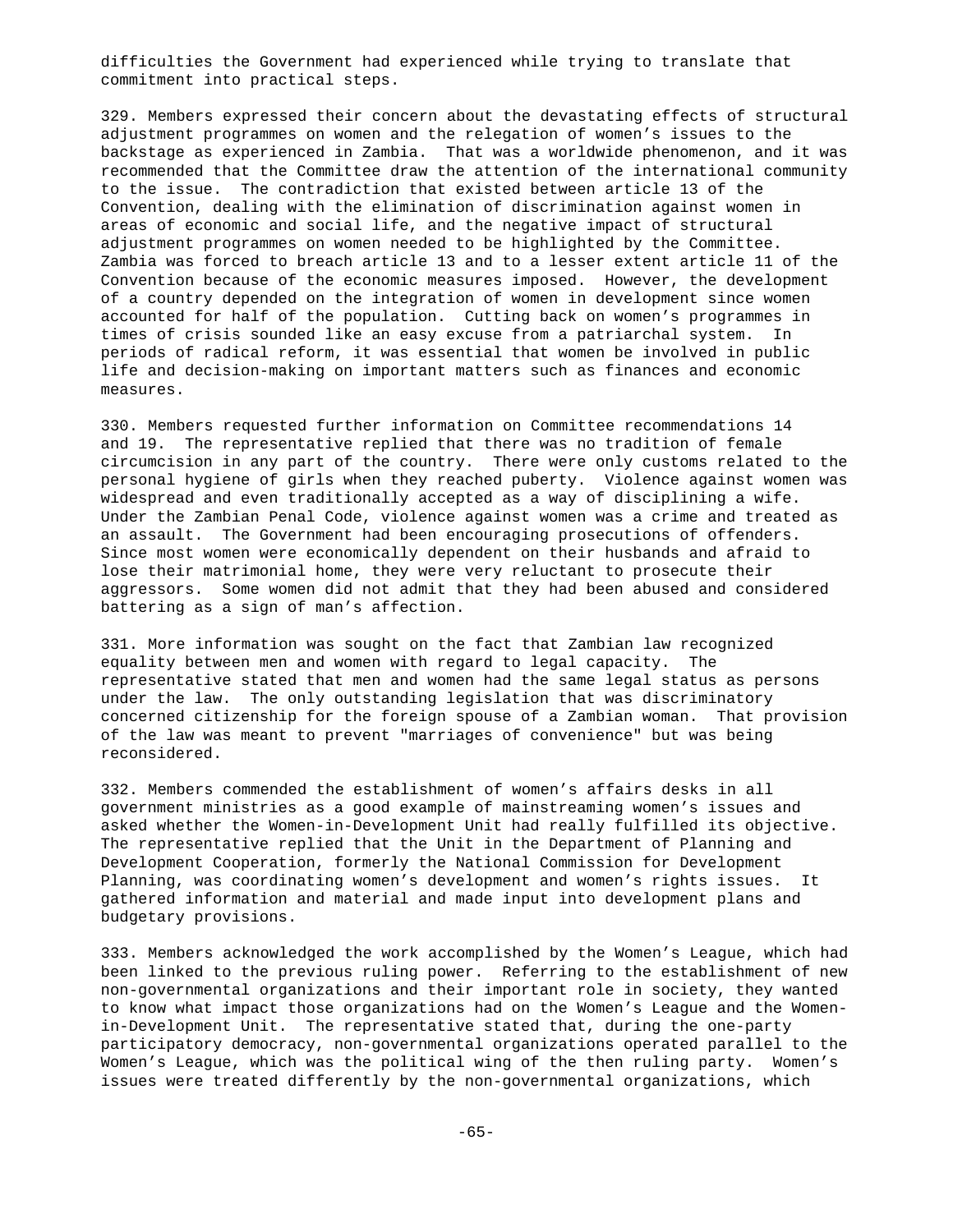difficulties the Government had experienced while trying to translate that commitment into practical steps.

329. Members expressed their concern about the devastating effects of structural adjustment programmes on women and the relegation of women's issues to the backstage as experienced in Zambia. That was a worldwide phenomenon, and it was recommended that the Committee draw the attention of the international community to the issue. The contradiction that existed between article 13 of the Convention, dealing with the elimination of discrimination against women in areas of economic and social life, and the negative impact of structural adjustment programmes on women needed to be highlighted by the Committee. Zambia was forced to breach article 13 and to a lesser extent article 11 of the Convention because of the economic measures imposed. However, the development of a country depended on the integration of women in development since women accounted for half of the population. Cutting back on women's programmes in times of crisis sounded like an easy excuse from a patriarchal system. In periods of radical reform, it was essential that women be involved in public life and decision-making on important matters such as finances and economic measures.

330. Members requested further information on Committee recommendations 14 and 19. The representative replied that there was no tradition of female circumcision in any part of the country. There were only customs related to the personal hygiene of girls when they reached puberty. Violence against women was widespread and even traditionally accepted as a way of disciplining a wife. Under the Zambian Penal Code, violence against women was a crime and treated as an assault. The Government had been encouraging prosecutions of offenders. Since most women were economically dependent on their husbands and afraid to lose their matrimonial home, they were very reluctant to prosecute their aggressors. Some women did not admit that they had been abused and considered battering as a sign of man's affection.

331. More information was sought on the fact that Zambian law recognized equality between men and women with regard to legal capacity. The representative stated that men and women had the same legal status as persons under the law. The only outstanding legislation that was discriminatory concerned citizenship for the foreign spouse of a Zambian woman. That provision of the law was meant to prevent "marriages of convenience" but was being reconsidered.

332. Members commended the establishment of women's affairs desks in all government ministries as a good example of mainstreaming women's issues and asked whether the Women-in-Development Unit had really fulfilled its objective. The representative replied that the Unit in the Department of Planning and Development Cooperation, formerly the National Commission for Development Planning, was coordinating women's development and women's rights issues. It gathered information and material and made input into development plans and budgetary provisions.

333. Members acknowledged the work accomplished by the Women's League, which had been linked to the previous ruling power. Referring to the establishment of new non-governmental organizations and their important role in society, they wanted to know what impact those organizations had on the Women's League and the Womenin-Development Unit. The representative stated that, during the one-party participatory democracy, non-governmental organizations operated parallel to the Women's League, which was the political wing of the then ruling party. Women's issues were treated differently by the non-governmental organizations, which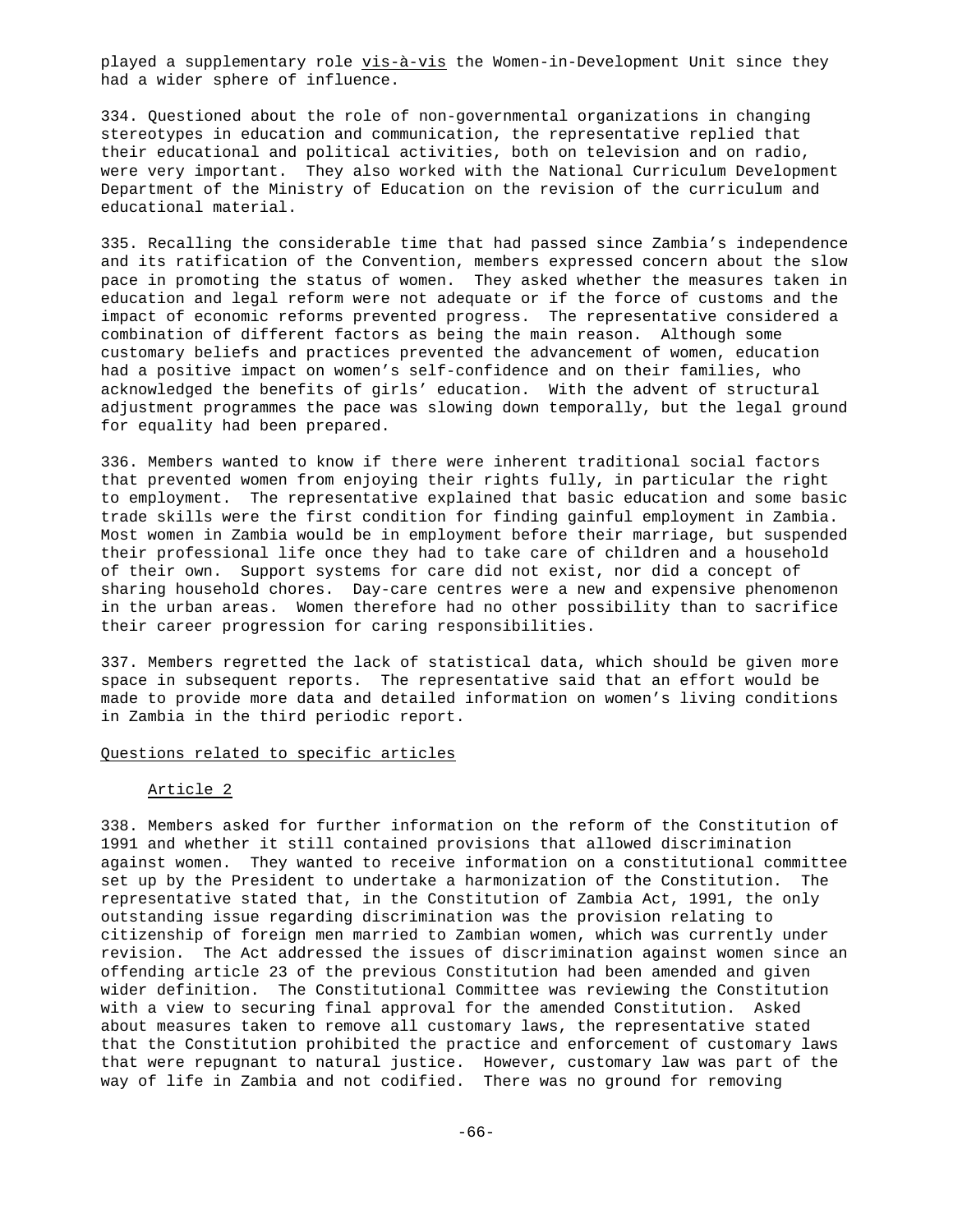played a supplementary role vis-à-vis the Women-in-Development Unit since they had a wider sphere of influence.

334. Questioned about the role of non-governmental organizations in changing stereotypes in education and communication, the representative replied that their educational and political activities, both on television and on radio, were very important. They also worked with the National Curriculum Development Department of the Ministry of Education on the revision of the curriculum and educational material.

335. Recalling the considerable time that had passed since Zambia's independence and its ratification of the Convention, members expressed concern about the slow pace in promoting the status of women. They asked whether the measures taken in education and legal reform were not adequate or if the force of customs and the impact of economic reforms prevented progress. The representative considered a combination of different factors as being the main reason. Although some customary beliefs and practices prevented the advancement of women, education had a positive impact on women's self-confidence and on their families, who acknowledged the benefits of girls' education. With the advent of structural adjustment programmes the pace was slowing down temporally, but the legal ground for equality had been prepared.

336. Members wanted to know if there were inherent traditional social factors that prevented women from enjoying their rights fully, in particular the right to employment. The representative explained that basic education and some basic trade skills were the first condition for finding gainful employment in Zambia. Most women in Zambia would be in employment before their marriage, but suspended their professional life once they had to take care of children and a household of their own. Support systems for care did not exist, nor did a concept of sharing household chores. Day-care centres were a new and expensive phenomenon in the urban areas. Women therefore had no other possibility than to sacrifice their career progression for caring responsibilities.

337. Members regretted the lack of statistical data, which should be given more space in subsequent reports. The representative said that an effort would be made to provide more data and detailed information on women's living conditions in Zambia in the third periodic report.

#### Questions related to specific articles

#### Article 2

338. Members asked for further information on the reform of the Constitution of 1991 and whether it still contained provisions that allowed discrimination against women. They wanted to receive information on a constitutional committee set up by the President to undertake a harmonization of the Constitution. The representative stated that, in the Constitution of Zambia Act, 1991, the only outstanding issue regarding discrimination was the provision relating to citizenship of foreign men married to Zambian women, which was currently under revision. The Act addressed the issues of discrimination against women since an offending article 23 of the previous Constitution had been amended and given wider definition. The Constitutional Committee was reviewing the Constitution with a view to securing final approval for the amended Constitution. Asked about measures taken to remove all customary laws, the representative stated that the Constitution prohibited the practice and enforcement of customary laws that were repugnant to natural justice. However, customary law was part of the way of life in Zambia and not codified. There was no ground for removing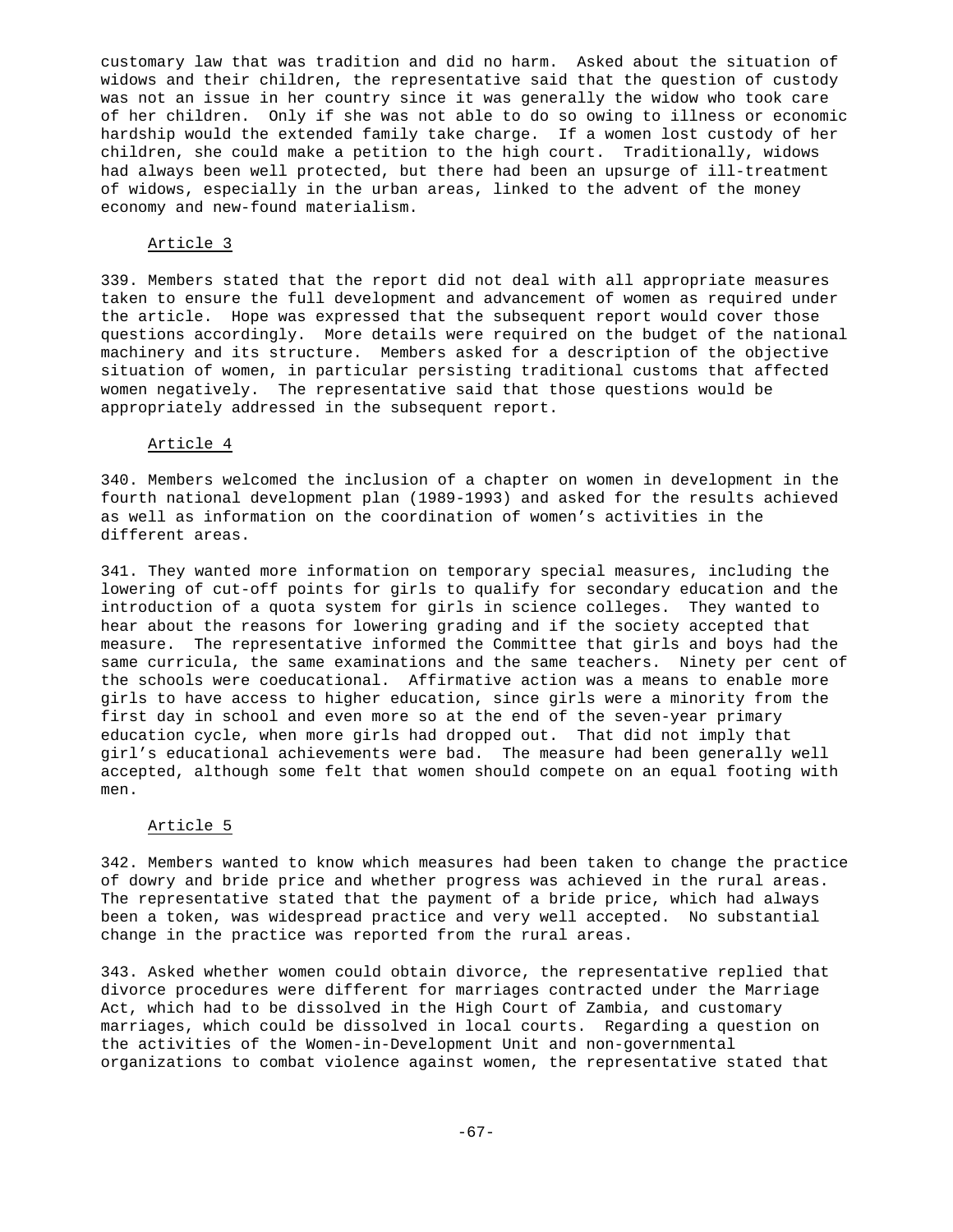customary law that was tradition and did no harm. Asked about the situation of widows and their children, the representative said that the question of custody was not an issue in her country since it was generally the widow who took care of her children. Only if she was not able to do so owing to illness or economic hardship would the extended family take charge. If a women lost custody of her children, she could make a petition to the high court. Traditionally, widows had always been well protected, but there had been an upsurge of ill-treatment of widows, especially in the urban areas, linked to the advent of the money economy and new-found materialism.

### Article 3

339. Members stated that the report did not deal with all appropriate measures taken to ensure the full development and advancement of women as required under the article. Hope was expressed that the subsequent report would cover those questions accordingly. More details were required on the budget of the national machinery and its structure. Members asked for a description of the objective situation of women, in particular persisting traditional customs that affected women negatively. The representative said that those questions would be appropriately addressed in the subsequent report.

### Article 4

340. Members welcomed the inclusion of a chapter on women in development in the fourth national development plan (1989-1993) and asked for the results achieved as well as information on the coordination of women's activities in the different areas.

341. They wanted more information on temporary special measures, including the lowering of cut-off points for girls to qualify for secondary education and the introduction of a quota system for girls in science colleges. They wanted to hear about the reasons for lowering grading and if the society accepted that measure. The representative informed the Committee that girls and boys had the same curricula, the same examinations and the same teachers. Ninety per cent of the schools were coeducational. Affirmative action was a means to enable more girls to have access to higher education, since girls were a minority from the first day in school and even more so at the end of the seven-year primary education cycle, when more girls had dropped out. That did not imply that girl's educational achievements were bad. The measure had been generally well accepted, although some felt that women should compete on an equal footing with men.

# Article 5

342. Members wanted to know which measures had been taken to change the practice of dowry and bride price and whether progress was achieved in the rural areas. The representative stated that the payment of a bride price, which had always been a token, was widespread practice and very well accepted. No substantial change in the practice was reported from the rural areas.

343. Asked whether women could obtain divorce, the representative replied that divorce procedures were different for marriages contracted under the Marriage Act, which had to be dissolved in the High Court of Zambia, and customary marriages, which could be dissolved in local courts. Regarding a question on the activities of the Women-in-Development Unit and non-governmental organizations to combat violence against women, the representative stated that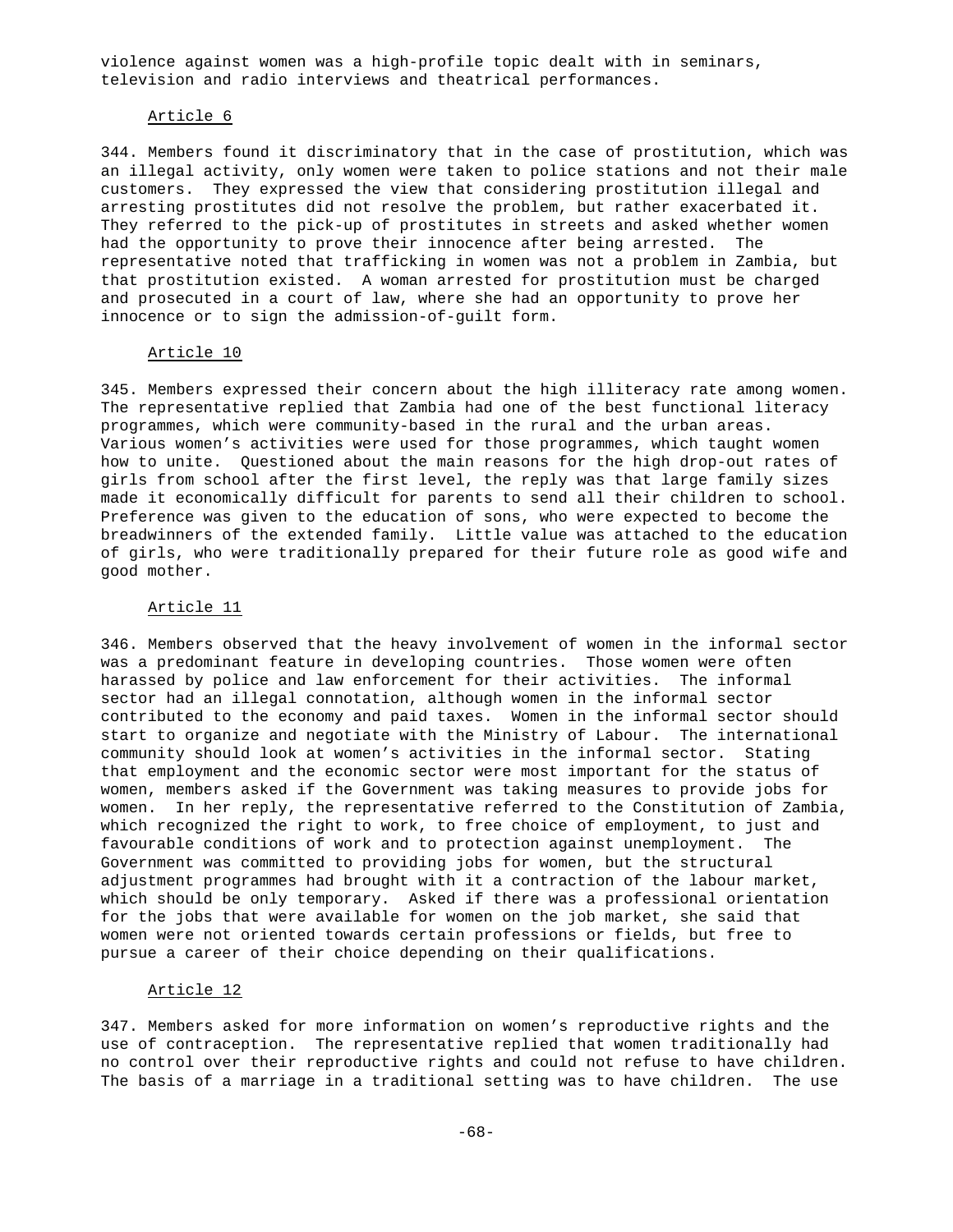violence against women was a high-profile topic dealt with in seminars, television and radio interviews and theatrical performances.

### Article 6

344. Members found it discriminatory that in the case of prostitution, which was an illegal activity, only women were taken to police stations and not their male customers. They expressed the view that considering prostitution illegal and arresting prostitutes did not resolve the problem, but rather exacerbated it. They referred to the pick-up of prostitutes in streets and asked whether women had the opportunity to prove their innocence after being arrested. The representative noted that trafficking in women was not a problem in Zambia, but that prostitution existed. A woman arrested for prostitution must be charged and prosecuted in a court of law, where she had an opportunity to prove her innocence or to sign the admission-of-guilt form.

#### Article 10

345. Members expressed their concern about the high illiteracy rate among women. The representative replied that Zambia had one of the best functional literacy programmes, which were community-based in the rural and the urban areas. Various women's activities were used for those programmes, which taught women how to unite. Questioned about the main reasons for the high drop-out rates of girls from school after the first level, the reply was that large family sizes made it economically difficult for parents to send all their children to school. Preference was given to the education of sons, who were expected to become the breadwinners of the extended family. Little value was attached to the education of girls, who were traditionally prepared for their future role as good wife and good mother.

# Article 11

346. Members observed that the heavy involvement of women in the informal sector was a predominant feature in developing countries. Those women were often harassed by police and law enforcement for their activities. The informal sector had an illegal connotation, although women in the informal sector contributed to the economy and paid taxes. Women in the informal sector should start to organize and negotiate with the Ministry of Labour. The international community should look at women's activities in the informal sector. Stating that employment and the economic sector were most important for the status of women, members asked if the Government was taking measures to provide jobs for women. In her reply, the representative referred to the Constitution of Zambia, which recognized the right to work, to free choice of employment, to just and favourable conditions of work and to protection against unemployment. The Government was committed to providing jobs for women, but the structural adjustment programmes had brought with it a contraction of the labour market, which should be only temporary. Asked if there was a professional orientation for the jobs that were available for women on the job market, she said that women were not oriented towards certain professions or fields, but free to pursue a career of their choice depending on their qualifications.

# Article 12

347. Members asked for more information on women's reproductive rights and the use of contraception. The representative replied that women traditionally had no control over their reproductive rights and could not refuse to have children. The basis of a marriage in a traditional setting was to have children. The use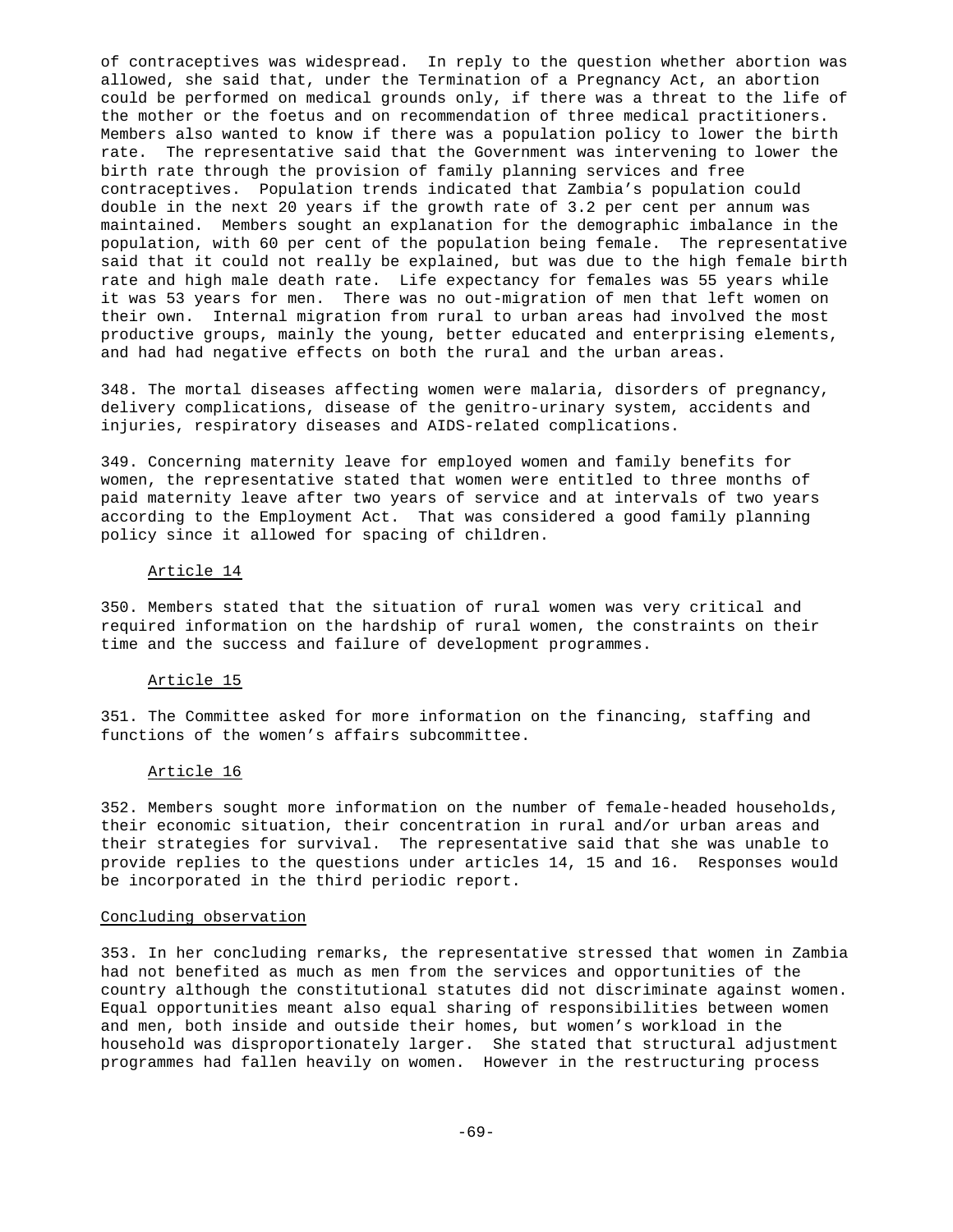of contraceptives was widespread. In reply to the question whether abortion was allowed, she said that, under the Termination of a Pregnancy Act, an abortion could be performed on medical grounds only, if there was a threat to the life of the mother or the foetus and on recommendation of three medical practitioners. Members also wanted to know if there was a population policy to lower the birth rate. The representative said that the Government was intervening to lower the birth rate through the provision of family planning services and free contraceptives. Population trends indicated that Zambia's population could double in the next 20 years if the growth rate of 3.2 per cent per annum was maintained. Members sought an explanation for the demographic imbalance in the population, with 60 per cent of the population being female. The representative said that it could not really be explained, but was due to the high female birth rate and high male death rate. Life expectancy for females was 55 years while it was 53 years for men. There was no out-migration of men that left women on their own. Internal migration from rural to urban areas had involved the most productive groups, mainly the young, better educated and enterprising elements, and had had negative effects on both the rural and the urban areas.

348. The mortal diseases affecting women were malaria, disorders of pregnancy, delivery complications, disease of the genitro-urinary system, accidents and injuries, respiratory diseases and AIDS-related complications.

349. Concerning maternity leave for employed women and family benefits for women, the representative stated that women were entitled to three months of paid maternity leave after two years of service and at intervals of two years according to the Employment Act. That was considered a good family planning policy since it allowed for spacing of children.

### Article 14

350. Members stated that the situation of rural women was very critical and required information on the hardship of rural women, the constraints on their time and the success and failure of development programmes.

### Article 15

351. The Committee asked for more information on the financing, staffing and functions of the women's affairs subcommittee.

#### Article 16

352. Members sought more information on the number of female-headed households, their economic situation, their concentration in rural and/or urban areas and their strategies for survival. The representative said that she was unable to provide replies to the questions under articles 14, 15 and 16. Responses would be incorporated in the third periodic report.

# Concluding observation

353. In her concluding remarks, the representative stressed that women in Zambia had not benefited as much as men from the services and opportunities of the country although the constitutional statutes did not discriminate against women. Equal opportunities meant also equal sharing of responsibilities between women and men, both inside and outside their homes, but women's workload in the household was disproportionately larger. She stated that structural adjustment programmes had fallen heavily on women. However in the restructuring process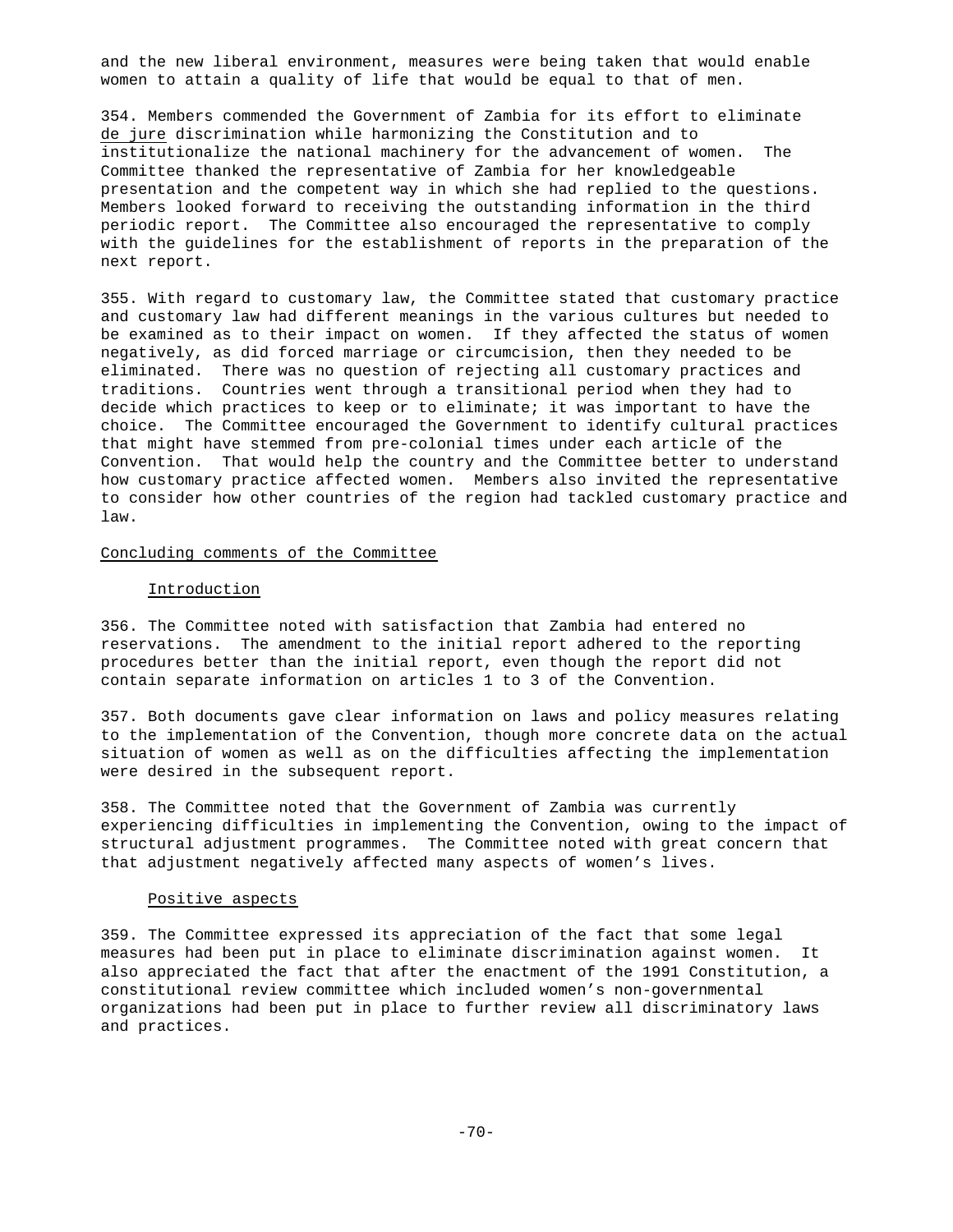and the new liberal environment, measures were being taken that would enable women to attain a quality of life that would be equal to that of men.

354. Members commended the Government of Zambia for its effort to eliminate de jure discrimination while harmonizing the Constitution and to institutionalize the national machinery for the advancement of women. The Committee thanked the representative of Zambia for her knowledgeable presentation and the competent way in which she had replied to the questions. Members looked forward to receiving the outstanding information in the third periodic report. The Committee also encouraged the representative to comply with the guidelines for the establishment of reports in the preparation of the next report.

355. With regard to customary law, the Committee stated that customary practice and customary law had different meanings in the various cultures but needed to be examined as to their impact on women. If they affected the status of women negatively, as did forced marriage or circumcision, then they needed to be eliminated. There was no question of rejecting all customary practices and traditions. Countries went through a transitional period when they had to decide which practices to keep or to eliminate; it was important to have the choice. The Committee encouraged the Government to identify cultural practices that might have stemmed from pre-colonial times under each article of the Convention. That would help the country and the Committee better to understand how customary practice affected women. Members also invited the representative to consider how other countries of the region had tackled customary practice and law.

### Concluding comments of the Committee

### Introduction

356. The Committee noted with satisfaction that Zambia had entered no reservations. The amendment to the initial report adhered to the reporting procedures better than the initial report, even though the report did not contain separate information on articles 1 to 3 of the Convention.

357. Both documents gave clear information on laws and policy measures relating to the implementation of the Convention, though more concrete data on the actual situation of women as well as on the difficulties affecting the implementation were desired in the subsequent report.

358. The Committee noted that the Government of Zambia was currently experiencing difficulties in implementing the Convention, owing to the impact of structural adjustment programmes. The Committee noted with great concern that that adjustment negatively affected many aspects of women's lives.

# Positive aspects

359. The Committee expressed its appreciation of the fact that some legal measures had been put in place to eliminate discrimination against women. It also appreciated the fact that after the enactment of the 1991 Constitution, a constitutional review committee which included women's non-governmental organizations had been put in place to further review all discriminatory laws and practices.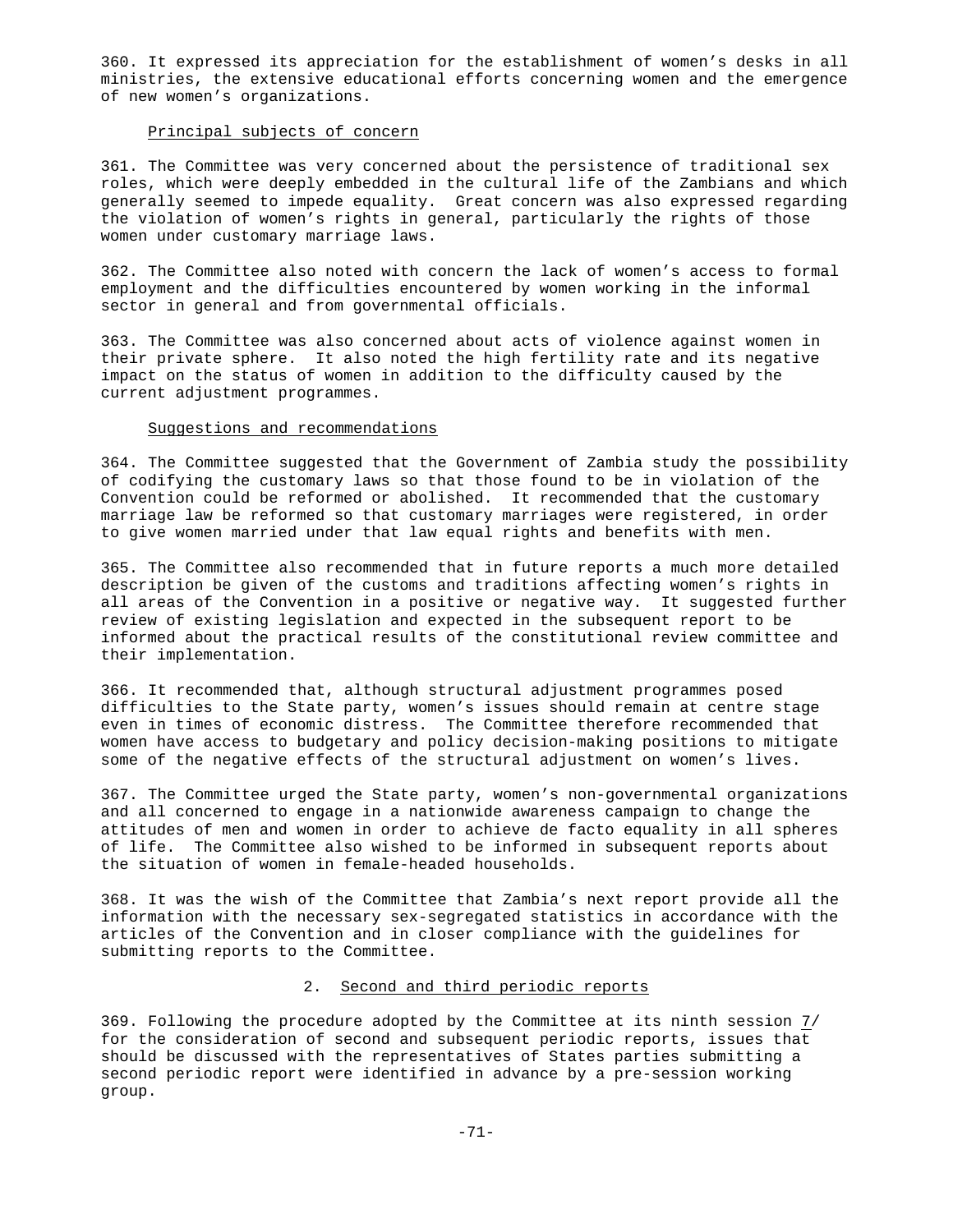360. It expressed its appreciation for the establishment of women's desks in all ministries, the extensive educational efforts concerning women and the emergence of new women's organizations.

### Principal subjects of concern

361. The Committee was very concerned about the persistence of traditional sex roles, which were deeply embedded in the cultural life of the Zambians and which generally seemed to impede equality. Great concern was also expressed regarding the violation of women's rights in general, particularly the rights of those women under customary marriage laws.

362. The Committee also noted with concern the lack of women's access to formal employment and the difficulties encountered by women working in the informal sector in general and from governmental officials.

363. The Committee was also concerned about acts of violence against women in their private sphere. It also noted the high fertility rate and its negative impact on the status of women in addition to the difficulty caused by the current adjustment programmes.

# Suggestions and recommendations

364. The Committee suggested that the Government of Zambia study the possibility of codifying the customary laws so that those found to be in violation of the Convention could be reformed or abolished. It recommended that the customary marriage law be reformed so that customary marriages were registered, in order to give women married under that law equal rights and benefits with men.

365. The Committee also recommended that in future reports a much more detailed description be given of the customs and traditions affecting women's rights in all areas of the Convention in a positive or negative way. It suggested further review of existing legislation and expected in the subsequent report to be informed about the practical results of the constitutional review committee and their implementation.

366. It recommended that, although structural adjustment programmes posed difficulties to the State party, women's issues should remain at centre stage even in times of economic distress. The Committee therefore recommended that women have access to budgetary and policy decision-making positions to mitigate some of the negative effects of the structural adjustment on women's lives.

367. The Committee urged the State party, women's non-governmental organizations and all concerned to engage in a nationwide awareness campaign to change the attitudes of men and women in order to achieve de facto equality in all spheres of life. The Committee also wished to be informed in subsequent reports about the situation of women in female-headed households.

368. It was the wish of the Committee that Zambia's next report provide all the information with the necessary sex-segregated statistics in accordance with the articles of the Convention and in closer compliance with the guidelines for submitting reports to the Committee.

## 2. Second and third periodic reports

369. Following the procedure adopted by the Committee at its ninth session 7/ for the consideration of second and subsequent periodic reports, issues that should be discussed with the representatives of States parties submitting a second periodic report were identified in advance by a pre-session working group.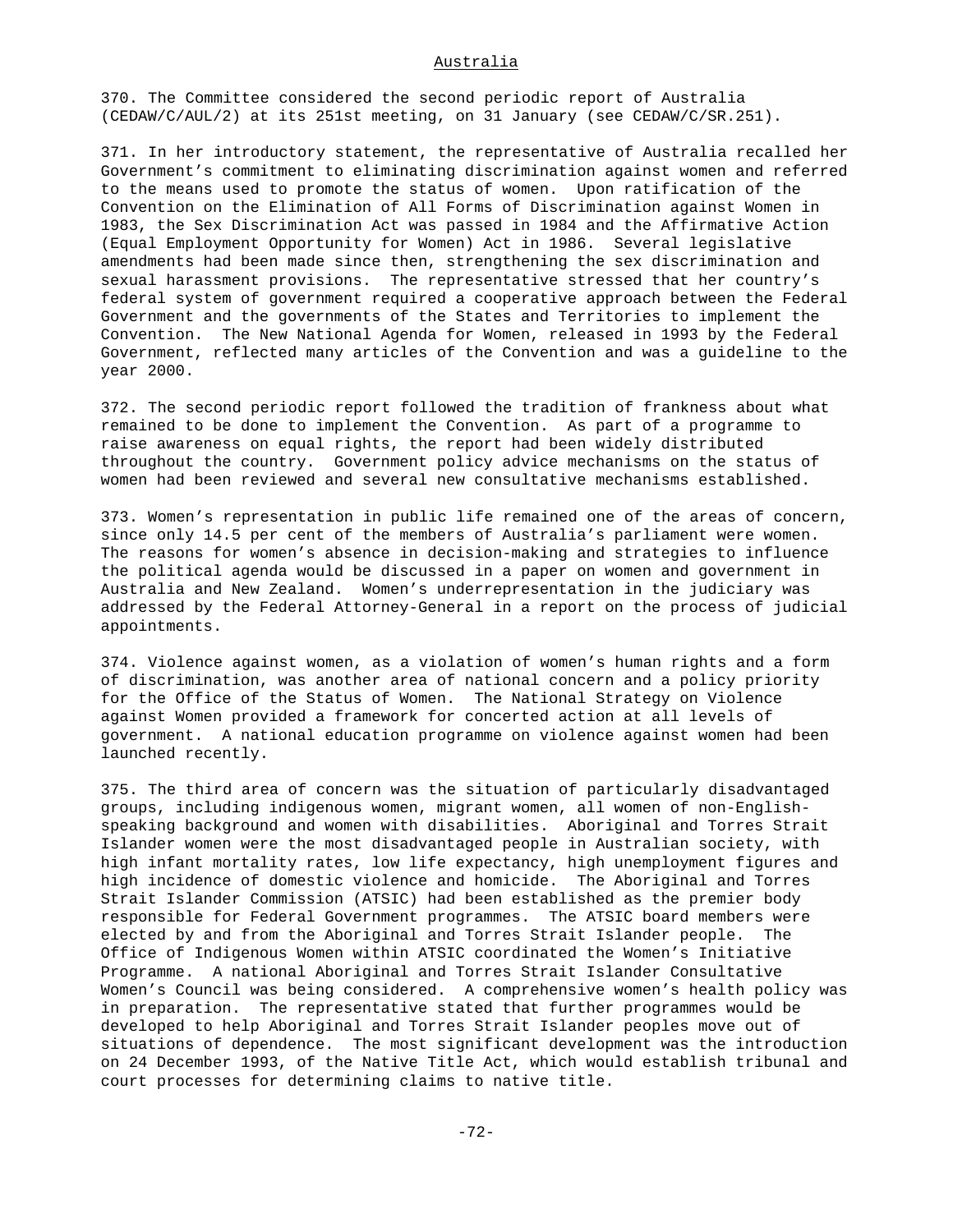# Australia

370. The Committee considered the second periodic report of Australia (CEDAW/C/AUL/2) at its 251st meeting, on 31 January (see CEDAW/C/SR.251).

371. In her introductory statement, the representative of Australia recalled her Government's commitment to eliminating discrimination against women and referred to the means used to promote the status of women. Upon ratification of the Convention on the Elimination of All Forms of Discrimination against Women in 1983, the Sex Discrimination Act was passed in 1984 and the Affirmative Action (Equal Employment Opportunity for Women) Act in 1986. Several legislative amendments had been made since then, strengthening the sex discrimination and sexual harassment provisions. The representative stressed that her country's federal system of government required a cooperative approach between the Federal Government and the governments of the States and Territories to implement the Convention. The New National Agenda for Women, released in 1993 by the Federal Government, reflected many articles of the Convention and was a guideline to the year 2000.

372. The second periodic report followed the tradition of frankness about what remained to be done to implement the Convention. As part of a programme to raise awareness on equal rights, the report had been widely distributed throughout the country. Government policy advice mechanisms on the status of women had been reviewed and several new consultative mechanisms established.

373. Women's representation in public life remained one of the areas of concern, since only 14.5 per cent of the members of Australia's parliament were women. The reasons for women's absence in decision-making and strategies to influence the political agenda would be discussed in a paper on women and government in Australia and New Zealand. Women's underrepresentation in the judiciary was addressed by the Federal Attorney-General in a report on the process of judicial appointments.

374. Violence against women, as a violation of women's human rights and a form of discrimination, was another area of national concern and a policy priority for the Office of the Status of Women. The National Strategy on Violence against Women provided a framework for concerted action at all levels of government. A national education programme on violence against women had been launched recently.

375. The third area of concern was the situation of particularly disadvantaged groups, including indigenous women, migrant women, all women of non-Englishspeaking background and women with disabilities. Aboriginal and Torres Strait Islander women were the most disadvantaged people in Australian society, with high infant mortality rates, low life expectancy, high unemployment figures and high incidence of domestic violence and homicide. The Aboriginal and Torres Strait Islander Commission (ATSIC) had been established as the premier body responsible for Federal Government programmes. The ATSIC board members were elected by and from the Aboriginal and Torres Strait Islander people. The Office of Indigenous Women within ATSIC coordinated the Women's Initiative Programme. A national Aboriginal and Torres Strait Islander Consultative Women's Council was being considered. A comprehensive women's health policy was in preparation. The representative stated that further programmes would be developed to help Aboriginal and Torres Strait Islander peoples move out of situations of dependence. The most significant development was the introduction on 24 December 1993, of the Native Title Act, which would establish tribunal and court processes for determining claims to native title.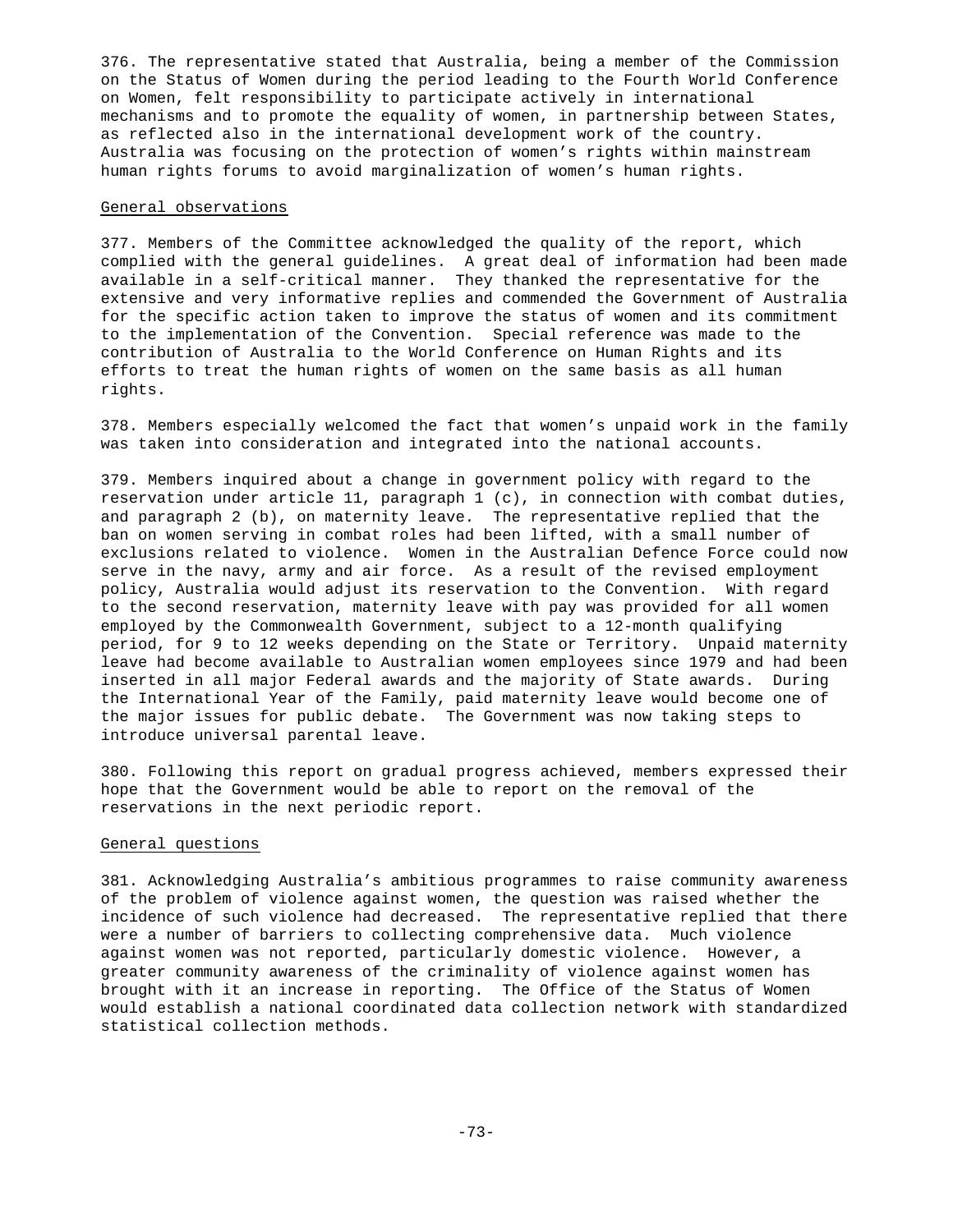376. The representative stated that Australia, being a member of the Commission on the Status of Women during the period leading to the Fourth World Conference on Women, felt responsibility to participate actively in international mechanisms and to promote the equality of women, in partnership between States, as reflected also in the international development work of the country. Australia was focusing on the protection of women's rights within mainstream human rights forums to avoid marginalization of women's human rights.

### General observations

377. Members of the Committee acknowledged the quality of the report, which complied with the general guidelines. A great deal of information had been made available in a self-critical manner. They thanked the representative for the extensive and very informative replies and commended the Government of Australia for the specific action taken to improve the status of women and its commitment to the implementation of the Convention. Special reference was made to the contribution of Australia to the World Conference on Human Rights and its efforts to treat the human rights of women on the same basis as all human rights.

378. Members especially welcomed the fact that women's unpaid work in the family was taken into consideration and integrated into the national accounts.

379. Members inquired about a change in government policy with regard to the reservation under article 11, paragraph 1 (c), in connection with combat duties, and paragraph 2 (b), on maternity leave. The representative replied that the ban on women serving in combat roles had been lifted, with a small number of exclusions related to violence. Women in the Australian Defence Force could now serve in the navy, army and air force. As a result of the revised employment policy, Australia would adjust its reservation to the Convention. With regard to the second reservation, maternity leave with pay was provided for all women employed by the Commonwealth Government, subject to a 12-month qualifying period, for 9 to 12 weeks depending on the State or Territory. Unpaid maternity leave had become available to Australian women employees since 1979 and had been inserted in all major Federal awards and the majority of State awards. During the International Year of the Family, paid maternity leave would become one of the major issues for public debate. The Government was now taking steps to introduce universal parental leave.

380. Following this report on gradual progress achieved, members expressed their hope that the Government would be able to report on the removal of the reservations in the next periodic report.

### General questions

381. Acknowledging Australia's ambitious programmes to raise community awareness of the problem of violence against women, the question was raised whether the incidence of such violence had decreased. The representative replied that there were a number of barriers to collecting comprehensive data. Much violence against women was not reported, particularly domestic violence. However, a greater community awareness of the criminality of violence against women has brought with it an increase in reporting. The Office of the Status of Women would establish a national coordinated data collection network with standardized statistical collection methods.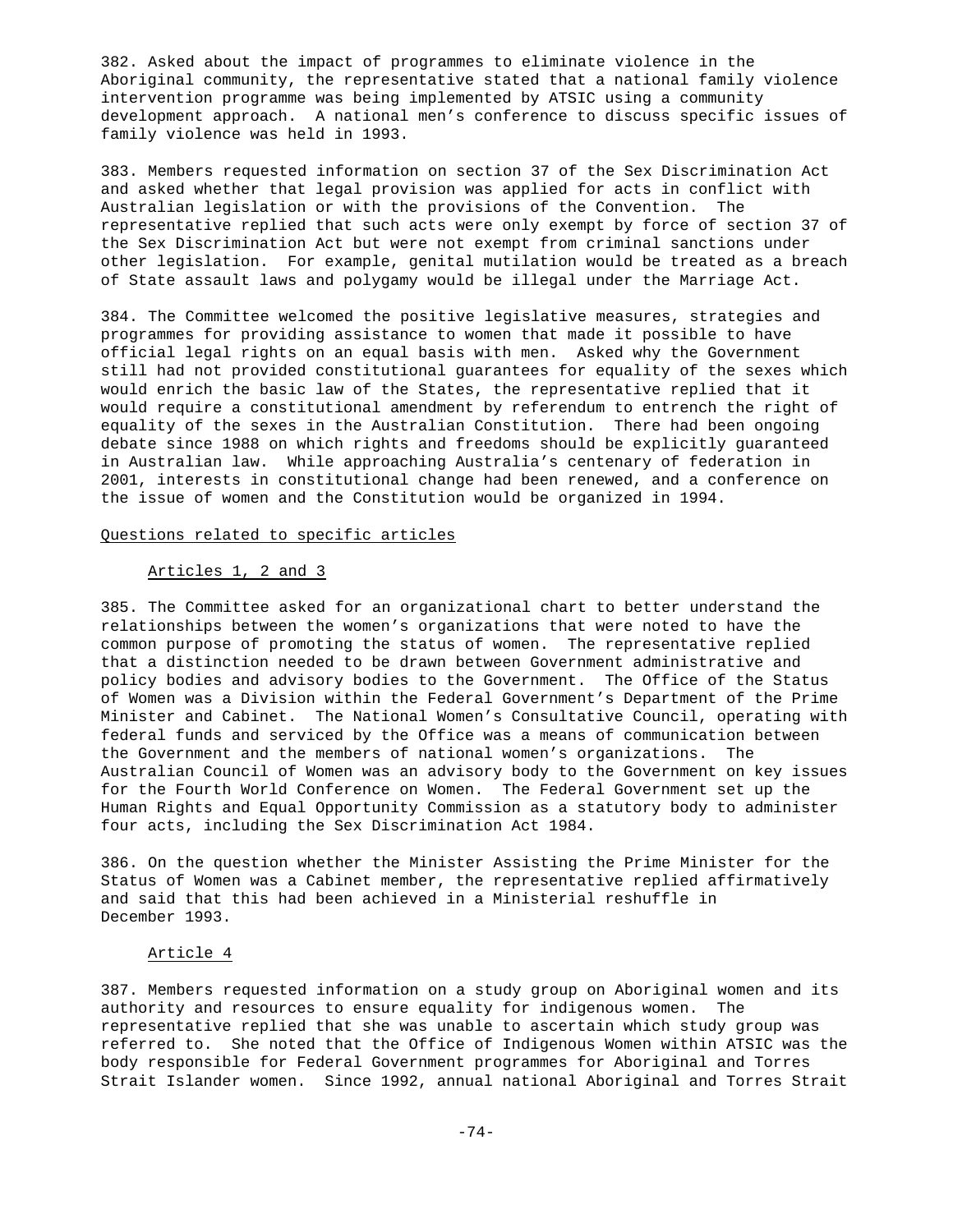382. Asked about the impact of programmes to eliminate violence in the Aboriginal community, the representative stated that a national family violence intervention programme was being implemented by ATSIC using a community development approach. A national men's conference to discuss specific issues of family violence was held in 1993.

383. Members requested information on section 37 of the Sex Discrimination Act and asked whether that legal provision was applied for acts in conflict with Australian legislation or with the provisions of the Convention. The representative replied that such acts were only exempt by force of section 37 of the Sex Discrimination Act but were not exempt from criminal sanctions under other legislation. For example, genital mutilation would be treated as a breach of State assault laws and polygamy would be illegal under the Marriage Act.

384. The Committee welcomed the positive legislative measures, strategies and programmes for providing assistance to women that made it possible to have official legal rights on an equal basis with men. Asked why the Government still had not provided constitutional guarantees for equality of the sexes which would enrich the basic law of the States, the representative replied that it would require a constitutional amendment by referendum to entrench the right of equality of the sexes in the Australian Constitution. There had been ongoing debate since 1988 on which rights and freedoms should be explicitly guaranteed in Australian law. While approaching Australia's centenary of federation in 2001, interests in constitutional change had been renewed, and a conference on the issue of women and the Constitution would be organized in 1994.

# Questions related to specific articles

# Articles 1, 2 and 3

385. The Committee asked for an organizational chart to better understand the relationships between the women's organizations that were noted to have the common purpose of promoting the status of women. The representative replied that a distinction needed to be drawn between Government administrative and policy bodies and advisory bodies to the Government. The Office of the Status of Women was a Division within the Federal Government's Department of the Prime Minister and Cabinet. The National Women's Consultative Council, operating with federal funds and serviced by the Office was a means of communication between the Government and the members of national women's organizations. The Australian Council of Women was an advisory body to the Government on key issues for the Fourth World Conference on Women. The Federal Government set up the Human Rights and Equal Opportunity Commission as a statutory body to administer four acts, including the Sex Discrimination Act 1984.

386. On the question whether the Minister Assisting the Prime Minister for the Status of Women was a Cabinet member, the representative replied affirmatively and said that this had been achieved in a Ministerial reshuffle in December 1993.

# Article 4

387. Members requested information on a study group on Aboriginal women and its authority and resources to ensure equality for indigenous women. The representative replied that she was unable to ascertain which study group was referred to. She noted that the Office of Indigenous Women within ATSIC was the body responsible for Federal Government programmes for Aboriginal and Torres Strait Islander women. Since 1992, annual national Aboriginal and Torres Strait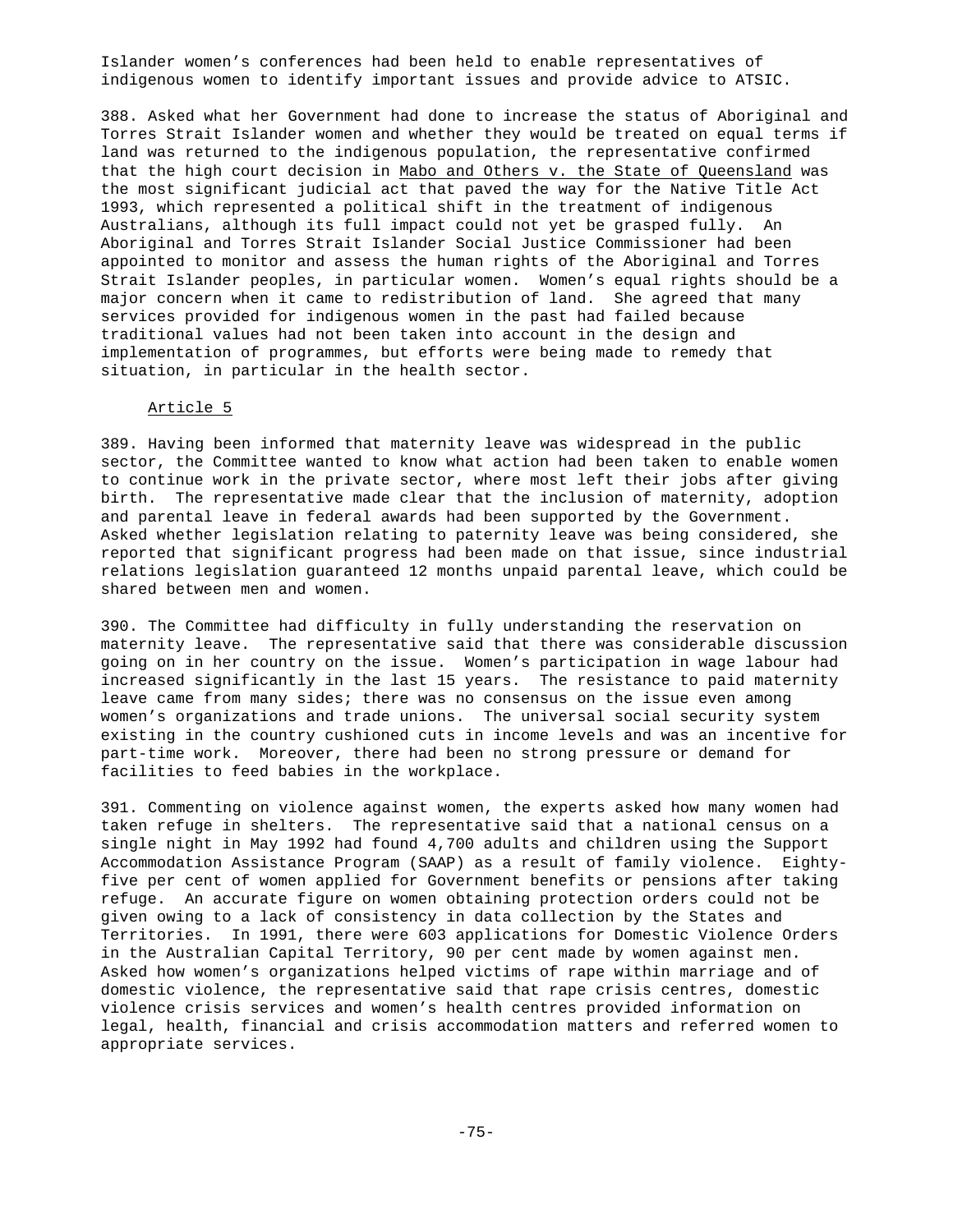Islander women's conferences had been held to enable representatives of indigenous women to identify important issues and provide advice to ATSIC.

388. Asked what her Government had done to increase the status of Aboriginal and Torres Strait Islander women and whether they would be treated on equal terms if land was returned to the indigenous population, the representative confirmed that the high court decision in Mabo and Others v. the State of Queensland was the most significant judicial act that paved the way for the Native Title Act 1993, which represented a political shift in the treatment of indigenous Australians, although its full impact could not yet be grasped fully. An Aboriginal and Torres Strait Islander Social Justice Commissioner had been appointed to monitor and assess the human rights of the Aboriginal and Torres Strait Islander peoples, in particular women. Women's equal rights should be a major concern when it came to redistribution of land. She agreed that many services provided for indigenous women in the past had failed because traditional values had not been taken into account in the design and implementation of programmes, but efforts were being made to remedy that situation, in particular in the health sector.

### Article 5

389. Having been informed that maternity leave was widespread in the public sector, the Committee wanted to know what action had been taken to enable women to continue work in the private sector, where most left their jobs after giving birth. The representative made clear that the inclusion of maternity, adoption and parental leave in federal awards had been supported by the Government. Asked whether legislation relating to paternity leave was being considered, she reported that significant progress had been made on that issue, since industrial relations legislation guaranteed 12 months unpaid parental leave, which could be shared between men and women.

390. The Committee had difficulty in fully understanding the reservation on maternity leave. The representative said that there was considerable discussion going on in her country on the issue. Women's participation in wage labour had increased significantly in the last 15 years. The resistance to paid maternity leave came from many sides; there was no consensus on the issue even among women's organizations and trade unions. The universal social security system existing in the country cushioned cuts in income levels and was an incentive for part-time work. Moreover, there had been no strong pressure or demand for facilities to feed babies in the workplace.

391. Commenting on violence against women, the experts asked how many women had taken refuge in shelters. The representative said that a national census on a single night in May 1992 had found 4,700 adults and children using the Support Accommodation Assistance Program (SAAP) as a result of family violence. Eightyfive per cent of women applied for Government benefits or pensions after taking refuge. An accurate figure on women obtaining protection orders could not be given owing to a lack of consistency in data collection by the States and Territories. In 1991, there were 603 applications for Domestic Violence Orders in the Australian Capital Territory, 90 per cent made by women against men. Asked how women's organizations helped victims of rape within marriage and of domestic violence, the representative said that rape crisis centres, domestic violence crisis services and women's health centres provided information on legal, health, financial and crisis accommodation matters and referred women to appropriate services.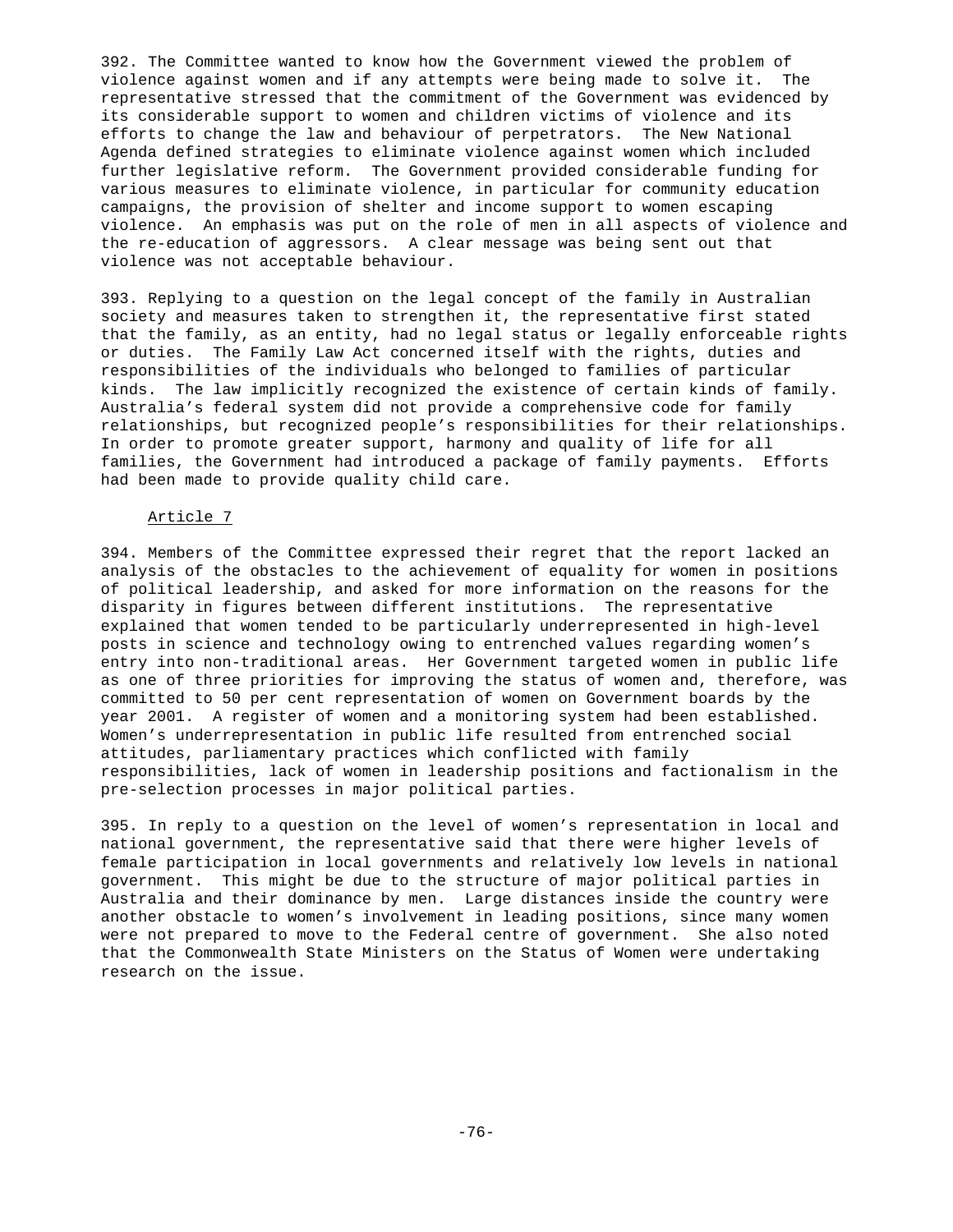392. The Committee wanted to know how the Government viewed the problem of violence against women and if any attempts were being made to solve it. The representative stressed that the commitment of the Government was evidenced by its considerable support to women and children victims of violence and its efforts to change the law and behaviour of perpetrators. The New National Agenda defined strategies to eliminate violence against women which included further legislative reform. The Government provided considerable funding for various measures to eliminate violence, in particular for community education campaigns, the provision of shelter and income support to women escaping violence. An emphasis was put on the role of men in all aspects of violence and the re-education of aggressors. A clear message was being sent out that violence was not acceptable behaviour.

393. Replying to a question on the legal concept of the family in Australian society and measures taken to strengthen it, the representative first stated that the family, as an entity, had no legal status or legally enforceable rights or duties. The Family Law Act concerned itself with the rights, duties and responsibilities of the individuals who belonged to families of particular kinds. The law implicitly recognized the existence of certain kinds of family. Australia's federal system did not provide a comprehensive code for family relationships, but recognized people's responsibilities for their relationships. In order to promote greater support, harmony and quality of life for all families, the Government had introduced a package of family payments. Efforts had been made to provide quality child care.

### Article 7

394. Members of the Committee expressed their regret that the report lacked an analysis of the obstacles to the achievement of equality for women in positions of political leadership, and asked for more information on the reasons for the disparity in figures between different institutions. The representative explained that women tended to be particularly underrepresented in high-level posts in science and technology owing to entrenched values regarding women's entry into non-traditional areas. Her Government targeted women in public life as one of three priorities for improving the status of women and, therefore, was committed to 50 per cent representation of women on Government boards by the year 2001. A register of women and a monitoring system had been established. Women's underrepresentation in public life resulted from entrenched social attitudes, parliamentary practices which conflicted with family responsibilities, lack of women in leadership positions and factionalism in the pre-selection processes in major political parties.

395. In reply to a question on the level of women's representation in local and national government, the representative said that there were higher levels of female participation in local governments and relatively low levels in national government. This might be due to the structure of major political parties in Australia and their dominance by men. Large distances inside the country were another obstacle to women's involvement in leading positions, since many women were not prepared to move to the Federal centre of government. She also noted that the Commonwealth State Ministers on the Status of Women were undertaking research on the issue.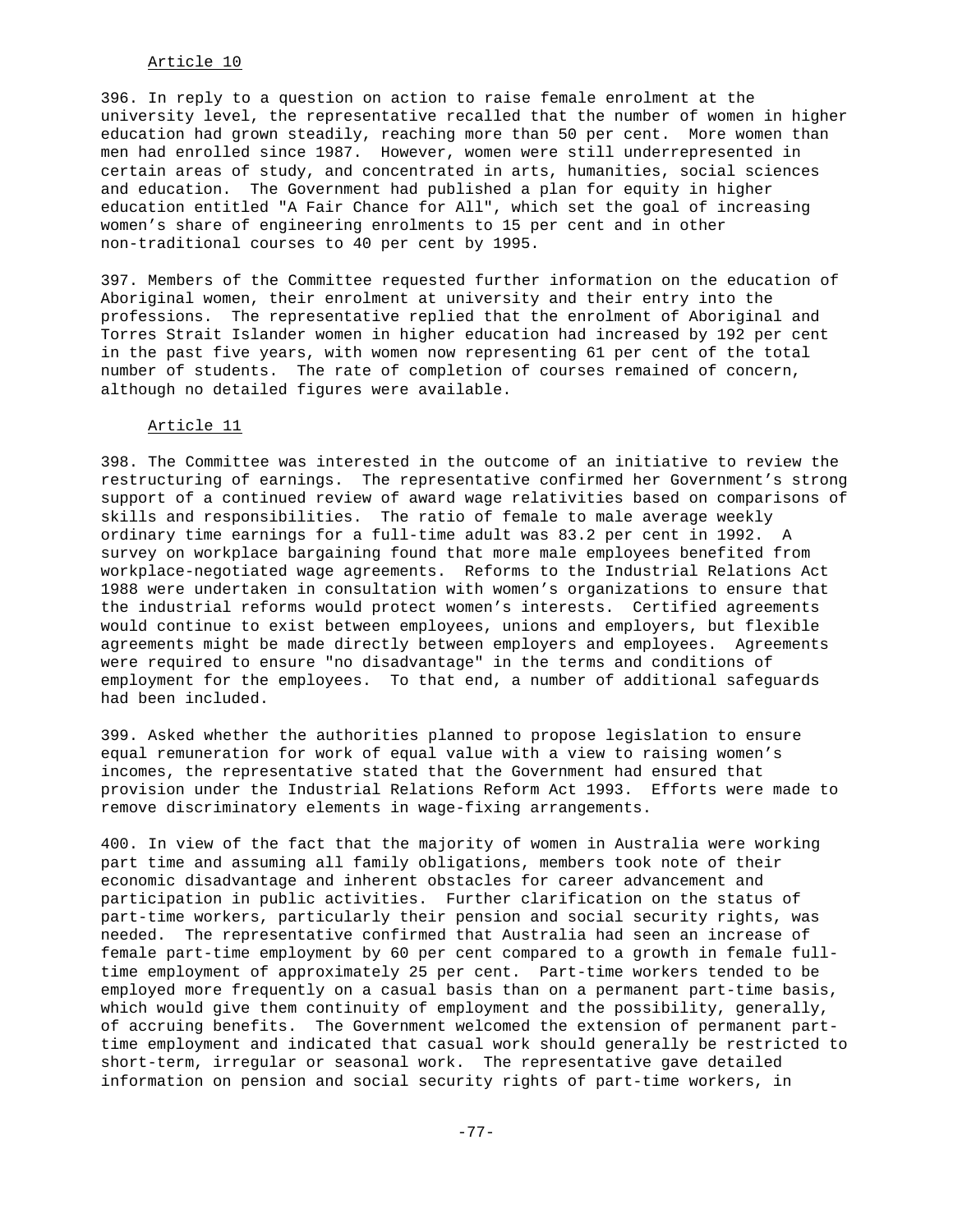# Article 10

396. In reply to a question on action to raise female enrolment at the university level, the representative recalled that the number of women in higher education had grown steadily, reaching more than 50 per cent. More women than men had enrolled since 1987. However, women were still underrepresented in certain areas of study, and concentrated in arts, humanities, social sciences and education. The Government had published a plan for equity in higher education entitled "A Fair Chance for All", which set the goal of increasing women's share of engineering enrolments to 15 per cent and in other non-traditional courses to 40 per cent by 1995.

397. Members of the Committee requested further information on the education of Aboriginal women, their enrolment at university and their entry into the professions. The representative replied that the enrolment of Aboriginal and Torres Strait Islander women in higher education had increased by 192 per cent in the past five years, with women now representing 61 per cent of the total number of students. The rate of completion of courses remained of concern, although no detailed figures were available.

# Article 11

398. The Committee was interested in the outcome of an initiative to review the restructuring of earnings. The representative confirmed her Government's strong support of a continued review of award wage relativities based on comparisons of skills and responsibilities. The ratio of female to male average weekly ordinary time earnings for a full-time adult was 83.2 per cent in 1992. A survey on workplace bargaining found that more male employees benefited from workplace-negotiated wage agreements. Reforms to the Industrial Relations Act 1988 were undertaken in consultation with women's organizations to ensure that the industrial reforms would protect women's interests. Certified agreements would continue to exist between employees, unions and employers, but flexible agreements might be made directly between employers and employees. Agreements were required to ensure "no disadvantage" in the terms and conditions of employment for the employees. To that end, a number of additional safeguards had been included.

399. Asked whether the authorities planned to propose legislation to ensure equal remuneration for work of equal value with a view to raising women's incomes, the representative stated that the Government had ensured that provision under the Industrial Relations Reform Act 1993. Efforts were made to remove discriminatory elements in wage-fixing arrangements.

400. In view of the fact that the majority of women in Australia were working part time and assuming all family obligations, members took note of their economic disadvantage and inherent obstacles for career advancement and participation in public activities. Further clarification on the status of part-time workers, particularly their pension and social security rights, was needed. The representative confirmed that Australia had seen an increase of female part-time employment by 60 per cent compared to a growth in female fulltime employment of approximately 25 per cent. Part-time workers tended to be employed more frequently on a casual basis than on a permanent part-time basis, which would give them continuity of employment and the possibility, generally, of accruing benefits. The Government welcomed the extension of permanent parttime employment and indicated that casual work should generally be restricted to short-term, irregular or seasonal work. The representative gave detailed information on pension and social security rights of part-time workers, in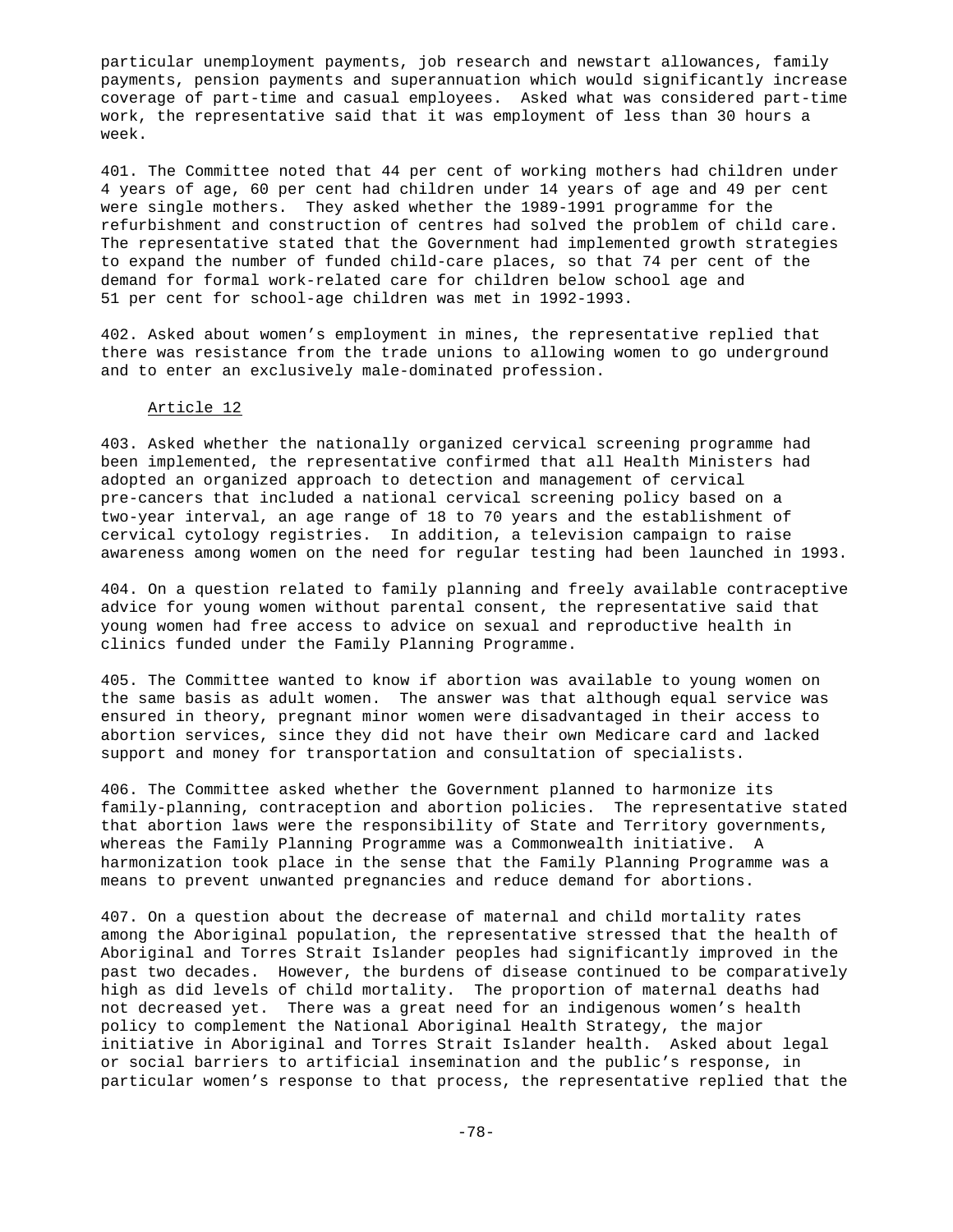particular unemployment payments, job research and newstart allowances, family payments, pension payments and superannuation which would significantly increase coverage of part-time and casual employees. Asked what was considered part-time work, the representative said that it was employment of less than 30 hours a week.

401. The Committee noted that 44 per cent of working mothers had children under 4 years of age, 60 per cent had children under 14 years of age and 49 per cent were single mothers. They asked whether the 1989-1991 programme for the refurbishment and construction of centres had solved the problem of child care. The representative stated that the Government had implemented growth strategies to expand the number of funded child-care places, so that 74 per cent of the demand for formal work-related care for children below school age and 51 per cent for school-age children was met in 1992-1993.

402. Asked about women's employment in mines, the representative replied that there was resistance from the trade unions to allowing women to go underground and to enter an exclusively male-dominated profession.

## Article 12

403. Asked whether the nationally organized cervical screening programme had been implemented, the representative confirmed that all Health Ministers had adopted an organized approach to detection and management of cervical pre-cancers that included a national cervical screening policy based on a two-year interval, an age range of 18 to 70 years and the establishment of cervical cytology registries. In addition, a television campaign to raise awareness among women on the need for regular testing had been launched in 1993.

404. On a question related to family planning and freely available contraceptive advice for young women without parental consent, the representative said that young women had free access to advice on sexual and reproductive health in clinics funded under the Family Planning Programme.

405. The Committee wanted to know if abortion was available to young women on the same basis as adult women. The answer was that although equal service was ensured in theory, pregnant minor women were disadvantaged in their access to abortion services, since they did not have their own Medicare card and lacked support and money for transportation and consultation of specialists.

406. The Committee asked whether the Government planned to harmonize its family-planning, contraception and abortion policies. The representative stated that abortion laws were the responsibility of State and Territory governments, whereas the Family Planning Programme was a Commonwealth initiative. A harmonization took place in the sense that the Family Planning Programme was a means to prevent unwanted pregnancies and reduce demand for abortions.

407. On a question about the decrease of maternal and child mortality rates among the Aboriginal population, the representative stressed that the health of Aboriginal and Torres Strait Islander peoples had significantly improved in the past two decades. However, the burdens of disease continued to be comparatively high as did levels of child mortality. The proportion of maternal deaths had not decreased yet. There was a great need for an indigenous women's health policy to complement the National Aboriginal Health Strategy, the major initiative in Aboriginal and Torres Strait Islander health. Asked about legal or social barriers to artificial insemination and the public's response, in particular women's response to that process, the representative replied that the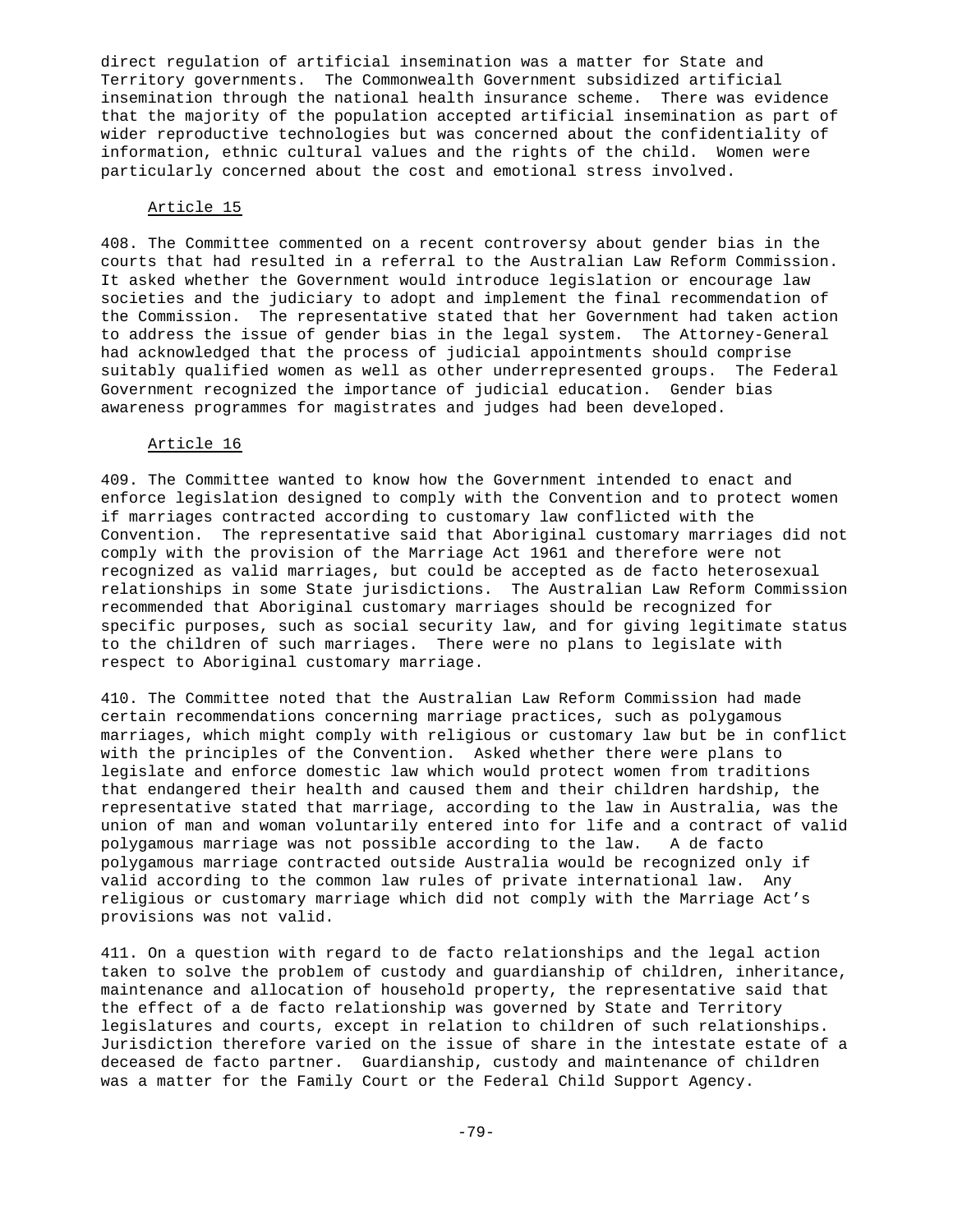direct regulation of artificial insemination was a matter for State and Territory governments. The Commonwealth Government subsidized artificial insemination through the national health insurance scheme. There was evidence that the majority of the population accepted artificial insemination as part of wider reproductive technologies but was concerned about the confidentiality of information, ethnic cultural values and the rights of the child. Women were particularly concerned about the cost and emotional stress involved.

# Article 15

408. The Committee commented on a recent controversy about gender bias in the courts that had resulted in a referral to the Australian Law Reform Commission. It asked whether the Government would introduce legislation or encourage law societies and the judiciary to adopt and implement the final recommendation of the Commission. The representative stated that her Government had taken action to address the issue of gender bias in the legal system. The Attorney-General had acknowledged that the process of judicial appointments should comprise suitably qualified women as well as other underrepresented groups. The Federal Government recognized the importance of judicial education. Gender bias awareness programmes for magistrates and judges had been developed.

### Article 16

409. The Committee wanted to know how the Government intended to enact and enforce legislation designed to comply with the Convention and to protect women if marriages contracted according to customary law conflicted with the Convention. The representative said that Aboriginal customary marriages did not comply with the provision of the Marriage Act 1961 and therefore were not recognized as valid marriages, but could be accepted as de facto heterosexual relationships in some State jurisdictions. The Australian Law Reform Commission recommended that Aboriginal customary marriages should be recognized for specific purposes, such as social security law, and for giving legitimate status to the children of such marriages. There were no plans to legislate with respect to Aboriginal customary marriage.

410. The Committee noted that the Australian Law Reform Commission had made certain recommendations concerning marriage practices, such as polygamous marriages, which might comply with religious or customary law but be in conflict with the principles of the Convention. Asked whether there were plans to legislate and enforce domestic law which would protect women from traditions that endangered their health and caused them and their children hardship, the representative stated that marriage, according to the law in Australia, was the union of man and woman voluntarily entered into for life and a contract of valid polygamous marriage was not possible according to the law. A de facto polygamous marriage contracted outside Australia would be recognized only if valid according to the common law rules of private international law. Any religious or customary marriage which did not comply with the Marriage Act's provisions was not valid.

411. On a question with regard to de facto relationships and the legal action taken to solve the problem of custody and guardianship of children, inheritance, maintenance and allocation of household property, the representative said that the effect of a de facto relationship was governed by State and Territory legislatures and courts, except in relation to children of such relationships. Jurisdiction therefore varied on the issue of share in the intestate estate of a deceased de facto partner. Guardianship, custody and maintenance of children was a matter for the Family Court or the Federal Child Support Agency.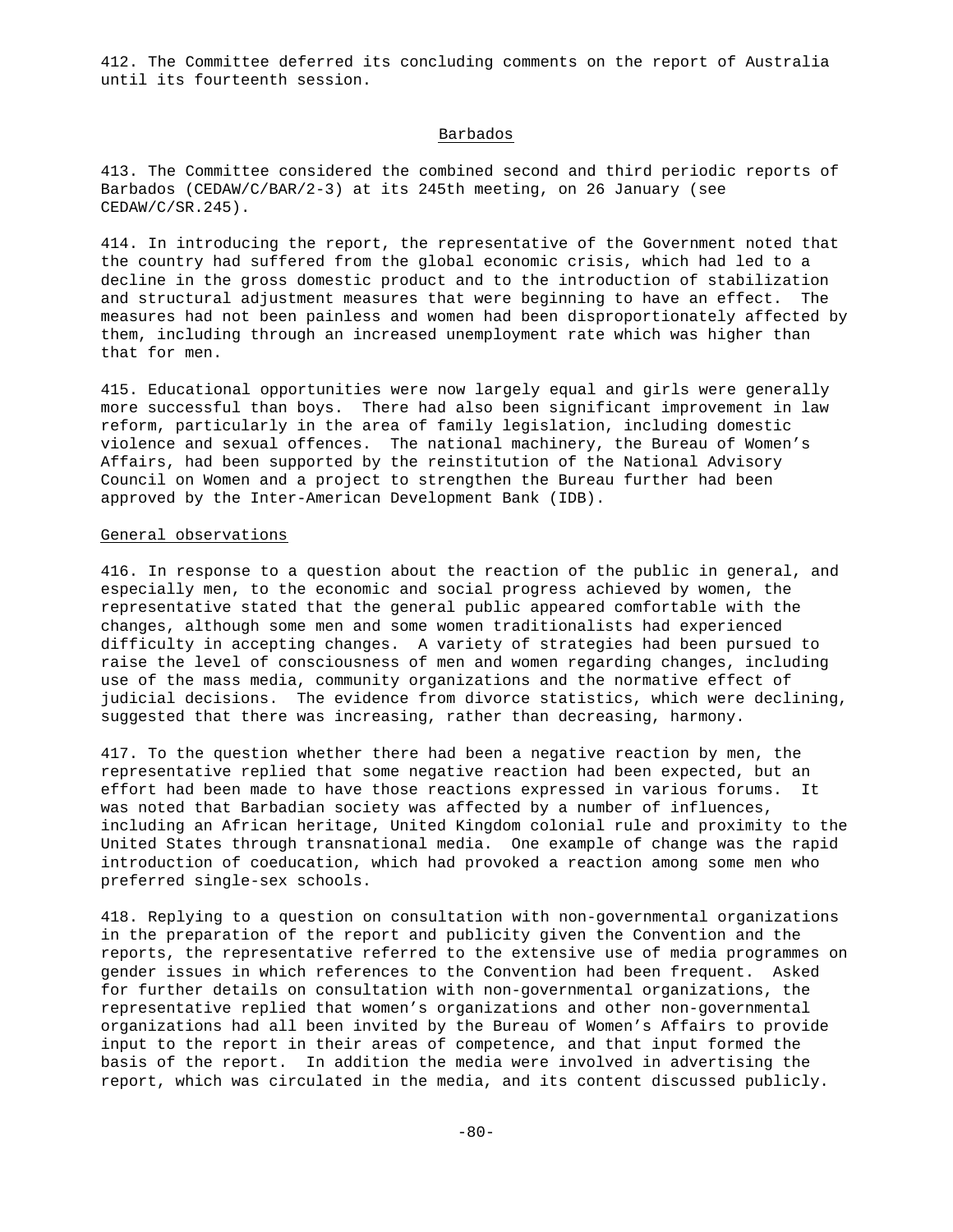412. The Committee deferred its concluding comments on the report of Australia until its fourteenth session.

### Barbados

413. The Committee considered the combined second and third periodic reports of Barbados (CEDAW/C/BAR/2-3) at its 245th meeting, on 26 January (see CEDAW/C/SR.245).

414. In introducing the report, the representative of the Government noted that the country had suffered from the global economic crisis, which had led to a decline in the gross domestic product and to the introduction of stabilization and structural adjustment measures that were beginning to have an effect. The measures had not been painless and women had been disproportionately affected by them, including through an increased unemployment rate which was higher than that for men.

415. Educational opportunities were now largely equal and girls were generally more successful than boys. There had also been significant improvement in law reform, particularly in the area of family legislation, including domestic violence and sexual offences. The national machinery, the Bureau of Women's Affairs, had been supported by the reinstitution of the National Advisory Council on Women and a project to strengthen the Bureau further had been approved by the Inter-American Development Bank (IDB).

### General observations

416. In response to a question about the reaction of the public in general, and especially men, to the economic and social progress achieved by women, the representative stated that the general public appeared comfortable with the changes, although some men and some women traditionalists had experienced difficulty in accepting changes. A variety of strategies had been pursued to raise the level of consciousness of men and women regarding changes, including use of the mass media, community organizations and the normative effect of judicial decisions. The evidence from divorce statistics, which were declining, suggested that there was increasing, rather than decreasing, harmony.

417. To the question whether there had been a negative reaction by men, the representative replied that some negative reaction had been expected, but an effort had been made to have those reactions expressed in various forums. It was noted that Barbadian society was affected by a number of influences, including an African heritage, United Kingdom colonial rule and proximity to the United States through transnational media. One example of change was the rapid introduction of coeducation, which had provoked a reaction among some men who preferred single-sex schools.

418. Replying to a question on consultation with non-governmental organizations in the preparation of the report and publicity given the Convention and the reports, the representative referred to the extensive use of media programmes on gender issues in which references to the Convention had been frequent. Asked for further details on consultation with non-governmental organizations, the representative replied that women's organizations and other non-governmental organizations had all been invited by the Bureau of Women's Affairs to provide input to the report in their areas of competence, and that input formed the basis of the report. In addition the media were involved in advertising the report, which was circulated in the media, and its content discussed publicly.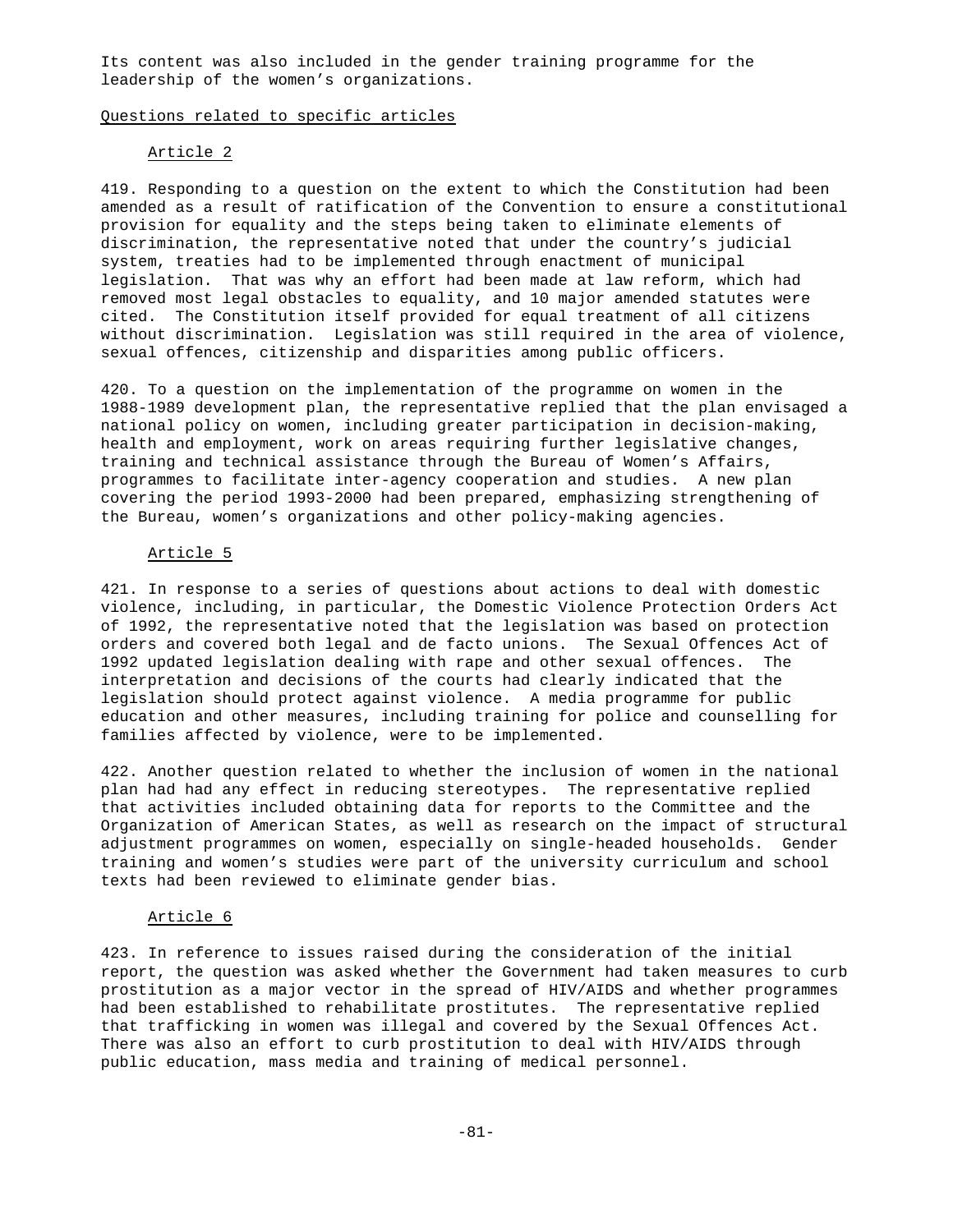Its content was also included in the gender training programme for the leadership of the women's organizations.

### Questions related to specific articles

# Article 2

419. Responding to a question on the extent to which the Constitution had been amended as a result of ratification of the Convention to ensure a constitutional provision for equality and the steps being taken to eliminate elements of discrimination, the representative noted that under the country's judicial system, treaties had to be implemented through enactment of municipal legislation. That was why an effort had been made at law reform, which had removed most legal obstacles to equality, and 10 major amended statutes were cited. The Constitution itself provided for equal treatment of all citizens without discrimination. Legislation was still required in the area of violence, sexual offences, citizenship and disparities among public officers.

420. To a question on the implementation of the programme on women in the 1988-1989 development plan, the representative replied that the plan envisaged a national policy on women, including greater participation in decision-making, health and employment, work on areas requiring further legislative changes, training and technical assistance through the Bureau of Women's Affairs, programmes to facilitate inter-agency cooperation and studies. A new plan covering the period 1993-2000 had been prepared, emphasizing strengthening of the Bureau, women's organizations and other policy-making agencies.

### Article 5

421. In response to a series of questions about actions to deal with domestic violence, including, in particular, the Domestic Violence Protection Orders Act of 1992, the representative noted that the legislation was based on protection orders and covered both legal and de facto unions. The Sexual Offences Act of 1992 updated legislation dealing with rape and other sexual offences. The interpretation and decisions of the courts had clearly indicated that the legislation should protect against violence. A media programme for public education and other measures, including training for police and counselling for families affected by violence, were to be implemented.

422. Another question related to whether the inclusion of women in the national plan had had any effect in reducing stereotypes. The representative replied that activities included obtaining data for reports to the Committee and the Organization of American States, as well as research on the impact of structural adjustment programmes on women, especially on single-headed households. Gender training and women's studies were part of the university curriculum and school texts had been reviewed to eliminate gender bias.

# Article 6

423. In reference to issues raised during the consideration of the initial report, the question was asked whether the Government had taken measures to curb prostitution as a major vector in the spread of HIV/AIDS and whether programmes had been established to rehabilitate prostitutes. The representative replied that trafficking in women was illegal and covered by the Sexual Offences Act. There was also an effort to curb prostitution to deal with HIV/AIDS through public education, mass media and training of medical personnel.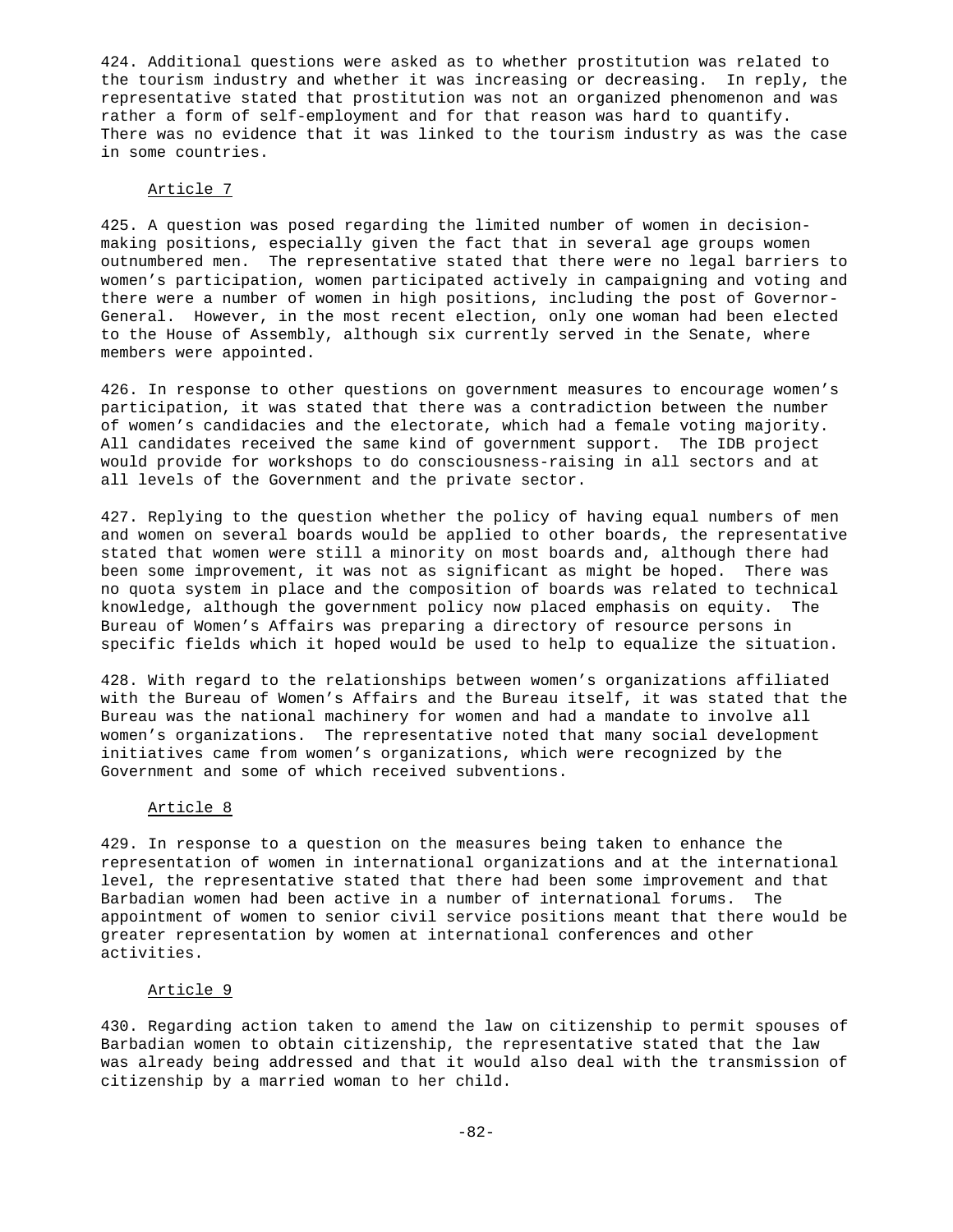424. Additional questions were asked as to whether prostitution was related to the tourism industry and whether it was increasing or decreasing. In reply, the representative stated that prostitution was not an organized phenomenon and was rather a form of self-employment and for that reason was hard to quantify. There was no evidence that it was linked to the tourism industry as was the case in some countries.

# Article 7

425. A question was posed regarding the limited number of women in decisionmaking positions, especially given the fact that in several age groups women outnumbered men. The representative stated that there were no legal barriers to women's participation, women participated actively in campaigning and voting and there were a number of women in high positions, including the post of Governor-General. However, in the most recent election, only one woman had been elected to the House of Assembly, although six currently served in the Senate, where members were appointed.

426. In response to other questions on government measures to encourage women's participation, it was stated that there was a contradiction between the number of women's candidacies and the electorate, which had a female voting majority. All candidates received the same kind of government support. The IDB project would provide for workshops to do consciousness-raising in all sectors and at all levels of the Government and the private sector.

427. Replying to the question whether the policy of having equal numbers of men and women on several boards would be applied to other boards, the representative stated that women were still a minority on most boards and, although there had been some improvement, it was not as significant as might be hoped. There was no quota system in place and the composition of boards was related to technical knowledge, although the government policy now placed emphasis on equity. The Bureau of Women's Affairs was preparing a directory of resource persons in specific fields which it hoped would be used to help to equalize the situation.

428. With regard to the relationships between women's organizations affiliated with the Bureau of Women's Affairs and the Bureau itself, it was stated that the Bureau was the national machinery for women and had a mandate to involve all women's organizations. The representative noted that many social development initiatives came from women's organizations, which were recognized by the Government and some of which received subventions.

### Article 8

429. In response to a question on the measures being taken to enhance the representation of women in international organizations and at the international level, the representative stated that there had been some improvement and that Barbadian women had been active in a number of international forums. The appointment of women to senior civil service positions meant that there would be greater representation by women at international conferences and other activities.

# Article 9

430. Regarding action taken to amend the law on citizenship to permit spouses of Barbadian women to obtain citizenship, the representative stated that the law was already being addressed and that it would also deal with the transmission of citizenship by a married woman to her child.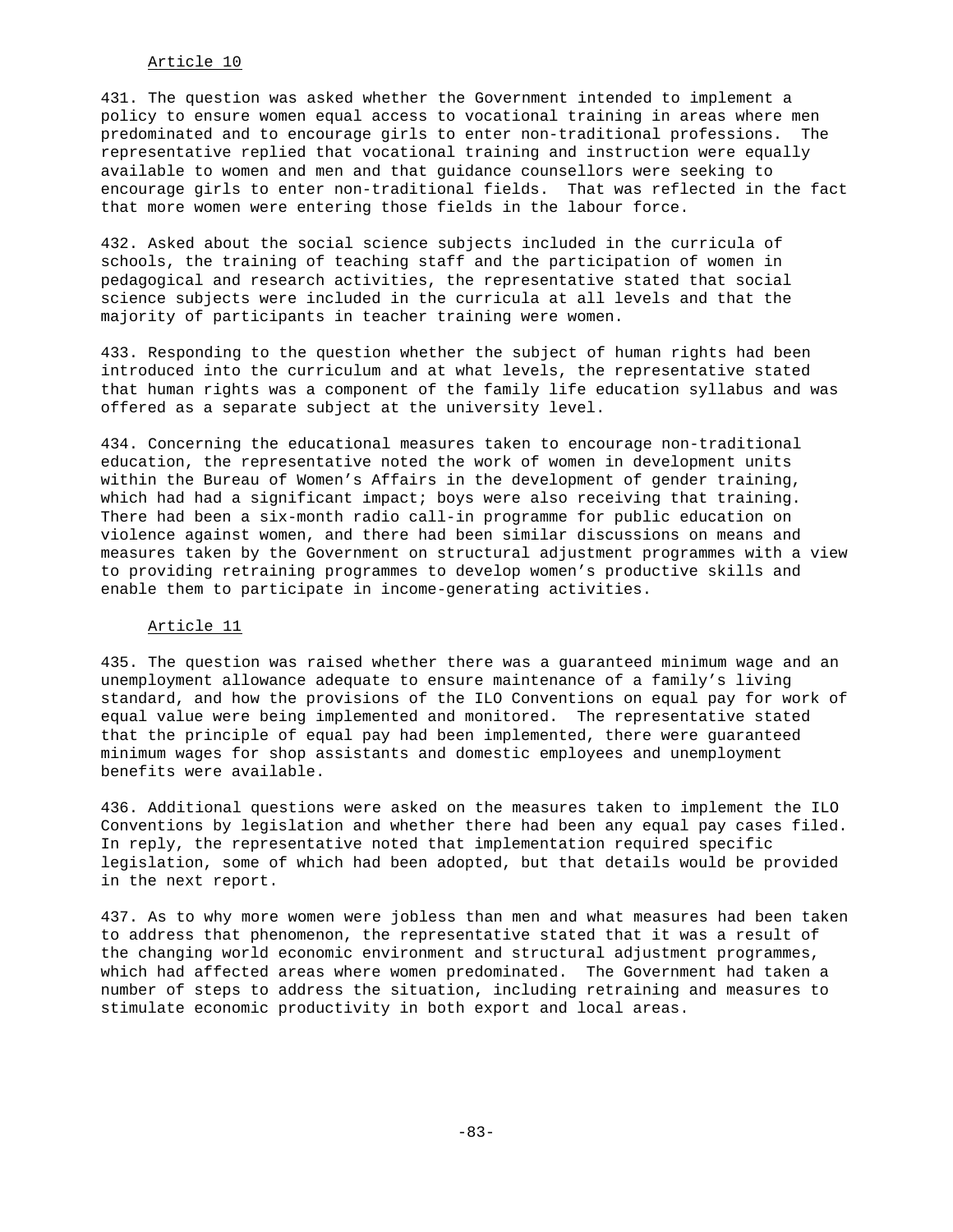# Article 10

431. The question was asked whether the Government intended to implement a policy to ensure women equal access to vocational training in areas where men predominated and to encourage girls to enter non-traditional professions. The representative replied that vocational training and instruction were equally available to women and men and that guidance counsellors were seeking to encourage girls to enter non-traditional fields. That was reflected in the fact that more women were entering those fields in the labour force.

432. Asked about the social science subjects included in the curricula of schools, the training of teaching staff and the participation of women in pedagogical and research activities, the representative stated that social science subjects were included in the curricula at all levels and that the majority of participants in teacher training were women.

433. Responding to the question whether the subject of human rights had been introduced into the curriculum and at what levels, the representative stated that human rights was a component of the family life education syllabus and was offered as a separate subject at the university level.

434. Concerning the educational measures taken to encourage non-traditional education, the representative noted the work of women in development units within the Bureau of Women's Affairs in the development of gender training, which had had a significant impact; boys were also receiving that training. There had been a six-month radio call-in programme for public education on violence against women, and there had been similar discussions on means and measures taken by the Government on structural adjustment programmes with a view to providing retraining programmes to develop women's productive skills and enable them to participate in income-generating activities.

# Article 11

435. The question was raised whether there was a guaranteed minimum wage and an unemployment allowance adequate to ensure maintenance of a family's living standard, and how the provisions of the ILO Conventions on equal pay for work of equal value were being implemented and monitored. The representative stated that the principle of equal pay had been implemented, there were guaranteed minimum wages for shop assistants and domestic employees and unemployment benefits were available.

436. Additional questions were asked on the measures taken to implement the ILO Conventions by legislation and whether there had been any equal pay cases filed. In reply, the representative noted that implementation required specific legislation, some of which had been adopted, but that details would be provided in the next report.

437. As to why more women were jobless than men and what measures had been taken to address that phenomenon, the representative stated that it was a result of the changing world economic environment and structural adjustment programmes, which had affected areas where women predominated. The Government had taken a number of steps to address the situation, including retraining and measures to stimulate economic productivity in both export and local areas.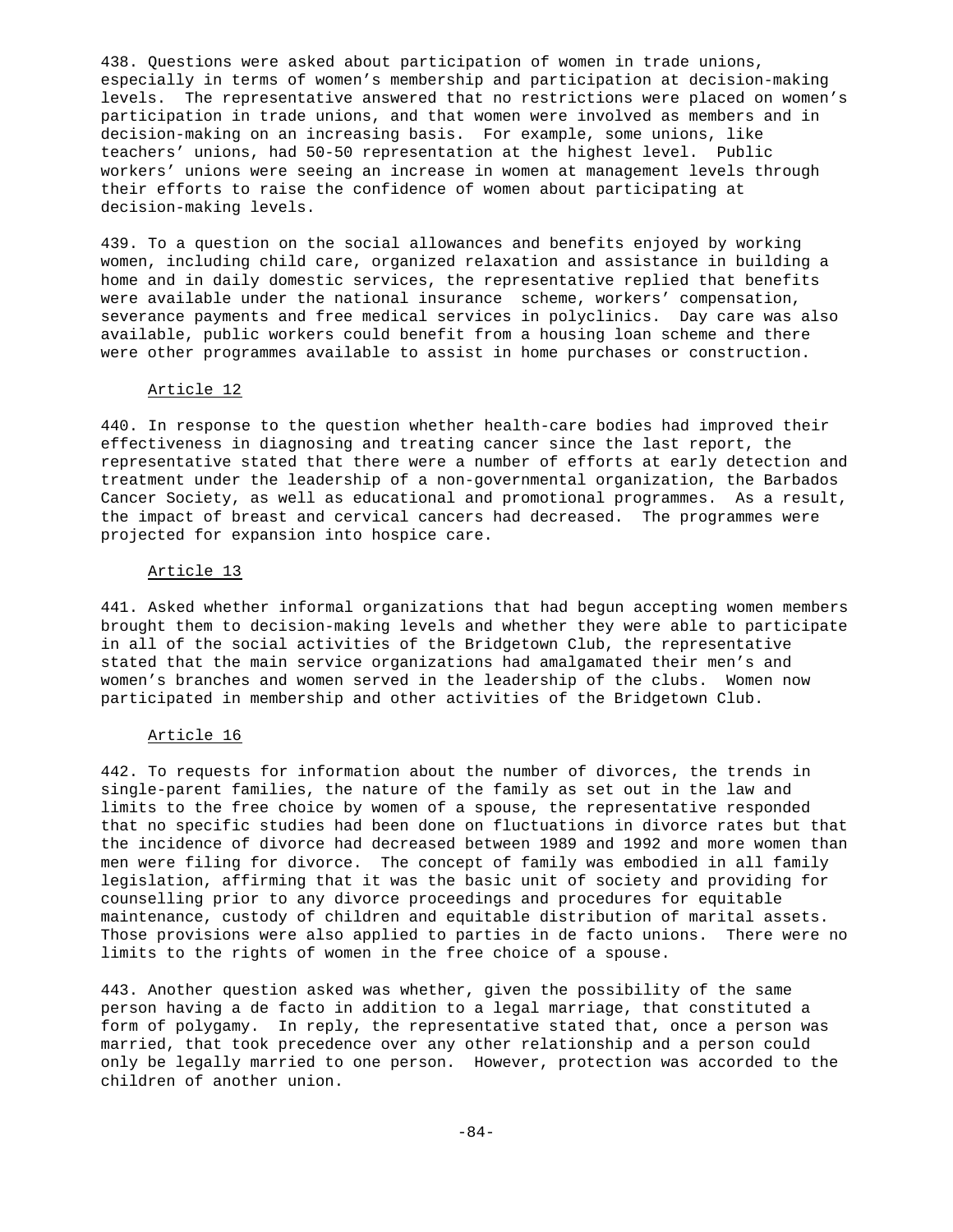438. Questions were asked about participation of women in trade unions, especially in terms of women's membership and participation at decision-making levels. The representative answered that no restrictions were placed on women's participation in trade unions, and that women were involved as members and in decision-making on an increasing basis. For example, some unions, like teachers' unions, had 50-50 representation at the highest level. Public workers' unions were seeing an increase in women at management levels through their efforts to raise the confidence of women about participating at decision-making levels.

439. To a question on the social allowances and benefits enjoyed by working women, including child care, organized relaxation and assistance in building a home and in daily domestic services, the representative replied that benefits were available under the national insurance scheme, workers' compensation, severance payments and free medical services in polyclinics. Day care was also available, public workers could benefit from a housing loan scheme and there were other programmes available to assist in home purchases or construction.

### Article 12

440. In response to the question whether health-care bodies had improved their effectiveness in diagnosing and treating cancer since the last report, the representative stated that there were a number of efforts at early detection and treatment under the leadership of a non-governmental organization, the Barbados Cancer Society, as well as educational and promotional programmes. As a result, the impact of breast and cervical cancers had decreased. The programmes were projected for expansion into hospice care.

### Article 13

441. Asked whether informal organizations that had begun accepting women members brought them to decision-making levels and whether they were able to participate in all of the social activities of the Bridgetown Club, the representative stated that the main service organizations had amalgamated their men's and women's branches and women served in the leadership of the clubs. Women now participated in membership and other activities of the Bridgetown Club.

# Article 16

442. To requests for information about the number of divorces, the trends in single-parent families, the nature of the family as set out in the law and limits to the free choice by women of a spouse, the representative responded that no specific studies had been done on fluctuations in divorce rates but that the incidence of divorce had decreased between 1989 and 1992 and more women than men were filing for divorce. The concept of family was embodied in all family legislation, affirming that it was the basic unit of society and providing for counselling prior to any divorce proceedings and procedures for equitable maintenance, custody of children and equitable distribution of marital assets. Those provisions were also applied to parties in de facto unions. There were no limits to the rights of women in the free choice of a spouse.

443. Another question asked was whether, given the possibility of the same person having a de facto in addition to a legal marriage, that constituted a form of polygamy. In reply, the representative stated that, once a person was married, that took precedence over any other relationship and a person could only be legally married to one person. However, protection was accorded to the children of another union.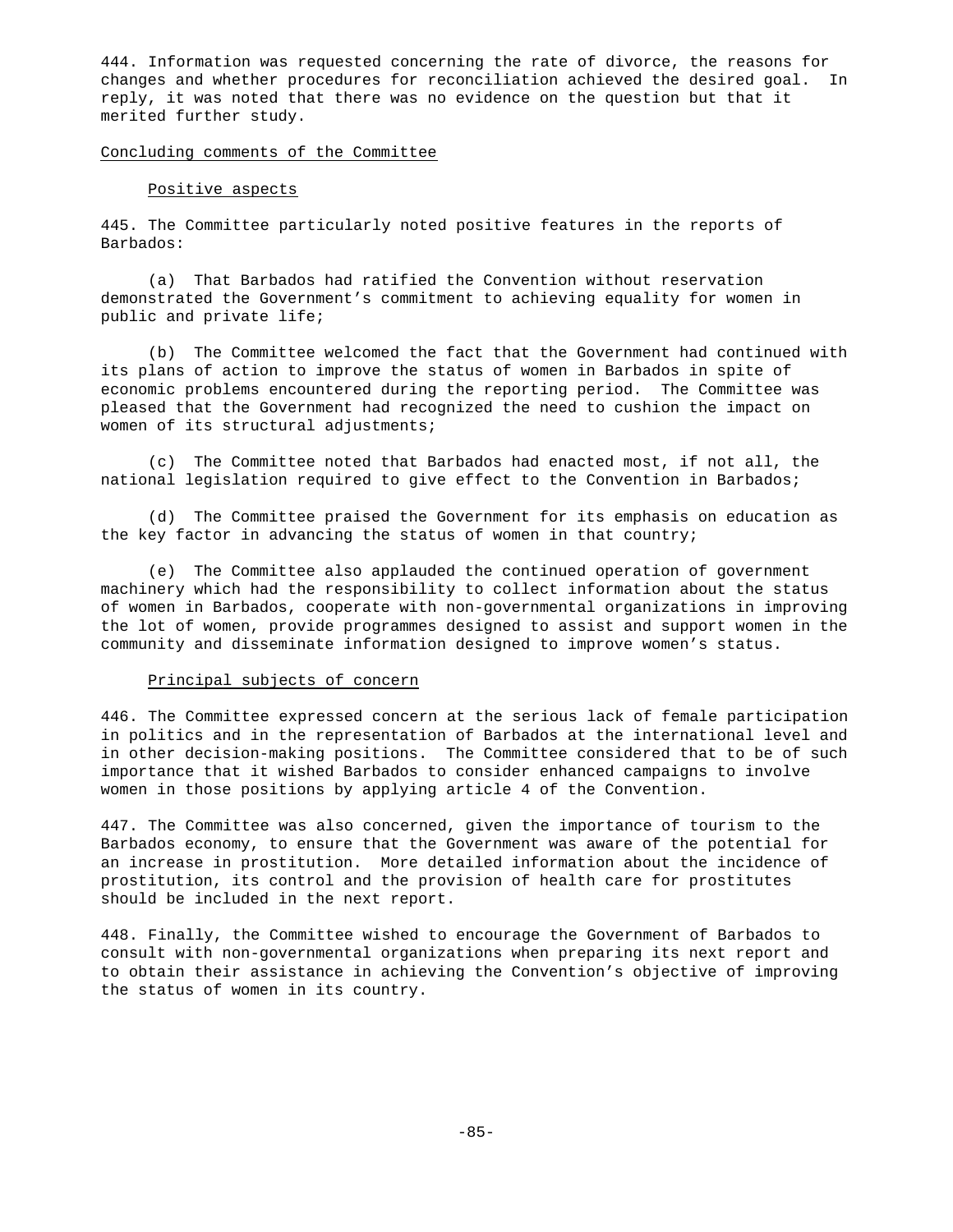444. Information was requested concerning the rate of divorce, the reasons for changes and whether procedures for reconciliation achieved the desired goal. In reply, it was noted that there was no evidence on the question but that it merited further study.

# Concluding comments of the Committee

### Positive aspects

445. The Committee particularly noted positive features in the reports of Barbados:

(a) That Barbados had ratified the Convention without reservation demonstrated the Government's commitment to achieving equality for women in public and private life;

(b) The Committee welcomed the fact that the Government had continued with its plans of action to improve the status of women in Barbados in spite of economic problems encountered during the reporting period. The Committee was pleased that the Government had recognized the need to cushion the impact on women of its structural adjustments;

(c) The Committee noted that Barbados had enacted most, if not all, the national legislation required to give effect to the Convention in Barbados;

(d) The Committee praised the Government for its emphasis on education as the key factor in advancing the status of women in that country;

(e) The Committee also applauded the continued operation of government machinery which had the responsibility to collect information about the status of women in Barbados, cooperate with non-governmental organizations in improving the lot of women, provide programmes designed to assist and support women in the community and disseminate information designed to improve women's status.

### Principal subjects of concern

446. The Committee expressed concern at the serious lack of female participation in politics and in the representation of Barbados at the international level and in other decision-making positions. The Committee considered that to be of such importance that it wished Barbados to consider enhanced campaigns to involve women in those positions by applying article 4 of the Convention.

447. The Committee was also concerned, given the importance of tourism to the Barbados economy, to ensure that the Government was aware of the potential for an increase in prostitution. More detailed information about the incidence of prostitution, its control and the provision of health care for prostitutes should be included in the next report.

448. Finally, the Committee wished to encourage the Government of Barbados to consult with non-governmental organizations when preparing its next report and to obtain their assistance in achieving the Convention's objective of improving the status of women in its country.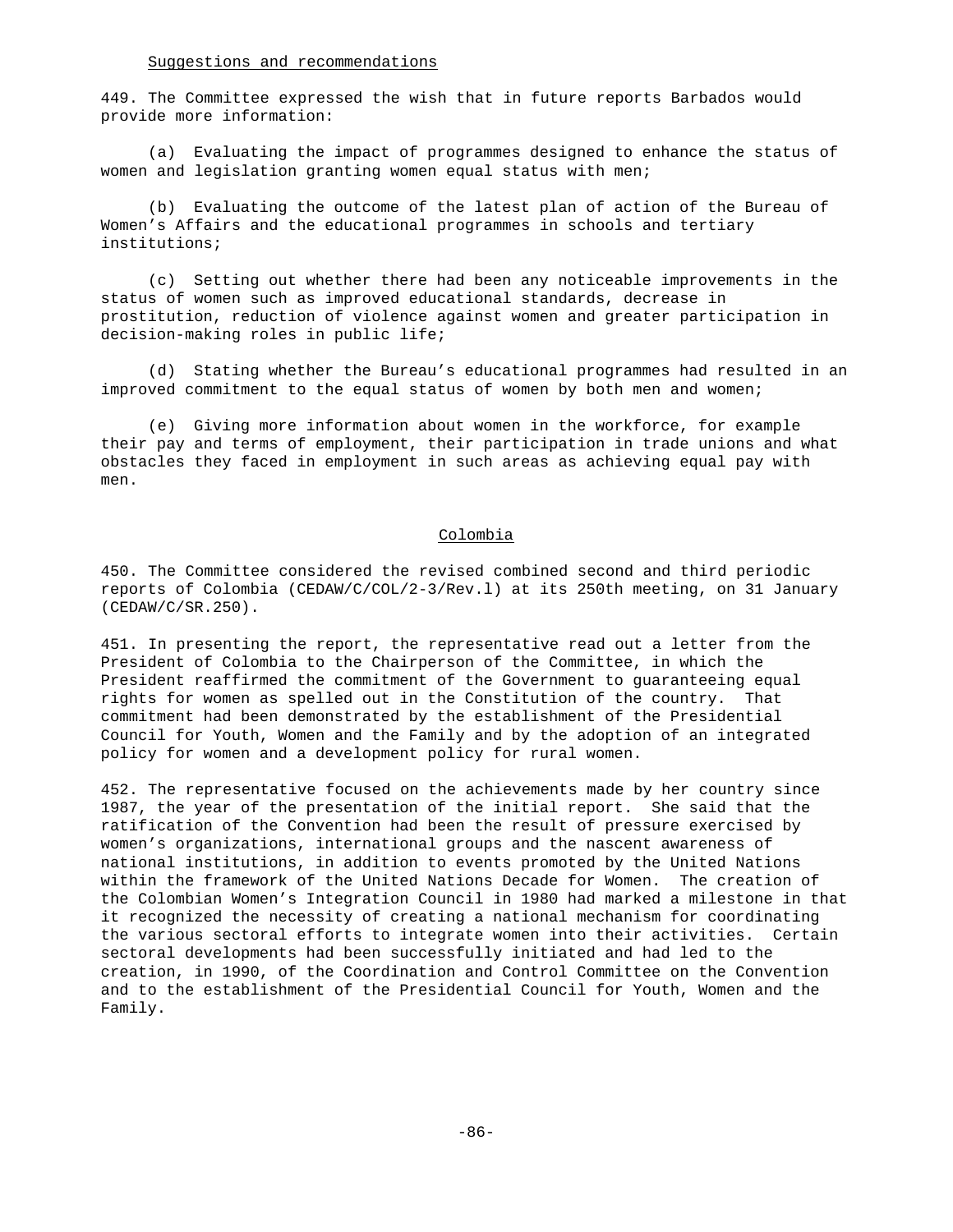### Suggestions and recommendations

449. The Committee expressed the wish that in future reports Barbados would provide more information:

(a) Evaluating the impact of programmes designed to enhance the status of women and legislation granting women equal status with men;

(b) Evaluating the outcome of the latest plan of action of the Bureau of Women's Affairs and the educational programmes in schools and tertiary institutions;

(c) Setting out whether there had been any noticeable improvements in the status of women such as improved educational standards, decrease in prostitution, reduction of violence against women and greater participation in decision-making roles in public life;

(d) Stating whether the Bureau's educational programmes had resulted in an improved commitment to the equal status of women by both men and women;

(e) Giving more information about women in the workforce, for example their pay and terms of employment, their participation in trade unions and what obstacles they faced in employment in such areas as achieving equal pay with men.

# Colombia

450. The Committee considered the revised combined second and third periodic reports of Colombia (CEDAW/C/COL/2-3/Rev.l) at its 250th meeting, on 31 January (CEDAW/C/SR.250).

451. In presenting the report, the representative read out a letter from the President of Colombia to the Chairperson of the Committee, in which the President reaffirmed the commitment of the Government to guaranteeing equal rights for women as spelled out in the Constitution of the country. That commitment had been demonstrated by the establishment of the Presidential Council for Youth, Women and the Family and by the adoption of an integrated policy for women and a development policy for rural women.

452. The representative focused on the achievements made by her country since 1987, the year of the presentation of the initial report. She said that the ratification of the Convention had been the result of pressure exercised by women's organizations, international groups and the nascent awareness of national institutions, in addition to events promoted by the United Nations within the framework of the United Nations Decade for Women. The creation of the Colombian Women's Integration Council in 1980 had marked a milestone in that it recognized the necessity of creating a national mechanism for coordinating the various sectoral efforts to integrate women into their activities. Certain sectoral developments had been successfully initiated and had led to the creation, in 1990, of the Coordination and Control Committee on the Convention and to the establishment of the Presidential Council for Youth, Women and the Family.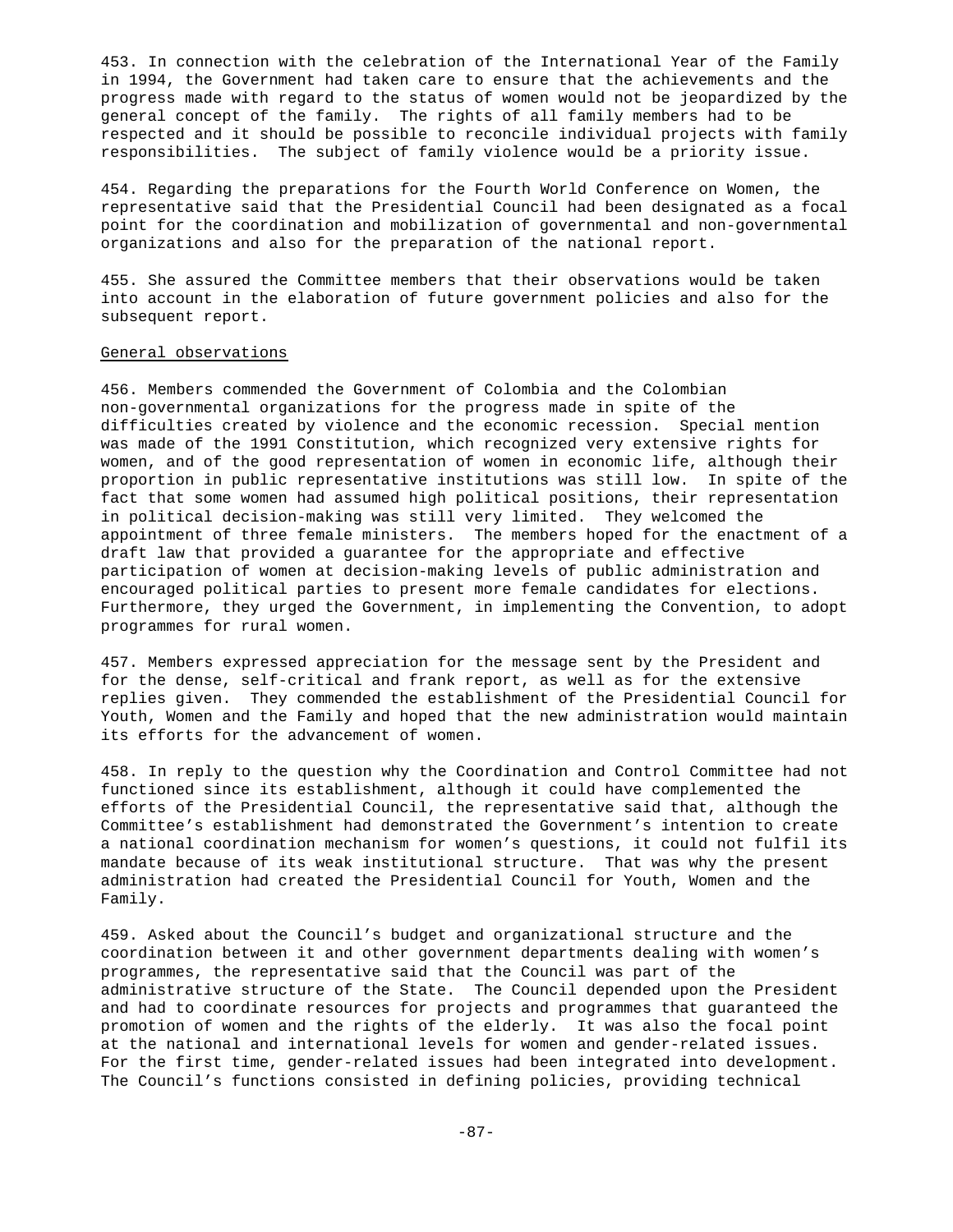453. In connection with the celebration of the International Year of the Family in 1994, the Government had taken care to ensure that the achievements and the progress made with regard to the status of women would not be jeopardized by the general concept of the family. The rights of all family members had to be respected and it should be possible to reconcile individual projects with family responsibilities. The subject of family violence would be a priority issue.

454. Regarding the preparations for the Fourth World Conference on Women, the representative said that the Presidential Council had been designated as a focal point for the coordination and mobilization of governmental and non-governmental organizations and also for the preparation of the national report.

455. She assured the Committee members that their observations would be taken into account in the elaboration of future government policies and also for the subsequent report.

### General observations

456. Members commended the Government of Colombia and the Colombian non-governmental organizations for the progress made in spite of the difficulties created by violence and the economic recession. Special mention was made of the 1991 Constitution, which recognized very extensive rights for women, and of the good representation of women in economic life, although their proportion in public representative institutions was still low. In spite of the fact that some women had assumed high political positions, their representation in political decision-making was still very limited. They welcomed the appointment of three female ministers. The members hoped for the enactment of a draft law that provided a guarantee for the appropriate and effective participation of women at decision-making levels of public administration and encouraged political parties to present more female candidates for elections. Furthermore, they urged the Government, in implementing the Convention, to adopt programmes for rural women.

457. Members expressed appreciation for the message sent by the President and for the dense, self-critical and frank report, as well as for the extensive replies given. They commended the establishment of the Presidential Council for Youth, Women and the Family and hoped that the new administration would maintain its efforts for the advancement of women.

458. In reply to the question why the Coordination and Control Committee had not functioned since its establishment, although it could have complemented the efforts of the Presidential Council, the representative said that, although the Committee's establishment had demonstrated the Government's intention to create a national coordination mechanism for women's questions, it could not fulfil its mandate because of its weak institutional structure. That was why the present administration had created the Presidential Council for Youth, Women and the Family.

459. Asked about the Council's budget and organizational structure and the coordination between it and other government departments dealing with women's programmes, the representative said that the Council was part of the administrative structure of the State. The Council depended upon the President and had to coordinate resources for projects and programmes that guaranteed the promotion of women and the rights of the elderly. It was also the focal point at the national and international levels for women and gender-related issues. For the first time, gender-related issues had been integrated into development. The Council's functions consisted in defining policies, providing technical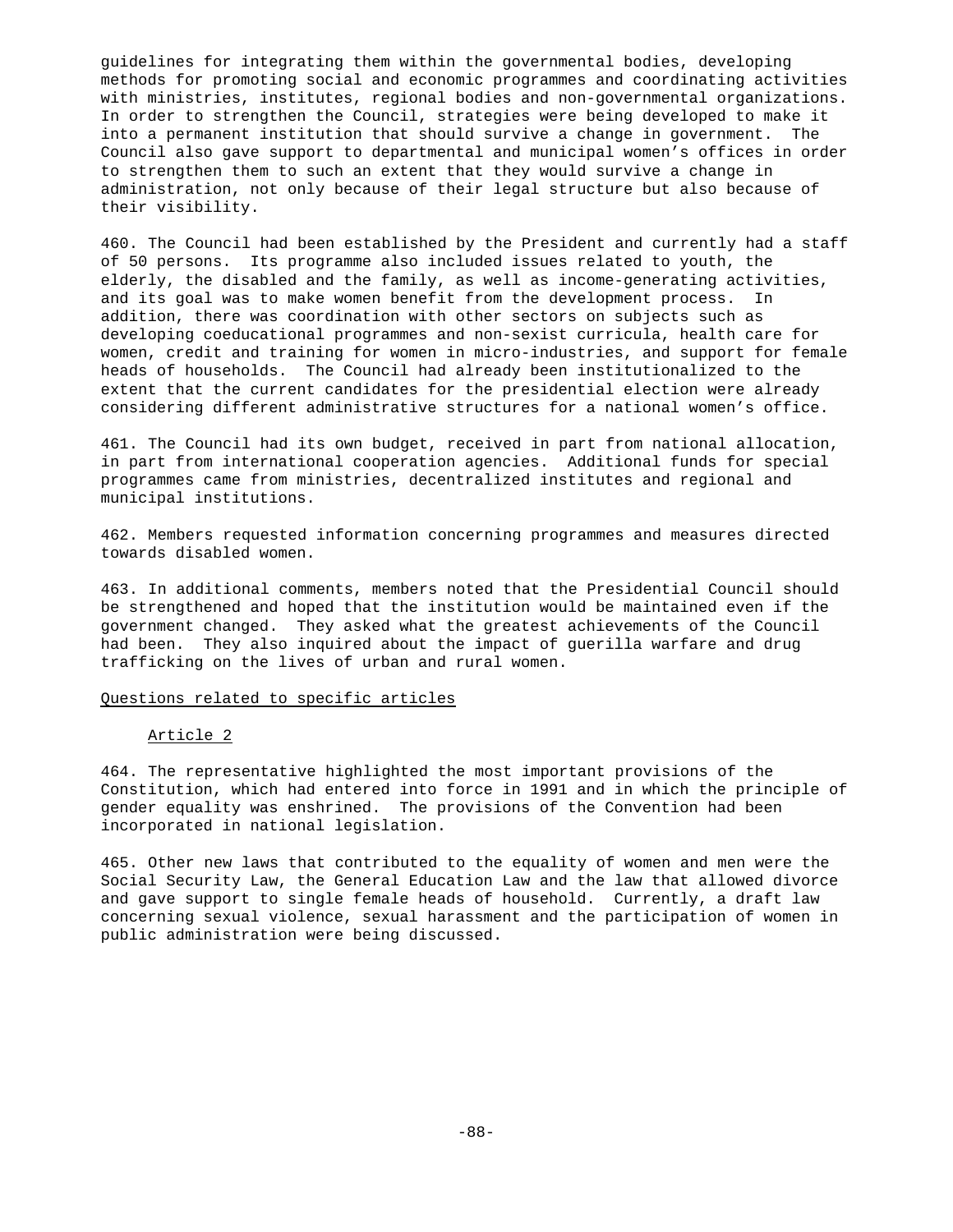guidelines for integrating them within the governmental bodies, developing methods for promoting social and economic programmes and coordinating activities with ministries, institutes, regional bodies and non-governmental organizations. In order to strengthen the Council, strategies were being developed to make it into a permanent institution that should survive a change in government. The Council also gave support to departmental and municipal women's offices in order to strengthen them to such an extent that they would survive a change in administration, not only because of their legal structure but also because of their visibility.

460. The Council had been established by the President and currently had a staff of 50 persons. Its programme also included issues related to youth, the elderly, the disabled and the family, as well as income-generating activities, and its goal was to make women benefit from the development process. In addition, there was coordination with other sectors on subjects such as developing coeducational programmes and non-sexist curricula, health care for women, credit and training for women in micro-industries, and support for female heads of households. The Council had already been institutionalized to the extent that the current candidates for the presidential election were already considering different administrative structures for a national women's office.

461. The Council had its own budget, received in part from national allocation, in part from international cooperation agencies. Additional funds for special programmes came from ministries, decentralized institutes and regional and municipal institutions.

462. Members requested information concerning programmes and measures directed towards disabled women.

463. In additional comments, members noted that the Presidential Council should be strengthened and hoped that the institution would be maintained even if the government changed. They asked what the greatest achievements of the Council had been. They also inquired about the impact of guerilla warfare and drug trafficking on the lives of urban and rural women.

# Questions related to specific articles

# Article 2

464. The representative highlighted the most important provisions of the Constitution, which had entered into force in 1991 and in which the principle of gender equality was enshrined. The provisions of the Convention had been incorporated in national legislation.

465. Other new laws that contributed to the equality of women and men were the Social Security Law, the General Education Law and the law that allowed divorce and gave support to single female heads of household. Currently, a draft law concerning sexual violence, sexual harassment and the participation of women in public administration were being discussed.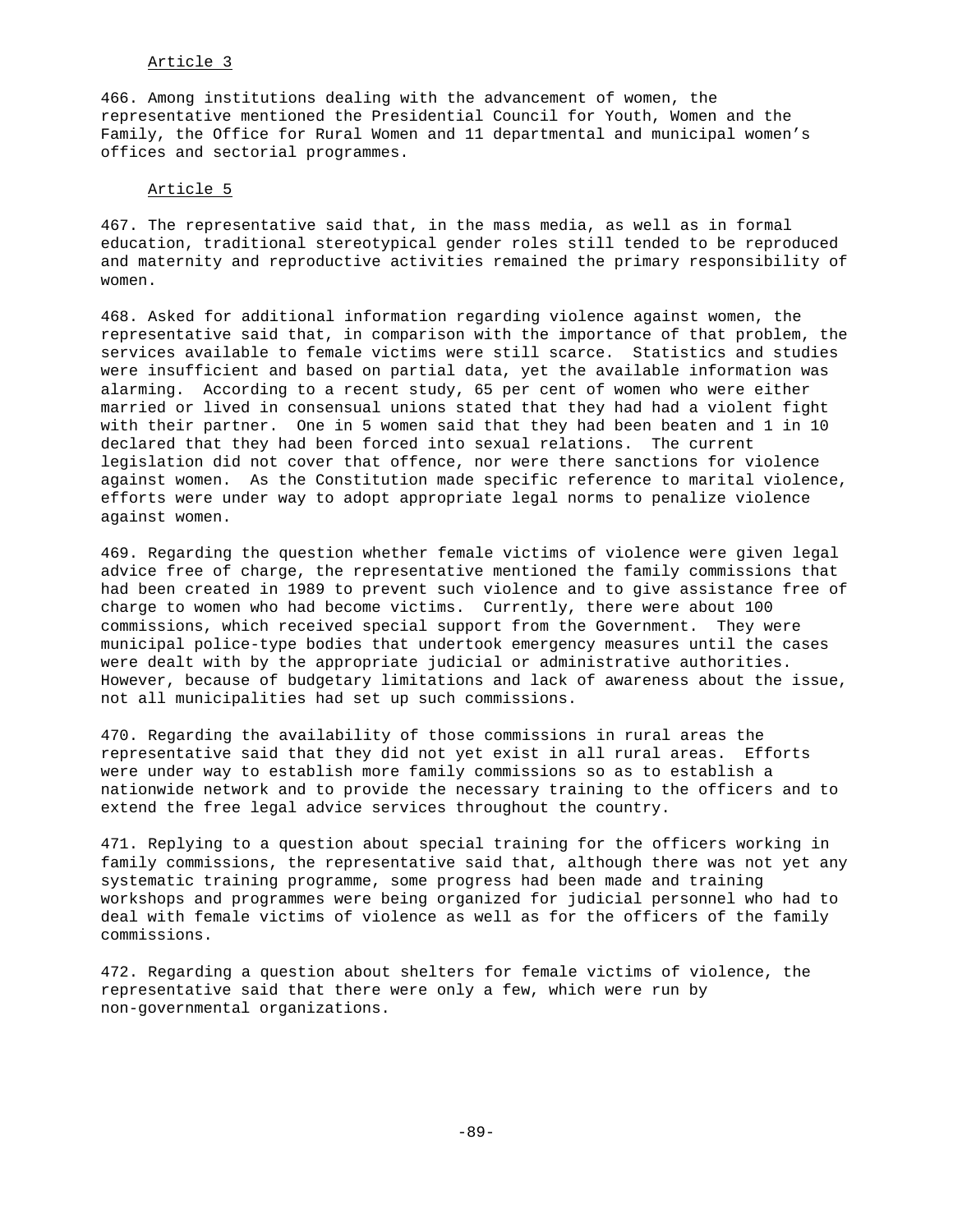# Article 3

466. Among institutions dealing with the advancement of women, the representative mentioned the Presidential Council for Youth, Women and the Family, the Office for Rural Women and 11 departmental and municipal women's offices and sectorial programmes.

# Article 5

467. The representative said that, in the mass media, as well as in formal education, traditional stereotypical gender roles still tended to be reproduced and maternity and reproductive activities remained the primary responsibility of women.

468. Asked for additional information regarding violence against women, the representative said that, in comparison with the importance of that problem, the services available to female victims were still scarce. Statistics and studies were insufficient and based on partial data, yet the available information was alarming. According to a recent study, 65 per cent of women who were either married or lived in consensual unions stated that they had had a violent fight with their partner. One in 5 women said that they had been beaten and 1 in 10 declared that they had been forced into sexual relations. The current legislation did not cover that offence, nor were there sanctions for violence against women. As the Constitution made specific reference to marital violence, efforts were under way to adopt appropriate legal norms to penalize violence against women.

469. Regarding the question whether female victims of violence were given legal advice free of charge, the representative mentioned the family commissions that had been created in 1989 to prevent such violence and to give assistance free of charge to women who had become victims. Currently, there were about 100 commissions, which received special support from the Government. They were municipal police-type bodies that undertook emergency measures until the cases were dealt with by the appropriate judicial or administrative authorities. However, because of budgetary limitations and lack of awareness about the issue, not all municipalities had set up such commissions.

470. Regarding the availability of those commissions in rural areas the representative said that they did not yet exist in all rural areas. Efforts were under way to establish more family commissions so as to establish a nationwide network and to provide the necessary training to the officers and to extend the free legal advice services throughout the country.

471. Replying to a question about special training for the officers working in family commissions, the representative said that, although there was not yet any systematic training programme, some progress had been made and training workshops and programmes were being organized for judicial personnel who had to deal with female victims of violence as well as for the officers of the family commissions.

472. Regarding a question about shelters for female victims of violence, the representative said that there were only a few, which were run by non-governmental organizations.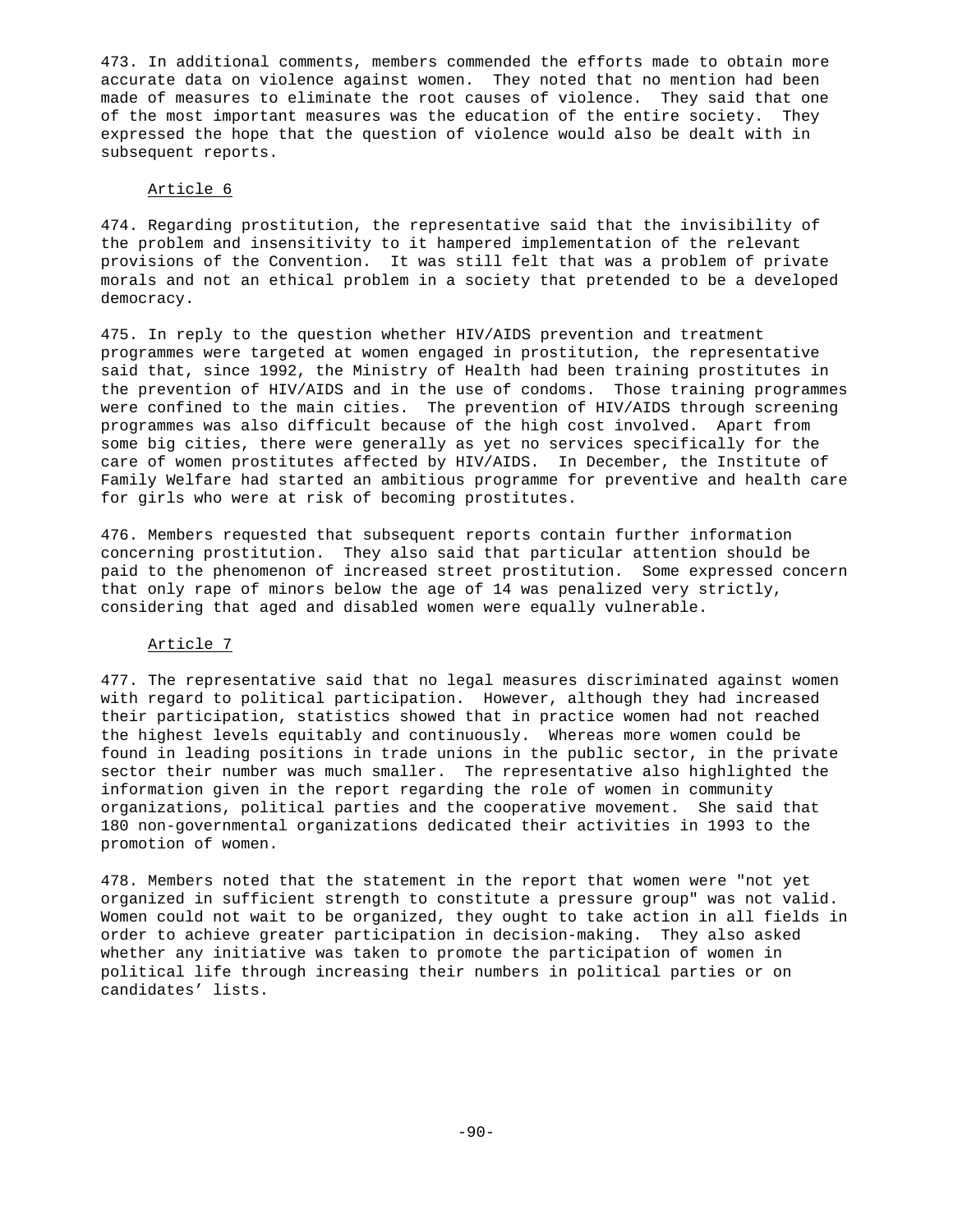473. In additional comments, members commended the efforts made to obtain more accurate data on violence against women. They noted that no mention had been made of measures to eliminate the root causes of violence. They said that one of the most important measures was the education of the entire society. They expressed the hope that the question of violence would also be dealt with in subsequent reports.

# Article 6

474. Regarding prostitution, the representative said that the invisibility of the problem and insensitivity to it hampered implementation of the relevant provisions of the Convention. It was still felt that was a problem of private morals and not an ethical problem in a society that pretended to be a developed democracy.

475. In reply to the question whether HIV/AIDS prevention and treatment programmes were targeted at women engaged in prostitution, the representative said that, since 1992, the Ministry of Health had been training prostitutes in the prevention of HIV/AIDS and in the use of condoms. Those training programmes were confined to the main cities. The prevention of HIV/AIDS through screening programmes was also difficult because of the high cost involved. Apart from some big cities, there were generally as yet no services specifically for the care of women prostitutes affected by HIV/AIDS. In December, the Institute of Family Welfare had started an ambitious programme for preventive and health care for girls who were at risk of becoming prostitutes.

476. Members requested that subsequent reports contain further information concerning prostitution. They also said that particular attention should be paid to the phenomenon of increased street prostitution. Some expressed concern that only rape of minors below the age of 14 was penalized very strictly, considering that aged and disabled women were equally vulnerable.

### Article 7

477. The representative said that no legal measures discriminated against women with regard to political participation. However, although they had increased their participation, statistics showed that in practice women had not reached the highest levels equitably and continuously. Whereas more women could be found in leading positions in trade unions in the public sector, in the private sector their number was much smaller. The representative also highlighted the information given in the report regarding the role of women in community organizations, political parties and the cooperative movement. She said that 180 non-governmental organizations dedicated their activities in 1993 to the promotion of women.

478. Members noted that the statement in the report that women were "not yet organized in sufficient strength to constitute a pressure group" was not valid. Women could not wait to be organized, they ought to take action in all fields in order to achieve greater participation in decision-making. They also asked whether any initiative was taken to promote the participation of women in political life through increasing their numbers in political parties or on candidates' lists.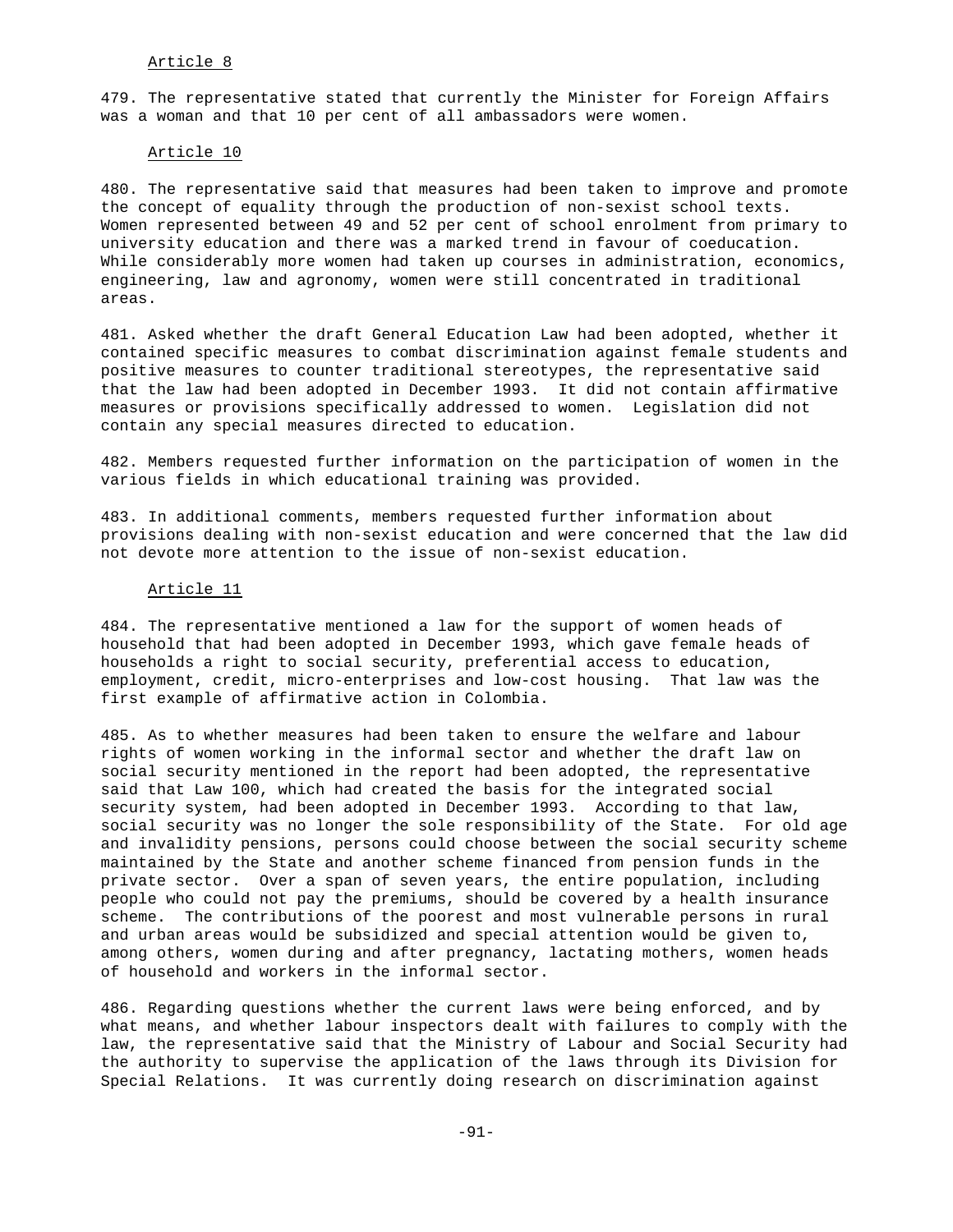# Article 8

479. The representative stated that currently the Minister for Foreign Affairs was a woman and that 10 per cent of all ambassadors were women.

# Article 10

480. The representative said that measures had been taken to improve and promote the concept of equality through the production of non-sexist school texts. Women represented between 49 and 52 per cent of school enrolment from primary to university education and there was a marked trend in favour of coeducation. While considerably more women had taken up courses in administration, economics, engineering, law and agronomy, women were still concentrated in traditional areas.

481. Asked whether the draft General Education Law had been adopted, whether it contained specific measures to combat discrimination against female students and positive measures to counter traditional stereotypes, the representative said that the law had been adopted in December 1993. It did not contain affirmative measures or provisions specifically addressed to women. Legislation did not contain any special measures directed to education.

482. Members requested further information on the participation of women in the various fields in which educational training was provided.

483. In additional comments, members requested further information about provisions dealing with non-sexist education and were concerned that the law did not devote more attention to the issue of non-sexist education.

### Article 11

484. The representative mentioned a law for the support of women heads of household that had been adopted in December 1993, which gave female heads of households a right to social security, preferential access to education, employment, credit, micro-enterprises and low-cost housing. That law was the first example of affirmative action in Colombia.

485. As to whether measures had been taken to ensure the welfare and labour rights of women working in the informal sector and whether the draft law on social security mentioned in the report had been adopted, the representative said that Law 100, which had created the basis for the integrated social security system, had been adopted in December 1993. According to that law, social security was no longer the sole responsibility of the State. For old age and invalidity pensions, persons could choose between the social security scheme maintained by the State and another scheme financed from pension funds in the private sector. Over a span of seven years, the entire population, including people who could not pay the premiums, should be covered by a health insurance scheme. The contributions of the poorest and most vulnerable persons in rural and urban areas would be subsidized and special attention would be given to, among others, women during and after pregnancy, lactating mothers, women heads of household and workers in the informal sector.

486. Regarding questions whether the current laws were being enforced, and by what means, and whether labour inspectors dealt with failures to comply with the law, the representative said that the Ministry of Labour and Social Security had the authority to supervise the application of the laws through its Division for Special Relations. It was currently doing research on discrimination against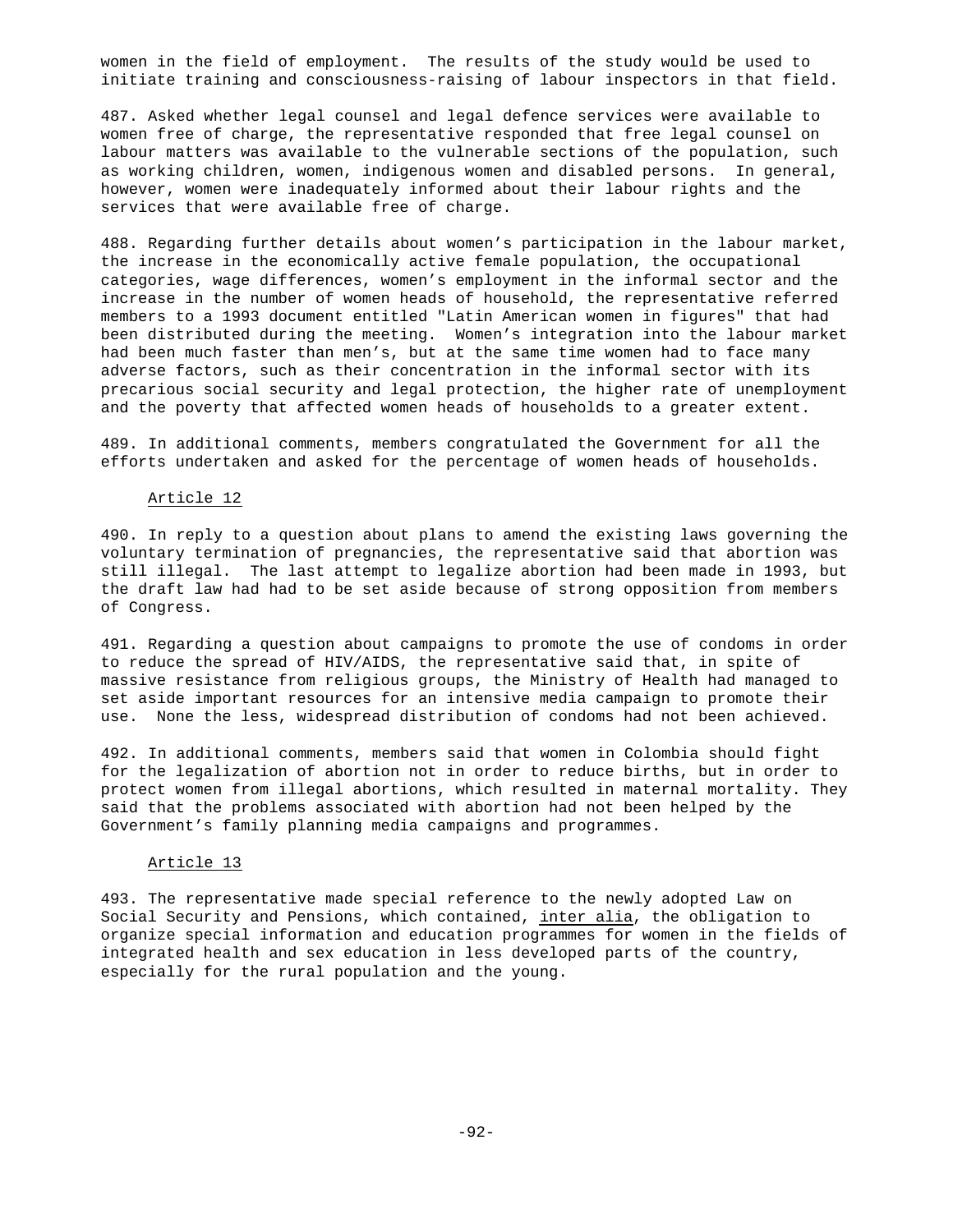women in the field of employment. The results of the study would be used to initiate training and consciousness-raising of labour inspectors in that field.

487. Asked whether legal counsel and legal defence services were available to women free of charge, the representative responded that free legal counsel on labour matters was available to the vulnerable sections of the population, such as working children, women, indigenous women and disabled persons. In general, however, women were inadequately informed about their labour rights and the services that were available free of charge.

488. Regarding further details about women's participation in the labour market, the increase in the economically active female population, the occupational categories, wage differences, women's employment in the informal sector and the increase in the number of women heads of household, the representative referred members to a 1993 document entitled "Latin American women in figures" that had been distributed during the meeting. Women's integration into the labour market had been much faster than men's, but at the same time women had to face many adverse factors, such as their concentration in the informal sector with its precarious social security and legal protection, the higher rate of unemployment and the poverty that affected women heads of households to a greater extent.

489. In additional comments, members congratulated the Government for all the efforts undertaken and asked for the percentage of women heads of households.

### Article 12

490. In reply to a question about plans to amend the existing laws governing the voluntary termination of pregnancies, the representative said that abortion was still illegal. The last attempt to legalize abortion had been made in 1993, but the draft law had had to be set aside because of strong opposition from members of Congress.

491. Regarding a question about campaigns to promote the use of condoms in order to reduce the spread of HIV/AIDS, the representative said that, in spite of massive resistance from religious groups, the Ministry of Health had managed to set aside important resources for an intensive media campaign to promote their use. None the less, widespread distribution of condoms had not been achieved.

492. In additional comments, members said that women in Colombia should fight for the legalization of abortion not in order to reduce births, but in order to protect women from illegal abortions, which resulted in maternal mortality. They said that the problems associated with abortion had not been helped by the Government's family planning media campaigns and programmes.

# Article 13

493. The representative made special reference to the newly adopted Law on Social Security and Pensions, which contained, inter alia, the obligation to organize special information and education programmes for women in the fields of integrated health and sex education in less developed parts of the country, especially for the rural population and the young.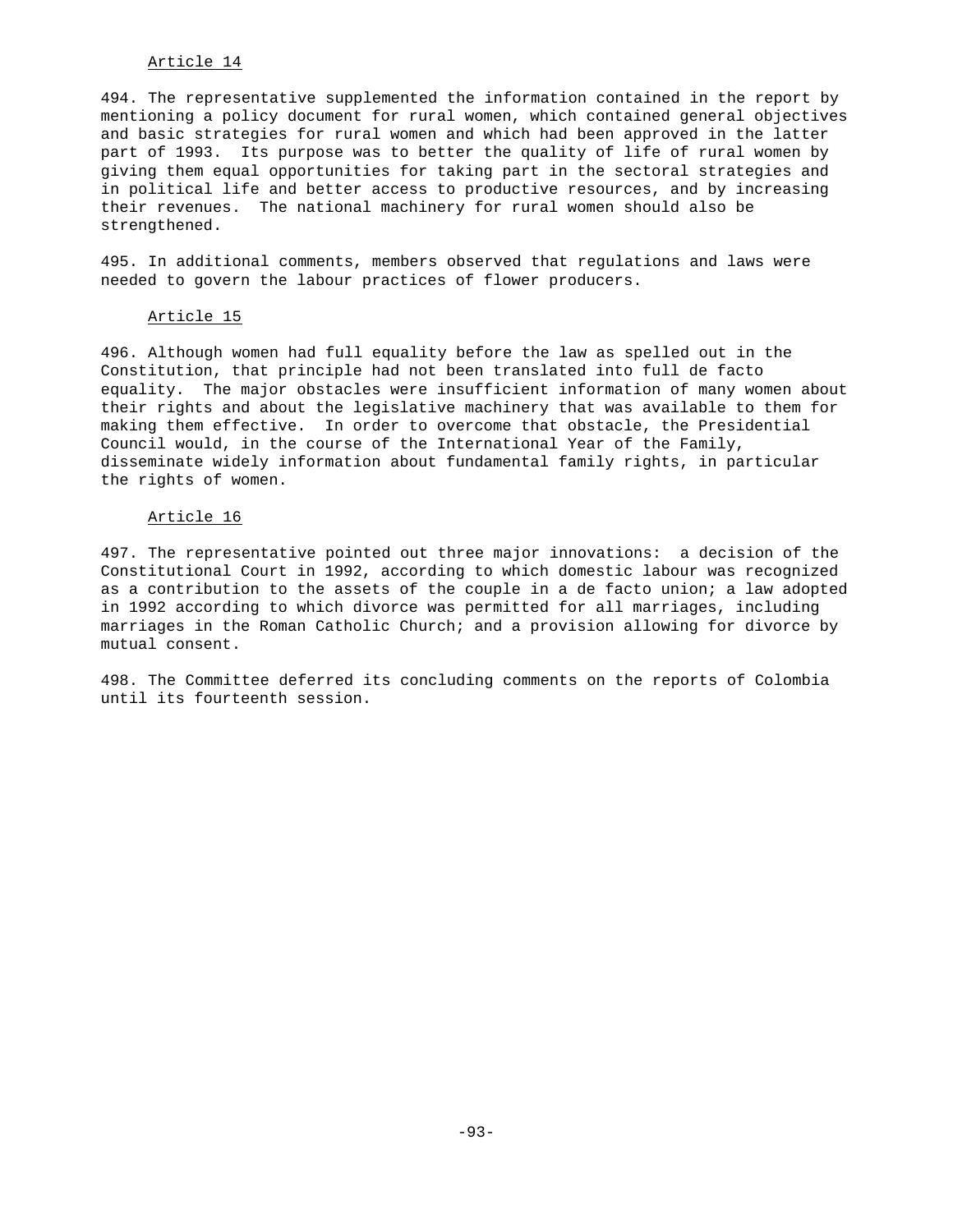# Article 14

494. The representative supplemented the information contained in the report by mentioning a policy document for rural women, which contained general objectives and basic strategies for rural women and which had been approved in the latter part of 1993. Its purpose was to better the quality of life of rural women by giving them equal opportunities for taking part in the sectoral strategies and in political life and better access to productive resources, and by increasing their revenues. The national machinery for rural women should also be strengthened.

495. In additional comments, members observed that regulations and laws were needed to govern the labour practices of flower producers.

# Article 15

496. Although women had full equality before the law as spelled out in the Constitution, that principle had not been translated into full de facto equality. The major obstacles were insufficient information of many women about their rights and about the legislative machinery that was available to them for making them effective. In order to overcome that obstacle, the Presidential Council would, in the course of the International Year of the Family, disseminate widely information about fundamental family rights, in particular the rights of women.

### Article 16

497. The representative pointed out three major innovations: a decision of the Constitutional Court in 1992, according to which domestic labour was recognized as a contribution to the assets of the couple in a de facto union; a law adopted in 1992 according to which divorce was permitted for all marriages, including marriages in the Roman Catholic Church; and a provision allowing for divorce by mutual consent.

498. The Committee deferred its concluding comments on the reports of Colombia until its fourteenth session.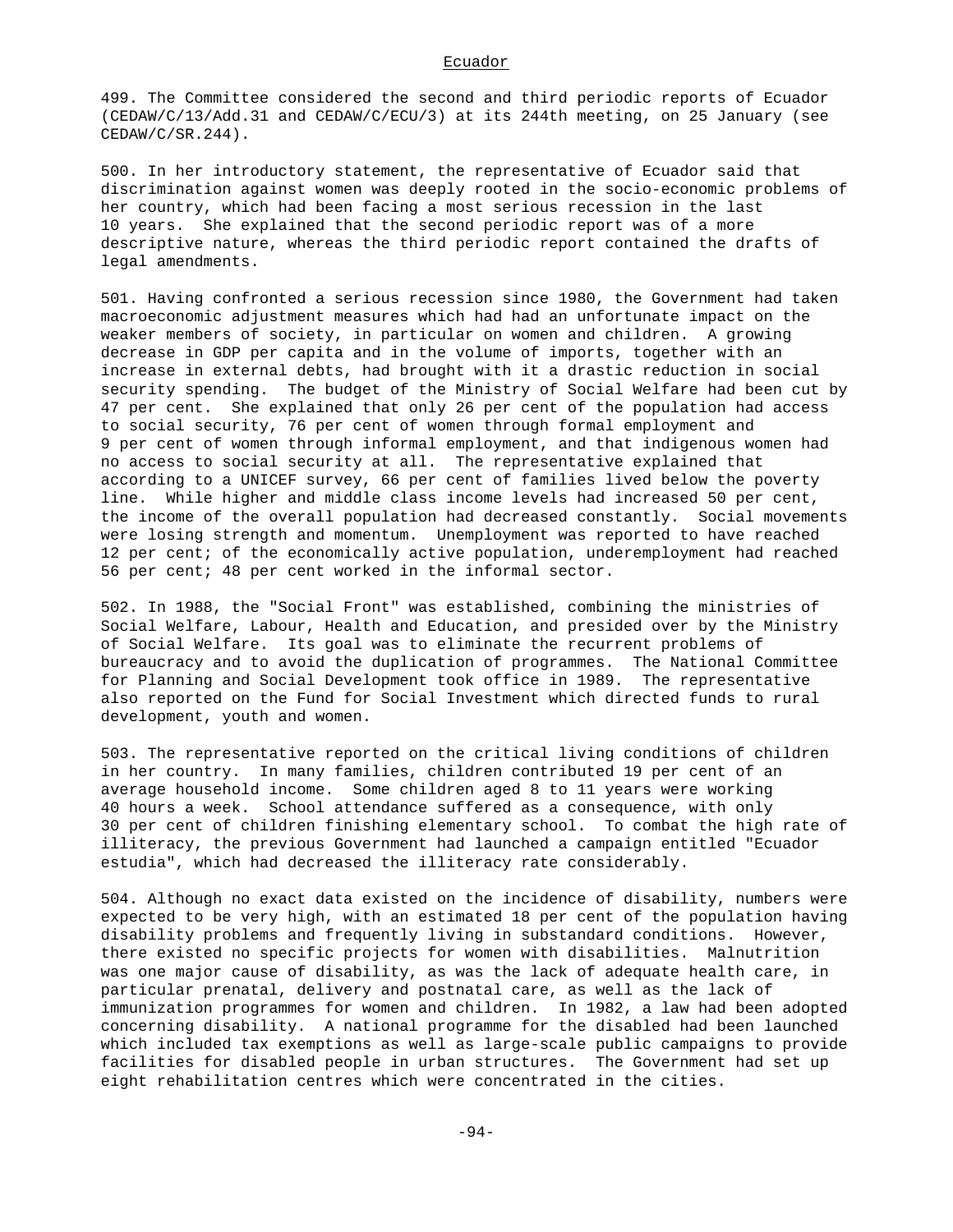# **Ecuador**

499. The Committee considered the second and third periodic reports of Ecuador (CEDAW/C/13/Add.31 and CEDAW/C/ECU/3) at its 244th meeting, on 25 January (see CEDAW/C/SR.244).

500. In her introductory statement, the representative of Ecuador said that discrimination against women was deeply rooted in the socio-economic problems of her country, which had been facing a most serious recession in the last 10 years. She explained that the second periodic report was of a more descriptive nature, whereas the third periodic report contained the drafts of legal amendments.

501. Having confronted a serious recession since 1980, the Government had taken macroeconomic adjustment measures which had had an unfortunate impact on the weaker members of society, in particular on women and children. A growing decrease in GDP per capita and in the volume of imports, together with an increase in external debts, had brought with it a drastic reduction in social security spending. The budget of the Ministry of Social Welfare had been cut by 47 per cent. She explained that only 26 per cent of the population had access to social security, 76 per cent of women through formal employment and 9 per cent of women through informal employment, and that indigenous women had no access to social security at all. The representative explained that according to a UNICEF survey, 66 per cent of families lived below the poverty line. While higher and middle class income levels had increased 50 per cent, the income of the overall population had decreased constantly. Social movements were losing strength and momentum. Unemployment was reported to have reached 12 per cent; of the economically active population, underemployment had reached 56 per cent; 48 per cent worked in the informal sector.

502. In 1988, the "Social Front" was established, combining the ministries of Social Welfare, Labour, Health and Education, and presided over by the Ministry of Social Welfare. Its goal was to eliminate the recurrent problems of bureaucracy and to avoid the duplication of programmes. The National Committee for Planning and Social Development took office in 1989. The representative also reported on the Fund for Social Investment which directed funds to rural development, youth and women.

503. The representative reported on the critical living conditions of children in her country. In many families, children contributed 19 per cent of an average household income. Some children aged 8 to 11 years were working 40 hours a week. School attendance suffered as a consequence, with only 30 per cent of children finishing elementary school. To combat the high rate of illiteracy, the previous Government had launched a campaign entitled "Ecuador estudia", which had decreased the illiteracy rate considerably.

504. Although no exact data existed on the incidence of disability, numbers were expected to be very high, with an estimated 18 per cent of the population having disability problems and frequently living in substandard conditions. However, there existed no specific projects for women with disabilities. Malnutrition was one major cause of disability, as was the lack of adequate health care, in particular prenatal, delivery and postnatal care, as well as the lack of immunization programmes for women and children. In 1982, a law had been adopted concerning disability. A national programme for the disabled had been launched which included tax exemptions as well as large-scale public campaigns to provide facilities for disabled people in urban structures. The Government had set up eight rehabilitation centres which were concentrated in the cities.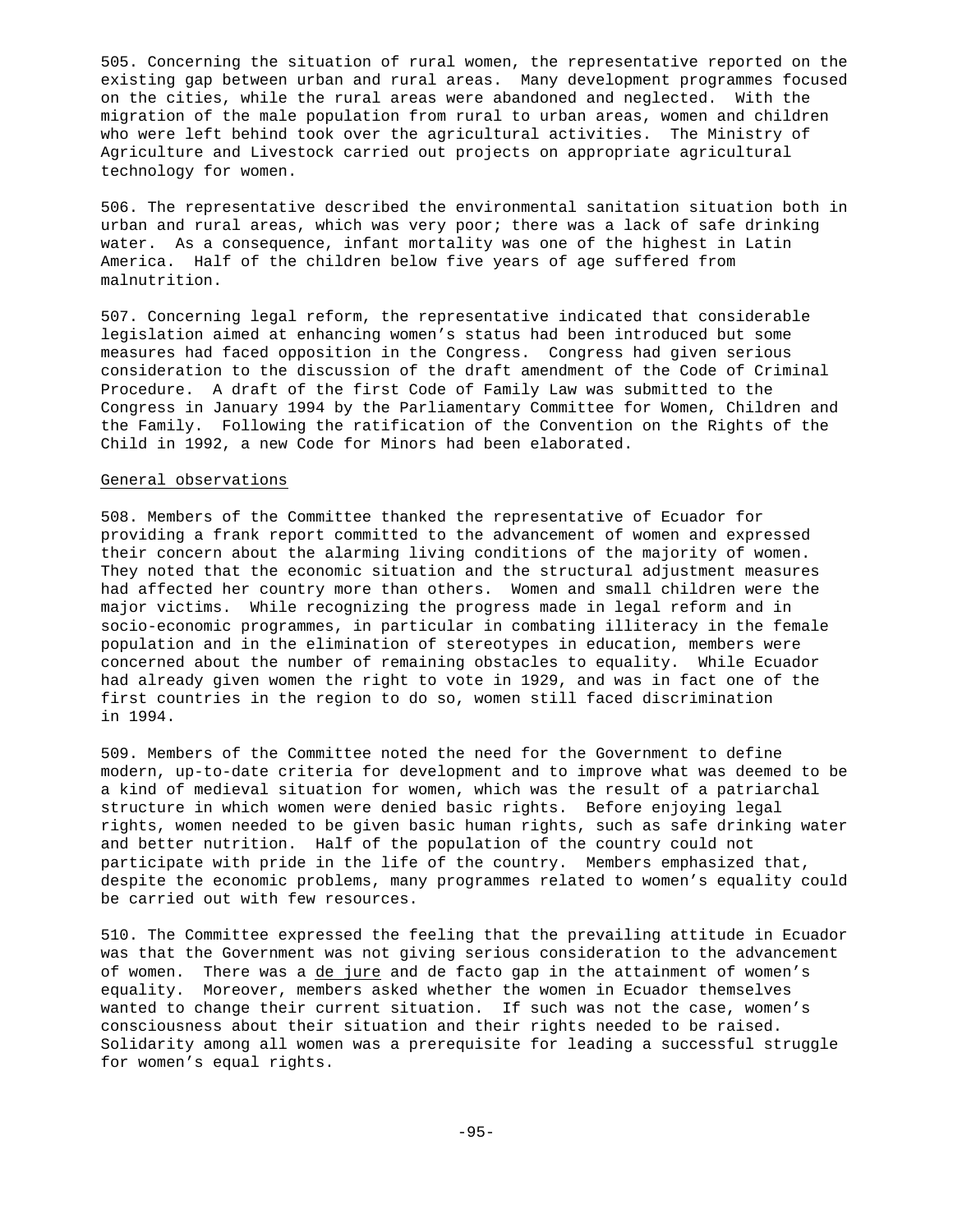505. Concerning the situation of rural women, the representative reported on the existing gap between urban and rural areas. Many development programmes focused on the cities, while the rural areas were abandoned and neglected. With the migration of the male population from rural to urban areas, women and children who were left behind took over the agricultural activities. The Ministry of Agriculture and Livestock carried out projects on appropriate agricultural technology for women.

506. The representative described the environmental sanitation situation both in urban and rural areas, which was very poor; there was a lack of safe drinking water. As a consequence, infant mortality was one of the highest in Latin America. Half of the children below five years of age suffered from malnutrition.

507. Concerning legal reform, the representative indicated that considerable legislation aimed at enhancing women's status had been introduced but some measures had faced opposition in the Congress. Congress had given serious consideration to the discussion of the draft amendment of the Code of Criminal Procedure. A draft of the first Code of Family Law was submitted to the Congress in January 1994 by the Parliamentary Committee for Women, Children and the Family. Following the ratification of the Convention on the Rights of the Child in 1992, a new Code for Minors had been elaborated.

# General observations

508. Members of the Committee thanked the representative of Ecuador for providing a frank report committed to the advancement of women and expressed their concern about the alarming living conditions of the majority of women. They noted that the economic situation and the structural adjustment measures had affected her country more than others. Women and small children were the major victims. While recognizing the progress made in legal reform and in socio-economic programmes, in particular in combating illiteracy in the female population and in the elimination of stereotypes in education, members were concerned about the number of remaining obstacles to equality. While Ecuador had already given women the right to vote in 1929, and was in fact one of the first countries in the region to do so, women still faced discrimination in 1994.

509. Members of the Committee noted the need for the Government to define modern, up-to-date criteria for development and to improve what was deemed to be a kind of medieval situation for women, which was the result of a patriarchal structure in which women were denied basic rights. Before enjoying legal rights, women needed to be given basic human rights, such as safe drinking water and better nutrition. Half of the population of the country could not participate with pride in the life of the country. Members emphasized that, despite the economic problems, many programmes related to women's equality could be carried out with few resources.

510. The Committee expressed the feeling that the prevailing attitude in Ecuador was that the Government was not giving serious consideration to the advancement of women. There was a de jure and de facto gap in the attainment of women's equality. Moreover, members asked whether the women in Ecuador themselves wanted to change their current situation. If such was not the case, women's consciousness about their situation and their rights needed to be raised. Solidarity among all women was a prerequisite for leading a successful struggle for women's equal rights.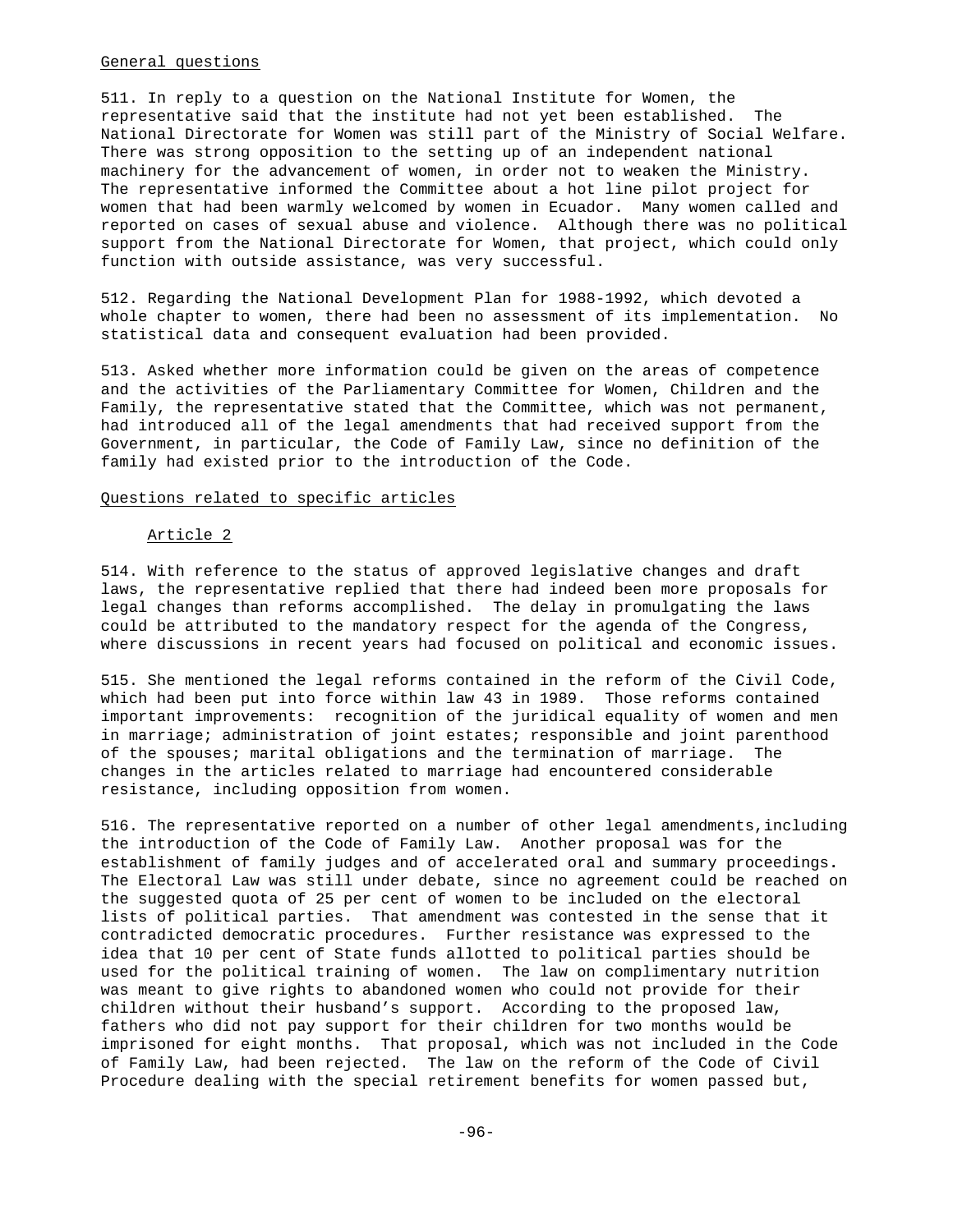# General questions

511. In reply to a question on the National Institute for Women, the representative said that the institute had not yet been established. The National Directorate for Women was still part of the Ministry of Social Welfare. There was strong opposition to the setting up of an independent national machinery for the advancement of women, in order not to weaken the Ministry. The representative informed the Committee about a hot line pilot project for women that had been warmly welcomed by women in Ecuador. Many women called and reported on cases of sexual abuse and violence. Although there was no political support from the National Directorate for Women, that project, which could only function with outside assistance, was very successful.

512. Regarding the National Development Plan for 1988-1992, which devoted a whole chapter to women, there had been no assessment of its implementation. No statistical data and consequent evaluation had been provided.

513. Asked whether more information could be given on the areas of competence and the activities of the Parliamentary Committee for Women, Children and the Family, the representative stated that the Committee, which was not permanent, had introduced all of the legal amendments that had received support from the Government, in particular, the Code of Family Law, since no definition of the family had existed prior to the introduction of the Code.

### Questions related to specific articles

### Article 2

514. With reference to the status of approved legislative changes and draft laws, the representative replied that there had indeed been more proposals for legal changes than reforms accomplished. The delay in promulgating the laws could be attributed to the mandatory respect for the agenda of the Congress, where discussions in recent years had focused on political and economic issues.

515. She mentioned the legal reforms contained in the reform of the Civil Code, which had been put into force within law 43 in 1989. Those reforms contained important improvements: recognition of the juridical equality of women and men in marriage; administration of joint estates; responsible and joint parenthood of the spouses; marital obligations and the termination of marriage. The changes in the articles related to marriage had encountered considerable resistance, including opposition from women.

516. The representative reported on a number of other legal amendments,including the introduction of the Code of Family Law. Another proposal was for the establishment of family judges and of accelerated oral and summary proceedings**.** The Electoral Law was still under debate, since no agreement could be reached on the suggested quota of 25 per cent of women to be included on the electoral lists of political parties. That amendment was contested in the sense that it contradicted democratic procedures. Further resistance was expressed to the idea that 10 per cent of State funds allotted to political parties should be used for the political training of women. The law on complimentary nutrition was meant to give rights to abandoned women who could not provide for their children without their husband's support. According to the proposed law, fathers who did not pay support for their children for two months would be imprisoned for eight months. That proposal, which was not included in the Code of Family Law, had been rejected. The law on the reform of the Code of Civil Procedure dealing with the special retirement benefits for women passed but,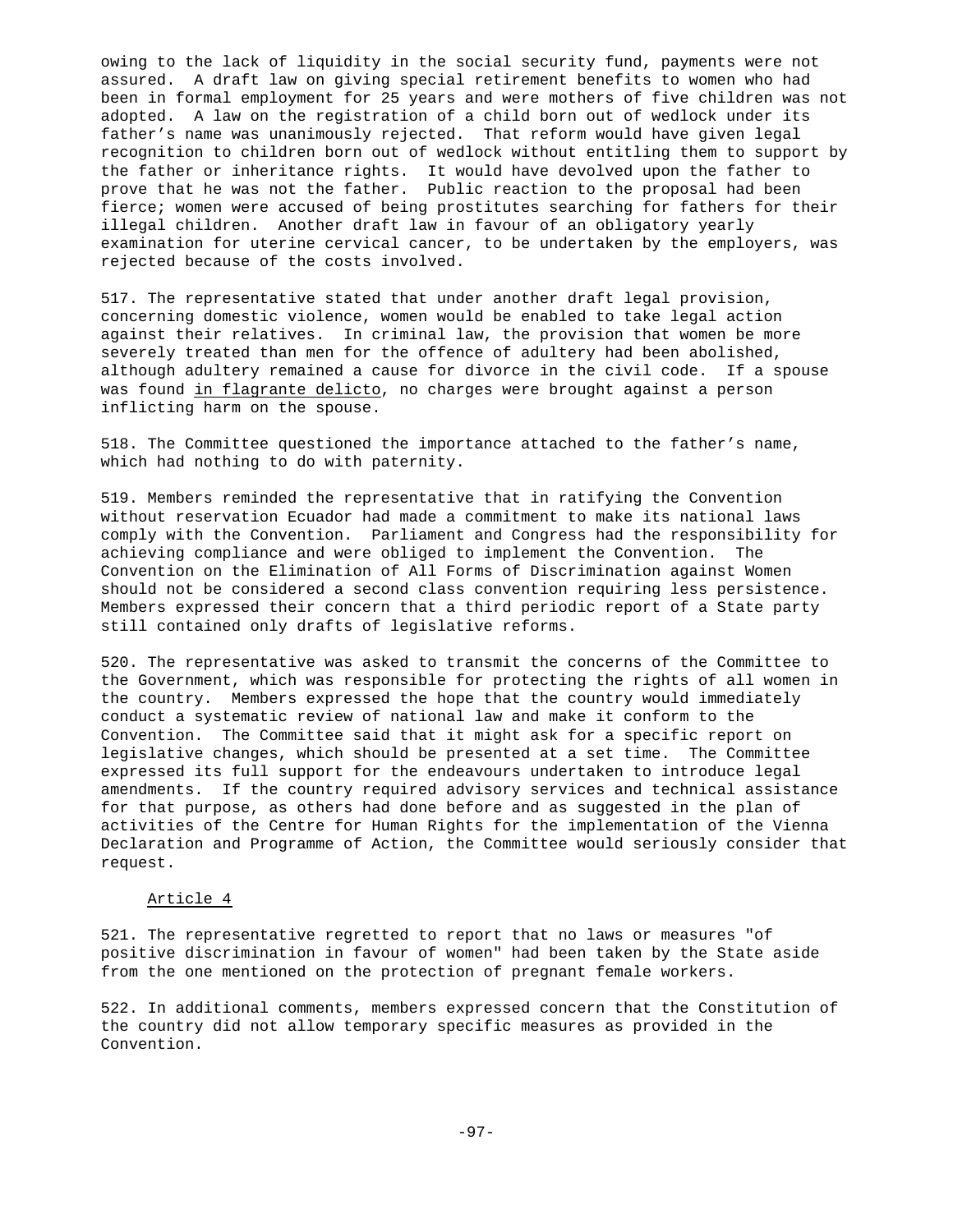owing to the lack of liquidity in the social security fund, payments were not assured. A draft law on giving special retirement benefits to women who had been in formal employment for 25 years and were mothers of five children was not adopted. A law on the registration of a child born out of wedlock under its father's name was unanimously rejected. That reform would have given legal recognition to children born out of wedlock without entitling them to support by the father or inheritance rights. It would have devolved upon the father to prove that he was not the father. Public reaction to the proposal had been fierce; women were accused of being prostitutes searching for fathers for their illegal children. Another draft law in favour of an obligatory yearly examination for uterine cervical cancer, to be undertaken by the employers, was rejected because of the costs involved.

517. The representative stated that under another draft legal provision, concerning domestic violence, women would be enabled to take legal action against their relatives. In criminal law, the provision that women be more severely treated than men for the offence of adultery had been abolished, although adultery remained a cause for divorce in the civil code. If a spouse was found in flagrante delicto, no charges were brought against a person inflicting harm on the spouse.

518. The Committee questioned the importance attached to the father's name, which had nothing to do with paternity.

519. Members reminded the representative that in ratifying the Convention without reservation Ecuador had made a commitment to make its national laws comply with the Convention. Parliament and Congress had the responsibility for achieving compliance and were obliged to implement the Convention. The Convention on the Elimination of All Forms of Discrimination against Women should not be considered a second class convention requiring less persistence. Members expressed their concern that a third periodic report of a State party still contained only drafts of legislative reforms.

520. The representative was asked to transmit the concerns of the Committee to the Government, which was responsible for protecting the rights of all women in the country. Members expressed the hope that the country would immediately conduct a systematic review of national law and make it conform to the Convention. The Committee said that it might ask for a specific report on legislative changes, which should be presented at a set time. The Committee expressed its full support for the endeavours undertaken to introduce legal amendments. If the country required advisory services and technical assistance for that purpose, as others had done before and as suggested in the plan of activities of the Centre for Human Rights for the implementation of the Vienna Declaration and Programme of Action, the Committee would seriously consider that request.

# Article 4

521. The representative regretted to report that no laws or measures "of positive discrimination in favour of women" had been taken by the State aside from the one mentioned on the protection of pregnant female workers.

522. In additional comments, members expressed concern that the Constitution of the country did not allow temporary specific measures as provided in the Convention.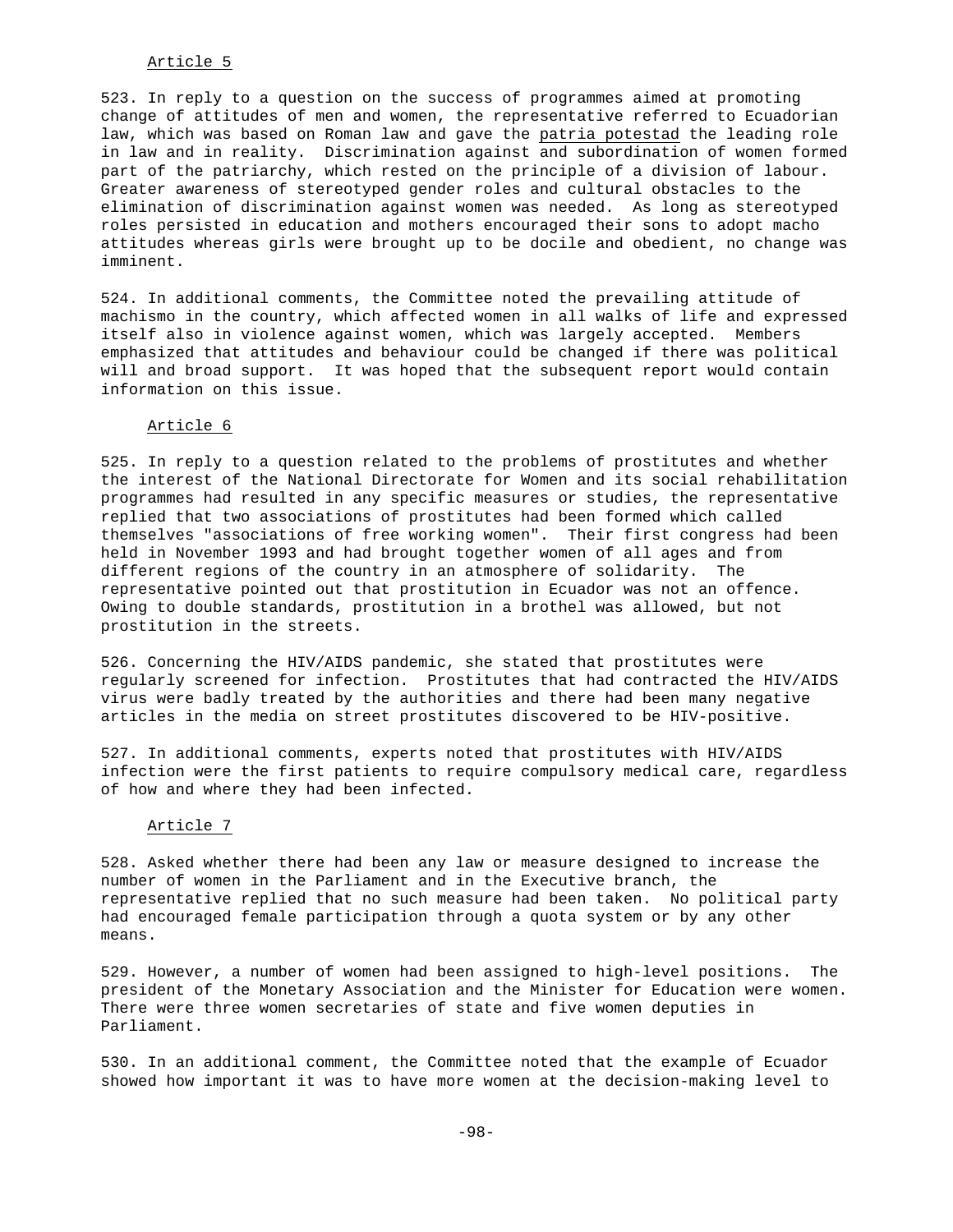### Article 5

523. In reply to a question on the success of programmes aimed at promoting change of attitudes of men and women, the representative referred to Ecuadorian law, which was based on Roman law and gave the patria potestad the leading role in law and in reality. Discrimination against and subordination of women formed part of the patriarchy, which rested on the principle of a division of labour. Greater awareness of stereotyped gender roles and cultural obstacles to the elimination of discrimination against women was needed. As long as stereotyped roles persisted in education and mothers encouraged their sons to adopt macho attitudes whereas girls were brought up to be docile and obedient, no change was imminent.

524. In additional comments, the Committee noted the prevailing attitude of machismo in the country, which affected women in all walks of life and expressed itself also in violence against women, which was largely accepted. Members emphasized that attitudes and behaviour could be changed if there was political will and broad support. It was hoped that the subsequent report would contain information on this issue.

# Article 6

525. In reply to a question related to the problems of prostitutes and whether the interest of the National Directorate for Women and its social rehabilitation programmes had resulted in any specific measures or studies, the representative replied that two associations of prostitutes had been formed which called themselves "associations of free working women". Their first congress had been held in November 1993 and had brought together women of all ages and from different regions of the country in an atmosphere of solidarity. The representative pointed out that prostitution in Ecuador was not an offence. Owing to double standards, prostitution in a brothel was allowed, but not prostitution in the streets.

526. Concerning the HIV/AIDS pandemic, she stated that prostitutes were regularly screened for infection. Prostitutes that had contracted the HIV/AIDS virus were badly treated by the authorities and there had been many negative articles in the media on street prostitutes discovered to be HIV-positive.

527. In additional comments, experts noted that prostitutes with HIV/AIDS infection were the first patients to require compulsory medical care, regardless of how and where they had been infected.

### Article 7

528. Asked whether there had been any law or measure designed to increase the number of women in the Parliament and in the Executive branch, the representative replied that no such measure had been taken. No political party had encouraged female participation through a quota system or by any other means.

529. However, a number of women had been assigned to high-level positions. The president of the Monetary Association and the Minister for Education were women. There were three women secretaries of state and five women deputies in Parliament.

530. In an additional comment, the Committee noted that the example of Ecuador showed how important it was to have more women at the decision-making level to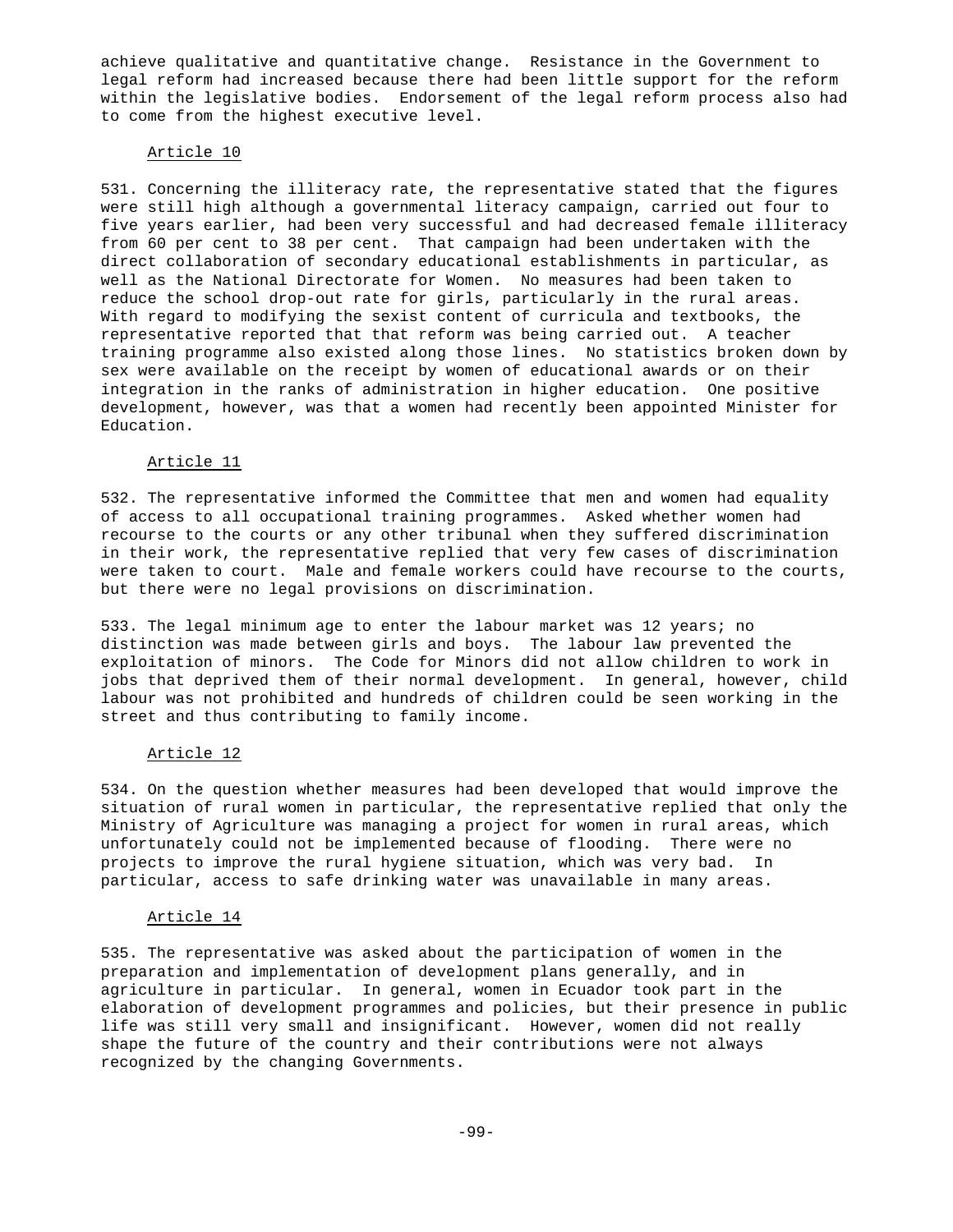achieve qualitative and quantitative change. Resistance in the Government to legal reform had increased because there had been little support for the reform within the legislative bodies. Endorsement of the legal reform process also had to come from the highest executive level.

# Article 10

531. Concerning the illiteracy rate, the representative stated that the figures were still high although a governmental literacy campaign, carried out four to five years earlier, had been very successful and had decreased female illiteracy from 60 per cent to 38 per cent. That campaign had been undertaken with the direct collaboration of secondary educational establishments in particular, as well as the National Directorate for Women. No measures had been taken to reduce the school drop-out rate for girls, particularly in the rural areas. With regard to modifying the sexist content of curricula and textbooks, the representative reported that that reform was being carried out. A teacher training programme also existed along those lines. No statistics broken down by sex were available on the receipt by women of educational awards or on their integration in the ranks of administration in higher education. One positive development, however, was that a women had recently been appointed Minister for Education.

# Article 11

532. The representative informed the Committee that men and women had equality of access to all occupational training programmes. Asked whether women had recourse to the courts or any other tribunal when they suffered discrimination in their work, the representative replied that very few cases of discrimination were taken to court. Male and female workers could have recourse to the courts, but there were no legal provisions on discrimination.

533. The legal minimum age to enter the labour market was 12 years; no distinction was made between girls and boys. The labour law prevented the exploitation of minors. The Code for Minors did not allow children to work in jobs that deprived them of their normal development. In general, however, child labour was not prohibited and hundreds of children could be seen working in the street and thus contributing to family income.

## Article 12

534. On the question whether measures had been developed that would improve the situation of rural women in particular, the representative replied that only the Ministry of Agriculture was managing a project for women in rural areas, which unfortunately could not be implemented because of flooding. There were no projects to improve the rural hygiene situation, which was very bad. In particular, access to safe drinking water was unavailable in many areas.

# Article 14

535. The representative was asked about the participation of women in the preparation and implementation of development plans generally, and in agriculture in particular. In general, women in Ecuador took part in the elaboration of development programmes and policies, but their presence in public life was still very small and insignificant. However, women did not really shape the future of the country and their contributions were not always recognized by the changing Governments.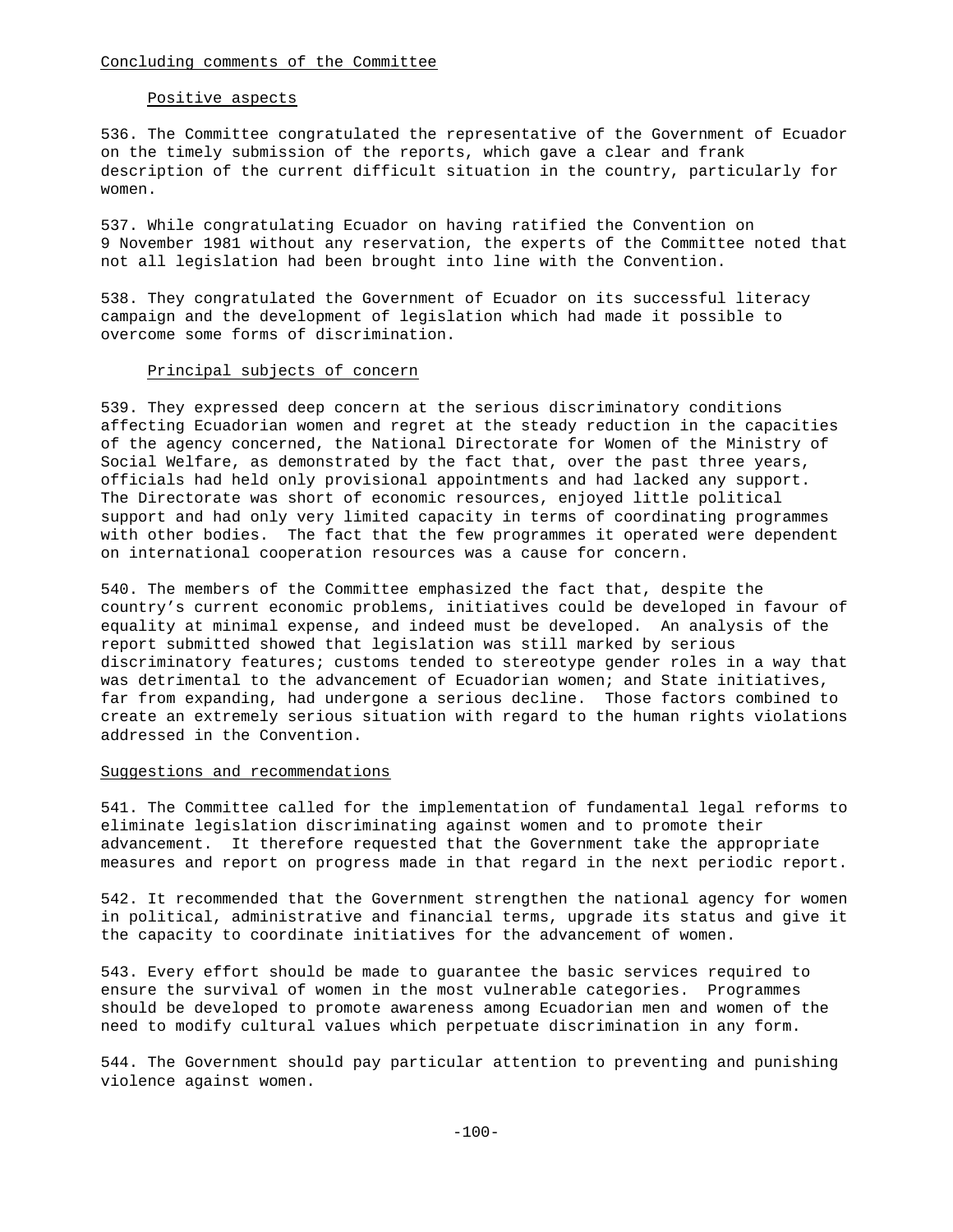### Positive aspects

536. The Committee congratulated the representative of the Government of Ecuador on the timely submission of the reports, which gave a clear and frank description of the current difficult situation in the country, particularly for women.

537. While congratulating Ecuador on having ratified the Convention on 9 November 1981 without any reservation, the experts of the Committee noted that not all legislation had been brought into line with the Convention.

538. They congratulated the Government of Ecuador on its successful literacy campaign and the development of legislation which had made it possible to overcome some forms of discrimination.

### Principal subjects of concern

539. They expressed deep concern at the serious discriminatory conditions affecting Ecuadorian women and regret at the steady reduction in the capacities of the agency concerned, the National Directorate for Women of the Ministry of Social Welfare, as demonstrated by the fact that, over the past three years, officials had held only provisional appointments and had lacked any support. The Directorate was short of economic resources, enjoyed little political support and had only very limited capacity in terms of coordinating programmes with other bodies. The fact that the few programmes it operated were dependent on international cooperation resources was a cause for concern.

540. The members of the Committee emphasized the fact that, despite the country's current economic problems, initiatives could be developed in favour of equality at minimal expense, and indeed must be developed. An analysis of the report submitted showed that legislation was still marked by serious discriminatory features; customs tended to stereotype gender roles in a way that was detrimental to the advancement of Ecuadorian women; and State initiatives, far from expanding, had undergone a serious decline. Those factors combined to create an extremely serious situation with regard to the human rights violations addressed in the Convention.

### Suggestions and recommendations

541. The Committee called for the implementation of fundamental legal reforms to eliminate legislation discriminating against women and to promote their advancement. It therefore requested that the Government take the appropriate measures and report on progress made in that regard in the next periodic report.

542. It recommended that the Government strengthen the national agency for women in political, administrative and financial terms, upgrade its status and give it the capacity to coordinate initiatives for the advancement of women.

543. Every effort should be made to guarantee the basic services required to ensure the survival of women in the most vulnerable categories. Programmes should be developed to promote awareness among Ecuadorian men and women of the need to modify cultural values which perpetuate discrimination in any form.

544. The Government should pay particular attention to preventing and punishing violence against women.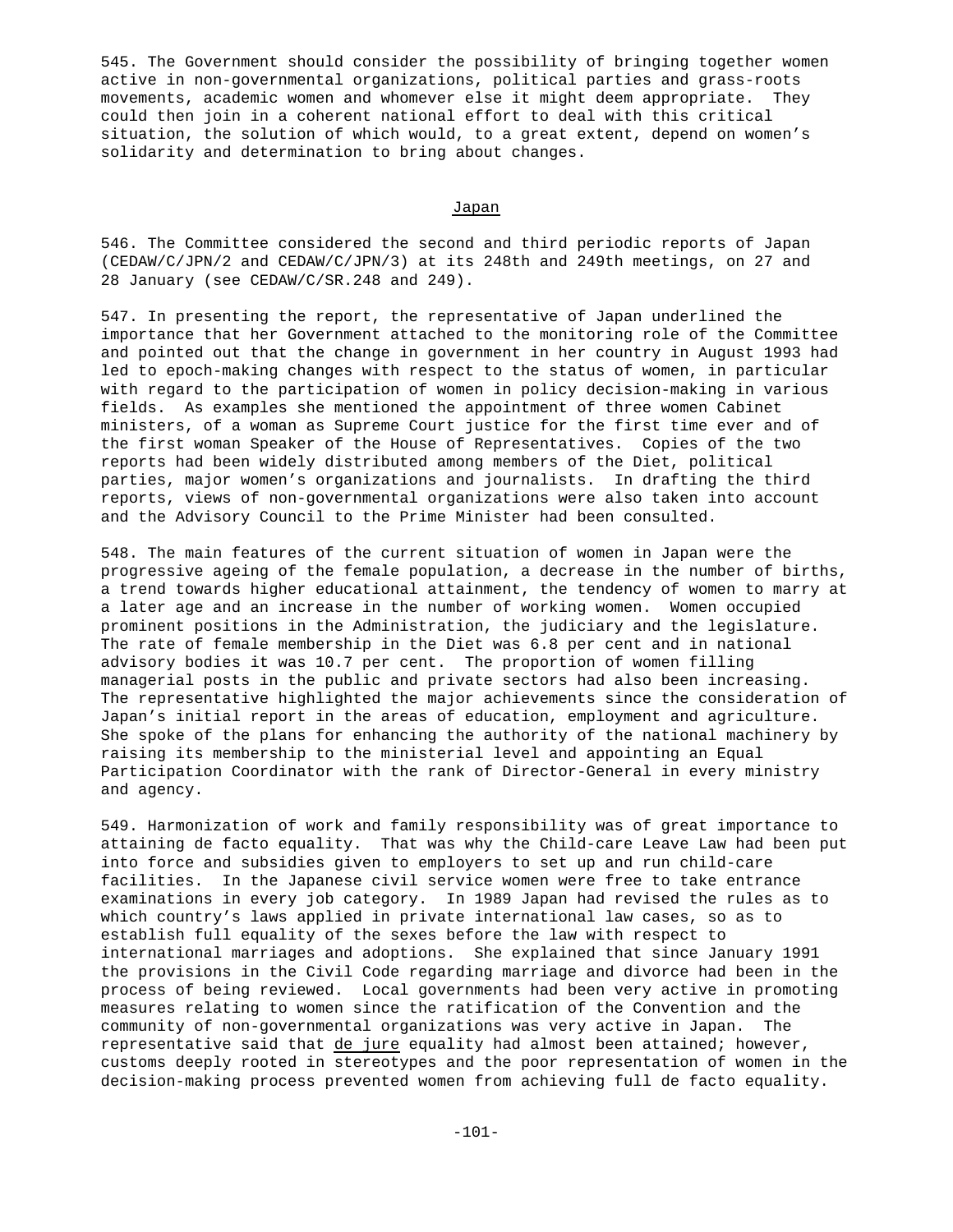545. The Government should consider the possibility of bringing together women active in non-governmental organizations, political parties and grass-roots movements, academic women and whomever else it might deem appropriate. They could then join in a coherent national effort to deal with this critical situation, the solution of which would, to a great extent, depend on women's solidarity and determination to bring about changes.

### Japan

546. The Committee considered the second and third periodic reports of Japan (CEDAW/C/JPN/2 and CEDAW/C/JPN/3) at its 248th and 249th meetings, on 27 and 28 January (see CEDAW/C/SR.248 and 249).

547. In presenting the report, the representative of Japan underlined the importance that her Government attached to the monitoring role of the Committee and pointed out that the change in government in her country in August 1993 had led to epoch-making changes with respect to the status of women, in particular with regard to the participation of women in policy decision-making in various fields. As examples she mentioned the appointment of three women Cabinet ministers, of a woman as Supreme Court justice for the first time ever and of the first woman Speaker of the House of Representatives. Copies of the two reports had been widely distributed among members of the Diet, political parties, major women's organizations and journalists. In drafting the third reports, views of non-governmental organizations were also taken into account and the Advisory Council to the Prime Minister had been consulted.

548. The main features of the current situation of women in Japan were the progressive ageing of the female population, a decrease in the number of births, a trend towards higher educational attainment, the tendency of women to marry at a later age and an increase in the number of working women. Women occupied prominent positions in the Administration, the judiciary and the legislature. The rate of female membership in the Diet was 6.8 per cent and in national advisory bodies it was 10.7 per cent. The proportion of women filling managerial posts in the public and private sectors had also been increasing. The representative highlighted the major achievements since the consideration of Japan's initial report in the areas of education, employment and agriculture. She spoke of the plans for enhancing the authority of the national machinery by raising its membership to the ministerial level and appointing an Equal Participation Coordinator with the rank of Director-General in every ministry and agency.

549. Harmonization of work and family responsibility was of great importance to attaining de facto equality. That was why the Child-care Leave Law had been put into force and subsidies given to employers to set up and run child-care facilities. In the Japanese civil service women were free to take entrance examinations in every job category. In 1989 Japan had revised the rules as to which country's laws applied in private international law cases, so as to establish full equality of the sexes before the law with respect to international marriages and adoptions. She explained that since January 1991 the provisions in the Civil Code regarding marriage and divorce had been in the process of being reviewed. Local governments had been very active in promoting measures relating to women since the ratification of the Convention and the community of non-governmental organizations was very active in Japan. The representative said that de jure equality had almost been attained; however, customs deeply rooted in stereotypes and the poor representation of women in the decision-making process prevented women from achieving full de facto equality.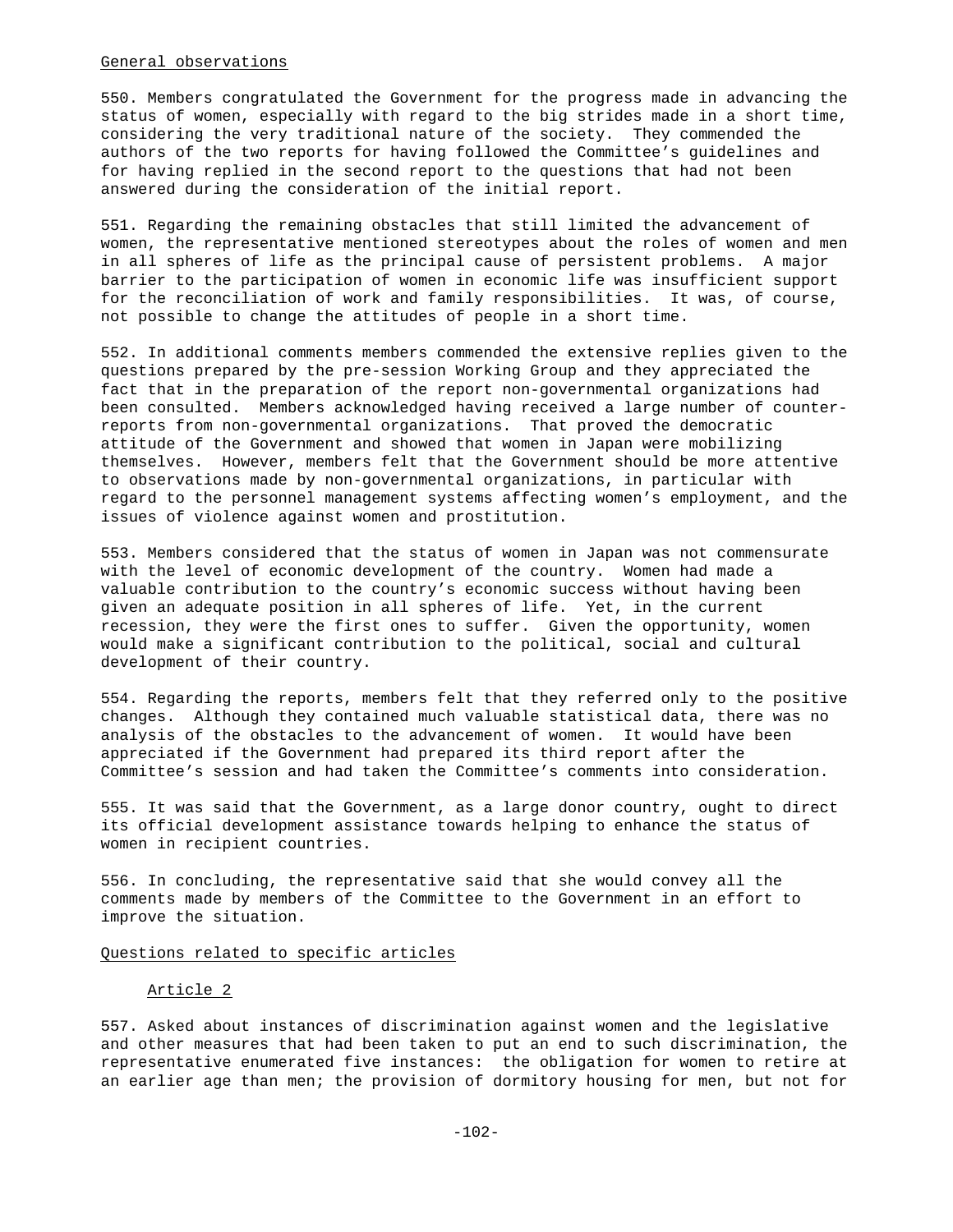### General observations

550. Members congratulated the Government for the progress made in advancing the status of women, especially with regard to the big strides made in a short time, considering the very traditional nature of the society. They commended the authors of the two reports for having followed the Committee's guidelines and for having replied in the second report to the questions that had not been answered during the consideration of the initial report.

551. Regarding the remaining obstacles that still limited the advancement of women, the representative mentioned stereotypes about the roles of women and men in all spheres of life as the principal cause of persistent problems. A major barrier to the participation of women in economic life was insufficient support for the reconciliation of work and family responsibilities. It was, of course, not possible to change the attitudes of people in a short time.

552. In additional comments members commended the extensive replies given to the questions prepared by the pre-session Working Group and they appreciated the fact that in the preparation of the report non-governmental organizations had been consulted. Members acknowledged having received a large number of counterreports from non-governmental organizations. That proved the democratic attitude of the Government and showed that women in Japan were mobilizing themselves. However, members felt that the Government should be more attentive to observations made by non-governmental organizations, in particular with regard to the personnel management systems affecting women's employment, and the issues of violence against women and prostitution.

553. Members considered that the status of women in Japan was not commensurate with the level of economic development of the country. Women had made a valuable contribution to the country's economic success without having been given an adequate position in all spheres of life. Yet, in the current recession, they were the first ones to suffer. Given the opportunity, women would make a significant contribution to the political, social and cultural development of their country.

554. Regarding the reports, members felt that they referred only to the positive changes. Although they contained much valuable statistical data, there was no analysis of the obstacles to the advancement of women. It would have been appreciated if the Government had prepared its third report after the Committee's session and had taken the Committee's comments into consideration.

555. It was said that the Government, as a large donor country, ought to direct its official development assistance towards helping to enhance the status of women in recipient countries.

556. In concluding, the representative said that she would convey all the comments made by members of the Committee to the Government in an effort to improve the situation.

### Questions related to specific articles

### Article 2

557. Asked about instances of discrimination against women and the legislative and other measures that had been taken to put an end to such discrimination, the representative enumerated five instances: the obligation for women to retire at an earlier age than men; the provision of dormitory housing for men, but not for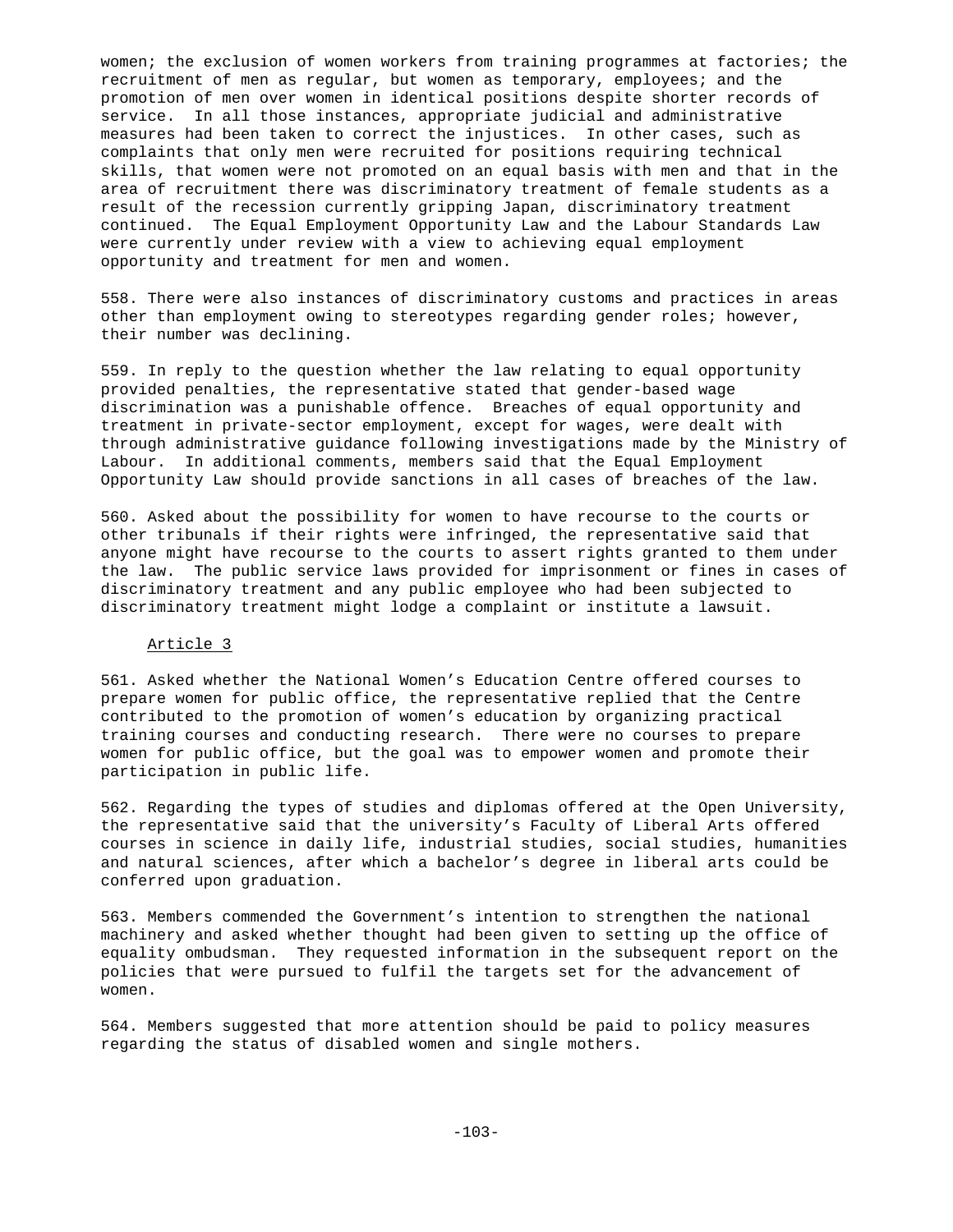women; the exclusion of women workers from training programmes at factories; the recruitment of men as regular, but women as temporary, employees; and the promotion of men over women in identical positions despite shorter records of service. In all those instances, appropriate judicial and administrative measures had been taken to correct the injustices. In other cases, such as complaints that only men were recruited for positions requiring technical skills, that women were not promoted on an equal basis with men and that in the area of recruitment there was discriminatory treatment of female students as a result of the recession currently gripping Japan, discriminatory treatment continued. The Equal Employment Opportunity Law and the Labour Standards Law were currently under review with a view to achieving equal employment opportunity and treatment for men and women.

558. There were also instances of discriminatory customs and practices in areas other than employment owing to stereotypes regarding gender roles; however, their number was declining.

559. In reply to the question whether the law relating to equal opportunity provided penalties, the representative stated that gender-based wage discrimination was a punishable offence. Breaches of equal opportunity and treatment in private-sector employment, except for wages, were dealt with through administrative guidance following investigations made by the Ministry of Labour. In additional comments, members said that the Equal Employment Opportunity Law should provide sanctions in all cases of breaches of the law.

560. Asked about the possibility for women to have recourse to the courts or other tribunals if their rights were infringed, the representative said that anyone might have recourse to the courts to assert rights granted to them under the law. The public service laws provided for imprisonment or fines in cases of discriminatory treatment and any public employee who had been subjected to discriminatory treatment might lodge a complaint or institute a lawsuit.

### Article 3

561. Asked whether the National Women's Education Centre offered courses to prepare women for public office, the representative replied that the Centre contributed to the promotion of women's education by organizing practical training courses and conducting research. There were no courses to prepare women for public office, but the goal was to empower women and promote their participation in public life.

562. Regarding the types of studies and diplomas offered at the Open University, the representative said that the university's Faculty of Liberal Arts offered courses in science in daily life, industrial studies, social studies, humanities and natural sciences, after which a bachelor's degree in liberal arts could be conferred upon graduation.

563. Members commended the Government's intention to strengthen the national machinery and asked whether thought had been given to setting up the office of equality ombudsman. They requested information in the subsequent report on the policies that were pursued to fulfil the targets set for the advancement of women.

564. Members suggested that more attention should be paid to policy measures regarding the status of disabled women and single mothers.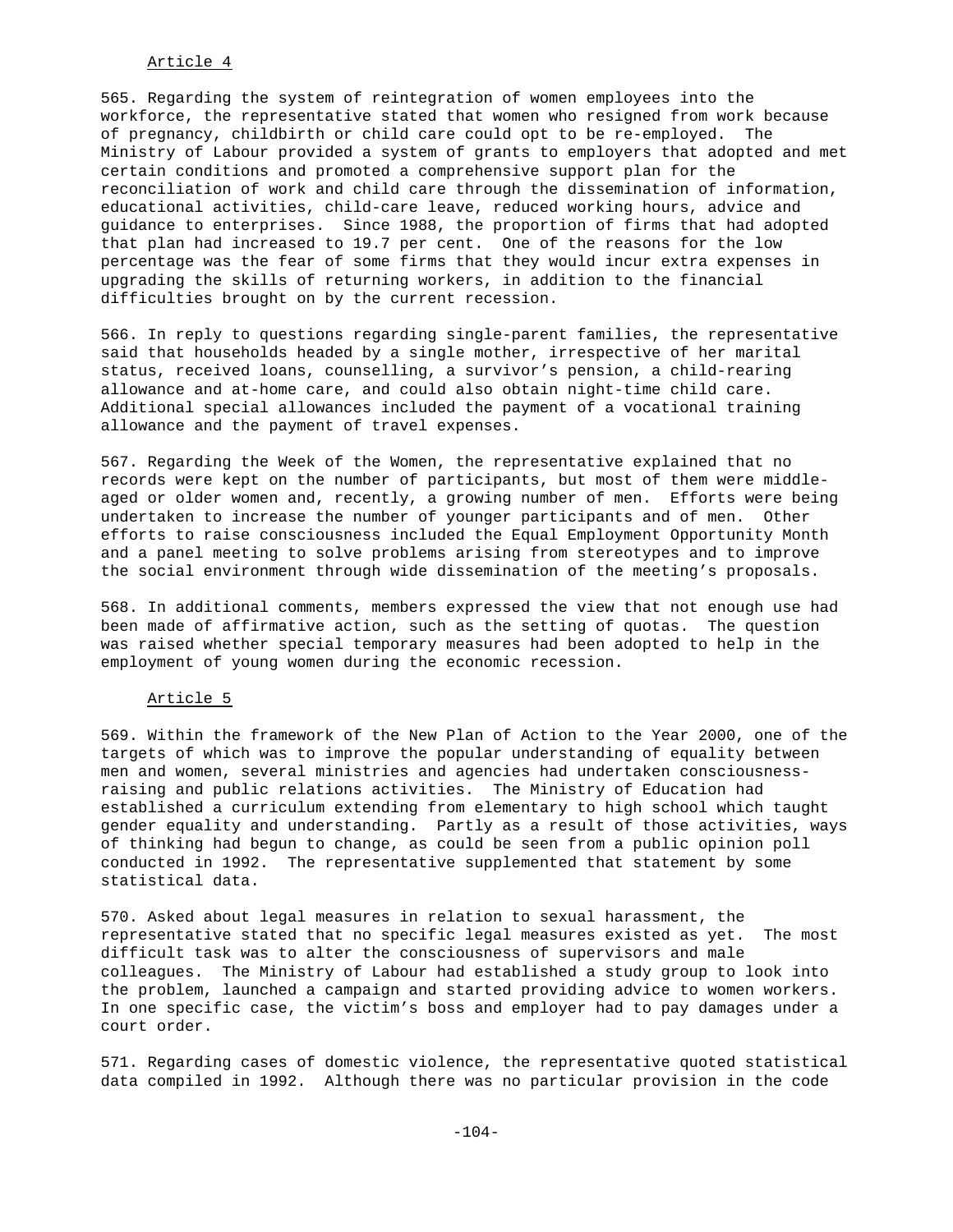# Article 4

565. Regarding the system of reintegration of women employees into the workforce, the representative stated that women who resigned from work because of pregnancy, childbirth or child care could opt to be re-employed. The Ministry of Labour provided a system of grants to employers that adopted and met certain conditions and promoted a comprehensive support plan for the reconciliation of work and child care through the dissemination of information, educational activities, child-care leave, reduced working hours, advice and guidance to enterprises. Since 1988, the proportion of firms that had adopted that plan had increased to 19.7 per cent. One of the reasons for the low percentage was the fear of some firms that they would incur extra expenses in upgrading the skills of returning workers, in addition to the financial difficulties brought on by the current recession.

566. In reply to questions regarding single-parent families, the representative said that households headed by a single mother, irrespective of her marital status, received loans, counselling, a survivor's pension, a child-rearing allowance and at-home care, and could also obtain night-time child care. Additional special allowances included the payment of a vocational training allowance and the payment of travel expenses.

567. Regarding the Week of the Women, the representative explained that no records were kept on the number of participants, but most of them were middleaged or older women and, recently, a growing number of men. Efforts were being undertaken to increase the number of younger participants and of men. Other efforts to raise consciousness included the Equal Employment Opportunity Month and a panel meeting to solve problems arising from stereotypes and to improve the social environment through wide dissemination of the meeting's proposals.

568. In additional comments, members expressed the view that not enough use had been made of affirmative action, such as the setting of quotas. The question was raised whether special temporary measures had been adopted to help in the employment of young women during the economic recession.

## Article 5

569. Within the framework of the New Plan of Action to the Year 2000, one of the targets of which was to improve the popular understanding of equality between men and women, several ministries and agencies had undertaken consciousnessraising and public relations activities. The Ministry of Education had established a curriculum extending from elementary to high school which taught gender equality and understanding. Partly as a result of those activities, ways of thinking had begun to change, as could be seen from a public opinion poll conducted in 1992. The representative supplemented that statement by some statistical data.

570. Asked about legal measures in relation to sexual harassment, the representative stated that no specific legal measures existed as yet. The most difficult task was to alter the consciousness of supervisors and male colleagues. The Ministry of Labour had established a study group to look into the problem, launched a campaign and started providing advice to women workers. In one specific case, the victim's boss and employer had to pay damages under a court order.

571. Regarding cases of domestic violence, the representative quoted statistical data compiled in 1992. Although there was no particular provision in the code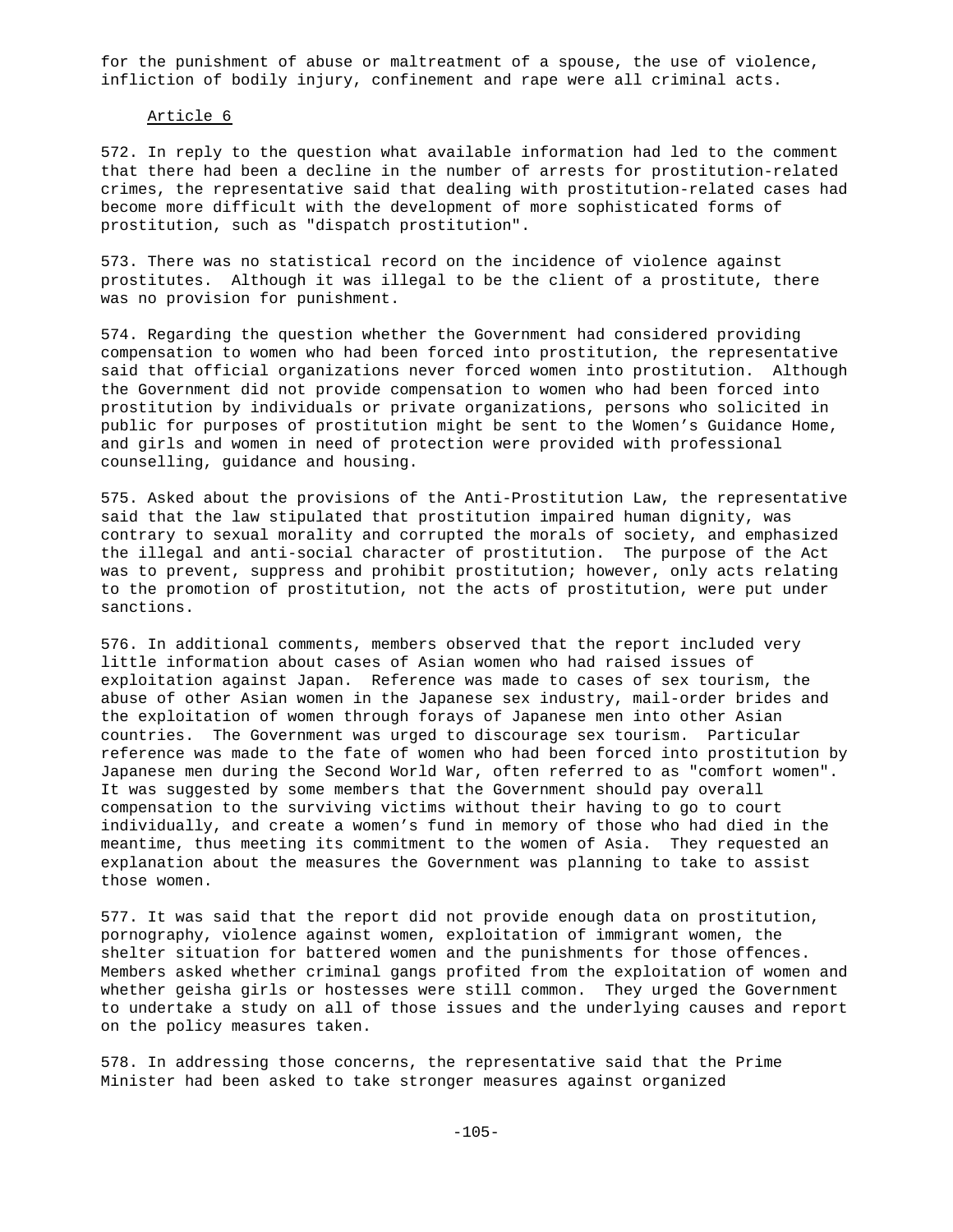for the punishment of abuse or maltreatment of a spouse, the use of violence, infliction of bodily injury, confinement and rape were all criminal acts.

#### Article 6

572. In reply to the question what available information had led to the comment that there had been a decline in the number of arrests for prostitution-related crimes, the representative said that dealing with prostitution-related cases had become more difficult with the development of more sophisticated forms of prostitution, such as "dispatch prostitution".

573. There was no statistical record on the incidence of violence against prostitutes. Although it was illegal to be the client of a prostitute, there was no provision for punishment.

574. Regarding the question whether the Government had considered providing compensation to women who had been forced into prostitution, the representative said that official organizations never forced women into prostitution. Although the Government did not provide compensation to women who had been forced into prostitution by individuals or private organizations, persons who solicited in public for purposes of prostitution might be sent to the Women's Guidance Home, and girls and women in need of protection were provided with professional counselling, guidance and housing.

575. Asked about the provisions of the Anti-Prostitution Law, the representative said that the law stipulated that prostitution impaired human dignity, was contrary to sexual morality and corrupted the morals of society, and emphasized the illegal and anti-social character of prostitution. The purpose of the Act was to prevent, suppress and prohibit prostitution; however, only acts relating to the promotion of prostitution, not the acts of prostitution, were put under sanctions.

576. In additional comments, members observed that the report included very little information about cases of Asian women who had raised issues of exploitation against Japan. Reference was made to cases of sex tourism, the abuse of other Asian women in the Japanese sex industry, mail-order brides and the exploitation of women through forays of Japanese men into other Asian countries. The Government was urged to discourage sex tourism. Particular reference was made to the fate of women who had been forced into prostitution by Japanese men during the Second World War, often referred to as "comfort women". It was suggested by some members that the Government should pay overall compensation to the surviving victims without their having to go to court individually, and create a women's fund in memory of those who had died in the meantime, thus meeting its commitment to the women of Asia. They requested an explanation about the measures the Government was planning to take to assist those women.

577. It was said that the report did not provide enough data on prostitution, pornography, violence against women, exploitation of immigrant women, the shelter situation for battered women and the punishments for those offences. Members asked whether criminal gangs profited from the exploitation of women and whether geisha girls or hostesses were still common. They urged the Government to undertake a study on all of those issues and the underlying causes and report on the policy measures taken.

578. In addressing those concerns, the representative said that the Prime Minister had been asked to take stronger measures against organized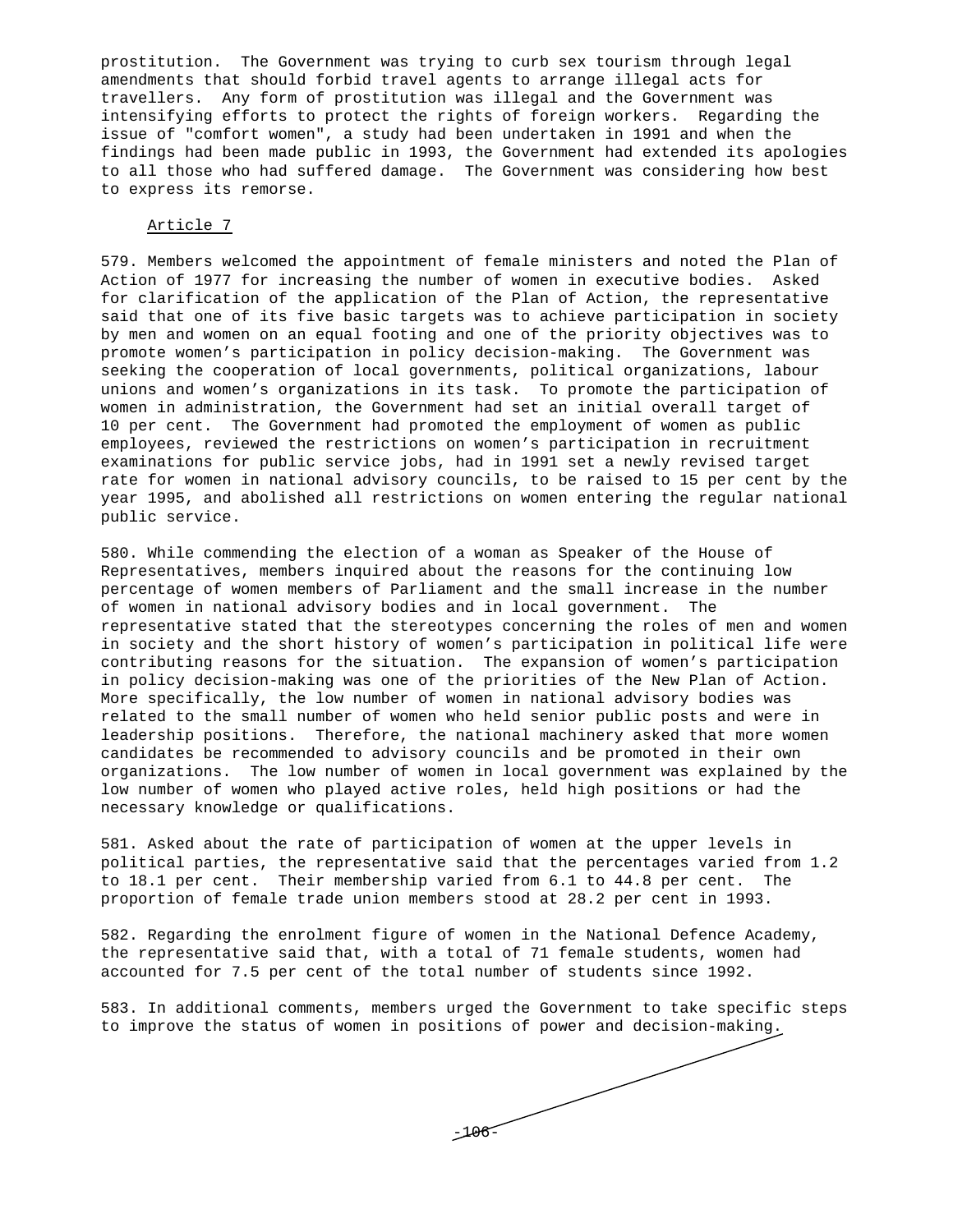prostitution. The Government was trying to curb sex tourism through legal amendments that should forbid travel agents to arrange illegal acts for travellers. Any form of prostitution was illegal and the Government was intensifying efforts to protect the rights of foreign workers. Regarding the issue of "comfort women", a study had been undertaken in 1991 and when the findings had been made public in 1993, the Government had extended its apologies to all those who had suffered damage. The Government was considering how best to express its remorse.

# Article 7

579. Members welcomed the appointment of female ministers and noted the Plan of Action of 1977 for increasing the number of women in executive bodies. Asked for clarification of the application of the Plan of Action, the representative said that one of its five basic targets was to achieve participation in society by men and women on an equal footing and one of the priority objectives was to promote women's participation in policy decision-making. The Government was seeking the cooperation of local governments, political organizations, labour unions and women's organizations in its task. To promote the participation of women in administration, the Government had set an initial overall target of 10 per cent. The Government had promoted the employment of women as public employees, reviewed the restrictions on women's participation in recruitment examinations for public service jobs, had in 1991 set a newly revised target rate for women in national advisory councils, to be raised to 15 per cent by the year 1995, and abolished all restrictions on women entering the regular national public service.

580. While commending the election of a woman as Speaker of the House of Representatives, members inquired about the reasons for the continuing low percentage of women members of Parliament and the small increase in the number of women in national advisory bodies and in local government. The representative stated that the stereotypes concerning the roles of men and women in society and the short history of women's participation in political life were contributing reasons for the situation. The expansion of women's participation in policy decision-making was one of the priorities of the New Plan of Action. More specifically, the low number of women in national advisory bodies was related to the small number of women who held senior public posts and were in leadership positions. Therefore, the national machinery asked that more women candidates be recommended to advisory councils and be promoted in their own organizations. The low number of women in local government was explained by the low number of women who played active roles, held high positions or had the necessary knowledge or qualifications.

581. Asked about the rate of participation of women at the upper levels in political parties, the representative said that the percentages varied from 1.2 to 18.1 per cent. Their membership varied from 6.1 to 44.8 per cent. The proportion of female trade union members stood at 28.2 per cent in 1993.

582. Regarding the enrolment figure of women in the National Defence Academy, the representative said that, with a total of 71 female students, women had accounted for 7.5 per cent of the total number of students since 1992.

583. In additional comments, members urged the Government to take specific steps to improve the status of women in positions of power and decision-making.

-106-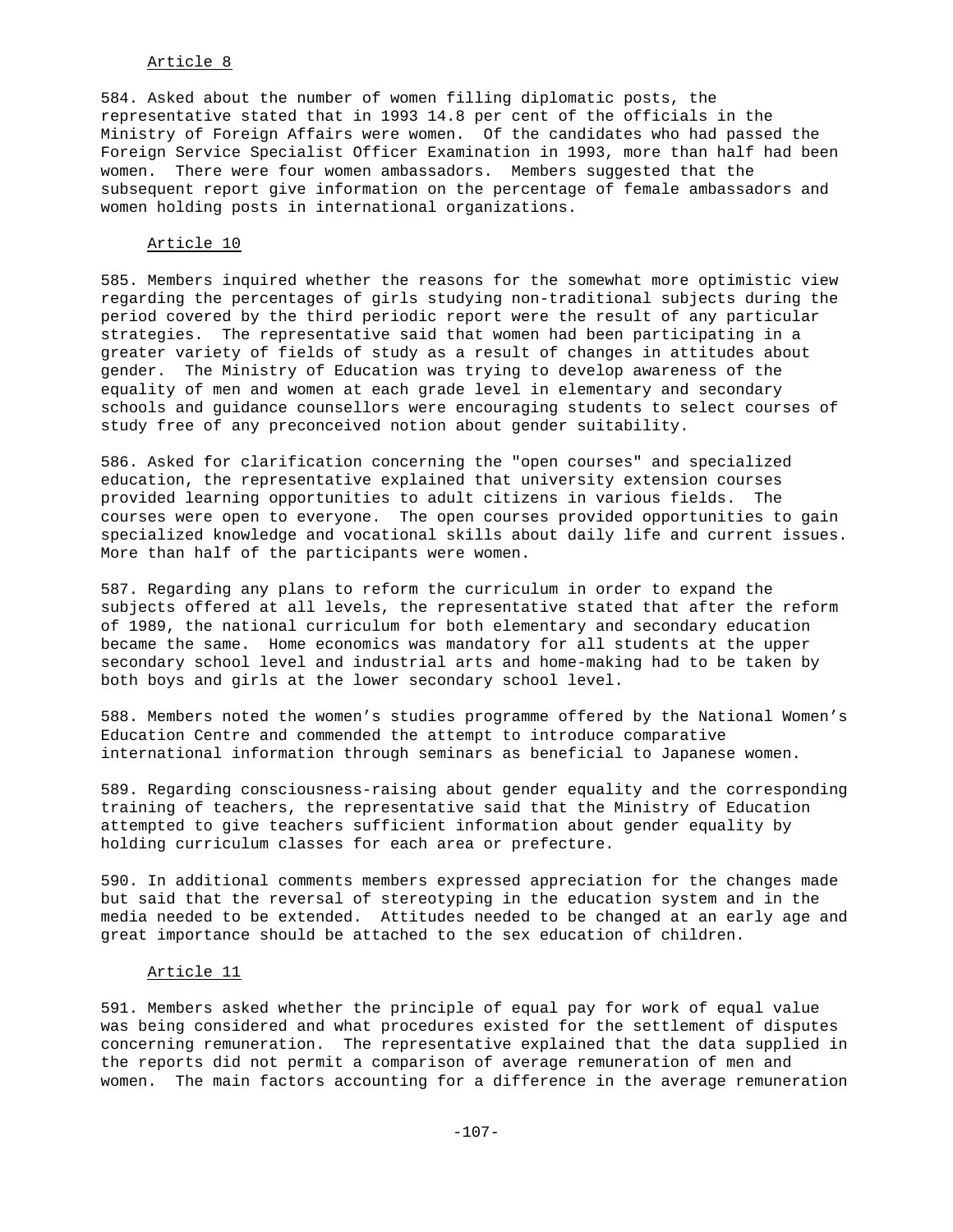# Article 8

584. Asked about the number of women filling diplomatic posts, the representative stated that in 1993 14.8 per cent of the officials in the Ministry of Foreign Affairs were women. Of the candidates who had passed the Foreign Service Specialist Officer Examination in 1993, more than half had been women. There were four women ambassadors. Members suggested that the subsequent report give information on the percentage of female ambassadors and women holding posts in international organizations.

## Article 10

585. Members inquired whether the reasons for the somewhat more optimistic view regarding the percentages of girls studying non-traditional subjects during the period covered by the third periodic report were the result of any particular strategies. The representative said that women had been participating in a greater variety of fields of study as a result of changes in attitudes about gender. The Ministry of Education was trying to develop awareness of the equality of men and women at each grade level in elementary and secondary schools and guidance counsellors were encouraging students to select courses of study free of any preconceived notion about gender suitability.

586. Asked for clarification concerning the "open courses" and specialized education, the representative explained that university extension courses provided learning opportunities to adult citizens in various fields. The courses were open to everyone. The open courses provided opportunities to gain specialized knowledge and vocational skills about daily life and current issues. More than half of the participants were women.

587. Regarding any plans to reform the curriculum in order to expand the subjects offered at all levels, the representative stated that after the reform of 1989, the national curriculum for both elementary and secondary education became the same. Home economics was mandatory for all students at the upper secondary school level and industrial arts and home-making had to be taken by both boys and girls at the lower secondary school level.

588. Members noted the women's studies programme offered by the National Women's Education Centre and commended the attempt to introduce comparative international information through seminars as beneficial to Japanese women.

589. Regarding consciousness-raising about gender equality and the corresponding training of teachers, the representative said that the Ministry of Education attempted to give teachers sufficient information about gender equality by holding curriculum classes for each area or prefecture.

590. In additional comments members expressed appreciation for the changes made but said that the reversal of stereotyping in the education system and in the media needed to be extended. Attitudes needed to be changed at an early age and great importance should be attached to the sex education of children.

#### Article 11

591. Members asked whether the principle of equal pay for work of equal value was being considered and what procedures existed for the settlement of disputes concerning remuneration. The representative explained that the data supplied in the reports did not permit a comparison of average remuneration of men and women. The main factors accounting for a difference in the average remuneration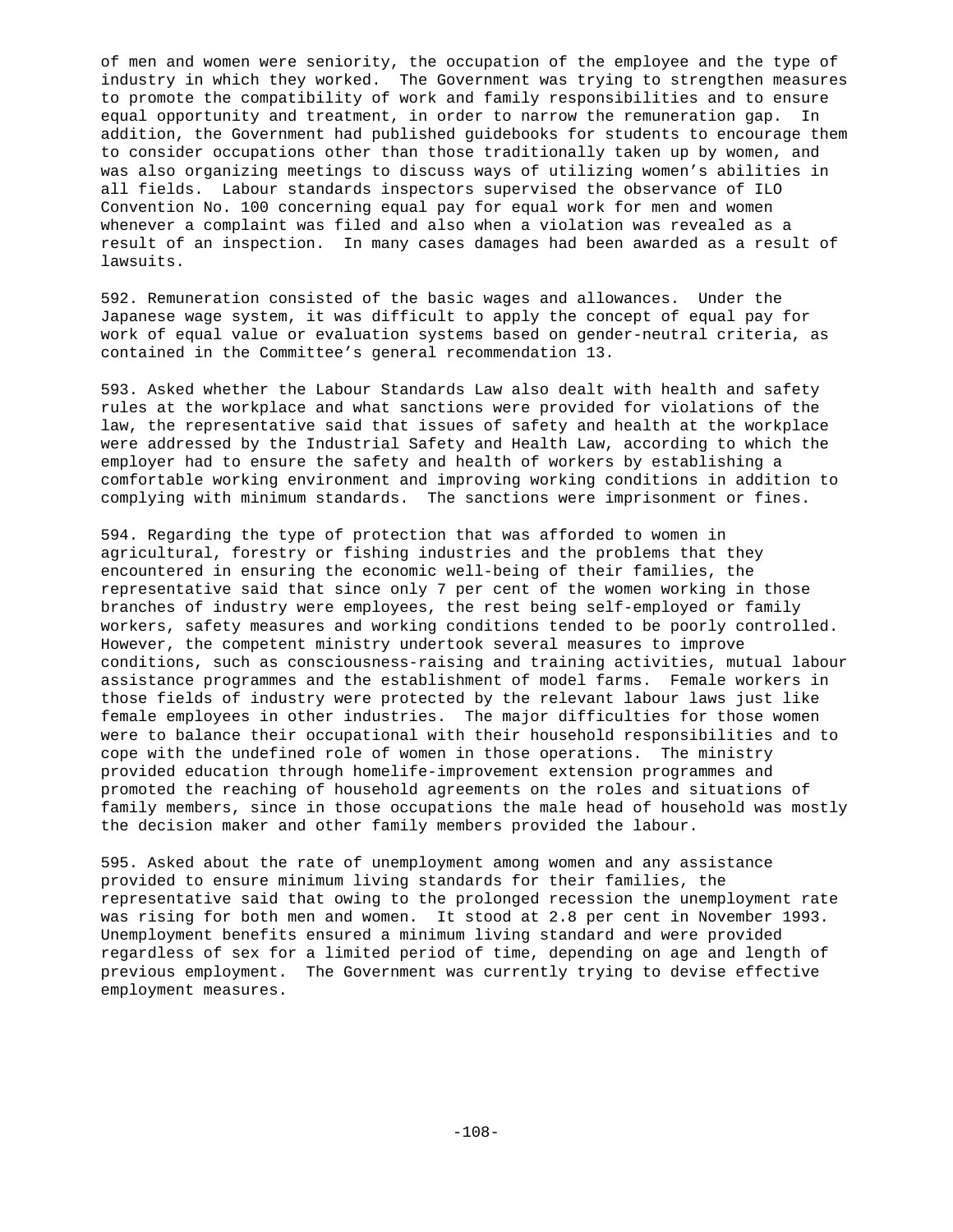of men and women were seniority, the occupation of the employee and the type of industry in which they worked. The Government was trying to strengthen measures to promote the compatibility of work and family responsibilities and to ensure equal opportunity and treatment, in order to narrow the remuneration gap. In addition, the Government had published guidebooks for students to encourage them to consider occupations other than those traditionally taken up by women, and was also organizing meetings to discuss ways of utilizing women's abilities in all fields. Labour standards inspectors supervised the observance of ILO Convention No. 100 concerning equal pay for equal work for men and women whenever a complaint was filed and also when a violation was revealed as a result of an inspection. In many cases damages had been awarded as a result of lawsuits.

592. Remuneration consisted of the basic wages and allowances. Under the Japanese wage system, it was difficult to apply the concept of equal pay for work of equal value or evaluation systems based on gender-neutral criteria, as contained in the Committee's general recommendation 13.

593. Asked whether the Labour Standards Law also dealt with health and safety rules at the workplace and what sanctions were provided for violations of the law, the representative said that issues of safety and health at the workplace were addressed by the Industrial Safety and Health Law, according to which the employer had to ensure the safety and health of workers by establishing a comfortable working environment and improving working conditions in addition to complying with minimum standards. The sanctions were imprisonment or fines.

594. Regarding the type of protection that was afforded to women in agricultural, forestry or fishing industries and the problems that they encountered in ensuring the economic well-being of their families, the representative said that since only 7 per cent of the women working in those branches of industry were employees, the rest being self-employed or family workers, safety measures and working conditions tended to be poorly controlled. However, the competent ministry undertook several measures to improve conditions, such as consciousness-raising and training activities, mutual labour assistance programmes and the establishment of model farms. Female workers in those fields of industry were protected by the relevant labour laws just like female employees in other industries. The major difficulties for those women were to balance their occupational with their household responsibilities and to cope with the undefined role of women in those operations. The ministry provided education through homelife-improvement extension programmes and promoted the reaching of household agreements on the roles and situations of family members, since in those occupations the male head of household was mostly the decision maker and other family members provided the labour.

595. Asked about the rate of unemployment among women and any assistance provided to ensure minimum living standards for their families, the representative said that owing to the prolonged recession the unemployment rate was rising for both men and women. It stood at 2.8 per cent in November 1993. Unemployment benefits ensured a minimum living standard and were provided regardless of sex for a limited period of time, depending on age and length of previous employment. The Government was currently trying to devise effective employment measures.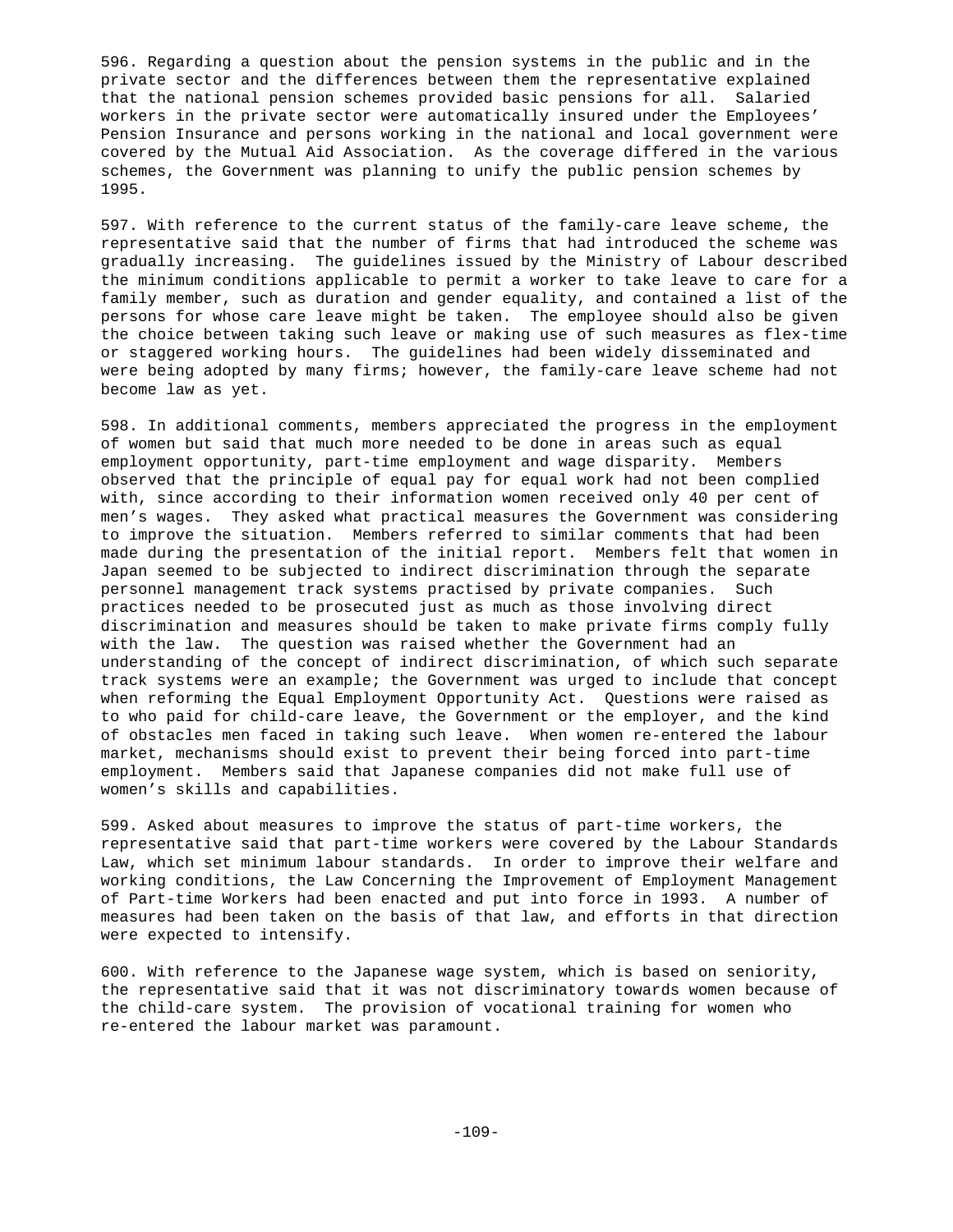596. Regarding a question about the pension systems in the public and in the private sector and the differences between them the representative explained that the national pension schemes provided basic pensions for all. Salaried workers in the private sector were automatically insured under the Employees' Pension Insurance and persons working in the national and local government were covered by the Mutual Aid Association. As the coverage differed in the various schemes, the Government was planning to unify the public pension schemes by 1995.

597. With reference to the current status of the family-care leave scheme, the representative said that the number of firms that had introduced the scheme was gradually increasing. The guidelines issued by the Ministry of Labour described the minimum conditions applicable to permit a worker to take leave to care for a family member, such as duration and gender equality, and contained a list of the persons for whose care leave might be taken. The employee should also be given the choice between taking such leave or making use of such measures as flex-time or staggered working hours. The guidelines had been widely disseminated and were being adopted by many firms; however, the family-care leave scheme had not become law as yet.

598. In additional comments, members appreciated the progress in the employment of women but said that much more needed to be done in areas such as equal employment opportunity, part-time employment and wage disparity. Members observed that the principle of equal pay for equal work had not been complied with, since according to their information women received only 40 per cent of men's wages. They asked what practical measures the Government was considering to improve the situation. Members referred to similar comments that had been made during the presentation of the initial report. Members felt that women in Japan seemed to be subjected to indirect discrimination through the separate personnel management track systems practised by private companies. Such practices needed to be prosecuted just as much as those involving direct discrimination and measures should be taken to make private firms comply fully with the law. The question was raised whether the Government had an understanding of the concept of indirect discrimination, of which such separate track systems were an example; the Government was urged to include that concept when reforming the Equal Employment Opportunity Act. Questions were raised as to who paid for child-care leave, the Government or the employer, and the kind of obstacles men faced in taking such leave. When women re-entered the labour market, mechanisms should exist to prevent their being forced into part-time employment. Members said that Japanese companies did not make full use of women's skills and capabilities.

599. Asked about measures to improve the status of part-time workers, the representative said that part-time workers were covered by the Labour Standards Law, which set minimum labour standards. In order to improve their welfare and working conditions, the Law Concerning the Improvement of Employment Management of Part-time Workers had been enacted and put into force in 1993. A number of measures had been taken on the basis of that law, and efforts in that direction were expected to intensify.

600. With reference to the Japanese wage system, which is based on seniority, the representative said that it was not discriminatory towards women because of the child-care system. The provision of vocational training for women who re-entered the labour market was paramount.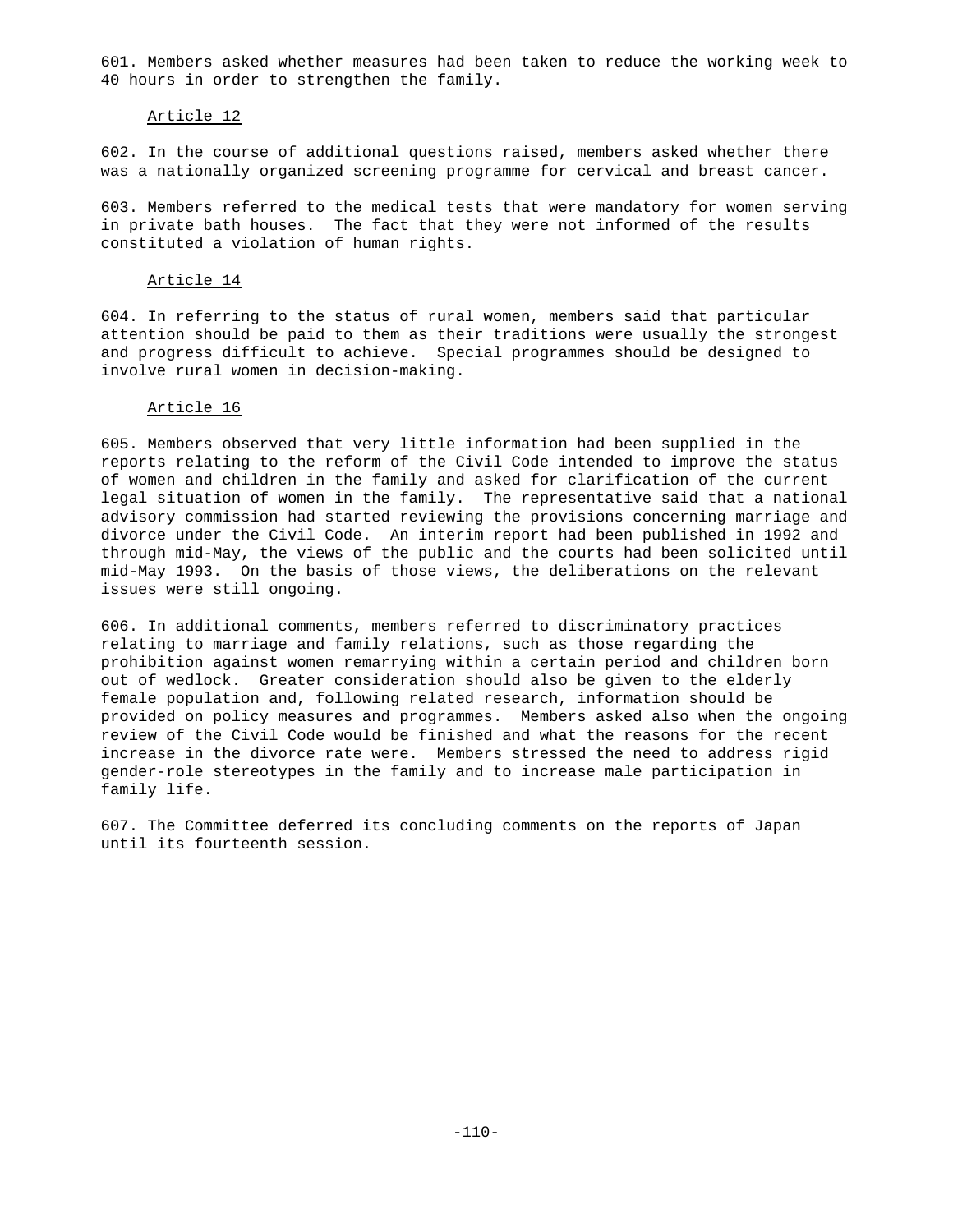601. Members asked whether measures had been taken to reduce the working week to 40 hours in order to strengthen the family.

#### Article 12

602. In the course of additional questions raised, members asked whether there was a nationally organized screening programme for cervical and breast cancer.

603. Members referred to the medical tests that were mandatory for women serving in private bath houses. The fact that they were not informed of the results constituted a violation of human rights.

## Article 14

604. In referring to the status of rural women, members said that particular attention should be paid to them as their traditions were usually the strongest and progress difficult to achieve. Special programmes should be designed to involve rural women in decision-making.

### Article 16

605. Members observed that very little information had been supplied in the reports relating to the reform of the Civil Code intended to improve the status of women and children in the family and asked for clarification of the current legal situation of women in the family. The representative said that a national advisory commission had started reviewing the provisions concerning marriage and divorce under the Civil Code. An interim report had been published in 1992 and through mid-May, the views of the public and the courts had been solicited until mid-May 1993. On the basis of those views, the deliberations on the relevant issues were still ongoing.

606. In additional comments, members referred to discriminatory practices relating to marriage and family relations, such as those regarding the prohibition against women remarrying within a certain period and children born out of wedlock. Greater consideration should also be given to the elderly female population and, following related research, information should be provided on policy measures and programmes. Members asked also when the ongoing review of the Civil Code would be finished and what the reasons for the recent increase in the divorce rate were. Members stressed the need to address rigid gender-role stereotypes in the family and to increase male participation in family life.

607. The Committee deferred its concluding comments on the reports of Japan until its fourteenth session.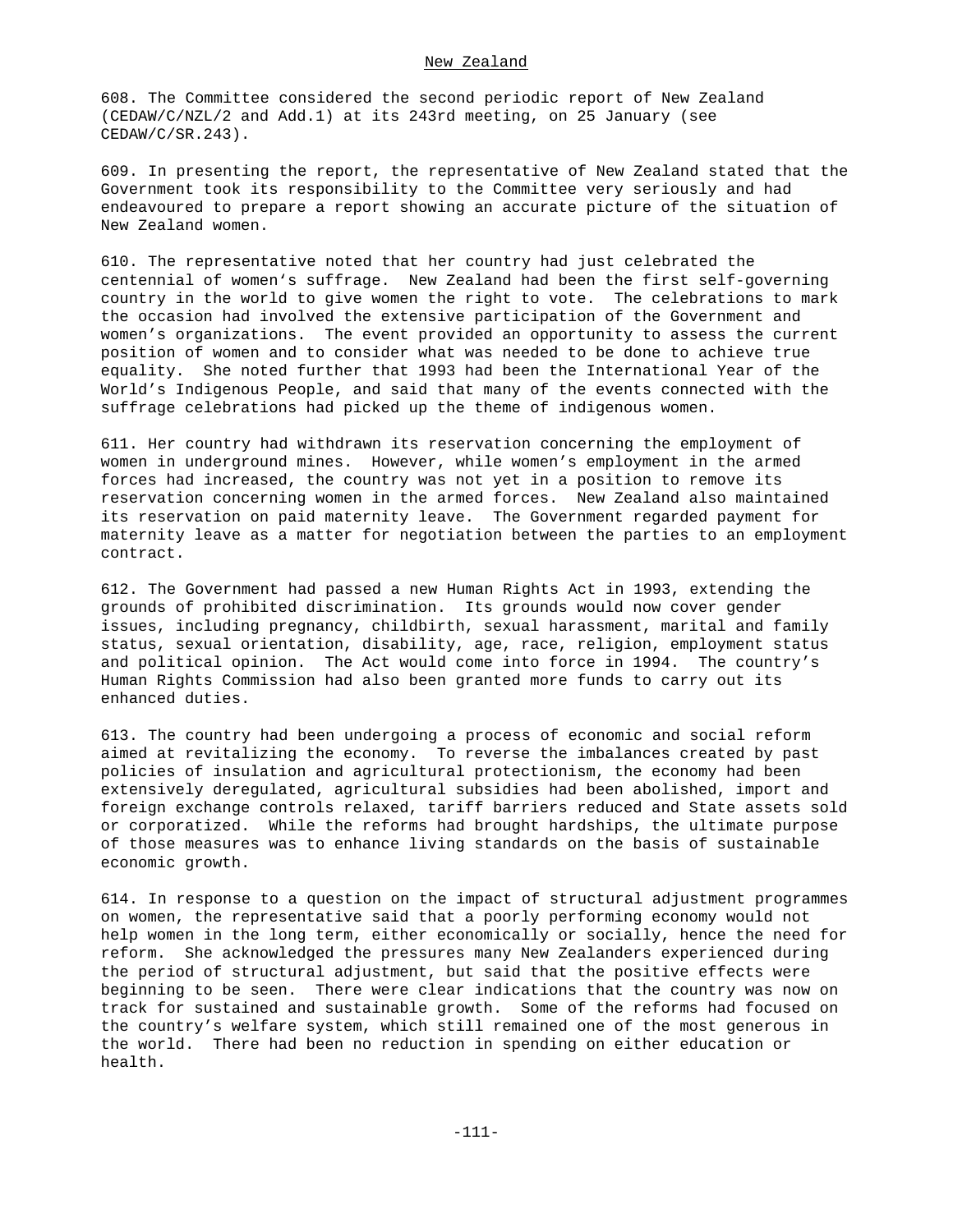608. The Committee considered the second periodic report of New Zealand (CEDAW/C/NZL/2 and Add.1) at its 243rd meeting, on 25 January (see CEDAW/C/SR.243).

609. In presenting the report, the representative of New Zealand stated that the Government took its responsibility to the Committee very seriously and had endeavoured to prepare a report showing an accurate picture of the situation of New Zealand women.

610. The representative noted that her country had just celebrated the centennial of women's suffrage. New Zealand had been the first self-governing country in the world to give women the right to vote. The celebrations to mark the occasion had involved the extensive participation of the Government and women's organizations. The event provided an opportunity to assess the current position of women and to consider what was needed to be done to achieve true equality. She noted further that 1993 had been the International Year of the World's Indigenous People, and said that many of the events connected with the suffrage celebrations had picked up the theme of indigenous women.

611. Her country had withdrawn its reservation concerning the employment of women in underground mines. However, while women's employment in the armed forces had increased, the country was not yet in a position to remove its reservation concerning women in the armed forces. New Zealand also maintained its reservation on paid maternity leave. The Government regarded payment for maternity leave as a matter for negotiation between the parties to an employment contract.

612. The Government had passed a new Human Rights Act in 1993, extending the grounds of prohibited discrimination. Its grounds would now cover gender issues, including pregnancy, childbirth, sexual harassment, marital and family status, sexual orientation, disability, age, race, religion, employment status and political opinion. The Act would come into force in 1994. The country's Human Rights Commission had also been granted more funds to carry out its enhanced duties.

613. The country had been undergoing a process of economic and social reform aimed at revitalizing the economy. To reverse the imbalances created by past policies of insulation and agricultural protectionism, the economy had been extensively deregulated, agricultural subsidies had been abolished, import and foreign exchange controls relaxed, tariff barriers reduced and State assets sold or corporatized. While the reforms had brought hardships, the ultimate purpose of those measures was to enhance living standards on the basis of sustainable economic growth.

614. In response to a question on the impact of structural adjustment programmes on women, the representative said that a poorly performing economy would not help women in the long term, either economically or socially, hence the need for reform. She acknowledged the pressures many New Zealanders experienced during the period of structural adjustment, but said that the positive effects were beginning to be seen. There were clear indications that the country was now on track for sustained and sustainable growth. Some of the reforms had focused on the country's welfare system, which still remained one of the most generous in the world. There had been no reduction in spending on either education or health.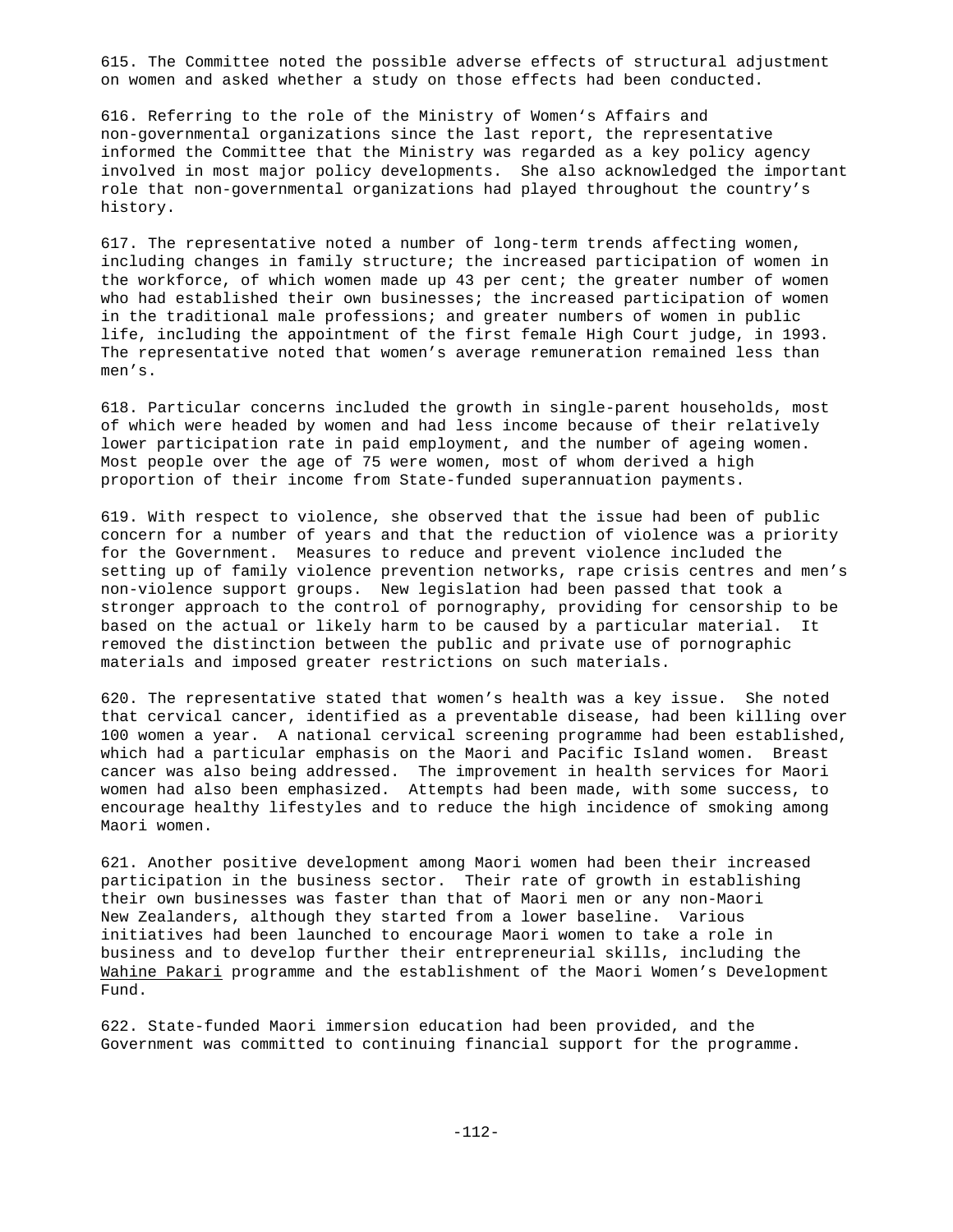615. The Committee noted the possible adverse effects of structural adjustment on women and asked whether a study on those effects had been conducted.

616. Referring to the role of the Ministry of Women's Affairs and non-governmental organizations since the last report, the representative informed the Committee that the Ministry was regarded as a key policy agency involved in most major policy developments. She also acknowledged the important role that non-governmental organizations had played throughout the country's history.

617. The representative noted a number of long-term trends affecting women, including changes in family structure; the increased participation of women in the workforce, of which women made up 43 per cent; the greater number of women who had established their own businesses; the increased participation of women in the traditional male professions; and greater numbers of women in public life, including the appointment of the first female High Court judge, in 1993. The representative noted that women's average remuneration remained less than men's.

618. Particular concerns included the growth in single-parent households, most of which were headed by women and had less income because of their relatively lower participation rate in paid employment, and the number of ageing women. Most people over the age of 75 were women, most of whom derived a high proportion of their income from State-funded superannuation payments.

619. With respect to violence, she observed that the issue had been of public concern for a number of years and that the reduction of violence was a priority for the Government. Measures to reduce and prevent violence included the setting up of family violence prevention networks, rape crisis centres and men's non-violence support groups. New legislation had been passed that took a stronger approach to the control of pornography, providing for censorship to be based on the actual or likely harm to be caused by a particular material. It removed the distinction between the public and private use of pornographic materials and imposed greater restrictions on such materials.

620. The representative stated that women's health was a key issue. She noted that cervical cancer, identified as a preventable disease, had been killing over 100 women a year. A national cervical screening programme had been established, which had a particular emphasis on the Maori and Pacific Island women. Breast cancer was also being addressed. The improvement in health services for Maori women had also been emphasized. Attempts had been made, with some success, to encourage healthy lifestyles and to reduce the high incidence of smoking among Maori women.

621. Another positive development among Maori women had been their increased participation in the business sector. Their rate of growth in establishing their own businesses was faster than that of Maori men or any non-Maori New Zealanders, although they started from a lower baseline. Various initiatives had been launched to encourage Maori women to take a role in business and to develop further their entrepreneurial skills, including the Wahine Pakari programme and the establishment of the Maori Women's Development Fund.

622. State-funded Maori immersion education had been provided, and the Government was committed to continuing financial support for the programme.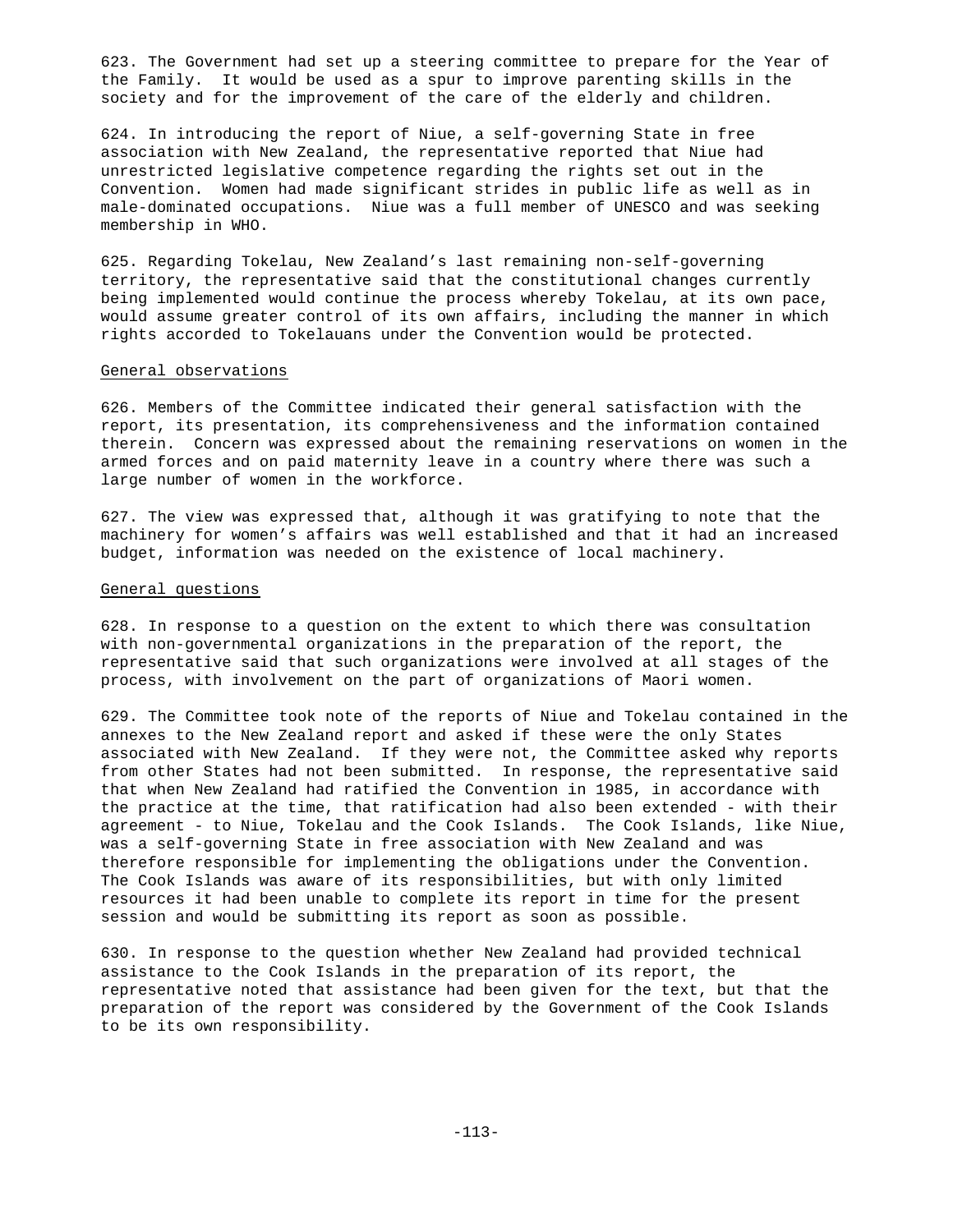623. The Government had set up a steering committee to prepare for the Year of the Family. It would be used as a spur to improve parenting skills in the society and for the improvement of the care of the elderly and children.

624. In introducing the report of Niue, a self-governing State in free association with New Zealand, the representative reported that Niue had unrestricted legislative competence regarding the rights set out in the Convention. Women had made significant strides in public life as well as in male-dominated occupations. Niue was a full member of UNESCO and was seeking membership in WHO.

625. Regarding Tokelau, New Zealand's last remaining non-self-governing territory, the representative said that the constitutional changes currently being implemented would continue the process whereby Tokelau, at its own pace, would assume greater control of its own affairs, including the manner in which rights accorded to Tokelauans under the Convention would be protected.

### General observations

626. Members of the Committee indicated their general satisfaction with the report, its presentation, its comprehensiveness and the information contained therein. Concern was expressed about the remaining reservations on women in the armed forces and on paid maternity leave in a country where there was such a large number of women in the workforce.

627. The view was expressed that, although it was gratifying to note that the machinery for women's affairs was well established and that it had an increased budget, information was needed on the existence of local machinery.

## General questions

628. In response to a question on the extent to which there was consultation with non-governmental organizations in the preparation of the report, the representative said that such organizations were involved at all stages of the process, with involvement on the part of organizations of Maori women.

629. The Committee took note of the reports of Niue and Tokelau contained in the annexes to the New Zealand report and asked if these were the only States associated with New Zealand. If they were not, the Committee asked why reports from other States had not been submitted. In response, the representative said that when New Zealand had ratified the Convention in 1985, in accordance with the practice at the time, that ratification had also been extended - with their agreement - to Niue, Tokelau and the Cook Islands. The Cook Islands, like Niue, was a self-governing State in free association with New Zealand and was therefore responsible for implementing the obligations under the Convention. The Cook Islands was aware of its responsibilities, but with only limited resources it had been unable to complete its report in time for the present session and would be submitting its report as soon as possible.

630. In response to the question whether New Zealand had provided technical assistance to the Cook Islands in the preparation of its report, the representative noted that assistance had been given for the text, but that the preparation of the report was considered by the Government of the Cook Islands to be its own responsibility.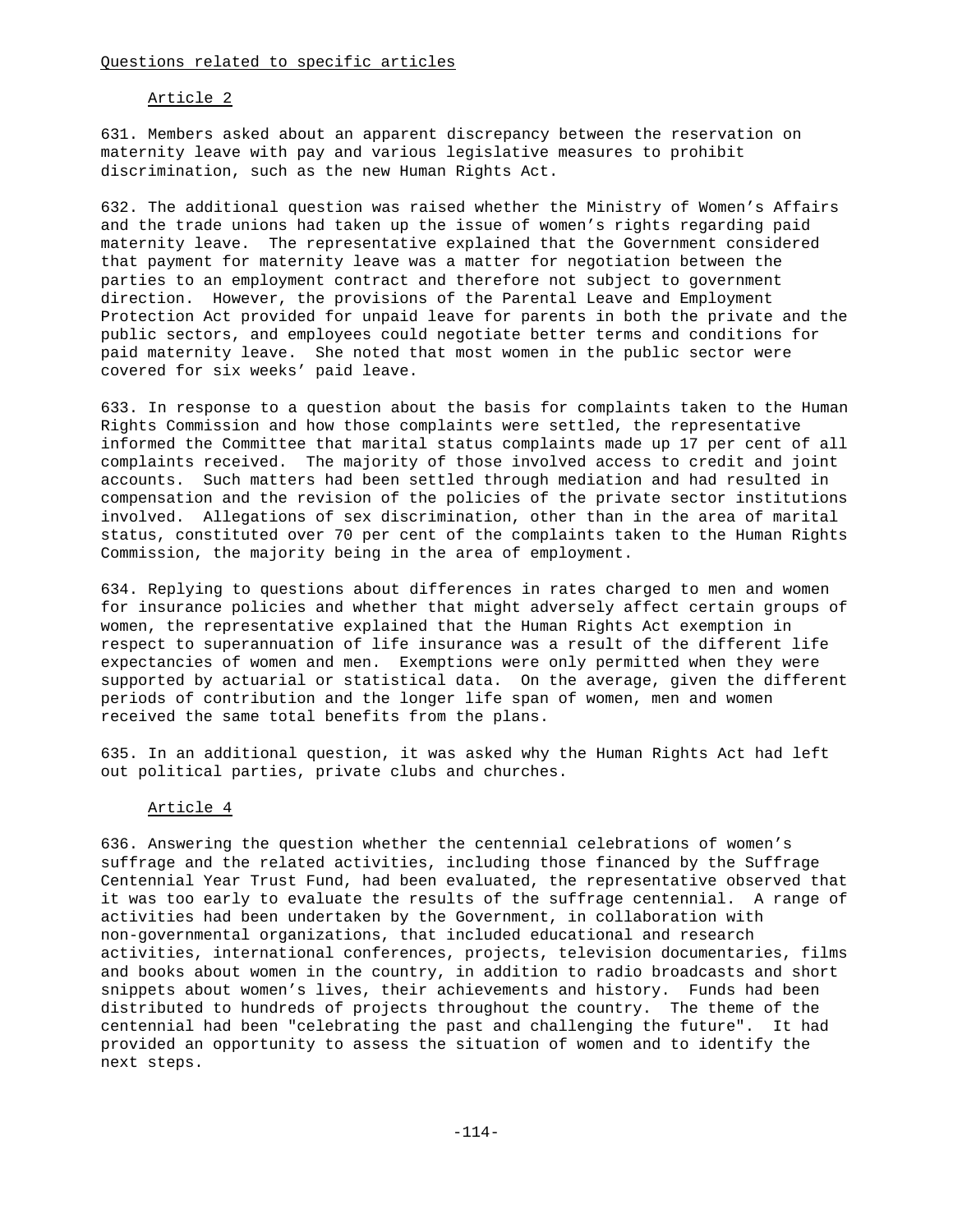### Article 2

631. Members asked about an apparent discrepancy between the reservation on maternity leave with pay and various legislative measures to prohibit discrimination, such as the new Human Rights Act.

632. The additional question was raised whether the Ministry of Women's Affairs and the trade unions had taken up the issue of women's rights regarding paid maternity leave. The representative explained that the Government considered that payment for maternity leave was a matter for negotiation between the parties to an employment contract and therefore not subject to government direction. However, the provisions of the Parental Leave and Employment Protection Act provided for unpaid leave for parents in both the private and the public sectors, and employees could negotiate better terms and conditions for paid maternity leave. She noted that most women in the public sector were covered for six weeks' paid leave.

633. In response to a question about the basis for complaints taken to the Human Rights Commission and how those complaints were settled, the representative informed the Committee that marital status complaints made up 17 per cent of all complaints received. The majority of those involved access to credit and joint accounts. Such matters had been settled through mediation and had resulted in compensation and the revision of the policies of the private sector institutions involved. Allegations of sex discrimination, other than in the area of marital status, constituted over 70 per cent of the complaints taken to the Human Rights Commission, the majority being in the area of employment.

634. Replying to questions about differences in rates charged to men and women for insurance policies and whether that might adversely affect certain groups of women, the representative explained that the Human Rights Act exemption in respect to superannuation of life insurance was a result of the different life expectancies of women and men. Exemptions were only permitted when they were supported by actuarial or statistical data. On the average, given the different periods of contribution and the longer life span of women, men and women received the same total benefits from the plans.

635. In an additional question, it was asked why the Human Rights Act had left out political parties, private clubs and churches.

### Article 4

636. Answering the question whether the centennial celebrations of women's suffrage and the related activities, including those financed by the Suffrage Centennial Year Trust Fund, had been evaluated, the representative observed that it was too early to evaluate the results of the suffrage centennial. A range of activities had been undertaken by the Government, in collaboration with non-governmental organizations, that included educational and research activities, international conferences, projects, television documentaries, films and books about women in the country, in addition to radio broadcasts and short snippets about women's lives, their achievements and history. Funds had been distributed to hundreds of projects throughout the country. The theme of the centennial had been "celebrating the past and challenging the future". It had provided an opportunity to assess the situation of women and to identify the next steps.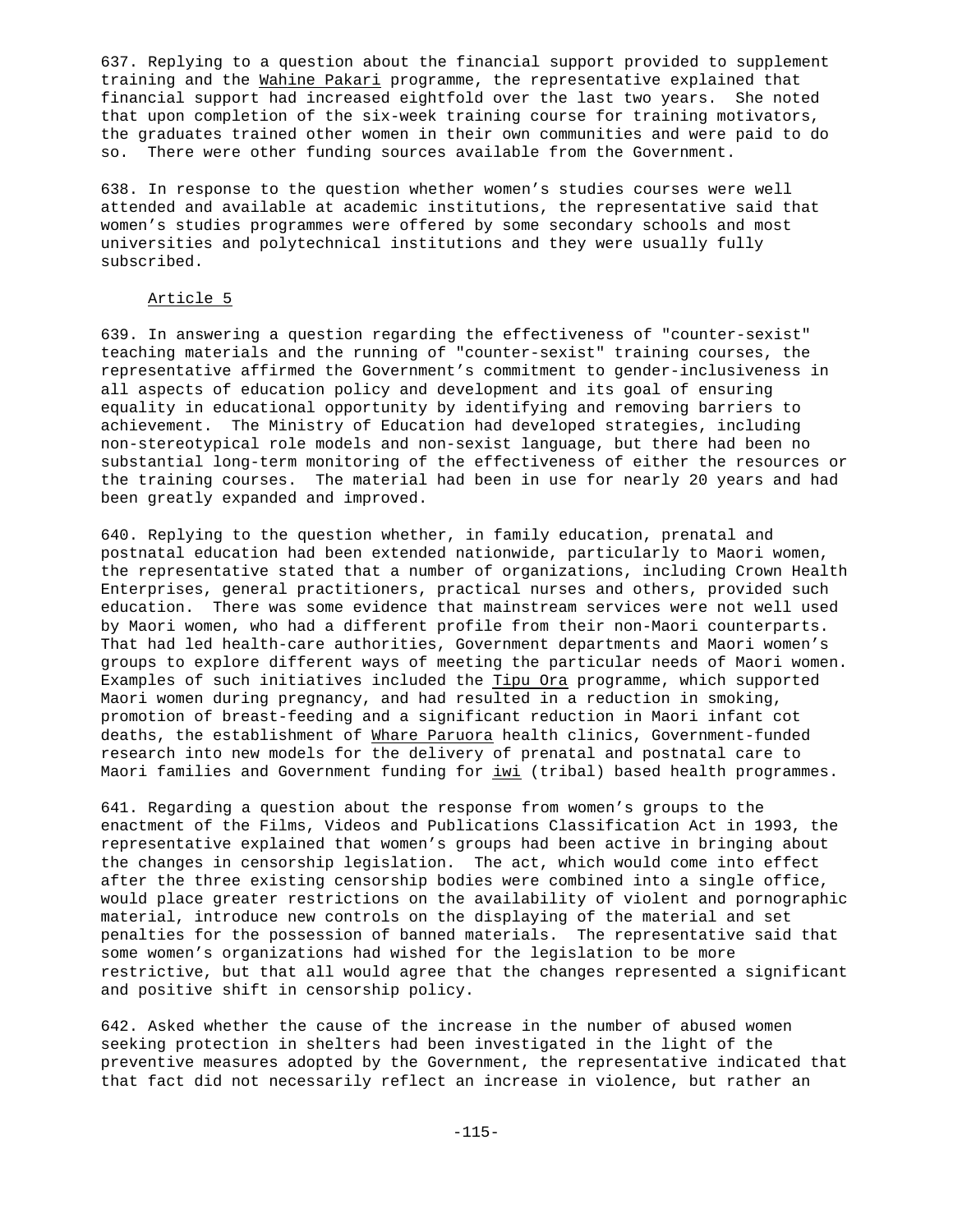637. Replying to a question about the financial support provided to supplement training and the Wahine Pakari programme, the representative explained that financial support had increased eightfold over the last two years. She noted that upon completion of the six-week training course for training motivators, the graduates trained other women in their own communities and were paid to do so. There were other funding sources available from the Government.

638. In response to the question whether women's studies courses were well attended and available at academic institutions, the representative said that women's studies programmes were offered by some secondary schools and most universities and polytechnical institutions and they were usually fully subscribed.

## Article 5

639. In answering a question regarding the effectiveness of "counter-sexist" teaching materials and the running of "counter-sexist" training courses, the representative affirmed the Government's commitment to gender-inclusiveness in all aspects of education policy and development and its goal of ensuring equality in educational opportunity by identifying and removing barriers to achievement. The Ministry of Education had developed strategies, including non-stereotypical role models and non-sexist language, but there had been no substantial long-term monitoring of the effectiveness of either the resources or the training courses. The material had been in use for nearly 20 years and had been greatly expanded and improved.

640. Replying to the question whether, in family education, prenatal and postnatal education had been extended nationwide, particularly to Maori women, the representative stated that a number of organizations, including Crown Health Enterprises, general practitioners, practical nurses and others, provided such education. There was some evidence that mainstream services were not well used by Maori women, who had a different profile from their non-Maori counterparts. That had led health-care authorities, Government departments and Maori women's groups to explore different ways of meeting the particular needs of Maori women. Examples of such initiatives included the Tipu Ora programme, which supported Maori women during pregnancy, and had resulted in a reduction in smoking, promotion of breast-feeding and a significant reduction in Maori infant cot deaths, the establishment of Whare Paruora health clinics, Government-funded research into new models for the delivery of prenatal and postnatal care to Maori families and Government funding for iwi (tribal) based health programmes.

641. Regarding a question about the response from women's groups to the enactment of the Films, Videos and Publications Classification Act in 1993, the representative explained that women's groups had been active in bringing about the changes in censorship legislation. The act, which would come into effect after the three existing censorship bodies were combined into a single office, would place greater restrictions on the availability of violent and pornographic material, introduce new controls on the displaying of the material and set penalties for the possession of banned materials. The representative said that some women's organizations had wished for the legislation to be more restrictive, but that all would agree that the changes represented a significant and positive shift in censorship policy.

642. Asked whether the cause of the increase in the number of abused women seeking protection in shelters had been investigated in the light of the preventive measures adopted by the Government, the representative indicated that that fact did not necessarily reflect an increase in violence, but rather an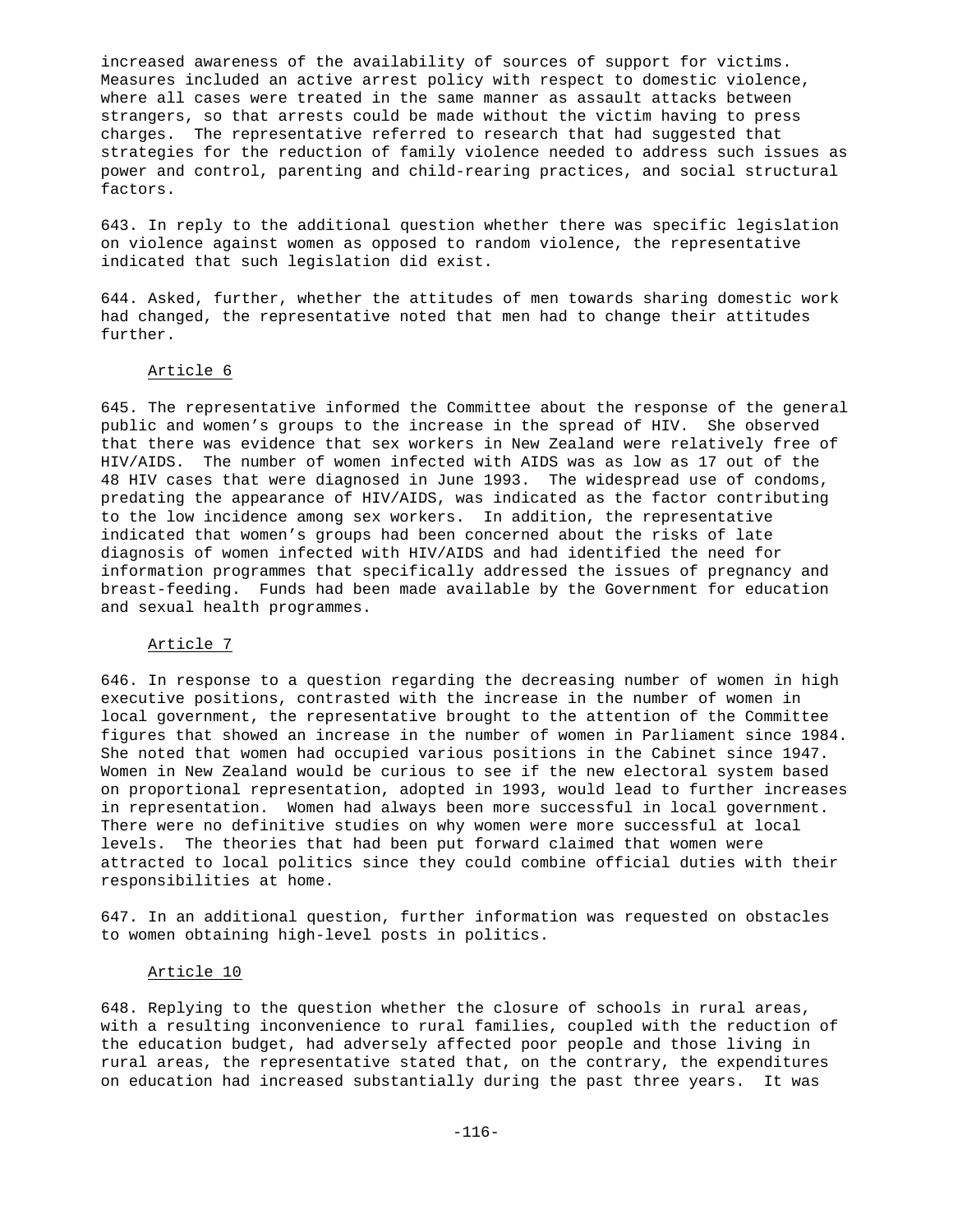increased awareness of the availability of sources of support for victims. Measures included an active arrest policy with respect to domestic violence, where all cases were treated in the same manner as assault attacks between strangers, so that arrests could be made without the victim having to press charges. The representative referred to research that had suggested that strategies for the reduction of family violence needed to address such issues as power and control, parenting and child-rearing practices, and social structural factors.

643. In reply to the additional question whether there was specific legislation on violence against women as opposed to random violence, the representative indicated that such legislation did exist.

644. Asked, further, whether the attitudes of men towards sharing domestic work had changed, the representative noted that men had to change their attitudes further.

# Article 6

645. The representative informed the Committee about the response of the general public and women's groups to the increase in the spread of HIV. She observed that there was evidence that sex workers in New Zealand were relatively free of HIV/AIDS. The number of women infected with AIDS was as low as 17 out of the 48 HIV cases that were diagnosed in June 1993. The widespread use of condoms, predating the appearance of HIV/AIDS, was indicated as the factor contributing to the low incidence among sex workers. In addition, the representative indicated that women's groups had been concerned about the risks of late diagnosis of women infected with HIV/AIDS and had identified the need for information programmes that specifically addressed the issues of pregnancy and breast-feeding. Funds had been made available by the Government for education and sexual health programmes.

### Article 7

646. In response to a question regarding the decreasing number of women in high executive positions, contrasted with the increase in the number of women in local government, the representative brought to the attention of the Committee figures that showed an increase in the number of women in Parliament since 1984. She noted that women had occupied various positions in the Cabinet since 1947. Women in New Zealand would be curious to see if the new electoral system based on proportional representation, adopted in 1993, would lead to further increases in representation. Women had always been more successful in local government. There were no definitive studies on why women were more successful at local levels. The theories that had been put forward claimed that women were attracted to local politics since they could combine official duties with their responsibilities at home.

647. In an additional question, further information was requested on obstacles to women obtaining high-level posts in politics.

### Article 10

648. Replying to the question whether the closure of schools in rural areas, with a resulting inconvenience to rural families, coupled with the reduction of the education budget, had adversely affected poor people and those living in rural areas, the representative stated that, on the contrary, the expenditures on education had increased substantially during the past three years. It was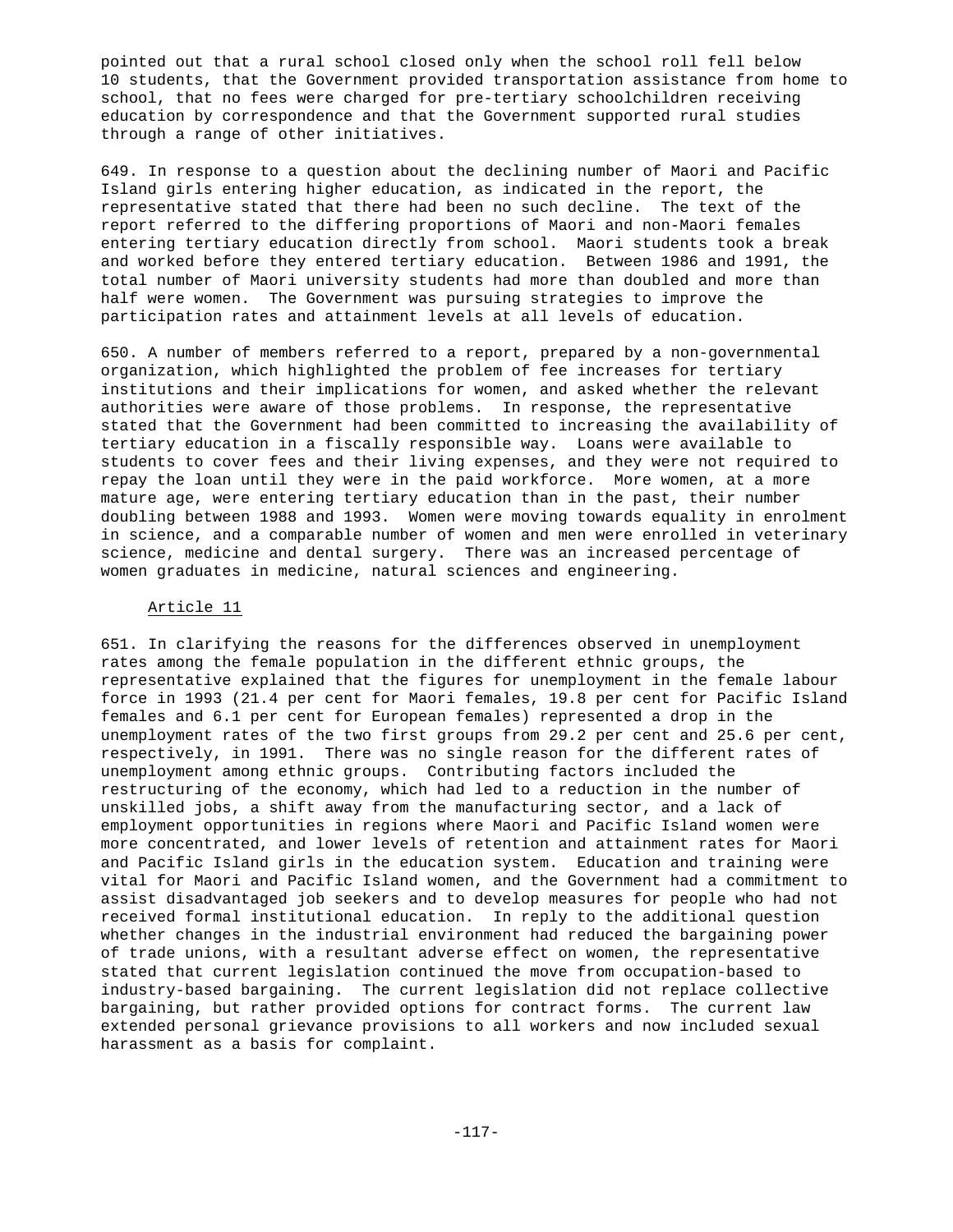pointed out that a rural school closed only when the school roll fell below 10 students, that the Government provided transportation assistance from home to school, that no fees were charged for pre-tertiary schoolchildren receiving education by correspondence and that the Government supported rural studies through a range of other initiatives.

649. In response to a question about the declining number of Maori and Pacific Island girls entering higher education, as indicated in the report, the representative stated that there had been no such decline. The text of the report referred to the differing proportions of Maori and non-Maori females entering tertiary education directly from school. Maori students took a break and worked before they entered tertiary education. Between 1986 and 1991, the total number of Maori university students had more than doubled and more than half were women. The Government was pursuing strategies to improve the participation rates and attainment levels at all levels of education.

650. A number of members referred to a report, prepared by a non-governmental organization, which highlighted the problem of fee increases for tertiary institutions and their implications for women, and asked whether the relevant authorities were aware of those problems. In response, the representative stated that the Government had been committed to increasing the availability of tertiary education in a fiscally responsible way. Loans were available to students to cover fees and their living expenses, and they were not required to repay the loan until they were in the paid workforce. More women, at a more mature age, were entering tertiary education than in the past, their number doubling between 1988 and 1993. Women were moving towards equality in enrolment in science, and a comparable number of women and men were enrolled in veterinary science, medicine and dental surgery. There was an increased percentage of women graduates in medicine, natural sciences and engineering.

## Article 11

651. In clarifying the reasons for the differences observed in unemployment rates among the female population in the different ethnic groups, the representative explained that the figures for unemployment in the female labour force in 1993 (21.4 per cent for Maori females, 19.8 per cent for Pacific Island females and 6.1 per cent for European females) represented a drop in the unemployment rates of the two first groups from 29.2 per cent and 25.6 per cent, respectively, in 1991. There was no single reason for the different rates of unemployment among ethnic groups. Contributing factors included the restructuring of the economy, which had led to a reduction in the number of unskilled jobs, a shift away from the manufacturing sector, and a lack of employment opportunities in regions where Maori and Pacific Island women were more concentrated, and lower levels of retention and attainment rates for Maori and Pacific Island girls in the education system. Education and training were vital for Maori and Pacific Island women, and the Government had a commitment to assist disadvantaged job seekers and to develop measures for people who had not received formal institutional education. In reply to the additional question whether changes in the industrial environment had reduced the bargaining power of trade unions, with a resultant adverse effect on women, the representative stated that current legislation continued the move from occupation-based to industry-based bargaining. The current legislation did not replace collective bargaining, but rather provided options for contract forms. The current law extended personal grievance provisions to all workers and now included sexual harassment as a basis for complaint.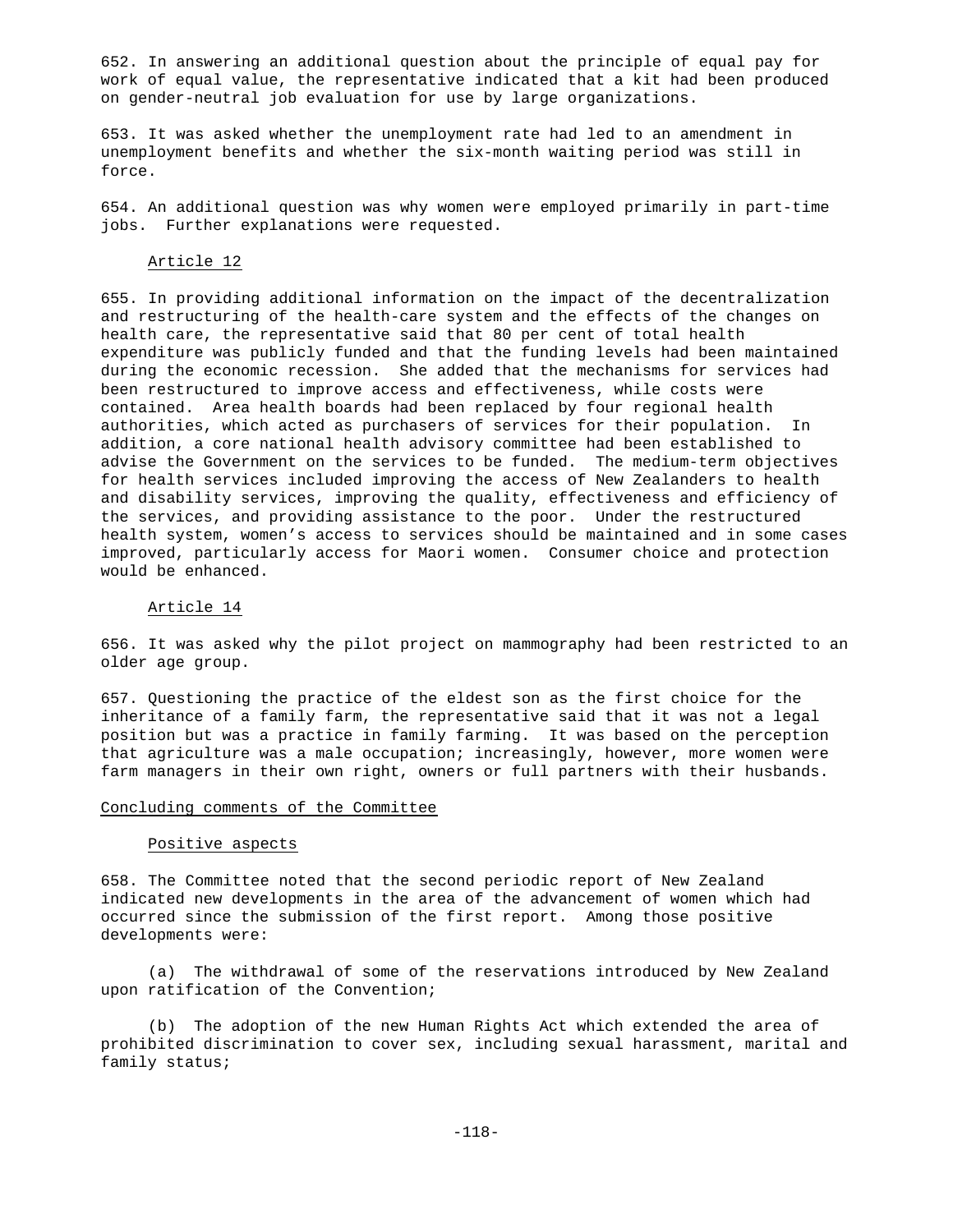652. In answering an additional question about the principle of equal pay for work of equal value, the representative indicated that a kit had been produced on gender-neutral job evaluation for use by large organizations.

653. It was asked whether the unemployment rate had led to an amendment in unemployment benefits and whether the six-month waiting period was still in force.

654. An additional question was why women were employed primarily in part-time jobs. Further explanations were requested.

#### Article 12

655. In providing additional information on the impact of the decentralization and restructuring of the health-care system and the effects of the changes on health care, the representative said that 80 per cent of total health expenditure was publicly funded and that the funding levels had been maintained during the economic recession. She added that the mechanisms for services had been restructured to improve access and effectiveness, while costs were contained. Area health boards had been replaced by four regional health authorities, which acted as purchasers of services for their population. In addition, a core national health advisory committee had been established to advise the Government on the services to be funded. The medium-term objectives for health services included improving the access of New Zealanders to health and disability services, improving the quality, effectiveness and efficiency of the services, and providing assistance to the poor. Under the restructured health system, women's access to services should be maintained and in some cases improved, particularly access for Maori women. Consumer choice and protection would be enhanced.

## Article 14

656. It was asked why the pilot project on mammography had been restricted to an older age group.

657. Questioning the practice of the eldest son as the first choice for the inheritance of a family farm, the representative said that it was not a legal position but was a practice in family farming. It was based on the perception that agriculture was a male occupation; increasingly, however, more women were farm managers in their own right, owners or full partners with their husbands.

#### Concluding comments of the Committee

### Positive aspects

658. The Committee noted that the second periodic report of New Zealand indicated new developments in the area of the advancement of women which had occurred since the submission of the first report. Among those positive developments were:

(a) The withdrawal of some of the reservations introduced by New Zealand upon ratification of the Convention;

(b) The adoption of the new Human Rights Act which extended the area of prohibited discrimination to cover sex, including sexual harassment, marital and family status;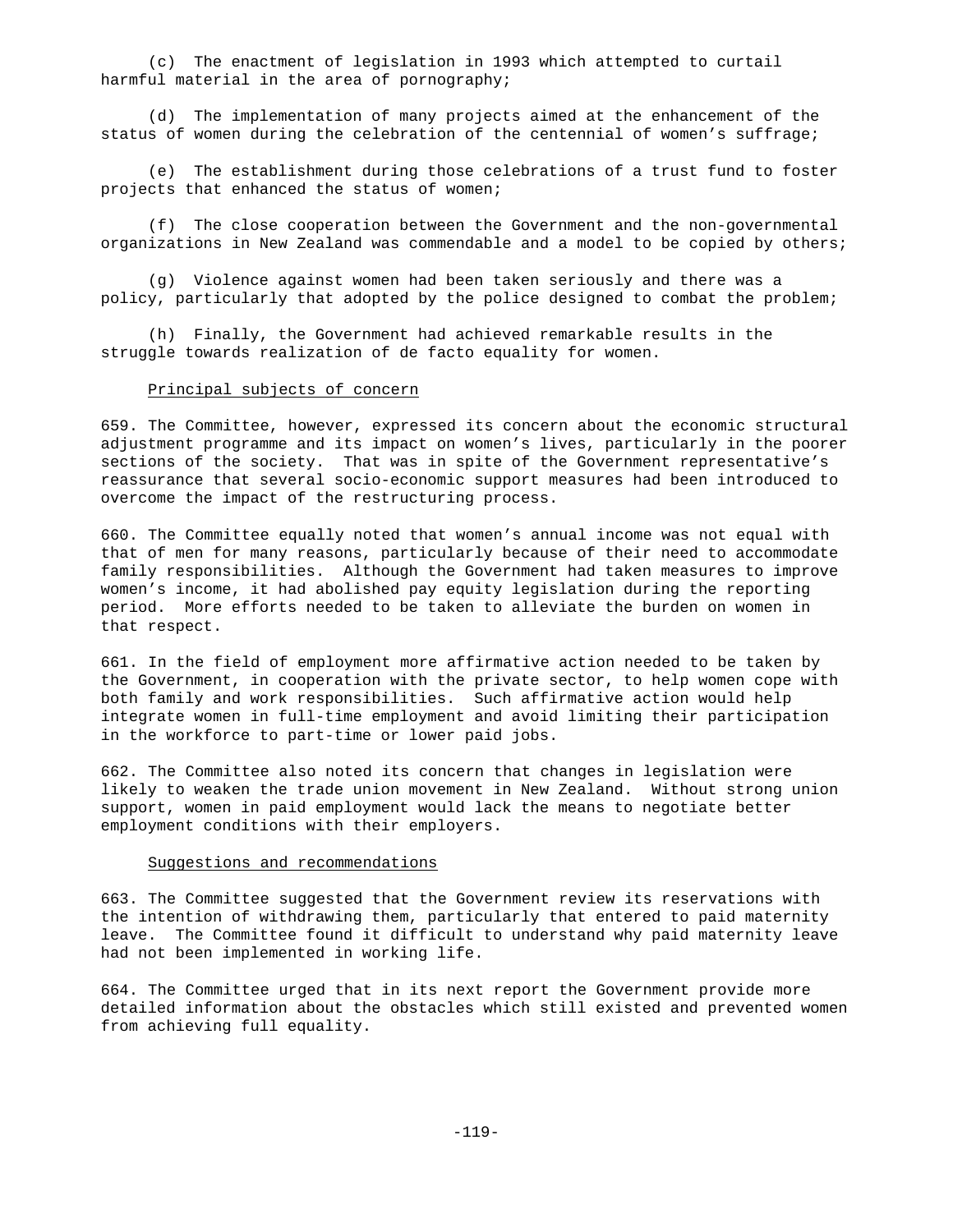(c) The enactment of legislation in 1993 which attempted to curtail harmful material in the area of pornography;

(d) The implementation of many projects aimed at the enhancement of the status of women during the celebration of the centennial of women's suffrage;

(e) The establishment during those celebrations of a trust fund to foster projects that enhanced the status of women;

(f) The close cooperation between the Government and the non-governmental organizations in New Zealand was commendable and a model to be copied by others;

(g) Violence against women had been taken seriously and there was a policy, particularly that adopted by the police designed to combat the problem;

(h) Finally, the Government had achieved remarkable results in the struggle towards realization of de facto equality for women.

#### Principal subjects of concern

659. The Committee, however, expressed its concern about the economic structural adjustment programme and its impact on women's lives, particularly in the poorer sections of the society. That was in spite of the Government representative's reassurance that several socio-economic support measures had been introduced to overcome the impact of the restructuring process.

660. The Committee equally noted that women's annual income was not equal with that of men for many reasons, particularly because of their need to accommodate family responsibilities. Although the Government had taken measures to improve women's income, it had abolished pay equity legislation during the reporting period. More efforts needed to be taken to alleviate the burden on women in that respect.

661. In the field of employment more affirmative action needed to be taken by the Government, in cooperation with the private sector, to help women cope with both family and work responsibilities. Such affirmative action would help integrate women in full-time employment and avoid limiting their participation in the workforce to part-time or lower paid jobs.

662. The Committee also noted its concern that changes in legislation were likely to weaken the trade union movement in New Zealand. Without strong union support, women in paid employment would lack the means to negotiate better employment conditions with their employers.

## Suggestions and recommendations

663. The Committee suggested that the Government review its reservations with the intention of withdrawing them, particularly that entered to paid maternity leave. The Committee found it difficult to understand why paid maternity leave had not been implemented in working life.

664. The Committee urged that in its next report the Government provide more detailed information about the obstacles which still existed and prevented women from achieving full equality.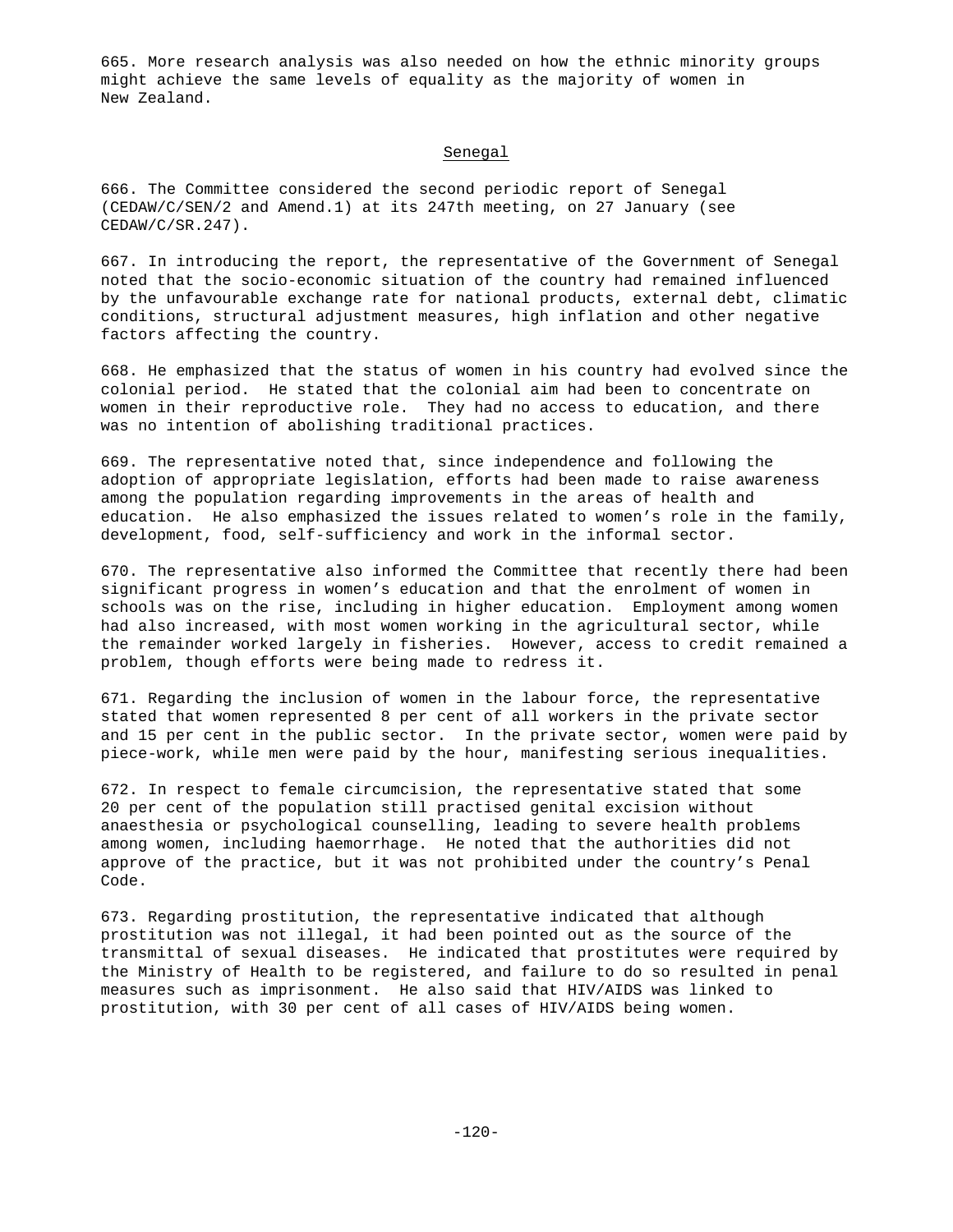665. More research analysis was also needed on how the ethnic minority groups might achieve the same levels of equality as the majority of women in New Zealand.

# Senegal

666. The Committee considered the second periodic report of Senegal (CEDAW/C/SEN/2 and Amend.1) at its 247th meeting, on 27 January (see CEDAW/C/SR.247).

667. In introducing the report, the representative of the Government of Senegal noted that the socio-economic situation of the country had remained influenced by the unfavourable exchange rate for national products, external debt, climatic conditions, structural adjustment measures, high inflation and other negative factors affecting the country.

668. He emphasized that the status of women in his country had evolved since the colonial period. He stated that the colonial aim had been to concentrate on women in their reproductive role. They had no access to education, and there was no intention of abolishing traditional practices.

669. The representative noted that, since independence and following the adoption of appropriate legislation, efforts had been made to raise awareness among the population regarding improvements in the areas of health and education. He also emphasized the issues related to women's role in the family, development, food, self-sufficiency and work in the informal sector.

670. The representative also informed the Committee that recently there had been significant progress in women's education and that the enrolment of women in schools was on the rise, including in higher education. Employment among women had also increased, with most women working in the agricultural sector, while the remainder worked largely in fisheries. However, access to credit remained a problem, though efforts were being made to redress it.

671. Regarding the inclusion of women in the labour force, the representative stated that women represented 8 per cent of all workers in the private sector and 15 per cent in the public sector. In the private sector, women were paid by piece-work, while men were paid by the hour, manifesting serious inequalities.

672. In respect to female circumcision, the representative stated that some 20 per cent of the population still practised genital excision without anaesthesia or psychological counselling, leading to severe health problems among women, including haemorrhage. He noted that the authorities did not approve of the practice, but it was not prohibited under the country's Penal Code.

673. Regarding prostitution, the representative indicated that although prostitution was not illegal, it had been pointed out as the source of the transmittal of sexual diseases. He indicated that prostitutes were required by the Ministry of Health to be registered, and failure to do so resulted in penal measures such as imprisonment. He also said that HIV/AIDS was linked to prostitution, with 30 per cent of all cases of HIV/AIDS being women.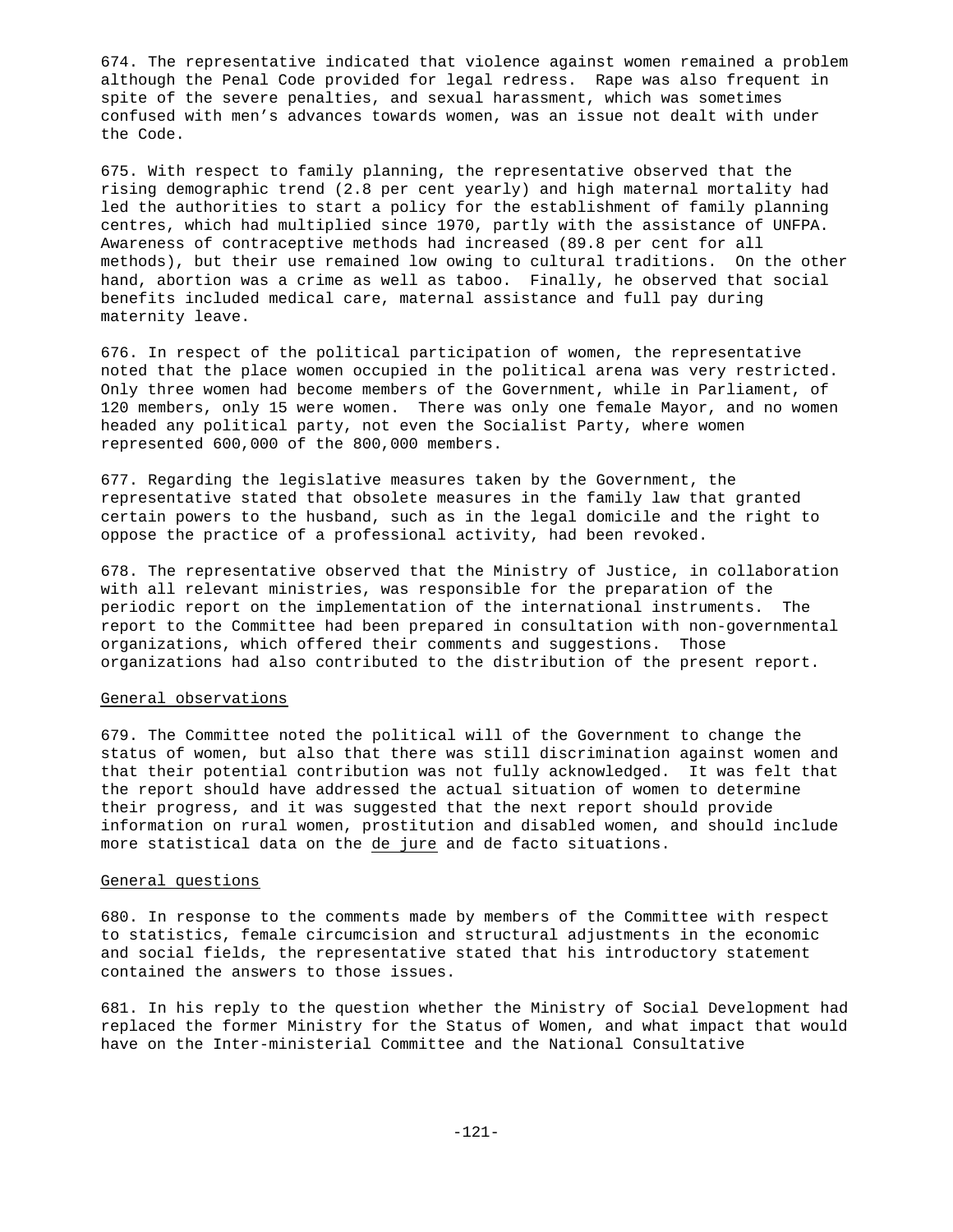674. The representative indicated that violence against women remained a problem although the Penal Code provided for legal redress. Rape was also frequent in spite of the severe penalties, and sexual harassment, which was sometimes confused with men's advances towards women, was an issue not dealt with under the Code.

675. With respect to family planning, the representative observed that the rising demographic trend (2.8 per cent yearly) and high maternal mortality had led the authorities to start a policy for the establishment of family planning centres, which had multiplied since 1970, partly with the assistance of UNFPA. Awareness of contraceptive methods had increased (89.8 per cent for all methods), but their use remained low owing to cultural traditions. On the other hand, abortion was a crime as well as taboo. Finally, he observed that social benefits included medical care, maternal assistance and full pay during maternity leave.

676. In respect of the political participation of women, the representative noted that the place women occupied in the political arena was very restricted. Only three women had become members of the Government, while in Parliament, of 120 members, only 15 were women. There was only one female Mayor, and no women headed any political party, not even the Socialist Party, where women represented 600,000 of the 800,000 members.

677. Regarding the legislative measures taken by the Government, the representative stated that obsolete measures in the family law that granted certain powers to the husband, such as in the legal domicile and the right to oppose the practice of a professional activity, had been revoked.

678. The representative observed that the Ministry of Justice, in collaboration with all relevant ministries, was responsible for the preparation of the periodic report on the implementation of the international instruments. The report to the Committee had been prepared in consultation with non-governmental organizations, which offered their comments and suggestions. Those organizations had also contributed to the distribution of the present report.

### General observations

679. The Committee noted the political will of the Government to change the status of women, but also that there was still discrimination against women and that their potential contribution was not fully acknowledged. It was felt that the report should have addressed the actual situation of women to determine their progress, and it was suggested that the next report should provide information on rural women, prostitution and disabled women, and should include more statistical data on the de jure and de facto situations.

## General questions

680. In response to the comments made by members of the Committee with respect to statistics, female circumcision and structural adjustments in the economic and social fields, the representative stated that his introductory statement contained the answers to those issues.

681. In his reply to the question whether the Ministry of Social Development had replaced the former Ministry for the Status of Women, and what impact that would have on the Inter-ministerial Committee and the National Consultative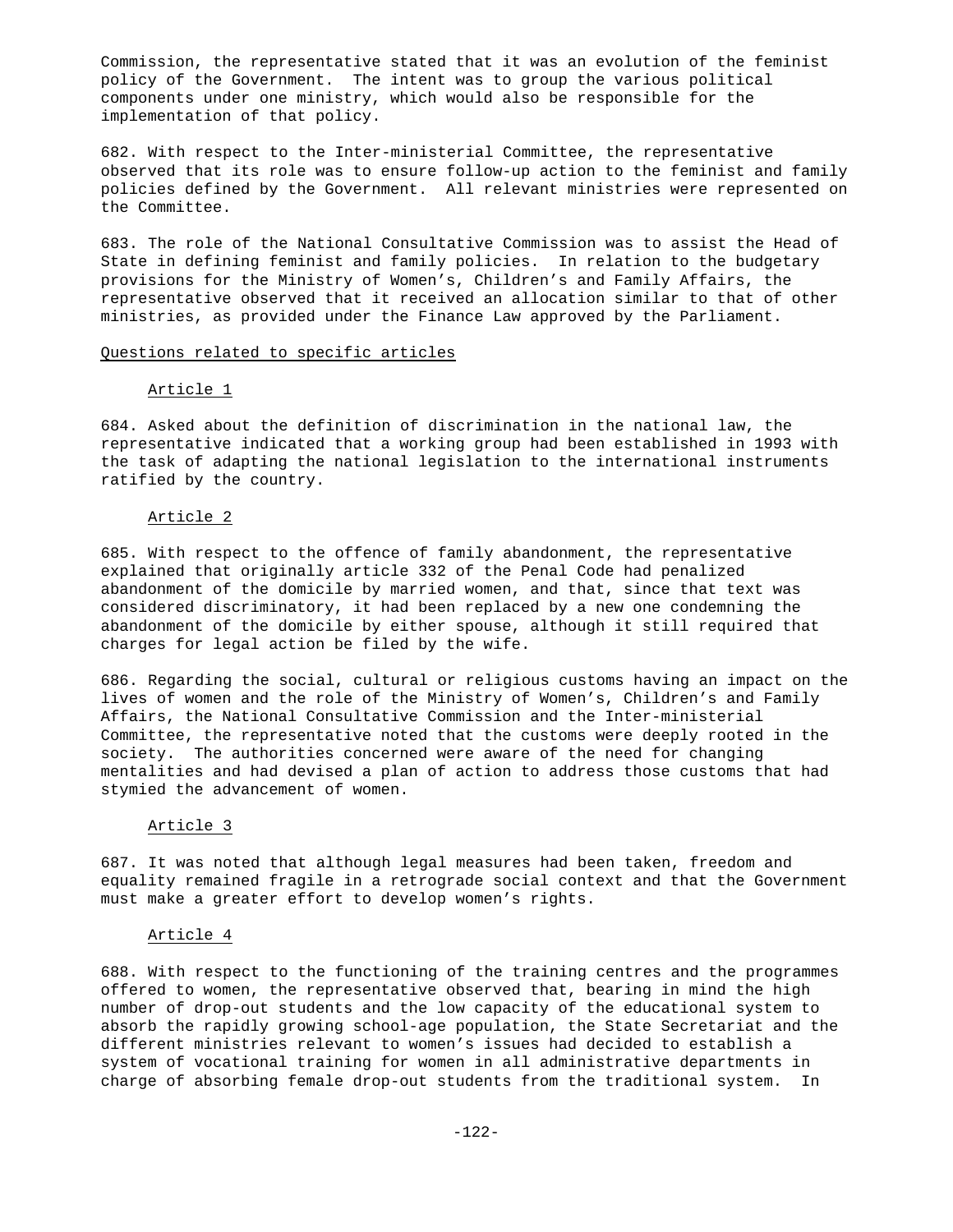Commission, the representative stated that it was an evolution of the feminist policy of the Government. The intent was to group the various political components under one ministry, which would also be responsible for the implementation of that policy.

682. With respect to the Inter-ministerial Committee, the representative observed that its role was to ensure follow-up action to the feminist and family policies defined by the Government. All relevant ministries were represented on the Committee.

683. The role of the National Consultative Commission was to assist the Head of State in defining feminist and family policies. In relation to the budgetary provisions for the Ministry of Women's, Children's and Family Affairs, the representative observed that it received an allocation similar to that of other ministries, as provided under the Finance Law approved by the Parliament.

### Questions related to specific articles

### Article 1

684. Asked about the definition of discrimination in the national law, the representative indicated that a working group had been established in 1993 with the task of adapting the national legislation to the international instruments ratified by the country.

#### Article 2

685. With respect to the offence of family abandonment, the representative explained that originally article 332 of the Penal Code had penalized abandonment of the domicile by married women, and that, since that text was considered discriminatory, it had been replaced by a new one condemning the abandonment of the domicile by either spouse, although it still required that charges for legal action be filed by the wife.

686. Regarding the social, cultural or religious customs having an impact on the lives of women and the role of the Ministry of Women's, Children's and Family Affairs, the National Consultative Commission and the Inter-ministerial Committee, the representative noted that the customs were deeply rooted in the society. The authorities concerned were aware of the need for changing mentalities and had devised a plan of action to address those customs that had stymied the advancement of women.

### Article 3

687. It was noted that although legal measures had been taken, freedom and equality remained fragile in a retrograde social context and that the Government must make a greater effort to develop women's rights.

## Article 4

688. With respect to the functioning of the training centres and the programmes offered to women, the representative observed that, bearing in mind the high number of drop-out students and the low capacity of the educational system to absorb the rapidly growing school-age population, the State Secretariat and the different ministries relevant to women's issues had decided to establish a system of vocational training for women in all administrative departments in charge of absorbing female drop-out students from the traditional system. In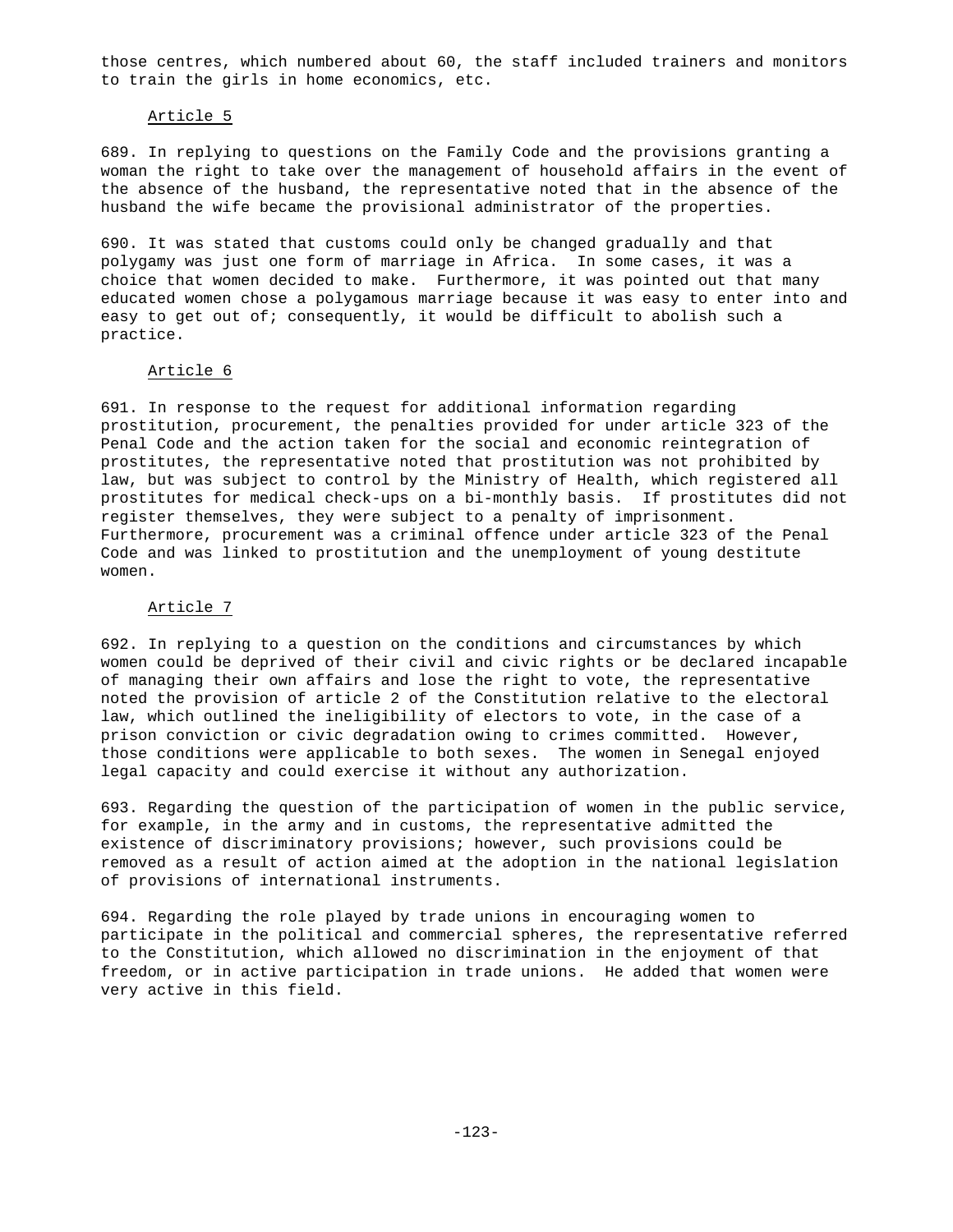those centres, which numbered about 60, the staff included trainers and monitors to train the girls in home economics, etc.

### Article 5

689. In replying to questions on the Family Code and the provisions granting a woman the right to take over the management of household affairs in the event of the absence of the husband, the representative noted that in the absence of the husband the wife became the provisional administrator of the properties.

690. It was stated that customs could only be changed gradually and that polygamy was just one form of marriage in Africa. In some cases, it was a choice that women decided to make. Furthermore, it was pointed out that many educated women chose a polygamous marriage because it was easy to enter into and easy to get out of; consequently, it would be difficult to abolish such a practice.

# Article 6

691. In response to the request for additional information regarding prostitution, procurement, the penalties provided for under article 323 of the Penal Code and the action taken for the social and economic reintegration of prostitutes, the representative noted that prostitution was not prohibited by law, but was subject to control by the Ministry of Health, which registered all prostitutes for medical check-ups on a bi-monthly basis. If prostitutes did not register themselves, they were subject to a penalty of imprisonment. Furthermore, procurement was a criminal offence under article 323 of the Penal Code and was linked to prostitution and the unemployment of young destitute women.

## Article 7

692. In replying to a question on the conditions and circumstances by which women could be deprived of their civil and civic rights or be declared incapable of managing their own affairs and lose the right to vote, the representative noted the provision of article 2 of the Constitution relative to the electoral law, which outlined the ineligibility of electors to vote, in the case of a prison conviction or civic degradation owing to crimes committed. However, those conditions were applicable to both sexes. The women in Senegal enjoyed legal capacity and could exercise it without any authorization.

693. Regarding the question of the participation of women in the public service, for example, in the army and in customs, the representative admitted the existence of discriminatory provisions; however, such provisions could be removed as a result of action aimed at the adoption in the national legislation of provisions of international instruments.

694. Regarding the role played by trade unions in encouraging women to participate in the political and commercial spheres, the representative referred to the Constitution, which allowed no discrimination in the enjoyment of that freedom, or in active participation in trade unions. He added that women were very active in this field.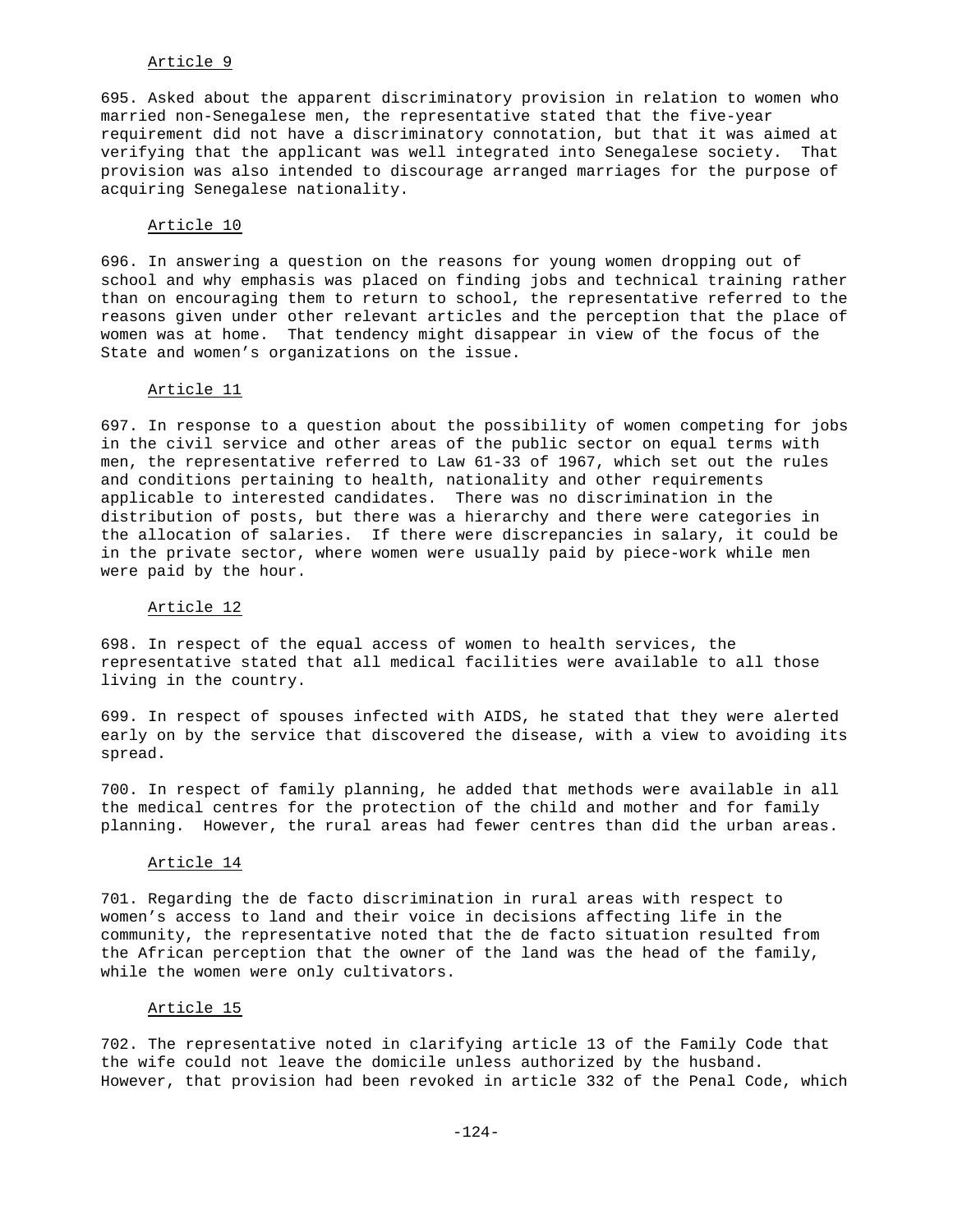# Article 9

695. Asked about the apparent discriminatory provision in relation to women who married non-Senegalese men, the representative stated that the five-year requirement did not have a discriminatory connotation, but that it was aimed at verifying that the applicant was well integrated into Senegalese society. That provision was also intended to discourage arranged marriages for the purpose of acquiring Senegalese nationality.

#### Article 10

696. In answering a question on the reasons for young women dropping out of school and why emphasis was placed on finding jobs and technical training rather than on encouraging them to return to school, the representative referred to the reasons given under other relevant articles and the perception that the place of women was at home. That tendency might disappear in view of the focus of the State and women's organizations on the issue.

#### Article 11

697. In response to a question about the possibility of women competing for jobs in the civil service and other areas of the public sector on equal terms with men, the representative referred to Law 61-33 of 1967, which set out the rules and conditions pertaining to health, nationality and other requirements applicable to interested candidates. There was no discrimination in the distribution of posts, but there was a hierarchy and there were categories in the allocation of salaries. If there were discrepancies in salary, it could be in the private sector, where women were usually paid by piece-work while men were paid by the hour.

#### Article 12

698. In respect of the equal access of women to health services, the representative stated that all medical facilities were available to all those living in the country.

699. In respect of spouses infected with AIDS, he stated that they were alerted early on by the service that discovered the disease, with a view to avoiding its spread.

700. In respect of family planning, he added that methods were available in all the medical centres for the protection of the child and mother and for family planning. However, the rural areas had fewer centres than did the urban areas.

## Article 14

701. Regarding the de facto discrimination in rural areas with respect to women's access to land and their voice in decisions affecting life in the community, the representative noted that the de facto situation resulted from the African perception that the owner of the land was the head of the family, while the women were only cultivators.

#### Article 15

702. The representative noted in clarifying article 13 of the Family Code that the wife could not leave the domicile unless authorized by the husband. However, that provision had been revoked in article 332 of the Penal Code, which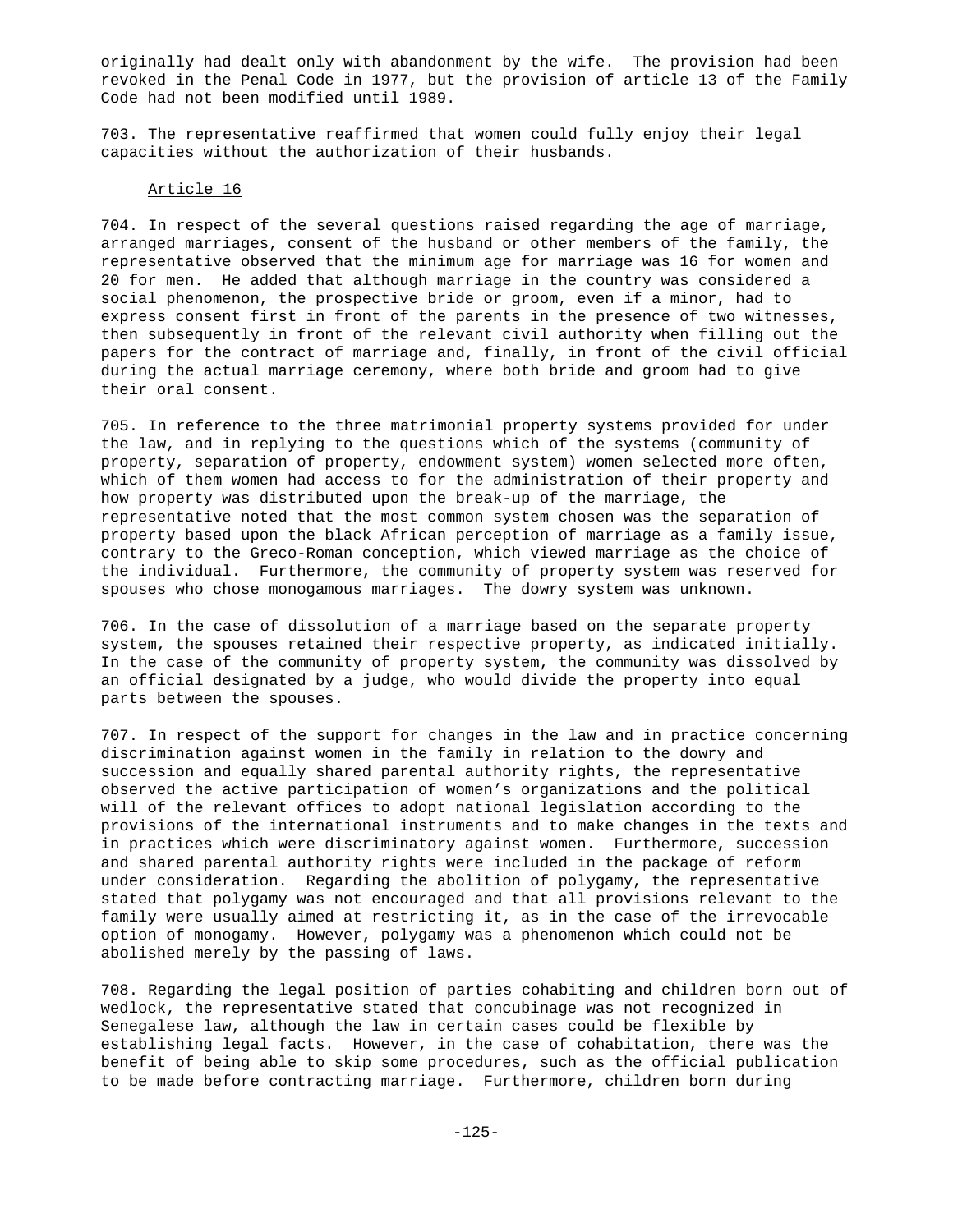originally had dealt only with abandonment by the wife. The provision had been revoked in the Penal Code in 1977, but the provision of article 13 of the Family Code had not been modified until 1989.

703. The representative reaffirmed that women could fully enjoy their legal capacities without the authorization of their husbands.

# Article 16

704. In respect of the several questions raised regarding the age of marriage, arranged marriages, consent of the husband or other members of the family, the representative observed that the minimum age for marriage was 16 for women and 20 for men. He added that although marriage in the country was considered a social phenomenon, the prospective bride or groom, even if a minor, had to express consent first in front of the parents in the presence of two witnesses, then subsequently in front of the relevant civil authority when filling out the papers for the contract of marriage and, finally, in front of the civil official during the actual marriage ceremony, where both bride and groom had to give their oral consent.

705. In reference to the three matrimonial property systems provided for under the law, and in replying to the questions which of the systems (community of property, separation of property, endowment system) women selected more often, which of them women had access to for the administration of their property and how property was distributed upon the break-up of the marriage, the representative noted that the most common system chosen was the separation of property based upon the black African perception of marriage as a family issue, contrary to the Greco-Roman conception, which viewed marriage as the choice of the individual. Furthermore, the community of property system was reserved for spouses who chose monogamous marriages. The dowry system was unknown.

706. In the case of dissolution of a marriage based on the separate property system, the spouses retained their respective property, as indicated initially. In the case of the community of property system, the community was dissolved by an official designated by a judge, who would divide the property into equal parts between the spouses.

707. In respect of the support for changes in the law and in practice concerning discrimination against women in the family in relation to the dowry and succession and equally shared parental authority rights, the representative observed the active participation of women's organizations and the political will of the relevant offices to adopt national legislation according to the provisions of the international instruments and to make changes in the texts and in practices which were discriminatory against women. Furthermore, succession and shared parental authority rights were included in the package of reform under consideration. Regarding the abolition of polygamy, the representative stated that polygamy was not encouraged and that all provisions relevant to the family were usually aimed at restricting it, as in the case of the irrevocable option of monogamy. However, polygamy was a phenomenon which could not be abolished merely by the passing of laws.

708. Regarding the legal position of parties cohabiting and children born out of wedlock, the representative stated that concubinage was not recognized in Senegalese law, although the law in certain cases could be flexible by establishing legal facts. However, in the case of cohabitation, there was the benefit of being able to skip some procedures, such as the official publication to be made before contracting marriage. Furthermore, children born during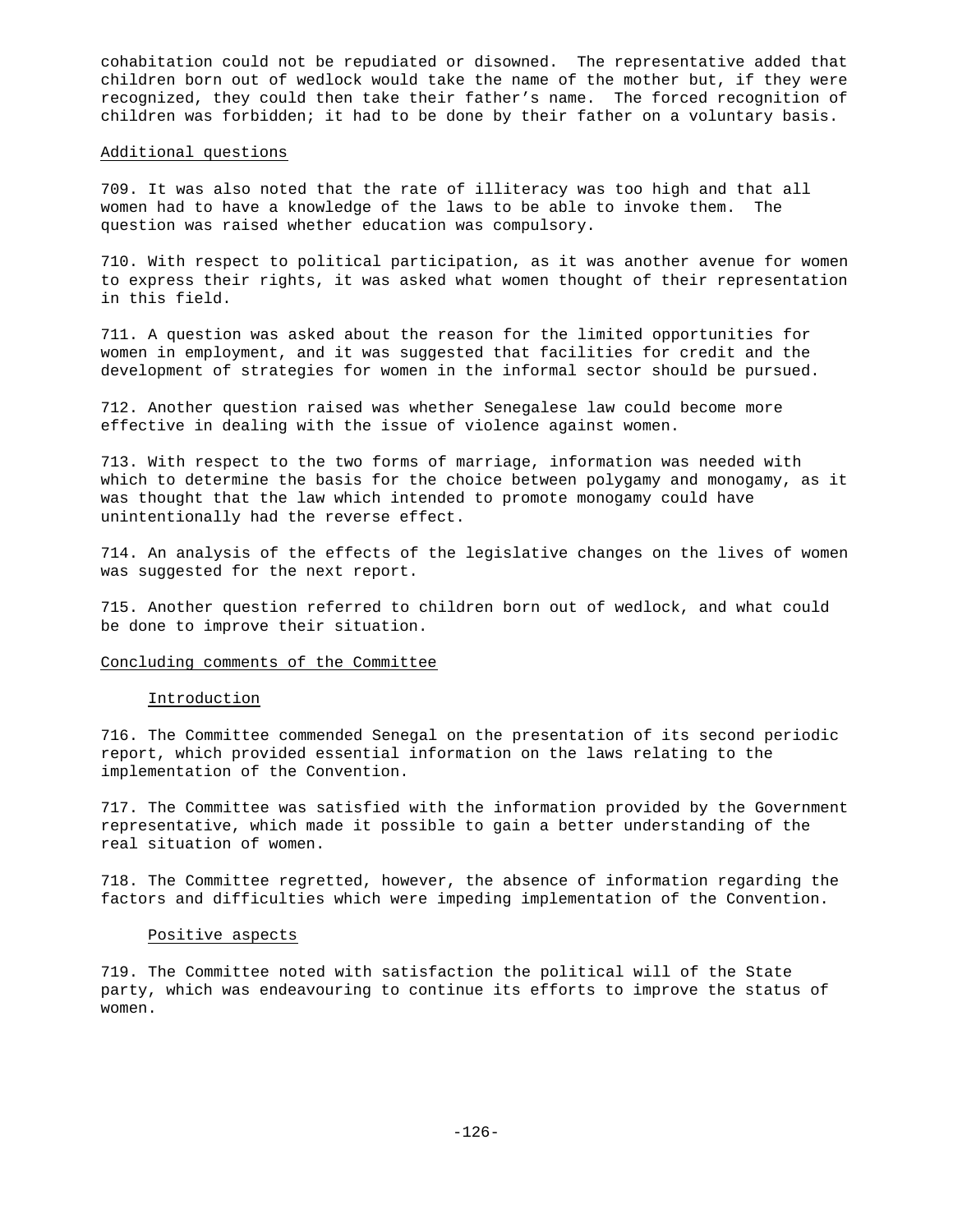cohabitation could not be repudiated or disowned. The representative added that children born out of wedlock would take the name of the mother but, if they were recognized, they could then take their father's name. The forced recognition of children was forbidden; it had to be done by their father on a voluntary basis.

## Additional questions

709. It was also noted that the rate of illiteracy was too high and that all women had to have a knowledge of the laws to be able to invoke them. The question was raised whether education was compulsory.

710. With respect to political participation, as it was another avenue for women to express their rights, it was asked what women thought of their representation in this field.

711. A question was asked about the reason for the limited opportunities for women in employment, and it was suggested that facilities for credit and the development of strategies for women in the informal sector should be pursued.

712. Another question raised was whether Senegalese law could become more effective in dealing with the issue of violence against women.

713. With respect to the two forms of marriage, information was needed with which to determine the basis for the choice between polygamy and monogamy, as it was thought that the law which intended to promote monogamy could have unintentionally had the reverse effect.

714. An analysis of the effects of the legislative changes on the lives of women was suggested for the next report.

715. Another question referred to children born out of wedlock, and what could be done to improve their situation.

### Concluding comments of the Committee

# Introduction

716. The Committee commended Senegal on the presentation of its second periodic report, which provided essential information on the laws relating to the implementation of the Convention.

717. The Committee was satisfied with the information provided by the Government representative, which made it possible to gain a better understanding of the real situation of women.

718. The Committee regretted, however, the absence of information regarding the factors and difficulties which were impeding implementation of the Convention.

#### Positive aspects

719. The Committee noted with satisfaction the political will of the State party, which was endeavouring to continue its efforts to improve the status of women.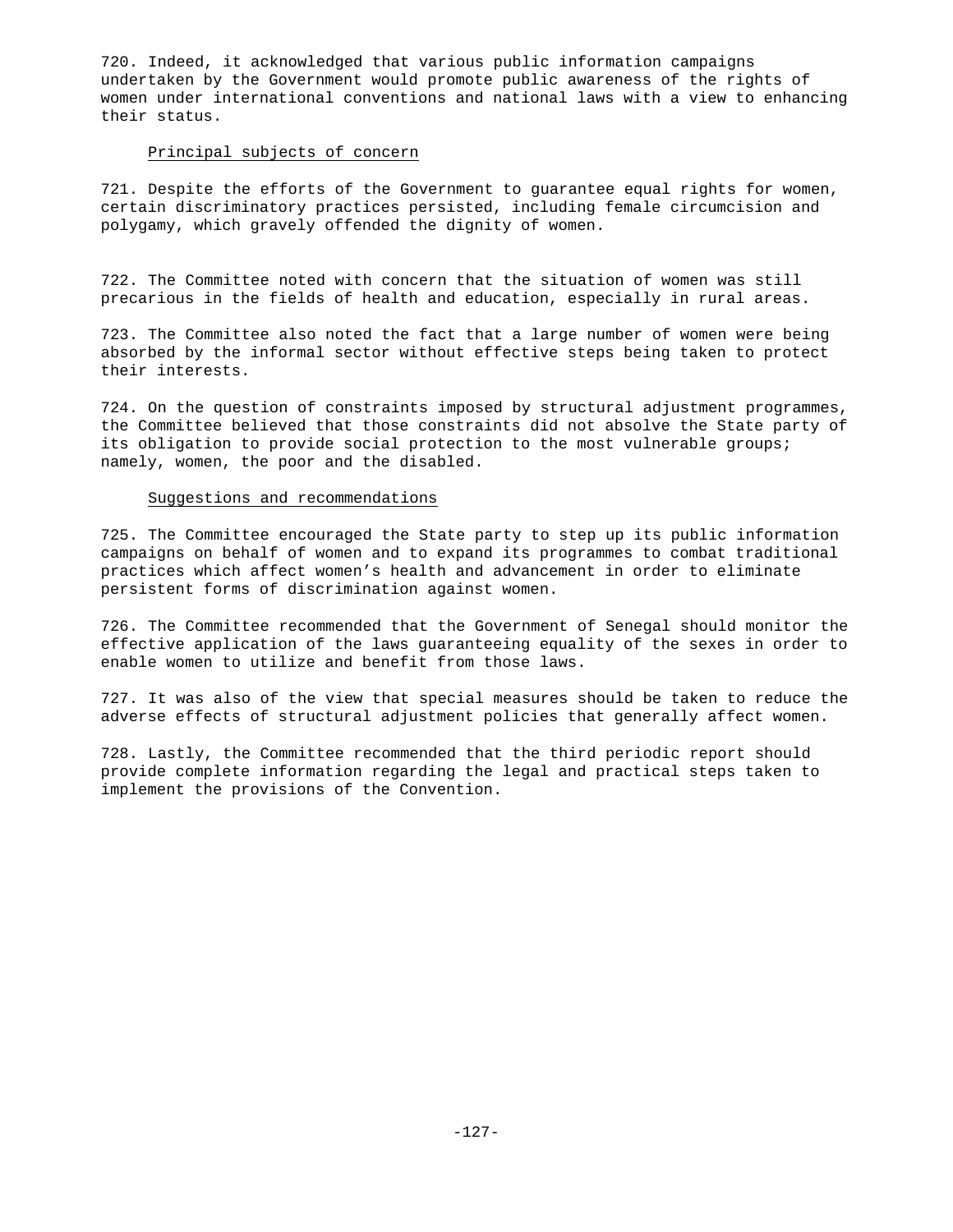720. Indeed, it acknowledged that various public information campaigns undertaken by the Government would promote public awareness of the rights of women under international conventions and national laws with a view to enhancing their status.

## Principal subjects of concern

721. Despite the efforts of the Government to guarantee equal rights for women, certain discriminatory practices persisted, including female circumcision and polygamy, which gravely offended the dignity of women.

722. The Committee noted with concern that the situation of women was still precarious in the fields of health and education, especially in rural areas.

723. The Committee also noted the fact that a large number of women were being absorbed by the informal sector without effective steps being taken to protect their interests.

724. On the question of constraints imposed by structural adjustment programmes, the Committee believed that those constraints did not absolve the State party of its obligation to provide social protection to the most vulnerable groups; namely, women, the poor and the disabled.

#### Suggestions and recommendations

725. The Committee encouraged the State party to step up its public information campaigns on behalf of women and to expand its programmes to combat traditional practices which affect women's health and advancement in order to eliminate persistent forms of discrimination against women.

726. The Committee recommended that the Government of Senegal should monitor the effective application of the laws guaranteeing equality of the sexes in order to enable women to utilize and benefit from those laws.

727. It was also of the view that special measures should be taken to reduce the adverse effects of structural adjustment policies that generally affect women.

728. Lastly, the Committee recommended that the third periodic report should provide complete information regarding the legal and practical steps taken to implement the provisions of the Convention.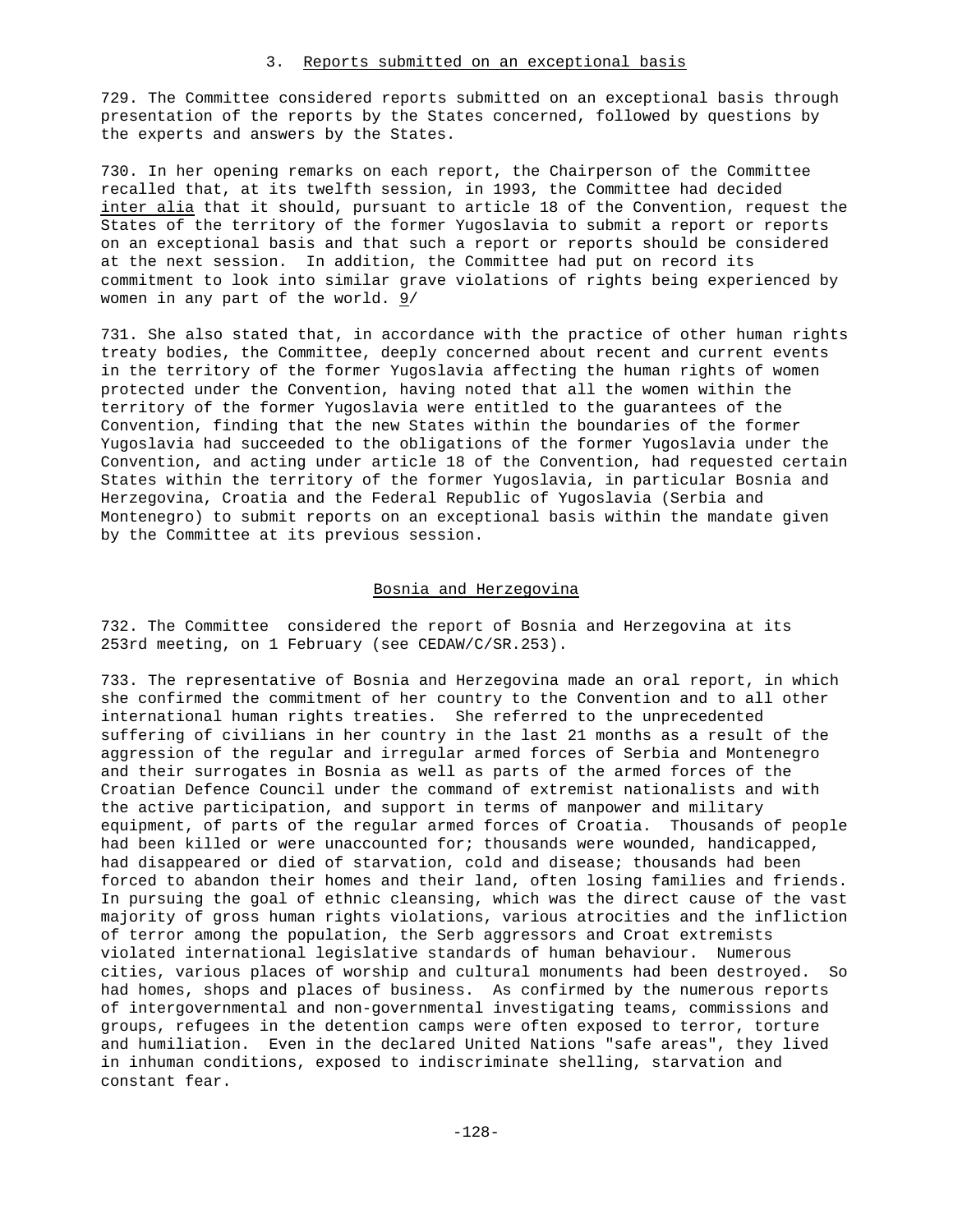## 3. Reports submitted on an exceptional basis

729. The Committee considered reports submitted on an exceptional basis through presentation of the reports by the States concerned, followed by questions by the experts and answers by the States.

730. In her opening remarks on each report, the Chairperson of the Committee recalled that, at its twelfth session, in 1993, the Committee had decided inter alia that it should, pursuant to article 18 of the Convention, request the States of the territory of the former Yugoslavia to submit a report or reports on an exceptional basis and that such a report or reports should be considered at the next session. In addition, the Committee had put on record its commitment to look into similar grave violations of rights being experienced by women in any part of the world. 9/

731. She also stated that, in accordance with the practice of other human rights treaty bodies, the Committee, deeply concerned about recent and current events in the territory of the former Yugoslavia affecting the human rights of women protected under the Convention, having noted that all the women within the territory of the former Yugoslavia were entitled to the guarantees of the Convention, finding that the new States within the boundaries of the former Yugoslavia had succeeded to the obligations of the former Yugoslavia under the Convention, and acting under article 18 of the Convention, had requested certain States within the territory of the former Yugoslavia, in particular Bosnia and Herzegovina, Croatia and the Federal Republic of Yugoslavia (Serbia and Montenegro) to submit reports on an exceptional basis within the mandate given by the Committee at its previous session.

## Bosnia and Herzegovina

732. The Committee considered the report of Bosnia and Herzegovina at its 253rd meeting, on 1 February (see CEDAW/C/SR.253).

733. The representative of Bosnia and Herzegovina made an oral report, in which she confirmed the commitment of her country to the Convention and to all other international human rights treaties. She referred to the unprecedented suffering of civilians in her country in the last 21 months as a result of the aggression of the regular and irregular armed forces of Serbia and Montenegro and their surrogates in Bosnia as well as parts of the armed forces of the Croatian Defence Council under the command of extremist nationalists and with the active participation, and support in terms of manpower and military equipment, of parts of the regular armed forces of Croatia. Thousands of people had been killed or were unaccounted for; thousands were wounded, handicapped, had disappeared or died of starvation, cold and disease; thousands had been forced to abandon their homes and their land, often losing families and friends. In pursuing the goal of ethnic cleansing, which was the direct cause of the vast majority of gross human rights violations, various atrocities and the infliction of terror among the population, the Serb aggressors and Croat extremists violated international legislative standards of human behaviour. Numerous cities, various places of worship and cultural monuments had been destroyed. So had homes, shops and places of business. As confirmed by the numerous reports of intergovernmental and non-governmental investigating teams, commissions and groups, refugees in the detention camps were often exposed to terror, torture and humiliation. Even in the declared United Nations "safe areas", they lived in inhuman conditions, exposed to indiscriminate shelling, starvation and constant fear.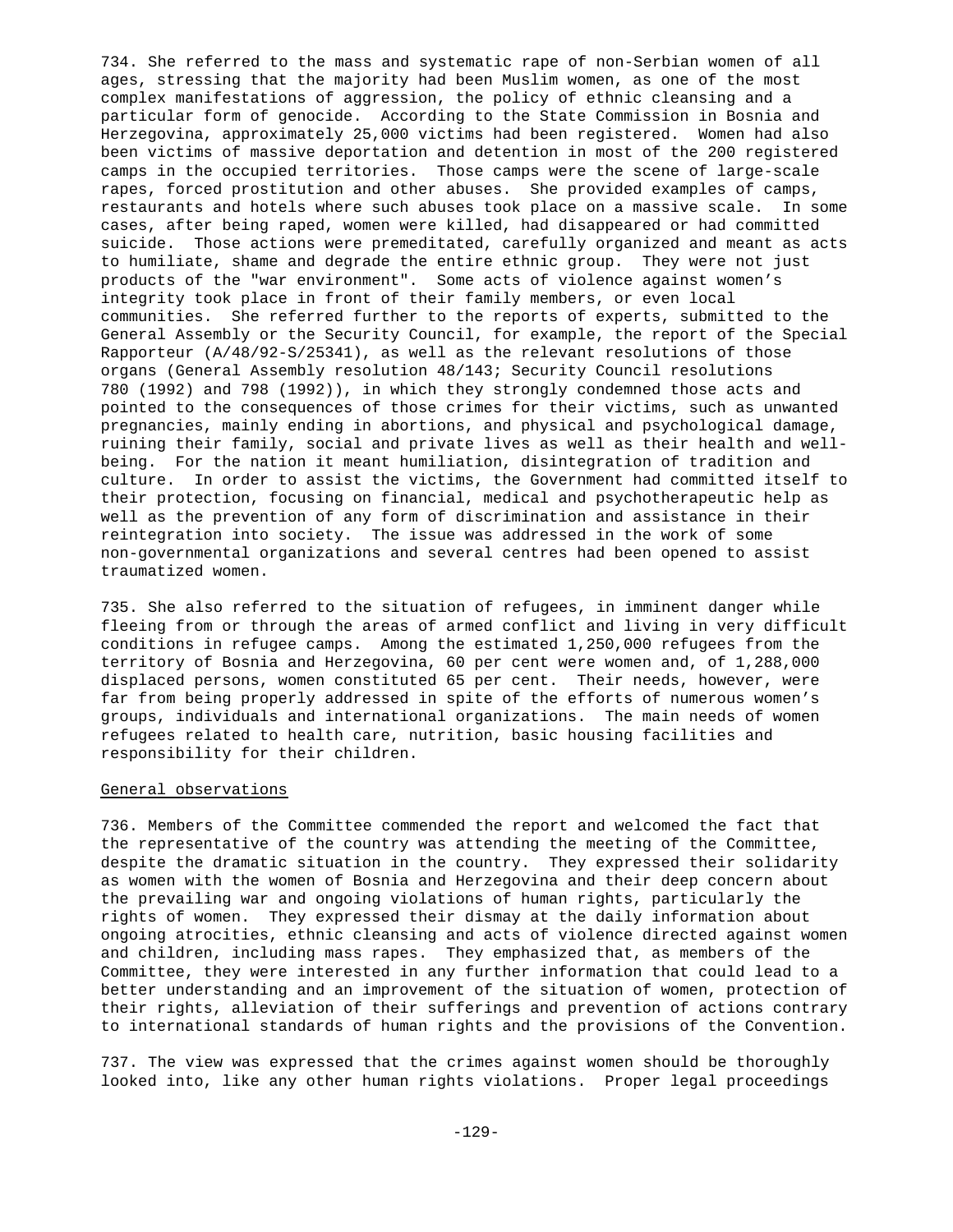734. She referred to the mass and systematic rape of non-Serbian women of all ages, stressing that the majority had been Muslim women, as one of the most complex manifestations of aggression, the policy of ethnic cleansing and a particular form of genocide. According to the State Commission in Bosnia and Herzegovina, approximately 25,000 victims had been registered. Women had also been victims of massive deportation and detention in most of the 200 registered camps in the occupied territories. Those camps were the scene of large-scale rapes, forced prostitution and other abuses. She provided examples of camps, restaurants and hotels where such abuses took place on a massive scale. In some cases, after being raped, women were killed, had disappeared or had committed suicide. Those actions were premeditated, carefully organized and meant as acts to humiliate, shame and degrade the entire ethnic group. They were not just products of the "war environment". Some acts of violence against women's integrity took place in front of their family members, or even local communities. She referred further to the reports of experts, submitted to the General Assembly or the Security Council, for example, the report of the Special Rapporteur (A/48/92-S/25341), as well as the relevant resolutions of those organs (General Assembly resolution 48/143; Security Council resolutions 780 (1992) and 798 (1992)), in which they strongly condemned those acts and pointed to the consequences of those crimes for their victims, such as unwanted pregnancies, mainly ending in abortions, and physical and psychological damage, ruining their family, social and private lives as well as their health and wellbeing. For the nation it meant humiliation, disintegration of tradition and culture. In order to assist the victims, the Government had committed itself to their protection, focusing on financial, medical and psychotherapeutic help as well as the prevention of any form of discrimination and assistance in their reintegration into society. The issue was addressed in the work of some non-governmental organizations and several centres had been opened to assist traumatized women.

735. She also referred to the situation of refugees, in imminent danger while fleeing from or through the areas of armed conflict and living in very difficult conditions in refugee camps. Among the estimated 1,250,000 refugees from the territory of Bosnia and Herzegovina, 60 per cent were women and, of 1,288,000 displaced persons, women constituted 65 per cent. Their needs, however, were far from being properly addressed in spite of the efforts of numerous women's groups, individuals and international organizations. The main needs of women refugees related to health care, nutrition, basic housing facilities and responsibility for their children.

### General observations

736. Members of the Committee commended the report and welcomed the fact that the representative of the country was attending the meeting of the Committee, despite the dramatic situation in the country. They expressed their solidarity as women with the women of Bosnia and Herzegovina and their deep concern about the prevailing war and ongoing violations of human rights, particularly the rights of women. They expressed their dismay at the daily information about ongoing atrocities, ethnic cleansing and acts of violence directed against women and children, including mass rapes. They emphasized that, as members of the Committee, they were interested in any further information that could lead to a better understanding and an improvement of the situation of women, protection of their rights, alleviation of their sufferings and prevention of actions contrary to international standards of human rights and the provisions of the Convention.

737. The view was expressed that the crimes against women should be thoroughly looked into, like any other human rights violations. Proper legal proceedings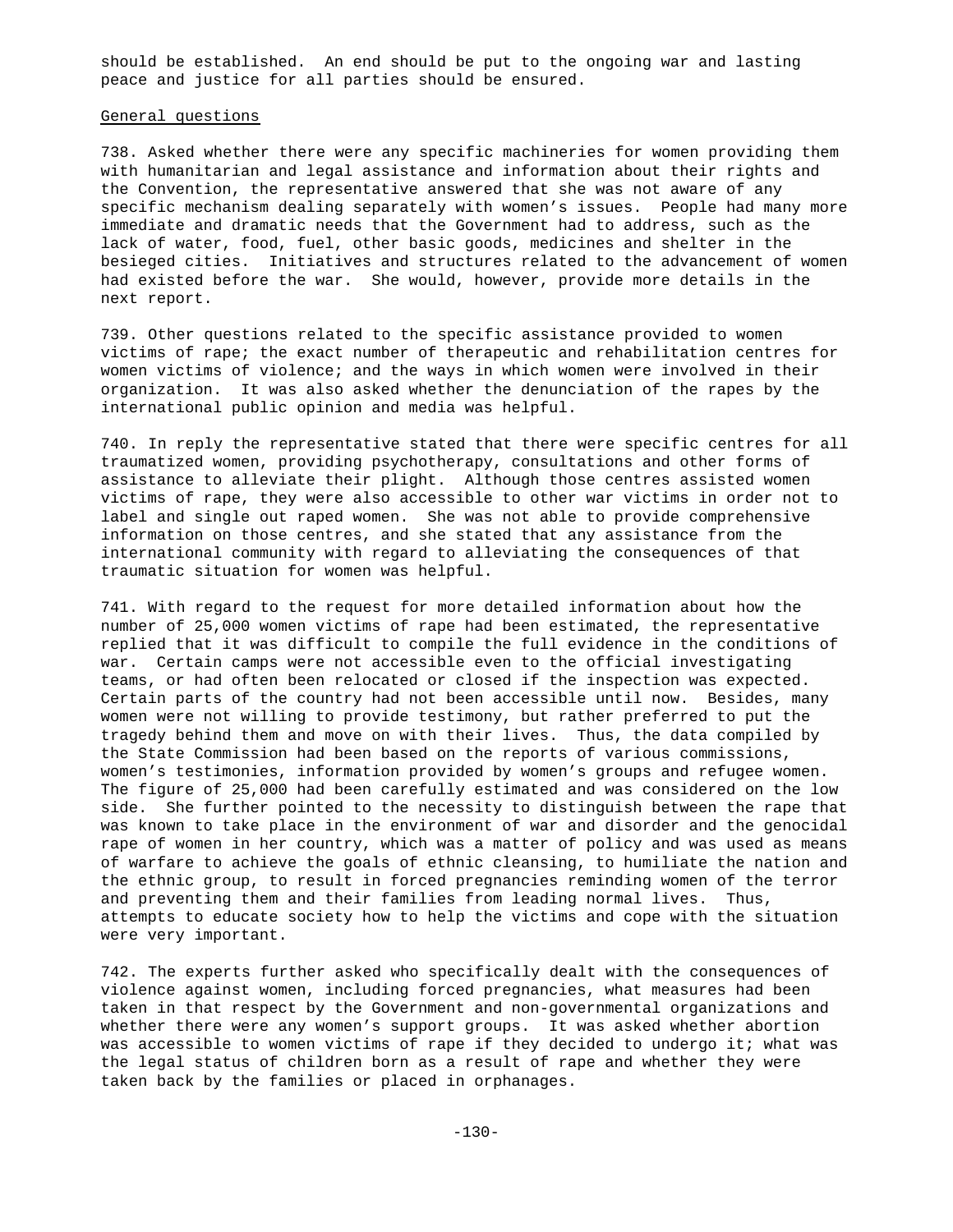should be established. An end should be put to the ongoing war and lasting peace and justice for all parties should be ensured.

#### General questions

738. Asked whether there were any specific machineries for women providing them with humanitarian and legal assistance and information about their rights and the Convention, the representative answered that she was not aware of any specific mechanism dealing separately with women's issues. People had many more immediate and dramatic needs that the Government had to address, such as the lack of water, food, fuel, other basic goods, medicines and shelter in the besieged cities. Initiatives and structures related to the advancement of women had existed before the war. She would, however, provide more details in the next report.

739. Other questions related to the specific assistance provided to women victims of rape; the exact number of therapeutic and rehabilitation centres for women victims of violence; and the ways in which women were involved in their organization. It was also asked whether the denunciation of the rapes by the international public opinion and media was helpful.

740. In reply the representative stated that there were specific centres for all traumatized women, providing psychotherapy, consultations and other forms of assistance to alleviate their plight. Although those centres assisted women victims of rape, they were also accessible to other war victims in order not to label and single out raped women. She was not able to provide comprehensive information on those centres, and she stated that any assistance from the international community with regard to alleviating the consequences of that traumatic situation for women was helpful.

741. With regard to the request for more detailed information about how the number of 25,000 women victims of rape had been estimated, the representative replied that it was difficult to compile the full evidence in the conditions of war. Certain camps were not accessible even to the official investigating teams, or had often been relocated or closed if the inspection was expected. Certain parts of the country had not been accessible until now. Besides, many women were not willing to provide testimony, but rather preferred to put the tragedy behind them and move on with their lives. Thus, the data compiled by the State Commission had been based on the reports of various commissions, women's testimonies, information provided by women's groups and refugee women. The figure of 25,000 had been carefully estimated and was considered on the low side. She further pointed to the necessity to distinguish between the rape that was known to take place in the environment of war and disorder and the genocidal rape of women in her country, which was a matter of policy and was used as means of warfare to achieve the goals of ethnic cleansing, to humiliate the nation and the ethnic group, to result in forced pregnancies reminding women of the terror and preventing them and their families from leading normal lives. Thus, attempts to educate society how to help the victims and cope with the situation were very important.

742. The experts further asked who specifically dealt with the consequences of violence against women, including forced pregnancies, what measures had been taken in that respect by the Government and non-governmental organizations and whether there were any women's support groups. It was asked whether abortion was accessible to women victims of rape if they decided to undergo it; what was the legal status of children born as a result of rape and whether they were taken back by the families or placed in orphanages.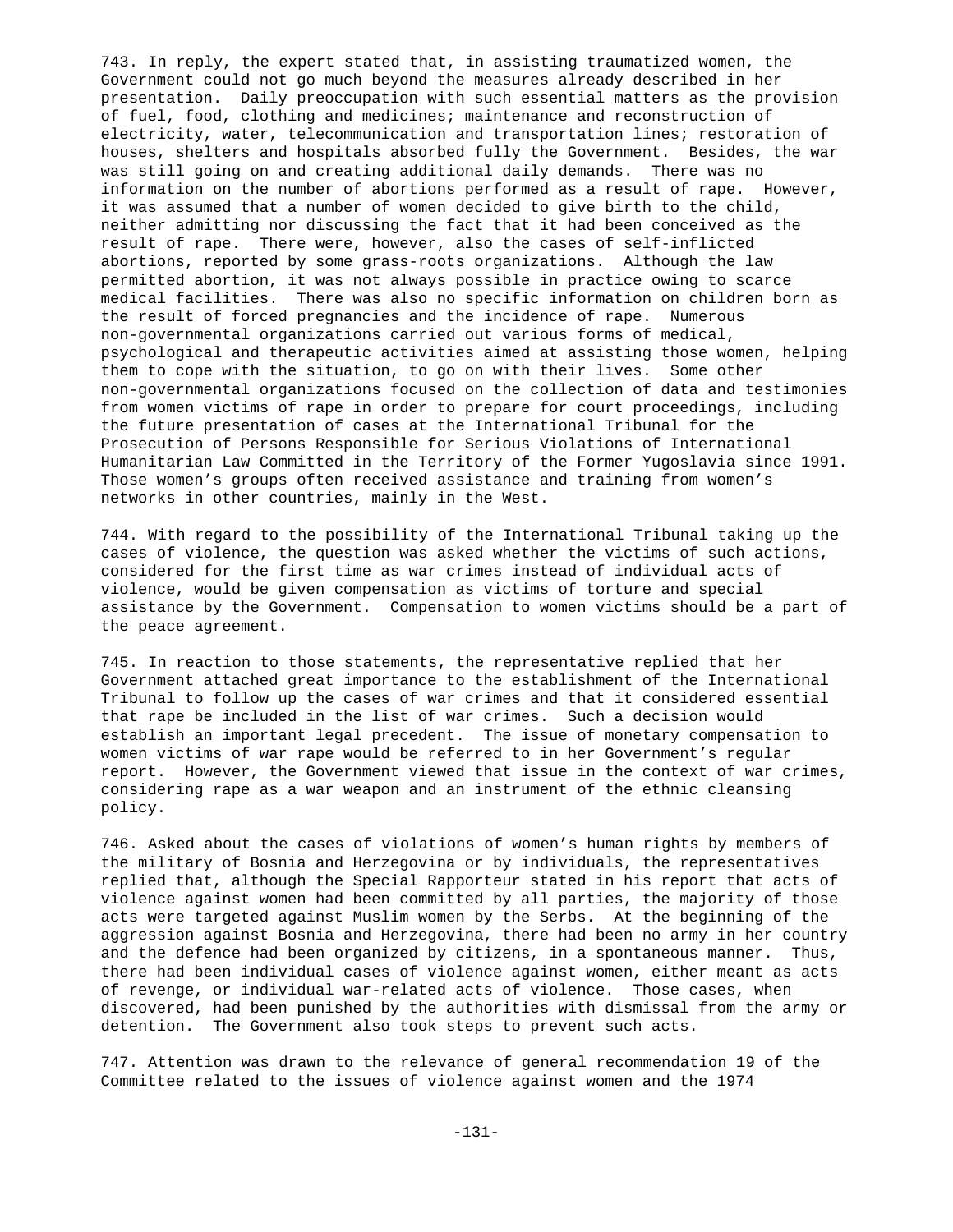743. In reply, the expert stated that, in assisting traumatized women, the Government could not go much beyond the measures already described in her presentation. Daily preoccupation with such essential matters as the provision of fuel, food, clothing and medicines; maintenance and reconstruction of electricity, water, telecommunication and transportation lines; restoration of houses, shelters and hospitals absorbed fully the Government. Besides, the war was still going on and creating additional daily demands. There was no information on the number of abortions performed as a result of rape. However, it was assumed that a number of women decided to give birth to the child, neither admitting nor discussing the fact that it had been conceived as the result of rape. There were, however, also the cases of self-inflicted abortions, reported by some grass-roots organizations. Although the law permitted abortion, it was not always possible in practice owing to scarce medical facilities. There was also no specific information on children born as the result of forced pregnancies and the incidence of rape. Numerous non-governmental organizations carried out various forms of medical, psychological and therapeutic activities aimed at assisting those women, helping them to cope with the situation, to go on with their lives. Some other non-governmental organizations focused on the collection of data and testimonies from women victims of rape in order to prepare for court proceedings, including the future presentation of cases at the International Tribunal for the Prosecution of Persons Responsible for Serious Violations of International Humanitarian Law Committed in the Territory of the Former Yugoslavia since 1991. Those women's groups often received assistance and training from women's networks in other countries, mainly in the West.

744. With regard to the possibility of the International Tribunal taking up the cases of violence, the question was asked whether the victims of such actions, considered for the first time as war crimes instead of individual acts of violence, would be given compensation as victims of torture and special assistance by the Government. Compensation to women victims should be a part of the peace agreement.

745. In reaction to those statements, the representative replied that her Government attached great importance to the establishment of the International Tribunal to follow up the cases of war crimes and that it considered essential that rape be included in the list of war crimes. Such a decision would establish an important legal precedent. The issue of monetary compensation to women victims of war rape would be referred to in her Government's regular report. However, the Government viewed that issue in the context of war crimes, considering rape as a war weapon and an instrument of the ethnic cleansing policy.

746. Asked about the cases of violations of women's human rights by members of the military of Bosnia and Herzegovina or by individuals, the representatives replied that, although the Special Rapporteur stated in his report that acts of violence against women had been committed by all parties, the majority of those acts were targeted against Muslim women by the Serbs. At the beginning of the aggression against Bosnia and Herzegovina, there had been no army in her country and the defence had been organized by citizens, in a spontaneous manner. Thus, there had been individual cases of violence against women, either meant as acts of revenge, or individual war-related acts of violence. Those cases, when discovered, had been punished by the authorities with dismissal from the army or detention. The Government also took steps to prevent such acts.

747. Attention was drawn to the relevance of general recommendation 19 of the Committee related to the issues of violence against women and the 1974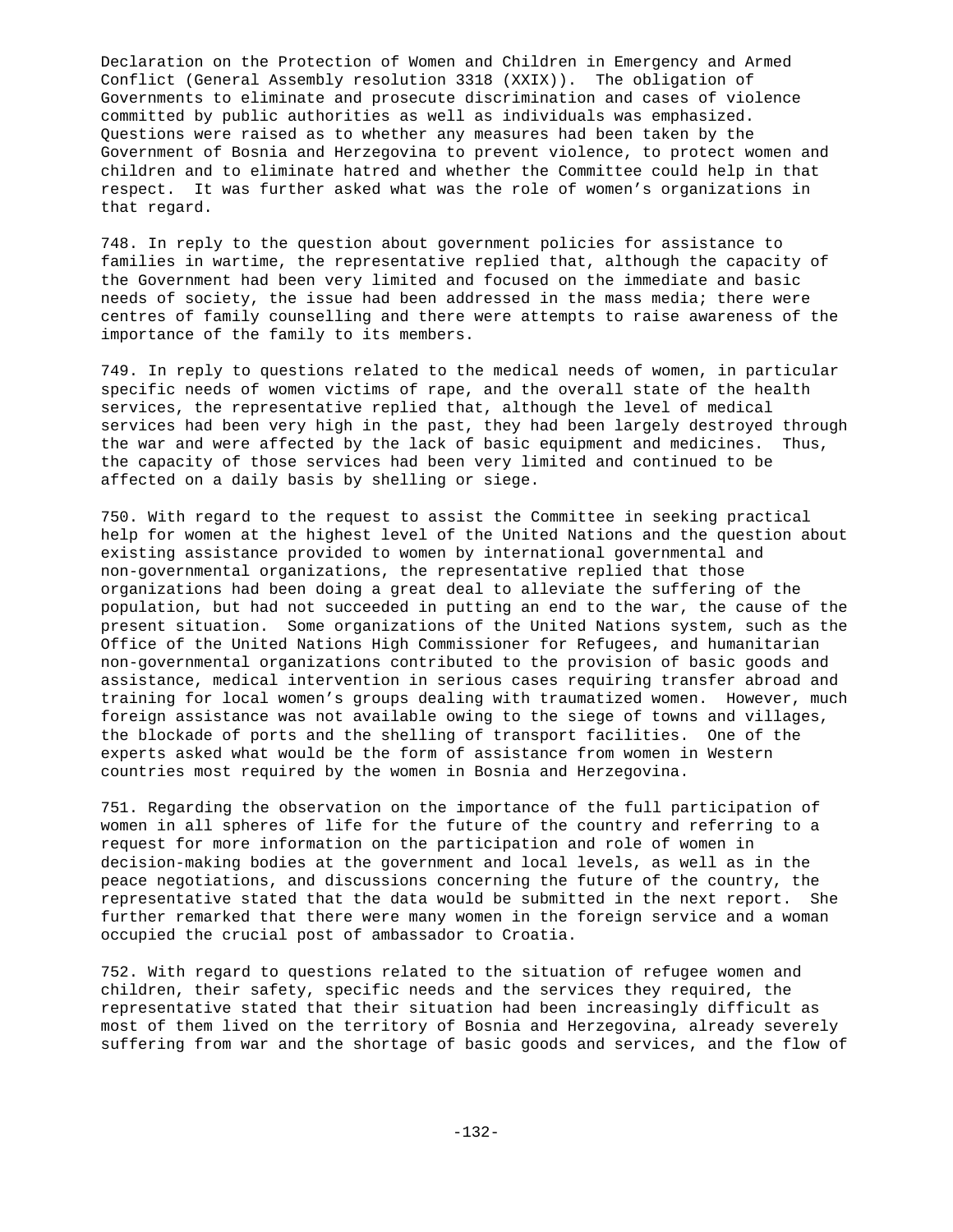Declaration on the Protection of Women and Children in Emergency and Armed Conflict (General Assembly resolution 3318 (XXIX)). The obligation of Governments to eliminate and prosecute discrimination and cases of violence committed by public authorities as well as individuals was emphasized. Questions were raised as to whether any measures had been taken by the Government of Bosnia and Herzegovina to prevent violence, to protect women and children and to eliminate hatred and whether the Committee could help in that respect. It was further asked what was the role of women's organizations in that regard.

748. In reply to the question about government policies for assistance to families in wartime, the representative replied that, although the capacity of the Government had been very limited and focused on the immediate and basic needs of society, the issue had been addressed in the mass media; there were centres of family counselling and there were attempts to raise awareness of the importance of the family to its members.

749. In reply to questions related to the medical needs of women, in particular specific needs of women victims of rape, and the overall state of the health services, the representative replied that, although the level of medical services had been very high in the past, they had been largely destroyed through the war and were affected by the lack of basic equipment and medicines. Thus, the capacity of those services had been very limited and continued to be affected on a daily basis by shelling or siege.

750. With regard to the request to assist the Committee in seeking practical help for women at the highest level of the United Nations and the question about existing assistance provided to women by international governmental and non-governmental organizations, the representative replied that those organizations had been doing a great deal to alleviate the suffering of the population, but had not succeeded in putting an end to the war, the cause of the present situation. Some organizations of the United Nations system, such as the Office of the United Nations High Commissioner for Refugees, and humanitarian non-governmental organizations contributed to the provision of basic goods and assistance, medical intervention in serious cases requiring transfer abroad and training for local women's groups dealing with traumatized women. However, much foreign assistance was not available owing to the siege of towns and villages, the blockade of ports and the shelling of transport facilities. One of the experts asked what would be the form of assistance from women in Western countries most required by the women in Bosnia and Herzegovina.

751. Regarding the observation on the importance of the full participation of women in all spheres of life for the future of the country and referring to a request for more information on the participation and role of women in decision-making bodies at the government and local levels, as well as in the peace negotiations, and discussions concerning the future of the country, the representative stated that the data would be submitted in the next report. She further remarked that there were many women in the foreign service and a woman occupied the crucial post of ambassador to Croatia.

752. With regard to questions related to the situation of refugee women and children, their safety, specific needs and the services they required, the representative stated that their situation had been increasingly difficult as most of them lived on the territory of Bosnia and Herzegovina, already severely suffering from war and the shortage of basic goods and services, and the flow of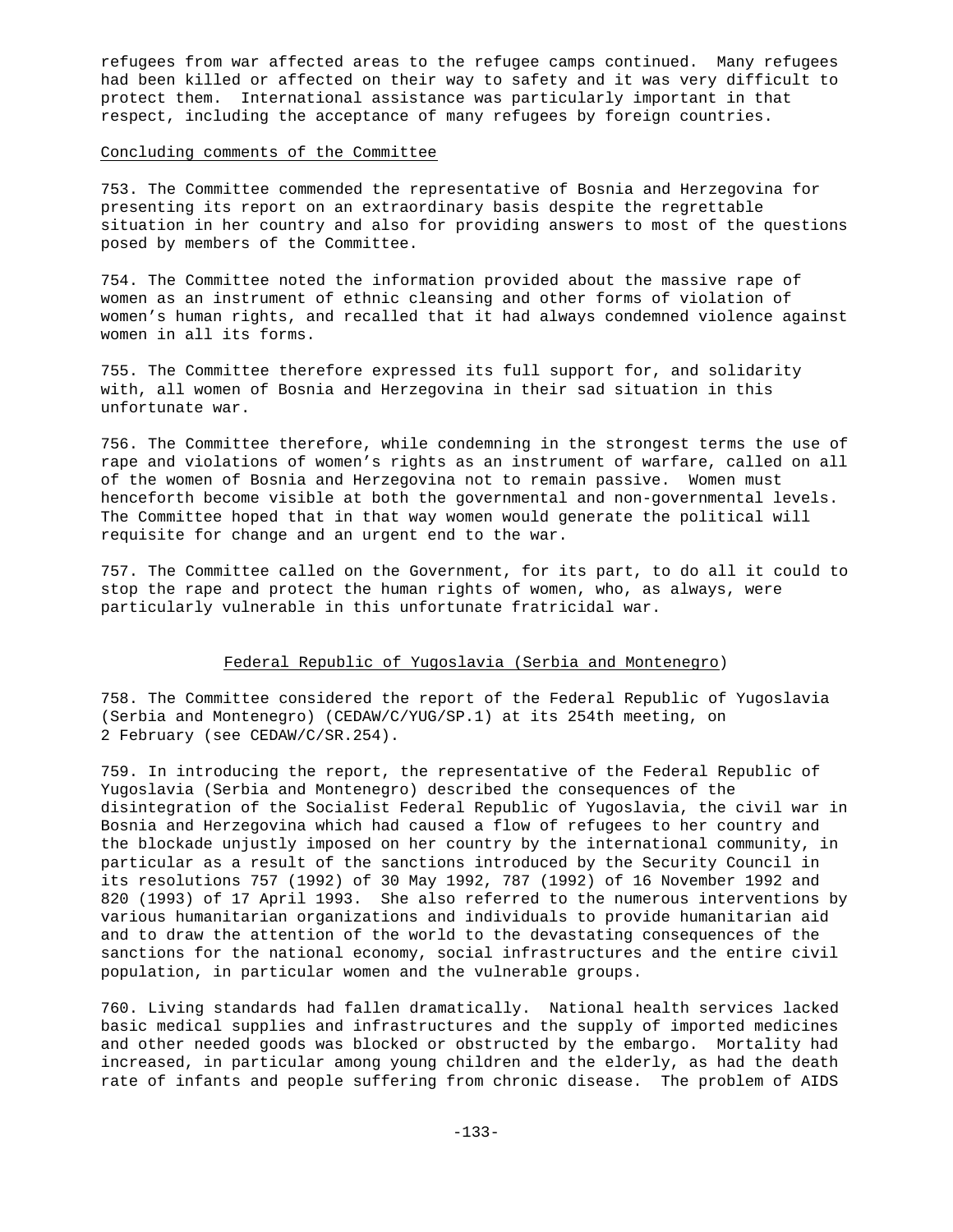refugees from war affected areas to the refugee camps continued. Many refugees had been killed or affected on their way to safety and it was very difficult to protect them. International assistance was particularly important in that respect, including the acceptance of many refugees by foreign countries.

## Concluding comments of the Committee

753. The Committee commended the representative of Bosnia and Herzegovina for presenting its report on an extraordinary basis despite the regrettable situation in her country and also for providing answers to most of the questions posed by members of the Committee.

754. The Committee noted the information provided about the massive rape of women as an instrument of ethnic cleansing and other forms of violation of women's human rights, and recalled that it had always condemned violence against women in all its forms.

755. The Committee therefore expressed its full support for, and solidarity with, all women of Bosnia and Herzegovina in their sad situation in this unfortunate war.

756. The Committee therefore, while condemning in the strongest terms the use of rape and violations of women's rights as an instrument of warfare, called on all of the women of Bosnia and Herzegovina not to remain passive. Women must henceforth become visible at both the governmental and non-governmental levels. The Committee hoped that in that way women would generate the political will requisite for change and an urgent end to the war.

757. The Committee called on the Government, for its part, to do all it could to stop the rape and protect the human rights of women, who, as always, were particularly vulnerable in this unfortunate fratricidal war.

### Federal Republic of Yugoslavia (Serbia and Montenegro)

758. The Committee considered the report of the Federal Republic of Yugoslavia (Serbia and Montenegro) (CEDAW/C/YUG/SP.1) at its 254th meeting, on 2 February (see CEDAW/C/SR.254).

759. In introducing the report, the representative of the Federal Republic of Yugoslavia (Serbia and Montenegro) described the consequences of the disintegration of the Socialist Federal Republic of Yugoslavia, the civil war in Bosnia and Herzegovina which had caused a flow of refugees to her country and the blockade unjustly imposed on her country by the international community, in particular as a result of the sanctions introduced by the Security Council in its resolutions 757 (1992) of 30 May 1992, 787 (1992) of 16 November 1992 and 820 (1993) of 17 April 1993. She also referred to the numerous interventions by various humanitarian organizations and individuals to provide humanitarian aid and to draw the attention of the world to the devastating consequences of the sanctions for the national economy, social infrastructures and the entire civil population, in particular women and the vulnerable groups.

760. Living standards had fallen dramatically. National health services lacked basic medical supplies and infrastructures and the supply of imported medicines and other needed goods was blocked or obstructed by the embargo. Mortality had increased, in particular among young children and the elderly, as had the death rate of infants and people suffering from chronic disease. The problem of AIDS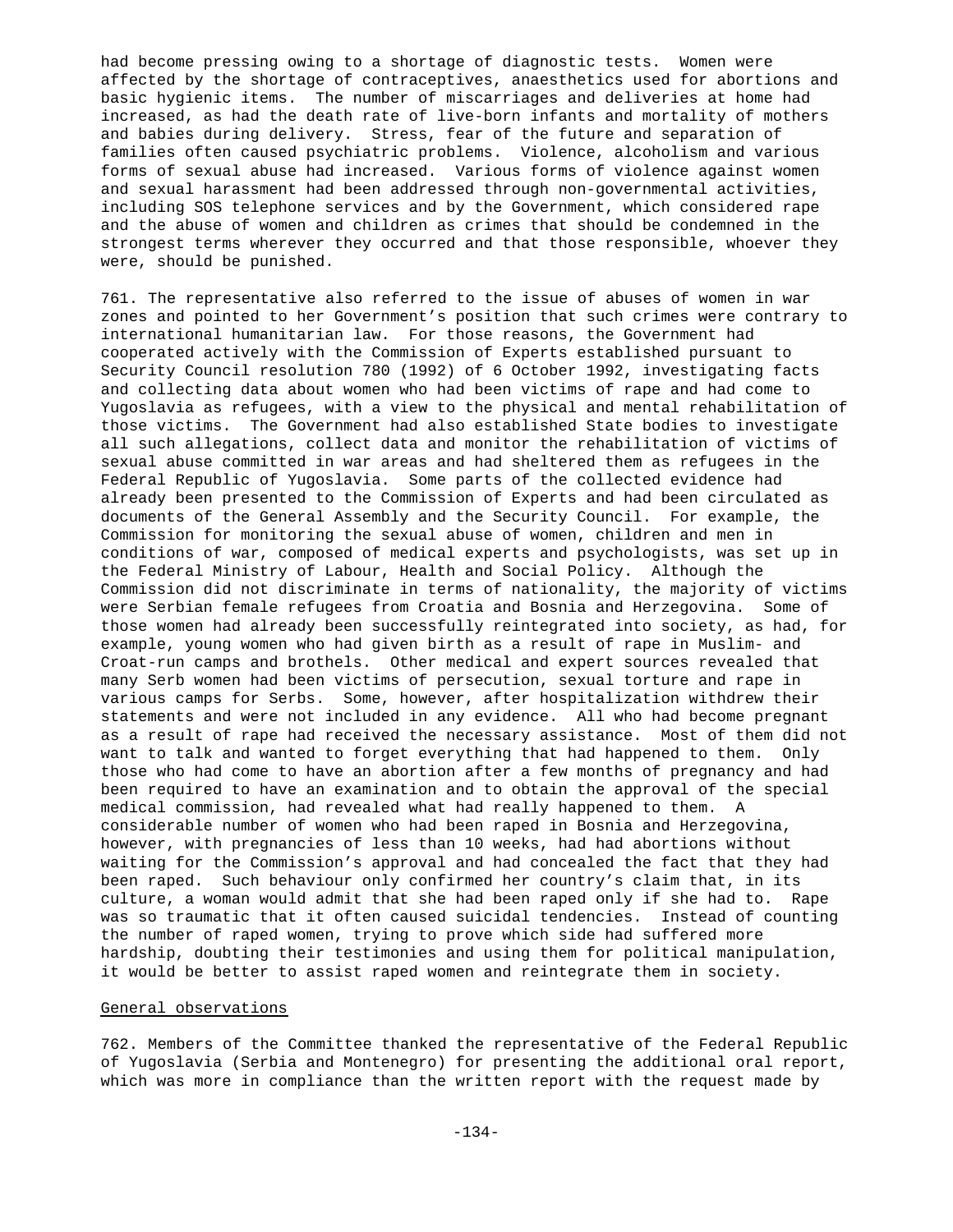had become pressing owing to a shortage of diagnostic tests. Women were affected by the shortage of contraceptives, anaesthetics used for abortions and basic hygienic items. The number of miscarriages and deliveries at home had increased, as had the death rate of live-born infants and mortality of mothers and babies during delivery. Stress, fear of the future and separation of families often caused psychiatric problems. Violence, alcoholism and various forms of sexual abuse had increased. Various forms of violence against women and sexual harassment had been addressed through non-governmental activities, including SOS telephone services and by the Government, which considered rape and the abuse of women and children as crimes that should be condemned in the strongest terms wherever they occurred and that those responsible, whoever they were, should be punished.

761. The representative also referred to the issue of abuses of women in war zones and pointed to her Government's position that such crimes were contrary to international humanitarian law. For those reasons, the Government had cooperated actively with the Commission of Experts established pursuant to Security Council resolution 780 (1992) of 6 October 1992, investigating facts and collecting data about women who had been victims of rape and had come to Yugoslavia as refugees, with a view to the physical and mental rehabilitation of those victims. The Government had also established State bodies to investigate all such allegations, collect data and monitor the rehabilitation of victims of sexual abuse committed in war areas and had sheltered them as refugees in the Federal Republic of Yugoslavia. Some parts of the collected evidence had already been presented to the Commission of Experts and had been circulated as documents of the General Assembly and the Security Council. For example, the Commission for monitoring the sexual abuse of women, children and men in conditions of war, composed of medical experts and psychologists, was set up in the Federal Ministry of Labour, Health and Social Policy. Although the Commission did not discriminate in terms of nationality, the majority of victims were Serbian female refugees from Croatia and Bosnia and Herzegovina. Some of those women had already been successfully reintegrated into society, as had, for example, young women who had given birth as a result of rape in Muslim- and Croat-run camps and brothels. Other medical and expert sources revealed that many Serb women had been victims of persecution, sexual torture and rape in various camps for Serbs. Some, however, after hospitalization withdrew their statements and were not included in any evidence. All who had become pregnant as a result of rape had received the necessary assistance. Most of them did not want to talk and wanted to forget everything that had happened to them. Only those who had come to have an abortion after a few months of pregnancy and had been required to have an examination and to obtain the approval of the special medical commission, had revealed what had really happened to them. A considerable number of women who had been raped in Bosnia and Herzegovina, however, with pregnancies of less than 10 weeks, had had abortions without waiting for the Commission's approval and had concealed the fact that they had been raped. Such behaviour only confirmed her country's claim that, in its culture, a woman would admit that she had been raped only if she had to. Rape was so traumatic that it often caused suicidal tendencies. Instead of counting the number of raped women, trying to prove which side had suffered more hardship, doubting their testimonies and using them for political manipulation, it would be better to assist raped women and reintegrate them in society.

# General observations

762. Members of the Committee thanked the representative of the Federal Republic of Yugoslavia (Serbia and Montenegro) for presenting the additional oral report, which was more in compliance than the written report with the request made by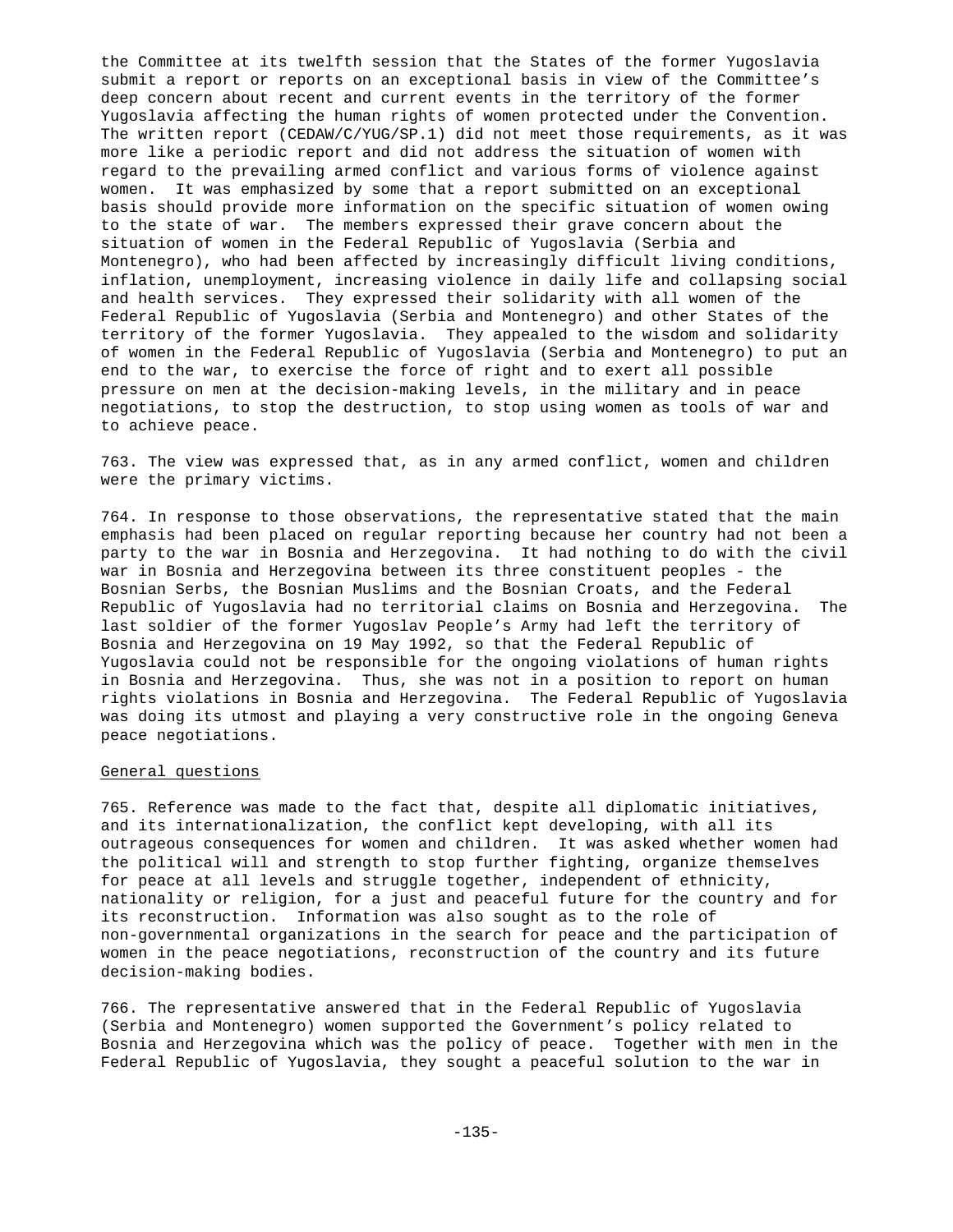the Committee at its twelfth session that the States of the former Yugoslavia submit a report or reports on an exceptional basis in view of the Committee's deep concern about recent and current events in the territory of the former Yugoslavia affecting the human rights of women protected under the Convention. The written report (CEDAW/C/YUG/SP.1) did not meet those requirements, as it was more like a periodic report and did not address the situation of women with regard to the prevailing armed conflict and various forms of violence against women. It was emphasized by some that a report submitted on an exceptional basis should provide more information on the specific situation of women owing to the state of war. The members expressed their grave concern about the situation of women in the Federal Republic of Yugoslavia (Serbia and Montenegro), who had been affected by increasingly difficult living conditions, inflation, unemployment, increasing violence in daily life and collapsing social and health services. They expressed their solidarity with all women of the Federal Republic of Yugoslavia (Serbia and Montenegro) and other States of the territory of the former Yugoslavia. They appealed to the wisdom and solidarity of women in the Federal Republic of Yugoslavia (Serbia and Montenegro) to put an end to the war, to exercise the force of right and to exert all possible pressure on men at the decision-making levels, in the military and in peace negotiations, to stop the destruction, to stop using women as tools of war and to achieve peace.

763. The view was expressed that, as in any armed conflict, women and children were the primary victims.

764. In response to those observations, the representative stated that the main emphasis had been placed on regular reporting because her country had not been a party to the war in Bosnia and Herzegovina. It had nothing to do with the civil war in Bosnia and Herzegovina between its three constituent peoples - the Bosnian Serbs, the Bosnian Muslims and the Bosnian Croats, and the Federal Republic of Yugoslavia had no territorial claims on Bosnia and Herzegovina. The last soldier of the former Yugoslav People's Army had left the territory of Bosnia and Herzegovina on 19 May 1992, so that the Federal Republic of Yugoslavia could not be responsible for the ongoing violations of human rights in Bosnia and Herzegovina. Thus, she was not in a position to report on human rights violations in Bosnia and Herzegovina. The Federal Republic of Yugoslavia was doing its utmost and playing a very constructive role in the ongoing Geneva peace negotiations.

#### General questions

765. Reference was made to the fact that, despite all diplomatic initiatives, and its internationalization, the conflict kept developing, with all its outrageous consequences for women and children. It was asked whether women had the political will and strength to stop further fighting, organize themselves for peace at all levels and struggle together, independent of ethnicity, nationality or religion, for a just and peaceful future for the country and for its reconstruction. Information was also sought as to the role of non-governmental organizations in the search for peace and the participation of women in the peace negotiations, reconstruction of the country and its future decision-making bodies.

766. The representative answered that in the Federal Republic of Yugoslavia (Serbia and Montenegro) women supported the Government's policy related to Bosnia and Herzegovina which was the policy of peace. Together with men in the Federal Republic of Yugoslavia, they sought a peaceful solution to the war in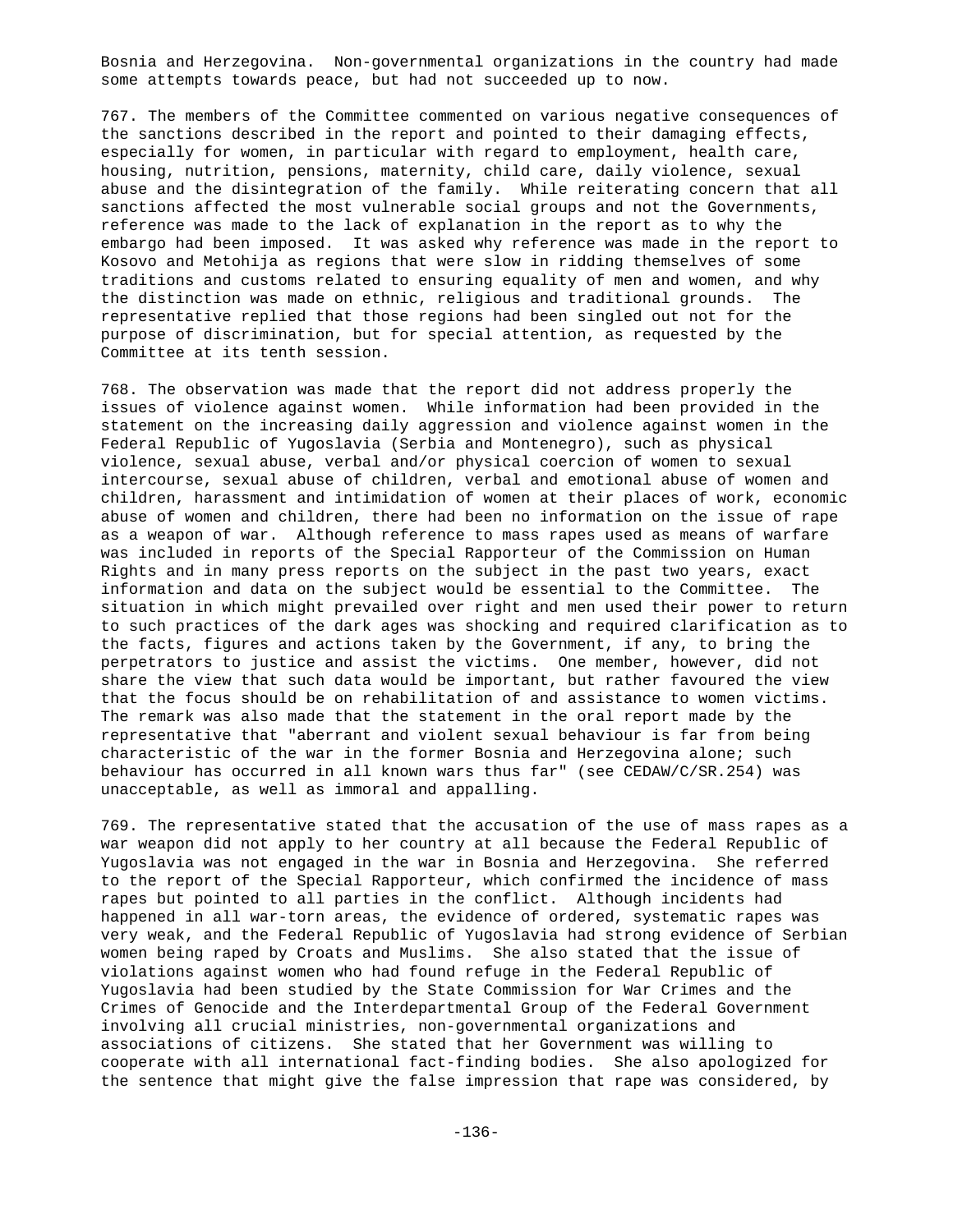Bosnia and Herzegovina. Non-governmental organizations in the country had made some attempts towards peace, but had not succeeded up to now.

767. The members of the Committee commented on various negative consequences of the sanctions described in the report and pointed to their damaging effects, especially for women, in particular with regard to employment, health care, housing, nutrition, pensions, maternity, child care, daily violence, sexual abuse and the disintegration of the family. While reiterating concern that all sanctions affected the most vulnerable social groups and not the Governments, reference was made to the lack of explanation in the report as to why the embargo had been imposed. It was asked why reference was made in the report to Kosovo and Metohija as regions that were slow in ridding themselves of some traditions and customs related to ensuring equality of men and women, and why the distinction was made on ethnic, religious and traditional grounds. The representative replied that those regions had been singled out not for the purpose of discrimination, but for special attention, as requested by the Committee at its tenth session.

768. The observation was made that the report did not address properly the issues of violence against women. While information had been provided in the statement on the increasing daily aggression and violence against women in the Federal Republic of Yugoslavia (Serbia and Montenegro), such as physical violence, sexual abuse, verbal and/or physical coercion of women to sexual intercourse, sexual abuse of children, verbal and emotional abuse of women and children, harassment and intimidation of women at their places of work, economic abuse of women and children, there had been no information on the issue of rape as a weapon of war. Although reference to mass rapes used as means of warfare was included in reports of the Special Rapporteur of the Commission on Human Rights and in many press reports on the subject in the past two years, exact information and data on the subject would be essential to the Committee. The situation in which might prevailed over right and men used their power to return to such practices of the dark ages was shocking and required clarification as to the facts, figures and actions taken by the Government, if any, to bring the perpetrators to justice and assist the victims. One member, however, did not share the view that such data would be important, but rather favoured the view that the focus should be on rehabilitation of and assistance to women victims. The remark was also made that the statement in the oral report made by the representative that "aberrant and violent sexual behaviour is far from being characteristic of the war in the former Bosnia and Herzegovina alone; such behaviour has occurred in all known wars thus far" (see CEDAW/C/SR.254) was unacceptable, as well as immoral and appalling.

769. The representative stated that the accusation of the use of mass rapes as a war weapon did not apply to her country at all because the Federal Republic of Yugoslavia was not engaged in the war in Bosnia and Herzegovina. She referred to the report of the Special Rapporteur, which confirmed the incidence of mass rapes but pointed to all parties in the conflict. Although incidents had happened in all war-torn areas, the evidence of ordered, systematic rapes was very weak, and the Federal Republic of Yugoslavia had strong evidence of Serbian women being raped by Croats and Muslims. She also stated that the issue of violations against women who had found refuge in the Federal Republic of Yugoslavia had been studied by the State Commission for War Crimes and the Crimes of Genocide and the Interdepartmental Group of the Federal Government involving all crucial ministries, non-governmental organizations and associations of citizens. She stated that her Government was willing to cooperate with all international fact-finding bodies. She also apologized for the sentence that might give the false impression that rape was considered, by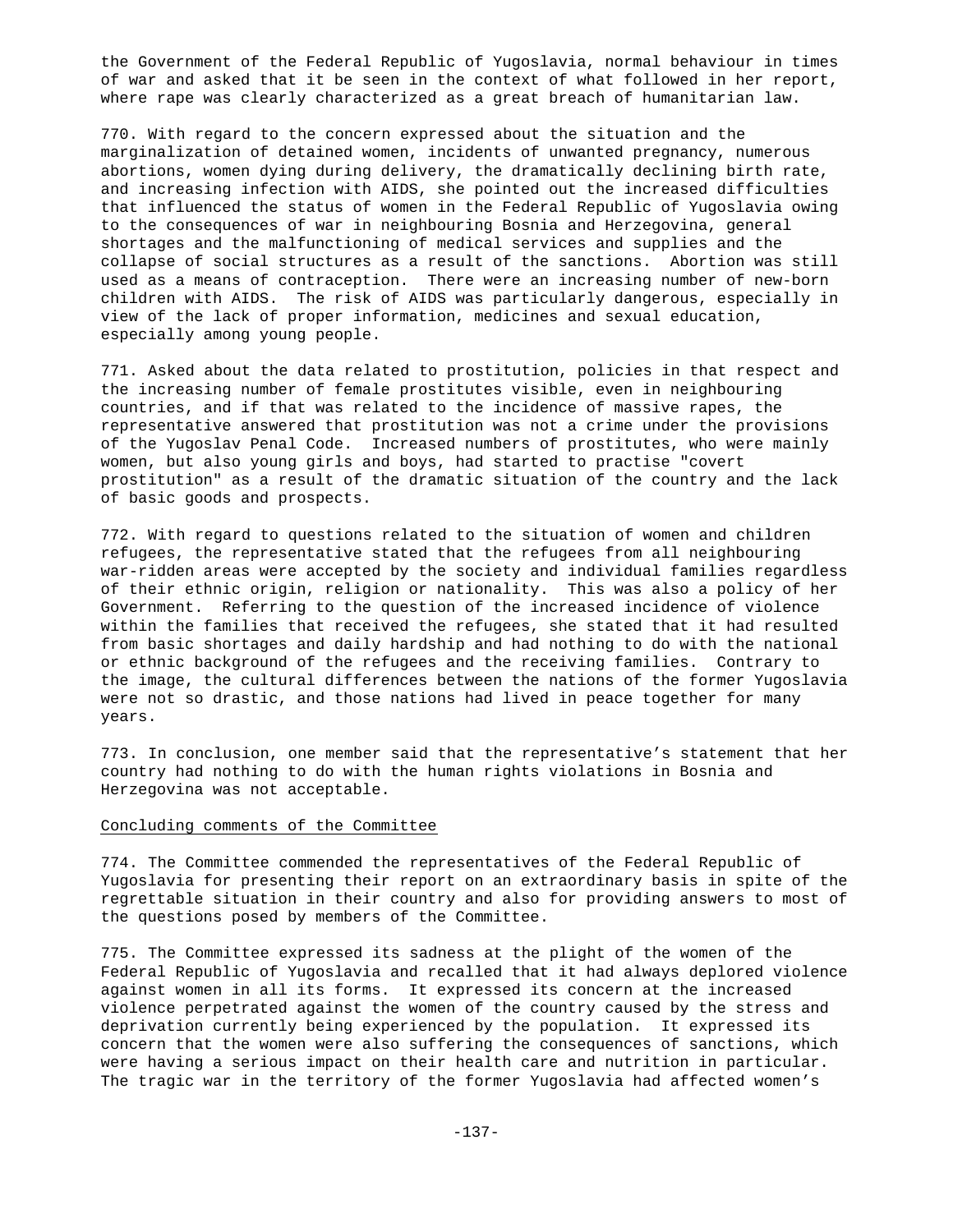the Government of the Federal Republic of Yugoslavia, normal behaviour in times of war and asked that it be seen in the context of what followed in her report, where rape was clearly characterized as a great breach of humanitarian law.

770. With regard to the concern expressed about the situation and the marginalization of detained women, incidents of unwanted pregnancy, numerous abortions, women dying during delivery, the dramatically declining birth rate, and increasing infection with AIDS, she pointed out the increased difficulties that influenced the status of women in the Federal Republic of Yugoslavia owing to the consequences of war in neighbouring Bosnia and Herzegovina, general shortages and the malfunctioning of medical services and supplies and the collapse of social structures as a result of the sanctions. Abortion was still used as a means of contraception. There were an increasing number of new-born children with AIDS. The risk of AIDS was particularly dangerous, especially in view of the lack of proper information, medicines and sexual education, especially among young people.

771. Asked about the data related to prostitution, policies in that respect and the increasing number of female prostitutes visible, even in neighbouring countries, and if that was related to the incidence of massive rapes, the representative answered that prostitution was not a crime under the provisions of the Yugoslav Penal Code. Increased numbers of prostitutes, who were mainly women, but also young girls and boys, had started to practise "covert prostitution" as a result of the dramatic situation of the country and the lack of basic goods and prospects.

772. With regard to questions related to the situation of women and children refugees, the representative stated that the refugees from all neighbouring war-ridden areas were accepted by the society and individual families regardless of their ethnic origin, religion or nationality. This was also a policy of her Government. Referring to the question of the increased incidence of violence within the families that received the refugees, she stated that it had resulted from basic shortages and daily hardship and had nothing to do with the national or ethnic background of the refugees and the receiving families. Contrary to the image, the cultural differences between the nations of the former Yugoslavia were not so drastic, and those nations had lived in peace together for many years.

773. In conclusion, one member said that the representative's statement that her country had nothing to do with the human rights violations in Bosnia and Herzegovina was not acceptable.

#### Concluding comments of the Committee

774. The Committee commended the representatives of the Federal Republic of Yugoslavia for presenting their report on an extraordinary basis in spite of the regrettable situation in their country and also for providing answers to most of the questions posed by members of the Committee.

775. The Committee expressed its sadness at the plight of the women of the Federal Republic of Yugoslavia and recalled that it had always deplored violence against women in all its forms. It expressed its concern at the increased violence perpetrated against the women of the country caused by the stress and deprivation currently being experienced by the population. It expressed its concern that the women were also suffering the consequences of sanctions, which were having a serious impact on their health care and nutrition in particular. The tragic war in the territory of the former Yugoslavia had affected women's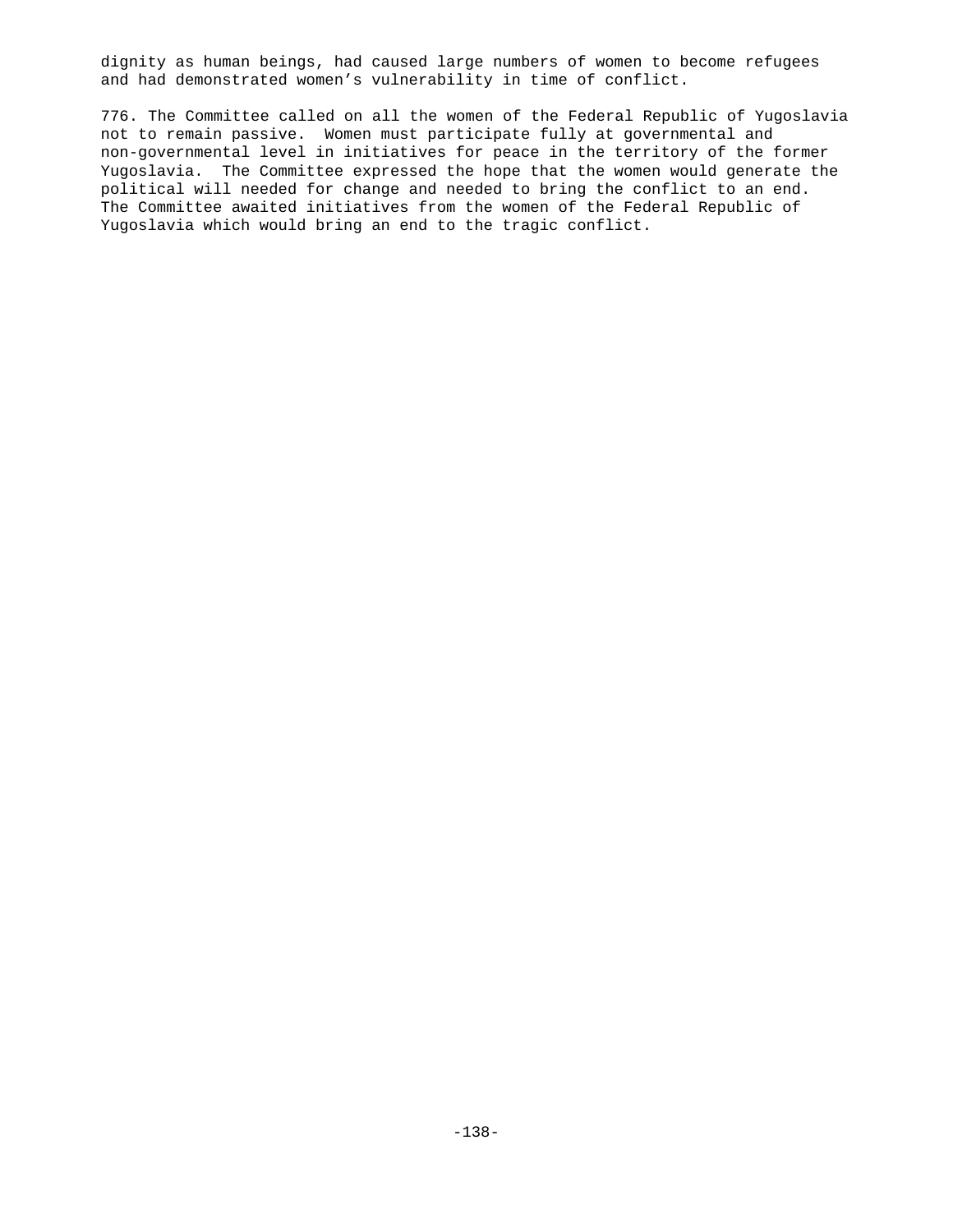dignity as human beings, had caused large numbers of women to become refugees and had demonstrated women's vulnerability in time of conflict.

776. The Committee called on all the women of the Federal Republic of Yugoslavia not to remain passive. Women must participate fully at governmental and non-governmental level in initiatives for peace in the territory of the former Yugoslavia. The Committee expressed the hope that the women would generate the political will needed for change and needed to bring the conflict to an end. The Committee awaited initiatives from the women of the Federal Republic of Yugoslavia which would bring an end to the tragic conflict.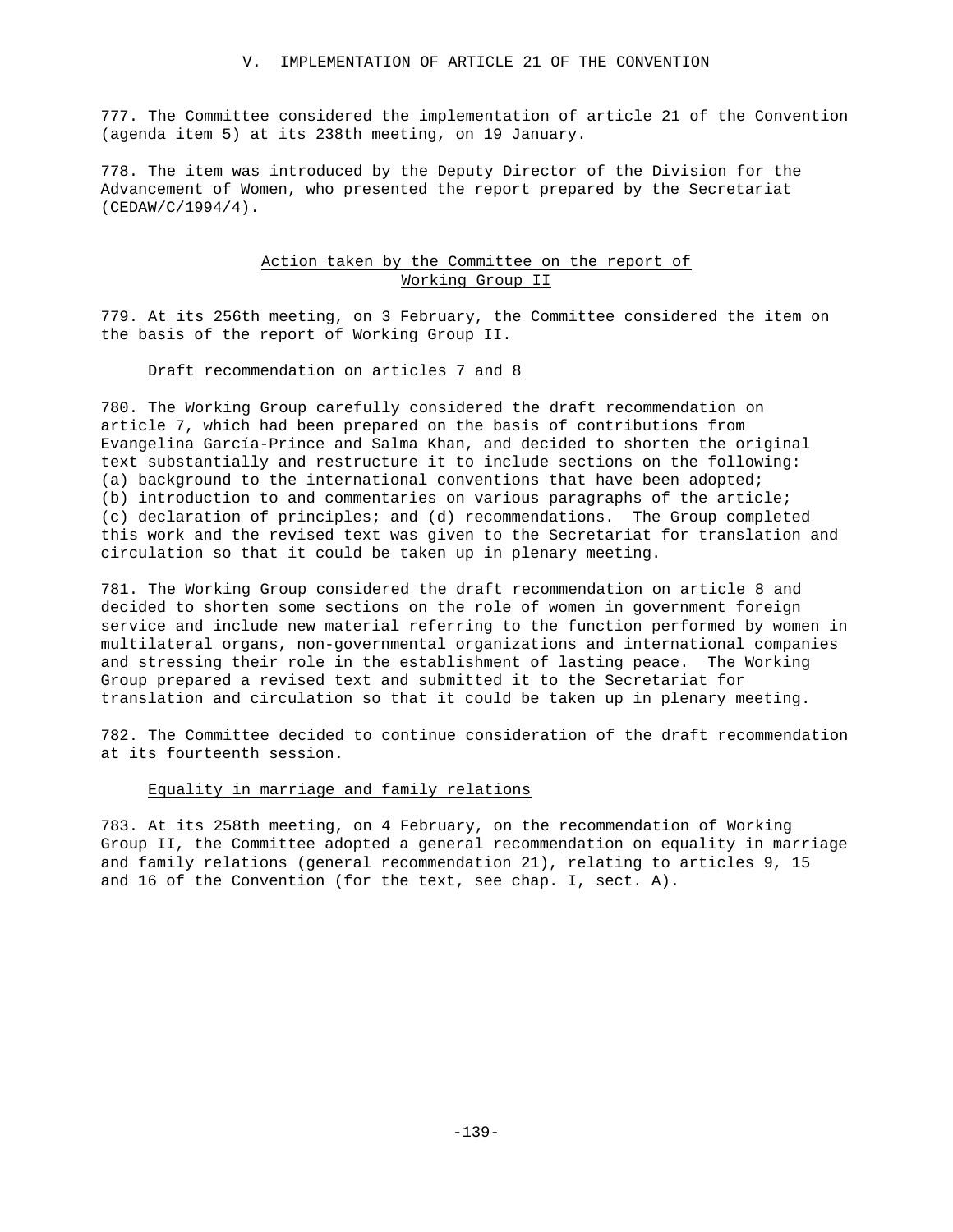777. The Committee considered the implementation of article 21 of the Convention (agenda item 5) at its 238th meeting, on 19 January.

778. The item was introduced by the Deputy Director of the Division for the Advancement of Women, who presented the report prepared by the Secretariat (CEDAW/C/1994/4).

## Action taken by the Committee on the report of Working Group II

779. At its 256th meeting, on 3 February, the Committee considered the item on the basis of the report of Working Group II.

#### Draft recommendation on articles 7 and 8

780. The Working Group carefully considered the draft recommendation on article 7, which had been prepared on the basis of contributions from Evangelina García-Prince and Salma Khan, and decided to shorten the original text substantially and restructure it to include sections on the following: (a) background to the international conventions that have been adopted; (b) introduction to and commentaries on various paragraphs of the article; (c) declaration of principles; and (d) recommendations. The Group completed this work and the revised text was given to the Secretariat for translation and circulation so that it could be taken up in plenary meeting.

781. The Working Group considered the draft recommendation on article 8 and decided to shorten some sections on the role of women in government foreign service and include new material referring to the function performed by women in multilateral organs, non-governmental organizations and international companies and stressing their role in the establishment of lasting peace. The Working Group prepared a revised text and submitted it to the Secretariat for translation and circulation so that it could be taken up in plenary meeting.

782. The Committee decided to continue consideration of the draft recommendation at its fourteenth session.

## Equality in marriage and family relations

783. At its 258th meeting, on 4 February, on the recommendation of Working Group II, the Committee adopted a general recommendation on equality in marriage and family relations (general recommendation 21), relating to articles 9, 15 and 16 of the Convention (for the text, see chap. I, sect. A).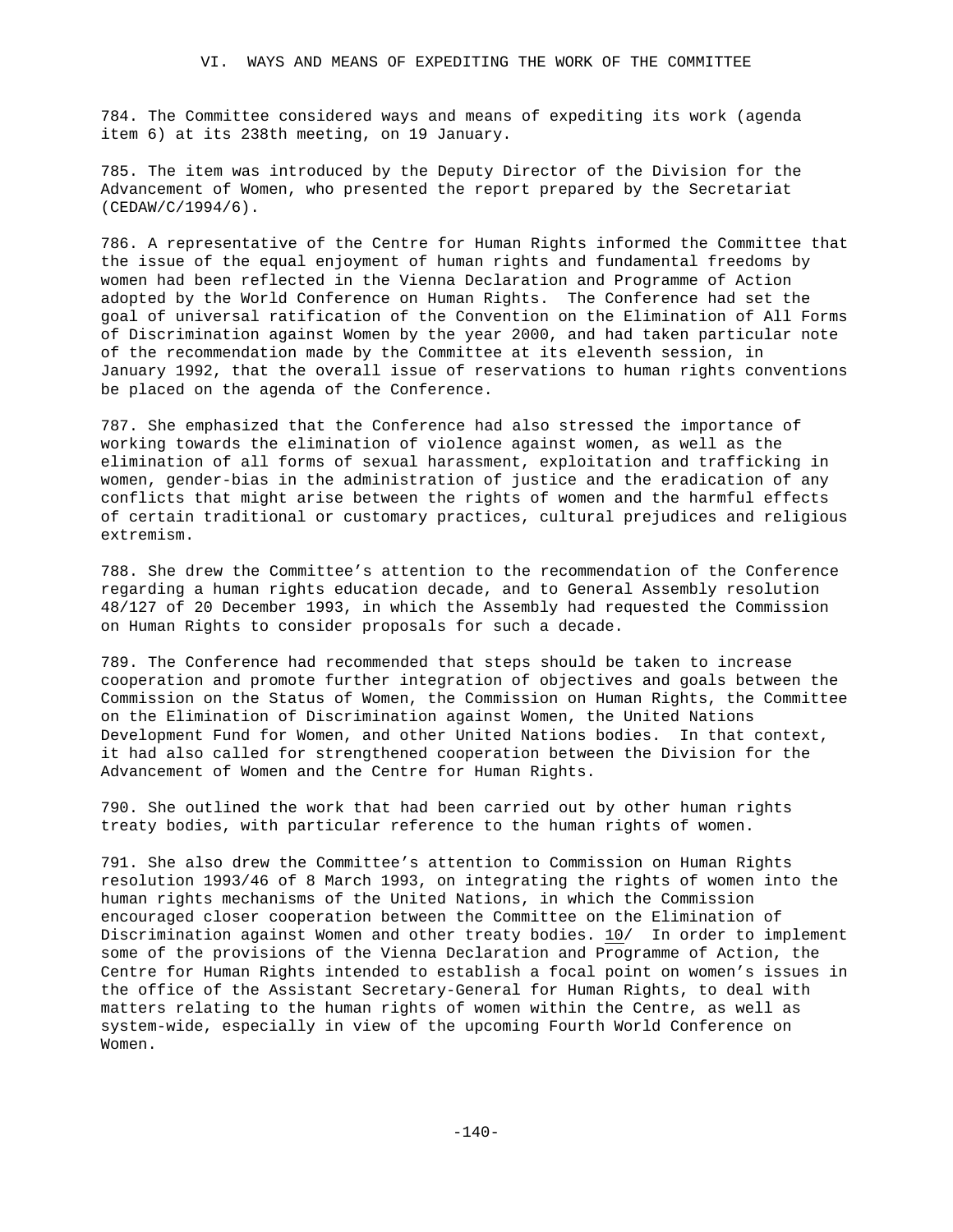784. The Committee considered ways and means of expediting its work (agenda item 6) at its 238th meeting, on 19 January.

785. The item was introduced by the Deputy Director of the Division for the Advancement of Women, who presented the report prepared by the Secretariat (CEDAW/C/1994/6).

786. A representative of the Centre for Human Rights informed the Committee that the issue of the equal enjoyment of human rights and fundamental freedoms by women had been reflected in the Vienna Declaration and Programme of Action adopted by the World Conference on Human Rights. The Conference had set the goal of universal ratification of the Convention on the Elimination of All Forms of Discrimination against Women by the year 2000, and had taken particular note of the recommendation made by the Committee at its eleventh session, in January 1992, that the overall issue of reservations to human rights conventions be placed on the agenda of the Conference.

787. She emphasized that the Conference had also stressed the importance of working towards the elimination of violence against women, as well as the elimination of all forms of sexual harassment, exploitation and trafficking in women, gender-bias in the administration of justice and the eradication of any conflicts that might arise between the rights of women and the harmful effects of certain traditional or customary practices, cultural prejudices and religious extremism.

788. She drew the Committee's attention to the recommendation of the Conference regarding a human rights education decade, and to General Assembly resolution 48/127 of 20 December 1993, in which the Assembly had requested the Commission on Human Rights to consider proposals for such a decade.

789. The Conference had recommended that steps should be taken to increase cooperation and promote further integration of objectives and goals between the Commission on the Status of Women, the Commission on Human Rights, the Committee on the Elimination of Discrimination against Women, the United Nations Development Fund for Women, and other United Nations bodies. In that context, it had also called for strengthened cooperation between the Division for the Advancement of Women and the Centre for Human Rights.

790. She outlined the work that had been carried out by other human rights treaty bodies, with particular reference to the human rights of women.

791. She also drew the Committee's attention to Commission on Human Rights resolution 1993/46 of 8 March 1993, on integrating the rights of women into the human rights mechanisms of the United Nations, in which the Commission encouraged closer cooperation between the Committee on the Elimination of Discrimination against Women and other treaty bodies. 10/ In order to implement some of the provisions of the Vienna Declaration and Programme of Action, the Centre for Human Rights intended to establish a focal point on women's issues in the office of the Assistant Secretary-General for Human Rights, to deal with matters relating to the human rights of women within the Centre, as well as system-wide, especially in view of the upcoming Fourth World Conference on Women.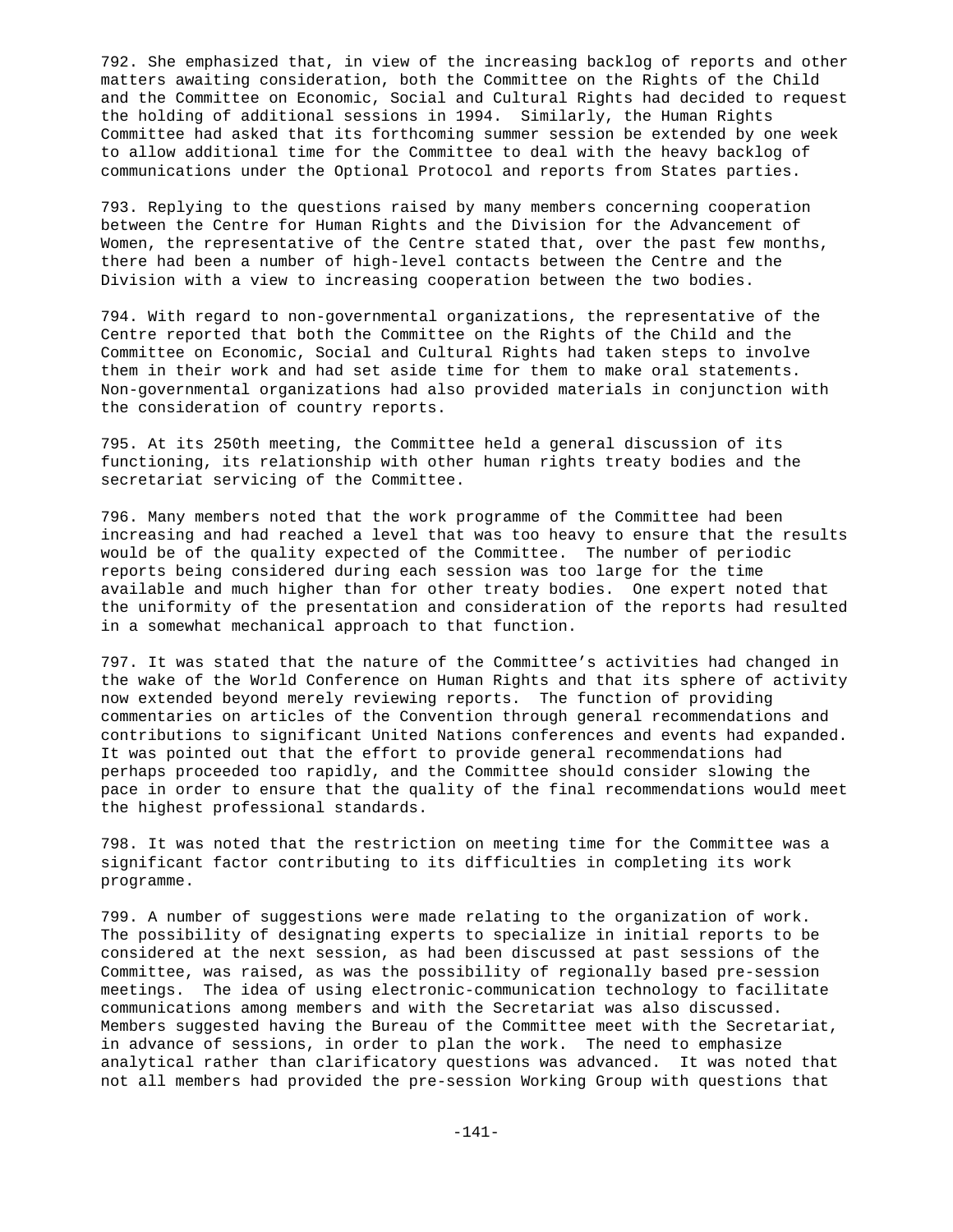792. She emphasized that, in view of the increasing backlog of reports and other matters awaiting consideration, both the Committee on the Rights of the Child and the Committee on Economic, Social and Cultural Rights had decided to request the holding of additional sessions in 1994. Similarly, the Human Rights Committee had asked that its forthcoming summer session be extended by one week to allow additional time for the Committee to deal with the heavy backlog of communications under the Optional Protocol and reports from States parties.

793. Replying to the questions raised by many members concerning cooperation between the Centre for Human Rights and the Division for the Advancement of Women, the representative of the Centre stated that, over the past few months, there had been a number of high-level contacts between the Centre and the Division with a view to increasing cooperation between the two bodies.

794. With regard to non-governmental organizations, the representative of the Centre reported that both the Committee on the Rights of the Child and the Committee on Economic, Social and Cultural Rights had taken steps to involve them in their work and had set aside time for them to make oral statements. Non-governmental organizations had also provided materials in conjunction with the consideration of country reports.

795. At its 250th meeting, the Committee held a general discussion of its functioning, its relationship with other human rights treaty bodies and the secretariat servicing of the Committee.

796. Many members noted that the work programme of the Committee had been increasing and had reached a level that was too heavy to ensure that the results would be of the quality expected of the Committee. The number of periodic reports being considered during each session was too large for the time available and much higher than for other treaty bodies. One expert noted that the uniformity of the presentation and consideration of the reports had resulted in a somewhat mechanical approach to that function.

797. It was stated that the nature of the Committee's activities had changed in the wake of the World Conference on Human Rights and that its sphere of activity now extended beyond merely reviewing reports. The function of providing commentaries on articles of the Convention through general recommendations and contributions to significant United Nations conferences and events had expanded. It was pointed out that the effort to provide general recommendations had perhaps proceeded too rapidly, and the Committee should consider slowing the pace in order to ensure that the quality of the final recommendations would meet the highest professional standards.

798. It was noted that the restriction on meeting time for the Committee was a significant factor contributing to its difficulties in completing its work programme.

799. A number of suggestions were made relating to the organization of work. The possibility of designating experts to specialize in initial reports to be considered at the next session, as had been discussed at past sessions of the Committee, was raised, as was the possibility of regionally based pre-session meetings. The idea of using electronic-communication technology to facilitate communications among members and with the Secretariat was also discussed. Members suggested having the Bureau of the Committee meet with the Secretariat, in advance of sessions, in order to plan the work. The need to emphasize analytical rather than clarificatory questions was advanced. It was noted that not all members had provided the pre-session Working Group with questions that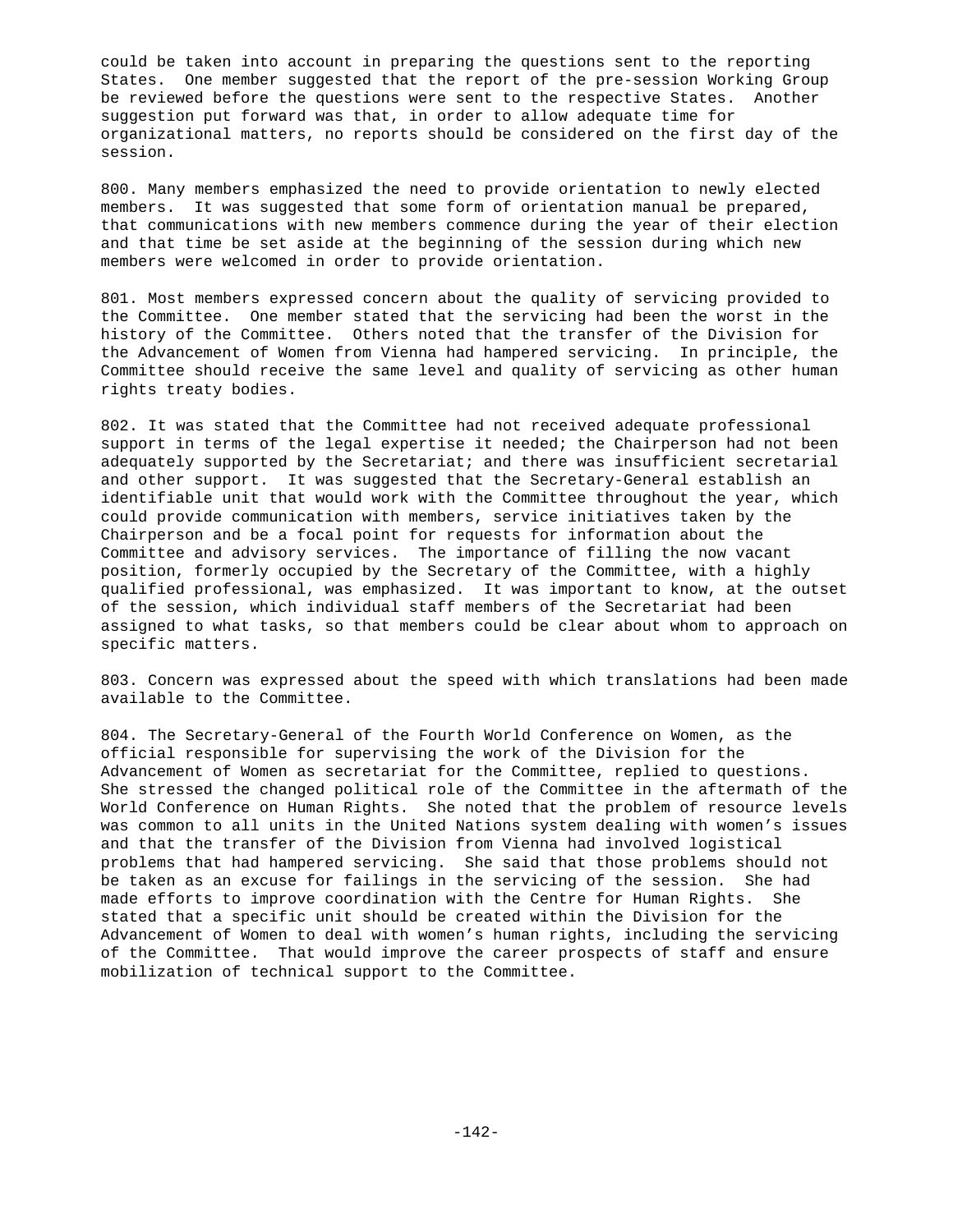could be taken into account in preparing the questions sent to the reporting States. One member suggested that the report of the pre-session Working Group be reviewed before the questions were sent to the respective States. Another suggestion put forward was that, in order to allow adequate time for organizational matters, no reports should be considered on the first day of the session.

800. Many members emphasized the need to provide orientation to newly elected members. It was suggested that some form of orientation manual be prepared, that communications with new members commence during the year of their election and that time be set aside at the beginning of the session during which new members were welcomed in order to provide orientation.

801. Most members expressed concern about the quality of servicing provided to the Committee. One member stated that the servicing had been the worst in the history of the Committee. Others noted that the transfer of the Division for the Advancement of Women from Vienna had hampered servicing. In principle, the Committee should receive the same level and quality of servicing as other human rights treaty bodies.

802. It was stated that the Committee had not received adequate professional support in terms of the legal expertise it needed; the Chairperson had not been adequately supported by the Secretariat; and there was insufficient secretarial and other support. It was suggested that the Secretary-General establish an identifiable unit that would work with the Committee throughout the year, which could provide communication with members, service initiatives taken by the Chairperson and be a focal point for requests for information about the Committee and advisory services. The importance of filling the now vacant position, formerly occupied by the Secretary of the Committee, with a highly qualified professional, was emphasized. It was important to know, at the outset of the session, which individual staff members of the Secretariat had been assigned to what tasks, so that members could be clear about whom to approach on specific matters.

803. Concern was expressed about the speed with which translations had been made available to the Committee.

804. The Secretary-General of the Fourth World Conference on Women, as the official responsible for supervising the work of the Division for the Advancement of Women as secretariat for the Committee, replied to questions. She stressed the changed political role of the Committee in the aftermath of the World Conference on Human Rights. She noted that the problem of resource levels was common to all units in the United Nations system dealing with women's issues and that the transfer of the Division from Vienna had involved logistical problems that had hampered servicing. She said that those problems should not be taken as an excuse for failings in the servicing of the session. She had made efforts to improve coordination with the Centre for Human Rights. She stated that a specific unit should be created within the Division for the Advancement of Women to deal with women's human rights, including the servicing of the Committee. That would improve the career prospects of staff and ensure mobilization of technical support to the Committee.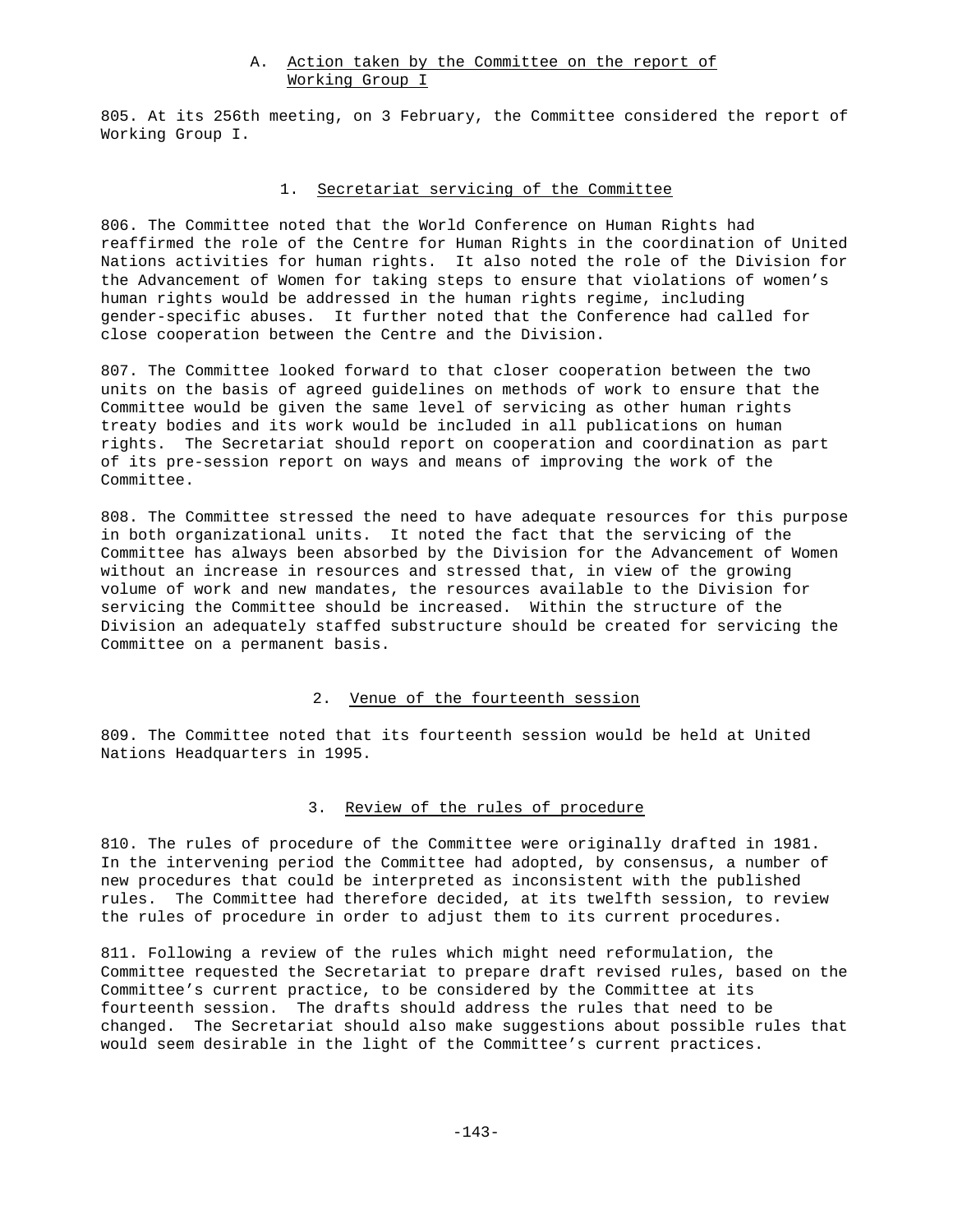# A. Action taken by the Committee on the report of Working Group I

805. At its 256th meeting, on 3 February, the Committee considered the report of Working Group I.

# 1. Secretariat servicing of the Committee

806. The Committee noted that the World Conference on Human Rights had reaffirmed the role of the Centre for Human Rights in the coordination of United Nations activities for human rights. It also noted the role of the Division for the Advancement of Women for taking steps to ensure that violations of women's human rights would be addressed in the human rights regime, including gender-specific abuses. It further noted that the Conference had called for close cooperation between the Centre and the Division.

807. The Committee looked forward to that closer cooperation between the two units on the basis of agreed guidelines on methods of work to ensure that the Committee would be given the same level of servicing as other human rights treaty bodies and its work would be included in all publications on human rights. The Secretariat should report on cooperation and coordination as part of its pre-session report on ways and means of improving the work of the Committee.

808. The Committee stressed the need to have adequate resources for this purpose in both organizational units. It noted the fact that the servicing of the Committee has always been absorbed by the Division for the Advancement of Women without an increase in resources and stressed that, in view of the growing volume of work and new mandates, the resources available to the Division for servicing the Committee should be increased. Within the structure of the Division an adequately staffed substructure should be created for servicing the Committee on a permanent basis.

# 2. Venue of the fourteenth session

809. The Committee noted that its fourteenth session would be held at United Nations Headquarters in 1995.

#### 3. Review of the rules of procedure

810. The rules of procedure of the Committee were originally drafted in 1981. In the intervening period the Committee had adopted, by consensus, a number of new procedures that could be interpreted as inconsistent with the published rules. The Committee had therefore decided, at its twelfth session, to review the rules of procedure in order to adjust them to its current procedures.

811. Following a review of the rules which might need reformulation, the Committee requested the Secretariat to prepare draft revised rules, based on the Committee's current practice, to be considered by the Committee at its fourteenth session. The drafts should address the rules that need to be changed. The Secretariat should also make suggestions about possible rules that would seem desirable in the light of the Committee's current practices.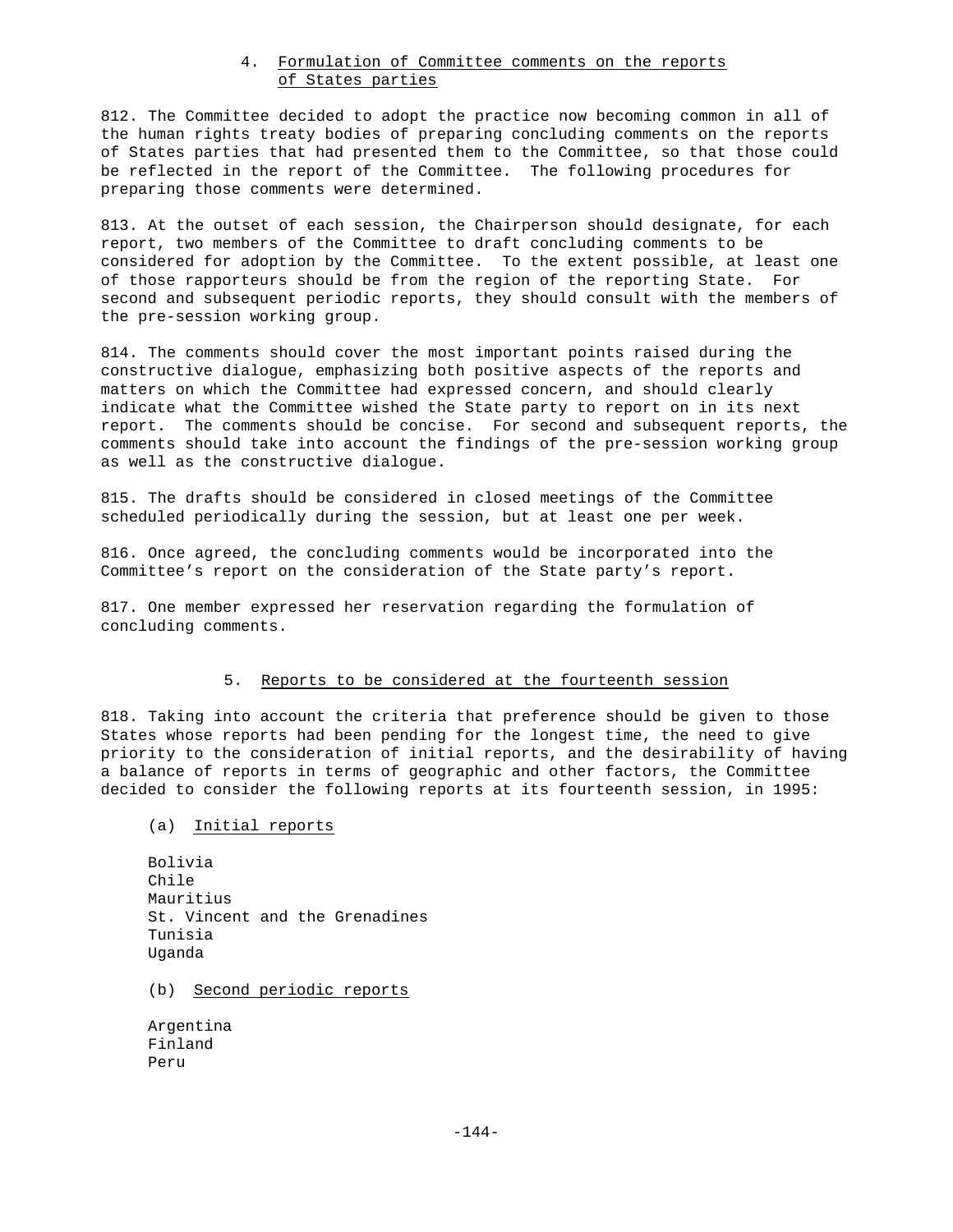# 4. Formulation of Committee comments on the reports of States parties

812. The Committee decided to adopt the practice now becoming common in all of the human rights treaty bodies of preparing concluding comments on the reports of States parties that had presented them to the Committee, so that those could be reflected in the report of the Committee. The following procedures for preparing those comments were determined.

813. At the outset of each session, the Chairperson should designate, for each report, two members of the Committee to draft concluding comments to be considered for adoption by the Committee. To the extent possible, at least one of those rapporteurs should be from the region of the reporting State. For second and subsequent periodic reports, they should consult with the members of the pre-session working group.

814. The comments should cover the most important points raised during the constructive dialogue, emphasizing both positive aspects of the reports and matters on which the Committee had expressed concern, and should clearly indicate what the Committee wished the State party to report on in its next report. The comments should be concise. For second and subsequent reports, the comments should take into account the findings of the pre-session working group as well as the constructive dialogue.

815. The drafts should be considered in closed meetings of the Committee scheduled periodically during the session, but at least one per week.

816. Once agreed, the concluding comments would be incorporated into the Committee's report on the consideration of the State party's report.

817. One member expressed her reservation regarding the formulation of concluding comments.

#### 5. Reports to be considered at the fourteenth session

818. Taking into account the criteria that preference should be given to those States whose reports had been pending for the longest time, the need to give priority to the consideration of initial reports, and the desirability of having a balance of reports in terms of geographic and other factors, the Committee decided to consider the following reports at its fourteenth session, in 1995:

(a) Initial reports

Bolivia Chile Mauritius St. Vincent and the Grenadines Tunisia Uganda

(b) Second periodic reports

Argentina Finland Peru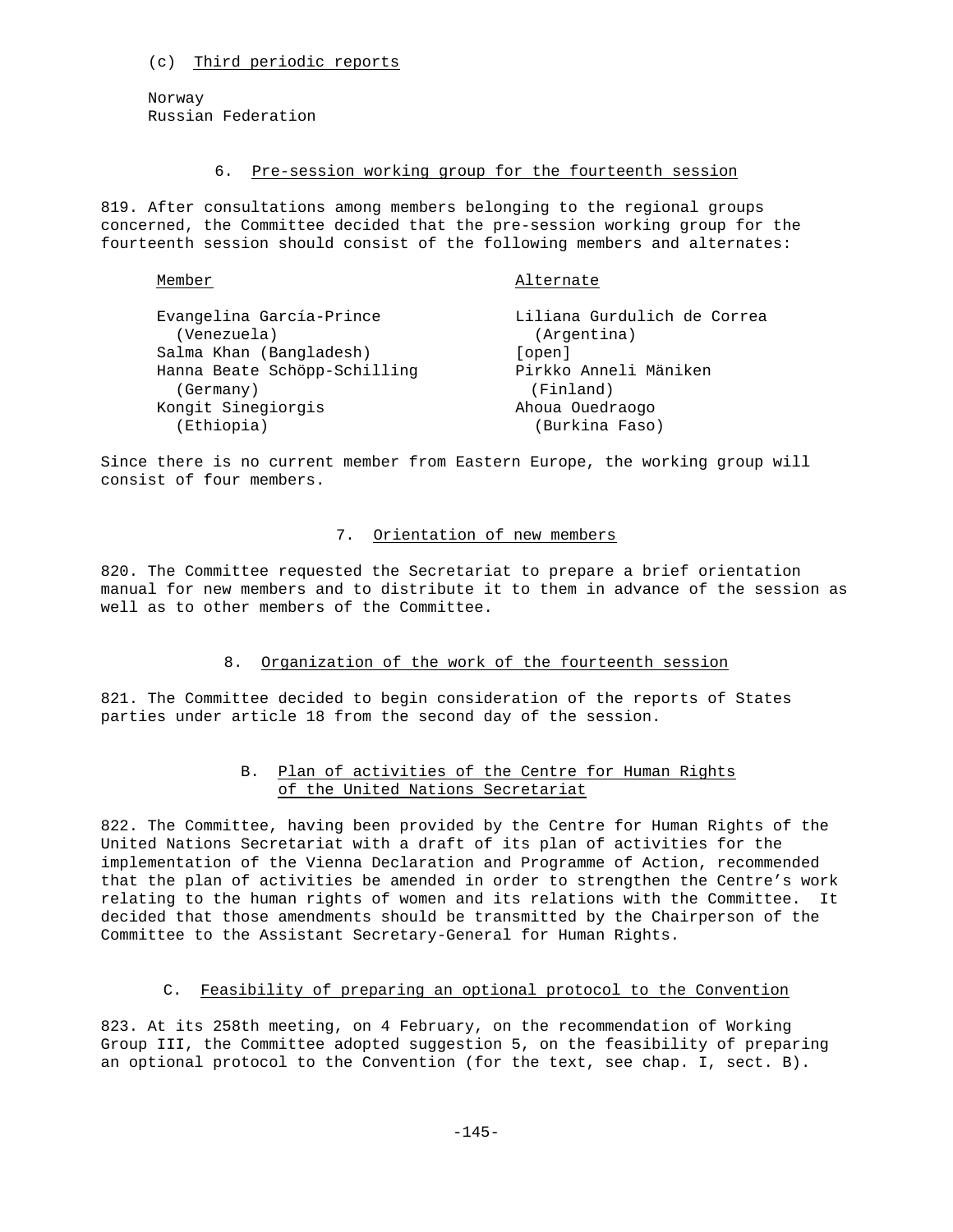(c) Third periodic reports

Norway Russian Federation

# 6. Pre-session working group for the fourteenth session

819. After consultations among members belonging to the regional groups concerned, the Committee decided that the pre-session working group for the fourteenth session should consist of the following members and alternates:

| Member                                  | Alternate                                  |
|-----------------------------------------|--------------------------------------------|
| Evangelina García-Prince<br>(Venezuela) | Liliana Gurdulich de Correa<br>(Argentina) |
| Salma Khan (Bangladesh)                 | [open]                                     |
| Hanna Beate Schöpp-Schilling            | Pirkko Anneli Mäniken                      |
| (Germany)                               | (Finland)                                  |
| Kongit Sinegiorgis                      | Ahoua Ouedraogo                            |
| (Ethiopia)                              | (Burkina Faso)                             |

Since there is no current member from Eastern Europe, the working group will consist of four members.

# 7. Orientation of new members

820. The Committee requested the Secretariat to prepare a brief orientation manual for new members and to distribute it to them in advance of the session as well as to other members of the Committee.

# 8. Organization of the work of the fourteenth session

821. The Committee decided to begin consideration of the reports of States parties under article 18 from the second day of the session.

# B. Plan of activities of the Centre for Human Rights of the United Nations Secretariat

822. The Committee, having been provided by the Centre for Human Rights of the United Nations Secretariat with a draft of its plan of activities for the implementation of the Vienna Declaration and Programme of Action, recommended that the plan of activities be amended in order to strengthen the Centre's work relating to the human rights of women and its relations with the Committee. It decided that those amendments should be transmitted by the Chairperson of the Committee to the Assistant Secretary-General for Human Rights.

# C. Feasibility of preparing an optional protocol to the Convention

823. At its 258th meeting, on 4 February, on the recommendation of Working Group III, the Committee adopted suggestion 5, on the feasibility of preparing an optional protocol to the Convention (for the text, see chap. I, sect. B).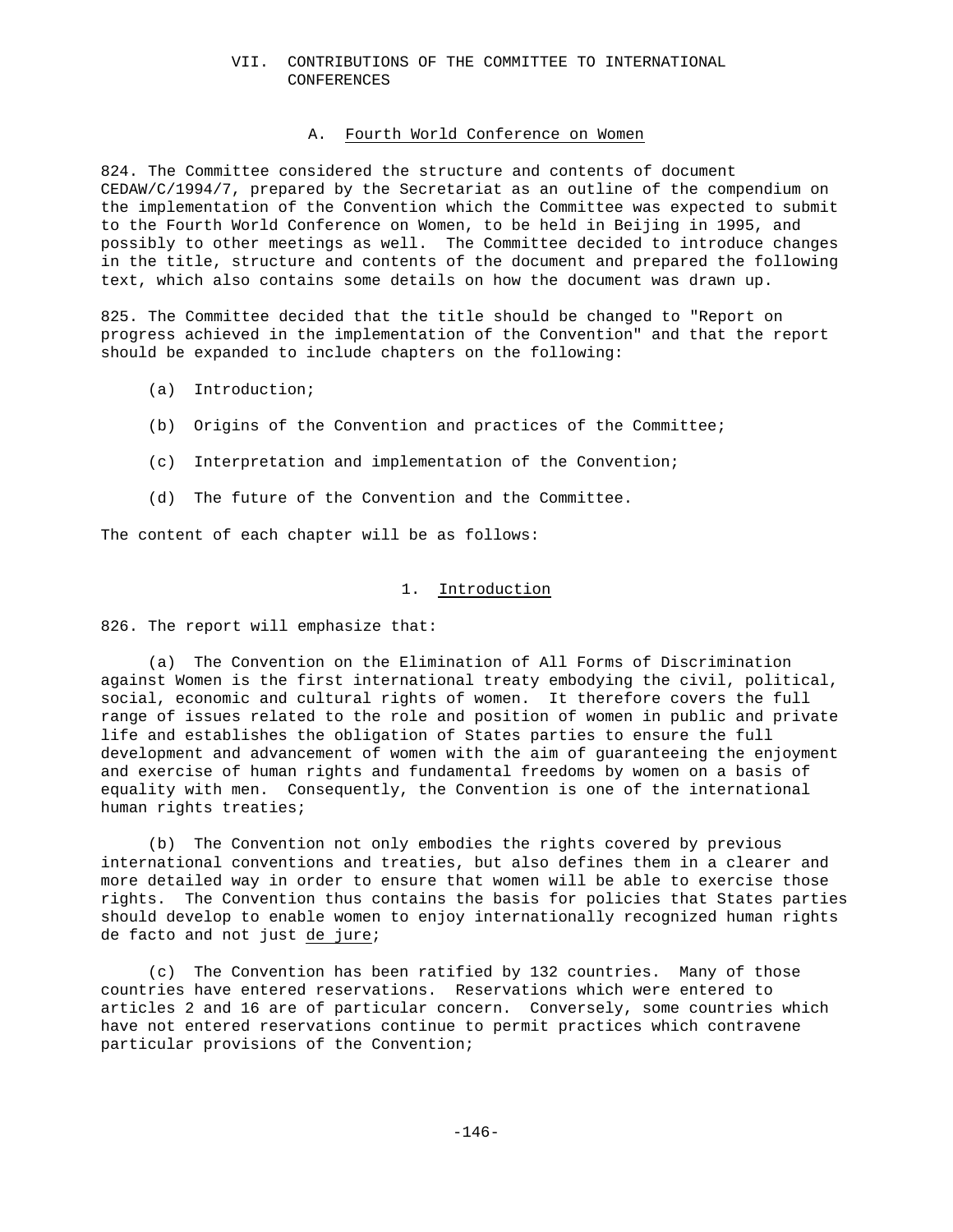## VII. CONTRIBUTIONS OF THE COMMITTEE TO INTERNATIONAL CONFERENCES

#### A. Fourth World Conference on Women

824. The Committee considered the structure and contents of document CEDAW/C/1994/7, prepared by the Secretariat as an outline of the compendium on the implementation of the Convention which the Committee was expected to submit to the Fourth World Conference on Women, to be held in Beijing in 1995, and possibly to other meetings as well. The Committee decided to introduce changes in the title, structure and contents of the document and prepared the following text, which also contains some details on how the document was drawn up.

825. The Committee decided that the title should be changed to "Report on progress achieved in the implementation of the Convention" and that the report should be expanded to include chapters on the following:

- (a) Introduction;
- (b) Origins of the Convention and practices of the Committee;
- (c) Interpretation and implementation of the Convention;
- (d) The future of the Convention and the Committee.

The content of each chapter will be as follows:

# 1. Introduction

826. The report will emphasize that:

(a) The Convention on the Elimination of All Forms of Discrimination against Women is the first international treaty embodying the civil, political, social, economic and cultural rights of women. It therefore covers the full range of issues related to the role and position of women in public and private life and establishes the obligation of States parties to ensure the full development and advancement of women with the aim of guaranteeing the enjoyment and exercise of human rights and fundamental freedoms by women on a basis of equality with men. Consequently, the Convention is one of the international human rights treaties;

(b) The Convention not only embodies the rights covered by previous international conventions and treaties, but also defines them in a clearer and more detailed way in order to ensure that women will be able to exercise those rights. The Convention thus contains the basis for policies that States parties should develop to enable women to enjoy internationally recognized human rights de facto and not just de jure;

(c) The Convention has been ratified by 132 countries. Many of those countries have entered reservations. Reservations which were entered to articles 2 and 16 are of particular concern. Conversely, some countries which have not entered reservations continue to permit practices which contravene particular provisions of the Convention;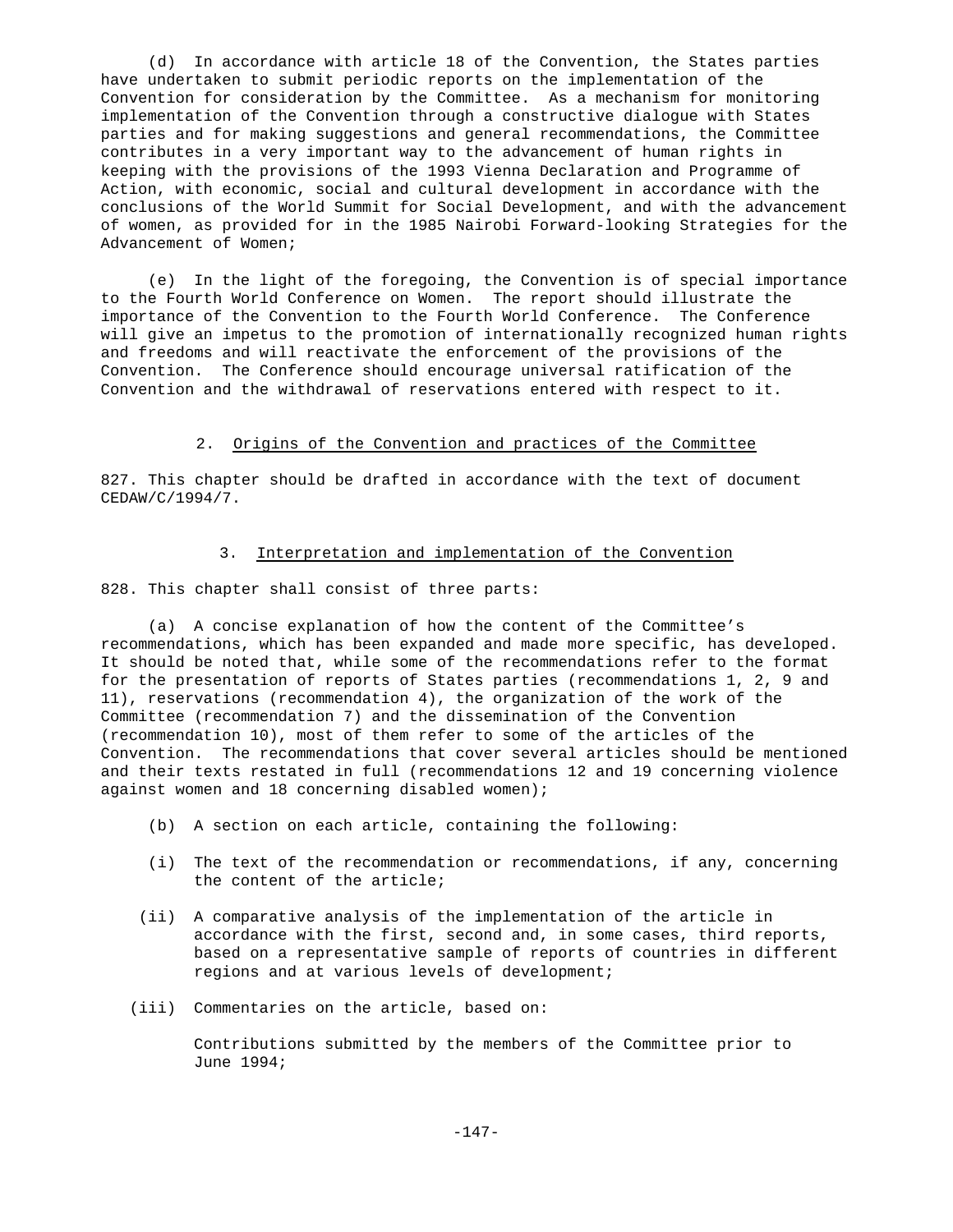(d) In accordance with article 18 of the Convention, the States parties have undertaken to submit periodic reports on the implementation of the Convention for consideration by the Committee. As a mechanism for monitoring implementation of the Convention through a constructive dialogue with States parties and for making suggestions and general recommendations, the Committee contributes in a very important way to the advancement of human rights in keeping with the provisions of the 1993 Vienna Declaration and Programme of Action, with economic, social and cultural development in accordance with the conclusions of the World Summit for Social Development, and with the advancement of women, as provided for in the 1985 Nairobi Forward-looking Strategies for the Advancement of Women;

(e) In the light of the foregoing, the Convention is of special importance to the Fourth World Conference on Women. The report should illustrate the importance of the Convention to the Fourth World Conference. The Conference will give an impetus to the promotion of internationally recognized human rights and freedoms and will reactivate the enforcement of the provisions of the Convention. The Conference should encourage universal ratification of the Convention and the withdrawal of reservations entered with respect to it.

#### 2. Origins of the Convention and practices of the Committee

827. This chapter should be drafted in accordance with the text of document CEDAW/C/1994/7.

#### 3. Interpretation and implementation of the Convention

828. This chapter shall consist of three parts:

(a) A concise explanation of how the content of the Committee's recommendations, which has been expanded and made more specific, has developed. It should be noted that, while some of the recommendations refer to the format for the presentation of reports of States parties (recommendations 1, 2, 9 and 11), reservations (recommendation 4), the organization of the work of the Committee (recommendation 7) and the dissemination of the Convention (recommendation 10), most of them refer to some of the articles of the Convention. The recommendations that cover several articles should be mentioned and their texts restated in full (recommendations 12 and 19 concerning violence against women and 18 concerning disabled women);

- (b) A section on each article, containing the following:
- (i) The text of the recommendation or recommendations, if any, concerning the content of the article;
- (ii) A comparative analysis of the implementation of the article in accordance with the first, second and, in some cases, third reports, based on a representative sample of reports of countries in different regions and at various levels of development;
- (iii) Commentaries on the article, based on:

Contributions submitted by the members of the Committee prior to June 1994;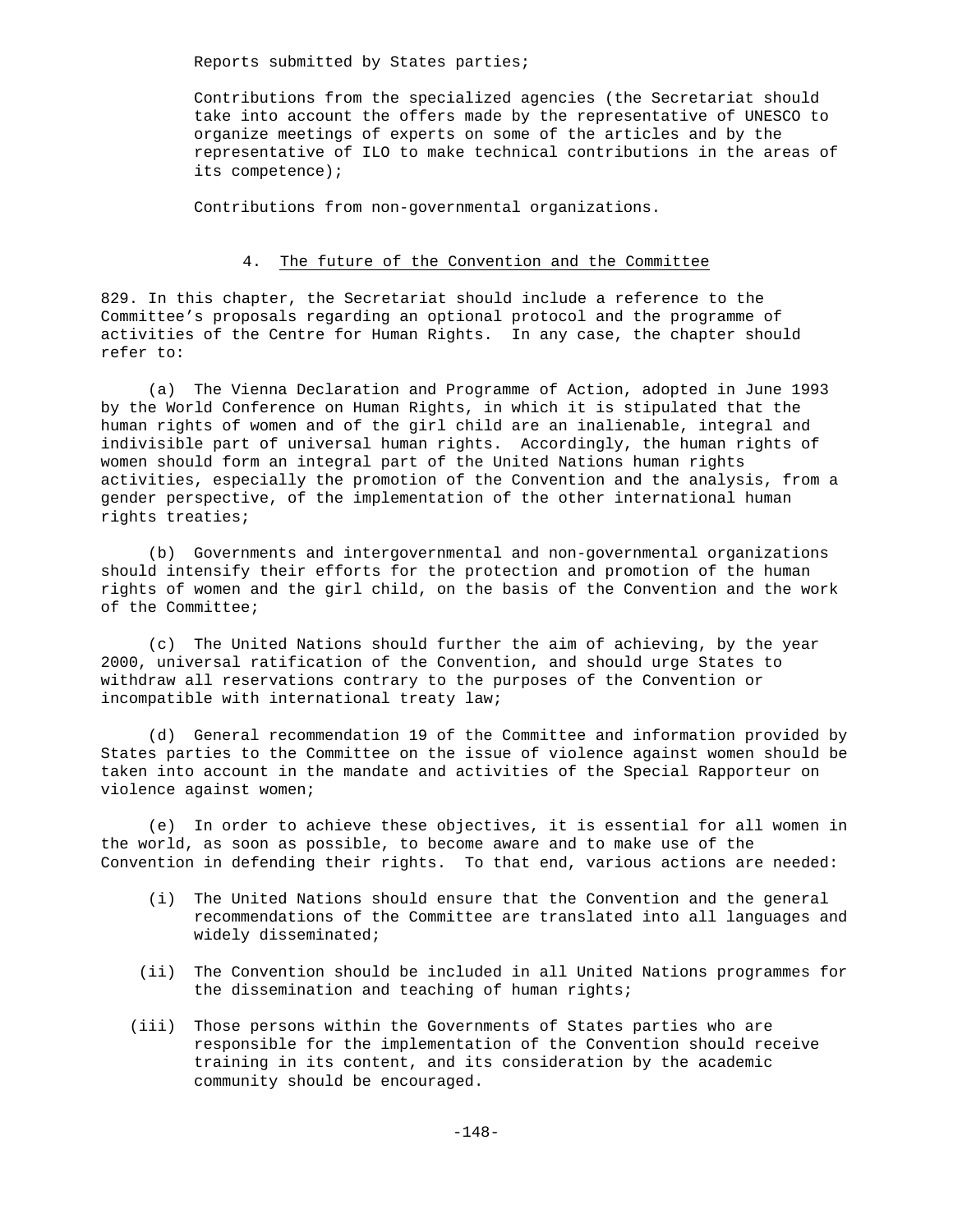Reports submitted by States parties;

Contributions from the specialized agencies (the Secretariat should take into account the offers made by the representative of UNESCO to organize meetings of experts on some of the articles and by the representative of ILO to make technical contributions in the areas of its competence);

Contributions from non-governmental organizations.

#### 4. The future of the Convention and the Committee

829. In this chapter, the Secretariat should include a reference to the Committee's proposals regarding an optional protocol and the programme of activities of the Centre for Human Rights. In any case, the chapter should refer to:

(a) The Vienna Declaration and Programme of Action, adopted in June 1993 by the World Conference on Human Rights, in which it is stipulated that the human rights of women and of the girl child are an inalienable, integral and indivisible part of universal human rights. Accordingly, the human rights of women should form an integral part of the United Nations human rights activities, especially the promotion of the Convention and the analysis, from a gender perspective, of the implementation of the other international human rights treaties;

(b) Governments and intergovernmental and non-governmental organizations should intensify their efforts for the protection and promotion of the human rights of women and the girl child, on the basis of the Convention and the work of the Committee;

(c) The United Nations should further the aim of achieving, by the year 2000, universal ratification of the Convention, and should urge States to withdraw all reservations contrary to the purposes of the Convention or incompatible with international treaty law;

(d) General recommendation 19 of the Committee and information provided by States parties to the Committee on the issue of violence against women should be taken into account in the mandate and activities of the Special Rapporteur on violence against women;

(e) In order to achieve these objectives, it is essential for all women in the world, as soon as possible, to become aware and to make use of the Convention in defending their rights. To that end, various actions are needed:

- (i) The United Nations should ensure that the Convention and the general recommendations of the Committee are translated into all languages and widely disseminated;
- (ii) The Convention should be included in all United Nations programmes for the dissemination and teaching of human rights;
- (iii) Those persons within the Governments of States parties who are responsible for the implementation of the Convention should receive training in its content, and its consideration by the academic community should be encouraged.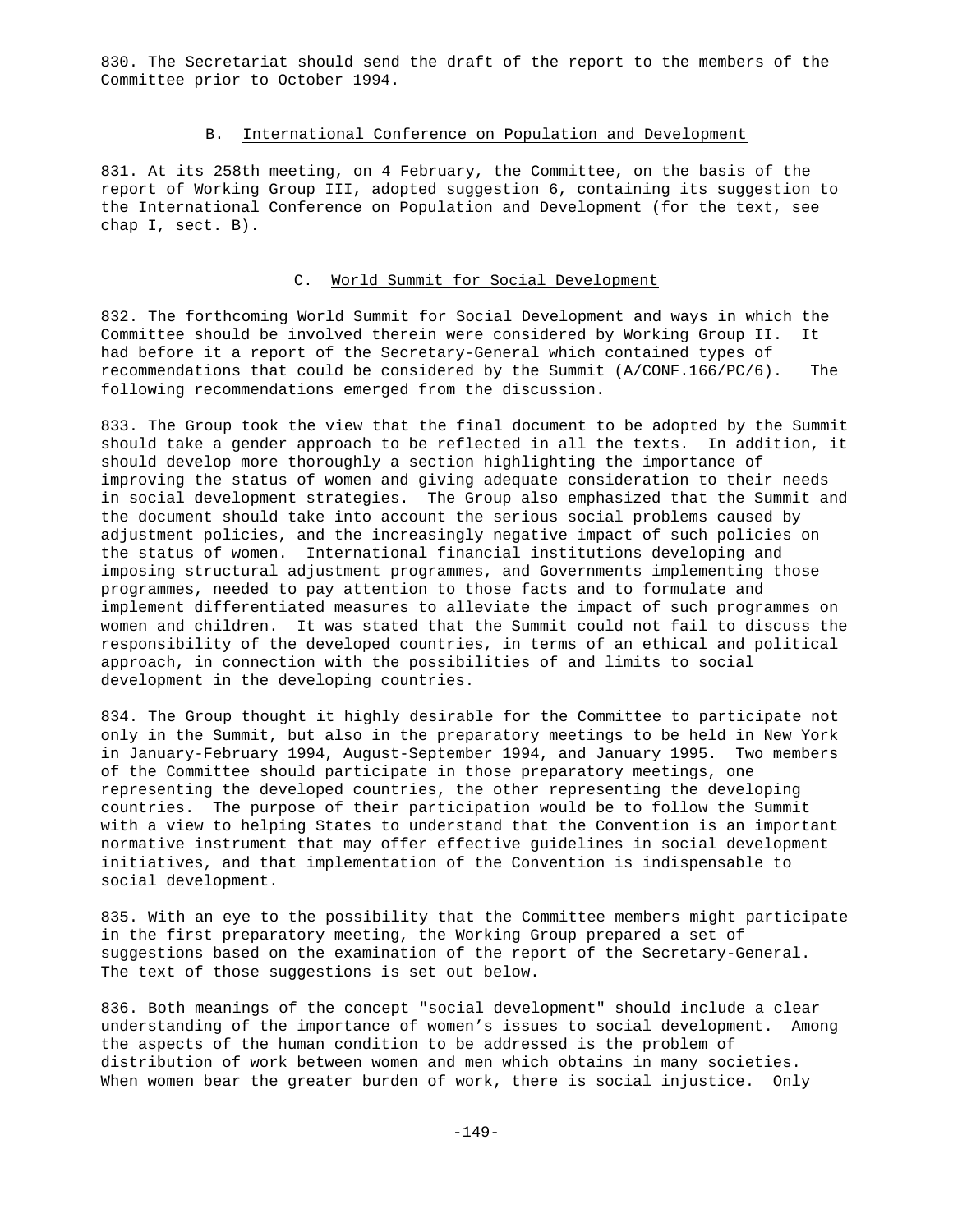830. The Secretariat should send the draft of the report to the members of the Committee prior to October 1994.

#### B. International Conference on Population and Development

831. At its 258th meeting, on 4 February, the Committee, on the basis of the report of Working Group III, adopted suggestion 6, containing its suggestion to the International Conference on Population and Development (for the text, see chap I, sect. B).

### C. World Summit for Social Development

832. The forthcoming World Summit for Social Development and ways in which the Committee should be involved therein were considered by Working Group II. It had before it a report of the Secretary-General which contained types of recommendations that could be considered by the Summit (A/CONF.166/PC/6). The following recommendations emerged from the discussion.

833. The Group took the view that the final document to be adopted by the Summit should take a gender approach to be reflected in all the texts. In addition, it should develop more thoroughly a section highlighting the importance of improving the status of women and giving adequate consideration to their needs in social development strategies. The Group also emphasized that the Summit and the document should take into account the serious social problems caused by adjustment policies, and the increasingly negative impact of such policies on the status of women. International financial institutions developing and imposing structural adjustment programmes, and Governments implementing those programmes, needed to pay attention to those facts and to formulate and implement differentiated measures to alleviate the impact of such programmes on women and children. It was stated that the Summit could not fail to discuss the responsibility of the developed countries, in terms of an ethical and political approach, in connection with the possibilities of and limits to social development in the developing countries.

834. The Group thought it highly desirable for the Committee to participate not only in the Summit, but also in the preparatory meetings to be held in New York in January-February 1994, August-September 1994, and January 1995. Two members of the Committee should participate in those preparatory meetings, one representing the developed countries, the other representing the developing countries. The purpose of their participation would be to follow the Summit with a view to helping States to understand that the Convention is an important normative instrument that may offer effective guidelines in social development initiatives, and that implementation of the Convention is indispensable to social development.

835. With an eye to the possibility that the Committee members might participate in the first preparatory meeting, the Working Group prepared a set of suggestions based on the examination of the report of the Secretary-General. The text of those suggestions is set out below.

836. Both meanings of the concept "social development" should include a clear understanding of the importance of women's issues to social development. Among the aspects of the human condition to be addressed is the problem of distribution of work between women and men which obtains in many societies. When women bear the greater burden of work, there is social injustice. Only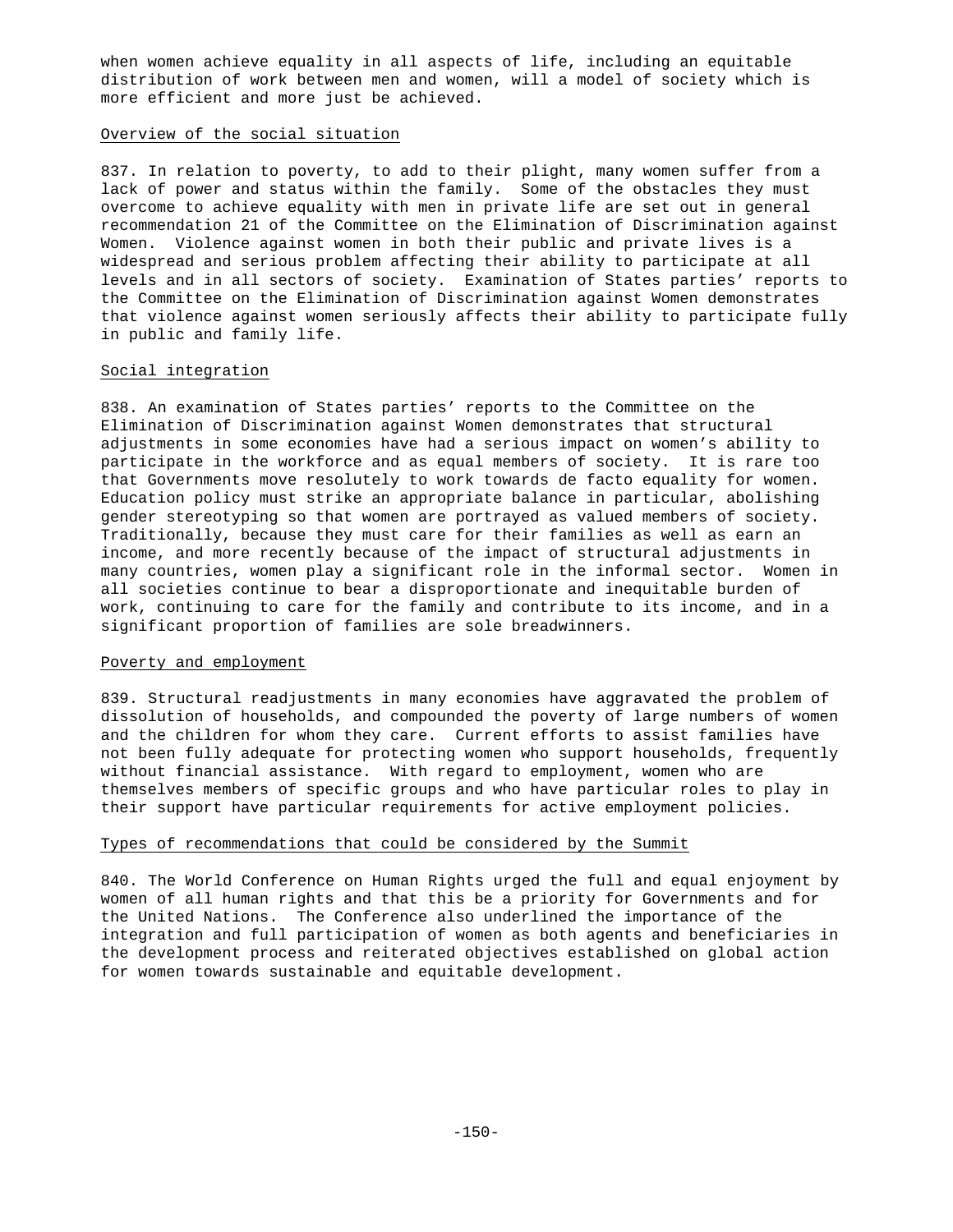when women achieve equality in all aspects of life, including an equitable distribution of work between men and women, will a model of society which is more efficient and more just be achieved.

#### Overview of the social situation

837. In relation to poverty, to add to their plight, many women suffer from a lack of power and status within the family. Some of the obstacles they must overcome to achieve equality with men in private life are set out in general recommendation 21 of the Committee on the Elimination of Discrimination against Women. Violence against women in both their public and private lives is a widespread and serious problem affecting their ability to participate at all levels and in all sectors of society. Examination of States parties' reports to the Committee on the Elimination of Discrimination against Women demonstrates that violence against women seriously affects their ability to participate fully in public and family life.

#### Social integration

838. An examination of States parties' reports to the Committee on the Elimination of Discrimination against Women demonstrates that structural adjustments in some economies have had a serious impact on women's ability to participate in the workforce and as equal members of society. It is rare too that Governments move resolutely to work towards de facto equality for women. Education policy must strike an appropriate balance in particular, abolishing gender stereotyping so that women are portrayed as valued members of society. Traditionally, because they must care for their families as well as earn an income, and more recently because of the impact of structural adjustments in many countries, women play a significant role in the informal sector. Women in all societies continue to bear a disproportionate and inequitable burden of work, continuing to care for the family and contribute to its income, and in a significant proportion of families are sole breadwinners.

#### Poverty and employment

839. Structural readjustments in many economies have aggravated the problem of dissolution of households, and compounded the poverty of large numbers of women and the children for whom they care. Current efforts to assist families have not been fully adequate for protecting women who support households, frequently without financial assistance. With regard to employment, women who are themselves members of specific groups and who have particular roles to play in their support have particular requirements for active employment policies.

# Types of recommendations that could be considered by the Summit

840. The World Conference on Human Rights urged the full and equal enjoyment by women of all human rights and that this be a priority for Governments and for the United Nations. The Conference also underlined the importance of the integration and full participation of women as both agents and beneficiaries in the development process and reiterated objectives established on global action for women towards sustainable and equitable development.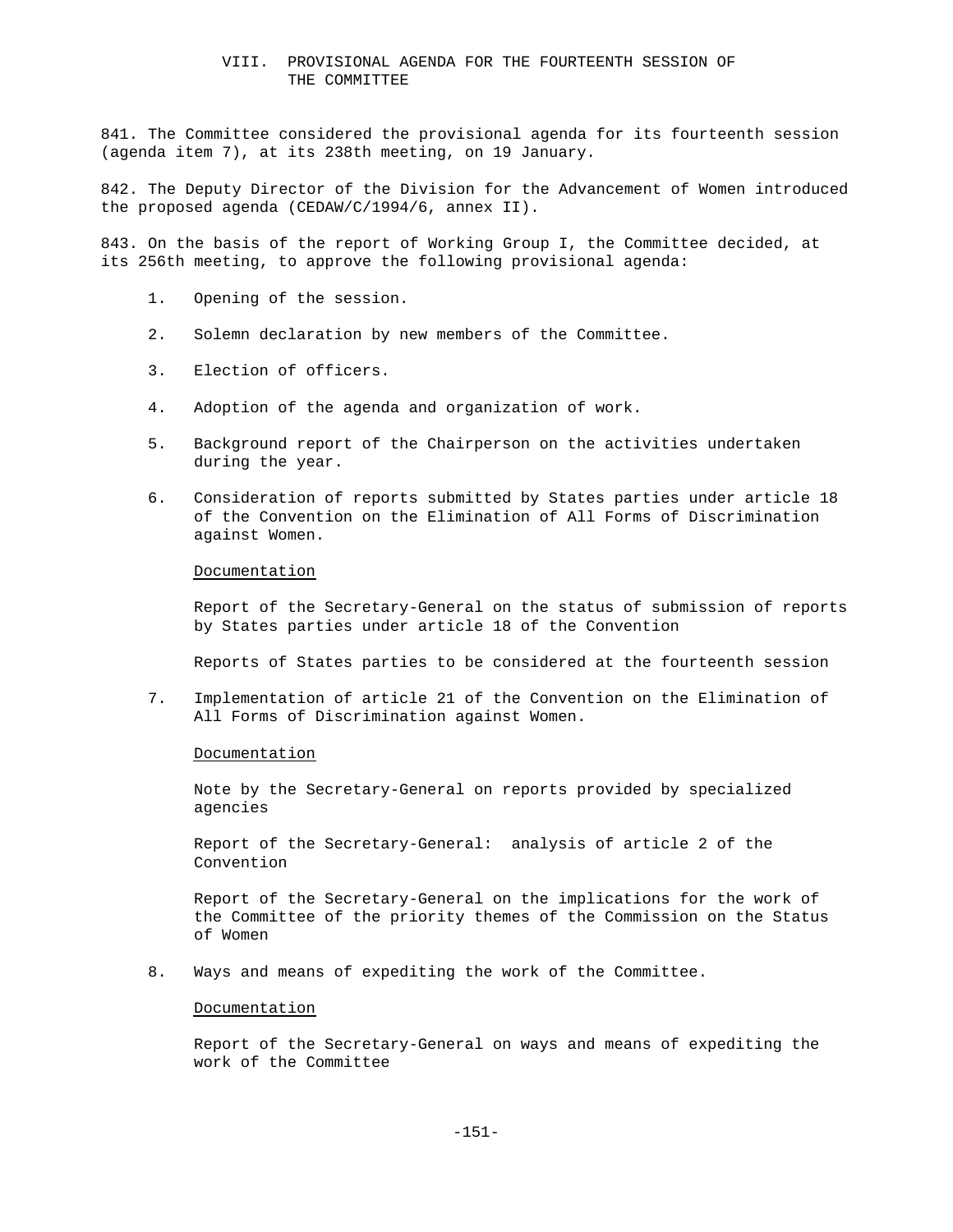# VIII. PROVISIONAL AGENDA FOR THE FOURTEENTH SESSION OF THE COMMITTEE

841. The Committee considered the provisional agenda for its fourteenth session (agenda item 7), at its 238th meeting, on 19 January.

842. The Deputy Director of the Division for the Advancement of Women introduced the proposed agenda (CEDAW/C/1994/6, annex II).

843. On the basis of the report of Working Group I, the Committee decided, at its 256th meeting, to approve the following provisional agenda:

- 1. Opening of the session.
- 2. Solemn declaration by new members of the Committee.
- 3. Election of officers.
- 4. Adoption of the agenda and organization of work.
- 5. Background report of the Chairperson on the activities undertaken during the year.
- 6. Consideration of reports submitted by States parties under article 18 of the Convention on the Elimination of All Forms of Discrimination against Women.

#### Documentation

Report of the Secretary-General on the status of submission of reports by States parties under article 18 of the Convention

Reports of States parties to be considered at the fourteenth session

- 7. Implementation of article 21 of the Convention on the Elimination of All Forms of Discrimination against Women.
	- Documentation

Note by the Secretary-General on reports provided by specialized agencies

Report of the Secretary-General: analysis of article 2 of the Convention

Report of the Secretary-General on the implications for the work of the Committee of the priority themes of the Commission on the Status of Women

8. Ways and means of expediting the work of the Committee.

#### Documentation

Report of the Secretary-General on ways and means of expediting the work of the Committee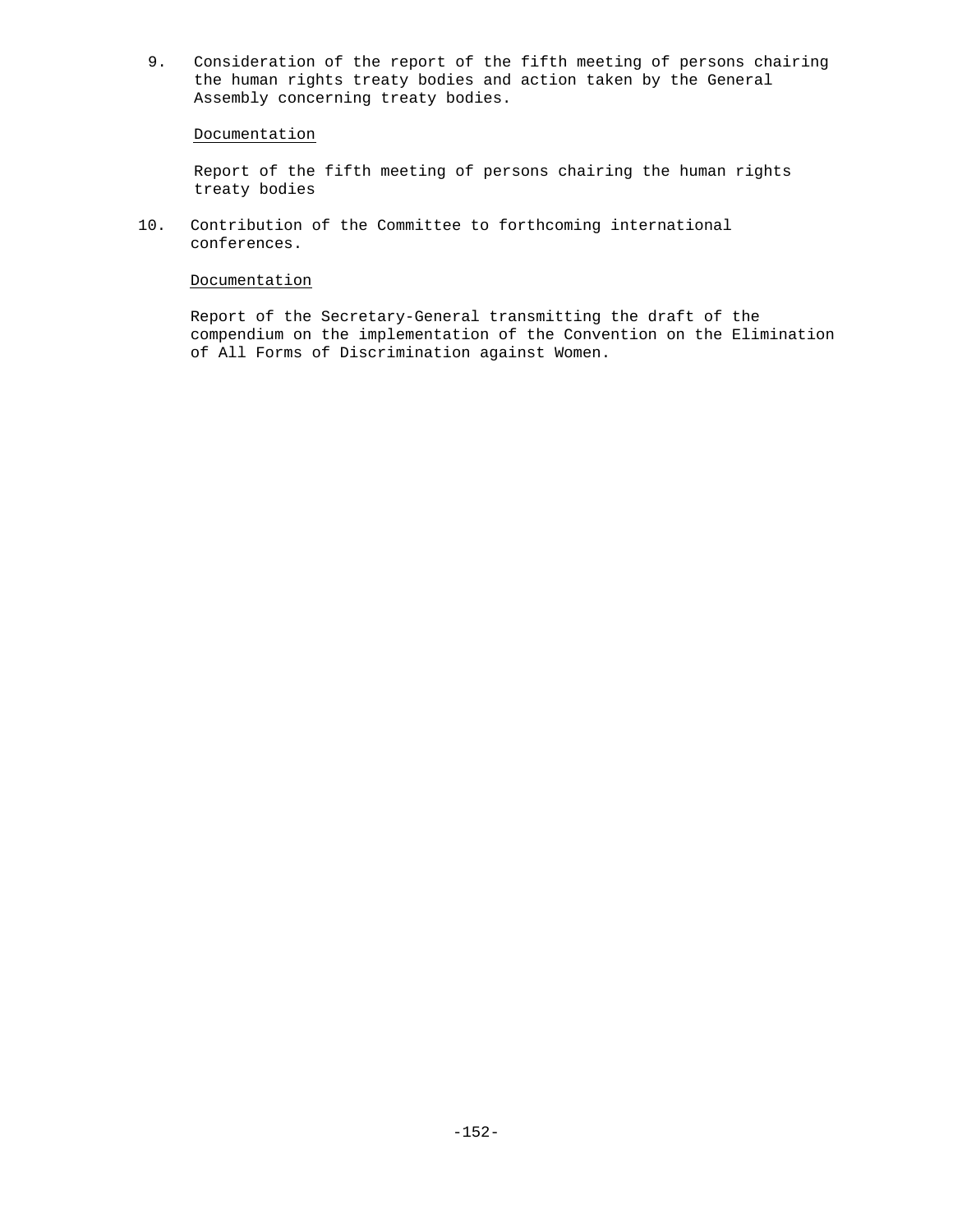9. Consideration of the report of the fifth meeting of persons chairing the human rights treaty bodies and action taken by the General Assembly concerning treaty bodies.

#### Documentation

Report of the fifth meeting of persons chairing the human rights treaty bodies

10. Contribution of the Committee to forthcoming international conferences.

# **Documentation**

Report of the Secretary-General transmitting the draft of the compendium on the implementation of the Convention on the Elimination of All Forms of Discrimination against Women.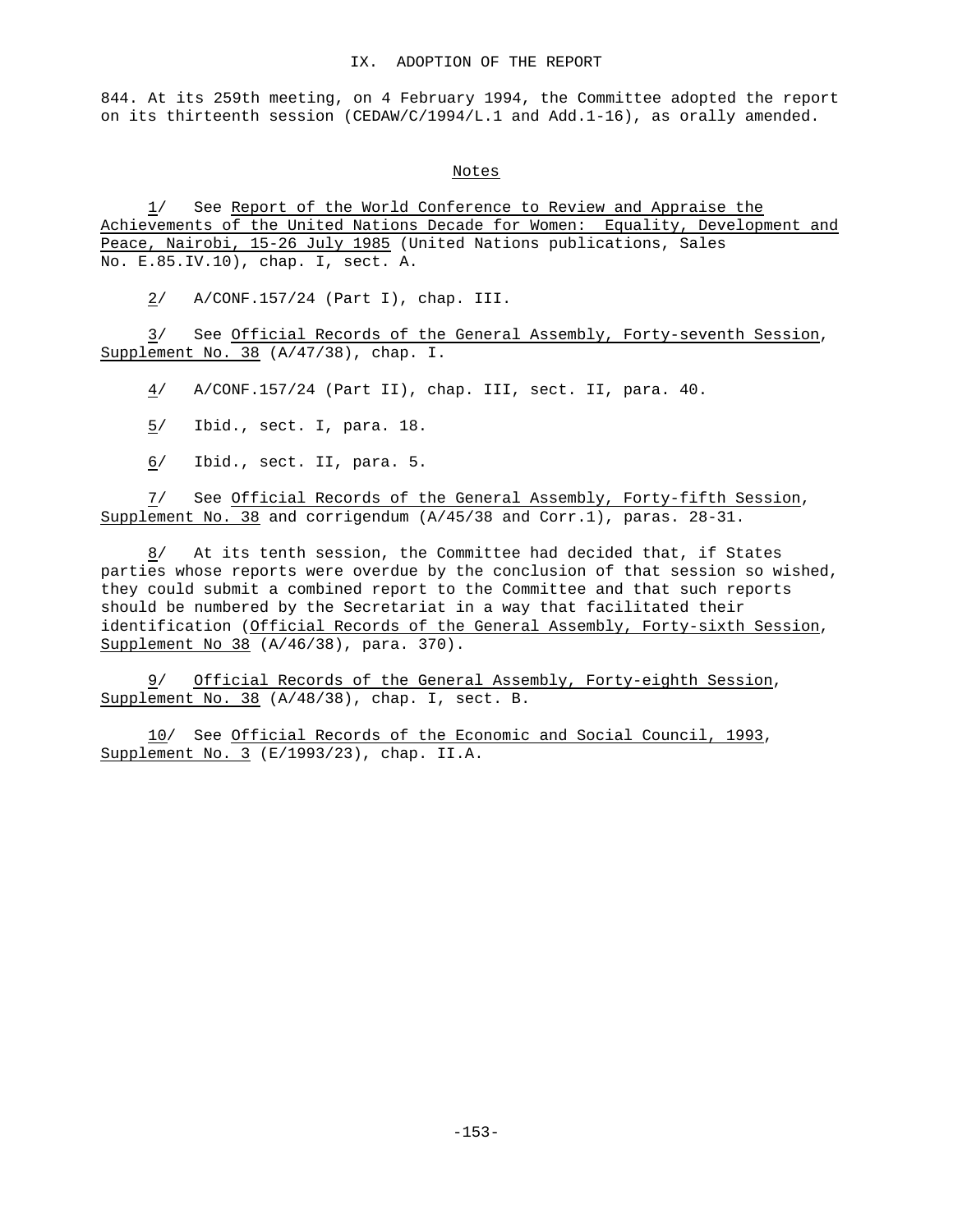844. At its 259th meeting, on 4 February 1994, the Committee adopted the report on its thirteenth session (CEDAW/C/1994/L.1 and Add.1-16), as orally amended.

#### Notes

1/ See Report of the World Conference to Review and Appraise the Achievements of the United Nations Decade for Women: Equality, Development and Peace, Nairobi, 15-26 July 1985 (United Nations publications, Sales No. E.85.IV.10), chap. I, sect. A.

2/ A/CONF.157/24 (Part I), chap. III.

3/ See Official Records of the General Assembly, Forty-seventh Session, Supplement No. 38 (A/47/38), chap. I.

4/ A/CONF.157/24 (Part II), chap. III, sect. II, para. 40.

5/ Ibid., sect. I, para. 18.

6/ Ibid., sect. II, para. 5.

7/ See Official Records of the General Assembly, Forty-fifth Session, Supplement No. 38 and corrigendum (A/45/38 and Corr.1), paras. 28-31.

8/ At its tenth session, the Committee had decided that, if States parties whose reports were overdue by the conclusion of that session so wished, they could submit a combined report to the Committee and that such reports should be numbered by the Secretariat in a way that facilitated their identification (Official Records of the General Assembly, Forty-sixth Session, Supplement No 38 (A/46/38), para. 370).

Official Records of the General Assembly, Forty-eighth Session, Supplement No. 38 (A/48/38), chap. I, sect. B.

10/ See Official Records of the Economic and Social Council, 1993, Supplement No. 3 (E/1993/23), chap. II.A.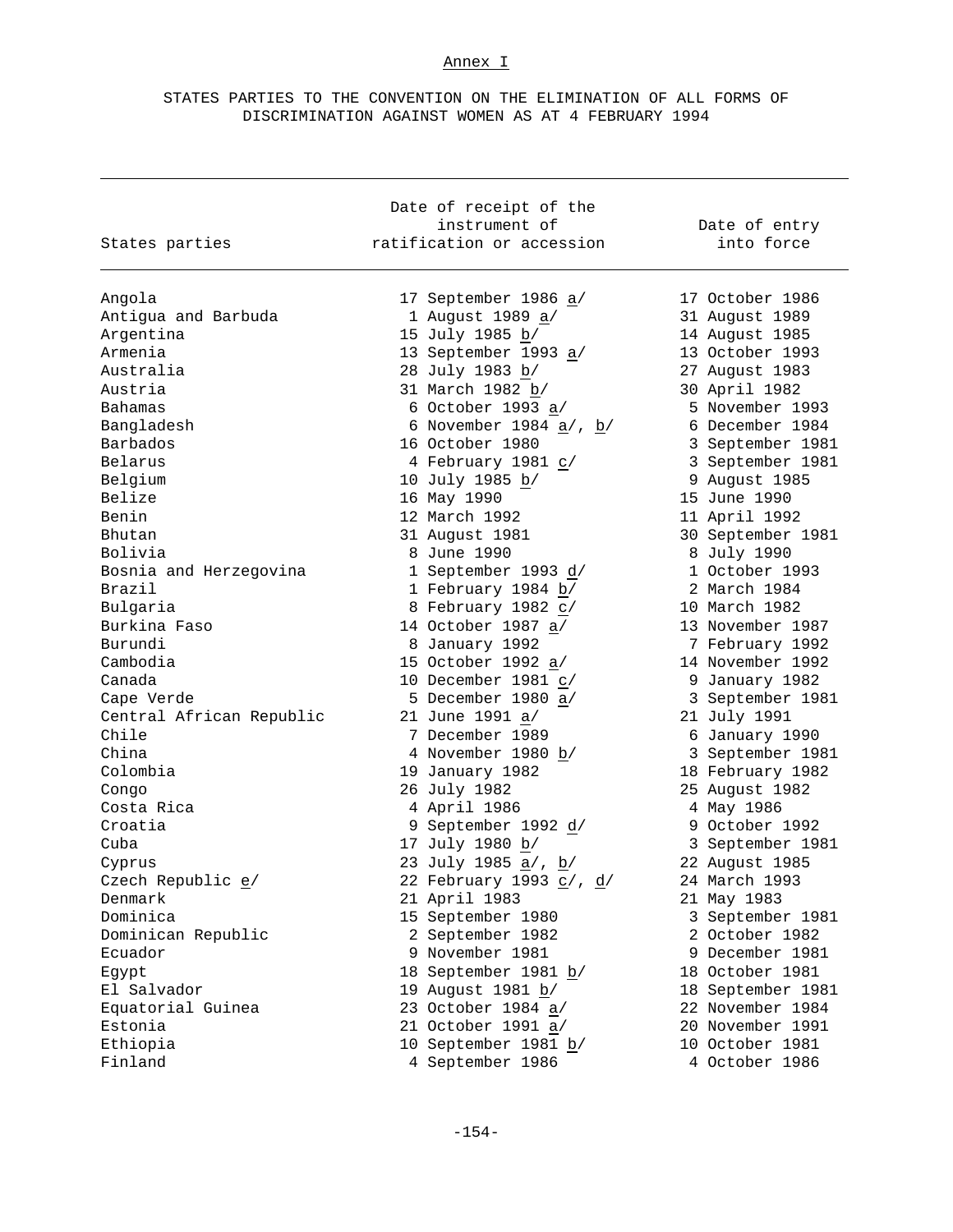Annex I

# STATES PARTIES TO THE CONVENTION ON THE ELIMINATION OF ALL FORMS OF DISCRIMINATION AGAINST WOMEN AS AT 4 FEBRUARY 1994

| States parties           | Date of receipt of the<br>instrument of<br>ratification or accession | Date of entry<br>into force |
|--------------------------|----------------------------------------------------------------------|-----------------------------|
| Angola                   | 17 September 1986 a/                                                 | 17 October 1986             |
| Antigua and Barbuda      | 1 August 1989 a/                                                     | 31 August 1989              |
| Argentina                | 15 July 1985 b/                                                      | 14 August 1985              |
| Armenia                  | 13 September 1993 a/                                                 | 13 October 1993             |
| Australia                | 28 July 1983 b/                                                      | 27 August 1983              |
| Austria                  | 31 March 1982 b/                                                     | 30 April 1982               |
| Bahamas                  | 6 October 1993 a/                                                    | 5 November 1993             |
| Bangladesh               | 6 November 1984 a/, b/                                               | 6 December 1984             |
| Barbados                 | 16 October 1980                                                      | 3 September 1981            |
| Belarus                  | 4 February 1981 c/                                                   | 3 September 1981            |
| Belgium                  | 10 July 1985 b/                                                      | 9 August 1985               |
| Belize                   | 16 May 1990                                                          | 15 June 1990                |
| Benin                    | 12 March 1992                                                        | 11 April 1992               |
| Bhutan                   | 31 August 1981                                                       | 30 September 1981           |
| Bolivia                  | 8 June 1990                                                          | 8 July 1990                 |
| Bosnia and Herzegovina   | 1 September 1993 d/                                                  | 1 October 1993              |
| <b>Brazil</b>            | 1 February 1984 b/                                                   | 2 March 1984                |
| Bulgaria                 | 8 February 1982 c/                                                   | 10 March 1982               |
| Burkina Faso             | 14 October 1987 a/                                                   | 13 November 1987            |
| Burundi                  | 8 January 1992                                                       | 7 February 1992             |
| Cambodia                 | 15 October 1992 a/                                                   | 14 November 1992            |
| Canada                   | 10 December 1981 c/                                                  | 9 January 1982              |
| Cape Verde               | 5 December 1980 a/                                                   | 3 September 1981            |
| Central African Republic | 21 June 1991 a/                                                      | 21 July 1991                |
| Chile                    | 7 December 1989                                                      | 6 January 1990              |
| China                    | 4 November 1980 b/                                                   | 3 September 1981            |
| Colombia                 | 19 January 1982                                                      | 18 February 1982            |
| Congo                    | 26 July 1982                                                         | 25 August 1982              |
| Costa Rica               | 4 April 1986                                                         | 4 May 1986                  |
| Croatia                  | 9 September 1992 d/                                                  | 9 October 1992              |
| Cuba                     | 17 July 1980 b/                                                      | 3 September 1981            |
| Cyprus                   | 23 July 1985 <u>a</u> /, b/                                          | 22 August 1985              |
| Czech Republic e/        | 22 February 1993 c/, d/                                              | 24 March 1993               |
| Denmark                  | 21 April 1983                                                        | 21 May 1983                 |
| Dominica                 | 15 September 1980                                                    | 3 September 1981            |
| Dominican Republic       | 2 September 1982                                                     | 2 October 1982              |
| Ecuador                  | 9 November 1981                                                      | 9 December 1981             |
| Egypt                    | 18 September 1981 b/                                                 | 18 October 1981             |
| El Salvador              | 19 August 1981 b/                                                    | 18 September 1981           |
| Equatorial Guinea        | 23 October 1984 a/                                                   | 22 November 1984            |
| Estonia                  | 21 October 1991 a/                                                   | 20 November 1991            |
| Ethiopia                 | 10 September 1981 b/                                                 | 10 October 1981             |
| Finland                  | 4 September 1986                                                     | 4 October 1986              |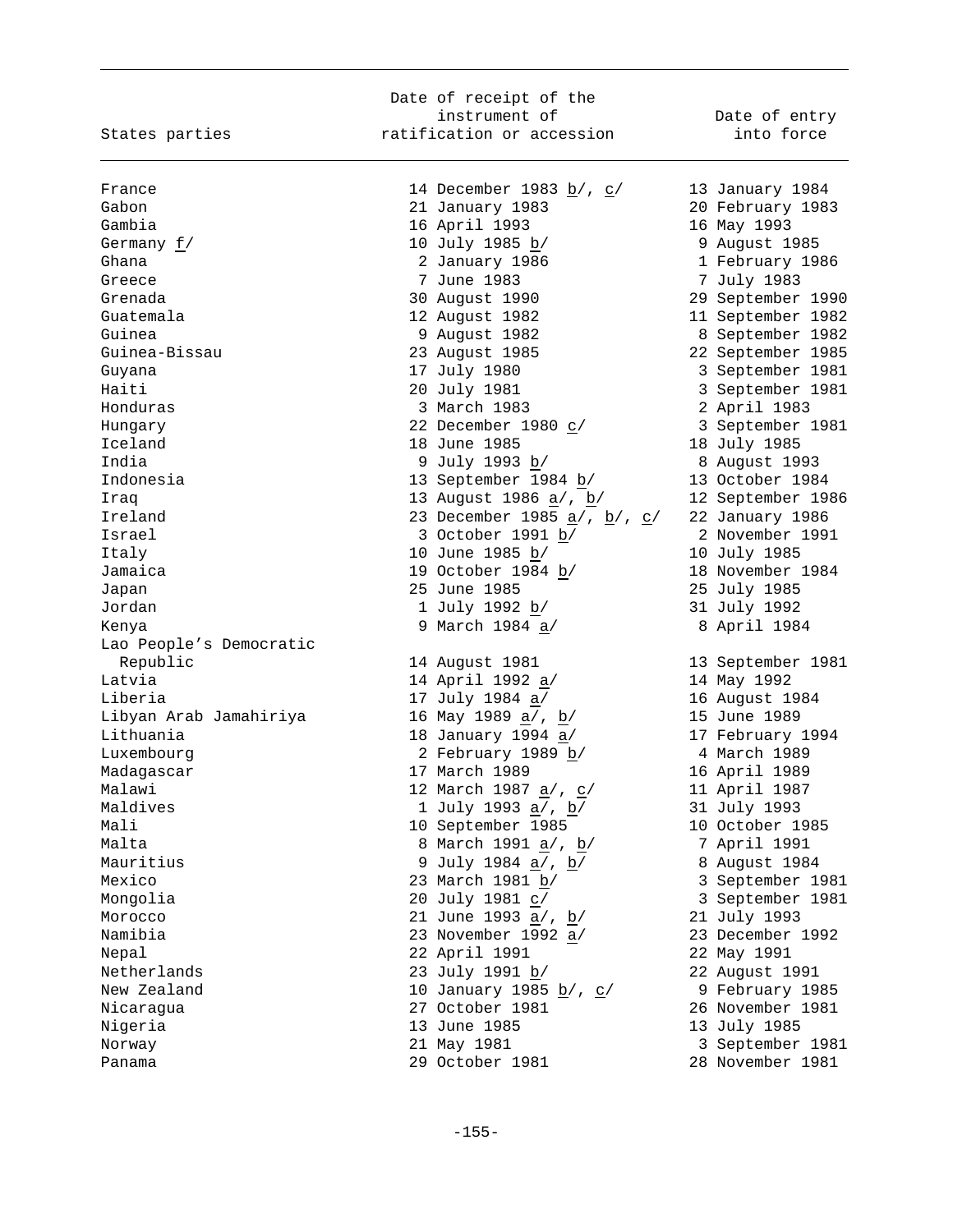|                         | Date of receipt of the              |                                  |
|-------------------------|-------------------------------------|----------------------------------|
|                         | instrument of                       | Date of entry                    |
| States parties          | ratification or accession           | into force                       |
|                         |                                     |                                  |
| France                  | 14 December 1983 b/, c/             | 13 January 1984                  |
| Gabon                   | 21 January 1983                     | 20 February 1983                 |
| Gambia                  | 16 April 1993                       | 16 May 1993                      |
| Germany $f/$            | 10 July 1985 b/                     | 9 August 1985                    |
| Ghana                   | 2 January 1986                      | 1 February 1986                  |
| Greece                  | 7 June 1983                         | 7 July 1983                      |
| Grenada                 | 30 August 1990                      | 29 September 1990                |
| Guatemala               | 12 August 1982                      | 11 September 1982                |
| Guinea                  | 9 August 1982                       | 8 September 1982                 |
| Guinea-Bissau           | 23 August 1985                      | 22 September 1985                |
| Guyana                  | 17 July 1980                        | 3 September 1981                 |
| Haiti                   | 20 July 1981                        | 3 September 1981                 |
| Honduras                | 3 March 1983                        | 2 April 1983                     |
| Hungary                 | 22 December 1980 c/                 | 3 September 1981                 |
| Iceland                 | 18 June 1985                        | 18 July 1985                     |
| India                   | 9 July 1993 b/                      | 8 August 1993                    |
| Indonesia               | 13 September 1984 b/                | 13 October 1984                  |
| Iraq                    | 13 August 1986 a/, b/               | 12 September 1986                |
| Ireland                 | 23 December 1985 a/, b/, c/         | 22 January 1986                  |
| Israel                  | 3 October 1991 b/                   | 2 November 1991                  |
|                         |                                     |                                  |
| Italy<br>Jamaica        | 10 June 1985 <u>b</u> /             | 10 July 1985<br>18 November 1984 |
|                         | 19 October 1984 b/<br>25 June 1985  |                                  |
| Japan                   |                                     | 25 July 1985                     |
| Jordan                  | 1 July 1992 <u>b</u> /              | 31 July 1992                     |
| Kenya                   | 9 March 1984 <u>a</u> /             | 8 April 1984                     |
| Lao People's Democratic |                                     |                                  |
| Republic                | 14 August 1981                      | 13 September 1981                |
| Latvia                  | 14 April 1992 a/                    | 14 May 1992                      |
| Liberia                 | 17 July 1984 a/                     | 16 August 1984                   |
| Libyan Arab Jamahiriya  | 16 May 1989 <u>a</u> /, b/          | 15 June 1989                     |
| Lithuania               | 18 January 1994 a/                  | 17 February 1994                 |
| Luxembourg              | 2 February 1989 b/                  | 4 March 1989                     |
| Madagascar              | 17 March 1989                       | 16 April 1989                    |
| Malawi                  | 12 March 1987 <u>a</u> /, c/        | 11 April 1987                    |
| Maldives                | 1 July 1993 <u>a</u> /, b/          | 31 July 1993                     |
| Mali                    | 10 September 1985                   | 10 October 1985                  |
| Malta                   | 8 March 1991 <u>a</u> /, <u>b</u> / | 7 April 1991                     |
| Mauritius               | 9 July 1984 <u>a</u> /, b/          | 8 August 1984                    |
| Mexico                  | 23 March 1981 b/                    | 3 September 1981                 |
| Mongolia                | 20 July 1981 c/                     | 3 September 1981                 |
| Morocco                 | 21 June 1993 a/, b/                 | 21 July 1993                     |
| Namibia                 | 23 November 1992 a/                 | 23 December 1992                 |
| Nepal                   | 22 April 1991                       | 22 May 1991                      |
| Netherlands             | 23 July 1991 b/                     | 22 August 1991                   |
| New Zealand             | 10 January 1985 b/, c/              | 9 February 1985                  |
| Nicaragua               | 27 October 1981                     | 26 November 1981                 |
| Nigeria                 | 13 June 1985                        | 13 July 1985                     |
| Norway                  | 21 May 1981                         | 3 September 1981                 |
| Panama                  | 29 October 1981                     | 28 November 1981                 |
|                         |                                     |                                  |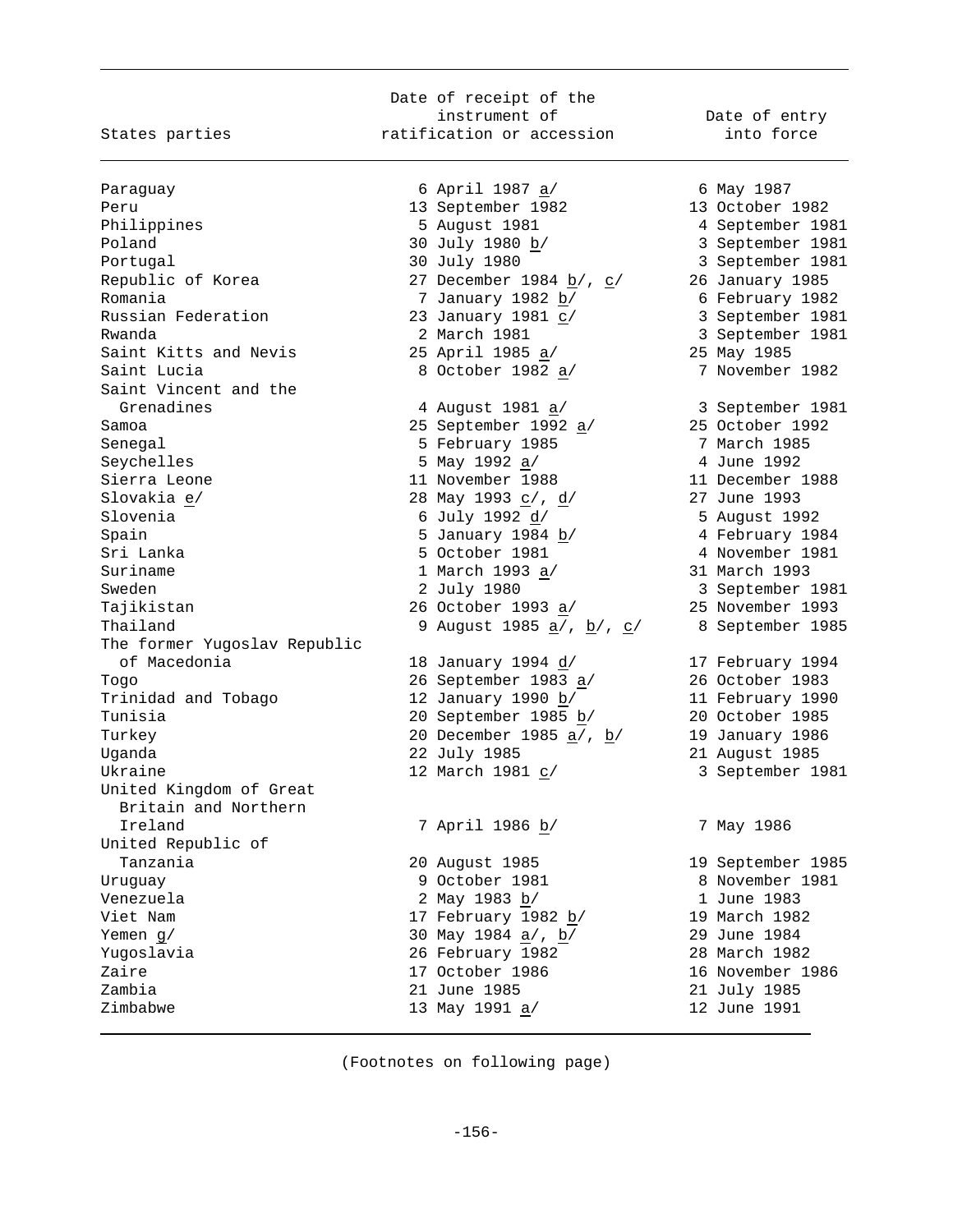|                              | Date of receipt of the                   |                   |
|------------------------------|------------------------------------------|-------------------|
|                              | instrument of                            | Date of entry     |
| States parties               | ratification or accession                | into force        |
|                              |                                          |                   |
| Paraguay                     | 6 April 1987 <u>a</u> /                  | 6 May 1987        |
| Peru                         | 13 September 1982                        | 13 October 1982   |
| Philippines                  | 5 August 1981                            | 4 September 1981  |
| Poland                       | 30 July 1980 b/                          | 3 September 1981  |
| Portugal                     | 30 July 1980                             | 3 September 1981  |
| Republic of Korea            | 27 December 1984 b/, c/                  | 26 January 1985   |
| Romania                      | 7 January 1982 b/                        | 6 February 1982   |
| Russian Federation           | 23 January 1981 c/                       | 3 September 1981  |
| Rwanda                       | 2 March 1981                             | 3 September 1981  |
| Saint Kitts and Nevis        | 25 April 1985 a/                         | 25 May 1985       |
| Saint Lucia                  | 8 October 1982 a/                        | 7 November 1982   |
| Saint Vincent and the        |                                          |                   |
| Grenadines                   | 4 August 1981 a/                         | 3 September 1981  |
| Samoa                        | 25 September 1992 a/                     | 25 October 1992   |
| Senegal                      | 5 February 1985                          | 7 March 1985      |
| Seychelles                   | 5 May 1992 a/                            | 4 June 1992       |
| Sierra Leone                 | 11 November 1988                         | 11 December 1988  |
| Slovakia e/                  | 28 May 1993 c/, d/                       | 27 June 1993      |
| Slovenia                     | 6 July 1992 <u>d</u> /                   | 5 August 1992     |
| Spain                        | 5 January 1984 b/                        | 4 February 1984   |
| Sri Lanka                    | 5 October 1981                           | 4 November 1981   |
| Suriname                     | 1 March 1993 a/                          | 31 March 1993     |
| Sweden                       | 2 July 1980                              | 3 September 1981  |
| Tajikistan                   | 26 October 1993 a/                       | 25 November 1993  |
| Thailand                     | 9 August 1985 <u>a</u> /, <u>b</u> /, c/ | 8 September 1985  |
| The former Yugoslav Republic |                                          |                   |
| of Macedonia                 | 18 January 1994 d/                       | 17 February 1994  |
| Togo                         | 26 September 1983 a/                     | 26 October 1983   |
| Trinidad and Tobago          | 12 January 1990 b/                       | 11 February 1990  |
| Tunisia                      | 20 September 1985 b/                     | 20 October 1985   |
| Turkey                       | 20 December 1985 a/, b/                  | 19 January 1986   |
| Uganda                       | 22 July 1985                             | 21 August 1985    |
| Ukraine                      | 12 March 1981 c/                         | 3 September 1981  |
| United Kingdom of Great      |                                          |                   |
| Britain and Northern         |                                          |                   |
| Ireland                      | 7 April 1986 b/                          | 7 May 1986        |
| United Republic of           |                                          |                   |
| Tanzania                     | 20 August 1985                           | 19 September 1985 |
| Uruguay                      | 9 October 1981                           | 8 November 1981   |
| Venezuela                    | 2 May 1983 b/                            | 1 June 1983       |
| Viet Nam                     | 17 February 1982 b/                      | 19 March 1982     |
| Yemen $g/$                   | 30 May 1984 a/, b/                       | 29 June 1984      |
| Yugoslavia                   | 26 February 1982                         | 28 March 1982     |
| Zaire                        | 17 October 1986                          | 16 November 1986  |
| Zambia                       | 21 June 1985                             | 21 July 1985      |
| Zimbabwe                     | 13 May 1991 a/                           | 12 June 1991      |
|                              |                                          |                   |

(Footnotes on following page)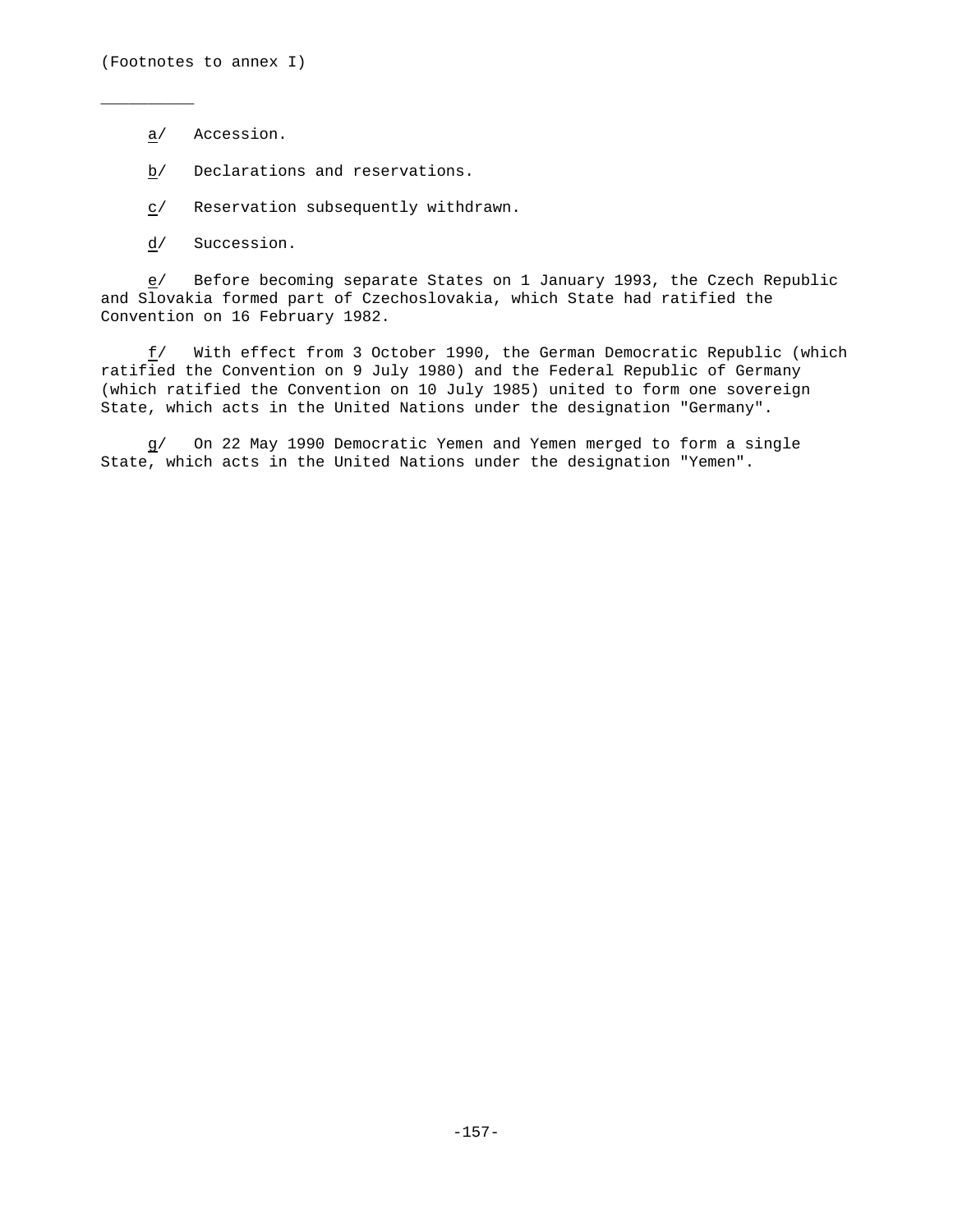\_\_\_\_\_\_\_\_\_\_

a/ Accession.

b/ Declarations and reservations.

c/ Reservation subsequently withdrawn.

d/ Succession.

e/ Before becoming separate States on 1 January 1993, the Czech Republic and Slovakia formed part of Czechoslovakia, which State had ratified the Convention on 16 February 1982.

f/ With effect from 3 October 1990, the German Democratic Republic (which ratified the Convention on 9 July 1980) and the Federal Republic of Germany (which ratified the Convention on 10 July 1985) united to form one sovereign State, which acts in the United Nations under the designation "Germany".

g/ On 22 May 1990 Democratic Yemen and Yemen merged to form a single State, which acts in the United Nations under the designation "Yemen".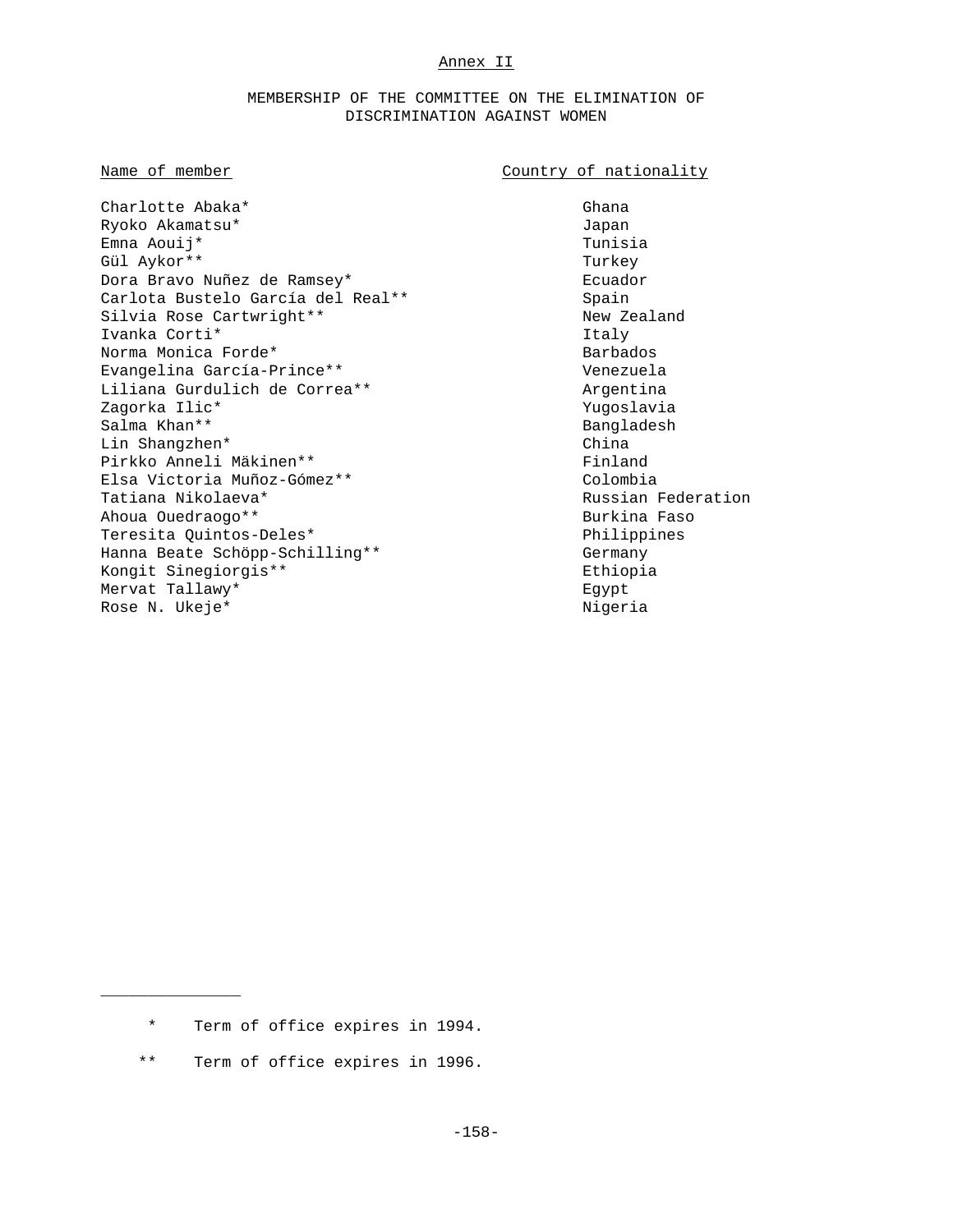# Annex II

# MEMBERSHIP OF THE COMMITTEE ON THE ELIMINATION OF DISCRIMINATION AGAINST WOMEN

Charlotte Abaka\* Ghana Ryoko Akamatsu\* Japan Emna Aouij\* Tunisia Gül Aykor\*\* Turkey Dora Bravo Nuñez de Ramsey\* Ecuador Carlota Bustelo García del Real\*\* Spain Silvia Rose Cartwright\*\* New Zealand Ivanka Corti\* Italy Norma Monica Forde\* et al. and the set of the Barbados Evangelina García-Prince\*\* Venezuela Liliana Gurdulich de Correa\*\* Argentina Zagorka Ilic\* Yugoslavia Salma Khan\*\* Bangladesh Bangladesh Bangladesh Bangladesh Bangladesh Bangladesh Bangladesh Bangladesh Bangladesh Lin Shangzhen\* China Pirkko Anneli Mäkinen\*\* Finland Elsa Victoria Muñoz-Gómez\*\* Colombia Tatiana Nikolaeva\* Russian Federation Ahoua Ouedraogo\*\* Burkina Faso Teresita Quintos-Deles\* Philippines Hanna Beate Schöpp-Schilling\*\* Germany Kongit Sinegiorgis\*\* Ethiopia Mervat Tallawy\* The Contract of the Egypt Rose N. Ukeje\* Nigeria

Name of member Country of nationality

\* Term of office expires in 1994.

\_\_\_\_\_\_\_\_\_\_\_\_\_\_\_

\*\* Term of office expires in 1996.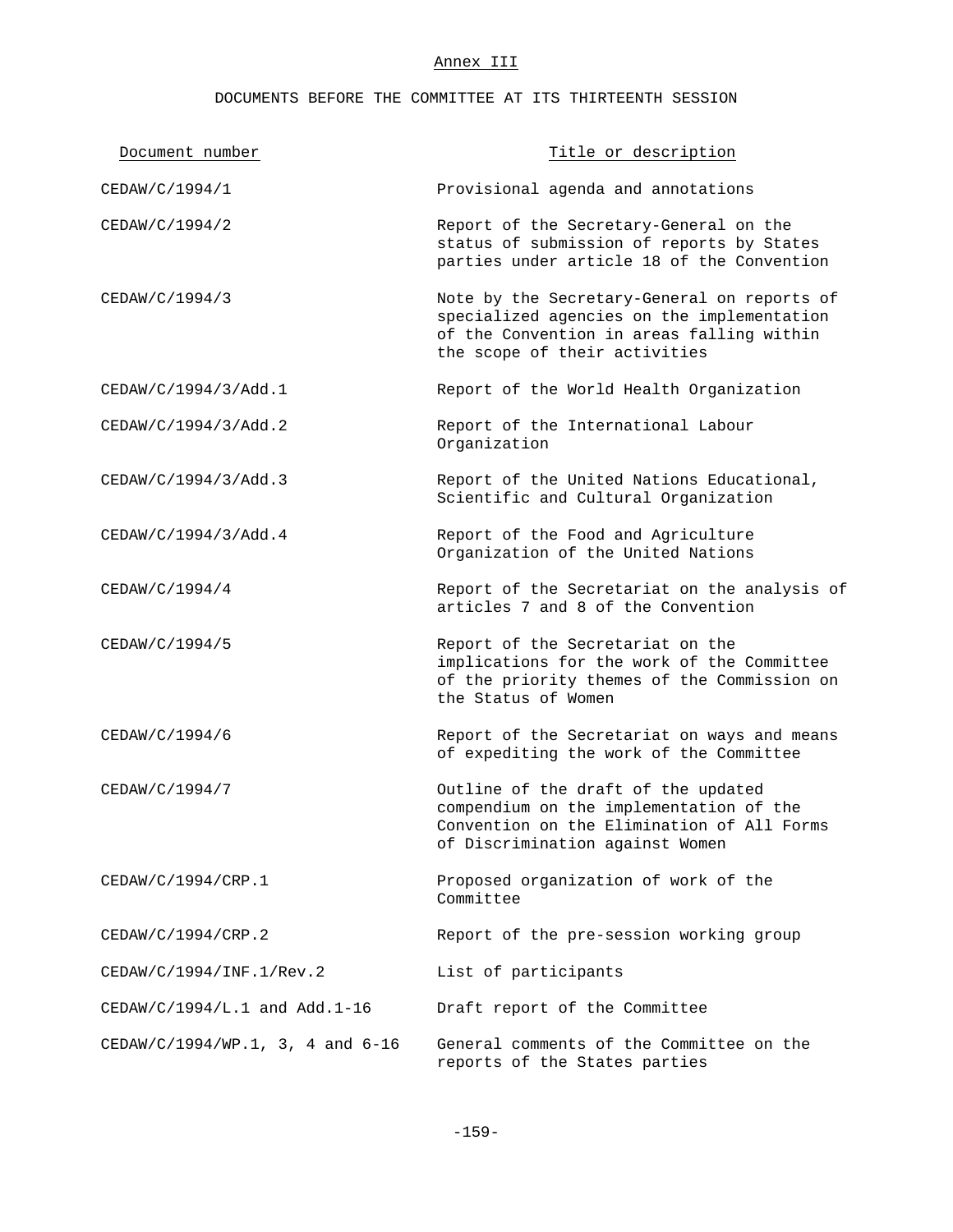# Annex III

# DOCUMENTS BEFORE THE COMMITTEE AT ITS THIRTEENTH SESSION

| Document number                    | Title or description                                                                                                                                                    |
|------------------------------------|-------------------------------------------------------------------------------------------------------------------------------------------------------------------------|
| CEDAW/C/1994/1                     | Provisional agenda and annotations                                                                                                                                      |
| CEDAW/C/1994/2                     | Report of the Secretary-General on the<br>status of submission of reports by States<br>parties under article 18 of the Convention                                       |
| CEDAW/C/1994/3                     | Note by the Secretary-General on reports of<br>specialized agencies on the implementation<br>of the Convention in areas falling within<br>the scope of their activities |
| CEDAW/C/1994/3/Add.1               | Report of the World Health Organization                                                                                                                                 |
| CEDAW/C/1994/3/Add.2               | Report of the International Labour<br>Organization                                                                                                                      |
| CEDAW/C/1994/3/Add.3               | Report of the United Nations Educational,<br>Scientific and Cultural Organization                                                                                       |
| CEDAW/C/1994/3/Add.4               | Report of the Food and Agriculture<br>Organization of the United Nations                                                                                                |
| CEDAW/C/1994/4                     | Report of the Secretariat on the analysis of<br>articles 7 and 8 of the Convention                                                                                      |
| CEDAW/C/1994/5                     | Report of the Secretariat on the<br>implications for the work of the Committee<br>of the priority themes of the Commission on<br>the Status of Women                    |
| CEDAW/C/1994/6                     | Report of the Secretariat on ways and means<br>of expediting the work of the Committee                                                                                  |
| CEDAW/C/1994/7                     | Outline of the draft of the updated<br>compendium on the implementation of the<br>Convention on the Elimination of All Forms<br>of Discrimination against Women         |
| CEDAW/C/1994/CRP.1                 | Proposed organization of work of the<br>Committee                                                                                                                       |
| CEDAW/C/1994/CRP.2                 | Report of the pre-session working group                                                                                                                                 |
| CEDAW/C/1994/INF.1/Rev.2           | List of participants                                                                                                                                                    |
| $CEDAW/C/1994/L.1$ and Add. 1-16   | Draft report of the Committee                                                                                                                                           |
| CEDAW/C/1994/WP.1, 3, 4 and $6-16$ | General comments of the Committee on the<br>reports of the States parties                                                                                               |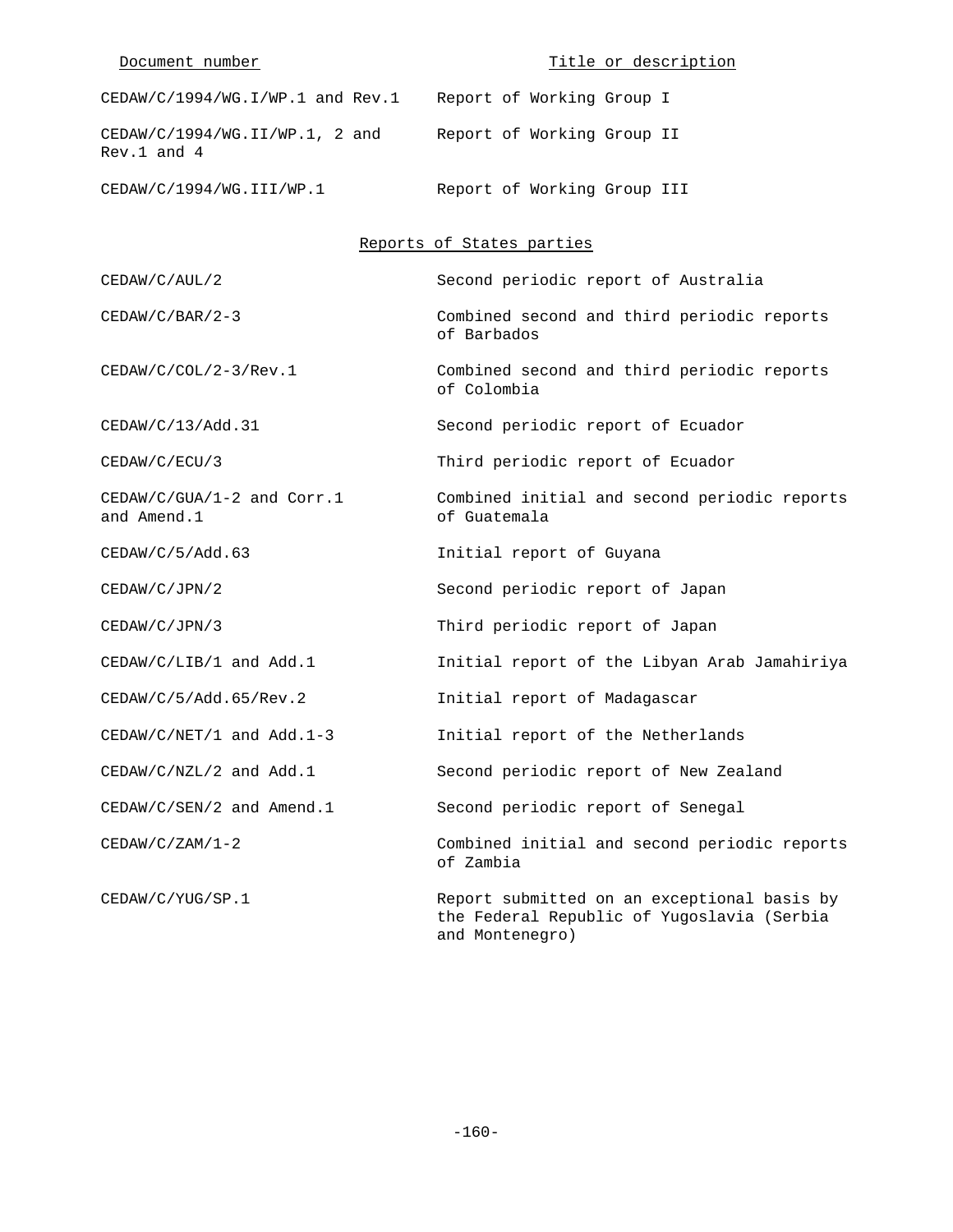| Document number                                 | Title or description                                                                                         |
|-------------------------------------------------|--------------------------------------------------------------------------------------------------------------|
| $CEDAW/C/1994/WG.I/WP.1$ and $Rev.1$            | Report of Working Group I                                                                                    |
| CEDAW/C/1994/WG.II/WP.1, 2 and<br>$Rev.1$ and 4 | Report of Working Group II                                                                                   |
| CEDAW/C/1994/WG.III/WP.1                        | Report of Working Group III                                                                                  |
|                                                 | Reports of States parties                                                                                    |
| CEDAW/C/AUL/2                                   | Second periodic report of Australia                                                                          |
| $CEDAW/C/BAR/2-3$                               | Combined second and third periodic reports<br>of Barbados                                                    |
| $CEDAW/C/COL/2-3/Rev.1$                         | Combined second and third periodic reports<br>of Colombia                                                    |
| CEDAW/C/13/Add.31                               | Second periodic report of Ecuador                                                                            |
| CEDAW/C/ECU/3                                   | Third periodic report of Ecuador                                                                             |
| $CEDAW/C/GUA/1-2$ and $Corr.1$<br>and Amend.1   | Combined initial and second periodic reports<br>of Guatemala                                                 |
| CEDAW/C/5/Add.63                                | Initial report of Guyana                                                                                     |
| CEDAW/C/JPN/2                                   | Second periodic report of Japan                                                                              |
| CEDAW/C/JPN/3                                   | Third periodic report of Japan                                                                               |
| $CEDAW/C/LIB/1$ and Add.1                       | Initial report of the Libyan Arab Jamahiriya                                                                 |
| CEDAW/C/5/Add.65/Rev.2                          | Initial report of Madagascar                                                                                 |
| $CEDAW/C/NET/1$ and $Add.1-3$                   | Initial report of the Netherlands                                                                            |
| $CEDAW/C/NZL/2$ and Add.1                       | Second periodic report of New Zealand                                                                        |
| $CEDAW/C/SEN/2$ and Amend.1                     | Second periodic report of Senegal                                                                            |
| $CEDAW/C/ZAM/1-2$                               | Combined initial and second periodic reports<br>of Zambia                                                    |
| CEDAW/C/YUG/SP.1                                | Report submitted on an exceptional basis by<br>the Federal Republic of Yugoslavia (Serbia<br>and Montenegro) |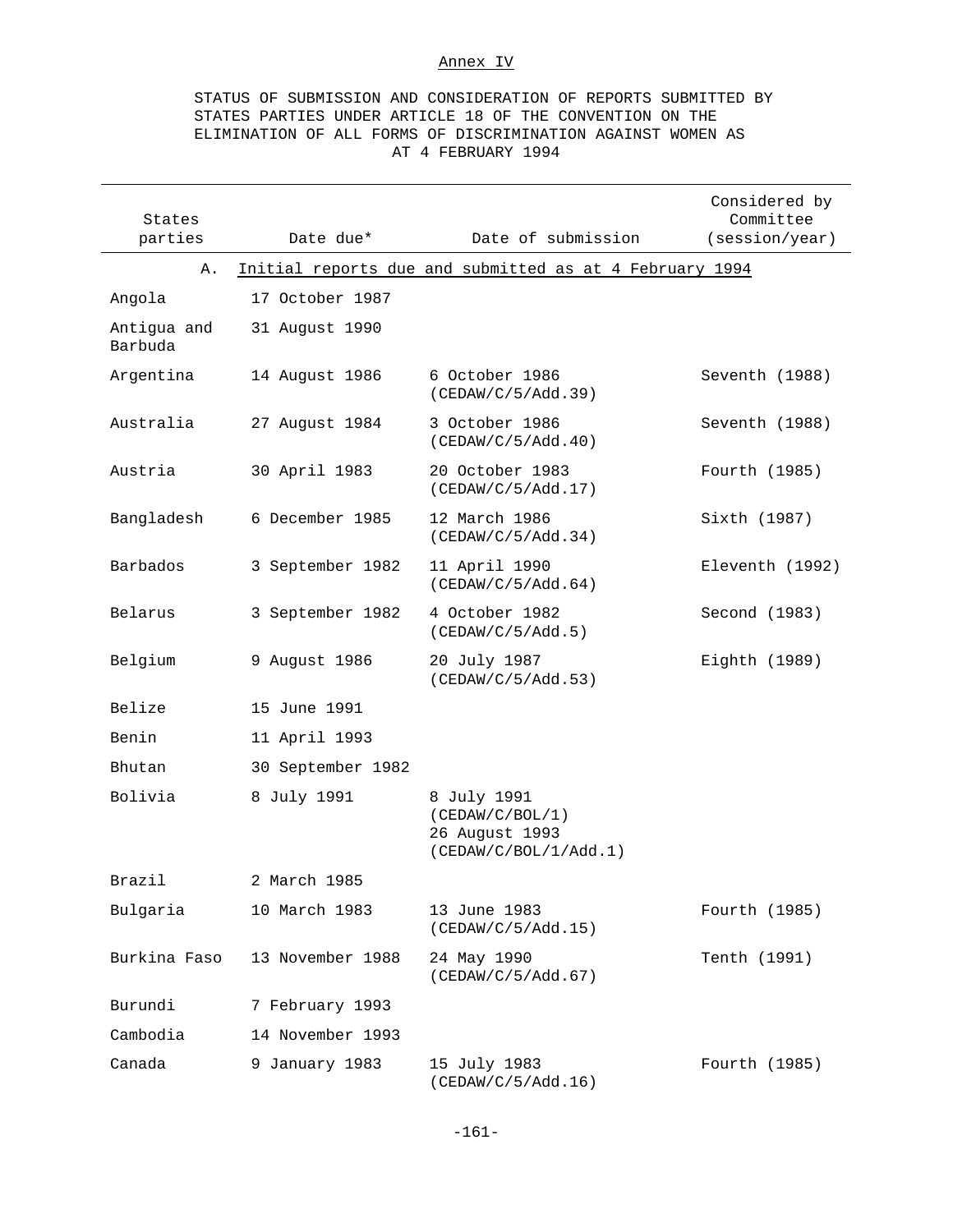# Annex IV

STATUS OF SUBMISSION AND CONSIDERATION OF REPORTS SUBMITTED BY STATES PARTIES UNDER ARTICLE 18 OF THE CONVENTION ON THE ELIMINATION OF ALL FORMS OF DISCRIMINATION AGAINST WOMEN AS AT 4 FEBRUARY 1994

| States<br>parties      | Date due*         | Date of submission                                                        | Considered by<br>Committee<br>(session/year) |
|------------------------|-------------------|---------------------------------------------------------------------------|----------------------------------------------|
| Α.                     |                   | Initial reports due and submitted as at 4 February 1994                   |                                              |
| Angola                 | 17 October 1987   |                                                                           |                                              |
| Antigua and<br>Barbuda | 31 August 1990    |                                                                           |                                              |
| Argentina              | 14 August 1986    | 6 October 1986<br>(CEDAW/C/5/Add.39)                                      | Seventh (1988)                               |
| Australia              | 27 August 1984    | 3 October 1986<br>(CEDAW/C/5/Add.40)                                      | Seventh (1988)                               |
| Austria                | 30 April 1983     | 20 October 1983<br>(CEDAW/C/5/Add.17)                                     | Fourth (1985)                                |
| Bangladesh             | 6 December 1985   | 12 March 1986<br>(CEDAW/C/5/Add.34)                                       | Sixth (1987)                                 |
| Barbados               | 3 September 1982  | 11 April 1990<br>(CEDAW/C/5/Add.64)                                       | Eleventh (1992)                              |
| Belarus                | 3 September 1982  | 4 October 1982<br>(CEDAW/C/5/Add.5)                                       | Second (1983)                                |
| Belgium                | 9 August 1986     | 20 July 1987<br>(CEDAW/C/5/Add.53)                                        | Eighth (1989)                                |
| Belize                 | 15 June 1991      |                                                                           |                                              |
| Benin                  | 11 April 1993     |                                                                           |                                              |
| Bhutan                 | 30 September 1982 |                                                                           |                                              |
| Bolivia                | 8 July 1991       | 8 July 1991<br>(CEDAW/C/BOL/1)<br>26 August 1993<br>(CEDAW/C/BOL/1/Add.1) |                                              |
| Brazil                 | 2 March 1985      |                                                                           |                                              |
| Bulgaria               | 10 March 1983     | 13 June 1983<br>(CEDAW/C/5/Add.15)                                        | Fourth (1985)                                |
| Burkina Faso           | 13 November 1988  | 24 May 1990<br>(CEDAW/C/5/Add.67)                                         | Tenth (1991)                                 |
| Burundi                | 7 February 1993   |                                                                           |                                              |
| Cambodia               | 14 November 1993  |                                                                           |                                              |
| Canada                 | 9 January 1983    | 15 July 1983<br>(CEDAW/C/5/Add.16)                                        | Fourth (1985)                                |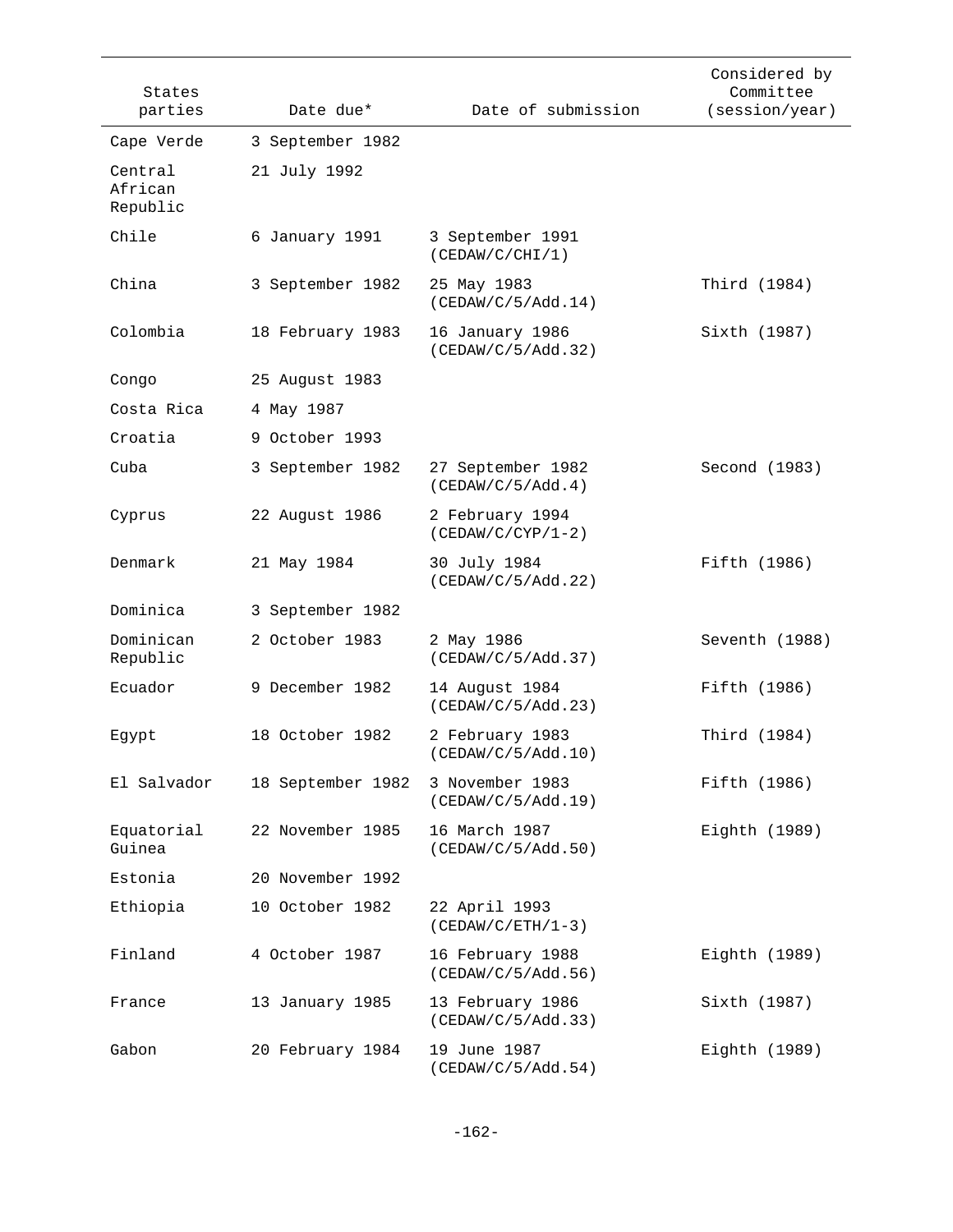| States<br>parties              | Date due*         | Date of submission                     | Considered by<br>Committee<br>(session/year) |
|--------------------------------|-------------------|----------------------------------------|----------------------------------------------|
| Cape Verde                     | 3 September 1982  |                                        |                                              |
| Central<br>African<br>Republic | 21 July 1992      |                                        |                                              |
| Chile                          | 6 January 1991    | 3 September 1991<br>(CEDAW/C/CHI/1)    |                                              |
| China                          | 3 September 1982  | 25 May 1983<br>(CEDAW/C/5/Add.14)      | Third (1984)                                 |
| Colombia                       | 18 February 1983  | 16 January 1986<br>(CEDAW/C/5/Add.32)  | Sixth (1987)                                 |
| Congo                          | 25 August 1983    |                                        |                                              |
| Costa Rica                     | 4 May 1987        |                                        |                                              |
| Croatia                        | 9 October 1993    |                                        |                                              |
| Cuba                           | 3 September 1982  | 27 September 1982<br>(CEDAW/C/5/Add.4) | Second (1983)                                |
| Cyprus                         | 22 August 1986    | 2 February 1994<br>$(CEDAW/C/CYP/1-2)$ |                                              |
| Denmark                        | 21 May 1984       | 30 July 1984<br>(CEDAW/C/5/Add.22)     | Fifth (1986)                                 |
| Dominica                       | 3 September 1982  |                                        |                                              |
| Dominican<br>Republic          | 2 October 1983    | 2 May 1986<br>(CEDAW/C/5/Add.37)       | Seventh (1988)                               |
| Ecuador                        | 9 December 1982   | 14 August 1984<br>(CEDAW/C/5/Add.23)   | Fifth (1986)                                 |
| Egypt                          | 18 October 1982   | 2 February 1983<br>(CEDAW/C/5/Add.10)  | Third (1984)                                 |
| El Salvador                    | 18 September 1982 | 3 November 1983<br>(CEDAW/C/5/Add.19)  | Fifth (1986)                                 |
| Equatorial<br>Guinea           | 22 November 1985  | 16 March 1987<br>(CEDAW/C/5/Add.50)    | Eighth (1989)                                |
| Estonia                        | 20 November 1992  |                                        |                                              |
| Ethiopia                       | 10 October 1982   | 22 April 1993<br>$(CEDAW/C/ETH/1-3)$   |                                              |
| Finland                        | 4 October 1987    | 16 February 1988<br>(CEDAW/C/5/Add.56) | Eighth (1989)                                |
| France                         | 13 January 1985   | 13 February 1986<br>(CEDAW/C/5/Add.33) | Sixth (1987)                                 |
| Gabon                          | 20 February 1984  | 19 June 1987<br>(CEDAW/C/5/Add.54)     | Eighth (1989)                                |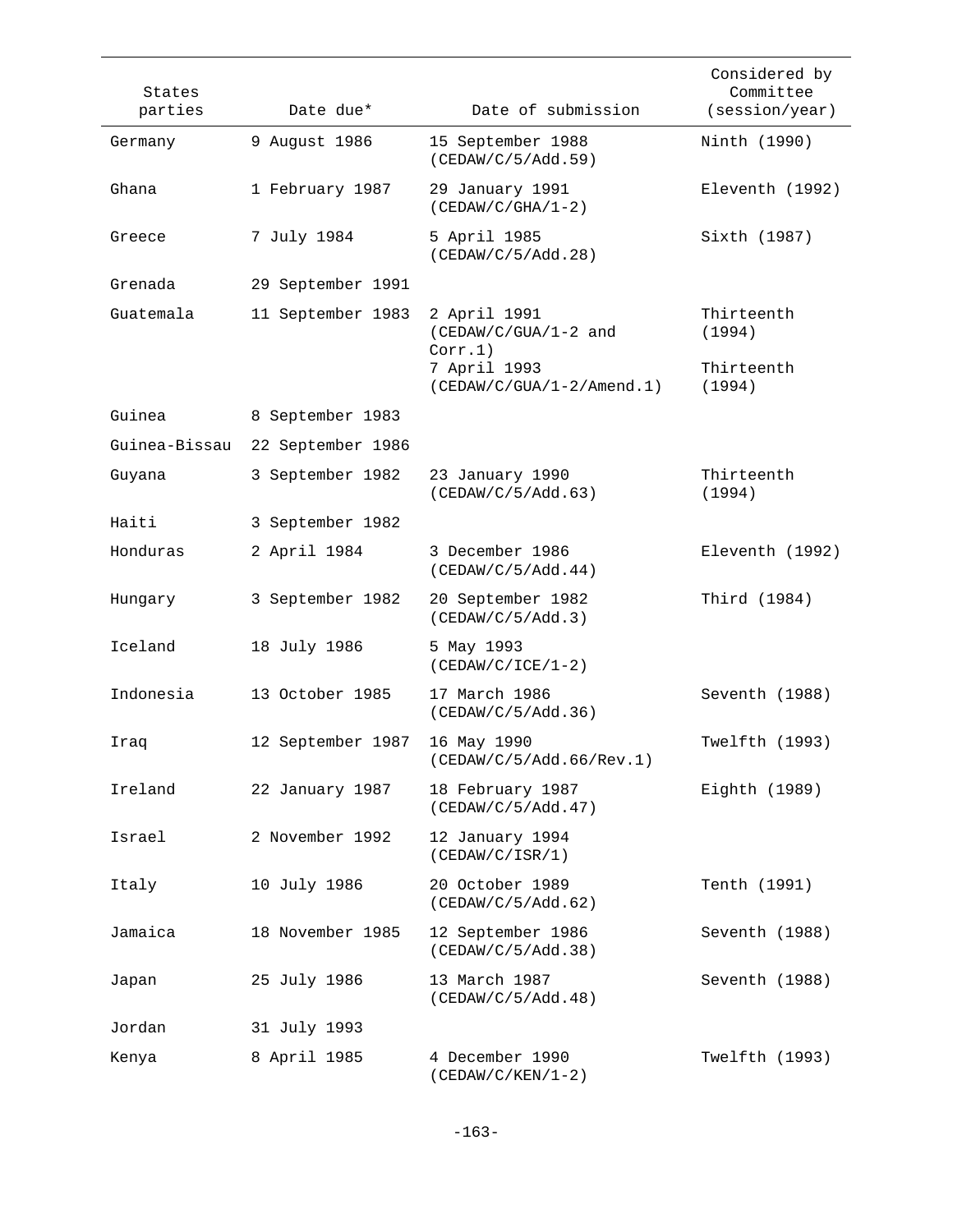| States<br>parties | Date due*         | Date of submission                                                                               | Considered by<br>Committee<br>(session/year) |
|-------------------|-------------------|--------------------------------------------------------------------------------------------------|----------------------------------------------|
| Germany           | 9 August 1986     | 15 September 1988<br>(CEDAW/C/5/Add.59)                                                          | Ninth (1990)                                 |
| Ghana             | 1 February 1987   | 29 January 1991<br>$(CEDAW/C/GHA/1-2)$                                                           | Eleventh (1992)                              |
| Greece            | 7 July 1984       | 5 April 1985<br>(CEDAW/C/5/Add.28)                                                               | Sixth (1987)                                 |
| Grenada           | 29 September 1991 |                                                                                                  |                                              |
| Guatemala         | 11 September 1983 | 2 April 1991<br>$(CEDAW/C/GUA/1-2 and$<br>Corr.1)<br>7 April 1993<br>$(CEDAW/C/GUA/1-2/Amend.1)$ | Thirteenth<br>(1994)<br>Thirteenth<br>(1994) |
| Guinea            | 8 September 1983  |                                                                                                  |                                              |
| Guinea-Bissau     | 22 September 1986 |                                                                                                  |                                              |
| Guyana            | 3 September 1982  | 23 January 1990<br>(CEDAW/C/5/Add.63)                                                            | Thirteenth<br>(1994)                         |
| Haiti             | 3 September 1982  |                                                                                                  |                                              |
| Honduras          | 2 April 1984      | 3 December 1986<br>(CEDAW/C/5/Add.44)                                                            | Eleventh (1992)                              |
| Hungary           | 3 September 1982  | 20 September 1982<br>(CEDAW/C/5/Add.3)                                                           | Third (1984)                                 |
| Iceland           | 18 July 1986      | 5 May 1993<br>$(CEDAW/C/ICE/1-2)$                                                                |                                              |
| Indonesia         | 13 October 1985   | 17 March 1986<br>(CEDAW/C/5/Add.36)                                                              | Seventh (1988)                               |
| Iraq              | 12 September 1987 | 16 May 1990<br>(CEDAW/C/5/Add.66/Rev.1)                                                          | Twelfth (1993)                               |
| Ireland           | 22 January 1987   | 18 February 1987<br>(CEDAW/C/5/Add.47)                                                           | Eighth (1989)                                |
| Israel            | 2 November 1992   | 12 January 1994<br>(CEDAW/C/ISR/1)                                                               |                                              |
| Italy             | 10 July 1986      | 20 October 1989<br>(CEDAW/C/5/Add.62)                                                            | Tenth (1991)                                 |
| Jamaica           | 18 November 1985  | 12 September 1986<br>(CEDAW/C/5/Add.38)                                                          | Seventh (1988)                               |
| Japan             | 25 July 1986      | 13 March 1987<br>(CEDAW/C/5/Add.48)                                                              | Seventh (1988)                               |
| Jordan            | 31 July 1993      |                                                                                                  |                                              |
| Kenya             | 8 April 1985      | 4 December 1990<br>$(CEDAW/C/KEN/1-2)$                                                           | Twelfth (1993)                               |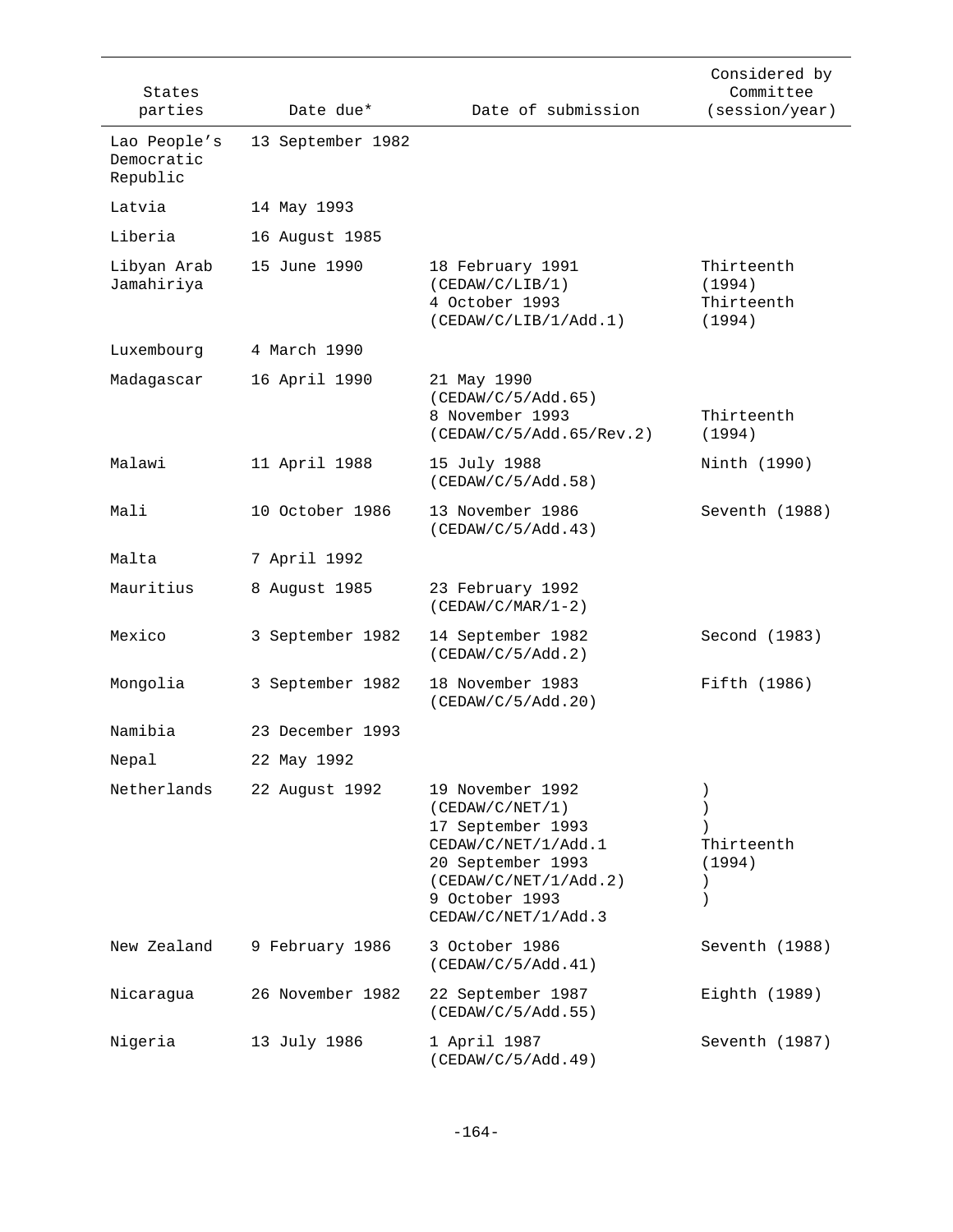| States                                 | Date due*         | Date of submission                                                                                                                                                     | Considered by<br>Committee<br>(session/year)           |
|----------------------------------------|-------------------|------------------------------------------------------------------------------------------------------------------------------------------------------------------------|--------------------------------------------------------|
| parties                                |                   |                                                                                                                                                                        |                                                        |
| Lao People's<br>Democratic<br>Republic | 13 September 1982 |                                                                                                                                                                        |                                                        |
| Latvia                                 | 14 May 1993       |                                                                                                                                                                        |                                                        |
| Liberia                                | 16 August 1985    |                                                                                                                                                                        |                                                        |
| Libyan Arab<br>Jamahiriya              | 15 June 1990      | 18 February 1991<br>(CEDAW/C/LIB/1)<br>4 October 1993<br>(CEDAW/C/LIB/1/Add.1)                                                                                         | Thirteenth<br>(1994)<br>Thirteenth<br>(1994)           |
| Luxembourg                             | 4 March 1990      |                                                                                                                                                                        |                                                        |
| Madagascar                             | 16 April 1990     | 21 May 1990<br>(CEDAW/C/5/Add.65)<br>8 November 1993<br>(CEDAW/C/5/Add.65/Rev.2)                                                                                       | Thirteenth<br>(1994)                                   |
| Malawi                                 | 11 April 1988     | 15 July 1988<br>(CEDAW/C/5/Add.58)                                                                                                                                     | Ninth (1990)                                           |
| Mali                                   | 10 October 1986   | 13 November 1986<br>(CEDAW/C/5/Add.43)                                                                                                                                 | Seventh (1988)                                         |
| Malta                                  | 7 April 1992      |                                                                                                                                                                        |                                                        |
| Mauritius                              | 8 August 1985     | 23 February 1992<br>$(CEDAW/C/MAR/1-2)$                                                                                                                                |                                                        |
| Mexico                                 | 3 September 1982  | 14 September 1982<br>(CEDAW/C/5/Add.2)                                                                                                                                 | Second (1983)                                          |
| Mongolia                               | 3 September 1982  | 18 November 1983<br>(CEDAW/C/5/Add.20)                                                                                                                                 | Fifth (1986)                                           |
| Namibia                                | 23 December 1993  |                                                                                                                                                                        |                                                        |
| Nepal                                  | 22 May 1992       |                                                                                                                                                                        |                                                        |
| Netherlands                            | 22 August 1992    | 19 November 1992<br>(CEDAW/C/NET/1)<br>17 September 1993<br>CEDAW/C/NET/1/Add.1<br>20 September 1993<br>(CEDAW/C/NET/1/Add.2)<br>9 October 1993<br>CEDAW/C/NET/1/Add.3 | Thirteenth<br>(1994)<br>$\mathcal{E}$<br>$\mathcal{E}$ |
| New Zealand                            | 9 February 1986   | 3 October 1986<br>(CEDAW/C/5/Add.41)                                                                                                                                   | Seventh (1988)                                         |
| Nicaragua                              | 26 November 1982  | 22 September 1987<br>(CEDAW/C/5/Add.55)                                                                                                                                | Eighth (1989)                                          |
| Nigeria                                | 13 July 1986      | 1 April 1987<br>(CEDAW/C/5/Add.49)                                                                                                                                     | Seventh (1987)                                         |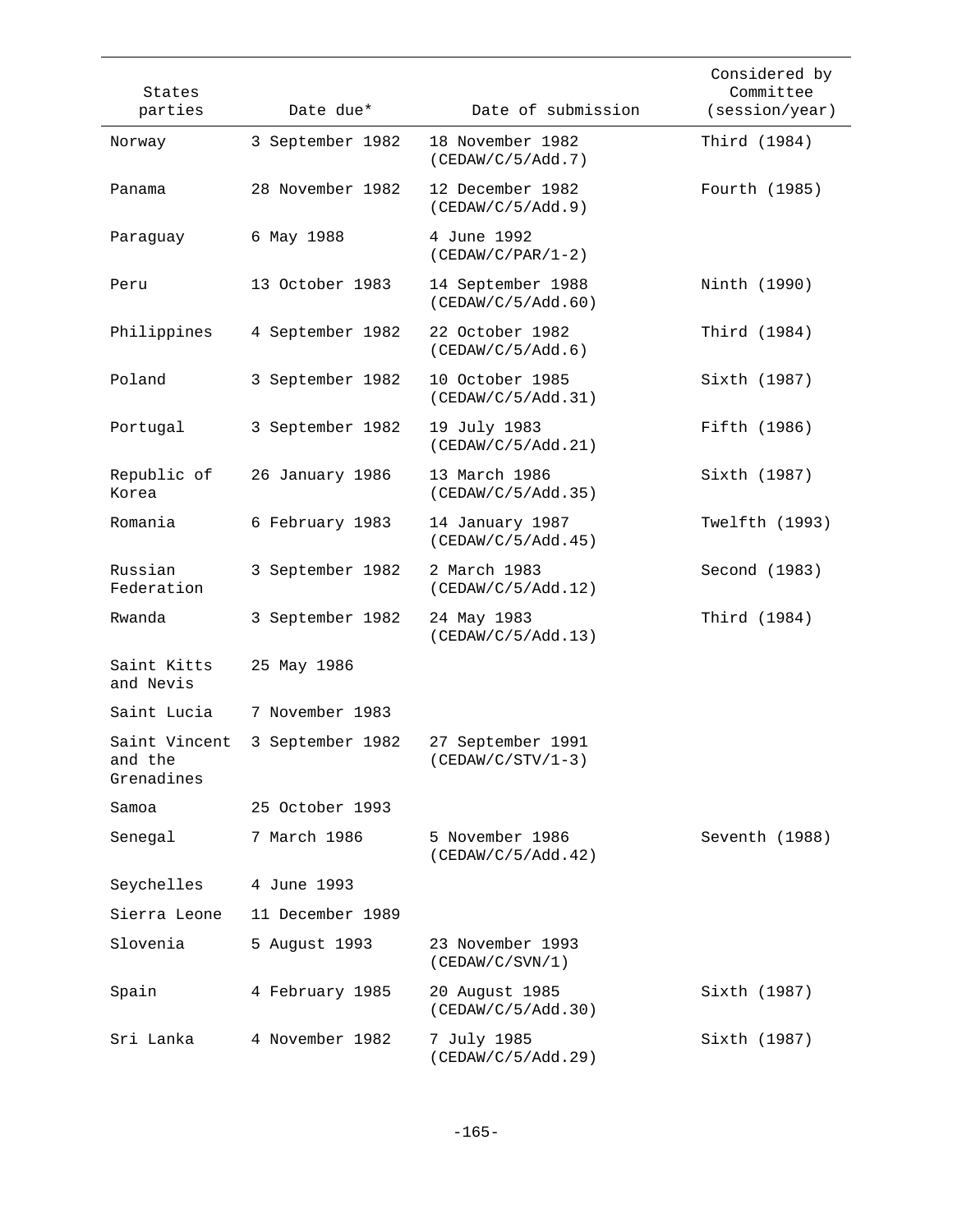| States<br>parties                      | Date due*        | Date of submission                       | Considered by<br>Committee<br>(session/year) |
|----------------------------------------|------------------|------------------------------------------|----------------------------------------------|
| Norway                                 | 3 September 1982 | 18 November 1982<br>(CEDAW/C/5/Add.7)    | Third (1984)                                 |
| Panama                                 | 28 November 1982 | 12 December 1982<br>(CEDAW/C/5/Add.9)    | Fourth (1985)                                |
| Paraguay                               | 6 May 1988       | 4 June 1992<br>$(CEDAW/C/PAR/1-2)$       |                                              |
| Peru                                   | 13 October 1983  | 14 September 1988<br>(CEDAW/C/5/Add.60)  | Ninth (1990)                                 |
| Philippines                            | 4 September 1982 | 22 October 1982<br>(CEDAW/C/5/Add.6)     | Third (1984)                                 |
| Poland                                 | 3 September 1982 | 10 October 1985<br>(CEDAW/C/5/Add.31)    | Sixth (1987)                                 |
| Portugal                               | 3 September 1982 | 19 July 1983<br>(CEDAW/C/5/Add.21)       | Fifth (1986)                                 |
| Republic of<br>Korea                   | 26 January 1986  | 13 March 1986<br>(CEDAW/C/5/Add.35)      | Sixth (1987)                                 |
| Romania                                | 6 February 1983  | 14 January 1987<br>(CEDAW/C/5/Add.45)    | Twelfth (1993)                               |
| Russian<br>Federation                  | 3 September 1982 | 2 March 1983<br>(CEDAW/C/5/Add.12)       | Second (1983)                                |
| Rwanda                                 | 3 September 1982 | 24 May 1983<br>(CEDAW/C/5/Add.13)        | Third (1984)                                 |
| Saint Kitts<br>and Nevis               | 25 May 1986      |                                          |                                              |
| Saint Lucia                            | 7 November 1983  |                                          |                                              |
| Saint Vincent<br>and the<br>Grenadines | 3 September 1982 | 27 September 1991<br>$(CEDAW/C/STV/1-3)$ |                                              |
| Samoa                                  | 25 October 1993  |                                          |                                              |
| Senegal                                | 7 March 1986     | 5 November 1986<br>(CEDAW/C/5/Add.42)    | Seventh (1988)                               |
| Seychelles                             | 4 June 1993      |                                          |                                              |
| Sierra Leone                           | 11 December 1989 |                                          |                                              |
| Slovenia                               | 5 August 1993    | 23 November 1993<br>(CEDAW/C/SVN/1)      |                                              |
| Spain                                  | 4 February 1985  | 20 August 1985<br>(CEDAW/C/5/Add.30)     | Sixth (1987)                                 |
| Sri Lanka                              | 4 November 1982  | 7 July 1985<br>(CEDAW/C/5/Add.29)        | Sixth (1987)                                 |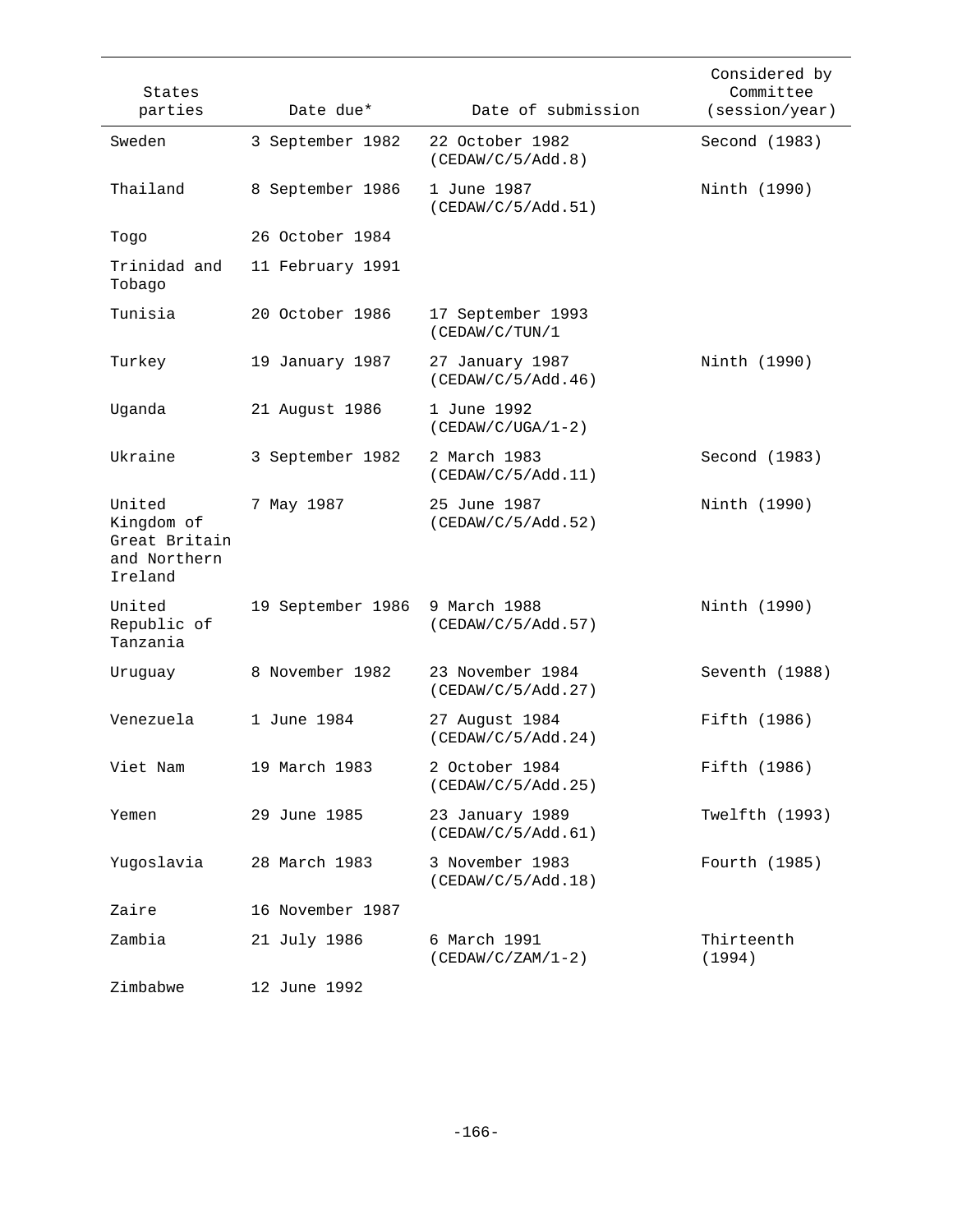| States<br>parties                                                | Date due*         | Date of submission                     | Considered by<br>Committee<br>(session/year) |
|------------------------------------------------------------------|-------------------|----------------------------------------|----------------------------------------------|
| Sweden                                                           | 3 September 1982  | 22 October 1982<br>(CEDAW/C/5/Add.8)   | Second (1983)                                |
| Thailand                                                         | 8 September 1986  | 1 June 1987<br>(CEDAW/C/5/Add.51)      | Ninth (1990)                                 |
| Togo                                                             | 26 October 1984   |                                        |                                              |
| Trinidad and<br>Tobago                                           | 11 February 1991  |                                        |                                              |
| Tunisia                                                          | 20 October 1986   | 17 September 1993<br>(CEDAW/C/TUN/1    |                                              |
| Turkey                                                           | 19 January 1987   | 27 January 1987<br>(CEDAW/C/5/Add.46)  | Ninth (1990)                                 |
| Uganda                                                           | 21 August 1986    | 1 June 1992<br>$(CEDAW/C/UGA/1-2)$     |                                              |
| Ukraine                                                          | 3 September 1982  | 2 March 1983<br>(CEDAW/C/5/Add.11)     | Second (1983)                                |
| United<br>Kingdom of<br>Great Britain<br>and Northern<br>Ireland | 7 May 1987        | 25 June 1987<br>(CEDAW/C/5/Add.52)     | Ninth (1990)                                 |
| United<br>Republic of<br>Tanzania                                | 19 September 1986 | 9 March 1988<br>(CEDAW/C/5/Add.57)     | Ninth (1990)                                 |
| Uruguay                                                          | 8 November 1982   | 23 November 1984<br>(CEDAW/C/5/Add.27) | Seventh (1988)                               |
| Venezuela                                                        | 1 June 1984       | 27 August 1984<br>(CEDAW/C/5/Add.24)   | Fifth (1986)                                 |
| Viet Nam                                                         | 19 March 1983     | 2 October 1984<br>(CEDAW/C/5/Add.25)   | Fifth (1986)                                 |
| Yemen                                                            | 29 June 1985      | 23 January 1989<br>(CEDAW/C/5/Add.61)  | Twelfth (1993)                               |
| Yuqoslavia                                                       | 28 March 1983     | 3 November 1983<br>(CEDAW/C/5/Add.18)  | Fourth (1985)                                |
| Zaire                                                            | 16 November 1987  |                                        |                                              |
| Zambia                                                           | 21 July 1986      | 6 March 1991<br>$(CEDAW/C/ZAM/1-2)$    | Thirteenth<br>(1994)                         |
| Zimbabwe                                                         | 12 June 1992      |                                        |                                              |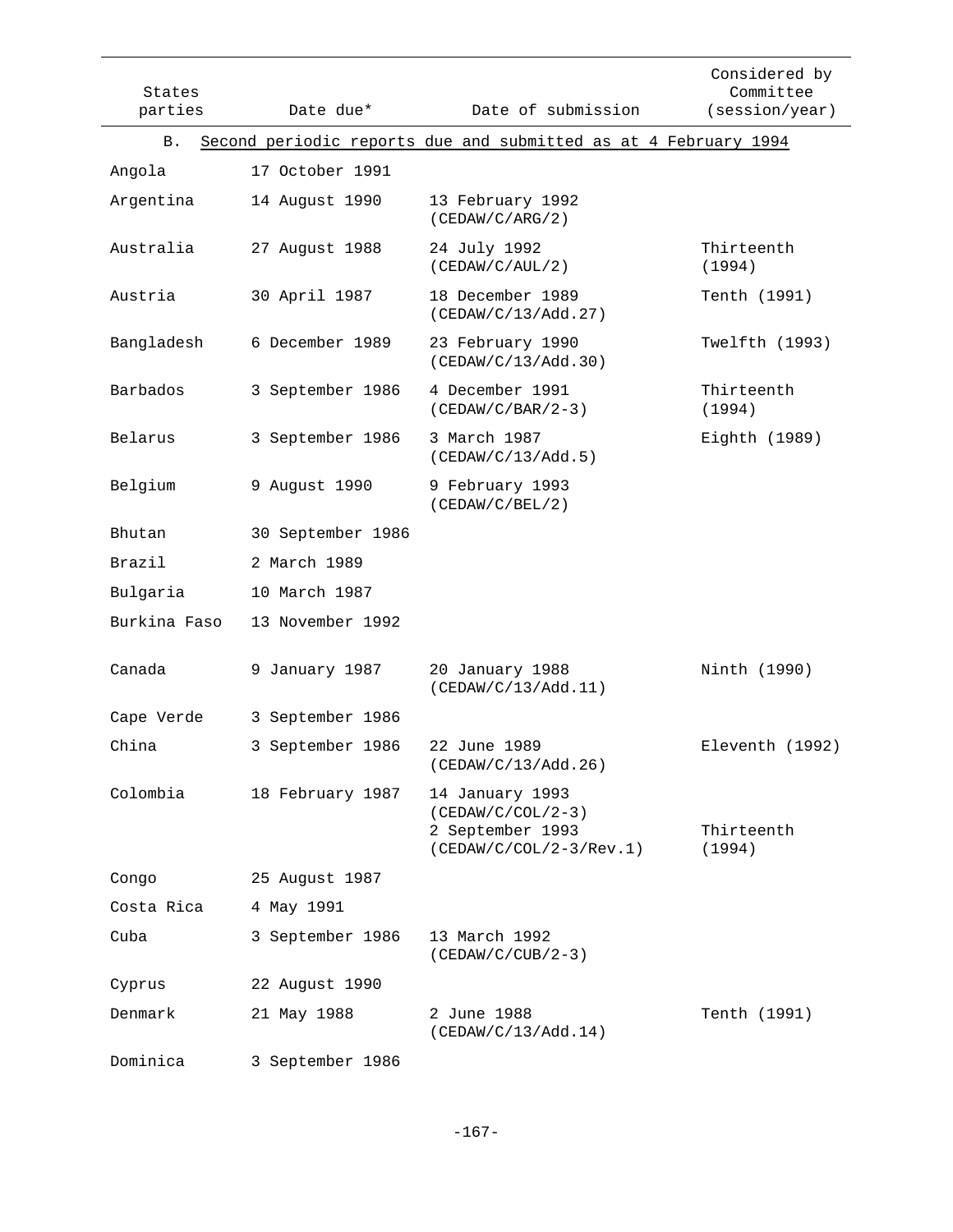| States<br>parties | Date due*         | Date of submission                                                                      | Considered by<br>Committee<br>(session/year) |
|-------------------|-------------------|-----------------------------------------------------------------------------------------|----------------------------------------------|
| B.                |                   | Second periodic reports due and submitted as at 4 February 1994                         |                                              |
| Angola            | 17 October 1991   |                                                                                         |                                              |
| Argentina         | 14 August 1990    | 13 February 1992<br>(CEDAW/C/ARG/2)                                                     |                                              |
| Australia         | 27 August 1988    | 24 July 1992<br>(CEDAW/C/AUL/2)                                                         | Thirteenth<br>(1994)                         |
| Austria           | 30 April 1987     | 18 December 1989<br>(CEDAW/C/13/Add.27)                                                 | Tenth (1991)                                 |
| Bangladesh        | 6 December 1989   | 23 February 1990<br>(CEDAW/C/13/Add.30)                                                 | Twelfth (1993)                               |
| Barbados          | 3 September 1986  | 4 December 1991<br>$(CEDAW/C/BAR/2-3)$                                                  | Thirteenth<br>(1994)                         |
| Belarus           | 3 September 1986  | 3 March 1987<br>(CEDAW/C/13/Add.5)                                                      | Eighth (1989)                                |
| Belgium           | 9 August 1990     | 9 February 1993<br>(CEDAW/C/BEL/2)                                                      |                                              |
| Bhutan            | 30 September 1986 |                                                                                         |                                              |
| Brazil            | 2 March 1989      |                                                                                         |                                              |
| Bulgaria          | 10 March 1987     |                                                                                         |                                              |
| Burkina Faso      | 13 November 1992  |                                                                                         |                                              |
| Canada            | 9 January 1987    | 20 January 1988<br>(CEDAW/C/13/Add.11)                                                  | Ninth (1990)                                 |
| Cape Verde        | 3 September 1986  |                                                                                         |                                              |
| China             | 3 September 1986  | 22 June 1989<br>(CEDAW/C/13/Add.26)                                                     | Eleventh (1992)                              |
| Colombia          | 18 February 1987  | 14 January 1993<br>$(CEDAW/C/COL/2-3)$<br>2 September 1993<br>$(CEDAW/C/COL/2-3/Rev.1)$ | Thirteenth<br>(1994)                         |
| Congo             | 25 August 1987    |                                                                                         |                                              |
| Costa Rica        | 4 May 1991        |                                                                                         |                                              |
| Cuba              | 3 September 1986  | 13 March 1992<br>$(CEDAW/C/CUB/2-3)$                                                    |                                              |
| Cyprus            | 22 August 1990    |                                                                                         |                                              |
| Denmark           | 21 May 1988       | 2 June 1988<br>(CEDAW/C/13/Add.14)                                                      | Tenth (1991)                                 |
| Dominica          | 3 September 1986  |                                                                                         |                                              |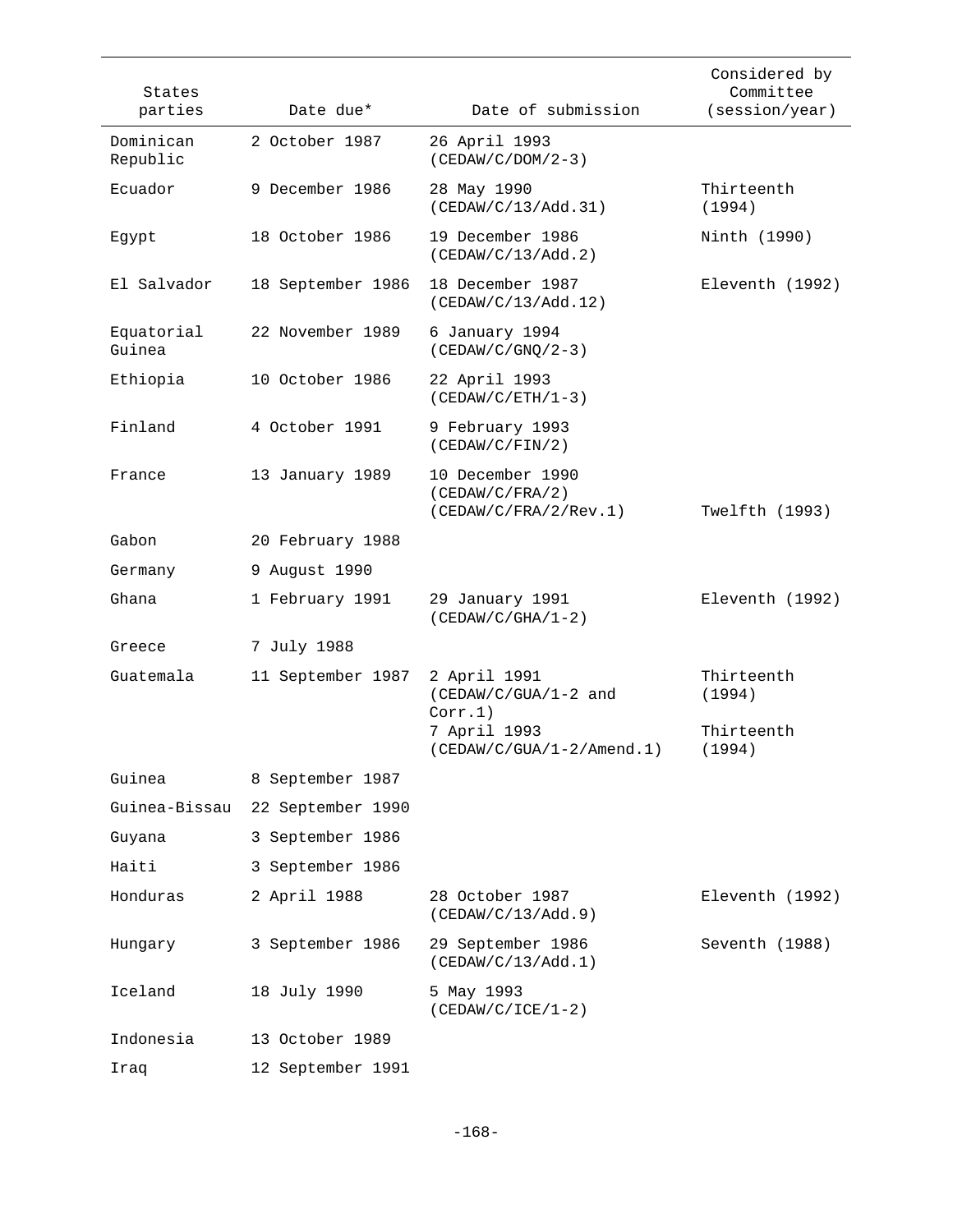| States<br>parties     | Date due*         | Date of submission                                                                               | Considered by<br>Committee<br>(session/year) |
|-----------------------|-------------------|--------------------------------------------------------------------------------------------------|----------------------------------------------|
| Dominican<br>Republic | 2 October 1987    | 26 April 1993<br>$(CEDAW/C/DOM/2-3)$                                                             |                                              |
| Ecuador               | 9 December 1986   | 28 May 1990<br>(CEDAW/C/13/Add.31)                                                               | Thirteenth<br>(1994)                         |
| Egypt                 | 18 October 1986   | 19 December 1986<br>(CEDAW/C/13/Add.2)                                                           | Ninth (1990)                                 |
| El Salvador           | 18 September 1986 | 18 December 1987<br>(CEDAW/C/13/Add.12)                                                          | Eleventh (1992)                              |
| Equatorial<br>Guinea  | 22 November 1989  | 6 January 1994<br>$(CEDAW/C/GNQ/2-3)$                                                            |                                              |
| Ethiopia              | 10 October 1986   | 22 April 1993<br>$(CEDAW/C/ETH/1-3)$                                                             |                                              |
| Finland               | 4 October 1991    | 9 February 1993<br>(CEDAW/C/FIN/2)                                                               |                                              |
| France                | 13 January 1989   | 10 December 1990<br>(CEDAW/C/FRA/2)<br>(CEDAW/C/FRA/2/Rev.1)                                     | Twelfth (1993)                               |
| Gabon                 | 20 February 1988  |                                                                                                  |                                              |
| Germany               | 9 August 1990     |                                                                                                  |                                              |
| Ghana                 | 1 February 1991   | 29 January 1991<br>$(CEDAW/C/GHA/1-2)$                                                           | Eleventh (1992)                              |
| Greece                | 7 July 1988       |                                                                                                  |                                              |
| Guatemala             | 11 September 1987 | 2 April 1991<br>$(CEDAW/C/GUA/1-2$ and<br>Corr.1)<br>7 April 1993<br>$(CEDAW/C/GUA/1-2/Amend.1)$ | Thirteenth<br>(1994)<br>Thirteenth<br>(1994) |
| Guinea                | 8 September 1987  |                                                                                                  |                                              |
| Guinea-Bissau         | 22 September 1990 |                                                                                                  |                                              |
| Guyana                | 3 September 1986  |                                                                                                  |                                              |
| Haiti                 | 3 September 1986  |                                                                                                  |                                              |
| Honduras              | 2 April 1988      | 28 October 1987<br>(CEDAW/C/13/Add.9)                                                            | Eleventh (1992)                              |
| Hungary               | 3 September 1986  | 29 September 1986<br>(CEDAW/C/13/Add.1)                                                          | Seventh (1988)                               |
| Iceland               | 18 July 1990      | 5 May 1993<br>$(CEDAW/C/ICE/1-2)$                                                                |                                              |
| Indonesia             | 13 October 1989   |                                                                                                  |                                              |
| Iraq                  | 12 September 1991 |                                                                                                  |                                              |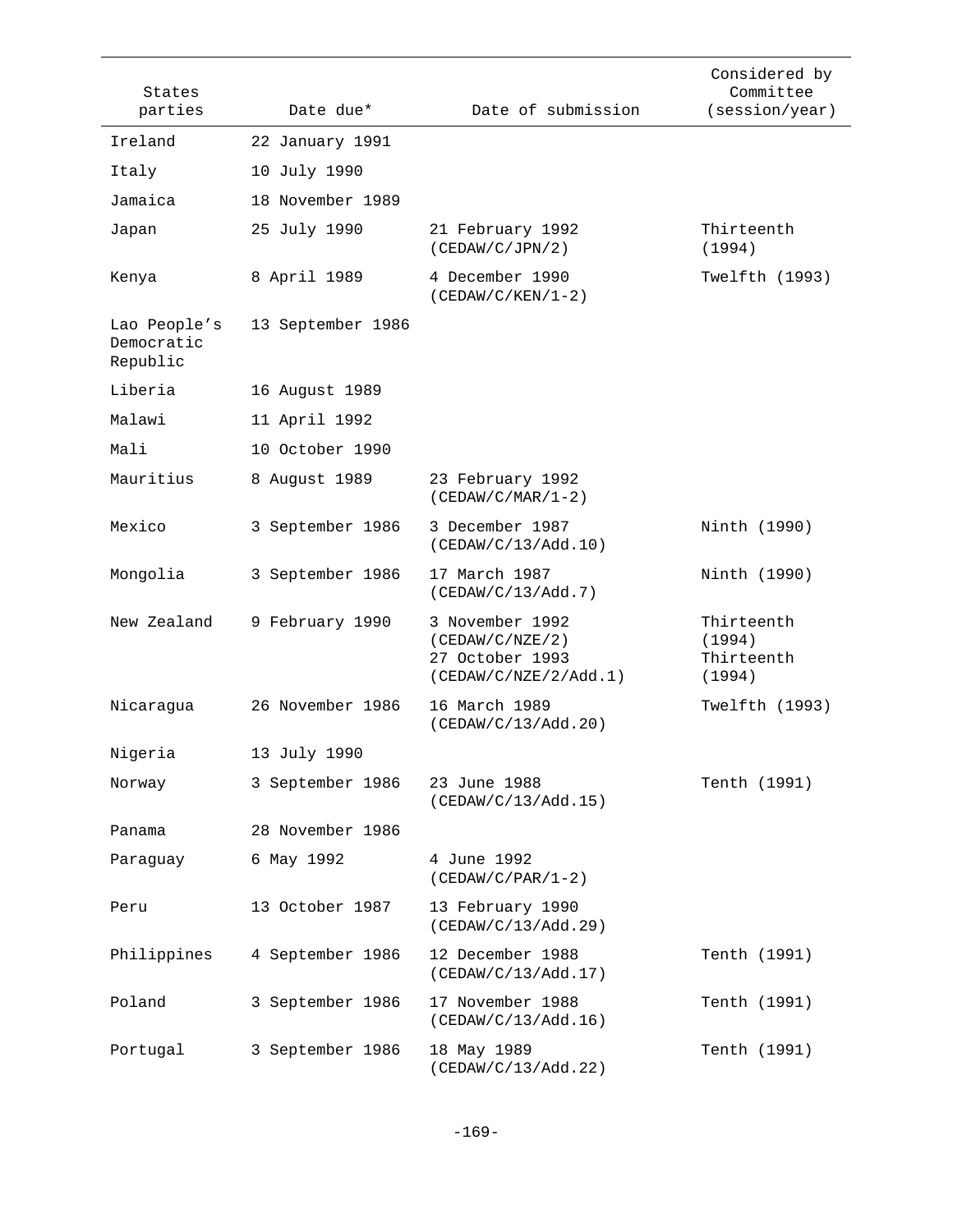| States<br>parties                      | Date due*         | Date of submission                                                             | Considered by<br>Committee<br>(session/year) |
|----------------------------------------|-------------------|--------------------------------------------------------------------------------|----------------------------------------------|
| Ireland                                | 22 January 1991   |                                                                                |                                              |
| Italy                                  | 10 July 1990      |                                                                                |                                              |
| Jamaica                                | 18 November 1989  |                                                                                |                                              |
| Japan                                  | 25 July 1990      | 21 February 1992<br>(CEDAW/C/JPN/2)                                            | Thirteenth<br>(1994)                         |
| Kenya                                  | 8 April 1989      | 4 December 1990<br>$(CEDAW/C/KEN/1-2)$                                         | Twelfth (1993)                               |
| Lao People's<br>Democratic<br>Republic | 13 September 1986 |                                                                                |                                              |
| Liberia                                | 16 August 1989    |                                                                                |                                              |
| Malawi                                 | 11 April 1992     |                                                                                |                                              |
| Mali                                   | 10 October 1990   |                                                                                |                                              |
| Mauritius                              | 8 August 1989     | 23 February 1992<br>$(CEDAW/C/MAR/1-2)$                                        |                                              |
| Mexico                                 | 3 September 1986  | 3 December 1987<br>(CEDAW/C/13/Add.10)                                         | Ninth (1990)                                 |
| Mongolia                               | 3 September 1986  | 17 March 1987<br>(CEDAW/C/13/Add.7)                                            | Ninth (1990)                                 |
| New Zealand                            | 9 February 1990   | 3 November 1992<br>(CEDAW/C/NZE/2)<br>27 October 1993<br>(CEDAW/C/NZE/2/Add.1) | Thirteenth<br>(1994)<br>Thirteenth<br>(1994) |
| Nicaraqua                              | 26 November 1986  | 16 March 1989<br>(CEDAW/C/13/Add.20)                                           | Twelfth (1993)                               |
| Nigeria                                | 13 July 1990      |                                                                                |                                              |
| Norway                                 | 3 September 1986  | 23 June 1988<br>(CEDAW/C/13/Add.15)                                            | Tenth (1991)                                 |
| Panama                                 | 28 November 1986  |                                                                                |                                              |
| Paraguay                               | 6 May 1992        | 4 June 1992<br>$(CEDAW/C/PAR/1-2)$                                             |                                              |
| Peru                                   | 13 October 1987   | 13 February 1990<br>(CEDAW/C/13/Add.29)                                        |                                              |
| Philippines                            | 4 September 1986  | 12 December 1988<br>(CEDAW/C/13/Add.17)                                        | Tenth (1991)                                 |
| Poland                                 | 3 September 1986  | 17 November 1988<br>(CEDAW/C/13/Add.16)                                        | Tenth (1991)                                 |
| Portugal                               | 3 September 1986  | 18 May 1989<br>(CEDAW/C/13/Add.22)                                             | Tenth (1991)                                 |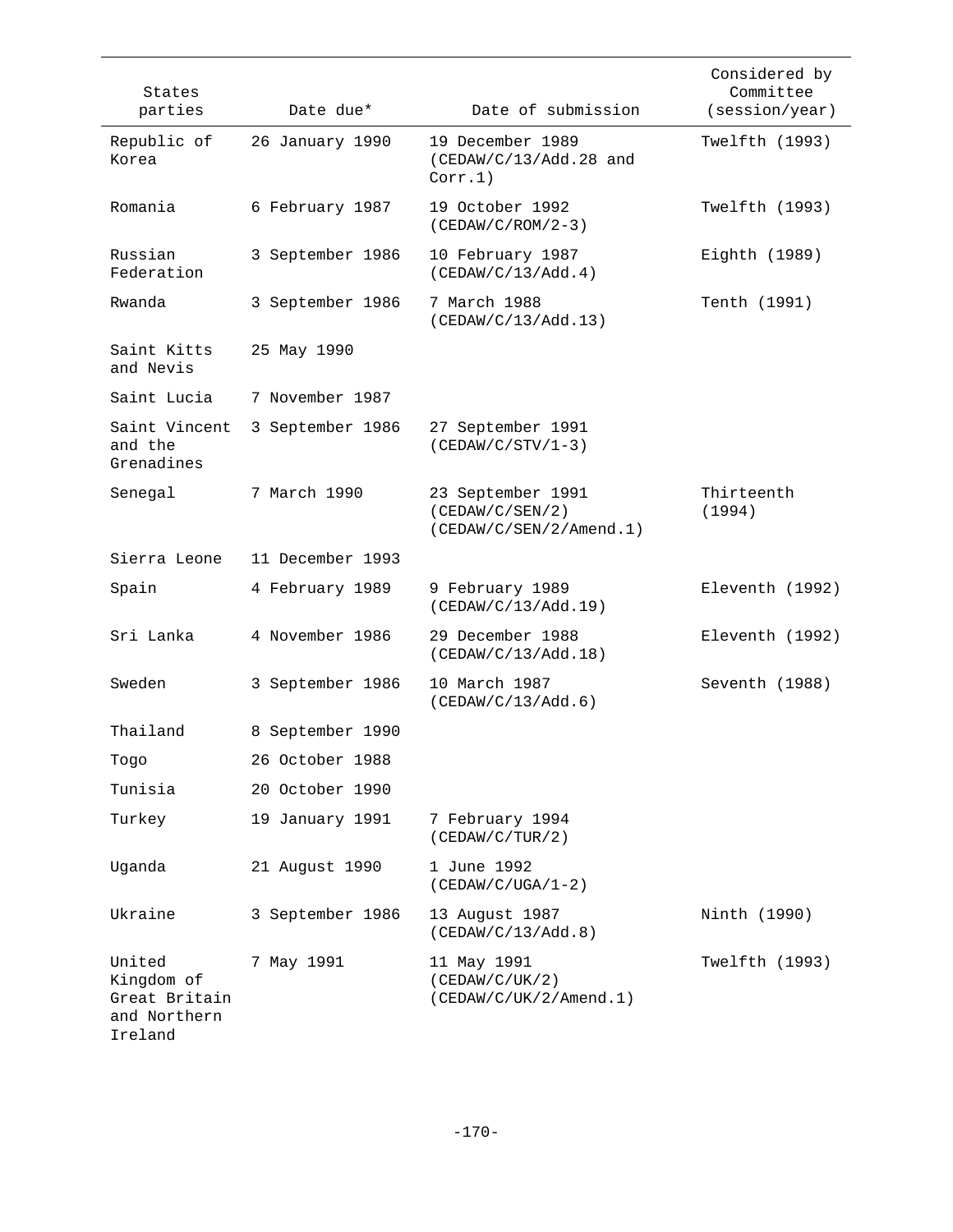| States<br>parties                                                | Date due*        | Date of submission                                              | Considered by<br>Committee<br>(session/year) |
|------------------------------------------------------------------|------------------|-----------------------------------------------------------------|----------------------------------------------|
| Republic of<br>Korea                                             | 26 January 1990  | 19 December 1989<br>$(CEDAW/C/13/Add.28$ and<br>Corr.1)         | Twelfth (1993)                               |
| Romania                                                          | 6 February 1987  | 19 October 1992<br>$(CEDAW/C/ROM/2-3)$                          | Twelfth (1993)                               |
| Russian<br>Federation                                            | 3 September 1986 | 10 February 1987<br>(CEDAW/C/13/Add.4)                          | Eighth $(1989)$                              |
| Rwanda                                                           | 3 September 1986 | 7 March 1988<br>(CEDAW/C/13/Add.13)                             | Tenth (1991)                                 |
| Saint Kitts<br>and Nevis                                         | 25 May 1990      |                                                                 |                                              |
| Saint Lucia                                                      | 7 November 1987  |                                                                 |                                              |
| Saint Vincent<br>and the<br>Grenadines                           | 3 September 1986 | 27 September 1991<br>$(CEDAW/C/STV/1-3)$                        |                                              |
| Senegal                                                          | 7 March 1990     | 23 September 1991<br>(CEDAW/C/SEN/2)<br>(CEDAW/C/SEN/2/Amend.1) | Thirteenth<br>(1994)                         |
| Sierra Leone                                                     | 11 December 1993 |                                                                 |                                              |
| Spain                                                            | 4 February 1989  | 9 February 1989<br>(CEDAW/C/13/Add.19)                          | Eleventh (1992)                              |
| Sri Lanka                                                        | 4 November 1986  | 29 December 1988<br>(CEDAW/C/13/Add.18)                         | Eleventh (1992)                              |
| Sweden                                                           | 3 September 1986 | 10 March 1987<br>(CEDAW/C/13/Add.6)                             | Seventh (1988)                               |
| Thailand                                                         | 8 September 1990 |                                                                 |                                              |
| Togo                                                             | 26 October 1988  |                                                                 |                                              |
| Tunisia                                                          | 20 October 1990  |                                                                 |                                              |
| Turkey                                                           | 19 January 1991  | 7 February 1994<br>(CEDAW/C/TUR/2)                              |                                              |
| Uganda                                                           | 21 August 1990   | 1 June 1992<br>$(CEDAW/C/UGA/1-2)$                              |                                              |
| Ukraine                                                          | 3 September 1986 | 13 August 1987<br>(CEDAW/C/13/Add.8)                            | Ninth (1990)                                 |
| United<br>Kingdom of<br>Great Britain<br>and Northern<br>Ireland | 7 May 1991       | 11 May 1991<br>(CEDAW/C/UK/2)<br>(CEDAW/C/UK/2/Amend.1)         | Twelfth (1993)                               |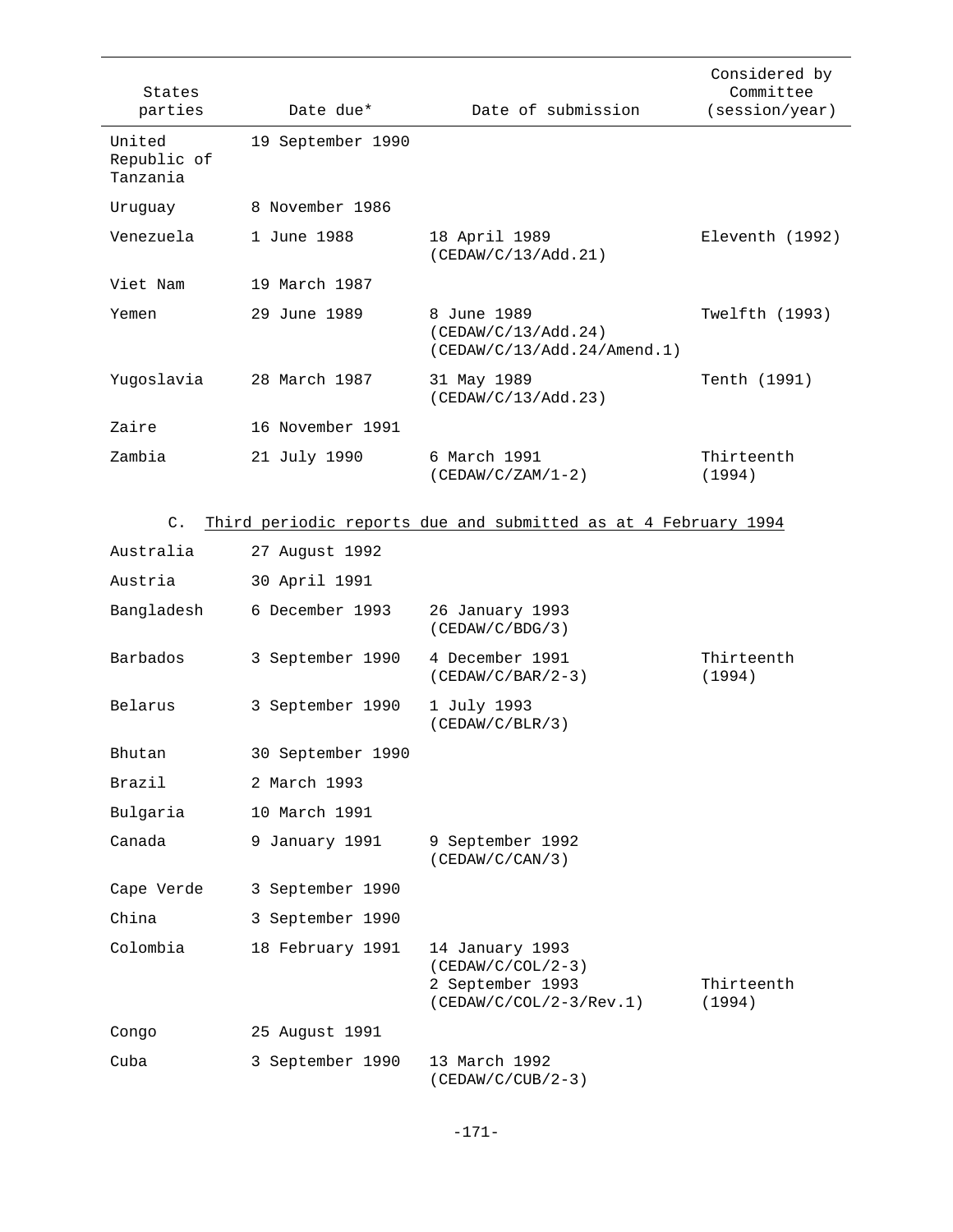| States<br>parties                 | Date due*         | Date of submission                                                                      | Considered by<br>Committee<br>(session/year) |
|-----------------------------------|-------------------|-----------------------------------------------------------------------------------------|----------------------------------------------|
| United<br>Republic of<br>Tanzania | 19 September 1990 |                                                                                         |                                              |
| Uruguay                           | 8 November 1986   |                                                                                         |                                              |
| Venezuela                         | 1 June 1988       | 18 April 1989<br>(CEDAW/C/13/Add.21)                                                    | Eleventh (1992)                              |
| Viet Nam                          | 19 March 1987     |                                                                                         |                                              |
| Yemen                             | 29 June 1989      | 8 June 1989<br>(CEDAW/C/13/Add.24)<br>(CEDAW/C/13/Add.24/Amend.1)                       | Twelfth (1993)                               |
| Yugoslavia                        | 28 March 1987     | 31 May 1989<br>(CEDAW/C/13/Add.23)                                                      | Tenth (1991)                                 |
| Zaire                             | 16 November 1991  |                                                                                         |                                              |
| Zambia                            | 21 July 1990      | 6 March 1991<br>$(CEDAW/C/ZAM/1-2)$                                                     | Thirteenth<br>(1994)                         |
| $\mathsf{C}$ .                    |                   | Third periodic reports due and submitted as at 4 February 1994                          |                                              |
| Australia                         | 27 August 1992    |                                                                                         |                                              |
| Austria                           | 30 April 1991     |                                                                                         |                                              |
| Bangladesh                        | 6 December 1993   | 26 January 1993<br>(CEDAW/C/BDG/3)                                                      |                                              |
| Barbados                          | 3 September 1990  | 4 December 1991<br>$(CEDAW/C/BAR/2-3)$                                                  | Thirteenth<br>(1994)                         |
| Belarus                           | 3 September 1990  | 1 July 1993<br>(CEDAW/C/BLR/3)                                                          |                                              |
| Bhutan                            | 30 September 1990 |                                                                                         |                                              |
| Brazil                            | 2 March 1993      |                                                                                         |                                              |
| Bulgaria                          | 10 March 1991     |                                                                                         |                                              |
| Canada                            | 9 January 1991    | 9 September 1992<br>(CEDAW/C/CAN/3)                                                     |                                              |
| Cape Verde                        | 3 September 1990  |                                                                                         |                                              |
| China                             | 3 September 1990  |                                                                                         |                                              |
| Colombia                          | 18 February 1991  | 14 January 1993<br>$(CEDAW/C/COL/2-3)$<br>2 September 1993<br>$(CEDAW/C/COL/2-3/Rev.1)$ | Thirteenth<br>(1994)                         |
| Congo                             | 25 August 1991    |                                                                                         |                                              |
| Cuba                              | 3 September 1990  | 13 March 1992<br>$(CEDAW/C/CUB/2-3)$                                                    |                                              |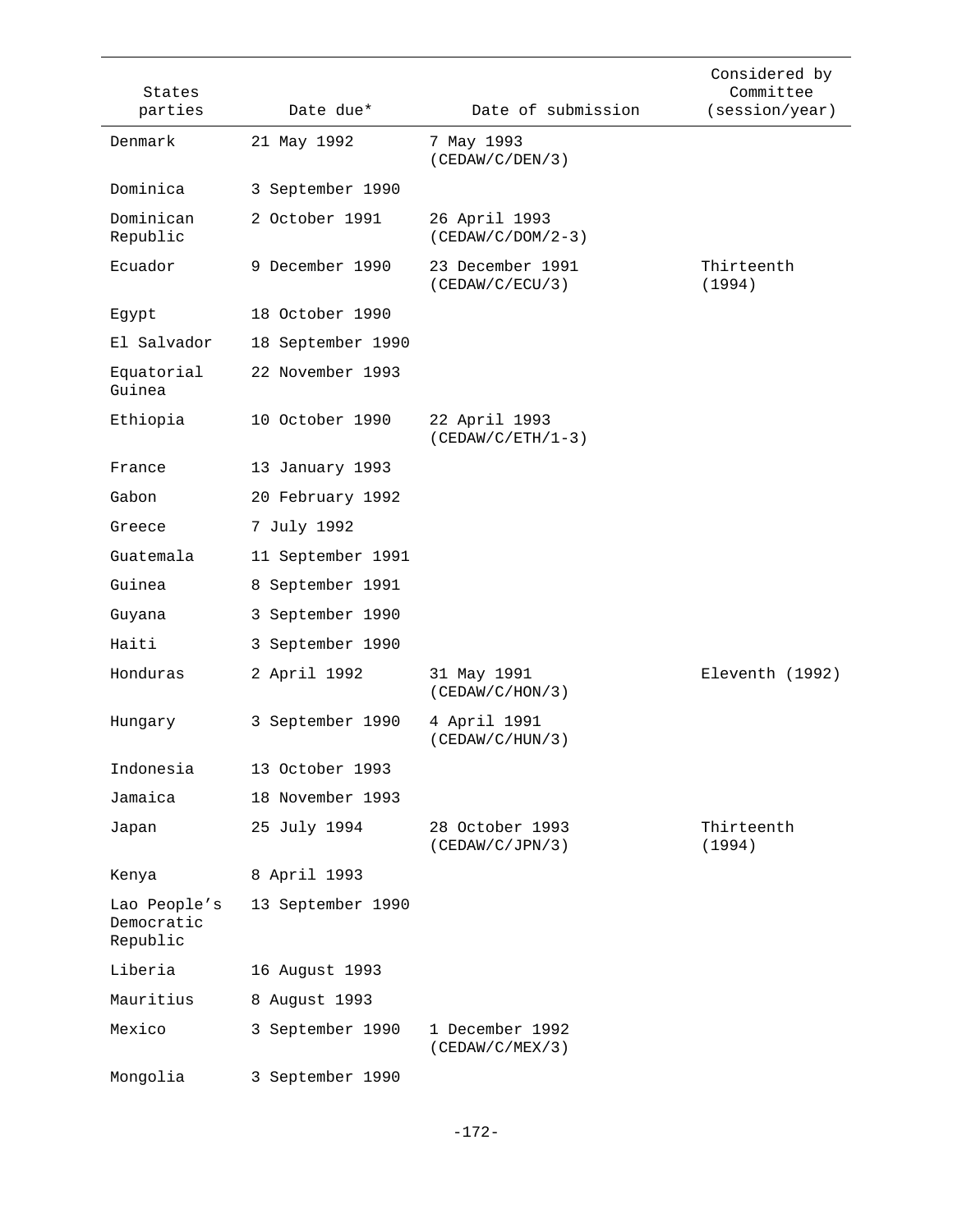| States<br>parties                      | Date due*         | Date of submission                   | Considered by<br>Committee<br>(session/year) |
|----------------------------------------|-------------------|--------------------------------------|----------------------------------------------|
| Denmark                                | 21 May 1992       | 7 May 1993<br>(CEDAW/C/DEN/3)        |                                              |
| Dominica                               | 3 September 1990  |                                      |                                              |
| Dominican<br>Republic                  | 2 October 1991    | 26 April 1993<br>$(CEDAW/C/DOM/2-3)$ |                                              |
| Ecuador                                | 9 December 1990   | 23 December 1991<br>(CEDAW/C/ECU/3)  | Thirteenth<br>(1994)                         |
| Egypt                                  | 18 October 1990   |                                      |                                              |
| El Salvador                            | 18 September 1990 |                                      |                                              |
| Equatorial<br>Guinea                   | 22 November 1993  |                                      |                                              |
| Ethiopia                               | 10 October 1990   | 22 April 1993<br>$(CEDAW/C/ETH/1-3)$ |                                              |
| France                                 | 13 January 1993   |                                      |                                              |
| Gabon                                  | 20 February 1992  |                                      |                                              |
| Greece                                 | 7 July 1992       |                                      |                                              |
| Guatemala                              | 11 September 1991 |                                      |                                              |
| Guinea                                 | 8 September 1991  |                                      |                                              |
| Guyana                                 | 3 September 1990  |                                      |                                              |
| Haiti                                  | 3 September 1990  |                                      |                                              |
| Honduras                               | 2 April 1992      | 31 May 1991<br>(CEDAW/C/HON/3)       | Eleventh (1992)                              |
| Hungary                                | 3 September 1990  | 4 April 1991<br>(CEDAW/C/HUN/3)      |                                              |
| Indonesia                              | 13 October 1993   |                                      |                                              |
| Jamaica                                | 18 November 1993  |                                      |                                              |
| Japan                                  | 25 July 1994      | 28 October 1993<br>(CEDAW/C/JPN/3)   | Thirteenth<br>(1994)                         |
| Kenya                                  | 8 April 1993      |                                      |                                              |
| Lao People's<br>Democratic<br>Republic | 13 September 1990 |                                      |                                              |
| Liberia                                | 16 August 1993    |                                      |                                              |
| Mauritius                              | 8 August 1993     |                                      |                                              |
| Mexico                                 | 3 September 1990  | 1 December 1992<br>(CEDAW/C/MEX/3)   |                                              |
| Mongolia                               | 3 September 1990  |                                      |                                              |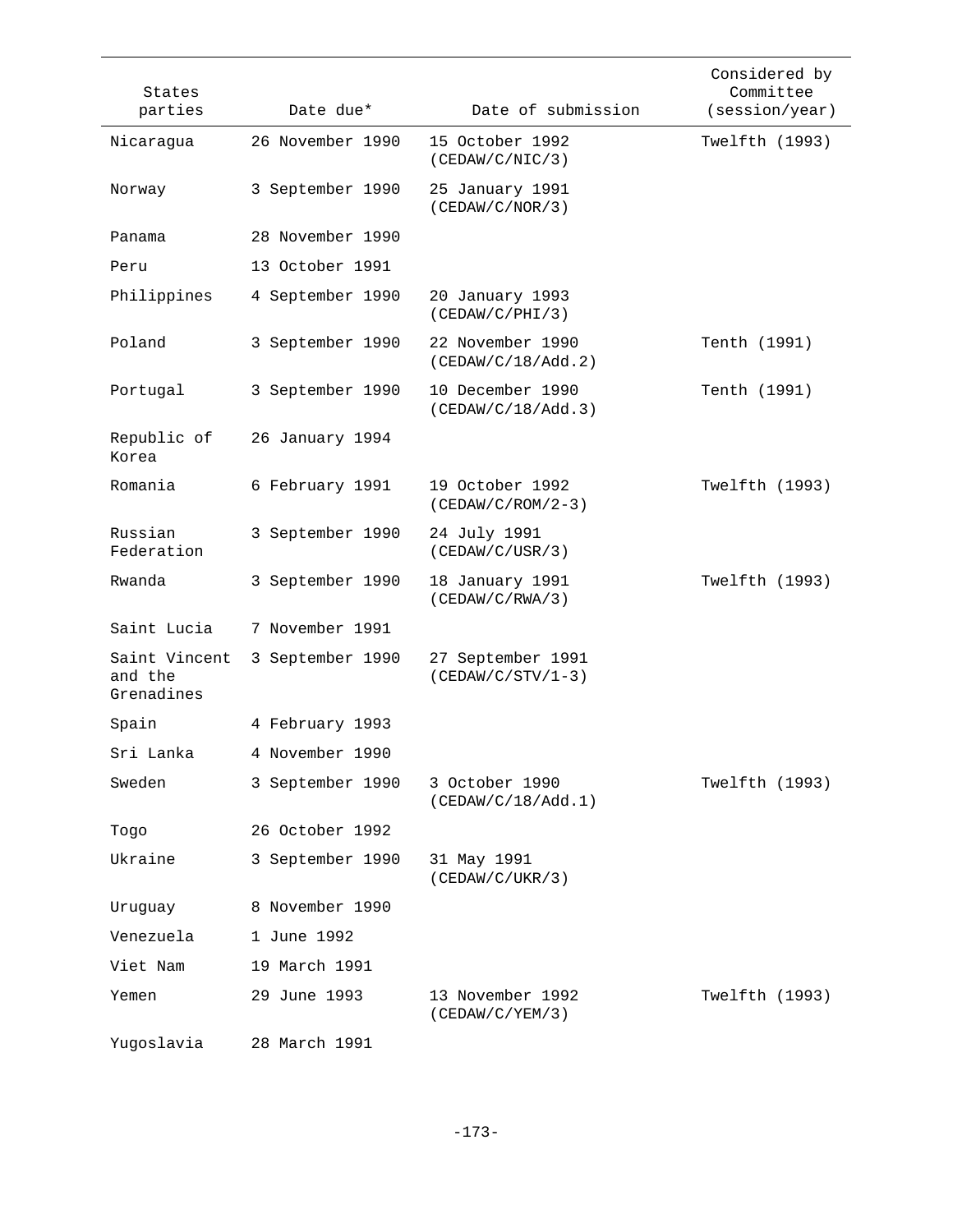| States<br>parties                      | Date due*        | Date of submission                       | Considered by<br>Committee<br>(session/year) |
|----------------------------------------|------------------|------------------------------------------|----------------------------------------------|
| Nicaragua                              | 26 November 1990 | 15 October 1992<br>(CEDAW/C/NIC/3)       | Twelfth (1993)                               |
| Norway                                 | 3 September 1990 | 25 January 1991<br>(CEDAW/C/NOR/3)       |                                              |
| Panama                                 | 28 November 1990 |                                          |                                              |
| Peru                                   | 13 October 1991  |                                          |                                              |
| Philippines                            | 4 September 1990 | 20 January 1993<br>(CEDAW/C/PHI/3)       |                                              |
| Poland                                 | 3 September 1990 | 22 November 1990<br>(CEDAW/C/18/Add.2)   | Tenth (1991)                                 |
| Portugal                               | 3 September 1990 | 10 December 1990<br>(CEDAW/C/18/Add.3)   | Tenth (1991)                                 |
| Republic of<br>Korea                   | 26 January 1994  |                                          |                                              |
| Romania                                | 6 February 1991  | 19 October 1992<br>$(CEDAW/C/ROM/2-3)$   | Twelfth (1993)                               |
| Russian<br>Federation                  | 3 September 1990 | 24 July 1991<br>(CEDAW/C/USR/3)          |                                              |
| Rwanda                                 | 3 September 1990 | 18 January 1991<br>(CEDAW/C/RWA/3)       | Twelfth (1993)                               |
| Saint Lucia                            | 7 November 1991  |                                          |                                              |
| Saint Vincent<br>and the<br>Grenadines | 3 September 1990 | 27 September 1991<br>$(CEDAW/C/STV/1-3)$ |                                              |
| Spain                                  | 4 February 1993  |                                          |                                              |
| Sri Lanka                              | 4 November 1990  |                                          |                                              |
| Sweden                                 | 3 September 1990 | 3 October 1990<br>(CEDAW/C/18/Add.1)     | Twelfth (1993)                               |
| Togo                                   | 26 October 1992  |                                          |                                              |
| Ukraine                                | 3 September 1990 | 31 May 1991<br>(CEDAW/C/UKR/3)           |                                              |
| Uruguay                                | 8 November 1990  |                                          |                                              |
| Venezuela                              | 1 June 1992      |                                          |                                              |
| Viet Nam                               | 19 March 1991    |                                          |                                              |
| Yemen                                  | 29 June 1993     | 13 November 1992<br>(CEDAW/C/YEM/3)      | Twelfth (1993)                               |
| Yugoslavia                             | 28 March 1991    |                                          |                                              |